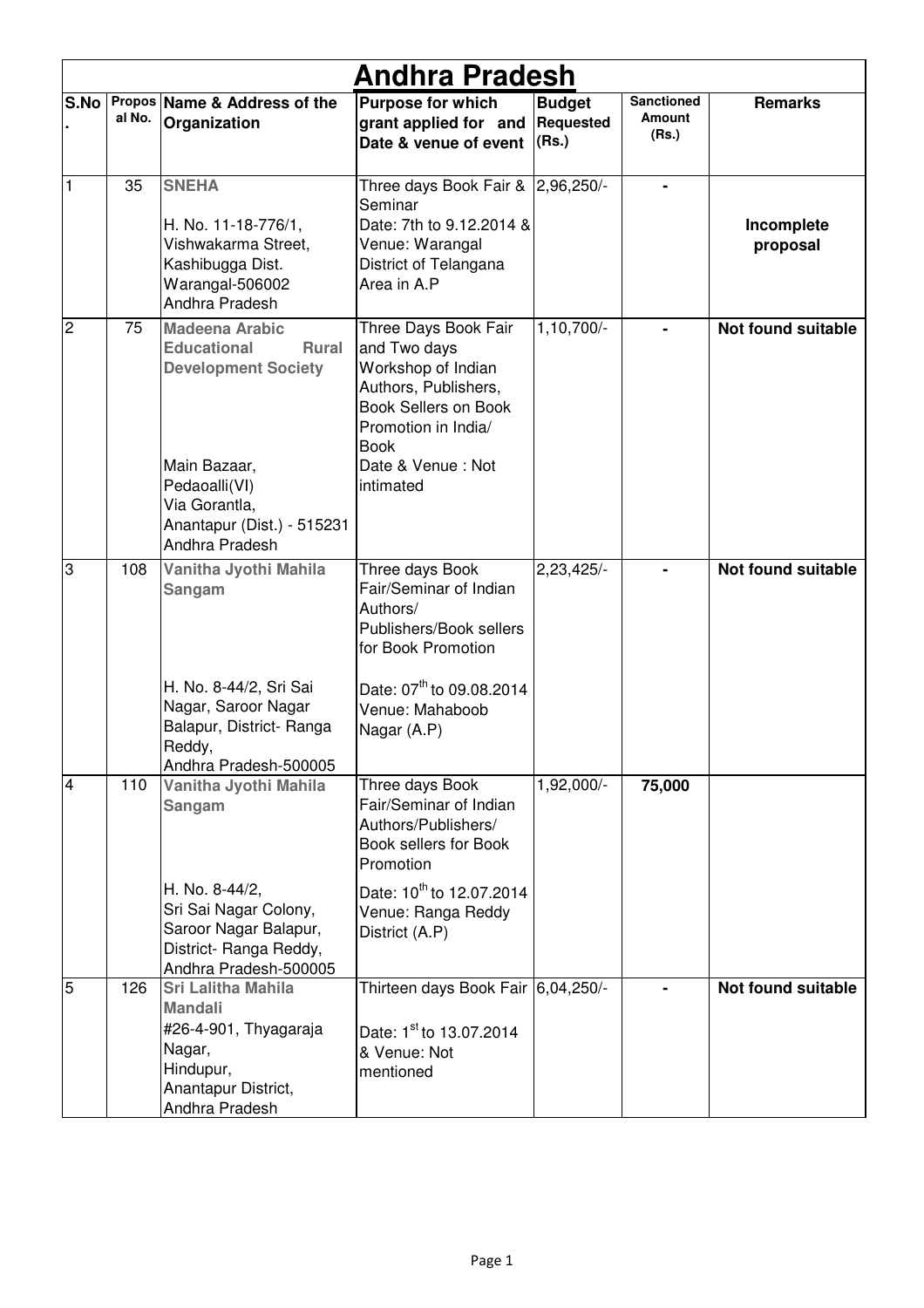|                | <b>Andhra Pradesh</b> |                                                                                                                                                                                             |                                                                                                                                                                                           |                                     |                                      |                           |  |  |
|----------------|-----------------------|---------------------------------------------------------------------------------------------------------------------------------------------------------------------------------------------|-------------------------------------------------------------------------------------------------------------------------------------------------------------------------------------------|-------------------------------------|--------------------------------------|---------------------------|--|--|
| S.No           | al No.                | Propos Name & Address of the<br>Organization                                                                                                                                                | <b>Purpose for which</b><br>grant applied for and<br>Date & venue of event                                                                                                                | <b>Budget</b><br>Requested<br>(Rs.) | <b>Sanctioned</b><br>Amount<br>(Rs.) | <b>Remarks</b>            |  |  |
| $\vert$ 1      | 35                    | <b>SNEHA</b><br>H. No. 11-18-776/1,<br>Vishwakarma Street,<br>Kashibugga Dist.<br>Warangal-506002<br>Andhra Pradesh                                                                         | Three days Book Fair & 2,96,250/-<br>Seminar<br>Date: 7th to 9.12.2014 &<br>Venue: Warangal<br>District of Telangana<br>Area in A.P                                                       |                                     |                                      | Incomplete<br>proposal    |  |  |
| $\overline{c}$ | 75                    | <b>Madeena Arabic</b><br><b>Educational</b><br><b>Rural</b><br><b>Development Society</b><br>Main Bazaar,<br>Pedaoalli(VI)<br>Via Gorantla,<br>Anantapur (Dist.) - 515231<br>Andhra Pradesh | Three Days Book Fair<br>and Two days<br>Workshop of Indian<br>Authors, Publishers,<br><b>Book Sellers on Book</b><br>Promotion in India/<br><b>Book</b><br>Date & Venue: Not<br>intimated | 1,10,700/-                          |                                      | Not found suitable        |  |  |
| 3              | 108                   | Vanitha Jyothi Mahila<br>Sangam<br>H. No. 8-44/2, Sri Sai<br>Nagar, Saroor Nagar<br>Balapur, District- Ranga<br>Reddy,<br>Andhra Pradesh-500005                                             | Three days Book<br>Fair/Seminar of Indian<br>Authors/<br>Publishers/Book sellers<br>for Book Promotion<br>Date: 07 <sup>th</sup> to 09.08.2014<br>Venue: Mahaboob<br>Nagar (A.P)          | 2,23,425/-                          |                                      | Not found suitable        |  |  |
| $\overline{4}$ | $\overline{1}10$      | Vanitha Jyothi Mahila<br>Sangam<br>H. No. 8-44/2,<br>Sri Sai Nagar Colony,<br>Saroor Nagar Balapur,<br>District- Ranga Reddy,<br>Andhra Pradesh-500005                                      | Three days Book<br>Fair/Seminar of Indian<br>Authors/Publishers/<br>Book sellers for Book<br>Promotion<br>Date: 10 <sup>th</sup> to 12.07.2014<br>Venue: Ranga Reddy<br>District (A.P)    | 1,92,000/-                          | 75,000                               |                           |  |  |
| $\overline{5}$ | 126                   | <b>Sri Lalitha Mahila</b><br><b>Mandali</b><br>#26-4-901, Thyagaraja<br>Nagar,<br>Hindupur,<br>Anantapur District,<br>Andhra Pradesh                                                        | Thirteen days Book Fair 6,04,250/-<br>Date: 1 <sup>st</sup> to 13.07.2014<br>& Venue: Not<br>mentioned                                                                                    |                                     |                                      | <b>Not found suitable</b> |  |  |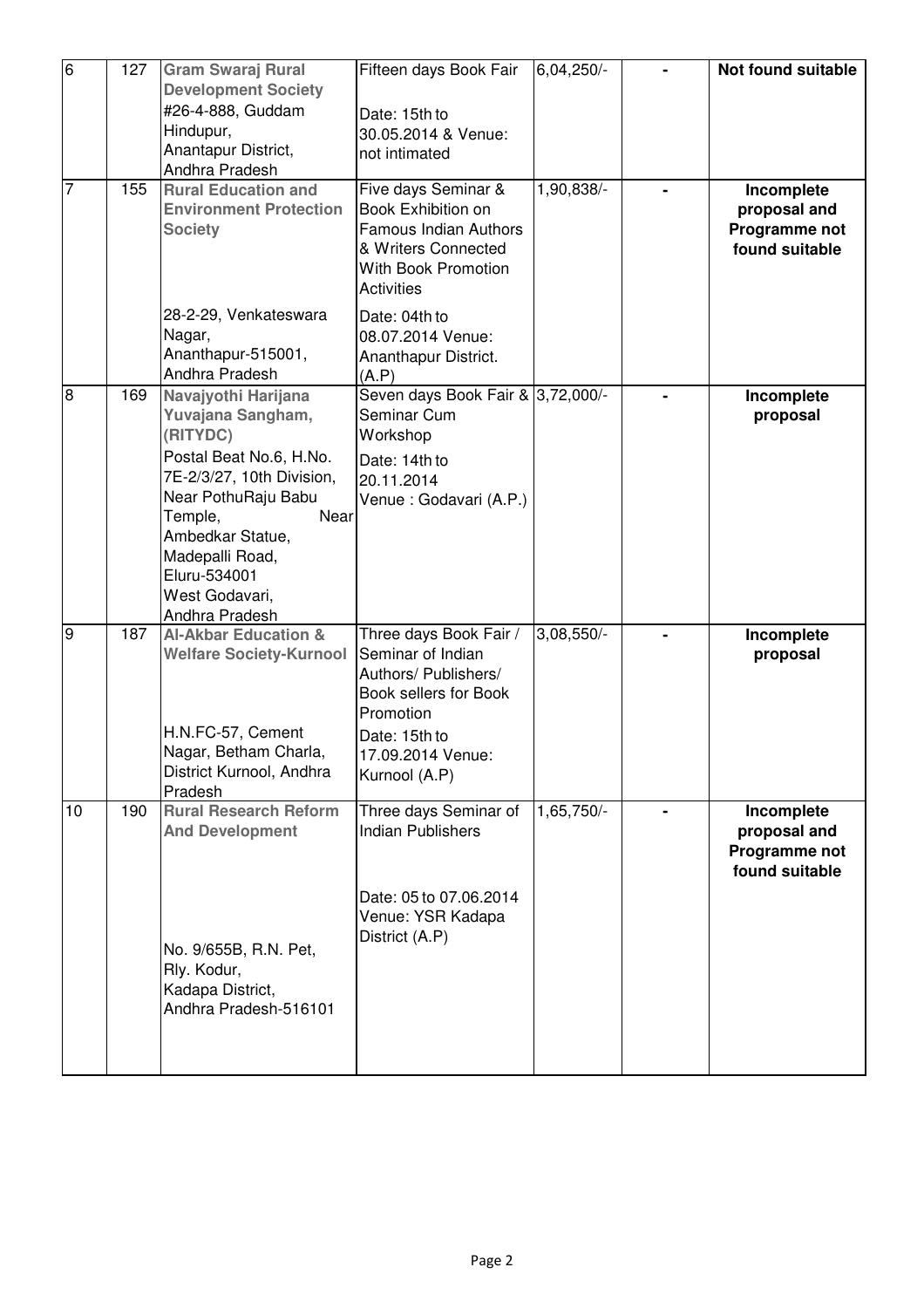| $\overline{6}$ | 127 | <b>Gram Swaraj Rural</b><br><b>Development Society</b><br>#26-4-888, Guddam<br>Hindupur,<br>Anantapur District,<br>Andhra Pradesh                                                                                                                 | Fifteen days Book Fair<br>Date: 15th to<br>30.05.2014 & Venue:<br>not intimated                                                                                  | 6,04,250/-   | Not found suitable                                            |
|----------------|-----|---------------------------------------------------------------------------------------------------------------------------------------------------------------------------------------------------------------------------------------------------|------------------------------------------------------------------------------------------------------------------------------------------------------------------|--------------|---------------------------------------------------------------|
| $\overline{7}$ | 155 | <b>Rural Education and</b><br><b>Environment Protection</b><br><b>Society</b>                                                                                                                                                                     | Five days Seminar &<br>Book Exhibition on<br>Famous Indian Authors<br>& Writers Connected<br><b>With Book Promotion</b><br><b>Activities</b>                     | 1,90,838/-   | Incomplete<br>proposal and<br>Programme not<br>found suitable |
|                |     | 28-2-29, Venkateswara<br>Nagar,<br>Ananthapur-515001,<br>Andhra Pradesh                                                                                                                                                                           | Date: 04th to<br>08.07.2014 Venue:<br>Ananthapur District.<br>(A.P)                                                                                              |              |                                                               |
| $\overline{8}$ | 169 | Navajyothi Harijana<br>Yuvajana Sangham,<br>(RITYDC)<br>Postal Beat No.6, H.No.<br>7E-2/3/27, 10th Division,<br>Near PothuRaju Babu<br>Temple,<br>Near<br>Ambedkar Statue,<br>Madepalli Road,<br>Eluru-534001<br>West Godavari,<br>Andhra Pradesh | Seven days Book Fair & 3,72,000/-<br>Seminar Cum<br>Workshop<br>Date: 14th to<br>20.11.2014<br>Venue : Godavari (A.P.)                                           |              | Incomplete<br>proposal                                        |
| σ              | 187 | <b>Al-Akbar Education &amp;</b><br><b>Welfare Society-Kurnool</b><br>H.N.FC-57, Cement<br>Nagar, Betham Charla,<br>District Kurnool, Andhra<br>Pradesh                                                                                            | Three days Book Fair /<br>Seminar of Indian<br>Authors/ Publishers/<br>Book sellers for Book<br>Promotion<br>Date: 15th to<br>17.09.2014 Venue:<br>Kurnool (A.P) | 3,08,550/-   | Incomplete<br>proposal                                        |
| 10             | 190 | <b>Rural Research Reform</b><br><b>And Development</b><br>No. 9/655B, R.N. Pet,<br>Rly. Kodur,<br>Kadapa District,<br>Andhra Pradesh-516101                                                                                                       | Three days Seminar of<br><b>Indian Publishers</b><br>Date: 05 to 07.06.2014<br>Venue: YSR Kadapa<br>District (A.P)                                               | $1,65,750/-$ | Incomplete<br>proposal and<br>Programme not<br>found suitable |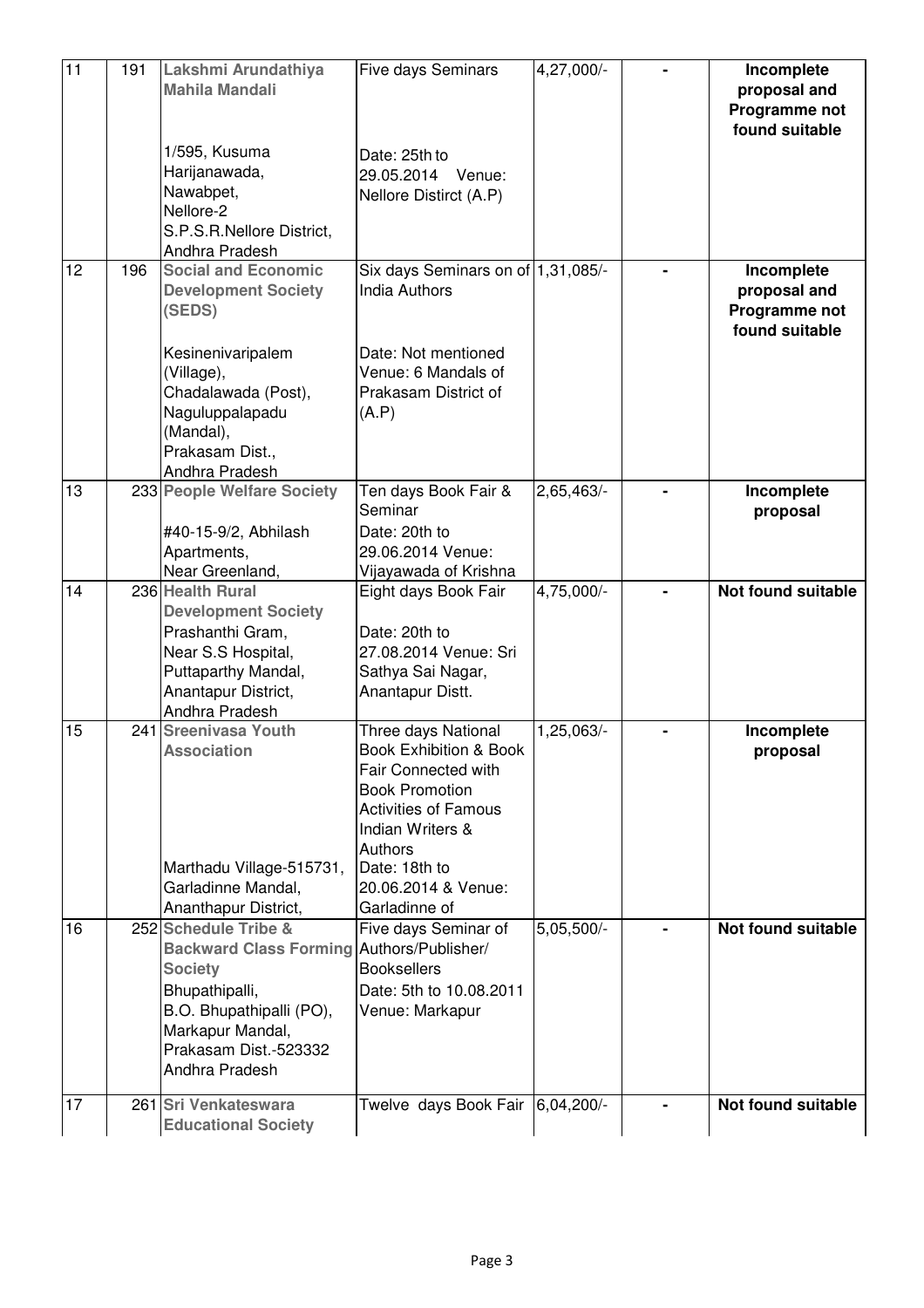| 11 | 191 | Lakshmi Arundathiya<br><b>Mahila Mandali</b>                                                                                                                                                     | <b>Five days Seminars</b>                                                                                                                                                                                            | 4,27,000/- | Incomplete<br>proposal and<br>Programme not<br>found suitable |
|----|-----|--------------------------------------------------------------------------------------------------------------------------------------------------------------------------------------------------|----------------------------------------------------------------------------------------------------------------------------------------------------------------------------------------------------------------------|------------|---------------------------------------------------------------|
|    |     | 1/595, Kusuma<br>Harijanawada,<br>Nawabpet,<br>Nellore-2<br>S.P.S.R.Nellore District,<br>Andhra Pradesh                                                                                          | Date: 25th to<br>29.05.2014 Venue:<br>Nellore Distirct (A.P)                                                                                                                                                         |            |                                                               |
| 12 | 196 | <b>Social and Economic</b><br><b>Development Society</b><br>(SEDS)                                                                                                                               | Six days Seminars on of 1,31,085/-<br><b>India Authors</b>                                                                                                                                                           |            | Incomplete<br>proposal and<br>Programme not<br>found suitable |
|    |     | Kesinenivaripalem<br>(Village),<br>Chadalawada (Post),<br>Naguluppalapadu<br>(Mandal),<br>Prakasam Dist.,<br>Andhra Pradesh                                                                      | Date: Not mentioned<br>Venue: 6 Mandals of<br>Prakasam District of<br>(A.P)                                                                                                                                          |            |                                                               |
| 13 |     | 233 People Welfare Society<br>#40-15-9/2, Abhilash<br>Apartments,<br>Near Greenland,                                                                                                             | Ten days Book Fair &<br>Seminar<br>Date: 20th to<br>29.06.2014 Venue:<br>Vijayawada of Krishna                                                                                                                       | 2,65,463/- | Incomplete<br>proposal                                        |
| 14 |     | 236 Health Rural<br><b>Development Society</b><br>Prashanthi Gram,<br>Near S.S Hospital,<br>Puttaparthy Mandal,<br>Anantapur District,<br>Andhra Pradesh                                         | Eight days Book Fair<br>Date: 20th to<br>27.08.2014 Venue: Sri<br>Sathya Sai Nagar,<br>Anantapur Distt.                                                                                                              | 4,75,000/- | Not found suitable                                            |
| 15 |     | 241 Sreenivasa Youth<br><b>Association</b><br>Marthadu Village-515731,<br>Garladinne Mandal,<br>Ananthapur District,                                                                             | Three days National<br>Book Exhibition & Book<br>Fair Connected with<br><b>Book Promotion</b><br><b>Activities of Famous</b><br>Indian Writers &<br>Authors<br>Date: 18th to<br>20.06.2014 & Venue:<br>Garladinne of | 1,25,063/- | Incomplete<br>proposal                                        |
| 16 |     | 252 Schedule Tribe &<br>Backward Class Forming Authors/Publisher/<br><b>Society</b><br>Bhupathipalli,<br>B.O. Bhupathipalli (PO),<br>Markapur Mandal,<br>Prakasam Dist.-523332<br>Andhra Pradesh | Five days Seminar of<br><b>Booksellers</b><br>Date: 5th to 10.08.2011<br>Venue: Markapur                                                                                                                             | 5,05,500/- | Not found suitable                                            |
| 17 |     | 261 Sri Venkateswara<br><b>Educational Society</b>                                                                                                                                               | Twelve days Book Fair 6,04,200/-                                                                                                                                                                                     |            | Not found suitable                                            |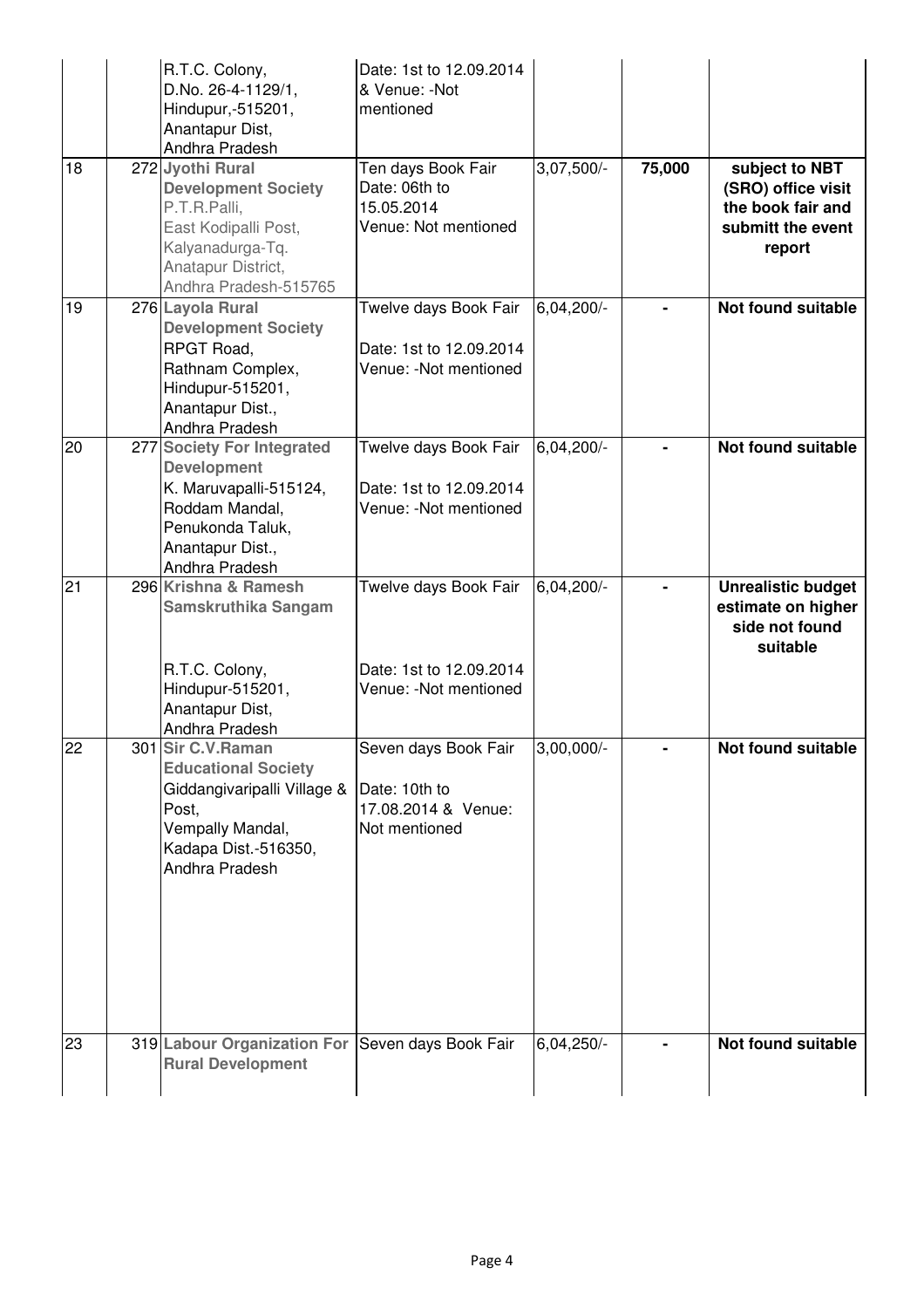| 18 | R.T.C. Colony,<br>D.No. 26-4-1129/1,<br>Hindupur,-515201,<br>Anantapur Dist,<br>Andhra Pradesh<br>272 Jyothi Rural<br><b>Development Society</b><br>P.T.R.Palli, | Date: 1st to 12.09.2014<br>& Venue: -Not<br>mentioned<br>Ten days Book Fair<br>Date: 06th to<br>15.05.2014 | $3,07,500/-$ | 75,000 | subject to NBT<br>(SRO) office visit<br>the book fair and                     |
|----|------------------------------------------------------------------------------------------------------------------------------------------------------------------|------------------------------------------------------------------------------------------------------------|--------------|--------|-------------------------------------------------------------------------------|
|    | East Kodipalli Post,<br>Kalyanadurga-Tq.<br>Anatapur District,<br>Andhra Pradesh-515765                                                                          | Venue: Not mentioned                                                                                       |              |        | submitt the event<br>report                                                   |
| 19 | 276 Layola Rural<br><b>Development Society</b><br>RPGT Road,<br>Rathnam Complex,<br>Hindupur-515201,<br>Anantapur Dist.,<br>Andhra Pradesh                       | Twelve days Book Fair<br>Date: 1st to 12.09.2014<br>Venue: - Not mentioned                                 | 6,04,200/-   |        | <b>Not found suitable</b>                                                     |
| 20 | 277 Society For Integrated<br><b>Development</b><br>K. Maruvapalli-515124,<br>Roddam Mandal,<br>Penukonda Taluk,<br>Anantapur Dist.,<br>Andhra Pradesh           | Twelve days Book Fair<br>Date: 1st to 12.09.2014<br>Venue: - Not mentioned                                 | $6,04,200/-$ |        | <b>Not found suitable</b>                                                     |
| 21 | 296 Krishna & Ramesh<br><b>Samskruthika Sangam</b><br>R.T.C. Colony,<br>Hindupur-515201,<br>Anantapur Dist,<br>Andhra Pradesh                                    | Twelve days Book Fair<br>Date: 1st to 12.09.2014<br>Venue: - Not mentioned                                 | 6,04,200/-   |        | <b>Unrealistic budget</b><br>estimate on higher<br>side not found<br>suitable |
| 22 | 301 Sir C.V. Raman<br><b>Educational Society</b><br>Giddangivaripalli Village &<br>Post,<br>Vempally Mandal,<br>Kadapa Dist.-516350,<br>Andhra Pradesh           | Seven days Book Fair<br>Date: 10th to<br>17.08.2014 & Venue:<br>Not mentioned                              | $3,00,000/-$ |        | <b>Not found suitable</b>                                                     |
| 23 | 319 Labour Organization For<br><b>Rural Development</b>                                                                                                          | Seven days Book Fair                                                                                       | $6,04,250/-$ |        | Not found suitable                                                            |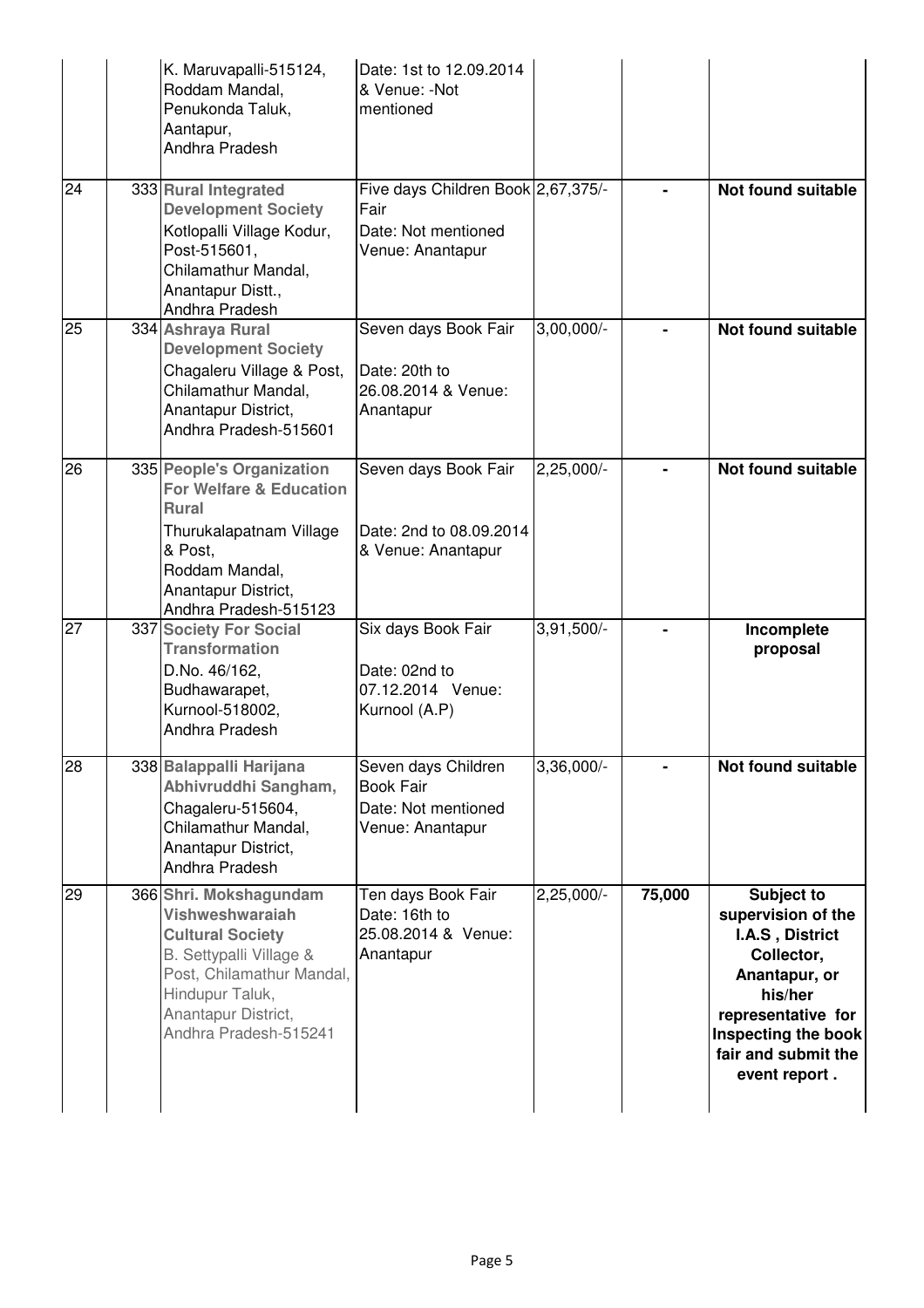|    | K. Maruvapalli-515124,<br>Roddam Mandal,<br>Penukonda Taluk,<br>Aantapur,<br>Andhra Pradesh                                                                                                            | Date: 1st to 12.09.2014<br>& Venue: -Not<br>mentioned                                 |              |        |                                                                                                                                                                                    |
|----|--------------------------------------------------------------------------------------------------------------------------------------------------------------------------------------------------------|---------------------------------------------------------------------------------------|--------------|--------|------------------------------------------------------------------------------------------------------------------------------------------------------------------------------------|
| 24 | 333 Rural Integrated<br><b>Development Society</b><br>Kotlopalli Village Kodur,<br>Post-515601,<br>Chilamathur Mandal,<br>Anantapur Distt.,<br>Andhra Pradesh                                          | Five days Children Book 2,67,375/-<br>Fair<br>Date: Not mentioned<br>Venue: Anantapur |              |        | <b>Not found suitable</b>                                                                                                                                                          |
| 25 | 334 Ashraya Rural<br><b>Development Society</b><br>Chagaleru Village & Post,<br>Chilamathur Mandal,<br>Anantapur District,<br>Andhra Pradesh-515601                                                    | Seven days Book Fair<br>Date: 20th to<br>26.08.2014 & Venue:<br>Anantapur             | $3,00,000/-$ |        | <b>Not found suitable</b>                                                                                                                                                          |
| 26 | 335 People's Organization<br><b>For Welfare &amp; Education</b><br><b>Rural</b><br>Thurukalapatnam Village<br>& Post,<br>Roddam Mandal,<br>Anantapur District,<br>Andhra Pradesh-515123                | Seven days Book Fair<br>Date: 2nd to 08.09.2014<br>& Venue: Anantapur                 | $2,25,000/-$ |        | <b>Not found suitable</b>                                                                                                                                                          |
| 27 | 337 Society For Social<br><b>Transformation</b><br>D.No. 46/162,<br>Budhawarapet,<br>Kurnool-518002,<br>Andhra Pradesh                                                                                 | Six days Book Fair<br>Date: 02nd to<br>07.12.2014 Venue:<br>Kurnool (A.P)             | $3,91,500/-$ |        | Incomplete<br>proposal                                                                                                                                                             |
| 28 | 338 Balappalli Harijana<br>Abhivruddhi Sangham,<br>Chagaleru-515604,<br>Chilamathur Mandal,<br>Anantapur District,<br>Andhra Pradesh                                                                   | Seven days Children<br><b>Book Fair</b><br>Date: Not mentioned<br>Venue: Anantapur    | $3,36,000/-$ |        | <b>Not found suitable</b>                                                                                                                                                          |
| 29 | 366 Shri. Mokshagundam<br><b>Vishweshwaraiah</b><br><b>Cultural Society</b><br>B. Settypalli Village &<br>Post, Chilamathur Mandal,<br>Hindupur Taluk,<br>Anantapur District,<br>Andhra Pradesh-515241 | Ten days Book Fair<br>Date: 16th to<br>25.08.2014 & Venue:<br>Anantapur               | 2,25,000/-   | 75,000 | Subject to<br>supervision of the<br>I.A.S, District<br>Collector,<br>Anantapur, or<br>his/her<br>representative for<br>Inspecting the book<br>fair and submit the<br>event report. |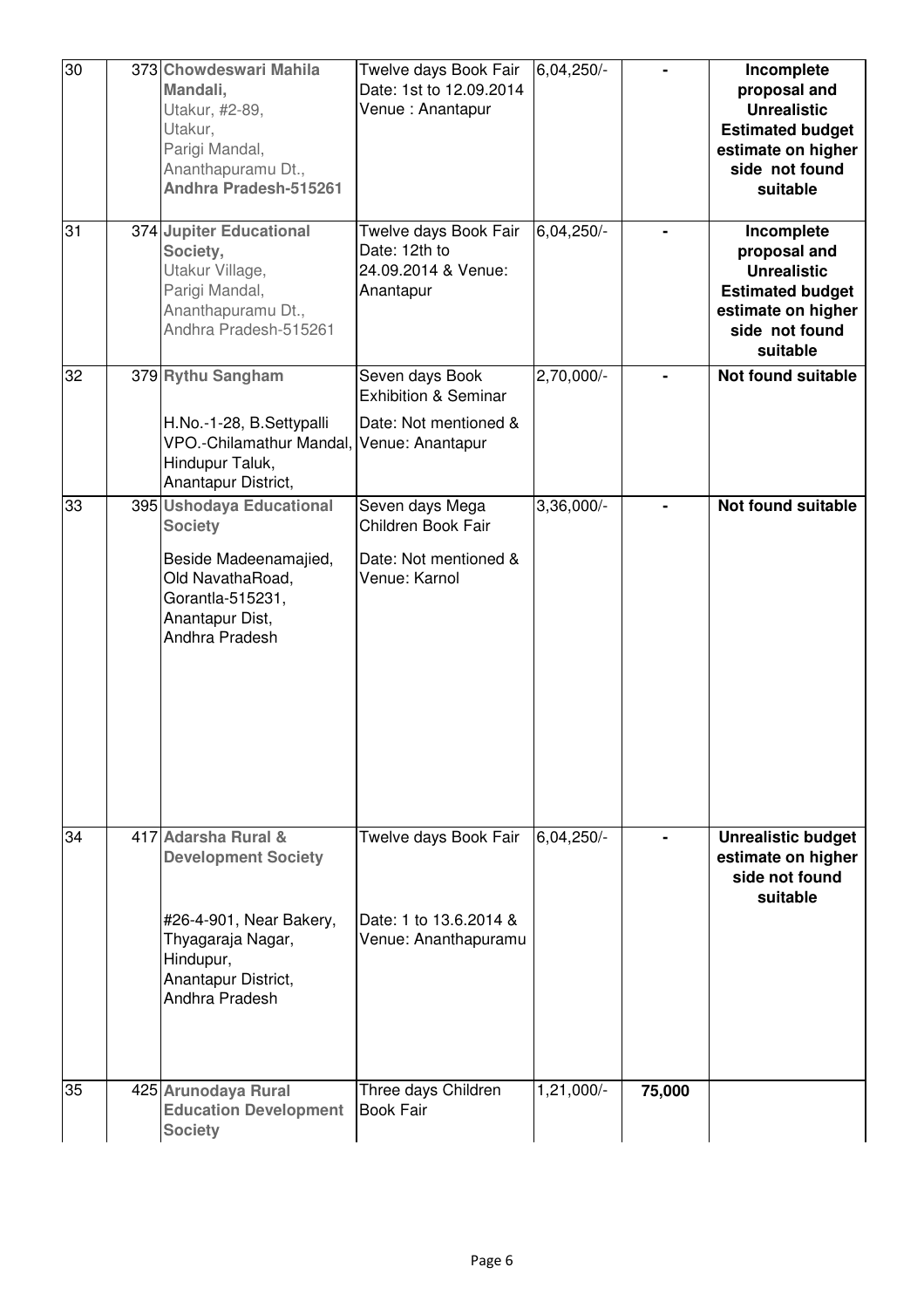| 30 | 373 Chowdeswari Mahila<br>Mandali,<br>Utakur, #2-89,<br>Utakur,<br>Parigi Mandal,<br>Ananthapuramu Dt.,<br>Andhra Pradesh-515261                        | Twelve days Book Fair<br>Date: 1st to 12.09.2014<br>Venue: Anantapur                            | 6,04,250/- |        | Incomplete<br>proposal and<br><b>Unrealistic</b><br><b>Estimated budget</b><br>estimate on higher<br>side not found<br>suitable |
|----|---------------------------------------------------------------------------------------------------------------------------------------------------------|-------------------------------------------------------------------------------------------------|------------|--------|---------------------------------------------------------------------------------------------------------------------------------|
| 31 | 374 Jupiter Educational<br>Society,<br>Utakur Village,<br>Parigi Mandal,<br>Ananthapuramu Dt.,<br>Andhra Pradesh-515261                                 | Twelve days Book Fair<br>Date: 12th to<br>24.09.2014 & Venue:<br>Anantapur                      | 6,04,250/- |        | Incomplete<br>proposal and<br><b>Unrealistic</b><br><b>Estimated budget</b><br>estimate on higher<br>side not found<br>suitable |
| 32 | 379 Rythu Sangham<br>H.No.-1-28, B.Settypalli<br>VPO.-Chilamathur Mandal,<br>Hindupur Taluk,<br>Anantapur District,                                     | Seven days Book<br><b>Exhibition &amp; Seminar</b><br>Date: Not mentioned &<br>Venue: Anantapur | 2,70,000/- |        | Not found suitable                                                                                                              |
| 33 | 395 Ushodaya Educational<br><b>Society</b><br>Beside Madeenamajied,<br>Old NavathaRoad,<br>Gorantla-515231,<br>Anantapur Dist,<br>Andhra Pradesh        | Seven days Mega<br>Children Book Fair<br>Date: Not mentioned &<br>Venue: Karnol                 | 3,36,000/- |        | <b>Not found suitable</b>                                                                                                       |
| 34 | 417 Adarsha Rural &<br><b>Development Society</b><br>#26-4-901, Near Bakery,<br>Thyagaraja Nagar,<br>Hindupur,<br>Anantapur District,<br>Andhra Pradesh | Twelve days Book Fair<br>Date: 1 to 13.6.2014 &<br>Venue: Ananthapuramu                         | 6,04,250/- |        | <b>Unrealistic budget</b><br>estimate on higher<br>side not found<br>suitable                                                   |
| 35 | 425 Arunodaya Rural<br><b>Education Development</b><br><b>Society</b>                                                                                   | Three days Children<br><b>Book Fair</b>                                                         | 1,21,000/- | 75,000 |                                                                                                                                 |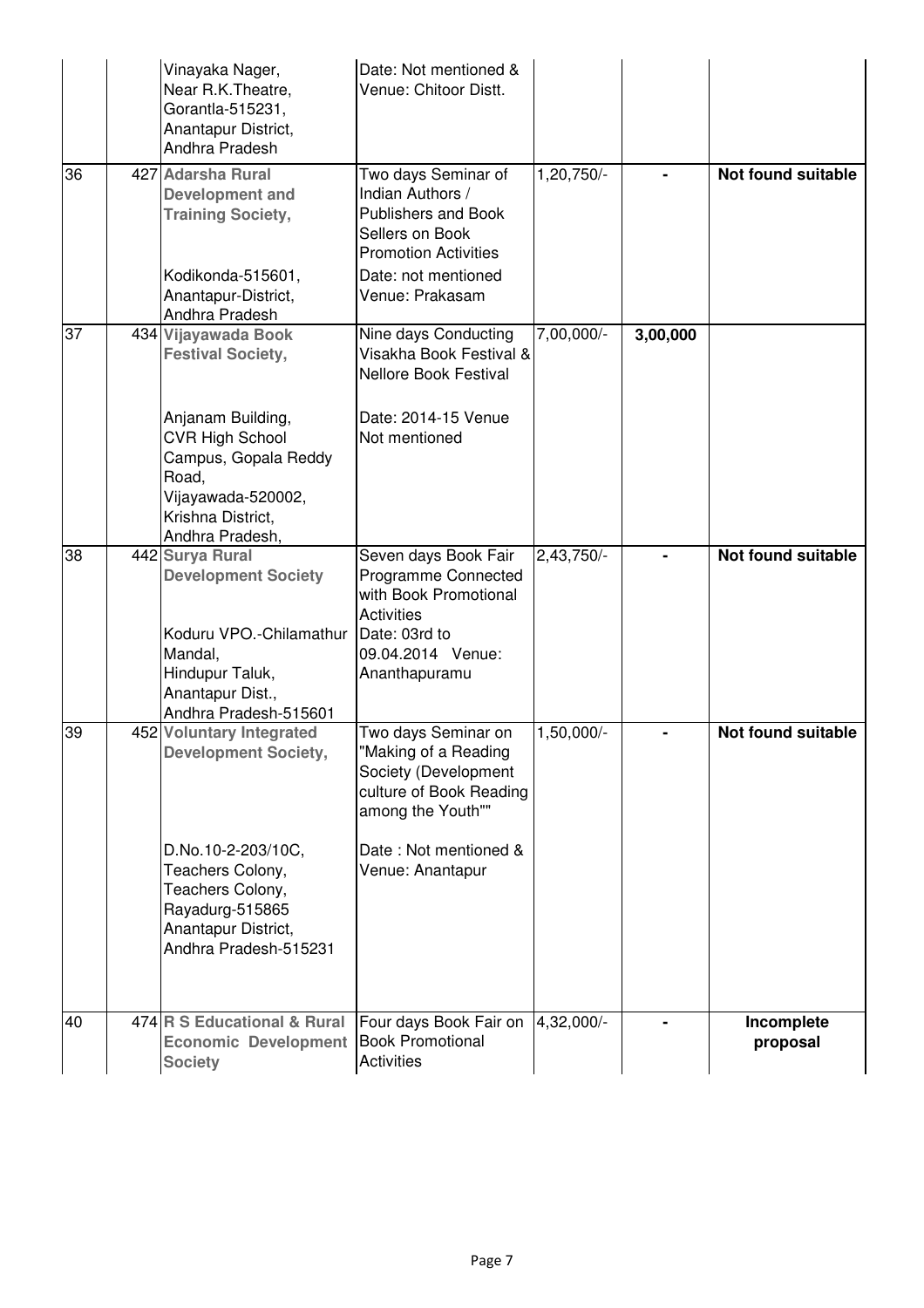|                 | Vinayaka Nager,<br>Near R.K. Theatre,<br>Gorantla-515231,<br>Anantapur District,<br>Andhra Pradesh                                                              | Date: Not mentioned &<br>Venue: Chitoor Distt.                                                                                                                   |              |          |                           |
|-----------------|-----------------------------------------------------------------------------------------------------------------------------------------------------------------|------------------------------------------------------------------------------------------------------------------------------------------------------------------|--------------|----------|---------------------------|
| 36              | 427 Adarsha Rural<br><b>Development and</b><br><b>Training Society,</b><br>Kodikonda-515601,<br>Anantapur-District,                                             | Two days Seminar of<br>Indian Authors /<br>Publishers and Book<br>Sellers on Book<br><b>Promotion Activities</b><br>Date: not mentioned<br>Venue: Prakasam       | 1,20,750/-   | Ξ.       | <b>Not found suitable</b> |
|                 | Andhra Pradesh                                                                                                                                                  |                                                                                                                                                                  |              |          |                           |
| $\overline{37}$ | 434 Vijayawada Book<br><b>Festival Society,</b>                                                                                                                 | Nine days Conducting<br>Visakha Book Festival &<br><b>Nellore Book Festival</b>                                                                                  | 7,00,000/-   | 3,00,000 |                           |
|                 | Anjanam Building,<br><b>CVR High School</b><br>Campus, Gopala Reddy<br>Road,<br>Vijayawada-520002,<br>Krishna District,<br>Andhra Pradesh,                      | Date: 2014-15 Venue<br>Not mentioned                                                                                                                             |              |          |                           |
| 38              | 442 Surya Rural<br><b>Development Society</b><br>Koduru VPO.-Chilamathur<br>Mandal,<br>Hindupur Taluk,<br>Anantapur Dist.,<br>Andhra Pradesh-515601             | Seven days Book Fair<br>Programme Connected<br>with Book Promotional<br><b>Activities</b><br>Date: 03rd to<br>09.04.2014 Venue:<br>Ananthapuramu                 | 2,43,750/-   |          | Not found suitable        |
| 39              | 452 Voluntary Integrated<br><b>Development Society,</b><br>D.No.10-2-203/10C,<br>Teachers Colony,<br>Teachers Colony,<br>Rayadurg-515865<br>Anantapur District, | Two days Seminar on<br>"Making of a Reading<br>Society (Development<br>culture of Book Reading<br>among the Youth""<br>Date: Not mentioned &<br>Venue: Anantapur | $1,50,000/-$ |          | Not found suitable        |
| 40              | Andhra Pradesh-515231<br>474 R S Educational & Rural<br>Economic Development Book Promotional<br><b>Society</b>                                                 | Four days Book Fair on<br><b>Activities</b>                                                                                                                      | 4,32,000/-   |          | Incomplete<br>proposal    |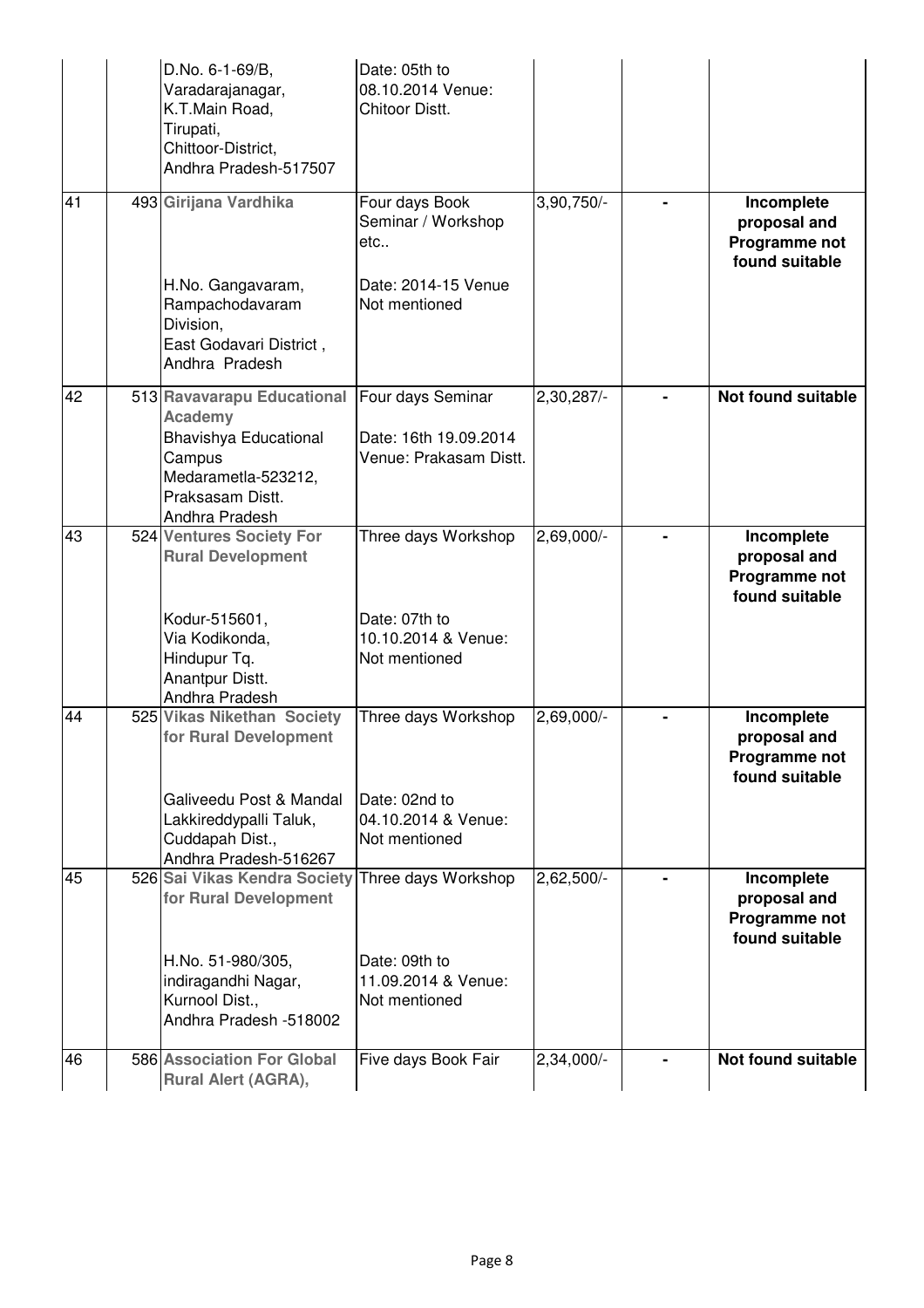|    | D.No. 6-1-69/B,<br>Varadarajanagar,<br>K.T.Main Road,<br>Tirupati,<br>Chittoor-District,<br>Andhra Pradesh-517507 | Date: 05th to<br>08.10.2014 Venue:<br>Chitoor Distt.  |              |                                                               |
|----|-------------------------------------------------------------------------------------------------------------------|-------------------------------------------------------|--------------|---------------------------------------------------------------|
| 41 | 493 Girijana Vardhika                                                                                             | Four days Book<br>Seminar / Workshop<br>etc           | 3,90,750/-   | Incomplete<br>proposal and<br>Programme not<br>found suitable |
|    | H.No. Gangavaram,<br>Rampachodavaram<br>Division,<br>East Godavari District,<br>Andhra Pradesh                    | Date: 2014-15 Venue<br>Not mentioned                  |              |                                                               |
| 42 | 513 Ravavarapu Educational<br><b>Academy</b>                                                                      | Four days Seminar                                     | $2,30,287/-$ | Not found suitable                                            |
|    | Bhavishya Educational<br>Campus<br>Medarametla-523212,<br>Praksasam Distt.<br>Andhra Pradesh                      | Date: 16th 19.09.2014<br>Venue: Prakasam Distt.       |              |                                                               |
| 43 | 524 Ventures Society For<br><b>Rural Development</b>                                                              | Three days Workshop                                   | 2,69,000/-   | Incomplete<br>proposal and<br>Programme not<br>found suitable |
|    | Kodur-515601,<br>Via Kodikonda,<br>Hindupur Tq.<br>Anantpur Distt.<br>Andhra Pradesh                              | Date: 07th to<br>10.10.2014 & Venue:<br>Not mentioned |              |                                                               |
| 44 | 525 Vikas Nikethan Society<br>for Rural Development                                                               | Three days Workshop                                   | 2,69,000/-   | Incomplete<br>proposal and<br>Programme not<br>found suitable |
|    | Galiveedu Post & Mandal<br>Lakkireddypalli Taluk,<br>Cuddapah Dist.,<br>Andhra Pradesh-516267                     | Date: 02nd to<br>04.10.2014 & Venue:<br>Not mentioned |              |                                                               |
| 45 | 526 Sai Vikas Kendra Society<br>for Rural Development                                                             | Three days Workshop                                   | $2,62,500/-$ | Incomplete<br>proposal and<br>Programme not<br>found suitable |
|    | H.No. 51-980/305,<br>indiragandhi Nagar,<br>Kurnool Dist.,<br>Andhra Pradesh -518002                              | Date: 09th to<br>11.09.2014 & Venue:<br>Not mentioned |              |                                                               |
| 46 | 586 Association For Global<br><b>Rural Alert (AGRA),</b>                                                          | Five days Book Fair                                   | 2,34,000/-   | Not found suitable                                            |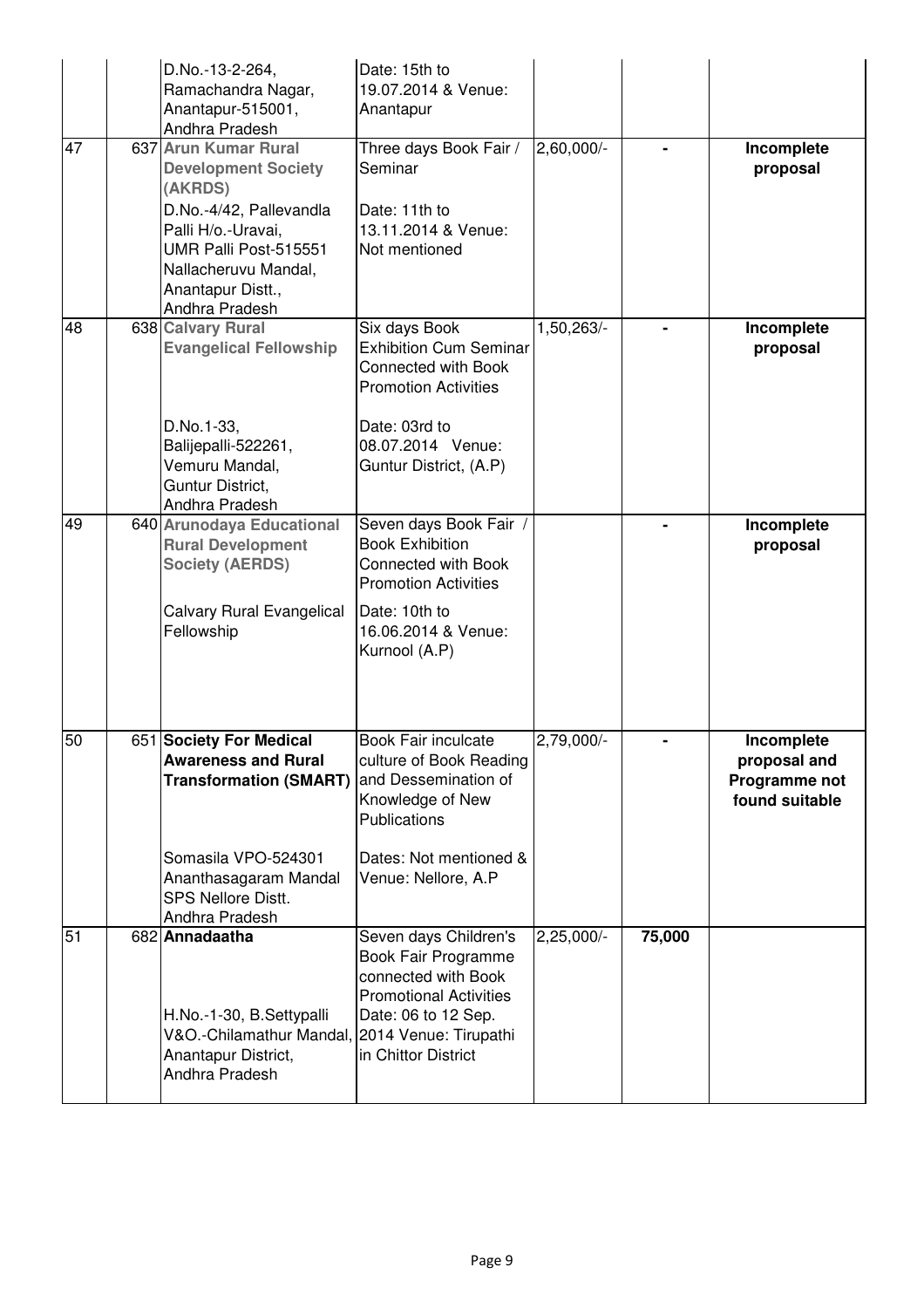|    | D.No.-13-2-264,<br>Ramachandra Nagar,<br>Anantapur-515001,<br>Andhra Pradesh                                                                                                                           | Date: 15th to<br>19.07.2014 & Venue:<br>Anantapur                                                                                                                           |                         |        |                                                               |
|----|--------------------------------------------------------------------------------------------------------------------------------------------------------------------------------------------------------|-----------------------------------------------------------------------------------------------------------------------------------------------------------------------------|-------------------------|--------|---------------------------------------------------------------|
| 47 | 637 Arun Kumar Rural<br><b>Development Society</b><br>(AKRDS)<br>D.No.-4/42, Pallevandla<br>Palli H/o.-Uravai,<br>UMR Palli Post-515551<br>Nallacheruvu Mandal,<br>Anantapur Distt.,<br>Andhra Pradesh | Three days Book Fair /<br>Seminar<br>Date: 11th to<br>13.11.2014 & Venue:<br>Not mentioned                                                                                  | 2,60,000/-              |        | Incomplete<br>proposal                                        |
| 48 | 638 Calvary Rural<br><b>Evangelical Fellowship</b><br>D.No.1-33,<br>Balijepalli-522261,<br>Vemuru Mandal,<br>Guntur District,<br>Andhra Pradesh                                                        | Six days Book<br><b>Exhibition Cum Seminar</b><br><b>Connected with Book</b><br><b>Promotion Activities</b><br>Date: 03rd to<br>08.07.2014 Venue:<br>Guntur District, (A.P) | 1,50,263                |        | Incomplete<br>proposal                                        |
| 49 | 640 Arunodaya Educational<br><b>Rural Development</b><br><b>Society (AERDS)</b><br>Calvary Rural Evangelical<br>Fellowship                                                                             | Seven days Book Fair /<br><b>Book Exhibition</b><br>Connected with Book<br><b>Promotion Activities</b><br>Date: 10th to<br>16.06.2014 & Venue:<br>Kurnool (A.P)             |                         |        | Incomplete<br>proposal                                        |
| 50 | 651 Society For Medical<br><b>Awareness and Rural</b><br><b>Transformation (SMART)</b><br>Somasila VPO-524301<br>Ananthasagaram Mandal<br><b>SPS Nellore Distt.</b><br>Andhra Pradesh                  | <b>Book Fair inculcate</b><br>culture of Book Reading<br>and Dessemination of<br>Knowledge of New<br>Publications<br>Dates: Not mentioned &<br>Venue: Nellore, A.P          | 2,79,000/-              |        | Incomplete<br>proposal and<br>Programme not<br>found suitable |
| 51 | 682 Annadaatha<br>H.No.-1-30, B.Settypalli<br>V&O.-Chilamathur Mandal, 2014 Venue: Tirupathi<br>Anantapur District,<br>Andhra Pradesh                                                                  | Seven days Children's<br>Book Fair Programme<br>connected with Book<br><b>Promotional Activities</b><br>Date: 06 to 12 Sep.<br>in Chittor District                          | $2,25,000$ <sup>-</sup> | 75,000 |                                                               |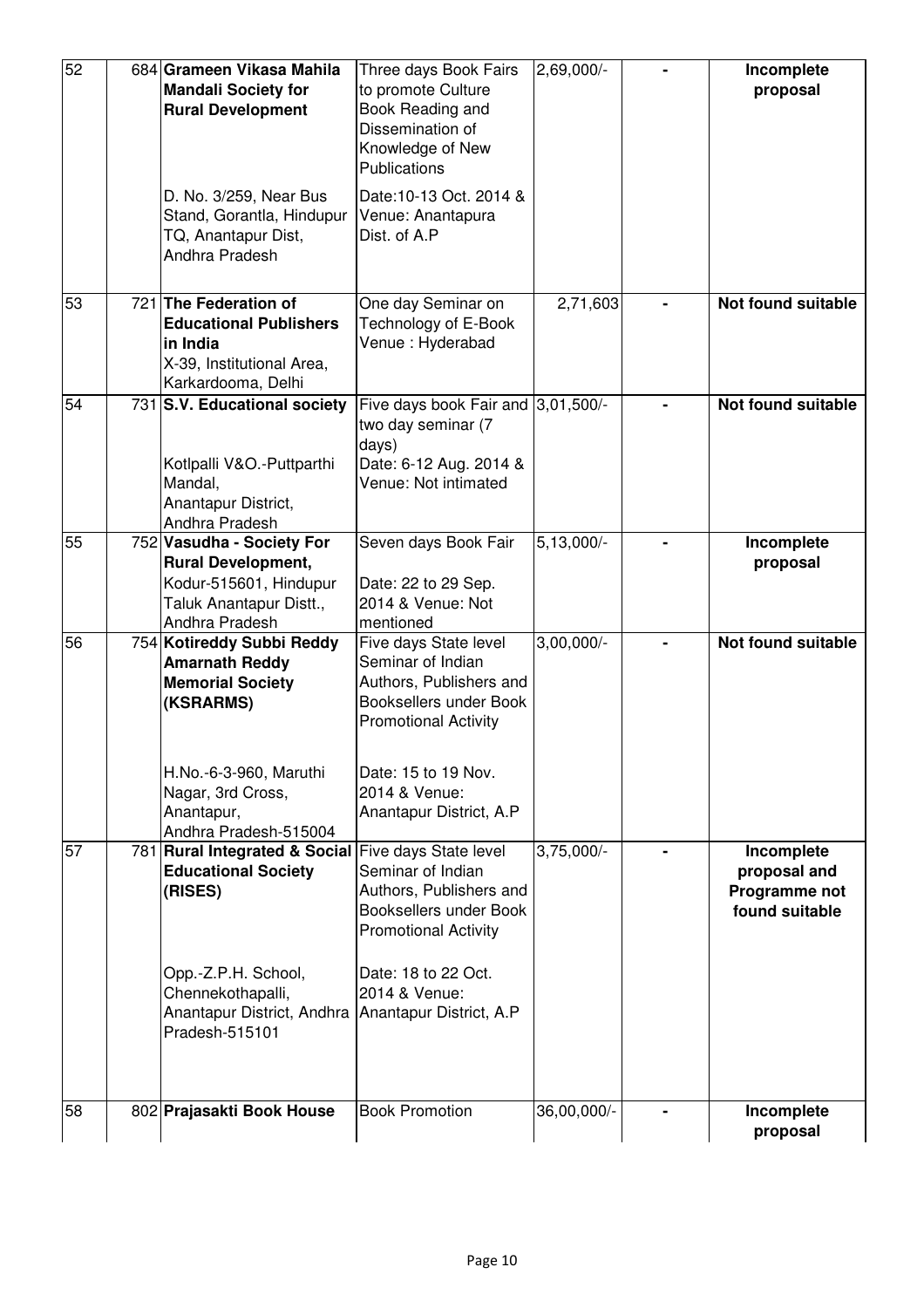| 52 | 684 Grameen Vikasa Mahila<br><b>Mandali Society for</b><br><b>Rural Development</b>                                           | Three days Book Fairs<br>to promote Culture<br>Book Reading and<br>Dissemination of<br>Knowledge of New<br>Publications        | 2,69,000/-   |   | Incomplete<br>proposal                                        |
|----|-------------------------------------------------------------------------------------------------------------------------------|--------------------------------------------------------------------------------------------------------------------------------|--------------|---|---------------------------------------------------------------|
|    | D. No. 3/259, Near Bus<br>Stand, Gorantla, Hindupur<br>TQ, Anantapur Dist,<br>Andhra Pradesh                                  | Date: 10-13 Oct. 2014 &<br>Venue: Anantapura<br>Dist. of A.P.                                                                  |              |   |                                                               |
| 53 | 721 The Federation of<br><b>Educational Publishers</b><br>lin India<br>X-39, Institutional Area,<br>Karkardooma, Delhi        | One day Seminar on<br>Technology of E-Book<br>Venue: Hyderabad                                                                 | 2,71,603     | - | Not found suitable                                            |
| 54 | 731 S.V. Educational society<br>Kotlpalli V&O.-Puttparthi<br>Mandal,<br>Anantapur District,<br>Andhra Pradesh                 | Five days book Fair and 3,01,500/-<br>two day seminar (7<br>days)<br>Date: 6-12 Aug. 2014 &<br>Venue: Not intimated            |              |   | <b>Not found suitable</b>                                     |
| 55 | 752 Vasudha - Society For<br><b>Rural Development,</b><br>Kodur-515601, Hindupur<br>Taluk Anantapur Distt.,<br>Andhra Pradesh | Seven days Book Fair<br>Date: 22 to 29 Sep.<br>2014 & Venue: Not<br>mentioned                                                  | $5,13,000/-$ |   | Incomplete<br>proposal                                        |
| 56 | 754 Kotireddy Subbi Reddy<br><b>Amarnath Reddy</b><br><b>Memorial Society</b><br>(KSRARMS)                                    | Five days State level<br>Seminar of Indian<br>Authors, Publishers and<br>Booksellers under Book<br><b>Promotional Activity</b> | $3,00,000/-$ |   | <b>Not found suitable</b>                                     |
|    | H.No.-6-3-960, Maruthi<br>Nagar, 3rd Cross,<br>Anantapur,<br>Andhra Pradesh-515004                                            | Date: 15 to 19 Nov.<br>2014 & Venue:<br>Anantapur District, A.P                                                                |              |   |                                                               |
| 57 | 781 Rural Integrated & Social<br><b>Educational Society</b><br>(RISES)                                                        | Five days State level<br>Seminar of Indian<br>Authors, Publishers and<br>Booksellers under Book<br><b>Promotional Activity</b> | $3,75,000/-$ |   | Incomplete<br>proposal and<br>Programme not<br>found suitable |
|    | Opp.-Z.P.H. School,<br>Chennekothapalli,<br>Anantapur District, Andhra Anantapur District, A.P<br>Pradesh-515101              | Date: 18 to 22 Oct.<br>2014 & Venue:                                                                                           |              |   |                                                               |
| 58 | 802 Prajasakti Book House                                                                                                     | <b>Book Promotion</b>                                                                                                          | 36,00,000/-  |   | Incomplete<br>proposal                                        |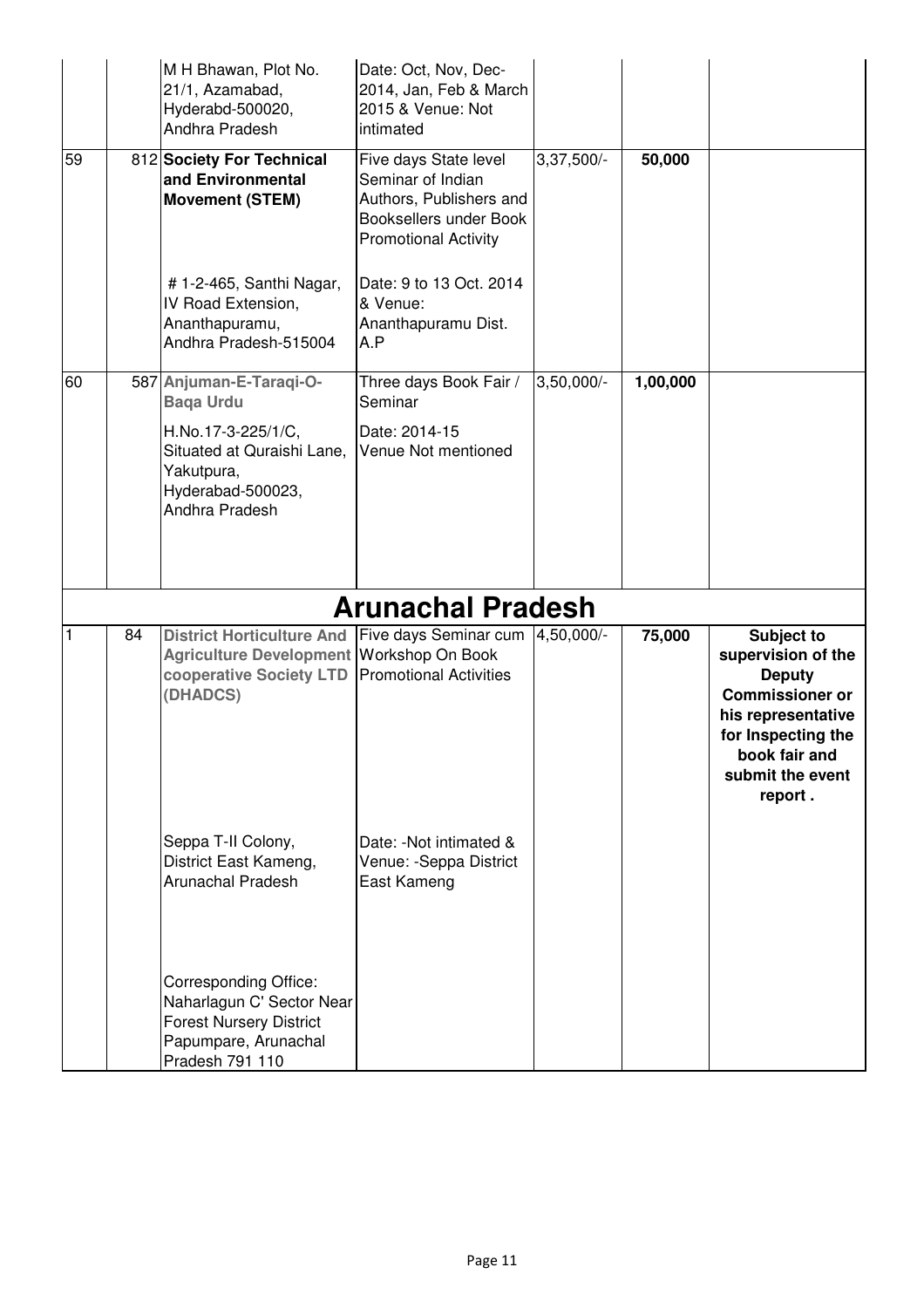|              |    | M H Bhawan, Plot No.<br>21/1, Azamabad,<br>Hyderabd-500020,<br>Andhra Pradesh                                                              | Date: Oct, Nov, Dec-<br>2014, Jan, Feb & March<br>2015 & Venue: Not<br>intimated                                               |              |          |                                                                                                                                                                         |
|--------------|----|--------------------------------------------------------------------------------------------------------------------------------------------|--------------------------------------------------------------------------------------------------------------------------------|--------------|----------|-------------------------------------------------------------------------------------------------------------------------------------------------------------------------|
| 59           |    | 812 Society For Technical<br>and Environmental<br><b>Movement (STEM)</b>                                                                   | Five days State level<br>Seminar of Indian<br>Authors, Publishers and<br>Booksellers under Book<br><b>Promotional Activity</b> | 3,37,500/-   | 50,000   |                                                                                                                                                                         |
|              |    | # 1-2-465, Santhi Nagar,<br>IV Road Extension,<br>Ananthapuramu,<br>Andhra Pradesh-515004                                                  | Date: 9 to 13 Oct. 2014<br>& Venue:<br>Ananthapuramu Dist.<br>A.P                                                              |              |          |                                                                                                                                                                         |
| 60           |    | 587 Anjuman-E-Taraqi-O-<br><b>Baga Urdu</b>                                                                                                | Three days Book Fair /<br>Seminar                                                                                              | $3,50,000/-$ | 1,00,000 |                                                                                                                                                                         |
|              |    | H.No.17-3-225/1/C,<br>Situated at Quraishi Lane,<br>Yakutpura,<br>Hyderabad-500023,<br>Andhra Pradesh                                      | Date: 2014-15<br>Venue Not mentioned                                                                                           |              |          |                                                                                                                                                                         |
|              |    |                                                                                                                                            |                                                                                                                                |              |          |                                                                                                                                                                         |
|              |    |                                                                                                                                            | <b>Arunachal Pradesh</b>                                                                                                       |              |          |                                                                                                                                                                         |
| $\mathbf{1}$ | 84 | <b>District Horticulture And</b><br>Agriculture Development Workshop On Book<br>cooperative Society LTD Promotional Activities<br>(DHADCS) | Five days Seminar cum                                                                                                          | 4,50,000/-   | 75,000   | Subject to<br>supervision of the<br><b>Deputy</b><br><b>Commissioner or</b><br>his representative<br>for Inspecting the<br>book fair and<br>submit the event<br>report. |
|              |    | Seppa T-II Colony,<br>District East Kameng,<br><b>Arunachal Pradesh</b>                                                                    | Date: - Not intimated &<br>Venue: - Seppa District<br>East Kameng                                                              |              |          |                                                                                                                                                                         |
|              |    | <b>Corresponding Office:</b><br>Naharlagun C' Sector Near<br><b>Forest Nursery District</b><br>Papumpare, Arunachal<br>Pradesh 791 110     |                                                                                                                                |              |          |                                                                                                                                                                         |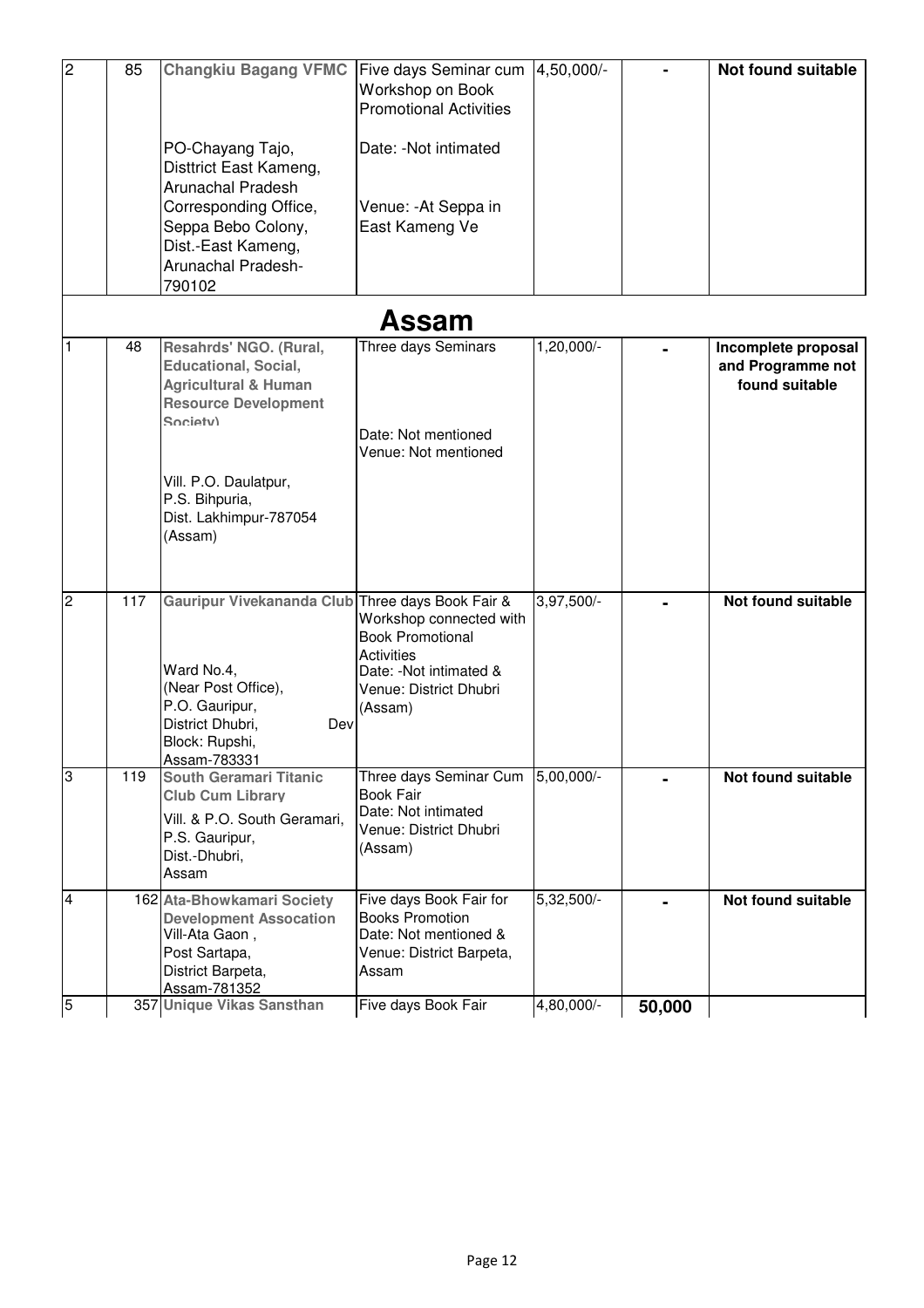| $\overline{2}$ | 85  | <b>Changkiu Bagang VFMC</b><br>PO-Chayang Tajo,<br>Disttrict East Kameng,<br><b>Arunachal Pradesh</b><br>Corresponding Office,<br>Seppa Bebo Colony,<br>Dist.-East Kameng,<br>Arunachal Pradesh-<br>790102          | Five days Seminar cum<br>Workshop on Book<br><b>Promotional Activities</b><br>Date: - Not intimated<br>Venue: - At Seppa in<br>East Kameng Ve | 4,50,000/- |        | <b>Not found suitable</b>                                  |
|----------------|-----|---------------------------------------------------------------------------------------------------------------------------------------------------------------------------------------------------------------------|-----------------------------------------------------------------------------------------------------------------------------------------------|------------|--------|------------------------------------------------------------|
|                |     |                                                                                                                                                                                                                     | Assam                                                                                                                                         |            |        |                                                            |
| $\mathbf{1}$   | 48  | Resahrds' NGO. (Rural,<br><b>Educational, Social,</b><br><b>Agricultural &amp; Human</b><br><b>Resource Development</b><br>Society)<br>Vill. P.O. Daulatpur,<br>P.S. Bihpuria,<br>Dist. Lakhimpur-787054<br>(Assam) | Three days Seminars<br>Date: Not mentioned<br>Venue: Not mentioned                                                                            | 1,20,000/- |        | Incomplete proposal<br>and Programme not<br>found suitable |
| $\overline{2}$ | 117 | Gauripur Vivekananda Club Three days Book Fair &<br>Ward No.4,<br>(Near Post Office),<br>P.O. Gauripur,<br>District Dhubri,<br>Dev<br>Block: Rupshi,<br>Assam-783331                                                | Workshop connected with<br><b>Book Promotional</b><br><b>Activities</b><br>Date: - Not intimated &<br>Venue: District Dhubri<br>(Assam)       | 3,97,500/- |        | <b>Not found suitable</b>                                  |
| 3              | 119 | <b>South Geramari Titanic</b><br><b>Club Cum Library</b><br>Vill. & P.O. South Geramari,<br>P.S. Gauripur,<br>Dist.-Dhubri,<br>Assam                                                                                | Three days Seminar Cum<br><b>Book Fair</b><br>Date: Not intimated<br>Venue: District Dhubri<br>(Assam)                                        | 5,00,000   |        | <b>Not found suitable</b>                                  |
| $\overline{4}$ |     | 162 Ata-Bhowkamari Society<br><b>Development Assocation</b><br>Vill-Ata Gaon,<br>Post Sartapa,<br>District Barpeta,<br>Assam-781352                                                                                 | Five days Book Fair for<br><b>Books Promotion</b><br>Date: Not mentioned &<br>Venue: District Barpeta,<br>Assam                               | 5,32,500/- |        | Not found suitable                                         |
| 5              |     | 357 Unique Vikas Sansthan                                                                                                                                                                                           | Five days Book Fair                                                                                                                           | 4,80,000/- | 50,000 |                                                            |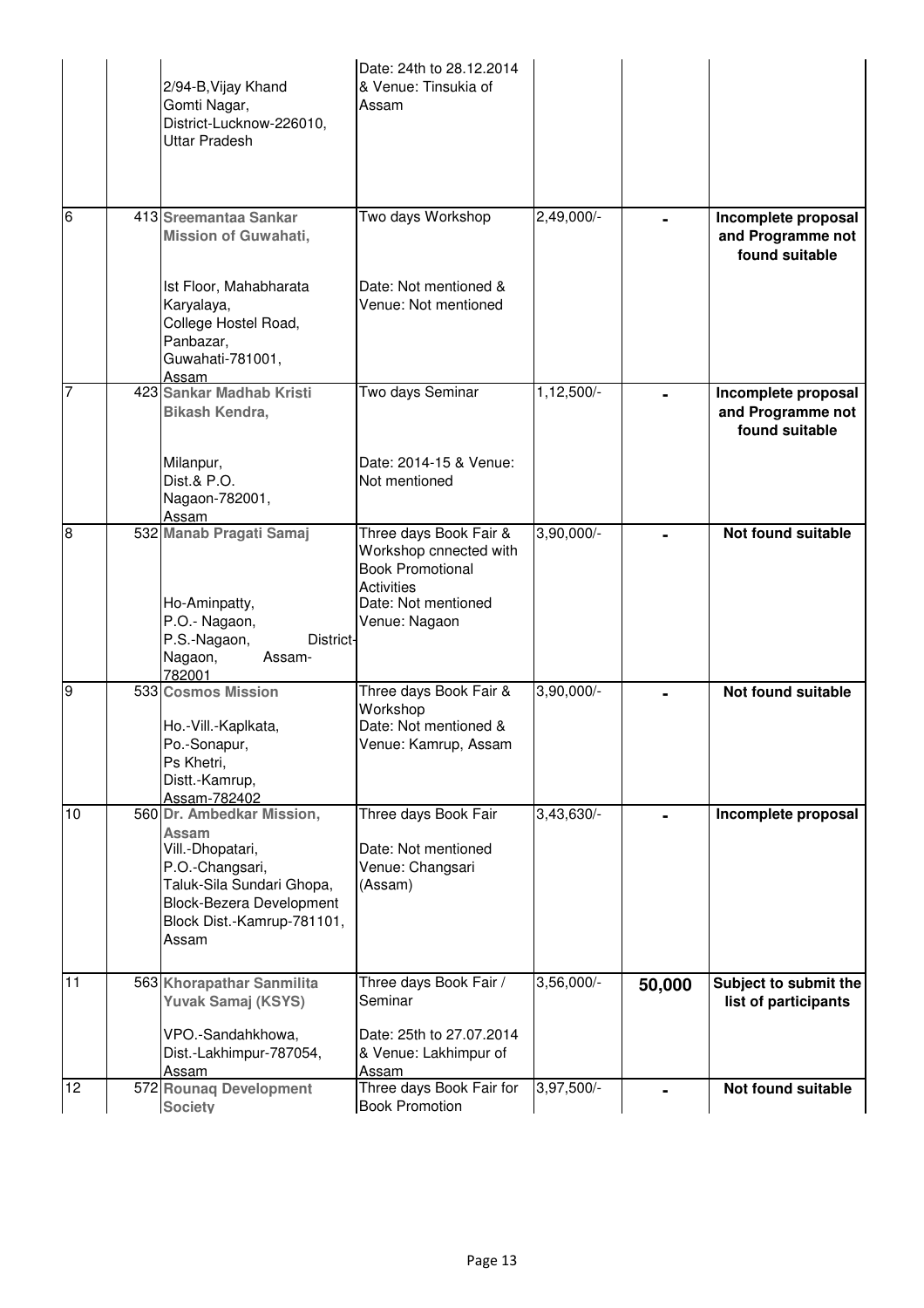|                 | 2/94-B, Vijay Khand<br>Gomti Nagar,<br>District-Lucknow-226010,<br><b>Uttar Pradesh</b>                                                                                                 | Date: 24th to 28.12.2014<br>& Venue: Tinsukia of<br>Assam                                                                                |              |        |                                                            |
|-----------------|-----------------------------------------------------------------------------------------------------------------------------------------------------------------------------------------|------------------------------------------------------------------------------------------------------------------------------------------|--------------|--------|------------------------------------------------------------|
| $6\phantom{.}6$ | 413 Sreemantaa Sankar<br><b>Mission of Guwahati,</b>                                                                                                                                    | Two days Workshop                                                                                                                        | 2,49,000/-   |        | Incomplete proposal<br>and Programme not<br>found suitable |
|                 | Ist Floor, Mahabharata<br>Karyalaya,<br>College Hostel Road,<br>Panbazar,<br>Guwahati-781001,<br>Assam                                                                                  | Date: Not mentioned &<br>Venue: Not mentioned                                                                                            |              |        |                                                            |
| 7               | 423 Sankar Madhab Kristi<br>Bikash Kendra,<br>Milanpur,                                                                                                                                 | Two days Seminar<br>Date: 2014-15 & Venue:                                                                                               | $1,12,500/-$ |        | Incomplete proposal<br>and Programme not<br>found suitable |
|                 | Dist.& P.O.<br>Nagaon-782001,<br>Assam                                                                                                                                                  | Not mentioned                                                                                                                            |              |        |                                                            |
| ø               | 532 Manab Pragati Samaj<br>Ho-Aminpatty,<br>P.O.- Nagaon,<br>P.S.-Nagaon,<br><b>District-</b><br>Nagaon,<br>Assam-<br>782001                                                            | Three days Book Fair &<br>Workshop cnnected with<br><b>Book Promotional</b><br><b>Activities</b><br>Date: Not mentioned<br>Venue: Nagaon | 3,90,000/-   |        | Not found suitable                                         |
| 9               | 533 Cosmos Mission<br>Ho.-Vill.-Kaplkata,<br>Po.-Sonapur,<br>Ps Khetri,<br>Distt.-Kamrup,<br>Assam-782402                                                                               | Three days Book Fair &<br>Workshop<br>Date: Not mentioned &<br>Venue: Kamrup, Assam                                                      | $3,90,000/-$ |        | Not found suitable                                         |
| 10              | 560 Dr. Ambedkar Mission,<br><b>Assam</b><br>Vill.-Dhopatari,<br>P.O.-Changsari,<br>Taluk-Sila Sundari Ghopa,<br><b>Block-Bezera Development</b><br>Block Dist.-Kamrup-781101,<br>Assam | Three days Book Fair<br>Date: Not mentioned<br>Venue: Changsari<br>(Assam)                                                               | $3,43,630/-$ |        | Incomplete proposal                                        |
| 11              | 563 Khorapathar Sanmilita<br>Yuvak Samaj (KSYS)<br>VPO.-Sandahkhowa,<br>Dist.-Lakhimpur-787054,                                                                                         | Three days Book Fair /<br>Seminar<br>Date: 25th to 27.07.2014<br>& Venue: Lakhimpur of                                                   | $3,56,000/-$ | 50,000 | Subject to submit the<br>list of participants              |
| 12              | Assam<br>572 Rounaq Development                                                                                                                                                         | Assam<br>Three days Book Fair for                                                                                                        | 3,97,500/-   |        | Not found suitable                                         |
|                 | <b>Society</b>                                                                                                                                                                          | <b>Book Promotion</b>                                                                                                                    |              |        |                                                            |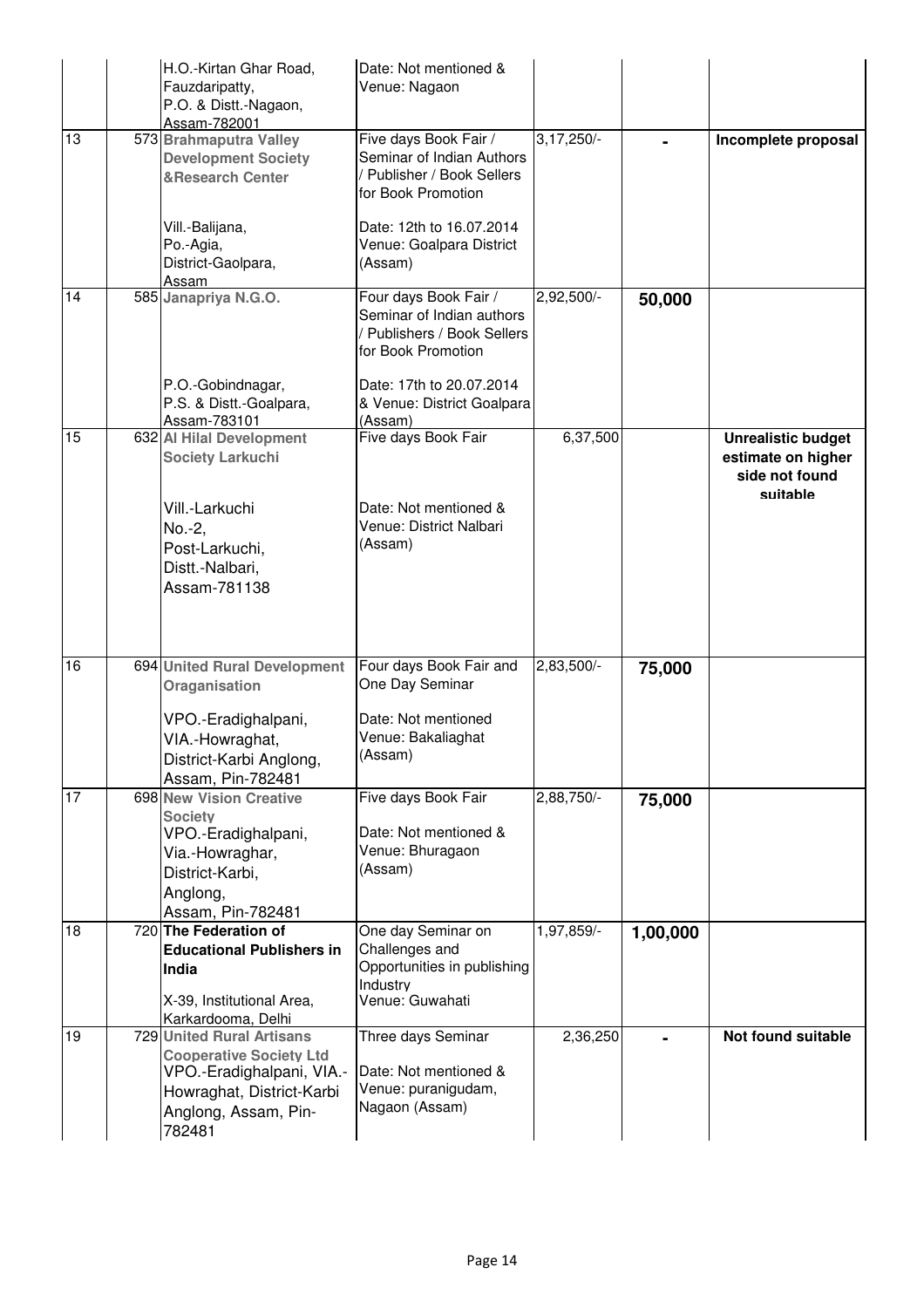|    | H.O.-Kirtan Ghar Road,<br>Fauzdaripatty,<br>P.O. & Distt.-Nagaon,<br>Assam-782001                                                                       | Date: Not mentioned &<br>Venue: Nagaon                                                                  |              |          |                                                                               |
|----|---------------------------------------------------------------------------------------------------------------------------------------------------------|---------------------------------------------------------------------------------------------------------|--------------|----------|-------------------------------------------------------------------------------|
| 13 | 573 Brahmaputra Valley<br><b>Development Society</b><br><b>&amp;Research Center</b>                                                                     | Five days Book Fair /<br>Seminar of Indian Authors<br>Publisher / Book Sellers<br>for Book Promotion    | $3,17,250/-$ |          | Incomplete proposal                                                           |
|    | Vill.-Balijana,<br>Po.-Agia,<br>District-Gaolpara,<br><u>Assam</u>                                                                                      | Date: 12th to 16.07.2014<br>Venue: Goalpara District<br>(Assam)                                         |              |          |                                                                               |
| 14 | 585 Janapriya N.G.O.                                                                                                                                    | Four days Book Fair /<br>Seminar of Indian authors<br>/ Publishers / Book Sellers<br>for Book Promotion | 2,92,500/-   | 50,000   |                                                                               |
|    | P.O.-Gobindnagar,<br>P.S. & Distt.-Goalpara,<br>Assam-783101                                                                                            | Date: 17th to 20.07.2014<br>& Venue: District Goalpara<br>(Assam)                                       |              |          |                                                                               |
| 15 | 632 Al Hilal Development<br><b>Society Larkuchi</b>                                                                                                     | Five days Book Fair                                                                                     | 6,37,500     |          | <b>Unrealistic budget</b><br>estimate on higher<br>side not found<br>suitable |
|    | Vill.-Larkuchi<br>No.-2,<br>Post-Larkuchi,<br>Distt.-Nalbari,<br>Assam-781138                                                                           | Date: Not mentioned &<br>Venue: District Nalbari<br>(Assam)                                             |              |          |                                                                               |
| 16 | 694 United Rural Development<br>Oraganisation<br>VPO.-Eradighalpani,<br>VIA.-Howraghat,<br>District-Karbi Anglong,<br>Assam, Pin-782481                 | Four days Book Fair and<br>One Day Seminar<br>Date: Not mentioned<br>Venue: Bakaliaghat<br>(Assam)      | 2,83,500/-   | 75,000   |                                                                               |
| 17 | 698 New Vision Creative<br><b>Society</b><br>VPO.-Eradighalpani,<br>Via.-Howraghar,<br>District-Karbi,<br>Anglong,<br>Assam, Pin-782481                 | Five days Book Fair<br>Date: Not mentioned &<br>Venue: Bhuragaon<br>(Assam)                             | 2,88,750/-   | 75,000   |                                                                               |
| 18 | 720 The Federation of<br><b>Educational Publishers in</b><br>India<br>X-39, Institutional Area,<br>Karkardooma, Delhi                                   | One day Seminar on<br>Challenges and<br>Opportunities in publishing<br>Industry<br>Venue: Guwahati      | 1,97,859/-   | 1,00,000 |                                                                               |
| 19 | 729 United Rural Artisans<br><b>Cooperative Society Ltd</b><br>VPO.-Eradighalpani, VIA.-<br>Howraghat, District-Karbi<br>Anglong, Assam, Pin-<br>782481 | Three days Seminar<br>Date: Not mentioned &<br>Venue: puranigudam,<br>Nagaon (Assam)                    | 2,36,250     |          | Not found suitable                                                            |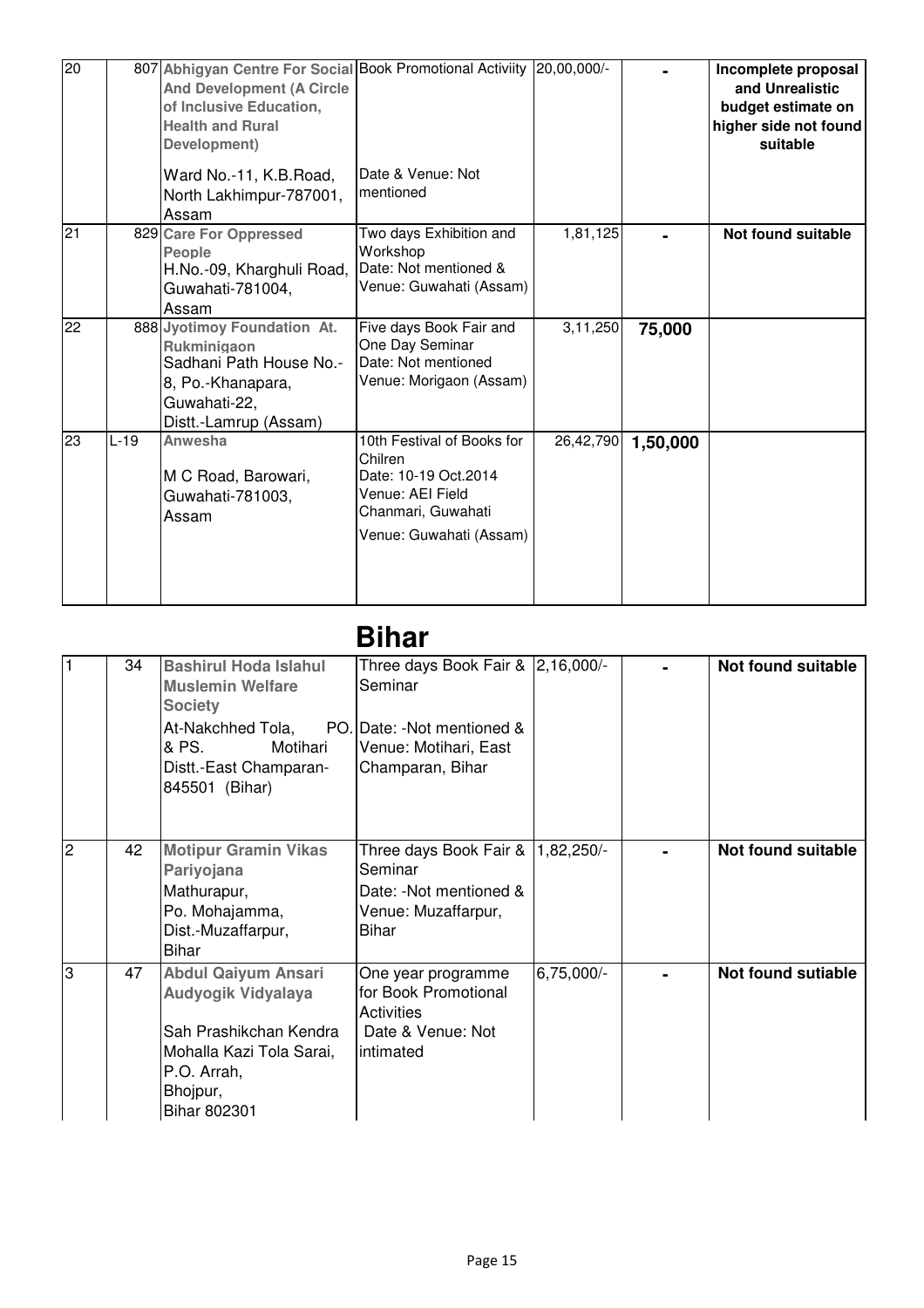| $\overline{20}$ |        | 807 Abhigyan Centre For Social Book Promotional Activiity 20,00,000/-<br><b>And Development (A Circle</b><br>of Inclusive Education,<br><b>Health and Rural</b><br>Development) |                                                                                                                                    |           |          | Incomplete proposal<br>and Unrealistic<br>budget estimate on<br>higher side not found<br>suitable |
|-----------------|--------|---------------------------------------------------------------------------------------------------------------------------------------------------------------------------------|------------------------------------------------------------------------------------------------------------------------------------|-----------|----------|---------------------------------------------------------------------------------------------------|
|                 |        | Ward No.-11, K.B. Road,<br>North Lakhimpur-787001,<br>Assam                                                                                                                     | Date & Venue: Not<br>mentioned                                                                                                     |           |          |                                                                                                   |
| 21              |        | 829 Care For Oppressed<br>People<br>H.No.-09, Kharghuli Road,<br>Guwahati-781004,<br>Assam                                                                                      | Two days Exhibition and<br>Workshop<br>Date: Not mentioned &<br>Venue: Guwahati (Assam)                                            | 1,81,125  |          | Not found suitable                                                                                |
| 22              |        | 888 Jyotimoy Foundation At.<br>Rukminigaon<br>Sadhani Path House No.-<br>8, Po.-Khanapara,<br>Guwahati-22,<br>Distt.-Lamrup (Assam)                                             | Five days Book Fair and<br>One Day Seminar<br>Date: Not mentioned<br>Venue: Morigaon (Assam)                                       | 3,11,250  | 75,000   |                                                                                                   |
| 23              | $L-19$ | Anwesha<br>M C Road, Barowari,<br>Guwahati-781003,<br>Assam                                                                                                                     | 10th Festival of Books for<br>Chilren<br>Date: 10-19 Oct.2014<br>Venue: AEI Field<br>Chanmari, Guwahati<br>Venue: Guwahati (Assam) | 26,42,790 | 1,50,000 |                                                                                                   |

## **Bihar**

| $\vert$ 1      | 34 | <b>Bashirul Hoda Islahul</b><br><b>Muslemin Welfare</b><br><b>Society</b><br>At-Nakchhed Tola,<br>& PS.<br>Motihari<br>Distt.-East Champaran-<br>845501 (Bihar) | Three days Book Fair & 2,16,000/-<br>Seminar<br>PO. Date: -Not mentioned &<br>Venue: Motihari, East<br>Champaran, Bihar |              | Not found suitable        |
|----------------|----|-----------------------------------------------------------------------------------------------------------------------------------------------------------------|-------------------------------------------------------------------------------------------------------------------------|--------------|---------------------------|
|                |    |                                                                                                                                                                 |                                                                                                                         |              |                           |
| $\overline{c}$ | 42 | <b>Motipur Gramin Vikas</b><br>Pariyojana<br>Mathurapur,<br>Po. Mohajamma,<br>Dist.-Muzaffarpur,<br>Bihar                                                       | Three days Book Fair &<br>Seminar<br>Date: - Not mentioned &<br>Venue: Muzaffarpur,<br>Bihar                            | $1,82,250/-$ | Not found suitable        |
| l3             | 47 | <b>Abdul Qaiyum Ansari</b><br>Audyogik Vidyalaya<br>Sah Prashikchan Kendra<br>Mohalla Kazi Tola Sarai,<br>P.O. Arrah,<br>Bhojpur,<br>Bihar 802301               | One year programme<br>for Book Promotional<br><b>Activities</b><br>Date & Venue: Not<br>intimated                       | 6,75,000/-   | <b>Not found sutiable</b> |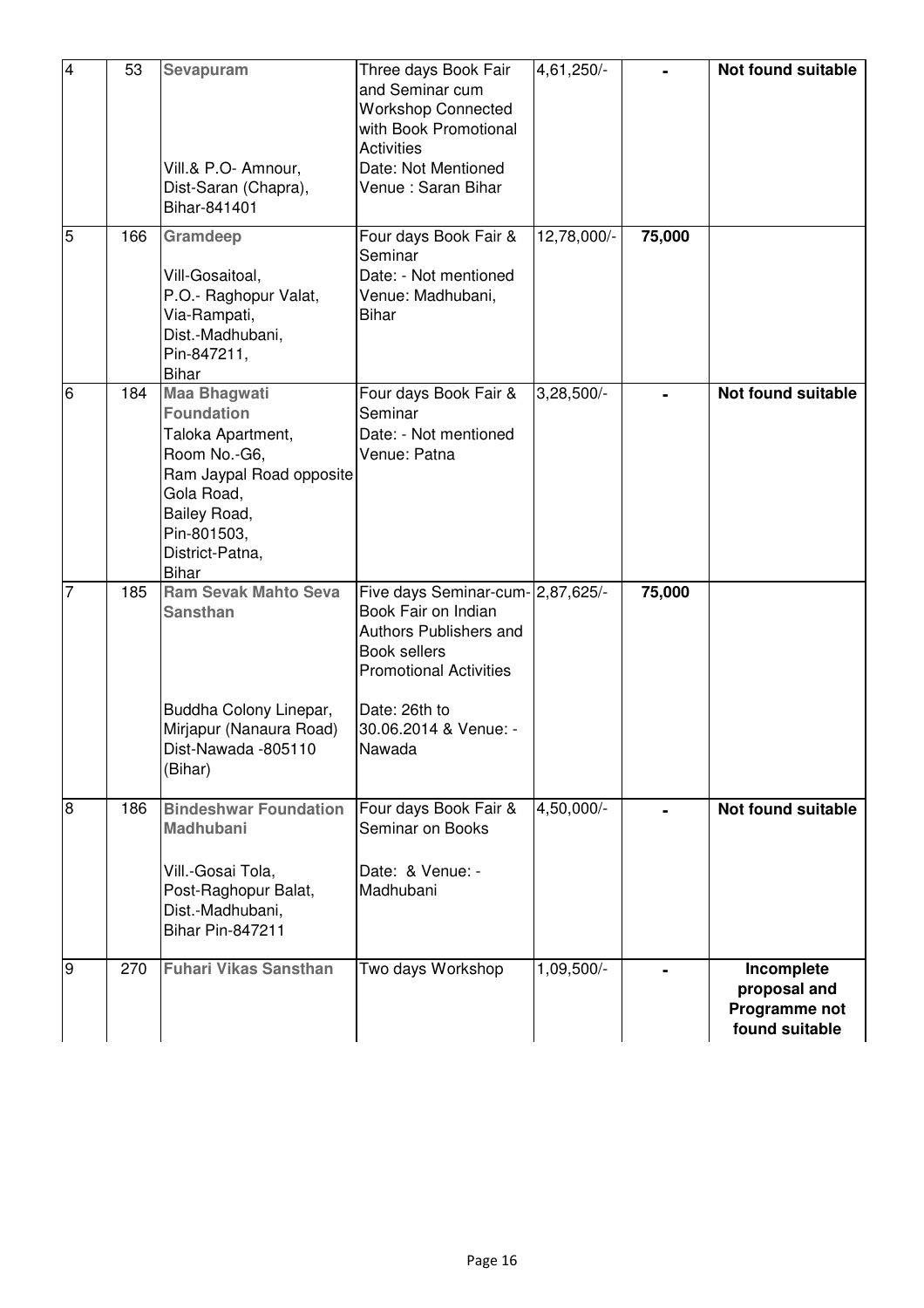| $\overline{4}$ | 53  | Sevapuram<br>Vill.& P.O- Amnour,<br>Dist-Saran (Chapra),<br>Bihar-841401                                                                                                                  | Three days Book Fair<br>and Seminar cum<br><b>Workshop Connected</b><br>with Book Promotional<br><b>Activities</b><br>Date: Not Mentioned<br>Venue : Saran Bihar                        | 4,61,250/-   |        | Not found suitable                                            |
|----------------|-----|-------------------------------------------------------------------------------------------------------------------------------------------------------------------------------------------|-----------------------------------------------------------------------------------------------------------------------------------------------------------------------------------------|--------------|--------|---------------------------------------------------------------|
| $\overline{5}$ | 166 | Gramdeep<br>Vill-Gosaitoal,<br>P.O.- Raghopur Valat,<br>Via-Rampati,<br>Dist.-Madhubani,<br>Pin-847211,<br><b>Bihar</b>                                                                   | Four days Book Fair &<br>Seminar<br>Date: - Not mentioned<br>Venue: Madhubani,<br><b>Bihar</b>                                                                                          | 12,78,000/-  | 75,000 |                                                               |
| 6              | 184 | <b>Maa Bhagwati</b><br><b>Foundation</b><br>Taloka Apartment,<br>Room No.-G6,<br>Ram Jaypal Road opposite<br>Gola Road,<br>Bailey Road,<br>Pin-801503,<br>District-Patna,<br><b>Bihar</b> | Four days Book Fair &<br>Seminar<br>Date: - Not mentioned<br>Venue: Patna                                                                                                               | $3,28,500/-$ |        | <b>Not found suitable</b>                                     |
| $\overline{7}$ | 185 | <b>Ram Sevak Mahto Seva</b><br><b>Sansthan</b><br>Buddha Colony Linepar,<br>Mirjapur (Nanaura Road)<br>Dist-Nawada -805110<br>(Bihar)                                                     | Five days Seminar-cum- 2,87,625/-<br>Book Fair on Indian<br>Authors Publishers and<br>Book sellers<br><b>Promotional Activities</b><br>Date: 26th to<br>30.06.2014 & Venue: -<br>Nawada |              | 75,000 |                                                               |
| $\overline{8}$ | 186 | <b>Bindeshwar Foundation</b><br><b>Madhubani</b><br>Vill.-Gosai Tola,<br>Post-Raghopur Balat,<br>Dist.-Madhubani,<br><b>Bihar Pin-847211</b>                                              | Four days Book Fair &<br>Seminar on Books<br>Date: & Venue: -<br>Madhubani                                                                                                              | 4,50,000/-   |        | Not found suitable                                            |
| g              | 270 | <b>Fuhari Vikas Sansthan</b>                                                                                                                                                              | Two days Workshop                                                                                                                                                                       | 1,09,500/-   |        | Incomplete<br>proposal and<br>Programme not<br>found suitable |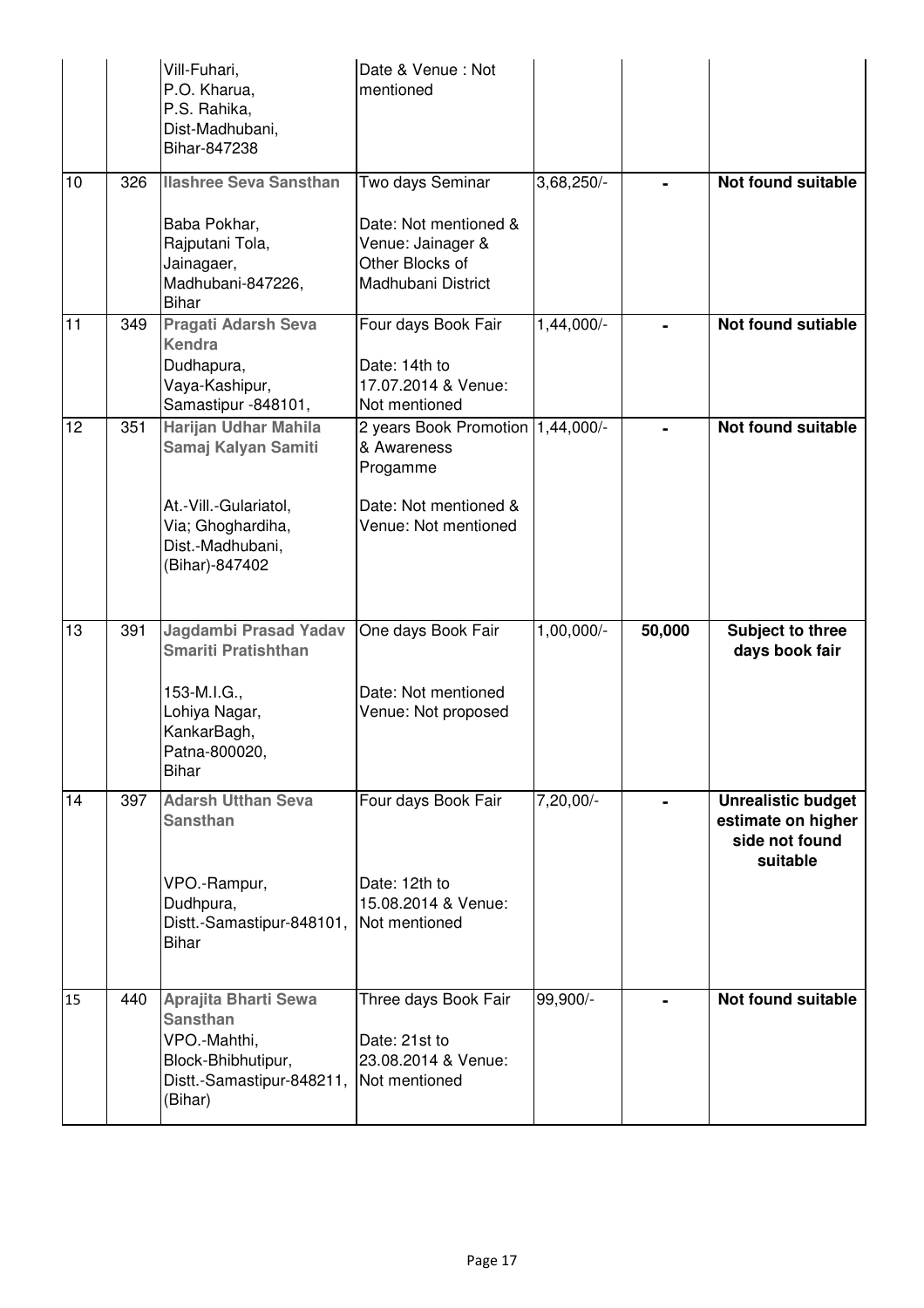|    |     | Vill-Fuhari,<br>P.O. Kharua,<br>P.S. Rahika,<br>Dist-Madhubani,<br>Bihar-847238                                                     | Date & Venue: Not<br>mentioned                                                                                |                        |        |                                                                               |
|----|-----|-------------------------------------------------------------------------------------------------------------------------------------|---------------------------------------------------------------------------------------------------------------|------------------------|--------|-------------------------------------------------------------------------------|
| 10 | 326 | <b>Ilashree Seva Sansthan</b><br>Baba Pokhar,<br>Rajputani Tola,<br>Jainagaer,<br>Madhubani-847226,                                 | Two days Seminar<br>Date: Not mentioned &<br>Venue: Jainager &<br>Other Blocks of<br>Madhubani District       | 3,68,250/-             |        | <b>Not found suitable</b>                                                     |
| 11 | 349 | <b>Bihar</b><br><b>Pragati Adarsh Seva</b>                                                                                          | Four days Book Fair                                                                                           | 1,44,000/-             |        | <b>Not found sutiable</b>                                                     |
|    |     | Kendra<br>Dudhapura,<br>Vaya-Kashipur,<br>Samastipur -848101,                                                                       | Date: 14th to<br>17.07.2014 & Venue:<br>Not mentioned                                                         |                        |        |                                                                               |
| 12 | 351 | Harijan Udhar Mahila<br>Samaj Kalyan Samiti<br>At -Vill.-Gulariatol,<br>Via; Ghoghardiha,<br>Dist.-Madhubani,                       | 2 years Book Promotion 1,44,000/-<br>& Awareness<br>Progamme<br>Date: Not mentioned &<br>Venue: Not mentioned |                        |        | <b>Not found suitable</b>                                                     |
|    |     | (Bihar)-847402                                                                                                                      |                                                                                                               |                        |        |                                                                               |
| 13 | 391 | <b>Jagdambi Prasad Yadav</b><br><b>Smariti Pratishthan</b><br>153-M.I.G.,<br>Lohiya Nagar,<br>KankarBagh,<br>Patna-800020,<br>Bihar | One days Book Fair<br>Date: Not mentioned<br>Venue: Not proposed                                              | 1,00,000/-             | 50,000 | Subject to three<br>days book fair                                            |
| 14 | 397 | <b>Adarsh Utthan Seva</b><br><b>Sansthan</b><br>VPO.-Rampur,<br>Dudhpura,<br>Distt.-Samastipur-848101,<br><b>Bihar</b>              | Four days Book Fair<br>Date: 12th to<br>15.08.2014 & Venue:<br>Not mentioned                                  | $7,20,00$ <sup>-</sup> |        | <b>Unrealistic budget</b><br>estimate on higher<br>side not found<br>suitable |
| 15 | 440 | <b>Aprajita Bharti Sewa</b><br><b>Sansthan</b><br>VPO.-Mahthi,<br>Block-Bhibhutipur,<br>Distt.-Samastipur-848211,<br>(Bihar)        | Three days Book Fair<br>Date: 21st to<br>23.08.2014 & Venue:<br>Not mentioned                                 | 99,900/-               |        | Not found suitable                                                            |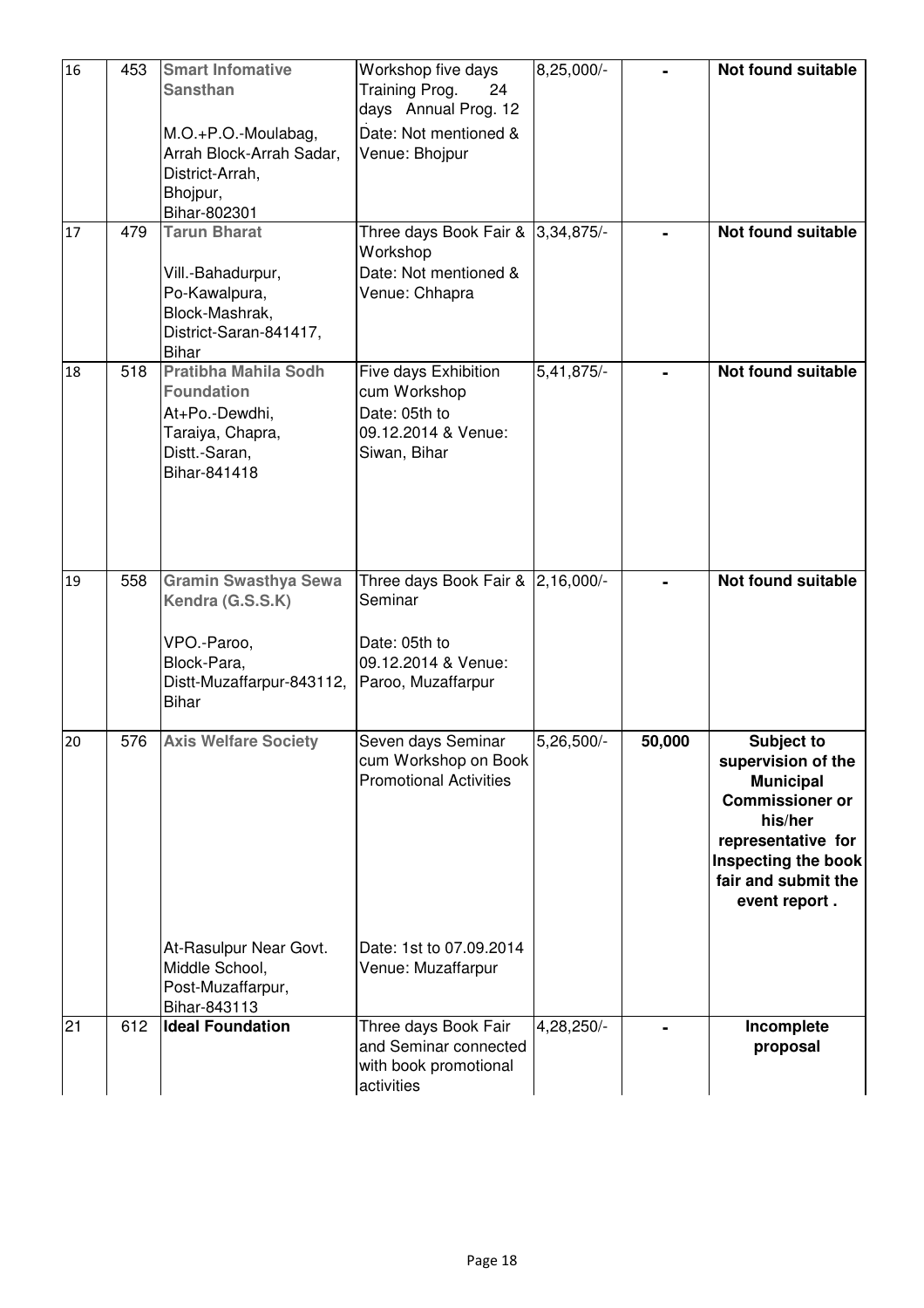| 16 | 453 | <b>Smart Infomative</b><br><b>Sansthan</b>                                                                                 | Workshop five days<br>Training Prog.<br>24<br>days Annual Prog. 12                                         | 8,25,000/-   |        | Not found suitable                                                                                                                                                             |
|----|-----|----------------------------------------------------------------------------------------------------------------------------|------------------------------------------------------------------------------------------------------------|--------------|--------|--------------------------------------------------------------------------------------------------------------------------------------------------------------------------------|
|    |     | M.O.+P.O.-Moulabag,<br>Arrah Block-Arrah Sadar,<br>District-Arrah,<br>Bhojpur,<br>Bihar-802301                             | Date: Not mentioned &<br>Venue: Bhojpur                                                                    |              |        |                                                                                                                                                                                |
| 17 | 479 | <b>Tarun Bharat</b><br>Vill.-Bahadurpur,<br>Po-Kawalpura,<br>Block-Mashrak,<br>District-Saran-841417,<br>Bihar             | Three days Book Fair & 3,34,875/-<br>Workshop<br>Date: Not mentioned &<br>Venue: Chhapra                   |              |        | Not found suitable                                                                                                                                                             |
| 18 | 518 | <b>Pratibha Mahila Sodh</b><br><b>Foundation</b><br>At+Po.-Dewdhi,<br>Taraiya, Chapra,<br>Distt.-Saran,<br>Bihar-841418    | Five days Exhibition<br>cum Workshop<br>Date: 05th to<br>09.12.2014 & Venue:<br>Siwan, Bihar               | $5,41,875/-$ |        | Not found suitable                                                                                                                                                             |
| 19 | 558 | <b>Gramin Swasthya Sewa</b><br>Kendra (G.S.S.K)<br>VPO.-Paroo,<br>Block-Para,<br>Distt-Muzaffarpur-843112,<br><b>Bihar</b> | Three days Book Fair & 2,16,000/-<br>Seminar<br>Date: 05th to<br>09.12.2014 & Venue:<br>Paroo, Muzaffarpur |              |        | <b>Not found suitable</b>                                                                                                                                                      |
| 20 | 576 | <b>Axis Welfare Society</b>                                                                                                | Seven days Seminar<br>cum Workshop on Book<br><b>Promotional Activities</b>                                | 5,26,500/-   | 50,000 | Subject to<br>supervision of the<br><b>Municipal</b><br><b>Commissioner or</b><br>his/her<br>representative for<br>Inspecting the book<br>fair and submit the<br>event report. |
|    |     | At-Rasulpur Near Govt.<br>Middle School,<br>Post-Muzaffarpur,<br>Bihar-843113                                              | Date: 1st to 07.09.2014<br>Venue: Muzaffarpur                                                              |              |        |                                                                                                                                                                                |
| 21 | 612 | <b>Ideal Foundation</b>                                                                                                    | Three days Book Fair<br>and Seminar connected<br>with book promotional<br>activities                       | 4,28,250/-   |        | Incomplete<br>proposal                                                                                                                                                         |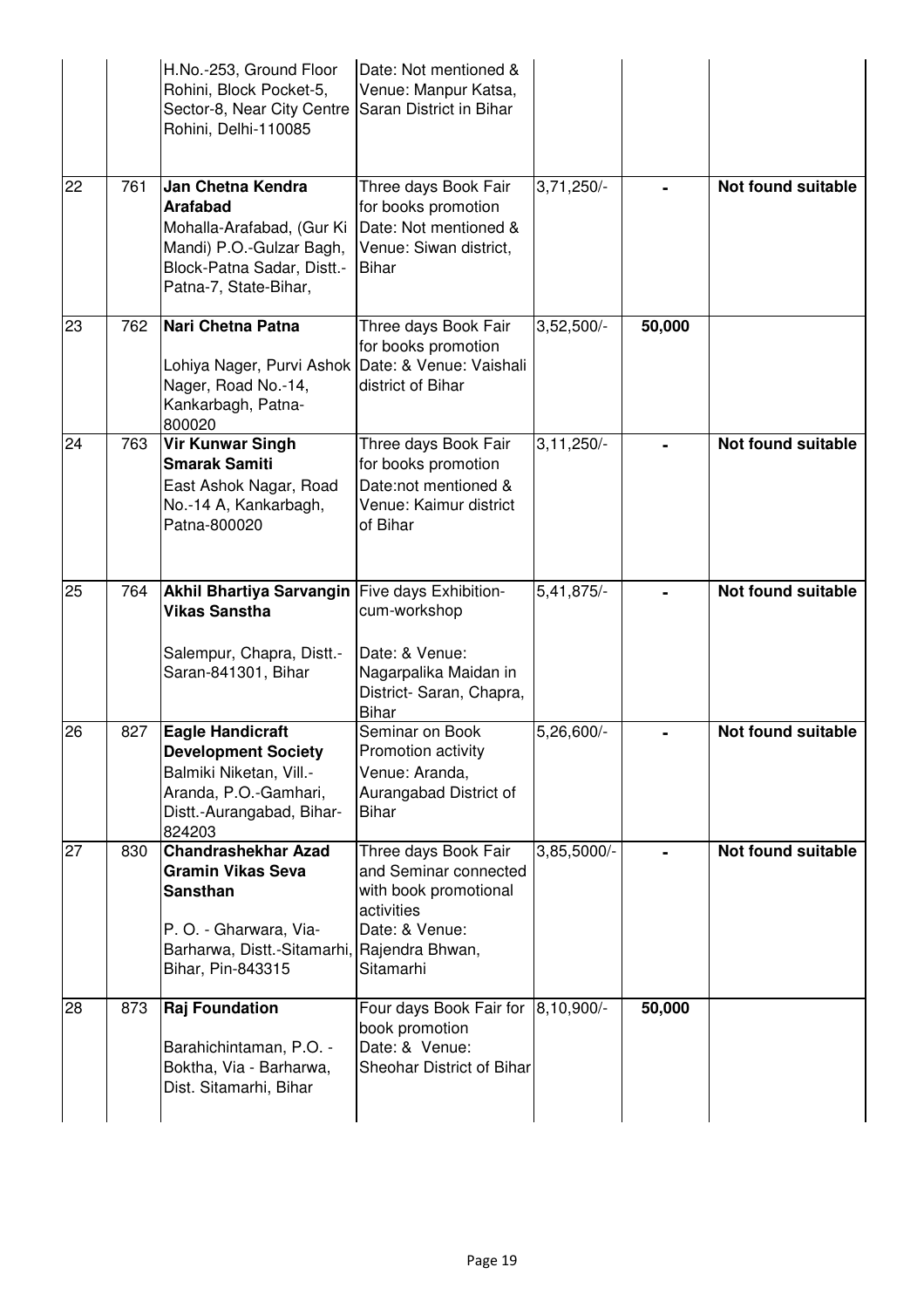|    |     | H.No.-253, Ground Floor<br>Rohini, Block Pocket-5,<br>Sector-8, Near City Centre<br>Rohini, Delhi-110085                                                                | Date: Not mentioned &<br>Venue: Manpur Katsa,<br>Saran District in Bihar                                                     |                |        |                           |
|----|-----|-------------------------------------------------------------------------------------------------------------------------------------------------------------------------|------------------------------------------------------------------------------------------------------------------------------|----------------|--------|---------------------------|
| 22 | 761 | Jan Chetna Kendra<br><b>Arafabad</b><br>Mohalla-Arafabad, (Gur Ki<br>Mandi) P.O.-Gulzar Bagh,<br>Block-Patna Sadar, Distt.-<br>Patna-7, State-Bihar,                    | Three days Book Fair<br>for books promotion<br>Date: Not mentioned &<br>Venue: Siwan district,<br><b>Bihar</b>               | $3,71,250/-$   |        | <b>Not found suitable</b> |
| 23 | 762 | Nari Chetna Patna<br>Lohiya Nager, Purvi Ashok<br>Nager, Road No.-14,<br>Kankarbagh, Patna-<br>800020                                                                   | Three days Book Fair<br>for books promotion<br>Date: & Venue: Vaishali<br>district of Bihar                                  | $3,52,500/-$   | 50,000 |                           |
| 24 | 763 | <b>Vir Kunwar Singh</b><br><b>Smarak Samiti</b><br>East Ashok Nagar, Road<br>No.-14 A, Kankarbagh,<br>Patna-800020                                                      | Three days Book Fair<br>for books promotion<br>Date:not mentioned &<br>Venue: Kaimur district<br>of Bihar                    | $3, 11, 250/-$ |        | Not found suitable        |
| 25 | 764 | Akhil Bhartiya Sarvangin<br><b>Vikas Sanstha</b><br>Salempur, Chapra, Distt.-<br>Saran-841301, Bihar                                                                    | Five days Exhibition-<br>cum-workshop<br>Date: & Venue:<br>Nagarpalika Maidan in<br>District- Saran, Chapra,<br><b>Bihar</b> | 5,41,875/-     |        | <b>Not found suitable</b> |
| 26 | 827 | <b>Eagle Handicraft</b><br><b>Development Society</b><br>Balmiki Niketan, Vill.-<br>Aranda, P.O.-Gamhari,<br>Distt.-Aurangabad, Bihar-<br>824203                        | Seminar on Book<br>Promotion activity<br>Venue: Aranda,<br>Aurangabad District of<br><b>Bihar</b>                            | 5,26,600/-     |        | Not found suitable        |
| 27 | 830 | <b>Chandrashekhar Azad</b><br><b>Gramin Vikas Seva</b><br><b>Sansthan</b><br>P. O. - Gharwara, Via-<br>Barharwa, Distt.-Sitamarhi, Rajendra Bhwan,<br>Bihar, Pin-843315 | Three days Book Fair<br>and Seminar connected<br>with book promotional<br>activities<br>Date: & Venue:<br>Sitamarhi          | 3,85,5000/-    |        | <b>Not found suitable</b> |
| 28 | 873 | <b>Raj Foundation</b><br>Barahichintaman, P.O. -<br>Boktha, Via - Barharwa,<br>Dist. Sitamarhi, Bihar                                                                   | Four days Book Fair for<br>book promotion<br>Date: & Venue:<br>Sheohar District of Bihar                                     | 8,10,900/-     | 50,000 |                           |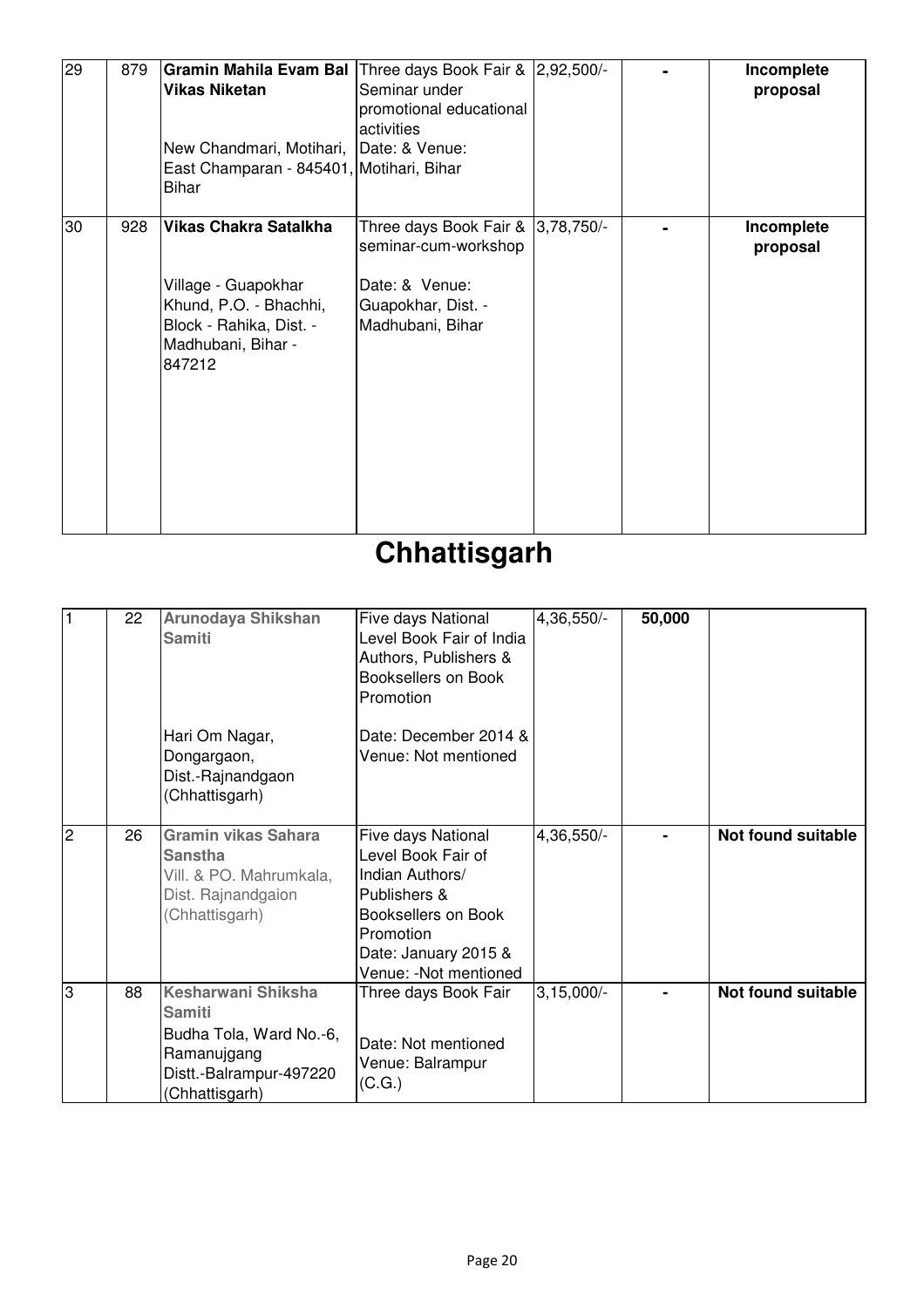| 29 | 879 | Gramin Mahila Evam Bal Three days Book Fair & 2,92,500/-<br><b>Vikas Niketan</b><br>New Chandmari, Motihari, Date: & Venue:<br>East Champaran - 845401, Motihari, Bihar<br><b>Bihar</b> | Seminar under<br>promotional educational<br>activities                                                                 |  | Incomplete<br>proposal |
|----|-----|-----------------------------------------------------------------------------------------------------------------------------------------------------------------------------------------|------------------------------------------------------------------------------------------------------------------------|--|------------------------|
| 30 | 928 | <b>Vikas Chakra Satalkha</b><br>Village - Guapokhar<br>Khund, P.O. - Bhachhi,<br>Block - Rahika, Dist. -<br>Madhubani, Bihar -<br>847212                                                | Three days Book Fair &  3,78,750/-<br>seminar-cum-workshop<br>Date: & Venue:<br>Guapokhar, Dist. -<br>Madhubani, Bihar |  | Incomplete<br>proposal |

## **Chhattisgarh**

| 1  | 22 | Arunodaya Shikshan<br><b>Samiti</b><br>Hari Om Nagar,<br>Dongargaon,<br>Dist.-Rajnandgaon<br>(Chhattisgarh)                | Five days National<br>Level Book Fair of India<br>Authors, Publishers &<br>Booksellers on Book<br>Promotion<br>Date: December 2014 &<br>Venue: Not mentioned     | 4,36,550/-   | 50,000 |                           |
|----|----|----------------------------------------------------------------------------------------------------------------------------|------------------------------------------------------------------------------------------------------------------------------------------------------------------|--------------|--------|---------------------------|
| Cν | 26 | <b>Gramin vikas Sahara</b><br><b>Sanstha</b><br>Vill. & PO. Mahrumkala,<br>Dist. Rajnandgaion<br>(Chhattisgarh)            | Five days National<br>Level Book Fair of<br>Indian Authors/<br>Publishers &<br>Booksellers on Book<br>Promotion<br>Date: January 2015 &<br>Venue: -Not mentioned | 4,36,550/-   |        | <b>Not found suitable</b> |
| 3  | 88 | Kesharwani Shiksha<br><b>Samiti</b><br>Budha Tola, Ward No.-6,<br>Ramanujgang<br>Distt.-Balrampur-497220<br>(Chhattisgarh) | Three days Book Fair<br>Date: Not mentioned<br>Venue: Balrampur<br>(C.G.)                                                                                        | $3,15,000/-$ |        | Not found suitable        |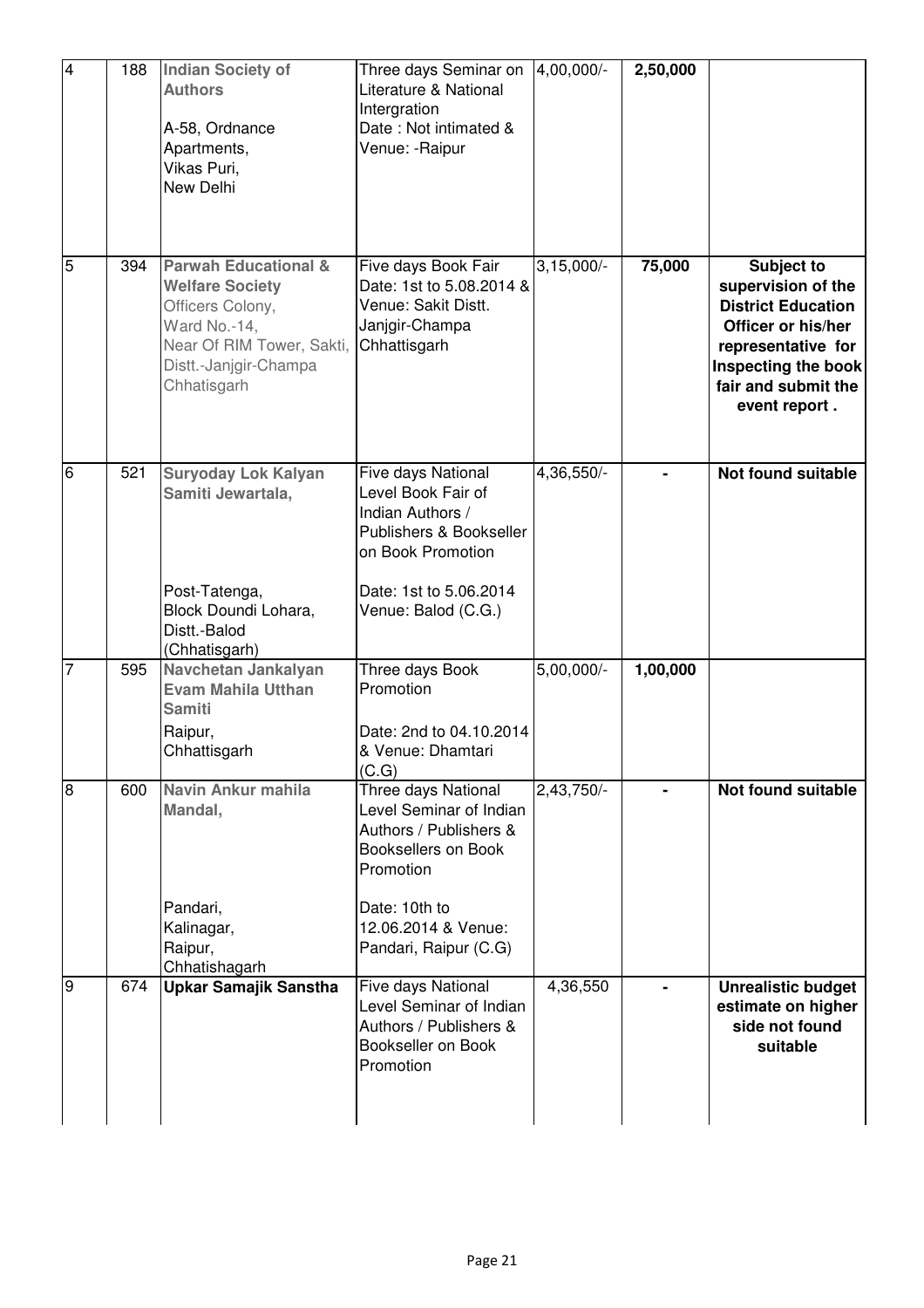| $\overline{4}$ | 188 | <b>Indian Society of</b><br><b>Authors</b><br>A-58, Ordnance<br>Apartments,<br>Vikas Puri,<br>New Delhi                                                            | Three days Seminar on<br>Literature & National<br>Intergration<br>Date: Not intimated &<br>Venue: -Raipur                                                                            | 4,00,000/-   | 2,50,000 |                                                                                                                                                                                 |
|----------------|-----|--------------------------------------------------------------------------------------------------------------------------------------------------------------------|--------------------------------------------------------------------------------------------------------------------------------------------------------------------------------------|--------------|----------|---------------------------------------------------------------------------------------------------------------------------------------------------------------------------------|
| $\overline{5}$ | 394 | <b>Parwah Educational &amp;</b><br><b>Welfare Society</b><br>Officers Colony,<br>Ward No.-14,<br>Near Of RIM Tower, Sakti,<br>Distt.-Janjgir-Champa<br>Chhatisgarh | Five days Book Fair<br>Date: 1st to 5.08.2014 &<br>Venue: Sakit Distt.<br>Janjgir-Champa<br>Chhattisgarh                                                                             | $3,15,000/-$ | 75,000   | <b>Subject to</b><br>supervision of the<br><b>District Education</b><br>Officer or his/her<br>representative for<br>Inspecting the book<br>fair and submit the<br>event report. |
| 6              | 521 | <b>Suryoday Lok Kalyan</b><br>Samiti Jewartala,<br>Post-Tatenga,<br>Block Doundi Lohara,<br>Distt.-Balod<br>(Chhatisgarh)                                          | Five days National<br>Level Book Fair of<br>Indian Authors /<br>Publishers & Bookseller<br>on Book Promotion<br>Date: 1st to 5.06.2014<br>Venue: Balod (C.G.)                        | 4,36,550/-   |          | Not found suitable                                                                                                                                                              |
| 7              | 595 | Navchetan Jankalyan<br><b>Evam Mahila Utthan</b><br><b>Samiti</b><br>Raipur,<br>Chhattisgarh                                                                       | Three days Book<br>Promotion<br>Date: 2nd to 04.10.2014<br>& Venue: Dhamtari<br>(C.G)                                                                                                | $5,00,000/-$ | 1,00,000 |                                                                                                                                                                                 |
| 8              | 600 | Navin Ankur mahila<br>Mandal,<br>Pandari,<br>Kalinagar,<br>Raipur,<br>Chhatishagarh                                                                                | Three days National<br>Level Seminar of Indian<br>Authors / Publishers &<br><b>Booksellers on Book</b><br>Promotion<br>Date: 10th to<br>12.06.2014 & Venue:<br>Pandari, Raipur (C.G) | $2,43,750/-$ |          | Not found suitable                                                                                                                                                              |
| 9              | 674 | <b>Upkar Samajik Sanstha</b>                                                                                                                                       | Five days National<br>Level Seminar of Indian<br>Authors / Publishers &<br>Bookseller on Book<br>Promotion                                                                           | 4,36,550     |          | <b>Unrealistic budget</b><br>estimate on higher<br>side not found<br>suitable                                                                                                   |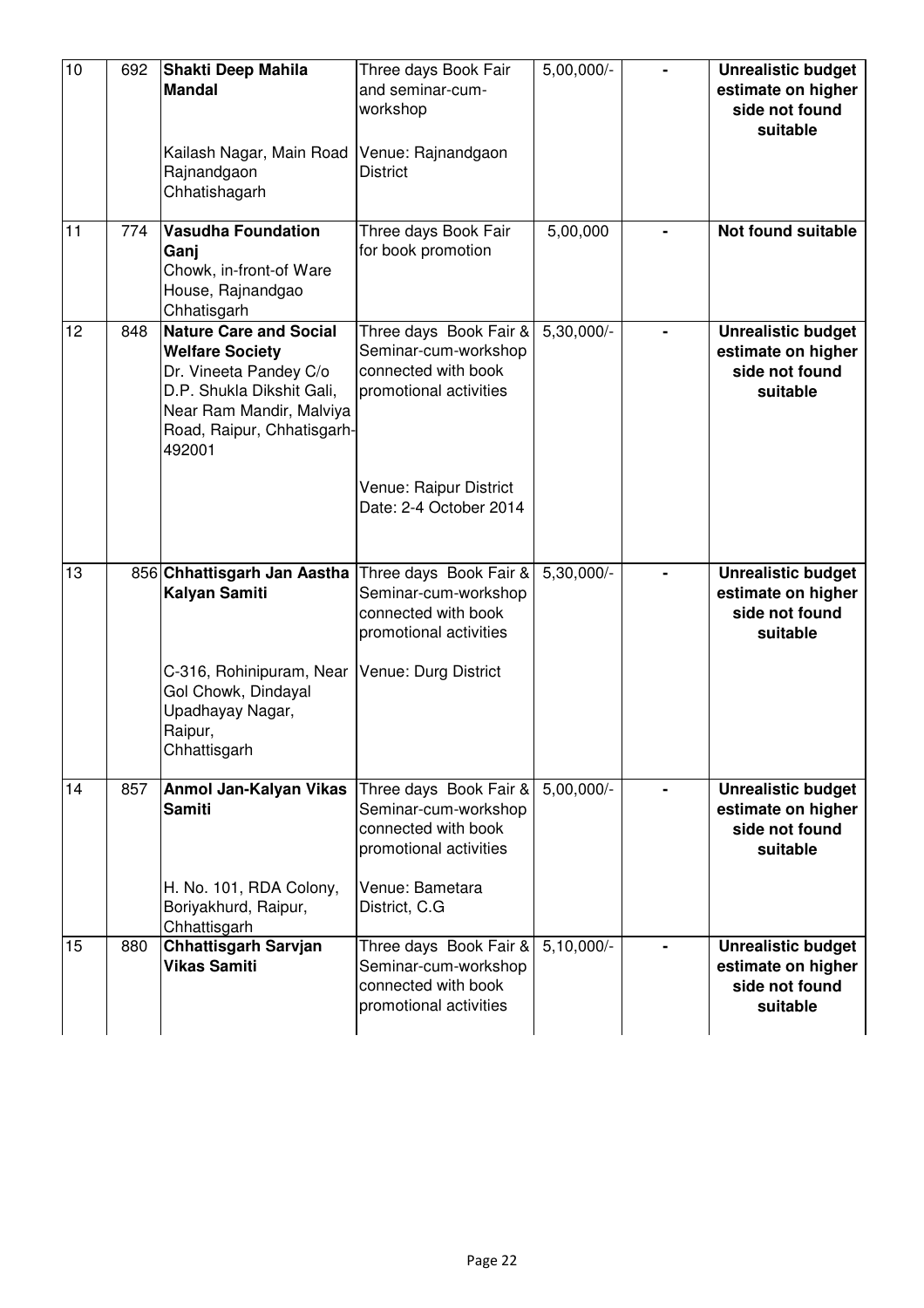| 10 | 692 | Shakti Deep Mahila<br><b>Mandal</b><br>Kailash Nagar, Main Road<br>Rajnandgaon<br>Chhatishagarh                                                                                    | Three days Book Fair<br>and seminar-cum-<br>workshop<br>Venue: Rajnandgaon<br><b>District</b>   | $5,00,000/-$ | <b>Unrealistic budget</b><br>estimate on higher<br>side not found<br>suitable |
|----|-----|------------------------------------------------------------------------------------------------------------------------------------------------------------------------------------|-------------------------------------------------------------------------------------------------|--------------|-------------------------------------------------------------------------------|
| 11 | 774 | <b>Vasudha Foundation</b><br>Ganj<br>Chowk, in-front-of Ware<br>House, Rajnandgao<br>Chhatisgarh                                                                                   | Three days Book Fair<br>for book promotion                                                      | 5,00,000     | Not found suitable                                                            |
| 12 | 848 | <b>Nature Care and Social</b><br><b>Welfare Society</b><br>Dr. Vineeta Pandey C/o<br>D.P. Shukla Dikshit Gali,<br>Near Ram Mandir, Malviya<br>Road, Raipur, Chhatisgarh-<br>492001 | Three days Book Fair &<br>Seminar-cum-workshop<br>connected with book<br>promotional activities | 5,30,000/-   | <b>Unrealistic budget</b><br>estimate on higher<br>side not found<br>suitable |
|    |     |                                                                                                                                                                                    | Venue: Raipur District<br>Date: 2-4 October 2014                                                |              |                                                                               |
| 13 |     | 856 Chhattisgarh Jan Aastha<br>Kalyan Samiti                                                                                                                                       | Three days Book Fair &<br>Seminar-cum-workshop<br>connected with book<br>promotional activities | 5,30,000/-   | <b>Unrealistic budget</b><br>estimate on higher<br>side not found<br>suitable |
|    |     | C-316, Rohinipuram, Near<br>Gol Chowk, Dindayal<br>Upadhayay Nagar,<br>Raipur,<br>Chhattisgarh                                                                                     | Venue: Durg District                                                                            |              |                                                                               |
| 14 | 857 | Anmol Jan-Kalyan Vikas<br><b>Samiti</b>                                                                                                                                            | Three days Book Fair &<br>Seminar-cum-workshop<br>connected with book<br>promotional activities | $5,00,000/-$ | <b>Unrealistic budget</b><br>estimate on higher<br>side not found<br>suitable |
|    |     | H. No. 101, RDA Colony,<br>Boriyakhurd, Raipur,<br>Chhattisgarh                                                                                                                    | Venue: Bametara<br>District, C.G.                                                               |              |                                                                               |
| 15 | 880 | <b>Chhattisgarh Sarvjan</b><br><b>Vikas Samiti</b>                                                                                                                                 | Three days Book Fair &<br>Seminar-cum-workshop<br>connected with book<br>promotional activities | $5,10,000/-$ | <b>Unrealistic budget</b><br>estimate on higher<br>side not found<br>suitable |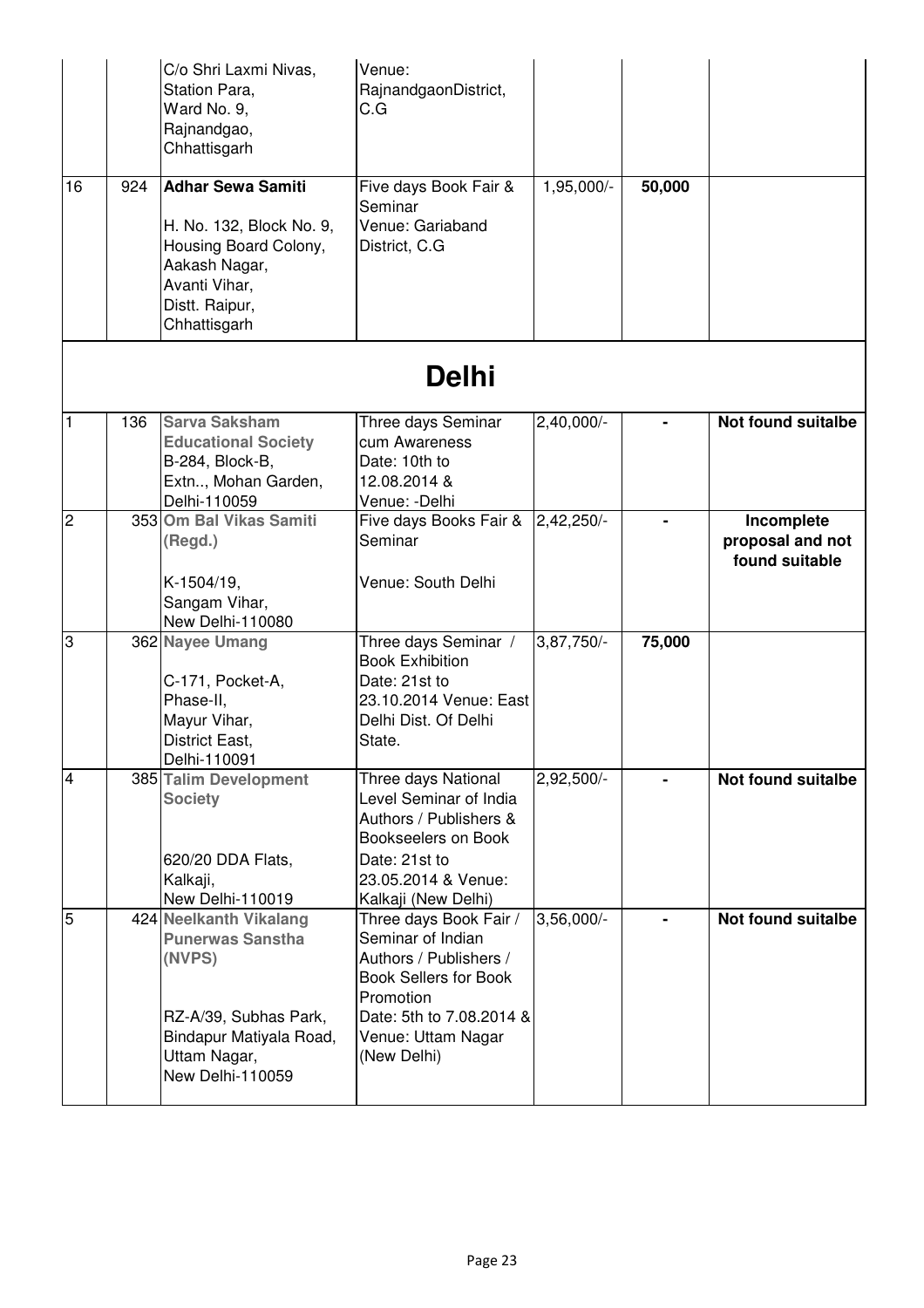| 16             | 924 | C/o Shri Laxmi Nivas,<br>Station Para,<br>Ward No. 9,<br>Rajnandgao,<br>Chhattisgarh<br><b>Adhar Sewa Samiti</b>                                    | Venue:<br>RajnandgaonDistrict,<br>C.G<br>Five days Book Fair &<br>Seminar                                                                                                           | $1,95,000/-$  | 50,000 |                                                  |
|----------------|-----|-----------------------------------------------------------------------------------------------------------------------------------------------------|-------------------------------------------------------------------------------------------------------------------------------------------------------------------------------------|---------------|--------|--------------------------------------------------|
|                |     | H. No. 132, Block No. 9,<br>Housing Board Colony,<br>Aakash Nagar,<br>Avanti Vihar,<br>Distt. Raipur,<br>Chhattisgarh                               | Venue: Gariaband<br>District, C.G.                                                                                                                                                  |               |        |                                                  |
|                |     |                                                                                                                                                     | <b>Delhi</b>                                                                                                                                                                        |               |        |                                                  |
| $\vert$ 1      | 136 | <b>Sarva Saksham</b><br><b>Educational Society</b><br>B-284, Block-B,<br>Extn, Mohan Garden,<br>Delhi-110059                                        | Three days Seminar<br>cum Awareness<br>Date: 10th to<br>12.08.2014 &<br>Venue: - Delhi                                                                                              | 2,40,000/-    |        | Not found suitalbe                               |
| $\overline{2}$ |     | 353 Om Bal Vikas Samiti<br>(Regd.)<br>K-1504/19,<br>Sangam Vihar,<br>New Delhi-110080                                                               | Five days Books Fair &<br>Seminar<br>Venue: South Delhi                                                                                                                             | 2,42,250/-    |        | Incomplete<br>proposal and not<br>found suitable |
| 3              |     | 362 Nayee Umang<br>C-171, Pocket-A,<br>Phase-II,<br>Mayur Vihar,<br>District East,<br>Delhi-110091                                                  | Three days Seminar /<br><b>Book Exhibition</b><br>Date: 21st to<br>23.10.2014 Venue: East<br>Delhi Dist. Of Delhi<br>State.                                                         | 3,87,750/-    | 75,000 |                                                  |
| $\overline{4}$ |     | 385 Talim Development<br><b>Society</b><br>620/20 DDA Flats,<br>Kalkaji,<br>New Delhi-110019                                                        | Three days National<br>Level Seminar of India<br>Authors / Publishers &<br>Bookseelers on Book<br>Date: 21st to<br>23.05.2014 & Venue:<br>Kalkaji (New Delhi)                       | 2,92,500/-    |        | <b>Not found suitalbe</b>                        |
| $\overline{5}$ |     | 424 Neelkanth Vikalang<br><b>Punerwas Sanstha</b><br>(NVPS)<br>RZ-A/39, Subhas Park,<br>Bindapur Matiyala Road,<br>Uttam Nagar,<br>New Delhi-110059 | Three days Book Fair /<br>Seminar of Indian<br>Authors / Publishers /<br><b>Book Sellers for Book</b><br>Promotion<br>Date: 5th to 7.08.2014 &<br>Venue: Uttam Nagar<br>(New Delhi) | $3,56,000$ /- |        | Not found suitalbe                               |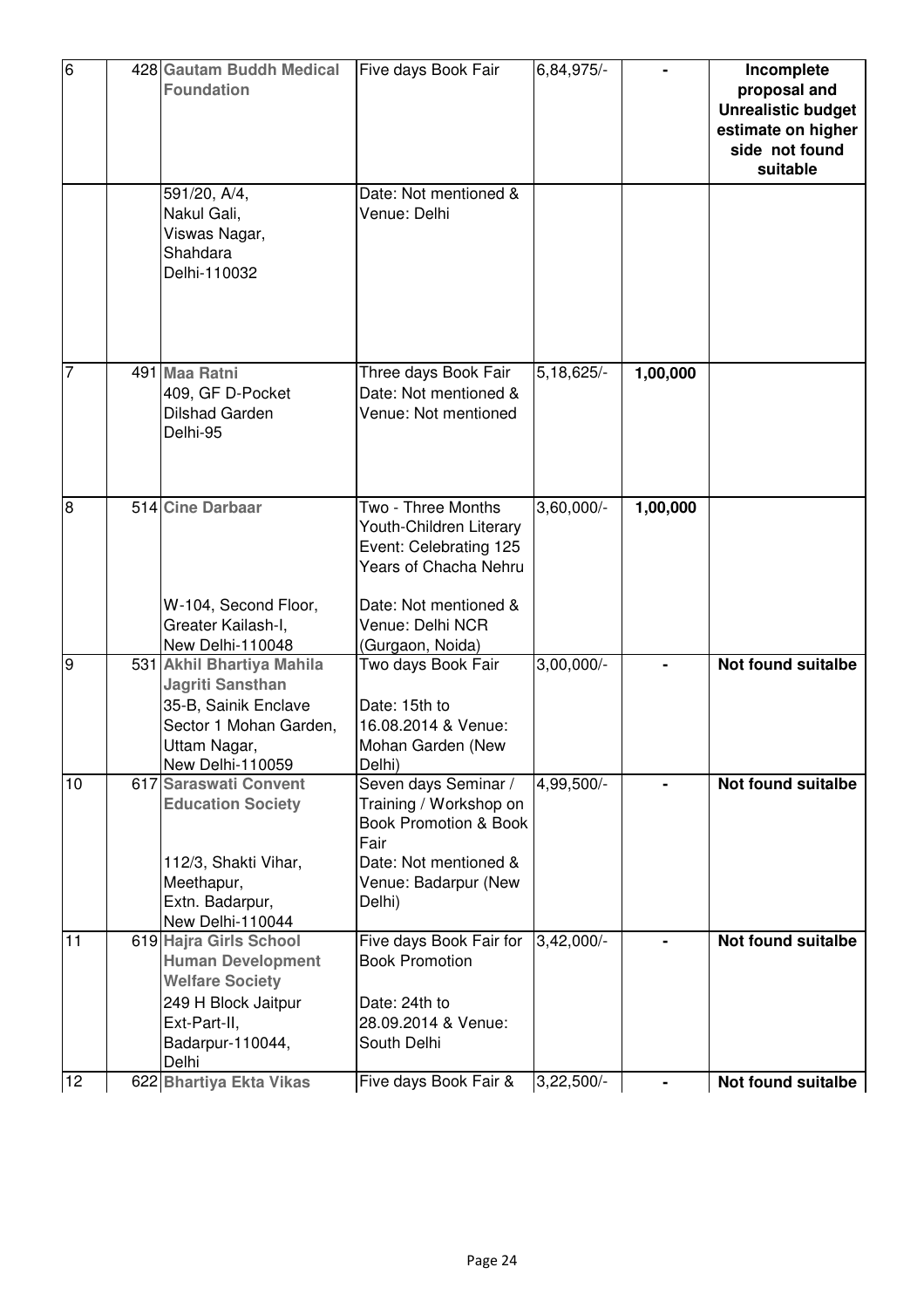| $\overline{6}$  | 428 Gautam Buddh Medical<br><b>Foundation</b>                                                                                                                  | Five days Book Fair                                                                                                                           | 6,84,975/-   |          | Incomplete<br>proposal and<br><b>Unrealistic budget</b><br>estimate on higher<br>side not found<br>suitable |
|-----------------|----------------------------------------------------------------------------------------------------------------------------------------------------------------|-----------------------------------------------------------------------------------------------------------------------------------------------|--------------|----------|-------------------------------------------------------------------------------------------------------------|
|                 | 591/20, A/4,<br>Nakul Gali,<br>Viswas Nagar,<br>Shahdara<br>Delhi-110032                                                                                       | Date: Not mentioned &<br>Venue: Delhi                                                                                                         |              |          |                                                                                                             |
| $\overline{7}$  | 491 Maa Ratni<br>409, GF D-Pocket<br><b>Dilshad Garden</b><br>Delhi-95                                                                                         | Three days Book Fair<br>Date: Not mentioned &<br>Venue: Not mentioned                                                                         | 5, 18, 625/- | 1,00,000 |                                                                                                             |
| Ιœ              | 514 Cine Darbaar<br>W-104, Second Floor,<br>Greater Kailash-I,                                                                                                 | Two - Three Months<br>Youth-Children Literary<br>Event: Celebrating 125<br>Years of Chacha Nehru<br>Date: Not mentioned &<br>Venue: Delhi NCR | $3,60,000/-$ | 1,00,000 |                                                                                                             |
| 9               | New Delhi-110048<br>531 Akhil Bhartiya Mahila<br><b>Jagriti Sansthan</b><br>35-B, Sainik Enclave<br>Sector 1 Mohan Garden,<br>Uttam Nagar,<br>New Delhi-110059 | (Gurgaon, Noida)<br>Two days Book Fair<br>Date: 15th to<br>16.08.2014 & Venue:<br>Mohan Garden (New<br>Delhi)                                 | $3,00,000/-$ |          | <b>Not found suitalbe</b>                                                                                   |
| $\overline{10}$ | 617 Saraswati Convent<br><b>Education Society</b><br>112/3, Shakti Vihar,<br>Meethapur,<br>Extn. Badarpur,<br>New Delhi-110044                                 | Seven days Seminar /<br>Training / Workshop on<br>Book Promotion & Book<br>Fair<br>Date: Not mentioned &<br>Venue: Badarpur (New<br>Delhi)    | $4,99,500/-$ |          | <b>Not found suitalbe</b>                                                                                   |
| 11              | 619 Hajra Girls School<br><b>Human Development</b><br><b>Welfare Society</b><br>249 H Block Jaitpur<br>Ext-Part-II,<br>Badarpur-110044,<br>Delhi               | Five days Book Fair for<br><b>Book Promotion</b><br>Date: 24th to<br>28.09.2014 & Venue:<br>South Delhi                                       | $3,42,000/-$ |          | <b>Not found suitalbe</b>                                                                                   |
| 12              | 622 Bhartiya Ekta Vikas                                                                                                                                        | Five days Book Fair &                                                                                                                         | $3,22,500/-$ |          | Not found suitalbe                                                                                          |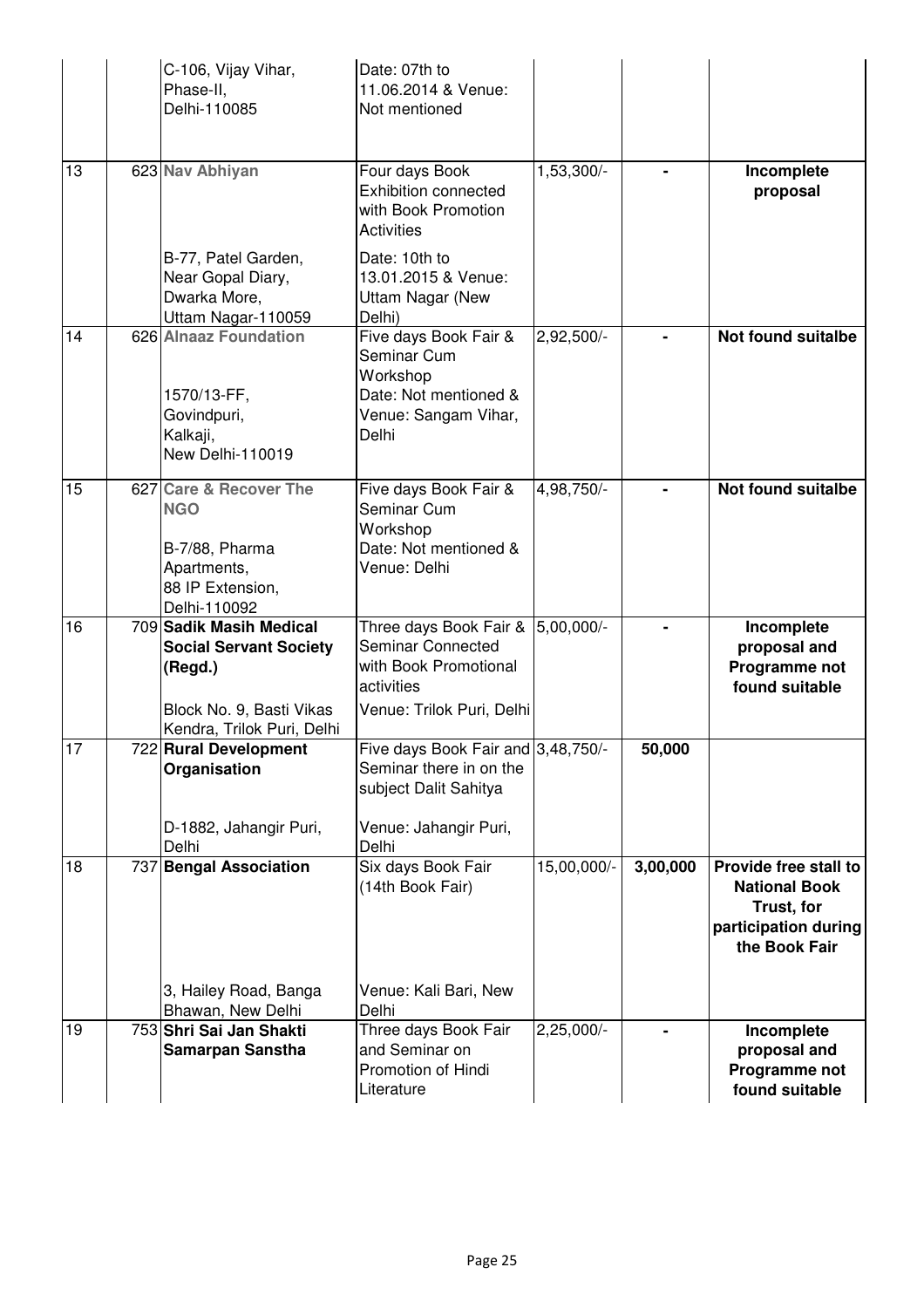|    | C-106, Vijay Vihar,<br>Phase-II,<br>Delhi-110085                                                                              | Date: 07th to<br>11.06.2014 & Venue:<br>Not mentioned                                                                    |                         |          |                                                                                                      |
|----|-------------------------------------------------------------------------------------------------------------------------------|--------------------------------------------------------------------------------------------------------------------------|-------------------------|----------|------------------------------------------------------------------------------------------------------|
| 13 | 623 Nav Abhiyan                                                                                                               | Four days Book<br><b>Exhibition connected</b><br>with Book Promotion<br><b>Activities</b>                                | 1,53,300/-              |          | Incomplete<br>proposal                                                                               |
|    | B-77, Patel Garden,<br>Near Gopal Diary,<br>Dwarka More,<br>Uttam Nagar-110059                                                | Date: 10th to<br>13.01.2015 & Venue:<br><b>Uttam Nagar (New</b><br>Delhi)                                                |                         |          |                                                                                                      |
| 14 | 626 Alnaaz Foundation<br>1570/13-FF,<br>Govindpuri,<br>Kalkaji,<br>New Delhi-110019                                           | Five days Book Fair &<br>Seminar Cum<br>Workshop<br>Date: Not mentioned &<br>Venue: Sangam Vihar,<br>Delhi               | $2,92,500$ <sup>-</sup> |          | <b>Not found suitalbe</b>                                                                            |
| 15 | 627 Care & Recover The<br><b>NGO</b><br>B-7/88, Pharma<br>Apartments,<br>88 IP Extension,<br>Delhi-110092                     | Five days Book Fair &<br>Seminar Cum<br>Workshop<br>Date: Not mentioned &<br>Venue: Delhi                                | 4,98,750/-              |          | <b>Not found suitalbe</b>                                                                            |
| 16 | 709 Sadik Masih Medical<br><b>Social Servant Society</b><br>(Regd.)<br>Block No. 9, Basti Vikas<br>Kendra, Trilok Puri, Delhi | Three days Book Fair &<br>Seminar Connected<br>with Book Promotional<br>activities<br>Venue: Trilok Puri, Delhi          | 5,00,000/-              |          | Incomplete<br>proposal and<br>Programme not<br>found suitable                                        |
| 17 | 722 Rural Development<br>Organisation<br>D-1882, Jahangir Puri,<br>Delhi                                                      | Five days Book Fair and 3,48,750/-<br>Seminar there in on the<br>subject Dalit Sahitya<br>Venue: Jahangir Puri,<br>Delhi |                         | 50,000   |                                                                                                      |
| 18 | 737 Bengal Association<br>3, Hailey Road, Banga<br>Bhawan, New Delhi                                                          | Six days Book Fair<br>(14th Book Fair)<br>Venue: Kali Bari, New<br>Delhi                                                 | 15,00,000/-             | 3,00,000 | Provide free stall to<br><b>National Book</b><br>Trust, for<br>participation during<br>the Book Fair |
| 19 | 753 Shri Sai Jan Shakti<br><b>Samarpan Sanstha</b>                                                                            | Three days Book Fair<br>and Seminar on<br>Promotion of Hindi<br>Literature                                               | $2,25,000$ <sup>-</sup> |          | Incomplete<br>proposal and<br>Programme not<br>found suitable                                        |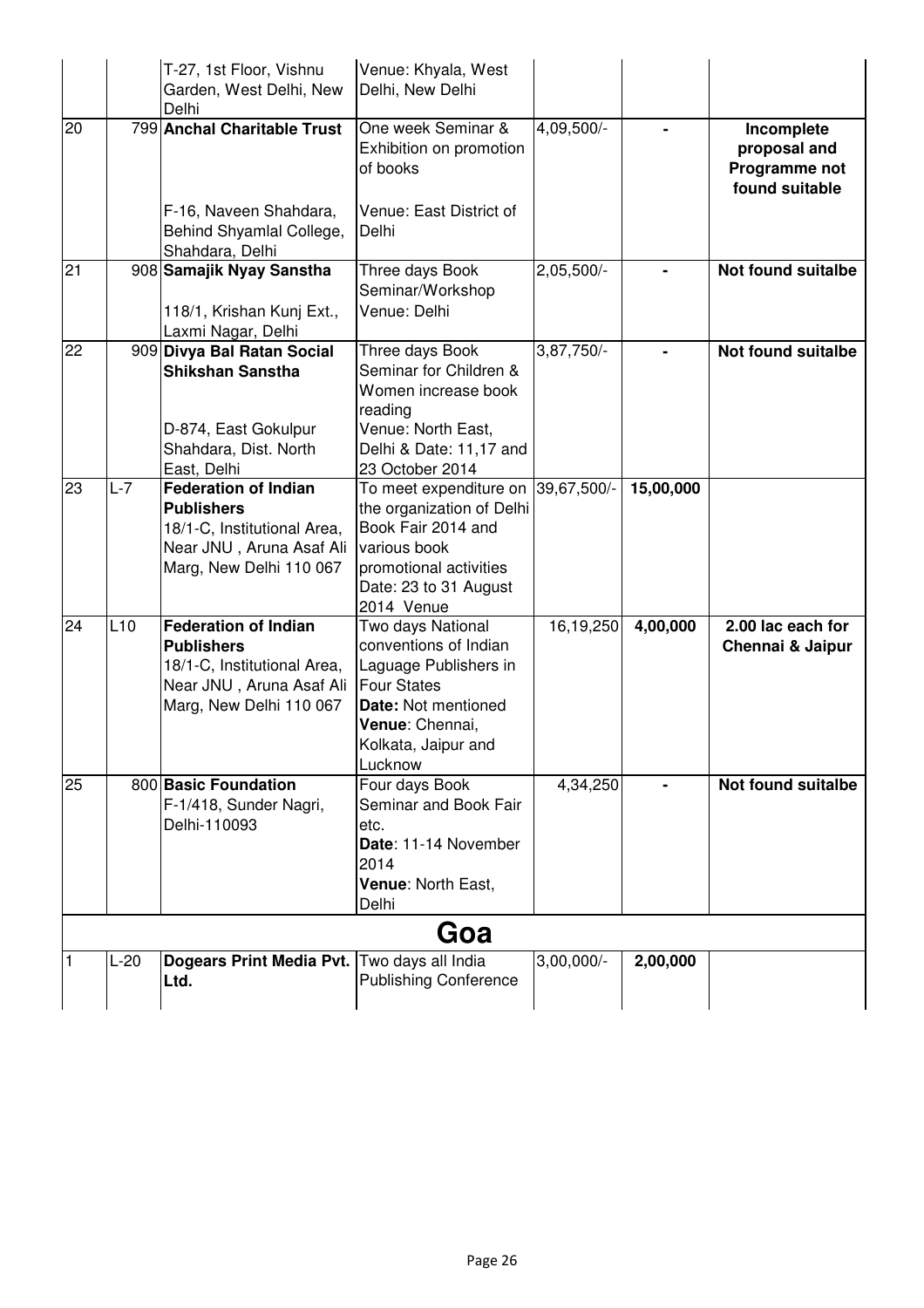|    |        | T-27, 1st Floor, Vishnu<br>Garden, West Delhi, New<br>Delhi                                                                            | Venue: Khyala, West<br>Delhi, New Delhi                                                                                                                                |                         |           |                                                               |
|----|--------|----------------------------------------------------------------------------------------------------------------------------------------|------------------------------------------------------------------------------------------------------------------------------------------------------------------------|-------------------------|-----------|---------------------------------------------------------------|
| 20 |        | 799 Anchal Charitable Trust                                                                                                            | One week Seminar &<br>Exhibition on promotion<br>of books                                                                                                              | 4,09,500/-              |           | Incomplete<br>proposal and<br>Programme not<br>found suitable |
|    |        | F-16, Naveen Shahdara,<br>Behind Shyamlal College,<br>Shahdara, Delhi                                                                  | Venue: East District of<br>Delhi                                                                                                                                       |                         |           |                                                               |
| 21 |        | 908 Samajik Nyay Sanstha<br>118/1, Krishan Kunj Ext.,<br>Laxmi Nagar, Delhi                                                            | Three days Book<br>Seminar/Workshop<br>Venue: Delhi                                                                                                                    | $2,05,500$ <sup>-</sup> |           | <b>Not found suitalbe</b>                                     |
| 22 |        | 909 Divya Bal Ratan Social<br>Shikshan Sanstha<br>D-874, East Gokulpur<br>Shahdara, Dist. North<br>East, Delhi                         | Three days Book<br>Seminar for Children &<br>Women increase book<br>reading<br>Venue: North East,<br>Delhi & Date: 11,17 and<br>23 October 2014                        | 3,87,750/-              |           | Not found suitalbe                                            |
| 23 | $L-7$  | <b>Federation of Indian</b><br><b>Publishers</b><br>18/1-C, Institutional Area,<br>Near JNU, Aruna Asaf Ali<br>Marg, New Delhi 110 067 | To meet expenditure on 39,67,500/-<br>the organization of Delhi<br>Book Fair 2014 and<br>various book<br>promotional activities<br>Date: 23 to 31 August<br>2014 Venue |                         | 15,00,000 |                                                               |
| 24 | L10    | <b>Federation of Indian</b><br><b>Publishers</b><br>18/1-C, Institutional Area,<br>Near JNU, Aruna Asaf Ali<br>Marg, New Delhi 110 067 | Two days National<br>conventions of Indian<br>Laguage Publishers in<br><b>Four States</b><br>Date: Not mentioned<br>Venue: Chennai,<br>Kolkata, Jaipur and<br>Lucknow  | 16,19,250               | 4,00,000  | 2.00 lac each for<br>Chennai & Jaipur                         |
| 25 |        | 800 Basic Foundation<br>F-1/418, Sunder Nagri,<br>Delhi-110093                                                                         | Four days Book<br>Seminar and Book Fair<br>etc.<br>Date: 11-14 November<br>2014<br>Venue: North East,<br>Delhi                                                         | 4,34,250                |           | Not found suitalbe                                            |
|    |        |                                                                                                                                        | Goa                                                                                                                                                                    |                         |           |                                                               |
|    | $L-20$ | <b>Dogears Print Media Pvt.</b><br>Ltd.                                                                                                | Two days all India<br><b>Publishing Conference</b>                                                                                                                     | $3,00,000/-$            | 2,00,000  |                                                               |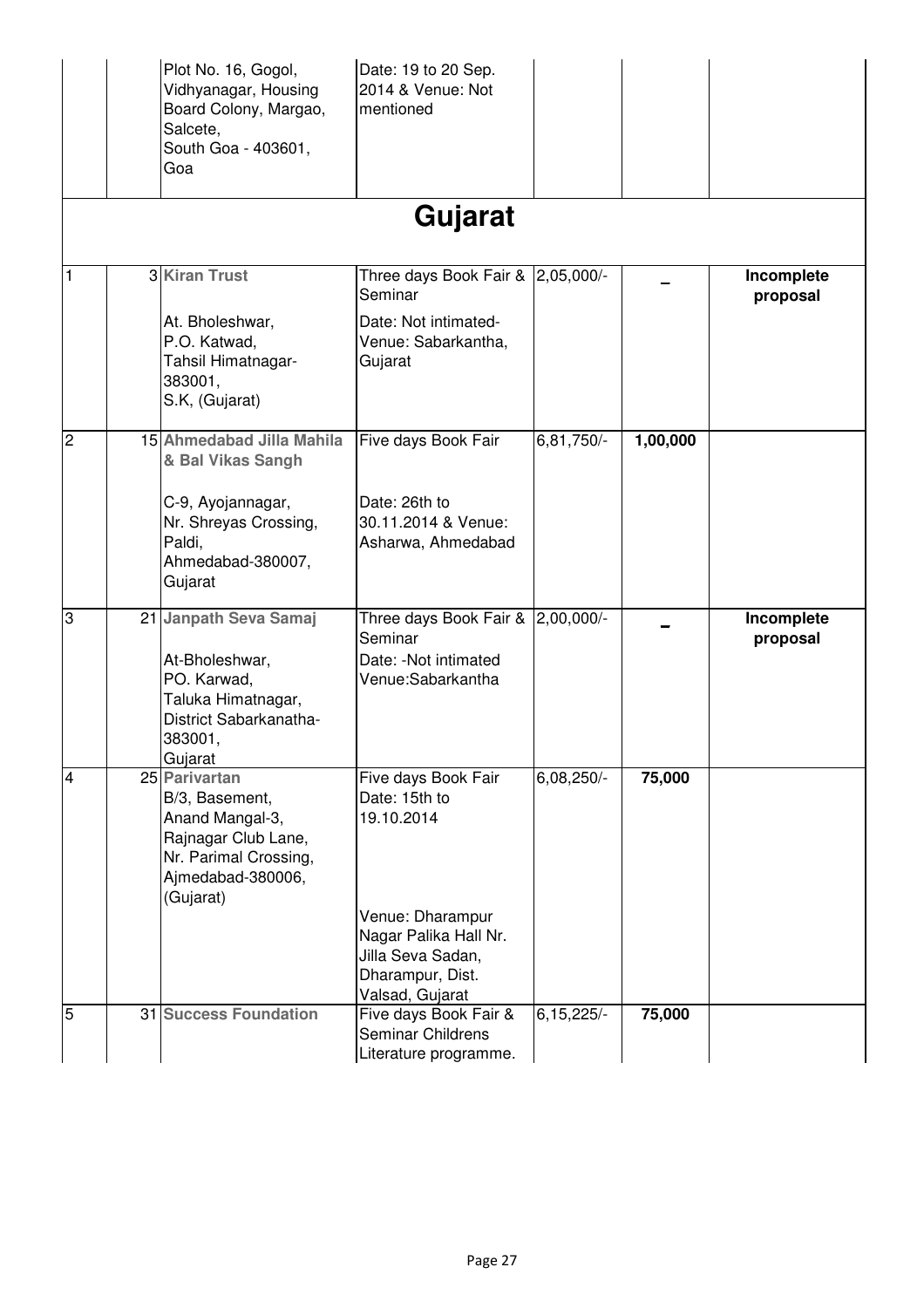|                | Plot No. 16, Gogol,<br>Vidhyanagar, Housing<br>Board Colony, Margao,<br>Salcete,<br>South Goa - 403601,<br>Goa                       | Date: 19 to 20 Sep.<br>2014 & Venue: Not<br>mentioned                                                                                                       |                |          |                        |
|----------------|--------------------------------------------------------------------------------------------------------------------------------------|-------------------------------------------------------------------------------------------------------------------------------------------------------------|----------------|----------|------------------------|
|                |                                                                                                                                      | Gujarat                                                                                                                                                     |                |          |                        |
| 1              | 3 Kiran Trust                                                                                                                        | Three days Book Fair & 2,05,000/-<br>Seminar                                                                                                                |                |          | Incomplete<br>proposal |
|                | At. Bholeshwar,<br>P.O. Katwad,<br>Tahsil Himatnagar-<br>383001,<br>S.K, (Gujarat)                                                   | Date: Not intimated-<br>Venue: Sabarkantha,<br>Gujarat                                                                                                      |                |          |                        |
| $\overline{2}$ | 15 Ahmedabad Jilla Mahila<br>& Bal Vikas Sangh                                                                                       | Five days Book Fair                                                                                                                                         | 6,81,750/-     | 1,00,000 |                        |
|                | C-9, Ayojannagar,<br>Nr. Shreyas Crossing,<br>Paldi,<br>Ahmedabad-380007,<br>Gujarat                                                 | Date: 26th to<br>30.11.2014 & Venue:<br>Asharwa, Ahmedabad                                                                                                  |                |          |                        |
| 3              | 21 Janpath Seva Samaj<br>At-Bholeshwar,<br>PO. Karwad,<br>Taluka Himatnagar,<br>District Sabarkanatha-<br>383001,<br>Gujarat         | Three days Book Fair & 2,00,000/-<br>Seminar<br>Date: - Not intimated<br>Venue:Sabarkantha                                                                  |                |          | Incomplete<br>proposal |
| $\overline{4}$ | 25 Parivartan<br>B/3, Basement,<br>Anand Mangal-3,<br>Rajnagar Club Lane,<br>Nr. Parimal Crossing,<br>Ajmedabad-380006,<br>(Gujarat) | Five days Book Fair<br>Date: 15th to<br>19.10.2014<br>Venue: Dharampur<br>Nagar Palika Hall Nr.<br>Jilla Seva Sadan,<br>Dharampur, Dist.<br>Valsad, Gujarat | 6,08,250/-     | 75,000   |                        |
| $\overline{5}$ | 31 Success Foundation                                                                                                                | Five days Book Fair &<br>Seminar Childrens<br>Literature programme.                                                                                         | $6, 15, 225/-$ | 75,000   |                        |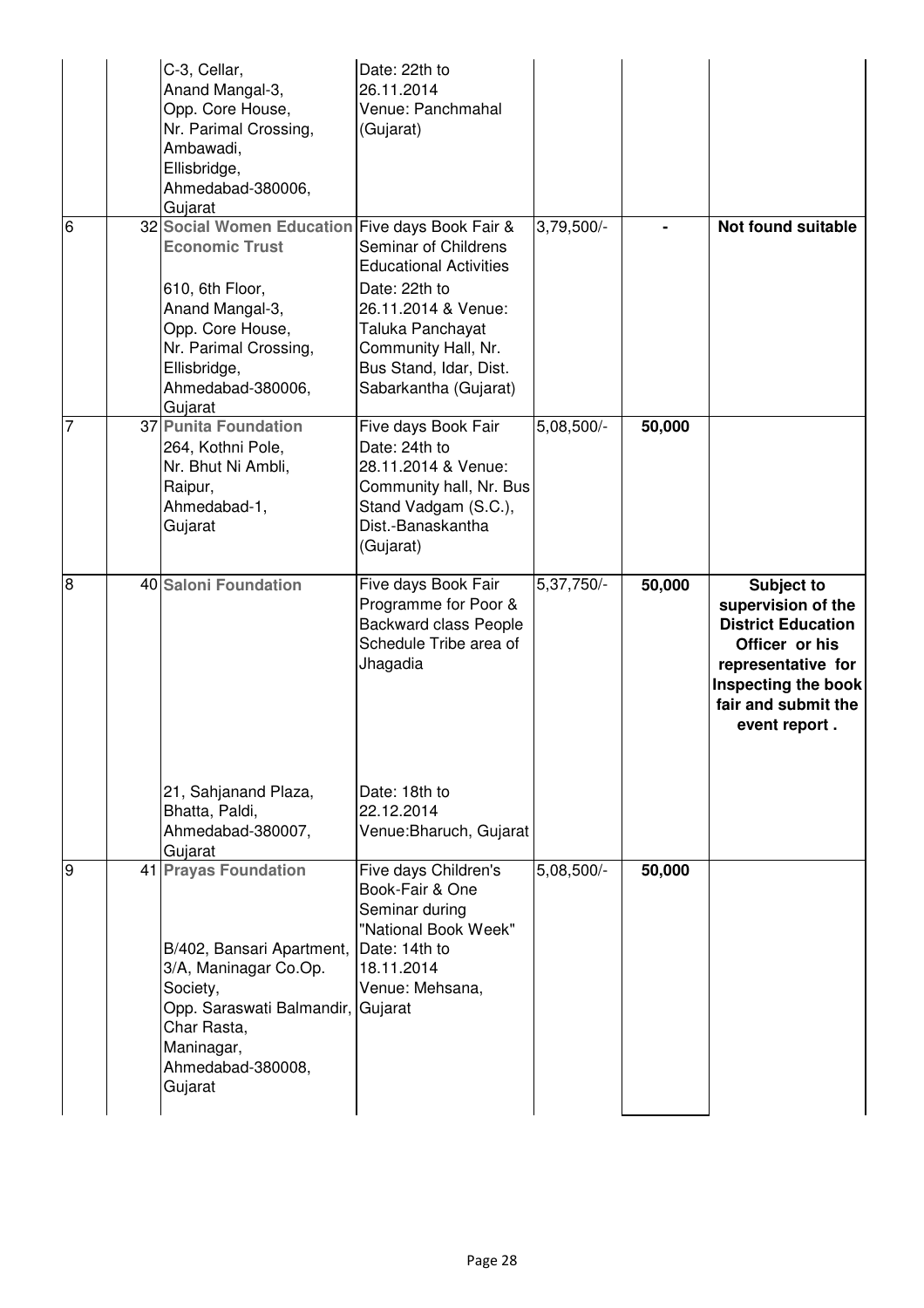|                | C-3, Cellar,<br>Anand Mangal-3,<br>Opp. Core House,<br>Nr. Parimal Crossing,<br>Ambawadi,<br>Ellisbridge,<br>Ahmedabad-380006,<br>Gujarat                                                                   | Date: 22th to<br>26.11.2014<br>Venue: Panchmahal<br>(Gujarat)                                                                                                                               |              |        |                                                                                                                                                                             |
|----------------|-------------------------------------------------------------------------------------------------------------------------------------------------------------------------------------------------------------|---------------------------------------------------------------------------------------------------------------------------------------------------------------------------------------------|--------------|--------|-----------------------------------------------------------------------------------------------------------------------------------------------------------------------------|
| $\overline{6}$ | 32 Social Women Education Five days Book Fair &<br><b>Economic Trust</b><br>610, 6th Floor,<br>Anand Mangal-3,<br>Opp. Core House,<br>Nr. Parimal Crossing,<br>Ellisbridge,<br>Ahmedabad-380006,<br>Gujarat | Seminar of Childrens<br><b>Educational Activities</b><br>Date: 22th to<br>26.11.2014 & Venue:<br>Taluka Panchayat<br>Community Hall, Nr.<br>Bus Stand, Idar, Dist.<br>Sabarkantha (Gujarat) | $3,79,500/-$ |        | <b>Not found suitable</b>                                                                                                                                                   |
| 7              | 37 Punita Foundation<br>264, Kothni Pole,<br>Nr. Bhut Ni Ambli,<br>Raipur,<br>Ahmedabad-1,<br>Gujarat                                                                                                       | Five days Book Fair<br>Date: 24th to<br>28.11.2014 & Venue:<br>Community hall, Nr. Bus<br>Stand Vadgam (S.C.),<br>Dist.-Banaskantha<br>(Gujarat)                                            | $5,08,500/-$ | 50,000 |                                                                                                                                                                             |
| $\overline{8}$ | 40 Saloni Foundation                                                                                                                                                                                        | Five days Book Fair<br>Programme for Poor &<br><b>Backward class People</b><br>Schedule Tribe area of<br>Jhagadia                                                                           | 5,37,750/-   | 50,000 | <b>Subject to</b><br>supervision of the<br><b>District Education</b><br>Officer or his<br>representative for<br>Inspecting the book<br>fair and submit the<br>event report. |
|                | 21, Sahjanand Plaza,<br>Bhatta, Paldi,<br>Ahmedabad-380007,<br>Gujarat                                                                                                                                      | Date: 18th to<br>22.12.2014<br>Venue: Bharuch, Gujarat                                                                                                                                      |              |        |                                                                                                                                                                             |
| 9              | <b>41 Prayas Foundation</b><br>B/402, Bansari Apartment,<br>3/A, Maninagar Co.Op.<br>Society,<br>Opp. Saraswati Balmandir,<br>Char Rasta,<br>Maninagar,<br>Ahmedabad-380008,<br>Gujarat                     | Five days Children's<br>Book-Fair & One<br>Seminar during<br>"National Book Week"<br>Date: 14th to<br>18.11.2014<br>Venue: Mehsana,<br>Gujarat                                              | 5,08,500/-   | 50,000 |                                                                                                                                                                             |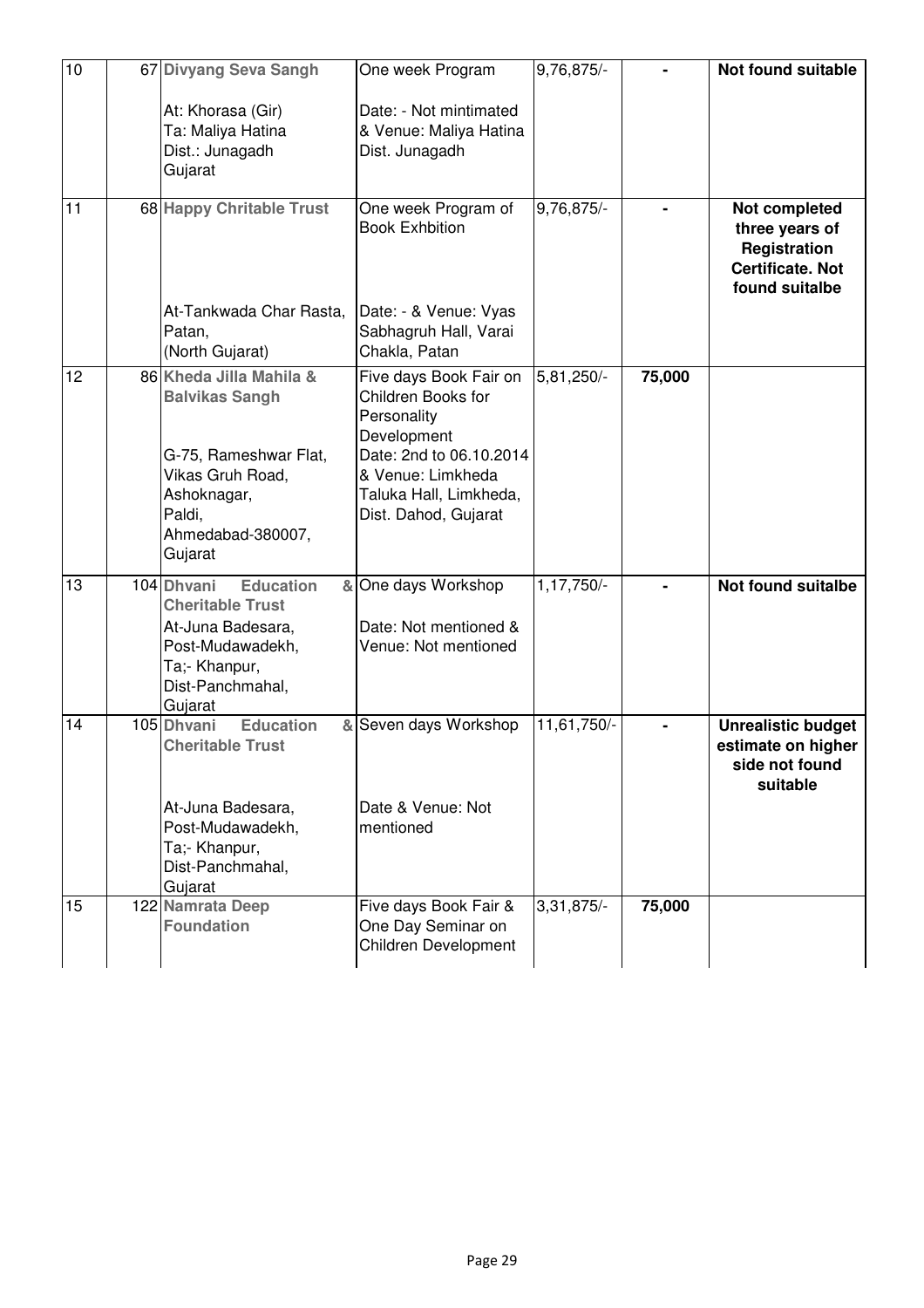| 10 | 67 Divyang Seva Sangh                                                                                                                                  | One week Program                                                                                                                                                             | 9,76,875/-   |        | Not found suitable                                                                           |
|----|--------------------------------------------------------------------------------------------------------------------------------------------------------|------------------------------------------------------------------------------------------------------------------------------------------------------------------------------|--------------|--------|----------------------------------------------------------------------------------------------|
|    | At: Khorasa (Gir)<br>Ta: Maliya Hatina<br>Dist.: Junagadh<br>Gujarat                                                                                   | Date: - Not mintimated<br>& Venue: Maliya Hatina<br>Dist. Junagadh                                                                                                           |              |        |                                                                                              |
| 11 | 68 Happy Chritable Trust<br>At-Tankwada Char Rasta,<br>Patan,<br>(North Gujarat)                                                                       | One week Program of<br><b>Book Exhbition</b><br>Date: - & Venue: Vyas<br>Sabhagruh Hall, Varai<br>Chakla, Patan                                                              | 9,76,875/-   |        | Not completed<br>three years of<br>Registration<br><b>Certificate. Not</b><br>found suitalbe |
| 12 | 86 Kheda Jilla Mahila &<br><b>Balvikas Sangh</b><br>G-75, Rameshwar Flat,<br>Vikas Gruh Road,<br>Ashoknagar,<br>Paldi,<br>Ahmedabad-380007,<br>Gujarat | Five days Book Fair on<br>Children Books for<br>Personality<br>Development<br>Date: 2nd to 06.10.2014<br>& Venue: Limkheda<br>Taluka Hall, Limkheda,<br>Dist. Dahod, Gujarat | 5,81,250/-   | 75,000 |                                                                                              |
| 13 | 104 Dhvani<br><b>Education</b><br><b>Cheritable Trust</b><br>At-Juna Badesara,<br>Post-Mudawadekh,<br>Ta;- Khanpur,<br>Dist-Panchmahal,<br>Gujarat     | & One days Workshop<br>Date: Not mentioned &<br>Venue: Not mentioned                                                                                                         | 1,17,750/-   |        | <b>Not found suitalbe</b>                                                                    |
| 14 | <b>Education</b><br>105 Dhvani<br><b>Cheritable Trust</b><br>At-Juna Badesara,<br>Post-Mudawadekh,<br>Ta;- Khanpur,<br>Dist-Panchmahal,<br>Gujarat     | & Seven days Workshop<br>Date & Venue: Not<br>mentioned                                                                                                                      | 11,61,750/-  |        | <b>Unrealistic budget</b><br>estimate on higher<br>side not found<br>suitable                |
| 15 | 122 Namrata Deep<br><b>Foundation</b>                                                                                                                  | Five days Book Fair &<br>One Day Seminar on<br><b>Children Development</b>                                                                                                   | $3,31,875/-$ | 75,000 |                                                                                              |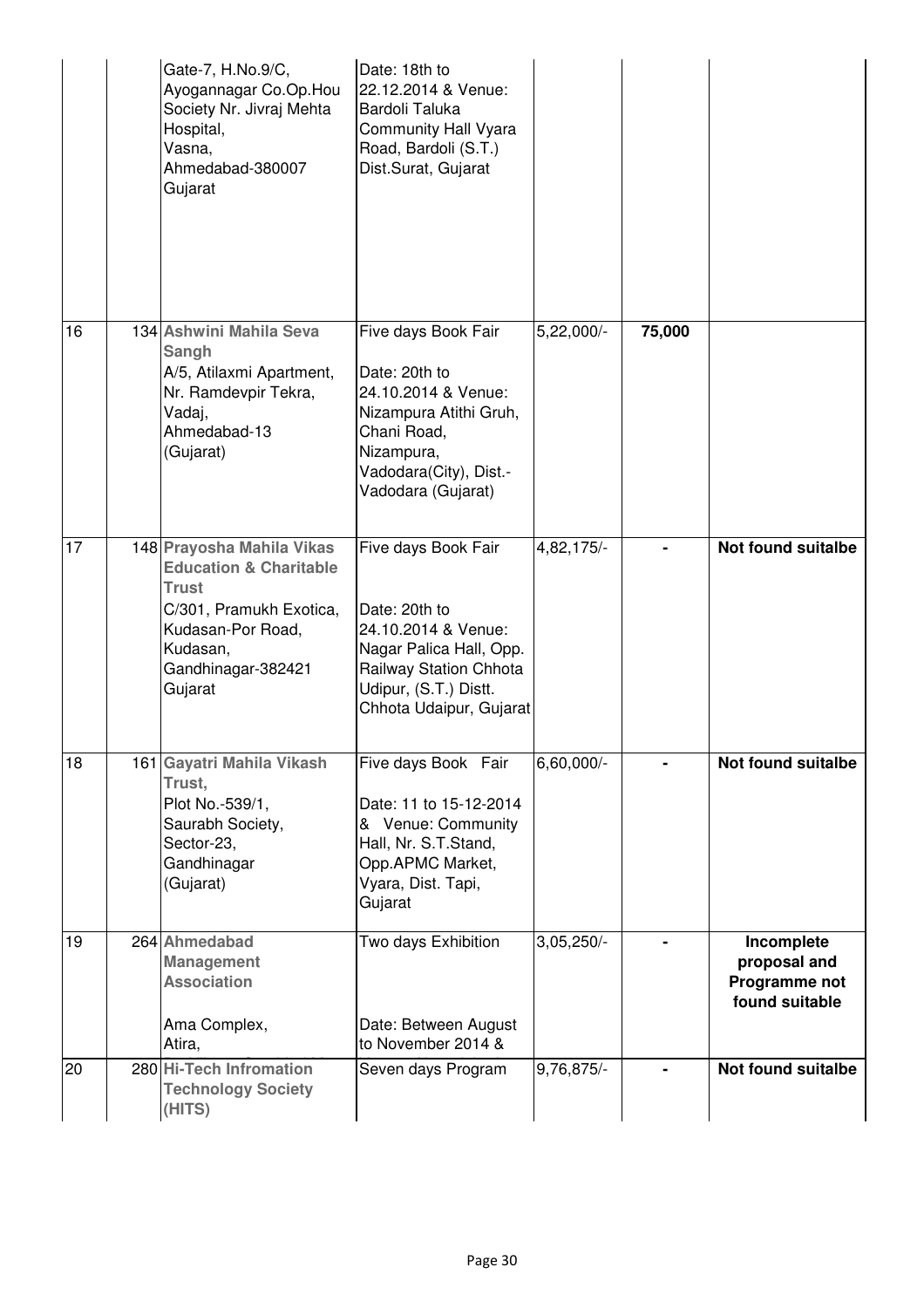|    | Gate-7, H.No.9/C,<br>Ayogannagar Co.Op.Hou<br>Society Nr. Jivraj Mehta<br>Hospital,<br>Vasna,<br>Ahmedabad-380007<br>Gujarat                                                | Date: 18th to<br>22.12.2014 & Venue:<br>Bardoli Taluka<br>Community Hall Vyara<br>Road, Bardoli (S.T.)<br>Dist.Surat, Gujarat                                        |                         |        |                                                               |
|----|-----------------------------------------------------------------------------------------------------------------------------------------------------------------------------|----------------------------------------------------------------------------------------------------------------------------------------------------------------------|-------------------------|--------|---------------------------------------------------------------|
| 16 | 134 Ashwini Mahila Seva<br>Sangh<br>A/5, Atilaxmi Apartment,<br>Nr. Ramdevpir Tekra,<br>Vadaj,<br>Ahmedabad-13<br>(Gujarat)                                                 | Five days Book Fair<br>Date: 20th to<br>24.10.2014 & Venue:<br>Nizampura Atithi Gruh,<br>Chani Road,<br>Nizampura,<br>Vadodara(City), Dist.-<br>Vadodara (Gujarat)   | $5,22,000$ <sup>-</sup> | 75,000 |                                                               |
| 17 | 148 Prayosha Mahila Vikas<br><b>Education &amp; Charitable</b><br><b>Trust</b><br>C/301, Pramukh Exotica,<br>Kudasan-Por Road,<br>Kudasan,<br>Gandhinagar-382421<br>Gujarat | Five days Book Fair<br>Date: 20th to<br>24.10.2014 & Venue:<br>Nagar Palica Hall, Opp.<br>Railway Station Chhota<br>Udipur, (S.T.) Distt.<br>Chhota Udaipur, Gujarat | 4,82,175/-              |        | <b>Not found suitalbe</b>                                     |
| 18 | 161 Gayatri Mahila Vikash<br>Trust,<br>Plot No.-539/1,<br>Saurabh Society,<br>Sector-23,<br>Gandhinagar<br>(Gujarat)                                                        | Five days Book Fair<br>Date: 11 to 15-12-2014<br>& Venue: Community<br>Hall, Nr. S.T.Stand,<br>Opp.APMC Market,<br>Vyara, Dist. Tapi,<br>Gujarat                     | 6,60,000/-              |        | <b>Not found suitalbe</b>                                     |
| 19 | 264 Ahmedabad<br><b>Management</b><br><b>Association</b><br>Ama Complex,<br>Atira,                                                                                          | Two days Exhibition<br>Date: Between August<br>to November 2014 &                                                                                                    | 3,05,250/-              |        | Incomplete<br>proposal and<br>Programme not<br>found suitable |
| 20 | 280 Hi-Tech Infromation<br><b>Technology Society</b><br>(HITS)                                                                                                              | Seven days Program                                                                                                                                                   | 9,76,875/-              |        | <b>Not found suitalbe</b>                                     |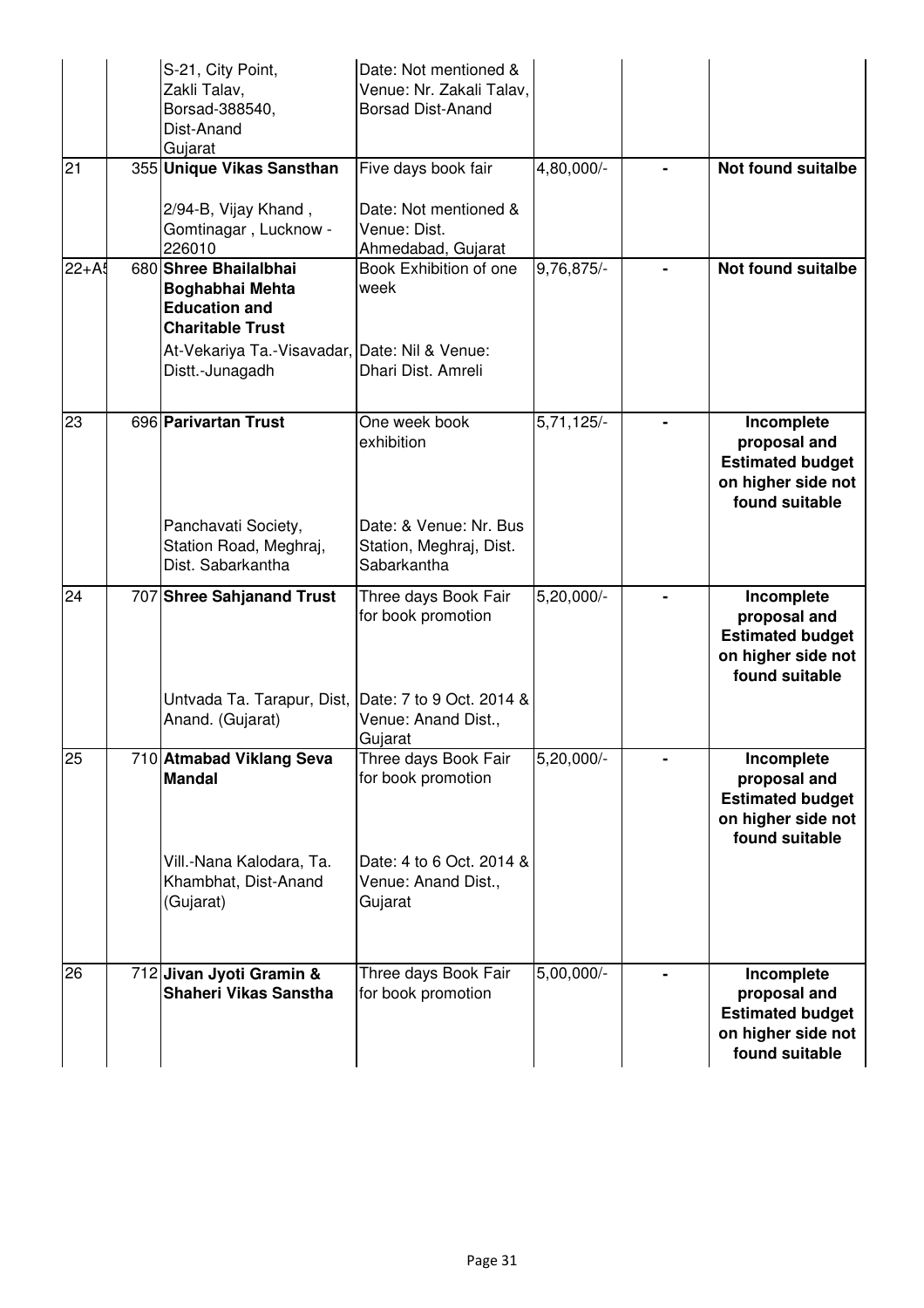|                    | S-21, City Point,<br>Zakli Talav,<br>Borsad-388540,<br>Dist-Anand<br>Gujarat                | Date: Not mentioned &<br>Venue: Nr. Zakali Talav,<br><b>Borsad Dist-Anand</b> |              |                                                                                               |
|--------------------|---------------------------------------------------------------------------------------------|-------------------------------------------------------------------------------|--------------|-----------------------------------------------------------------------------------------------|
| 21                 | 355 Unique Vikas Sansthan<br>2/94-B, Vijay Khand,                                           | Five days book fair<br>Date: Not mentioned &                                  | 4,80,000/-   | <b>Not found suitalbe</b>                                                                     |
|                    | Gomtinagar, Lucknow -<br>226010                                                             | Venue: Dist.<br>Ahmedabad, Gujarat                                            |              |                                                                                               |
| $\overline{2}2+A5$ | 680 Shree Bhailalbhai<br>Boghabhai Mehta<br><b>Education and</b><br><b>Charitable Trust</b> | Book Exhibition of one<br>week                                                | 9,76,875/-   | <b>Not found suitalbe</b>                                                                     |
|                    | At-Vekariya Ta.-Visavadar, Date: Nil & Venue:<br>Distt.-Junagadh                            | Dhari Dist. Amreli                                                            |              |                                                                                               |
| 23                 | 696 Parivartan Trust                                                                        | One week book<br>exhibition                                                   | $5,71,125/-$ | Incomplete<br>proposal and<br><b>Estimated budget</b><br>on higher side not<br>found suitable |
|                    | Panchavati Society,<br>Station Road, Meghraj,<br>Dist. Sabarkantha                          | Date: & Venue: Nr. Bus<br>Station, Meghraj, Dist.<br>Sabarkantha              |              |                                                                                               |
| 24                 | 707 Shree Sahjanand Trust                                                                   | Three days Book Fair<br>for book promotion                                    | $5,20,000/-$ | Incomplete<br>proposal and<br><b>Estimated budget</b><br>on higher side not<br>found suitable |
|                    | Untvada Ta. Tarapur, Dist, Date: 7 to 9 Oct. 2014 &<br>Anand. (Gujarat)                     | Venue: Anand Dist.,<br>Gujarat                                                |              |                                                                                               |
| 25                 | 710 Atmabad Viklang Seva<br><b>Mandal</b>                                                   | Three days Book Fair<br>for book promotion                                    | 5,20,000/-   | Incomplete<br>proposal and<br><b>Estimated budget</b><br>on higher side not<br>found suitable |
|                    | Vill.-Nana Kalodara, Ta.<br>Khambhat, Dist-Anand<br>(Gujarat)                               | Date: 4 to 6 Oct. 2014 &<br>Venue: Anand Dist.,<br>Gujarat                    |              |                                                                                               |
| 26                 | 712 Jivan Jyoti Gramin &<br>Shaheri Vikas Sanstha                                           | Three days Book Fair<br>for book promotion                                    | $5,00,000/-$ | Incomplete<br>proposal and<br><b>Estimated budget</b><br>on higher side not<br>found suitable |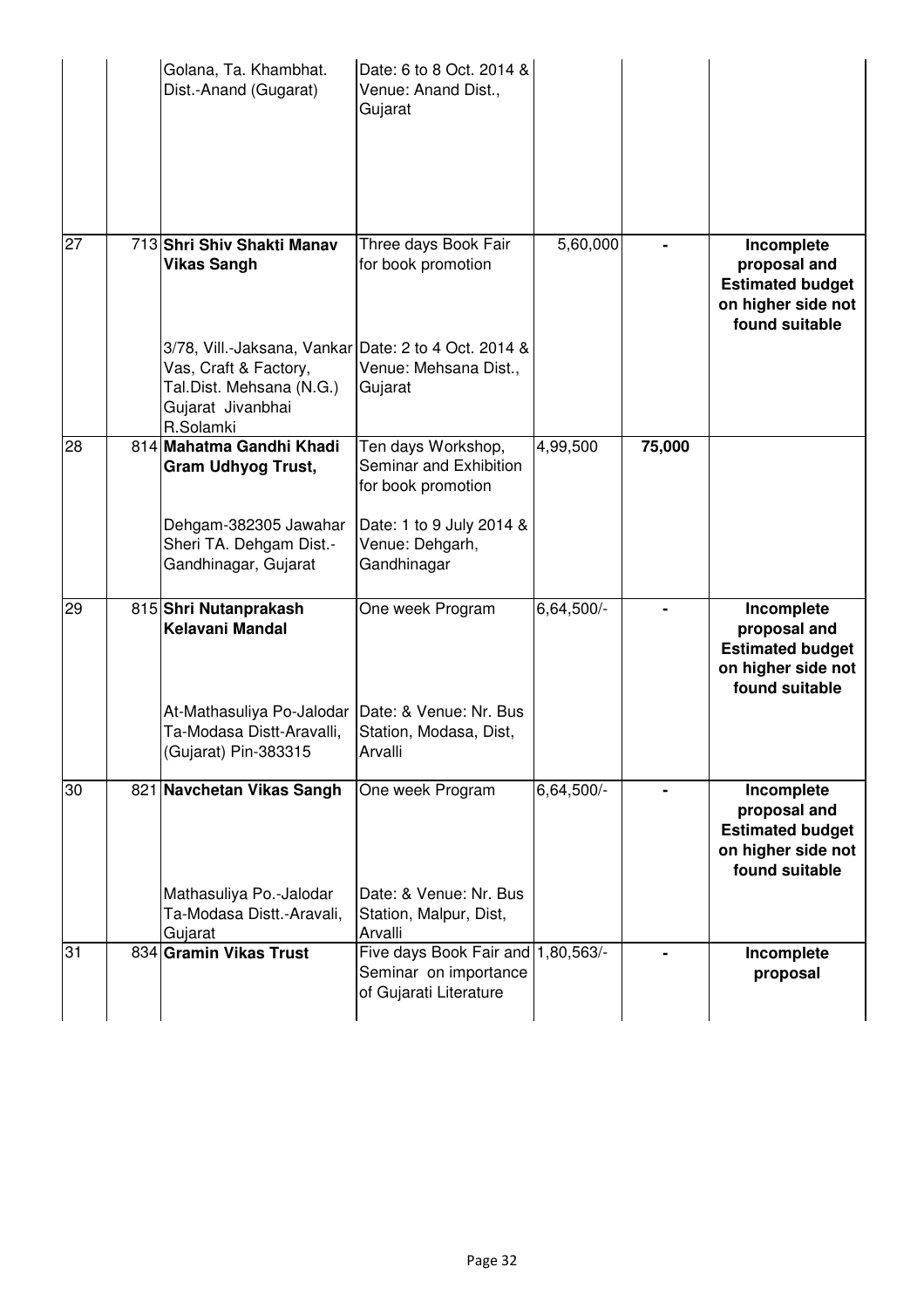|    | Golana, Ta. Khambhat.<br>Dist.-Anand (Gugarat)                                                                                              | Date: 6 to 8 Oct. 2014 &<br>Venue: Anand Dist.,<br>Gujarat                            |            |        |                                                                                               |
|----|---------------------------------------------------------------------------------------------------------------------------------------------|---------------------------------------------------------------------------------------|------------|--------|-----------------------------------------------------------------------------------------------|
| 27 | 713 Shri Shiv Shakti Manav<br><b>Vikas Sangh</b>                                                                                            | Three days Book Fair<br>for book promotion                                            | 5,60,000   |        | Incomplete<br>proposal and<br><b>Estimated budget</b><br>on higher side not<br>found suitable |
|    | 3/78, Vill.-Jaksana, Vankar Date: 2 to 4 Oct. 2014 &<br>Vas, Craft & Factory,<br>Tal.Dist. Mehsana (N.G.)<br>Gujarat Jivanbhai<br>R.Solamki | Venue: Mehsana Dist.,<br>Gujarat                                                      |            |        |                                                                                               |
| 28 | 814 Mahatma Gandhi Khadi<br><b>Gram Udhyog Trust,</b>                                                                                       | Ten days Workshop,<br>Seminar and Exhibition<br>for book promotion                    | 4,99,500   | 75,000 |                                                                                               |
|    | Dehgam-382305 Jawahar<br>Sheri TA. Dehgam Dist.-<br>Gandhinagar, Gujarat                                                                    | Date: 1 to 9 July 2014 &<br>Venue: Dehgarh,<br>Gandhinagar                            |            |        |                                                                                               |
| 29 | 815 Shri Nutanprakash<br>Kelavani Mandal                                                                                                    | One week Program                                                                      | 6,64,500/- |        | Incomplete<br>proposal and<br><b>Estimated budget</b><br>on higher side not<br>found suitable |
|    | At-Mathasuliya Po-Jalodar<br>Ta-Modasa Distt-Aravalli,<br>(Gujarat) Pin-383315                                                              | Date: & Venue: Nr. Bus<br>Station, Modasa, Dist,<br>Arvalli                           |            |        |                                                                                               |
| 30 | 821 Navchetan Vikas Sangh                                                                                                                   | One week Program                                                                      | 6,64,500/- |        | Incomplete<br>proposal and<br><b>Estimated budget</b><br>on higher side not<br>found suitable |
|    | Mathasuliya Po.-Jalodar<br>Ta-Modasa Distt.-Aravali,<br>Gujarat                                                                             | Date: & Venue: Nr. Bus<br>Station, Malpur, Dist,<br>Arvalli                           |            |        |                                                                                               |
| 31 | 834 Gramin Vikas Trust                                                                                                                      | Five days Book Fair and 1,80,563/-<br>Seminar on importance<br>of Gujarati Literature |            |        | Incomplete<br>proposal                                                                        |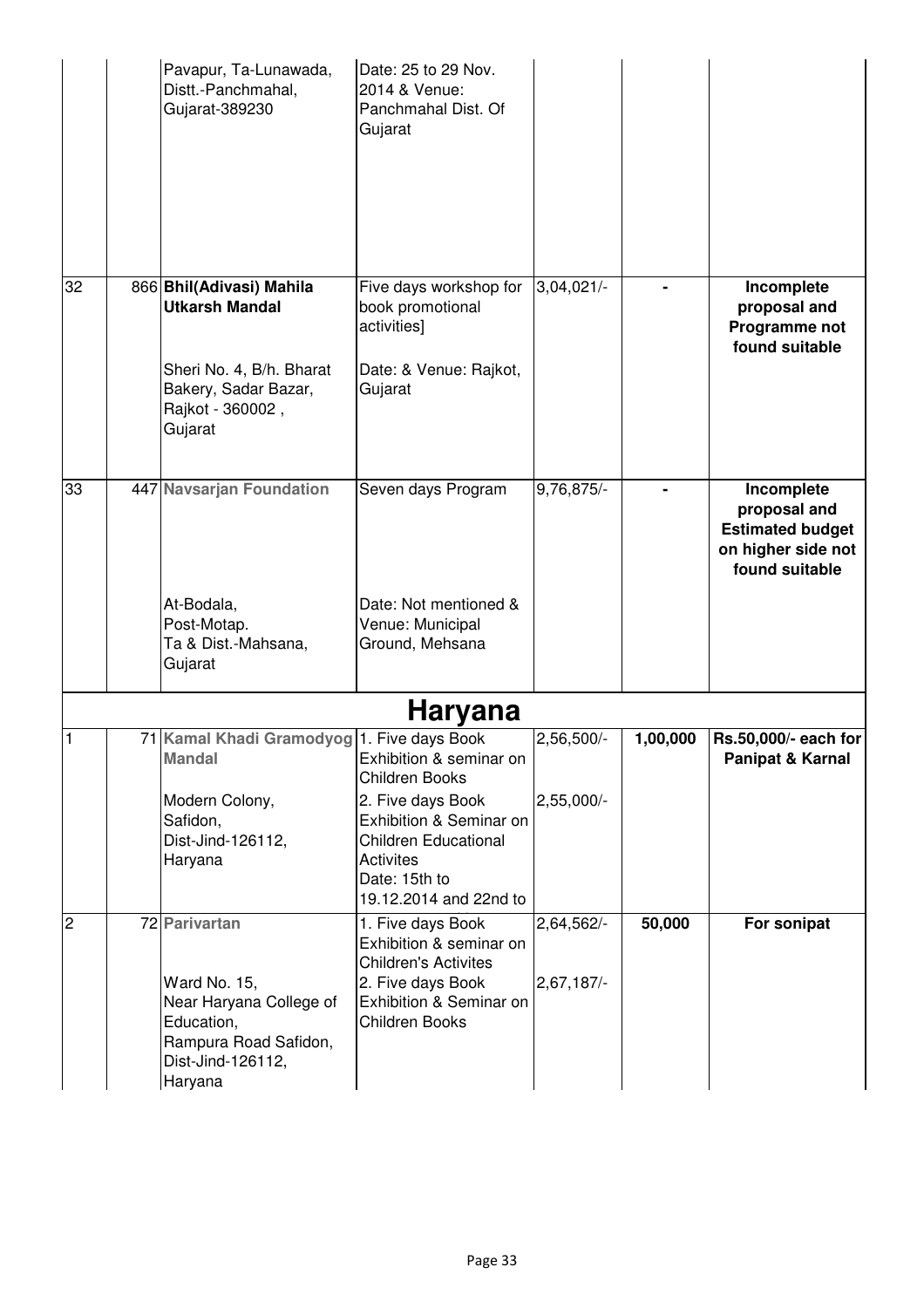|                 | Pavapur, Ta-Lunawada,<br>Distt.-Panchmahal,<br>Gujarat-389230                                                                        | Date: 25 to 29 Nov.<br>2014 & Venue:<br>Panchmahal Dist. Of<br>Gujarat                                                                                                                  |                            |          |                                                                                               |
|-----------------|--------------------------------------------------------------------------------------------------------------------------------------|-----------------------------------------------------------------------------------------------------------------------------------------------------------------------------------------|----------------------------|----------|-----------------------------------------------------------------------------------------------|
| $\overline{32}$ | 866 Bhil(Adivasi) Mahila<br><b>Utkarsh Mandal</b><br>Sheri No. 4, B/h. Bharat<br>Bakery, Sadar Bazar,<br>Rajkot - 360002,<br>Gujarat | Five days workshop for<br>book promotional<br>activities]<br>Date: & Venue: Rajkot,<br>Gujarat                                                                                          | 3,04,021/                  |          | Incomplete<br>proposal and<br>Programme not<br>found suitable                                 |
| 33              | 447 Navsarjan Foundation<br>At-Bodala,<br>Post-Motap.<br>Ta & Dist.-Mahsana,<br>Gujarat                                              | Seven days Program<br>Date: Not mentioned &<br>Venue: Municipal<br>Ground, Mehsana                                                                                                      | 9,76,875/-                 |          | Incomplete<br>proposal and<br><b>Estimated budget</b><br>on higher side not<br>found suitable |
|                 |                                                                                                                                      | <b>Haryana</b>                                                                                                                                                                          |                            |          |                                                                                               |
| $\mathbf{1}$    | 71 Kamal Khadi Gramodyog 1. Five days Book<br><b>Mandal</b><br>Modern Colony,<br>Safidon,<br>Dist-Jind-126112,<br>Haryana            | Exhibition & seminar on<br>Children Books<br>2. Five days Book<br>Exhibition & Seminar on<br><b>Children Educational</b><br><b>Activites</b><br>Date: 15th to<br>19.12.2014 and 22nd to | 2,56,500/-<br>$2,55,000/-$ | 1,00,000 | Rs.50,000/- each for<br>Panipat & Karnal                                                      |
| $\overline{2}$  | 72 Parivartan<br>Ward No. 15,<br>Near Haryana College of<br>Education,<br>Rampura Road Safidon,<br>Dist-Jind-126112,<br>Haryana      | 1. Five days Book<br>Exhibition & seminar on<br><b>Children's Activites</b><br>2. Five days Book<br>Exhibition & Seminar on<br>Children Books                                           | 2,64,562/-<br>$2,67,187/-$ | 50,000   | For sonipat                                                                                   |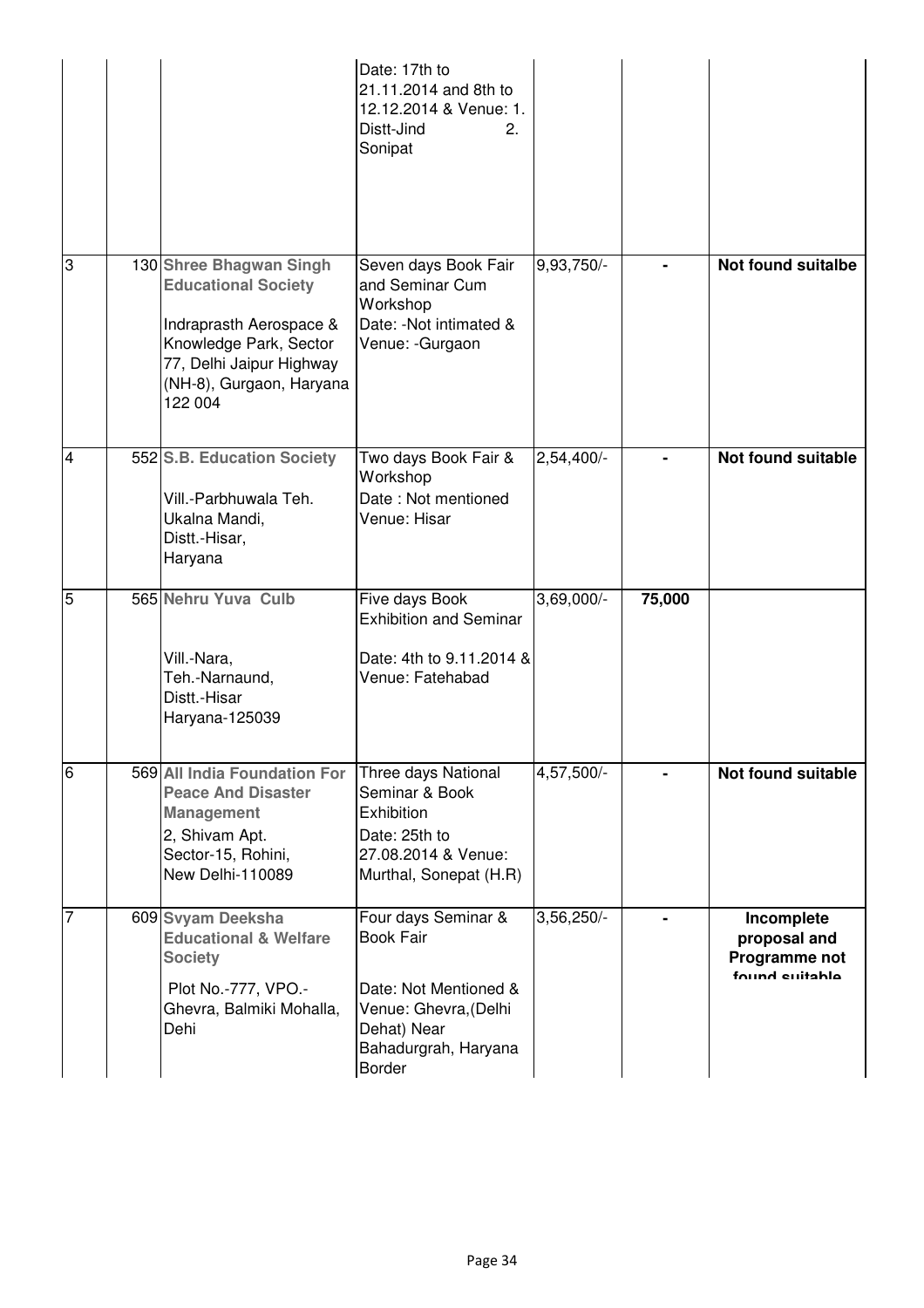|                |                                                                                                                                                                               | Date: 17th to<br>21.11.2014 and 8th to<br>12.12.2014 & Venue: 1.<br>Distt-Jind<br>2.<br>Sonipat                                                   |              |        |                                                               |
|----------------|-------------------------------------------------------------------------------------------------------------------------------------------------------------------------------|---------------------------------------------------------------------------------------------------------------------------------------------------|--------------|--------|---------------------------------------------------------------|
| က              | 130 Shree Bhagwan Singh<br><b>Educational Society</b><br>Indraprasth Aerospace &<br>Knowledge Park, Sector<br>77, Delhi Jaipur Highway<br>(NH-8), Gurgaon, Haryana<br>122 004 | Seven days Book Fair<br>and Seminar Cum<br>Workshop<br>Date: - Not intimated &<br>Venue: -Gurgaon                                                 | 9,93,750/-   |        | <b>Not found suitalbe</b>                                     |
| $\overline{4}$ | 552 S.B. Education Society<br>Vill.-Parbhuwala Teh.<br>Ukalna Mandi,<br>Distt.-Hisar,<br>Haryana                                                                              | Two days Book Fair &<br>Workshop<br>Date: Not mentioned<br>Venue: Hisar                                                                           | 2,54,400/-   |        | <b>Not found suitable</b>                                     |
| $\overline{5}$ | 565 Nehru Yuva Culb<br>Vill.-Nara,<br>Teh.-Narnaund,<br>Distt.-Hisar<br>Haryana-125039                                                                                        | Five days Book<br><b>Exhibition and Seminar</b><br>Date: 4th to 9.11.2014 &<br>Venue: Fatehabad                                                   | $3,69,000/-$ | 75,000 |                                                               |
| $\overline{6}$ | 569 All India Foundation For<br><b>Peace And Disaster</b><br><b>Management</b><br>2, Shivam Apt.<br>Sector-15, Rohini,<br>New Delhi-110089                                    | Three days National<br>Seminar & Book<br>Exhibition<br>Date: 25th to<br>27.08.2014 & Venue:<br>Murthal, Sonepat (H.R)                             | 4,57,500/-   |        | Not found suitable                                            |
| $\overline{7}$ | 609 Svyam Deeksha<br><b>Educational &amp; Welfare</b><br><b>Society</b><br>Plot No.-777, VPO.-<br>Ghevra, Balmiki Mohalla,<br>Dehi                                            | Four days Seminar &<br><b>Book Fair</b><br>Date: Not Mentioned &<br>Venue: Ghevra, (Delhi<br>Dehat) Near<br>Bahadurgrah, Haryana<br><b>Border</b> | 3,56,250/-   |        | Incomplete<br>proposal and<br>Programme not<br>found euitabla |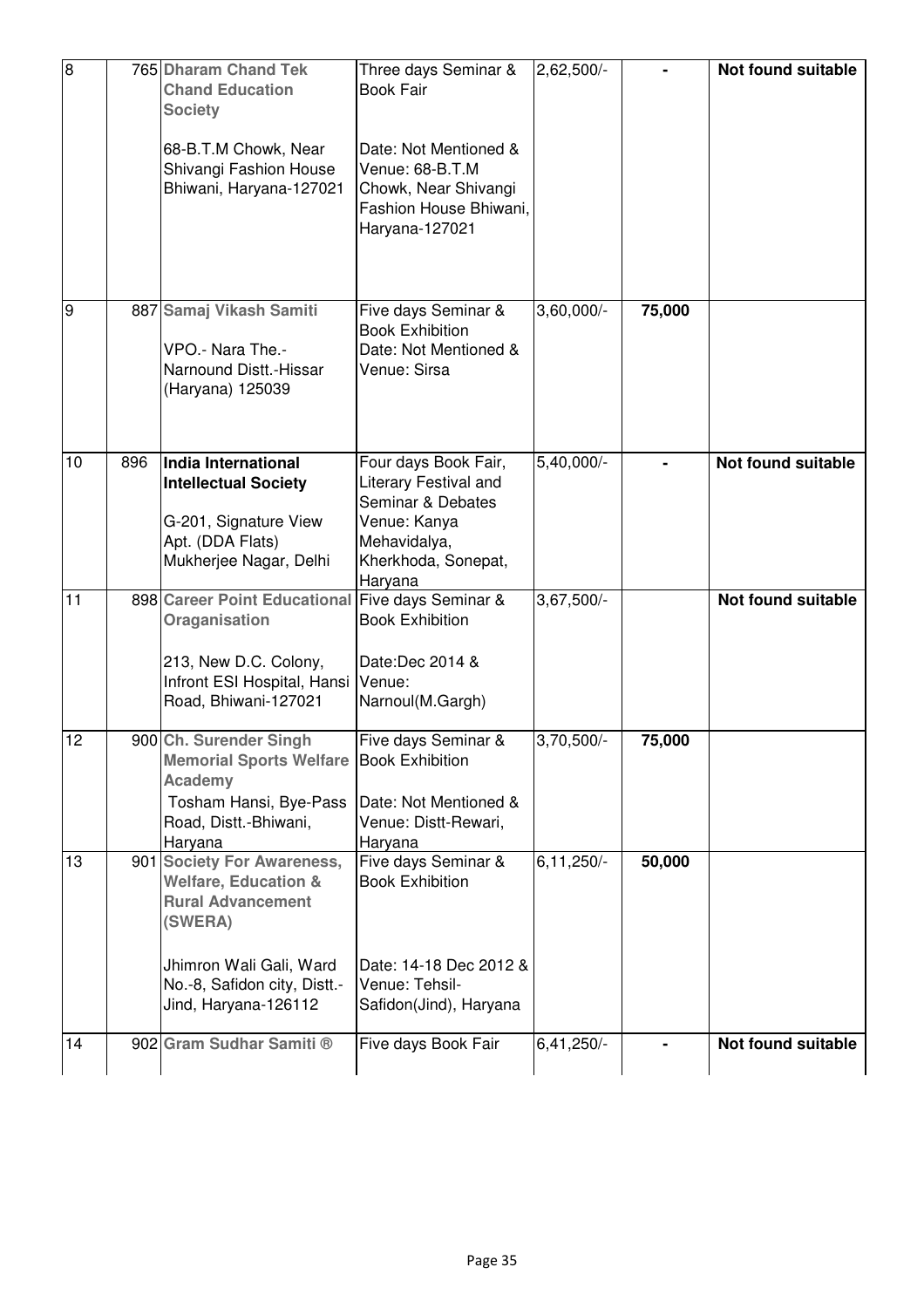| $\overline{8}$ |     | 765 Dharam Chand Tek<br><b>Chand Education</b><br><b>Society</b>                                                                                         | Three days Seminar &<br><b>Book Fair</b>                                                                                                    | 2,62,500/-     |        | Not found suitable        |
|----------------|-----|----------------------------------------------------------------------------------------------------------------------------------------------------------|---------------------------------------------------------------------------------------------------------------------------------------------|----------------|--------|---------------------------|
|                |     | 68-B.T.M Chowk, Near<br>Shivangi Fashion House<br>Bhiwani, Haryana-127021                                                                                | Date: Not Mentioned &<br>Venue: 68-B.T.M<br>Chowk, Near Shivangi<br>Fashion House Bhiwani,<br>Haryana-127021                                |                |        |                           |
| 9              |     | 887 Samaj Vikash Samiti<br>VPO .- Nara The .-<br>Narnound Distt.-Hissar<br>(Haryana) 125039                                                              | Five days Seminar &<br><b>Book Exhibition</b><br>Date: Not Mentioned &<br>Venue: Sirsa                                                      | 3,60,000/-     | 75,000 |                           |
| 10             | 896 | India International<br><b>Intellectual Society</b><br>G-201, Signature View<br>Apt. (DDA Flats)<br>Mukherjee Nagar, Delhi                                | Four days Book Fair,<br><b>Literary Festival and</b><br>Seminar & Debates<br>Venue: Kanya<br>Mehavidalya,<br>Kherkhoda, Sonepat,<br>Haryana | $5,40,000/-$   |        | <b>Not found suitable</b> |
| 11             |     | 898 Career Point Educational<br>Oraganisation<br>213, New D.C. Colony,<br>Infront ESI Hospital, Hansi<br>Road, Bhiwani-127021                            | Five days Seminar &<br><b>Book Exhibition</b><br>Date:Dec 2014 &<br>Venue:<br>Narnoul(M.Gargh)                                              | $3,67,500/-$   |        | <b>Not found suitable</b> |
| 12             |     | 900 Ch. Surender Singh<br><b>Memorial Sports Welfare Book Exhibition</b><br><b>Academy</b><br>Tosham Hansi, Bye-Pass<br>Road, Distt.-Bhiwani,<br>Haryana | Five days Seminar &<br>Date: Not Mentioned &<br>Venue: Distt-Rewari,<br>Haryana                                                             | $3,70,500/-$   | 75,000 |                           |
| 13             |     | 901 Society For Awareness,<br><b>Welfare, Education &amp;</b><br><b>Rural Advancement</b><br>(SWERA)                                                     | Five days Seminar &<br><b>Book Exhibition</b>                                                                                               | $6, 11, 250/-$ | 50,000 |                           |
|                |     | Jhimron Wali Gali, Ward<br>No.-8, Safidon city, Distt.-<br>Jind, Haryana-126112                                                                          | Date: 14-18 Dec 2012 &<br>Venue: Tehsil-<br>Safidon(Jind), Haryana                                                                          |                |        |                           |
| 14             |     | 902 Gram Sudhar Samiti ®                                                                                                                                 | Five days Book Fair                                                                                                                         | $6,41,250/-$   |        | <b>Not found suitable</b> |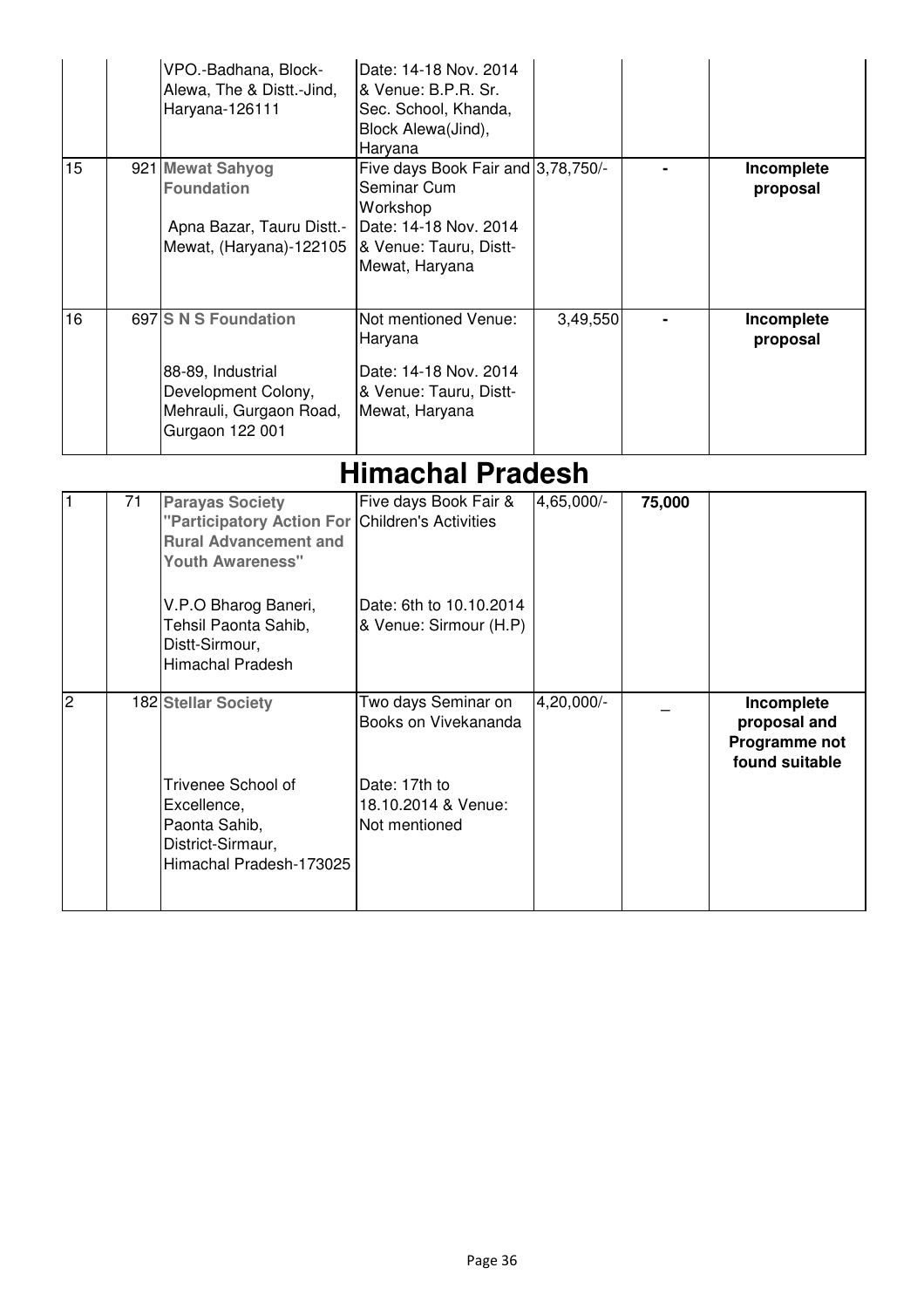| 15             |    | VPO.-Badhana, Block-<br>Alewa, The & Distt.-Jind,<br>Haryana-126111<br>921 Mewat Sahyog<br><b>Foundation</b><br>Apna Bazar, Tauru Distt.-<br>Mewat, (Haryana)-122105                                        | Date: 14-18 Nov. 2014<br>& Venue: B.P.R. Sr.<br>Sec. School, Khanda,<br>Block Alewa(Jind),<br>Haryana<br>Five days Book Fair and 3,78,750/-<br>Seminar Cum<br>Workshop<br>Date: 14-18 Nov. 2014<br>& Venue: Tauru, Distt-<br>Mewat, Haryana |            |        | Incomplete<br>proposal                                        |
|----------------|----|-------------------------------------------------------------------------------------------------------------------------------------------------------------------------------------------------------------|---------------------------------------------------------------------------------------------------------------------------------------------------------------------------------------------------------------------------------------------|------------|--------|---------------------------------------------------------------|
| 16             |    | 697 S N S Foundation<br>88-89, Industrial<br>Development Colony,<br>Mehrauli, Gurgaon Road,<br>Gurgaon 122 001                                                                                              | Not mentioned Venue:<br>Haryana<br>Date: 14-18 Nov. 2014<br>& Venue: Tauru, Distt-<br>Mewat, Haryana                                                                                                                                        | 3,49,550   |        | Incomplete<br>proposal                                        |
|                |    |                                                                                                                                                                                                             | <b>Himachal Pradesh</b>                                                                                                                                                                                                                     |            |        |                                                               |
| 1              | 71 | <b>Parayas Society</b><br>"Participatory Action For<br><b>Rural Advancement and</b><br><b>Youth Awareness"</b><br>V.P.O Bharog Baneri,<br>Tehsil Paonta Sahib,<br>Distt-Sirmour,<br><b>Himachal Pradesh</b> | Five days Book Fair &<br><b>Children's Activities</b><br>Date: 6th to 10.10.2014<br>& Venue: Sirmour (H.P)                                                                                                                                  | 4,65,000/- | 75,000 |                                                               |
| $\overline{2}$ |    | 182 Stellar Society<br>Trivenee School of<br>Excellence,<br>Paonta Sahib,<br>District-Sirmaur,<br>Himachal Pradesh-173025                                                                                   | Two days Seminar on<br>Books on Vivekananda<br>Date: 17th to<br>18.10.2014 & Venue:<br>Not mentioned                                                                                                                                        | 4,20,000/- |        | Incomplete<br>proposal and<br>Programme not<br>found suitable |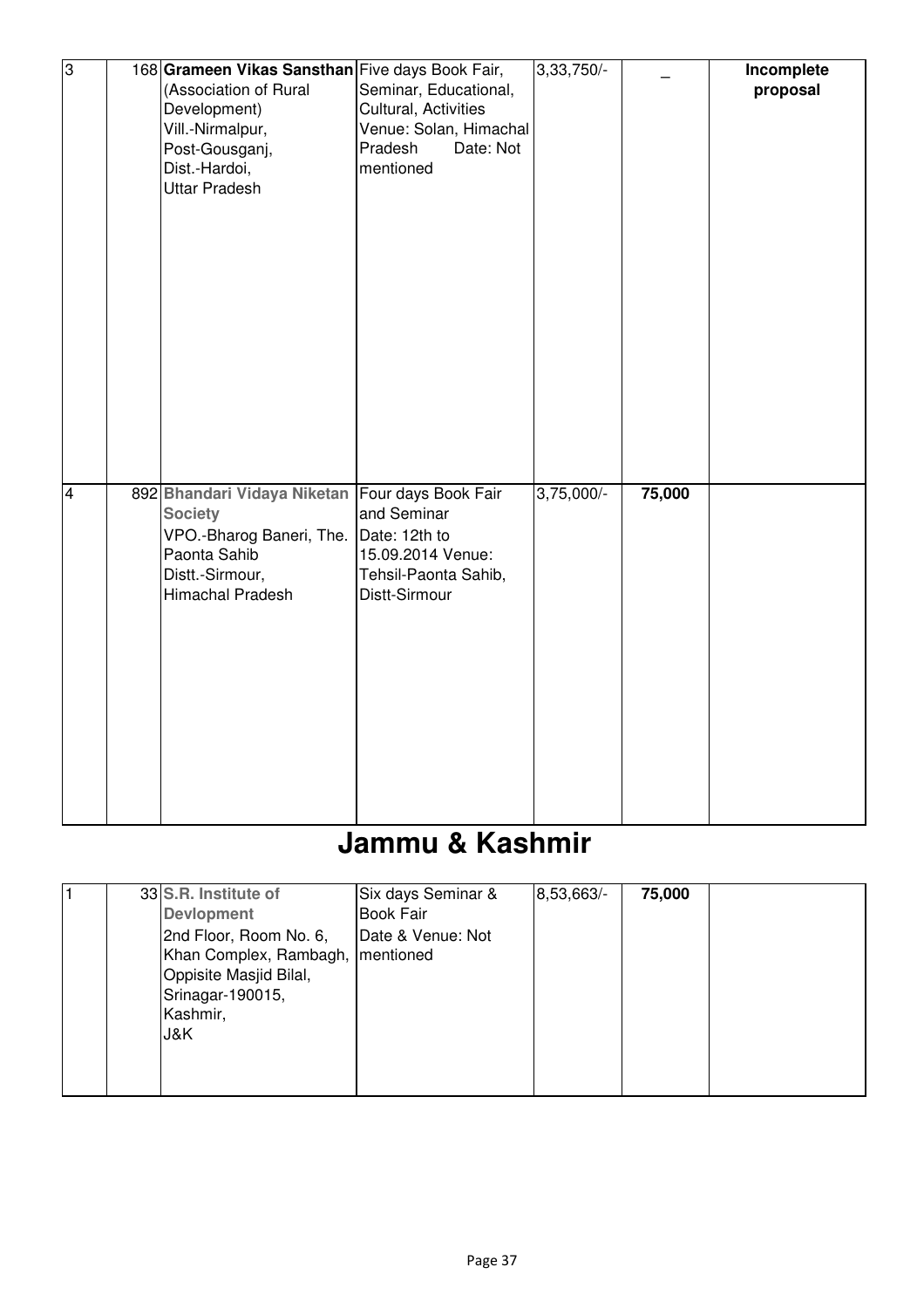| $\overline{3}$          | 168 Grameen Vikas Sansthan Five days Book Fair,<br>(Association of Rural<br>Development)<br>Vill.-Nirmalpur,<br>Post-Gousganj,<br>Dist.-Hardoi,<br><b>Uttar Pradesh</b> | Seminar, Educational,<br>Cultural, Activities<br>Venue: Solan, Himachal<br>Pradesh<br>Date: Not<br>mentioned      | $3,33,750/-$ |        | Incomplete<br>proposal |
|-------------------------|-------------------------------------------------------------------------------------------------------------------------------------------------------------------------|-------------------------------------------------------------------------------------------------------------------|--------------|--------|------------------------|
| $\overline{\mathbf{4}}$ | 892 Bhandari Vidaya Niketan<br><b>Society</b><br>VPO.-Bharog Baneri, The.<br>Paonta Sahib<br>Distt.-Sirmour,<br>Himachal Pradesh                                        | Four days Book Fair<br>and Seminar<br>Date: 12th to<br>15.09.2014 Venue:<br>Tehsil-Paonta Sahib,<br>Distt-Sirmour | $3,75,000/-$ | 75,000 |                        |

## **Jammu & Kashmir**

|  | 33 S.R. Institute of               | Six days Seminar & | 8,53,663/- | 75,000 |  |
|--|------------------------------------|--------------------|------------|--------|--|
|  | <b>Devlopment</b>                  | <b>Book Fair</b>   |            |        |  |
|  | 2nd Floor, Room No. 6,             | Date & Venue: Not  |            |        |  |
|  | Khan Complex, Rambagh,   mentioned |                    |            |        |  |
|  | Oppisite Masjid Bilal,             |                    |            |        |  |
|  | Srinagar-190015,                   |                    |            |        |  |
|  | Kashmir,                           |                    |            |        |  |
|  | J&K.                               |                    |            |        |  |
|  |                                    |                    |            |        |  |
|  |                                    |                    |            |        |  |
|  |                                    |                    |            |        |  |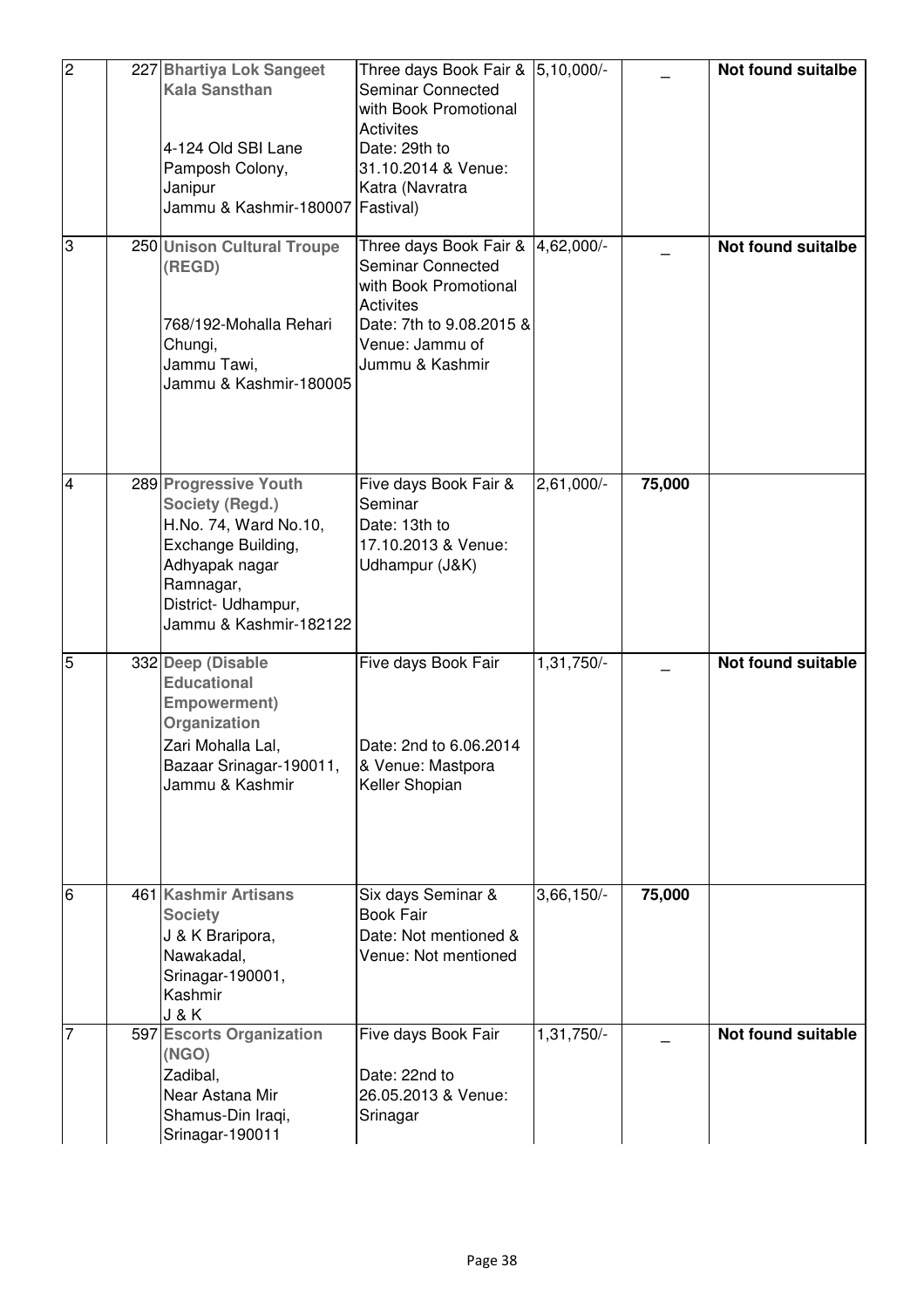| $\overline{2}$ | 227 Bhartiya Lok Sangeet<br><b>Kala Sansthan</b><br>4-124 Old SBI Lane<br>Pamposh Colony,<br>Janipur<br>Jammu & Kashmir-180007                                          | Three days Book Fair & 5,10,000/-<br>Seminar Connected<br>with Book Promotional<br>Activites<br>Date: 29th to<br>31.10.2014 & Venue:<br>Katra (Navratra<br>Fastival) |                         |        | <b>Not found suitalbe</b> |
|----------------|-------------------------------------------------------------------------------------------------------------------------------------------------------------------------|----------------------------------------------------------------------------------------------------------------------------------------------------------------------|-------------------------|--------|---------------------------|
| 3              | 250 Unison Cultural Troupe<br>(REGD)<br>768/192-Mohalla Rehari<br>Chungi,<br>Jammu Tawi,<br>Jammu & Kashmir-180005                                                      | Three days Book Fair &<br><b>Seminar Connected</b><br>with Book Promotional<br><b>Activites</b><br>Date: 7th to 9.08.2015 &<br>Venue: Jammu of<br>Jummu & Kashmir    | 4,62,000/-              |        | <b>Not found suitalbe</b> |
| $\overline{4}$ | 289 Progressive Youth<br>Society (Regd.)<br>H.No. 74, Ward No.10,<br>Exchange Building,<br>Adhyapak nagar<br>Ramnagar,<br>District- Udhampur,<br>Jammu & Kashmir-182122 | Five days Book Fair &<br>Seminar<br>Date: 13th to<br>17.10.2013 & Venue:<br>Udhampur (J&K)                                                                           | 2,61,000/-              | 75,000 |                           |
| $\overline{5}$ | 332 Deep (Disable<br><b>Educational</b><br><b>Empowerment)</b><br>Organization<br>Zari Mohalla Lal.<br>Bazaar Srinagar-190011,<br>Jammu & Kashmir                       | Five days Book Fair<br>Date: 2nd to 6.06.2014<br>& Venue: Mastpora<br>Keller Shopian                                                                                 | 1,31,750/-              |        | Not found suitable        |
| 6              | 461 Kashmir Artisans<br><b>Society</b><br>J & K Braripora,<br>Nawakadal,<br>Srinagar-190001,<br>Kashmir<br><b>J&amp;K</b>                                               | Six days Seminar &<br><b>Book Fair</b><br>Date: Not mentioned &<br>Venue: Not mentioned                                                                              | $3,66,150$ <sup>-</sup> | 75,000 |                           |
| $\overline{7}$ | 597 Escorts Organization<br>(NGO)<br>Zadibal,<br>Near Astana Mir<br>Shamus-Din Iraqi,<br>Srinagar-190011                                                                | Five days Book Fair<br>Date: 22nd to<br>26.05.2013 & Venue:<br>Srinagar                                                                                              | $1,31,750$ <sup>-</sup> |        | <b>Not found suitable</b> |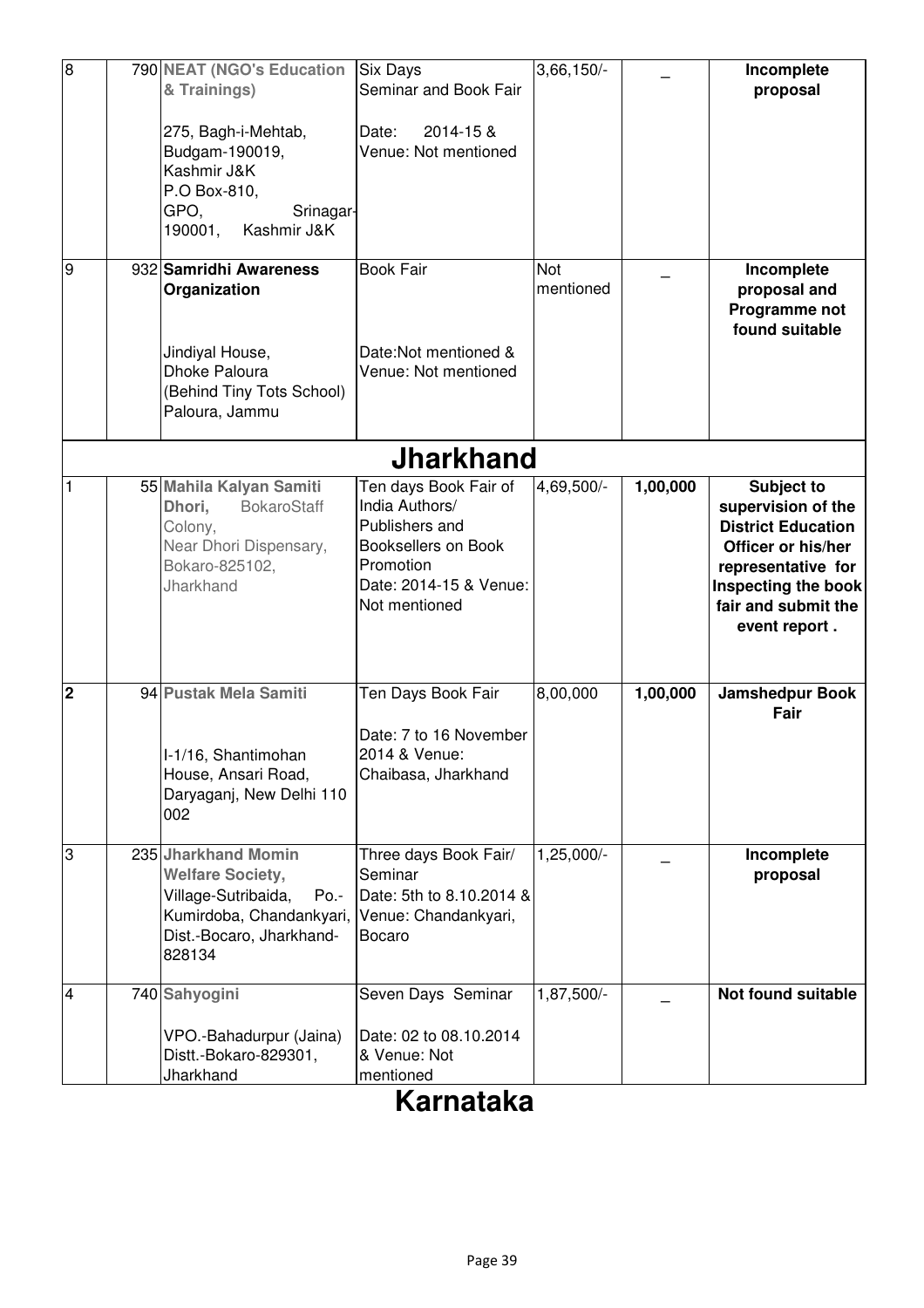| $\overline{8}$ |                  | 790 NEAT (NGO's Education<br>& Trainings)<br>275, Bagh-i-Mehtab,<br>Budgam-190019,<br>Kashmir J&K                                                 | <b>Six Days</b><br>Seminar and Book Fair<br>2014-15 &<br>Date:<br>Venue: Not mentioned                                                          | 3,66,150                |          | Incomplete<br>proposal                                                                                                                                                   |  |  |  |
|----------------|------------------|---------------------------------------------------------------------------------------------------------------------------------------------------|-------------------------------------------------------------------------------------------------------------------------------------------------|-------------------------|----------|--------------------------------------------------------------------------------------------------------------------------------------------------------------------------|--|--|--|
|                |                  | P.O Box-810,<br>GPO,<br>Srinagar-<br>190001, Kashmir J&K                                                                                          |                                                                                                                                                 |                         |          |                                                                                                                                                                          |  |  |  |
| σ              |                  | 932 Samridhi Awareness<br>Organization                                                                                                            | <b>Book Fair</b>                                                                                                                                | <b>Not</b><br>mentioned |          | Incomplete<br>proposal and<br>Programme not<br>found suitable                                                                                                            |  |  |  |
|                |                  | Jindiyal House,<br>Dhoke Paloura<br>(Behind Tiny Tots School)<br>Paloura, Jammu                                                                   | Date:Not mentioned &<br>Venue: Not mentioned                                                                                                    |                         |          |                                                                                                                                                                          |  |  |  |
|                | <b>Jharkhand</b> |                                                                                                                                                   |                                                                                                                                                 |                         |          |                                                                                                                                                                          |  |  |  |
| 1              |                  | 55 Mahila Kalyan Samiti<br>Dhori,<br><b>BokaroStaff</b><br>Colony,<br>Near Dhori Dispensary,<br>Bokaro-825102,<br>Jharkhand                       | Ten days Book Fair of<br>India Authors/<br>Publishers and<br><b>Booksellers on Book</b><br>Promotion<br>Date: 2014-15 & Venue:<br>Not mentioned | 4,69,500/-              | 1,00,000 | Subject to<br>supervision of the<br><b>District Education</b><br>Officer or his/her<br>representative for<br>Inspecting the book<br>fair and submit the<br>event report. |  |  |  |
| $\overline{2}$ |                  | 94 Pustak Mela Samiti<br>I-1/16, Shantimohan<br>House, Ansari Road,<br>Daryaganj, New Delhi 110<br>002                                            | Ten Days Book Fair<br>Date: 7 to 16 November<br>2014 & Venue:<br>Chaibasa, Jharkhand                                                            | 8,00,000                | 1,00,000 | Jamshedpur Book<br>Fair                                                                                                                                                  |  |  |  |
| $\overline{3}$ |                  | 235 Jharkhand Momin<br><b>Welfare Society,</b><br>Village-Sutribaida,<br>$Po -$<br>Kumirdoba, Chandankyari,<br>Dist.-Bocaro, Jharkhand-<br>828134 | Three days Book Fair/<br>Seminar<br>Date: 5th to 8.10.2014 &<br>Venue: Chandankyari,<br><b>Bocaro</b>                                           | $1,25,000/-$            |          | Incomplete<br>proposal                                                                                                                                                   |  |  |  |
| $\overline{4}$ |                  | 740 Sahyogini<br>VPO.-Bahadurpur (Jaina)<br>Distt.-Bokaro-829301,<br>Jharkhand                                                                    | Seven Days Seminar<br>Date: 02 to 08.10.2014<br>& Venue: Not<br>mentioned                                                                       | 1,87,500/-              |          | Not found suitable                                                                                                                                                       |  |  |  |

## **Karnataka**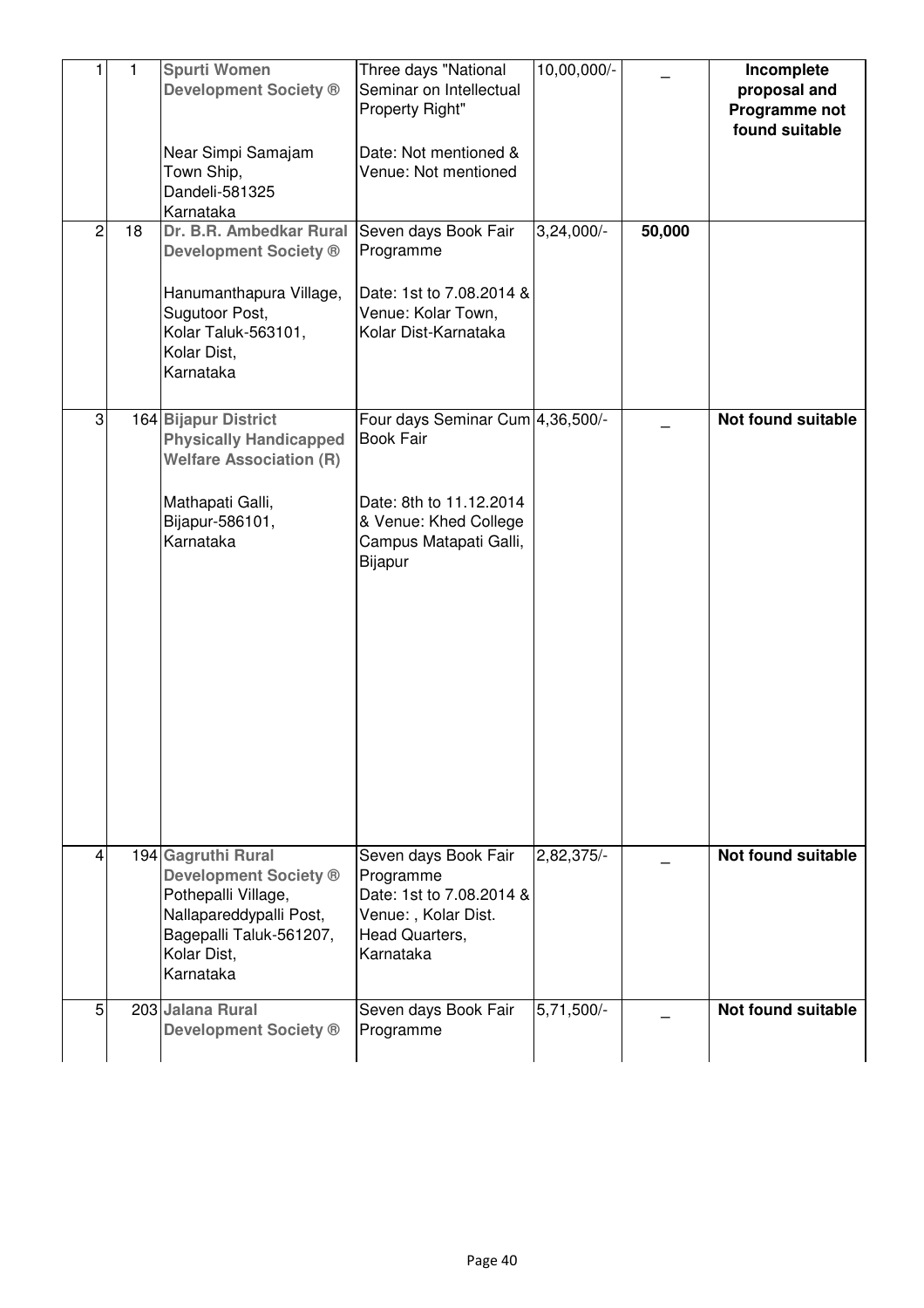| 1              | $\mathbf{1}$ | <b>Spurti Women</b><br><b>Development Society ®</b><br>Near Simpi Samajam<br>Town Ship,<br>Dandeli-581325                                                            | Three days "National<br>Seminar on Intellectual<br>Property Right"<br>Date: Not mentioned &<br>Venue: Not mentioned                           | 10,00,000/-  |        | Incomplete<br>proposal and<br>Programme not<br>found suitable |
|----------------|--------------|----------------------------------------------------------------------------------------------------------------------------------------------------------------------|-----------------------------------------------------------------------------------------------------------------------------------------------|--------------|--------|---------------------------------------------------------------|
| $\overline{c}$ | 18           | Karnataka<br>Dr. B.R. Ambedkar Rural<br><b>Development Society ®</b><br>Hanumanthapura Village,<br>Sugutoor Post,<br>Kolar Taluk-563101,<br>Kolar Dist,<br>Karnataka | Seven days Book Fair<br>Programme<br>Date: 1st to 7.08.2014 &<br>Venue: Kolar Town,<br>Kolar Dist-Karnataka                                   | $3,24,000/-$ | 50,000 |                                                               |
| 3              |              | 164 Bijapur District<br><b>Physically Handicapped</b><br><b>Welfare Association (R)</b><br>Mathapati Galli,<br>Bijapur-586101,<br>Karnataka                          | Four days Seminar Cum 4,36,500/-<br><b>Book Fair</b><br>Date: 8th to 11.12.2014<br>& Venue: Khed College<br>Campus Matapati Galli,<br>Bijapur |              |        | Not found suitable                                            |
| 4              |              | 194 Gagruthi Rural<br><b>Development Society ®</b><br>Pothepalli Village,<br>Nallapareddypalli Post,<br>Bagepalli Taluk-561207,<br>Kolar Dist,<br>Karnataka          | Seven days Book Fair<br>Programme<br>Date: 1st to 7.08.2014 &<br>Venue:, Kolar Dist.<br>Head Quarters,<br>Karnataka                           | 2,82,375/-   |        | Not found suitable                                            |
| 5 <sup>1</sup> |              | 203 Jalana Rural<br><b>Development Society ®</b>                                                                                                                     | Seven days Book Fair<br>Programme                                                                                                             | $5,71,500/-$ |        | Not found suitable                                            |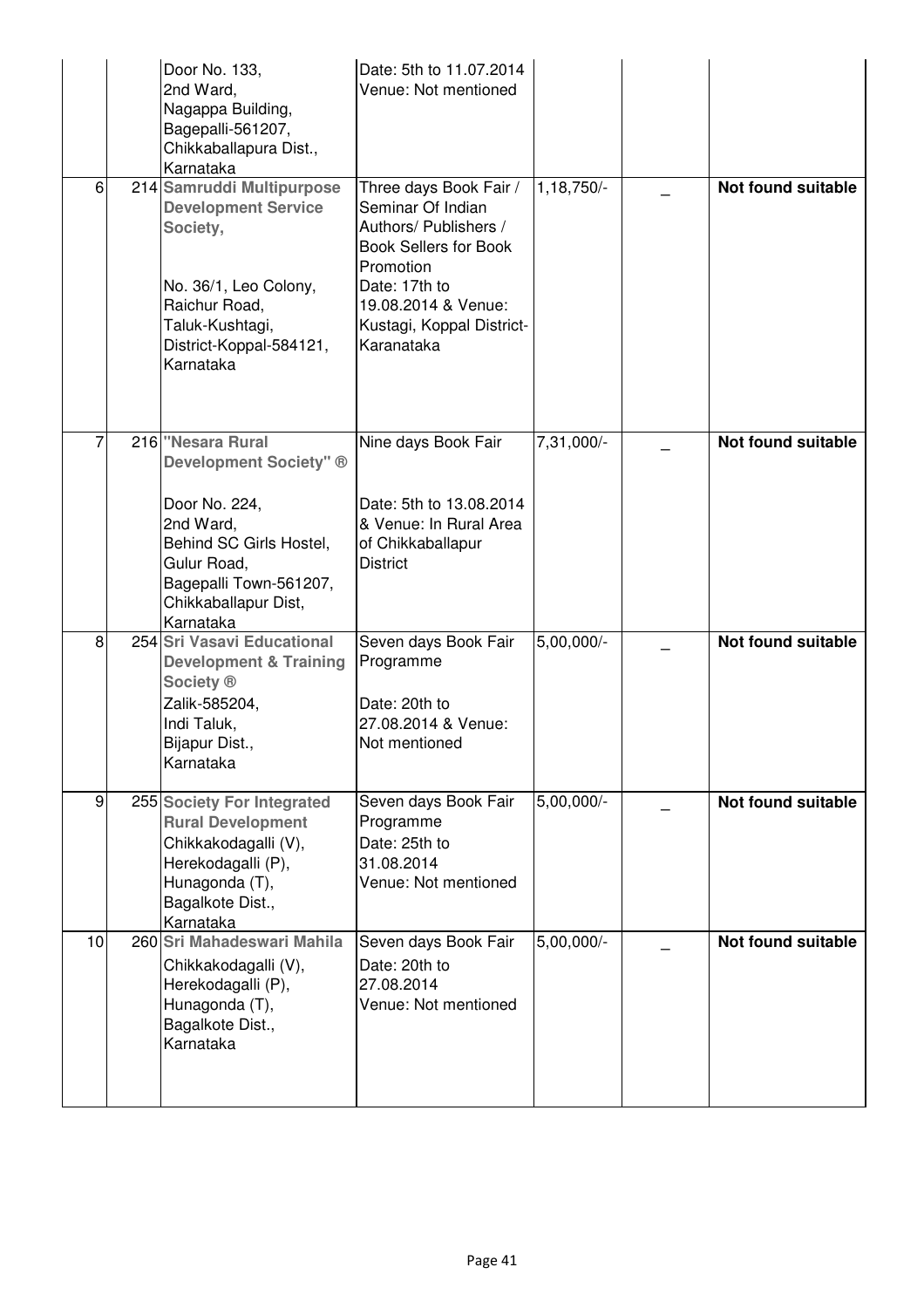|                | Door No. 133,<br>2nd Ward,<br>Nagappa Building,<br>Bagepalli-561207,<br>Chikkaballapura Dist.,<br>Karnataka                                                              | Date: 5th to 11.07.2014<br>Venue: Not mentioned                                                                                                                                                      |              |                           |
|----------------|--------------------------------------------------------------------------------------------------------------------------------------------------------------------------|------------------------------------------------------------------------------------------------------------------------------------------------------------------------------------------------------|--------------|---------------------------|
| 6              | 214 Samruddi Multipurpose<br><b>Development Service</b><br>Society,<br>No. 36/1, Leo Colony,<br>Raichur Road,<br>Taluk-Kushtagi,<br>District-Koppal-584121,<br>Karnataka | Three days Book Fair /<br>Seminar Of Indian<br>Authors/ Publishers /<br><b>Book Sellers for Book</b><br>Promotion<br>Date: 17th to<br>19.08.2014 & Venue:<br>Kustagi, Koppal District-<br>Karanataka | $1,18,750/-$ | <b>Not found suitable</b> |
|                | 216 "Nesara Rural<br>Development Society" ®<br>Door No. 224,<br>2nd Ward,<br>Behind SC Girls Hostel,<br>Gulur Road,<br>Bagepalli Town-561207,<br>Chikkaballapur Dist,    | Nine days Book Fair<br>Date: 5th to 13.08.2014<br>& Venue: In Rural Area<br>of Chikkaballapur<br><b>District</b>                                                                                     | 7,31,000/-   | Not found suitable        |
| 8              | Karnataka<br>254 Sri Vasavi Educational<br><b>Development &amp; Training</b><br>Society ®<br>Zalik-585204,<br>Indi Taluk,<br>Bijapur Dist.,<br>Karnataka                 | Seven days Book Fair<br>Programme<br>Date: 20th to<br>27.08.2014 & Venue:<br>Not mentioned                                                                                                           | $5,00,000/-$ | <b>Not found suitable</b> |
| $\overline{9}$ | 255 Society For Integrated<br><b>Rural Development</b><br>Chikkakodagalli (V),<br>Herekodagalli (P),<br>Hunagonda (T),<br>Bagalkote Dist.,<br>Karnataka                  | Seven days Book Fair<br>Programme<br>Date: 25th to<br>31.08.2014<br>Venue: Not mentioned                                                                                                             | 5,00,000/-   | Not found suitable        |
| 10             | 260 Sri Mahadeswari Mahila<br>Chikkakodagalli (V),<br>Herekodagalli (P),<br>Hunagonda (T),<br>Bagalkote Dist.,<br>Karnataka                                              | Seven days Book Fair<br>Date: 20th to<br>27.08.2014<br>Venue: Not mentioned                                                                                                                          | 5,00,000/-   | Not found suitable        |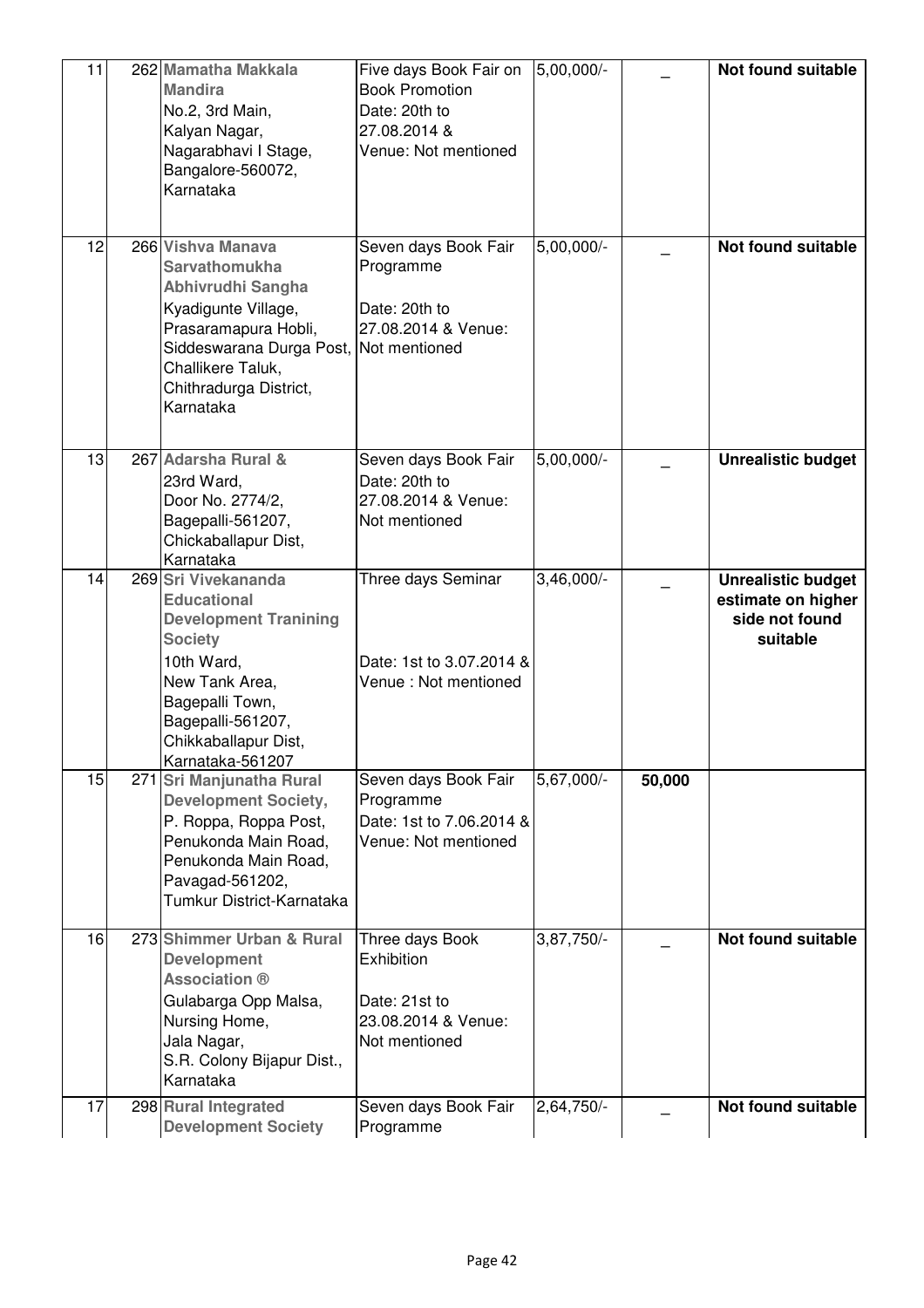| 11 | 262 Mamatha Makkala<br><b>Mandira</b><br>No.2, 3rd Main,<br>Kalyan Nagar,<br>Nagarabhavi I Stage,<br>Bangalore-560072,<br>Karnataka                                                                                 | Five days Book Fair on<br><b>Book Promotion</b><br>Date: 20th to<br>27.08.2014 &<br>Venue: Not mentioned | 5,00,000/-   |        | Not found suitable                                                            |
|----|---------------------------------------------------------------------------------------------------------------------------------------------------------------------------------------------------------------------|----------------------------------------------------------------------------------------------------------|--------------|--------|-------------------------------------------------------------------------------|
| 12 | 266 Vishva Manava<br><b>Sarvathomukha</b><br>Abhivrudhi Sangha<br>Kyadigunte Village,<br>Prasaramapura Hobli,<br>Siddeswarana Durga Post, Not mentioned<br>Challikere Taluk,<br>Chithradurga District,<br>Karnataka | Seven days Book Fair<br>Programme<br>Date: 20th to<br>27.08.2014 & Venue:                                | $5,00,000/-$ |        | Not found suitable                                                            |
| 13 | 267 Adarsha Rural &<br>23rd Ward,<br>Door No. 2774/2,<br>Bagepalli-561207,<br>Chickaballapur Dist,<br>Karnataka                                                                                                     | Seven days Book Fair<br>Date: 20th to<br>27.08.2014 & Venue:<br>Not mentioned                            | $5,00,000/-$ |        | <b>Unrealistic budget</b>                                                     |
| 14 | 269 Sri Vivekananda<br><b>Educational</b><br><b>Development Tranining</b><br><b>Society</b><br>10th Ward,<br>New Tank Area,<br>Bagepalli Town,<br>Bagepalli-561207,<br>Chikkaballapur Dist,<br>Karnataka-561207     | Three days Seminar<br>Date: 1st to 3.07.2014 &<br>Venue: Not mentioned                                   | $3,46,000/-$ |        | <b>Unrealistic budget</b><br>estimate on higher<br>side not found<br>suitable |
| 15 | 271 Sri Manjunatha Rural<br><b>Development Society,</b><br>P. Roppa, Roppa Post,<br>Penukonda Main Road,<br>Penukonda Main Road,<br>Pavagad-561202,<br>Tumkur District-Karnataka                                    | Seven days Book Fair<br>Programme<br>Date: 1st to 7.06.2014 &<br>Venue: Not mentioned                    | 5,67,000/-   | 50,000 |                                                                               |
| 16 | 273 Shimmer Urban & Rural<br><b>Development</b><br><b>Association ®</b><br>Gulabarga Opp Malsa,<br>Nursing Home,<br>Jala Nagar,<br>S.R. Colony Bijapur Dist.,<br>Karnataka                                          | Three days Book<br>Exhibition<br>Date: 21st to<br>23.08.2014 & Venue:<br>Not mentioned                   | 3,87,750/-   |        | <b>Not found suitable</b>                                                     |
| 17 | 298 Rural Integrated<br><b>Development Society</b>                                                                                                                                                                  | Seven days Book Fair<br>Programme                                                                        | 2,64,750     |        | Not found suitable                                                            |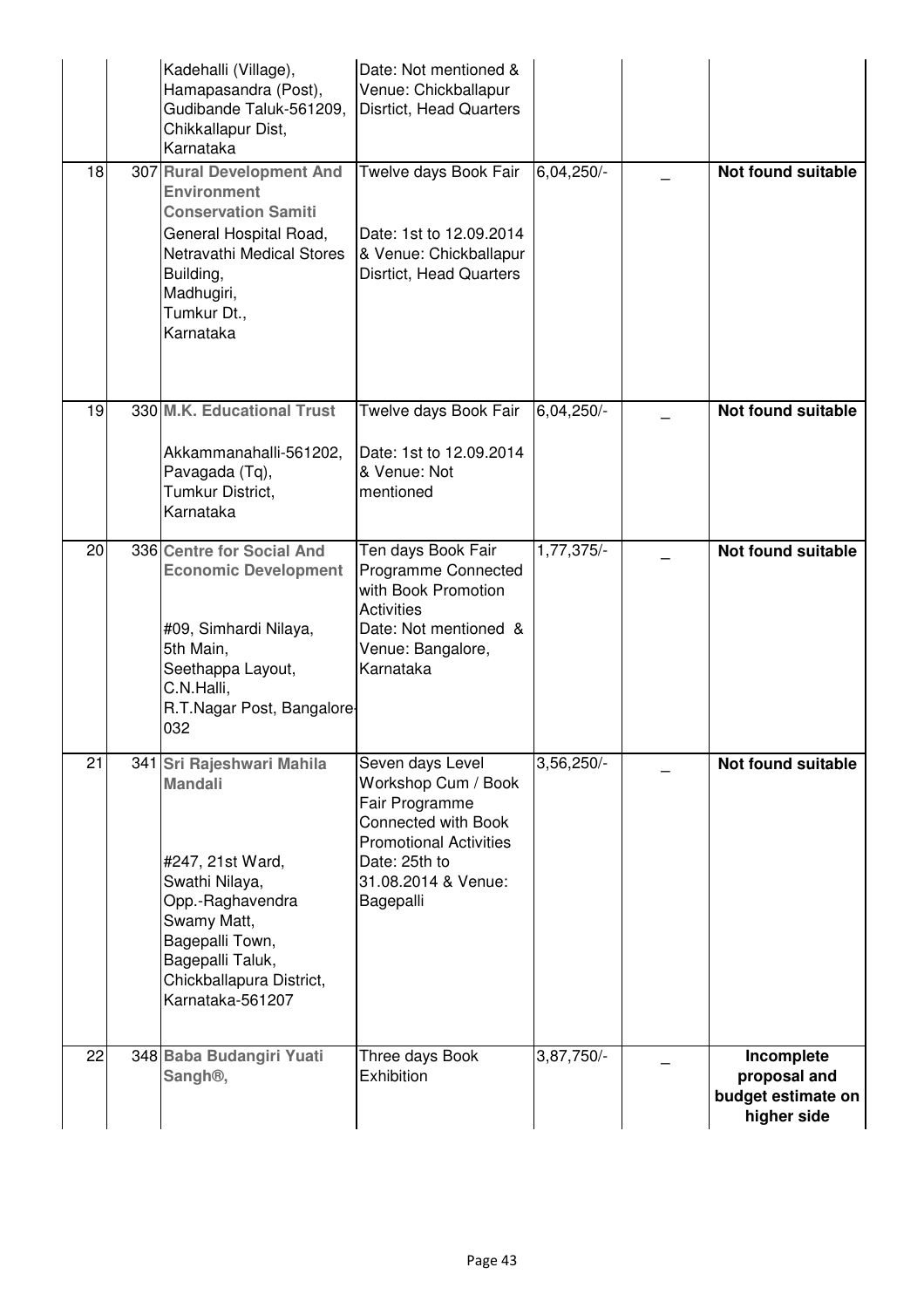|    | Kadehalli (Village),<br>Hamapasandra (Post),<br>Gudibande Taluk-561209,<br>Chikkallapur Dist,<br>Karnataka                                                                                                  | Date: Not mentioned &<br>Venue: Chickballapur<br>Disrtict, Head Quarters                                                                                                      |              |                                                                 |
|----|-------------------------------------------------------------------------------------------------------------------------------------------------------------------------------------------------------------|-------------------------------------------------------------------------------------------------------------------------------------------------------------------------------|--------------|-----------------------------------------------------------------|
| 18 | 307 Rural Development And<br><b>Environment</b><br><b>Conservation Samiti</b><br>General Hospital Road,<br>Netravathi Medical Stores<br>Building,<br>Madhugiri,<br>Tumkur Dt.,<br>Karnataka                 | Twelve days Book Fair<br>Date: 1st to 12.09.2014<br>& Venue: Chickballapur<br>Disrtict, Head Quarters                                                                         | 6,04,250/-   | <b>Not found suitable</b>                                       |
| 19 | 330 M.K. Educational Trust<br>Akkammanahalli-561202,<br>Pavagada (Tq),<br>Tumkur District,<br>Karnataka                                                                                                     | Twelve days Book Fair<br>Date: 1st to 12.09.2014<br>& Venue: Not<br>mentioned                                                                                                 | $6,04,250/-$ | Not found suitable                                              |
| 20 | 336 Centre for Social And<br><b>Economic Development</b><br>#09, Simhardi Nilaya,<br>5th Main,<br>Seethappa Layout,<br>C.N.Halli,<br>R.T.Nagar Post, Bangalore-<br>032                                      | Ten days Book Fair<br>Programme Connected<br>with Book Promotion<br><b>Activities</b><br>Date: Not mentioned &<br>Venue: Bangalore,<br>Karnataka                              | 1,77,375/-   | Not found suitable                                              |
| 21 | 341 Sri Rajeshwari Mahila<br><b>Mandali</b><br>#247, 21st Ward,<br>Swathi Nilaya,<br>Opp.-Raghavendra<br>Swamy Matt,<br>Bagepalli Town,<br>Bagepalli Taluk,<br>Chickballapura District,<br>Karnataka-561207 | Seven days Level<br>Workshop Cum / Book<br>Fair Programme<br><b>Connected with Book</b><br><b>Promotional Activities</b><br>Date: 25th to<br>31.08.2014 & Venue:<br>Bagepalli | $3,56,250/-$ | Not found suitable                                              |
| 22 | 348 Baba Budangiri Yuati<br>Sangh <sup>®</sup> ,                                                                                                                                                            | Three days Book<br>Exhibition                                                                                                                                                 | 3,87,750/-   | Incomplete<br>proposal and<br>budget estimate on<br>higher side |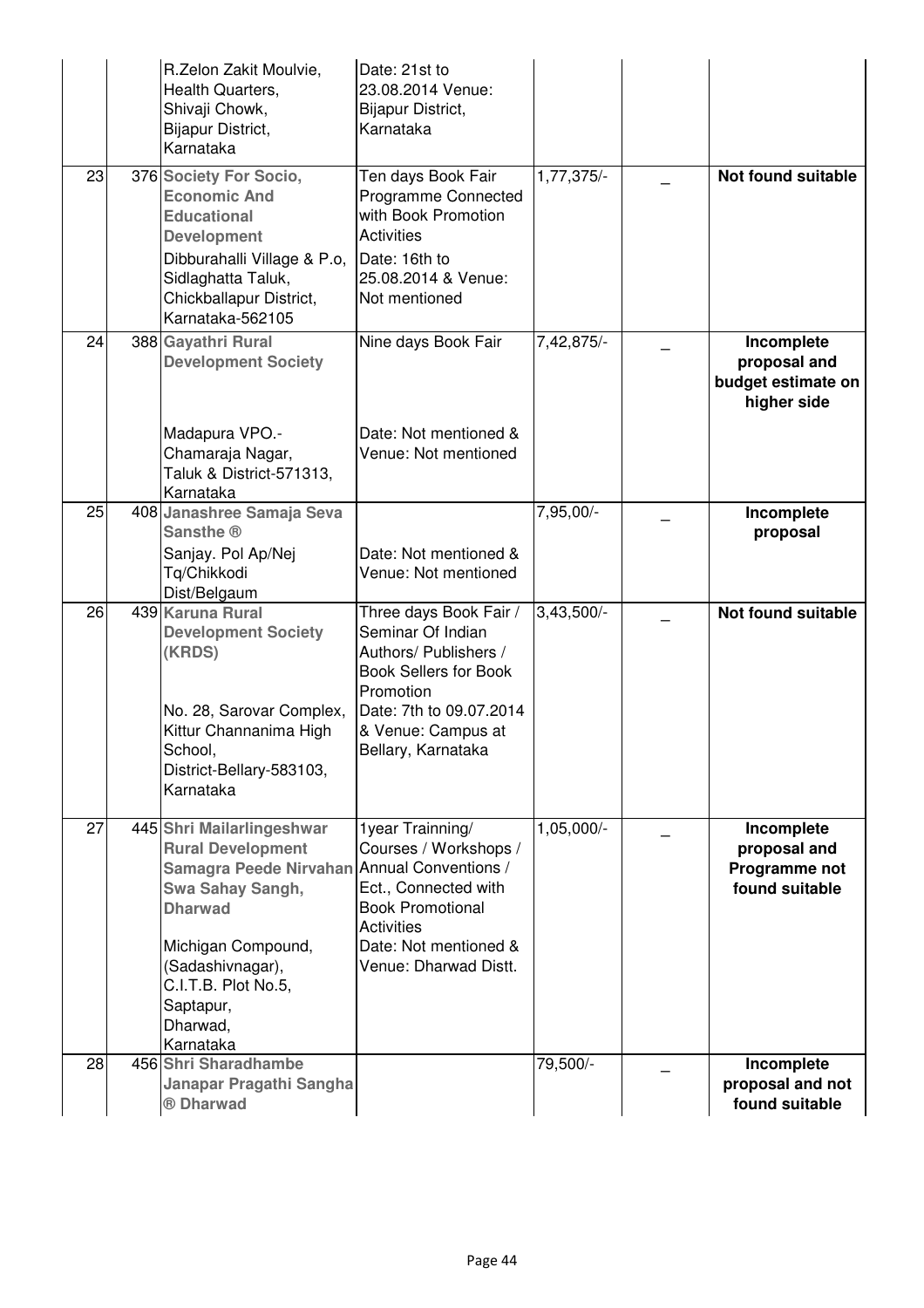|    | R.Zelon Zakit Moulvie,<br>Health Quarters,<br>Shivaji Chowk,<br>Bijapur District,<br>Karnataka                                                                                                      | Date: 21st to<br>23.08.2014 Venue:<br>Bijapur District,<br>Karnataka                                                                                                                        |              |                                                                 |
|----|-----------------------------------------------------------------------------------------------------------------------------------------------------------------------------------------------------|---------------------------------------------------------------------------------------------------------------------------------------------------------------------------------------------|--------------|-----------------------------------------------------------------|
| 23 | 376 Society For Socio,<br><b>Economic And</b><br><b>Educational</b><br><b>Development</b><br>Dibburahalli Village & P.o,                                                                            | Ten days Book Fair<br>Programme Connected<br>with Book Promotion<br><b>Activities</b><br>Date: 16th to                                                                                      | $1,77,375/-$ | Not found suitable                                              |
|    | Sidlaghatta Taluk,<br>Chickballapur District,<br>Karnataka-562105                                                                                                                                   | 25.08.2014 & Venue:<br>Not mentioned                                                                                                                                                        |              |                                                                 |
| 24 | 388 Gayathri Rural<br><b>Development Society</b>                                                                                                                                                    | Nine days Book Fair                                                                                                                                                                         | 7,42,875/-   | Incomplete<br>proposal and<br>budget estimate on<br>higher side |
|    | Madapura VPO.-<br>Chamaraja Nagar,<br>Taluk & District-571313,<br>Karnataka                                                                                                                         | Date: Not mentioned &<br>Venue: Not mentioned                                                                                                                                               |              |                                                                 |
| 25 | 408 Janashree Samaja Seva<br>Sansthe ®<br>Sanjay. Pol Ap/Nej<br>Tq/Chikkodi<br>Dist/Belgaum                                                                                                         | Date: Not mentioned &<br>Venue: Not mentioned                                                                                                                                               | 7,95,00/-    | Incomplete<br>proposal                                          |
| 26 | 439 Karuna Rural<br><b>Development Society</b><br>(KRDS)                                                                                                                                            | Three days Book Fair /<br>Seminar Of Indian<br>Authors/ Publishers /<br><b>Book Sellers for Book</b><br>Promotion                                                                           | $3,43,500/-$ | <b>Not found suitable</b>                                       |
|    | No. 28, Sarovar Complex,<br>Kittur Channanima High<br>School.<br>District-Bellary-583103,<br>Karnataka                                                                                              | Date: 7th to 09.07.2014<br>& Venue: Campus at<br>Bellary, Karnataka                                                                                                                         |              |                                                                 |
| 27 | 445 Shri Mailarlingeshwar<br><b>Rural Development</b><br>Samagra Peede Nirvahan<br>Swa Sahay Sangh,<br><b>Dharwad</b><br>Michigan Compound,<br>(Sadashivnagar),<br>C.I.T.B. Plot No.5,<br>Saptapur, | 1year Trainning/<br>Courses / Workshops /<br>Annual Conventions /<br>Ect., Connected with<br><b>Book Promotional</b><br><b>Activities</b><br>Date: Not mentioned &<br>Venue: Dharwad Distt. | $1,05,000/-$ | Incomplete<br>proposal and<br>Programme not<br>found suitable   |
| 28 | Dharwad,<br>Karnataka<br>456 Shri Sharadhambe<br>Janapar Pragathi Sangha                                                                                                                            |                                                                                                                                                                                             | 79,500/-     | Incomplete<br>proposal and not                                  |
|    | ® Dharwad                                                                                                                                                                                           |                                                                                                                                                                                             |              | found suitable                                                  |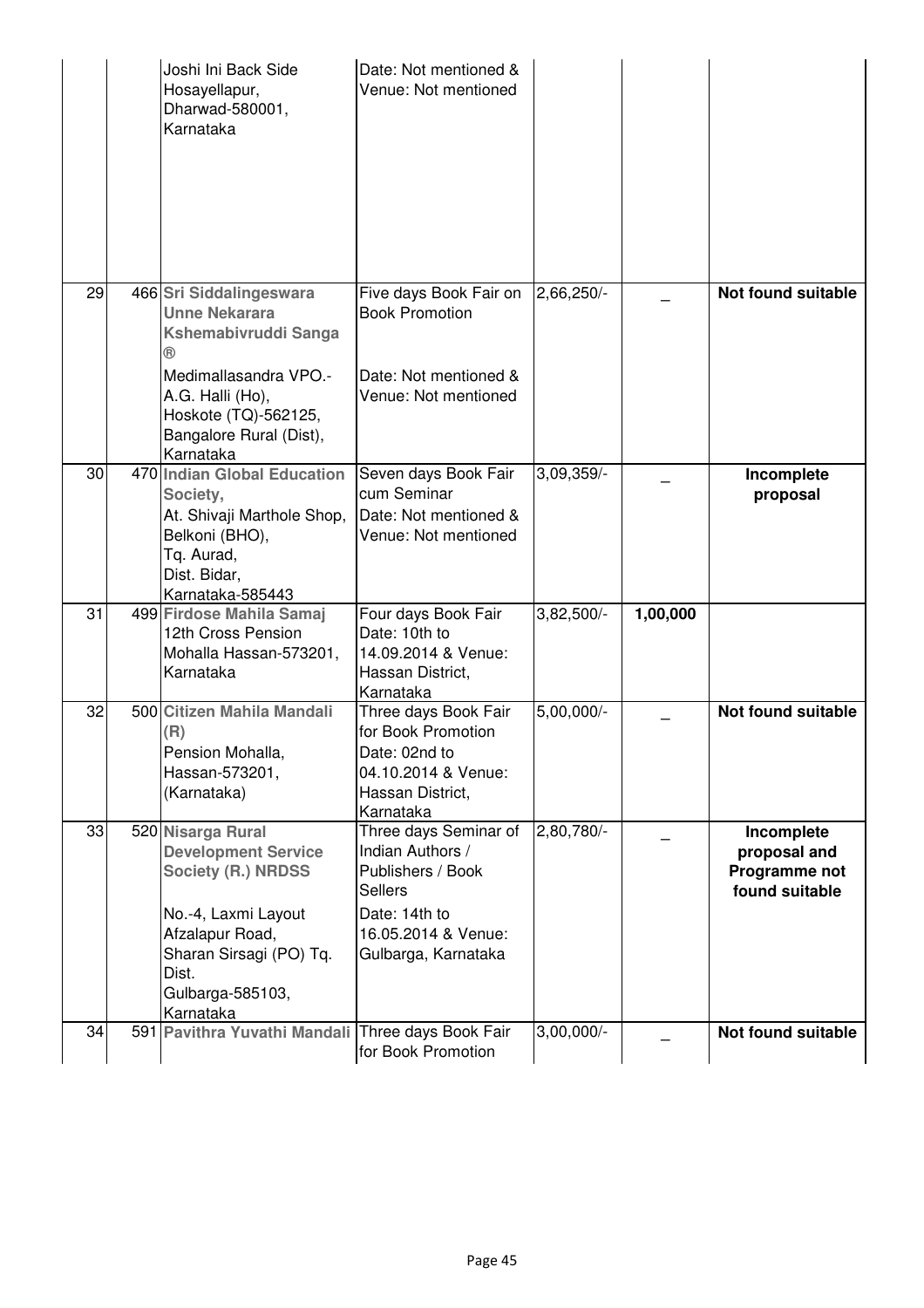|    | Joshi Ini Back Side<br>Hosayellapur,<br>Dharwad-580001,<br>Karnataka                                                                                                                        | Date: Not mentioned &<br>Venue: Not mentioned                                                                                                   |              |          |                                                               |
|----|---------------------------------------------------------------------------------------------------------------------------------------------------------------------------------------------|-------------------------------------------------------------------------------------------------------------------------------------------------|--------------|----------|---------------------------------------------------------------|
| 29 | 466 Sri Siddalingeswara<br><b>Unne Nekarara</b><br>Kshemabivruddi Sanga<br>®<br>Medimallasandra VPO.-<br>A.G. Halli (Ho),<br>Hoskote (TQ)-562125,<br>Bangalore Rural (Dist),<br>Karnataka   | Five days Book Fair on<br><b>Book Promotion</b><br>Date: Not mentioned &<br>Venue: Not mentioned                                                | 2,66,250     |          | <b>Not found suitable</b>                                     |
| 30 | 470 Indian Global Education<br>Society,<br>At. Shivaji Marthole Shop,<br>Belkoni (BHO),<br>Tq. Aurad,<br>Dist. Bidar,<br>Karnataka-585443                                                   | Seven days Book Fair<br>cum Seminar<br>Date: Not mentioned &<br>Venue: Not mentioned                                                            | 3,09,359/-   |          | Incomplete<br>proposal                                        |
| 31 | 499 Firdose Mahila Samaj<br>12th Cross Pension<br>Mohalla Hassan-573201,<br>Karnataka                                                                                                       | Four days Book Fair<br>Date: 10th to<br>14.09.2014 & Venue:<br>Hassan District,<br>Karnataka                                                    | 3,82,500/-   | 1,00,000 |                                                               |
| 32 | 500 Citizen Mahila Mandali<br>(R)<br>Pension Mohalla,<br>Hassan-573201,<br>(Karnataka)                                                                                                      | Three days Book Fair<br>for Book Promotion<br>Date: 02nd to<br>04.10.2014 & Venue:<br>Hassan District,<br>Karnataka                             | $5,00,000/-$ |          | <b>Not found suitable</b>                                     |
| 33 | 520 Nisarga Rural<br><b>Development Service</b><br><b>Society (R.) NRDSS</b><br>No.-4, Laxmi Layout<br>Afzalapur Road,<br>Sharan Sirsagi (PO) Tq.<br>Dist.<br>Gulbarga-585103,<br>Karnataka | Three days Seminar of<br>Indian Authors /<br>Publishers / Book<br><b>Sellers</b><br>Date: 14th to<br>16.05.2014 & Venue:<br>Gulbarga, Karnataka | 2,80,780/-   |          | Incomplete<br>proposal and<br>Programme not<br>found suitable |
| 34 | 591 Pavithra Yuvathi Mandali Three days Book Fair                                                                                                                                           | for Book Promotion                                                                                                                              | $3,00,000/-$ |          | Not found suitable                                            |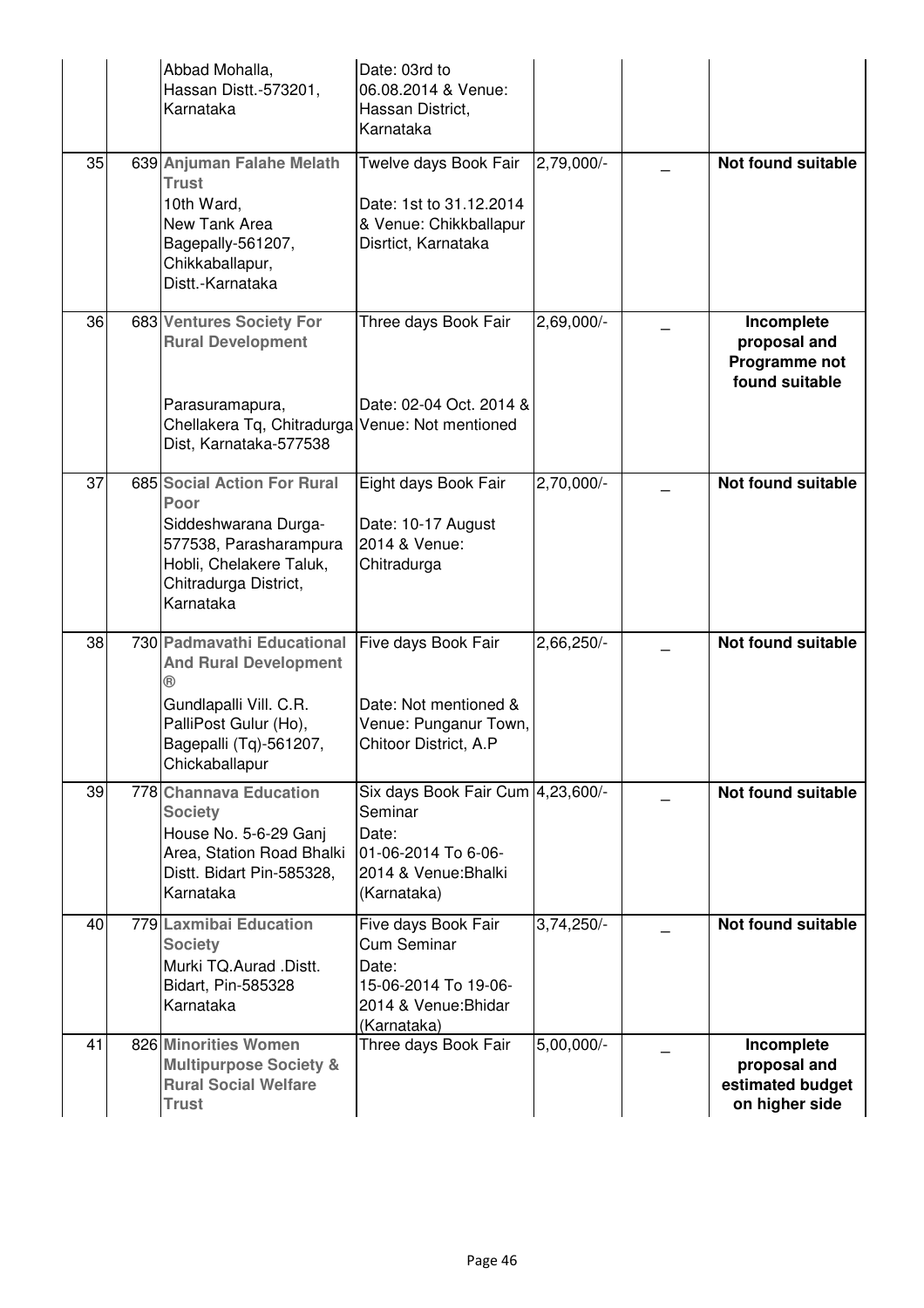|    | Abbad Mohalla,<br>Hassan Distt.-573201,<br>Karnataka                                                                                                      | Date: 03rd to<br>06.08.2014 & Venue:<br>Hassan District,<br>Karnataka                                                 |                         |                                                                  |
|----|-----------------------------------------------------------------------------------------------------------------------------------------------------------|-----------------------------------------------------------------------------------------------------------------------|-------------------------|------------------------------------------------------------------|
| 35 | 639 Anjuman Falahe Melath<br><b>Trust</b><br>10th Ward,<br>New Tank Area<br>Bagepally-561207,<br>Chikkaballapur,<br>Distt.-Karnataka                      | Twelve days Book Fair<br>Date: 1st to 31.12.2014<br>& Venue: Chikkballapur<br>Disrtict, Karnataka                     | 2,79,000/-              | Not found suitable                                               |
| 36 | 683 Ventures Society For<br><b>Rural Development</b><br>Parasuramapura,                                                                                   | Three days Book Fair<br>Date: 02-04 Oct. 2014 &                                                                       | 2,69,000/-              | Incomplete<br>proposal and<br>Programme not<br>found suitable    |
|    | Chellakera Tq, Chitradurga Venue: Not mentioned<br>Dist, Karnataka-577538                                                                                 |                                                                                                                       |                         |                                                                  |
| 37 | 685 Social Action For Rural<br>Poor<br>Siddeshwarana Durga-<br>577538, Parasharampura<br>Hobli, Chelakere Taluk,<br>Chitradurga District,<br>Karnataka    | Eight days Book Fair<br>Date: 10-17 August<br>2014 & Venue:<br>Chitradurga                                            | 2,70,000/-              | <b>Not found suitable</b>                                        |
| 38 | 730 Padmavathi Educational<br><b>And Rural Development</b><br>Gundlapalli Vill. C.R.<br>PalliPost Gulur (Ho),<br>Bagepalli (Tq)-561207,<br>Chickaballapur | Five days Book Fair<br>Date: Not mentioned &<br>Venue: Punganur Town,<br>Chitoor District, A.P                        | 2,66,250/-              | Not found suitable                                               |
| 39 | 778 Channava Education<br><b>Society</b><br>House No. 5-6-29 Ganj<br>Area, Station Road Bhalki<br>Distt. Bidart Pin-585328,<br>Karnataka                  | Six days Book Fair Cum 4, 23, 600/-<br>Seminar<br>Date:<br>01-06-2014 To 6-06-<br>2014 & Venue: Bhalki<br>(Karnataka) |                         | <b>Not found suitable</b>                                        |
| 40 | 779 Laxmibai Education<br><b>Society</b><br>Murki TQ.Aurad .Distt.<br>Bidart, Pin-585328<br>Karnataka                                                     | Five days Book Fair<br><b>Cum Seminar</b><br>Date:<br>15-06-2014 To 19-06-<br>2014 & Venue: Bhidar<br>(Karnataka)     | $3,74,250/-$            | Not found suitable                                               |
| 41 | 826 Minorities Women<br><b>Multipurpose Society &amp;</b><br><b>Rural Social Welfare</b><br><b>Trust</b>                                                  | Three days Book Fair                                                                                                  | $5,00,000$ <sup>-</sup> | Incomplete<br>proposal and<br>estimated budget<br>on higher side |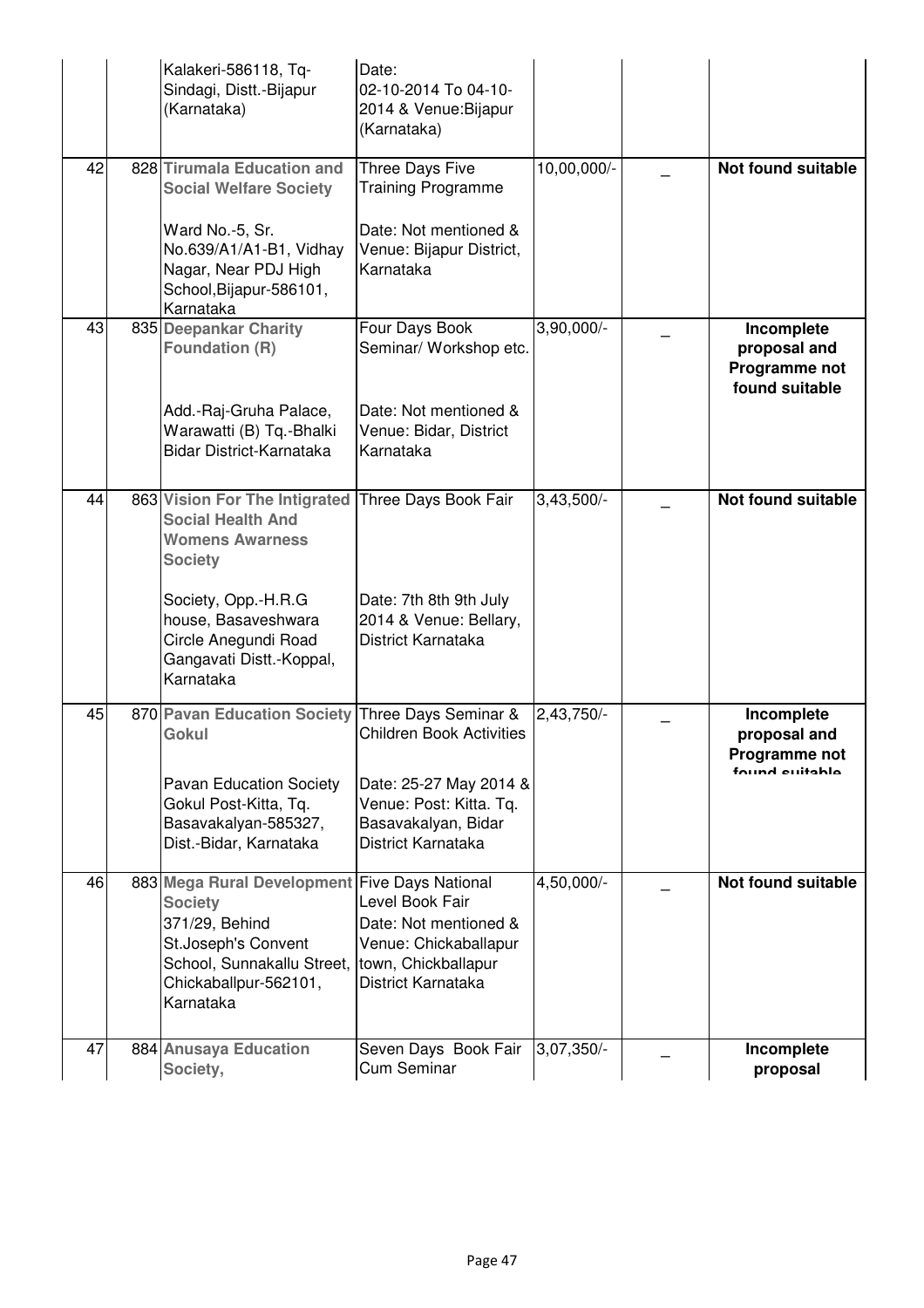|    | Kalakeri-586118, Tq-<br>Sindagi, Distt.-Bijapur<br>(Karnataka)                                                                                                                                                       | Date:<br>02-10-2014 To 04-10-<br>2014 & Venue: Bijapur<br>(Karnataka)                                                                                     |              |                                                                      |
|----|----------------------------------------------------------------------------------------------------------------------------------------------------------------------------------------------------------------------|-----------------------------------------------------------------------------------------------------------------------------------------------------------|--------------|----------------------------------------------------------------------|
| 42 | 828 Tirumala Education and<br><b>Social Welfare Society</b><br>Ward No.-5, Sr.<br>No.639/A1/A1-B1, Vidhay<br>Nagar, Near PDJ High<br>School, Bijapur-586101,<br>Karnataka                                            | Three Days Five<br><b>Training Programme</b><br>Date: Not mentioned &<br>Venue: Bijapur District,<br>Karnataka                                            | 10,00,000/-  | <b>Not found suitable</b>                                            |
| 43 | 835 Deepankar Charity<br><b>Foundation (R)</b><br>Add.-Raj-Gruha Palace,<br>Warawatti (B) Tq.-Bhalki<br>Bidar District-Karnataka                                                                                     | Four Days Book<br>Seminar/ Workshop etc.<br>Date: Not mentioned &<br>Venue: Bidar, District<br>Karnataka                                                  | $3,90,000/-$ | Incomplete<br>proposal and<br>Programme not<br>found suitable        |
| 44 | 863 Vision For The Intigrated<br><b>Social Health And</b><br><b>Womens Awarness</b><br><b>Society</b><br>Society, Opp.-H.R.G<br>house, Basaveshwara<br>Circle Anegundi Road<br>Gangavati Distt.-Koppal,<br>Karnataka | Three Days Book Fair<br>Date: 7th 8th 9th July<br>2014 & Venue: Bellary,<br>District Karnataka                                                            | $3,43,500/-$ | Not found suitable                                                   |
| 45 | 870 Pavan Education Society<br>Gokul<br><b>Pavan Education Society</b><br>Gokul Post-Kitta, Tq.<br>Basavakalyan-585327,<br>Dist.-Bidar, Karnataka                                                                    | Three Days Seminar &<br><b>Children Book Activities</b><br>Date: 25-27 May 2014 &<br>Venue: Post: Kitta. Tq.<br>Basavakalyan, Bidar<br>District Karnataka | 2,43,750/-   | Incomplete<br>proposal and<br><b>Programme not</b><br>found outphale |
| 46 | 883 Mega Rural Development Five Days National<br><b>Society</b><br>371/29, Behind<br>St.Joseph's Convent<br>School, Sunnakallu Street,<br>Chickaballpur-562101,<br>Karnataka                                         | Level Book Fair<br>Date: Not mentioned &<br>Venue: Chickaballapur<br>town, Chickballapur<br>District Karnataka                                            | 4,50,000/-   | Not found suitable                                                   |
| 47 | 884 Anusaya Education<br>Society,                                                                                                                                                                                    | Seven Days Book Fair<br><b>Cum Seminar</b>                                                                                                                | 3,07,350/-   | Incomplete<br>proposal                                               |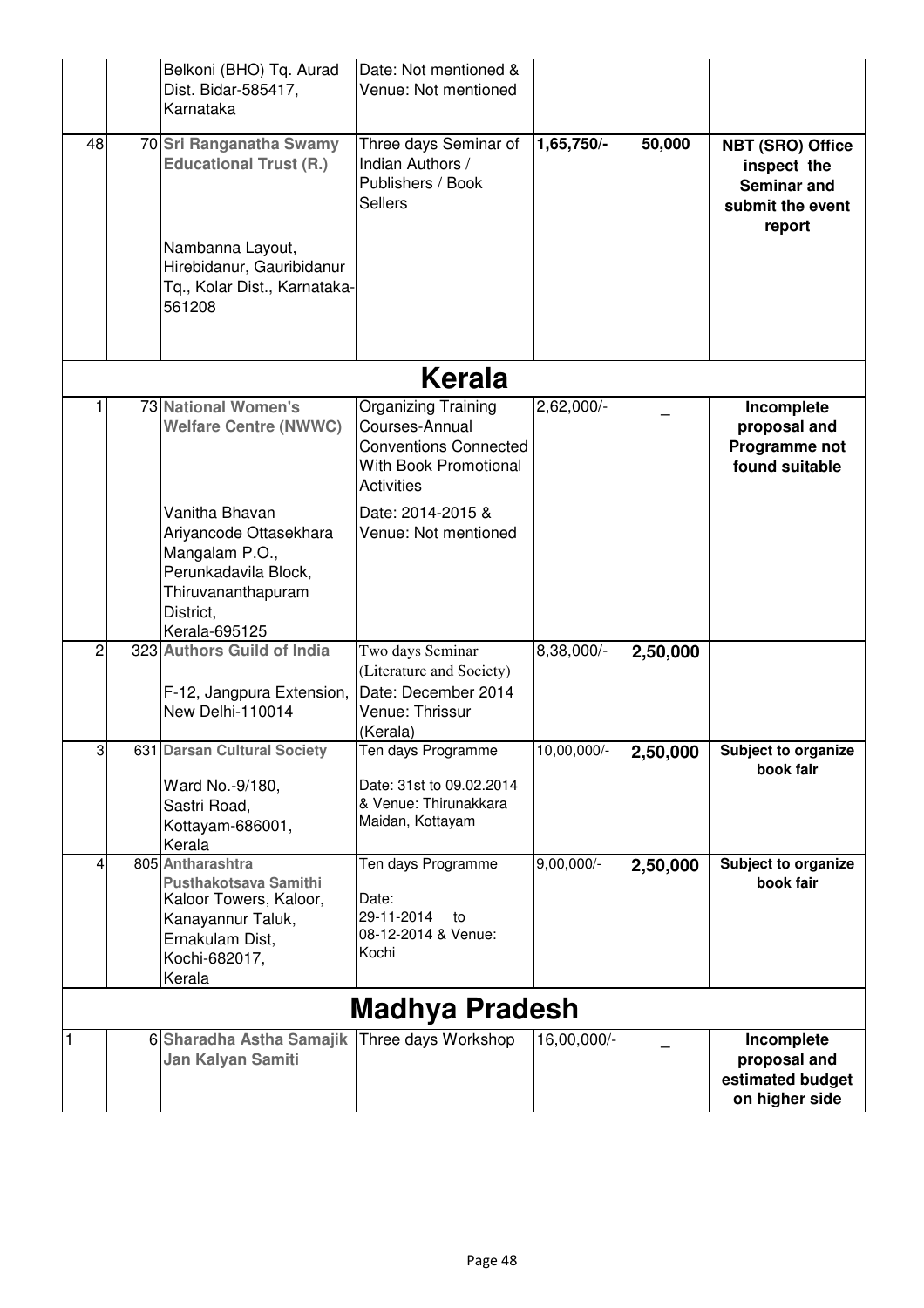|                |               | Belkoni (BHO) Tq. Aurad<br>Dist. Bidar-585417,<br>Karnataka                                                                                         | Date: Not mentioned &<br>Venue: Not mentioned                                                                       |               |          |                                                                                            |  |  |  |
|----------------|---------------|-----------------------------------------------------------------------------------------------------------------------------------------------------|---------------------------------------------------------------------------------------------------------------------|---------------|----------|--------------------------------------------------------------------------------------------|--|--|--|
| 48             |               | 70 Sri Ranganatha Swamy<br><b>Educational Trust (R.)</b><br>Nambanna Layout,<br>Hirebidanur, Gauribidanur<br>Tq., Kolar Dist., Karnataka-<br>561208 | Three days Seminar of<br>Indian Authors /<br>Publishers / Book<br><b>Sellers</b>                                    | 1,65,750/-    | 50,000   | <b>NBT (SRO) Office</b><br>inspect the<br><b>Seminar and</b><br>submit the event<br>report |  |  |  |
|                | <b>Kerala</b> |                                                                                                                                                     |                                                                                                                     |               |          |                                                                                            |  |  |  |
|                |               | <b>73 National Women's</b><br><b>Welfare Centre (NWWC)</b>                                                                                          | Organizing Training<br>Courses-Annual<br><b>Conventions Connected</b><br>With Book Promotional<br><b>Activities</b> | 2,62,000/-    |          | Incomplete<br>proposal and<br>Programme not<br>found suitable                              |  |  |  |
|                |               | Vanitha Bhavan<br>Ariyancode Ottasekhara<br>Mangalam P.O.,<br>Perunkadavila Block,<br>Thiruvananthapuram<br>District,<br>Kerala-695125              | Date: 2014-2015 &<br>Venue: Not mentioned                                                                           |               |          |                                                                                            |  |  |  |
| 2              |               | 323 Authors Guild of India<br>F-12, Jangpura Extension,<br>New Delhi-110014                                                                         | Two days Seminar<br>(Literature and Society)<br>Date: December 2014<br>Venue: Thrissur<br>(Kerala)                  | 8,38,000/-    | 2,50,000 |                                                                                            |  |  |  |
| $\overline{3}$ |               | 631 Darsan Cultural Society<br>Ward No.-9/180,<br>Sastri Road.<br>Kottayam-686001,<br>Kerala                                                        | Ten days Programme<br>Date: 31st to 09.02.2014<br>& Venue: Thirunakkara<br>Maidan, Kottayam                         | $10,00,000/-$ | 2,50,000 | Subject to organize<br>book fair                                                           |  |  |  |
| 4              |               | 805 Antharashtra<br>Pusthakotsava Samithi<br>Kaloor Towers, Kaloor,<br>Kanayannur Taluk,<br>Ernakulam Dist,<br>Kochi-682017,<br>Kerala              | Ten days Programme<br>Date:<br>29-11-2014<br>to<br>08-12-2014 & Venue:<br>Kochi                                     | $9,00,000/-$  | 2,50,000 | Subject to organize<br>book fair                                                           |  |  |  |
|                |               |                                                                                                                                                     | Madhya Pradesh                                                                                                      |               |          |                                                                                            |  |  |  |
| 1              |               | 6 Sharadha Astha Samajik<br>Jan Kalyan Samiti                                                                                                       | Three days Workshop                                                                                                 | 16,00,000/-   |          | Incomplete<br>proposal and<br>estimated budget<br>on higher side                           |  |  |  |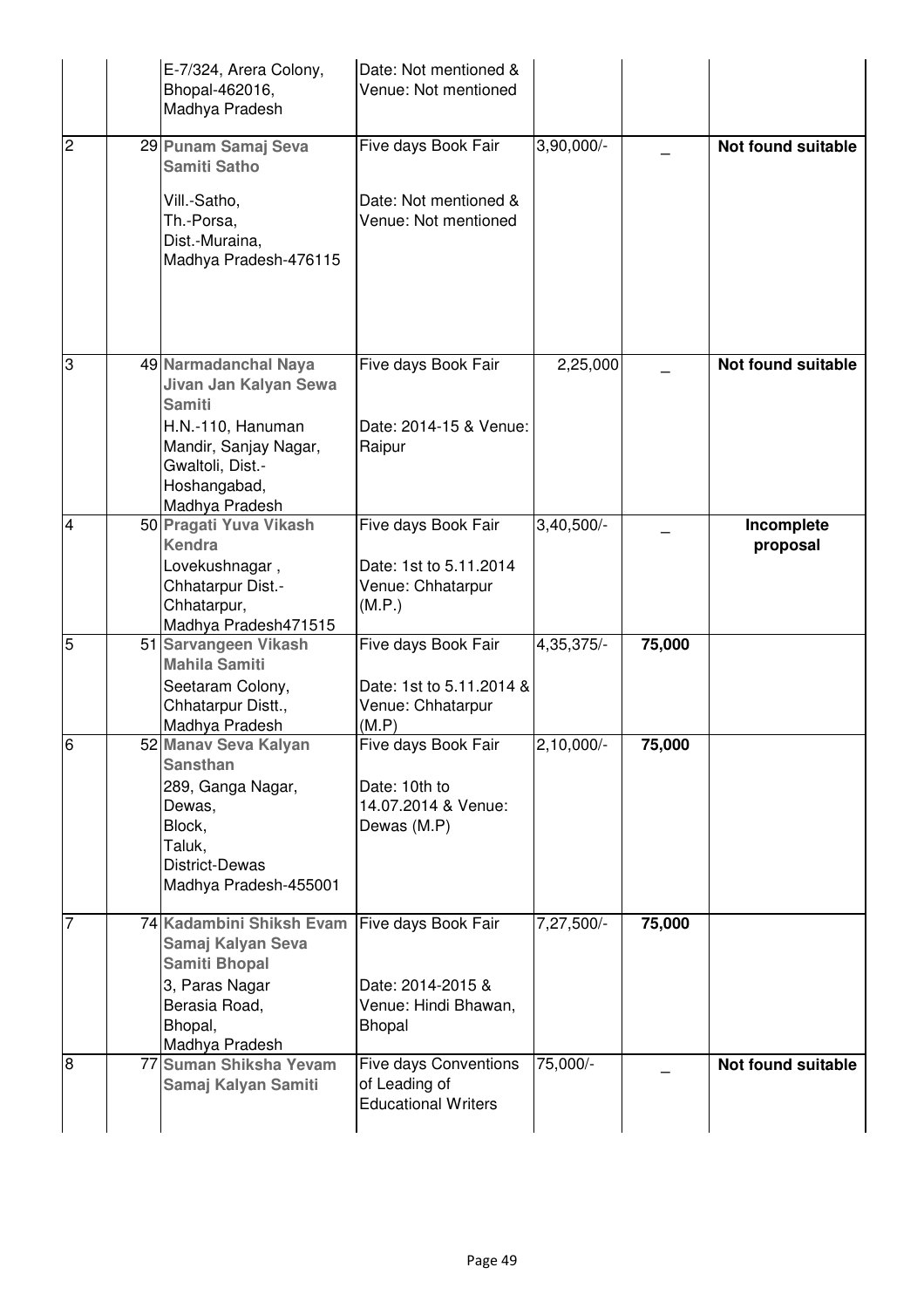|                | E-7/324, Arera Colony,<br>Bhopal-462016,<br>Madhya Pradesh                                                                                   | Date: Not mentioned &<br>Venue: Not mentioned                                     |              |        |                           |
|----------------|----------------------------------------------------------------------------------------------------------------------------------------------|-----------------------------------------------------------------------------------|--------------|--------|---------------------------|
| $\overline{2}$ | 29 Punam Samaj Seva<br><b>Samiti Satho</b>                                                                                                   | Five days Book Fair                                                               | 3,90,000/-   |        | <b>Not found suitable</b> |
|                | Vill.-Satho,<br>Th.-Porsa,<br>Dist.-Muraina,<br>Madhya Pradesh-476115                                                                        | Date: Not mentioned &<br>Venue: Not mentioned                                     |              |        |                           |
| 3              | 49 Narmadanchal Naya<br>Jivan Jan Kalyan Sewa<br><b>Samiti</b>                                                                               | Five days Book Fair                                                               | 2,25,000     |        | <b>Not found suitable</b> |
|                | H.N.-110, Hanuman<br>Mandir, Sanjay Nagar,<br>Gwaltoli, Dist.-<br>Hoshangabad,<br>Madhya Pradesh                                             | Date: 2014-15 & Venue:<br>Raipur                                                  |              |        |                           |
| $\overline{4}$ | 50 Pragati Yuva Vikash<br><b>Kendra</b>                                                                                                      | Five days Book Fair                                                               | $3,40,500/-$ |        | Incomplete<br>proposal    |
|                | Lovekushnagar,<br>Chhatarpur Dist.-<br>Chhatarpur,<br>Madhya Pradesh471515                                                                   | Date: 1st to 5.11.2014<br>Venue: Chhatarpur<br>(M.P.)                             |              |        |                           |
| $\overline{5}$ | 51 Sarvangeen Vikash<br><b>Mahila Samiti</b>                                                                                                 | Five days Book Fair                                                               | 4,35,375/-   | 75,000 |                           |
|                | Seetaram Colony,<br>Chhatarpur Distt.,<br>Madhya Pradesh                                                                                     | Date: 1st to 5.11.2014 &<br>Venue: Chhatarpur<br>(M.P)                            |              |        |                           |
| 6              | 52 Manav Seva Kalyan<br><b>Sansthan</b><br>289, Ganga Nagar,<br>Dewas.<br>Block,<br>Taluk,<br><b>District-Dewas</b><br>Madhya Pradesh-455001 | Five days Book Fair<br>Date: 10th to<br>14.07.2014 & Venue:<br>Dewas (M.P)        | $2,10,000/-$ | 75,000 |                           |
| 17             | 74 Kadambini Shiksh Evam<br>Samaj Kalyan Seva<br><b>Samiti Bhopal</b><br>3, Paras Nagar<br>Berasia Road,<br>Bhopal,<br>Madhya Pradesh        | Five days Book Fair<br>Date: 2014-2015 &<br>Venue: Hindi Bhawan,<br><b>Bhopal</b> | 7,27,500/-   | 75,000 |                           |
| 8              | 77 Suman Shiksha Yevam<br>Samaj Kalyan Samiti                                                                                                | <b>Five days Conventions</b><br>of Leading of<br><b>Educational Writers</b>       | 75,000/-     |        | <b>Not found suitable</b> |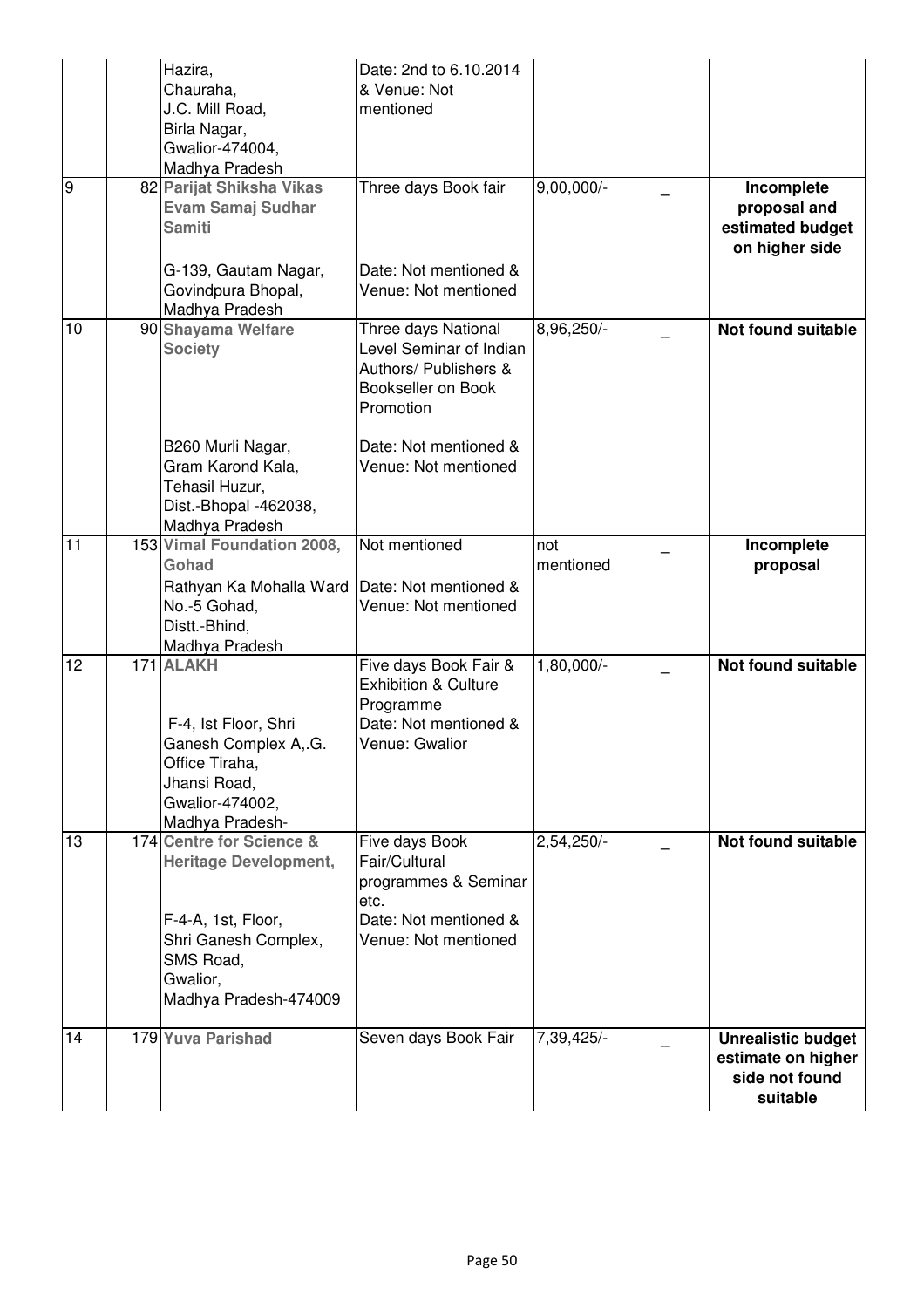|    | Hazira,<br>Chauraha,<br>J.C. Mill Road,<br>Birla Nagar,<br>Gwalior-474004,<br>Madhya Pradesh                                                             | Date: 2nd to 6.10.2014<br>& Venue: Not<br>mentioned                                                              |                  |                                                                               |
|----|----------------------------------------------------------------------------------------------------------------------------------------------------------|------------------------------------------------------------------------------------------------------------------|------------------|-------------------------------------------------------------------------------|
| Θ  | 82 Parijat Shiksha Vikas<br><b>Evam Samaj Sudhar</b><br><b>Samiti</b>                                                                                    | Three days Book fair                                                                                             | $9,00,000/-$     | Incomplete<br>proposal and<br>estimated budget<br>on higher side              |
|    | G-139, Gautam Nagar,<br>Govindpura Bhopal,<br>Madhya Pradesh                                                                                             | Date: Not mentioned &<br>Venue: Not mentioned                                                                    |                  |                                                                               |
| 10 | 90 Shayama Welfare<br><b>Society</b>                                                                                                                     | Three days National<br>Level Seminar of Indian<br>Authors/ Publishers &<br>Bookseller on Book<br>Promotion       | 8,96,250/-       | <b>Not found suitable</b>                                                     |
|    | B260 Murli Nagar,<br>Gram Karond Kala,<br>Tehasil Huzur,<br>Dist.-Bhopal -462038,<br>Madhya Pradesh                                                      | Date: Not mentioned &<br>Venue: Not mentioned                                                                    |                  |                                                                               |
| 11 | 153 Vimal Foundation 2008,<br>Gohad<br>Rathyan Ka Mohalla Ward<br>No.-5 Gohad,<br>Distt.-Bhind,<br>Madhya Pradesh                                        | Not mentioned<br>Date: Not mentioned &<br>Venue: Not mentioned                                                   | not<br>mentioned | Incomplete<br>proposal                                                        |
| 12 | 171 ALAKH<br>F-4, Ist Floor, Shri<br>Ganesh Complex A, G.<br>Office Tiraha,<br>Jhansi Road,<br>Gwalior-474002,<br>Madhya Pradesh-                        | Five days Book Fair &<br><b>Exhibition &amp; Culture</b><br>Programme<br>Date: Not mentioned &<br>Venue: Gwalior | 1,80,000/-       | <b>Not found suitable</b>                                                     |
| 13 | 174 Centre for Science &<br><b>Heritage Development,</b><br>F-4-A, 1st, Floor,<br>Shri Ganesh Complex,<br>SMS Road,<br>Gwalior,<br>Madhya Pradesh-474009 | Five days Book<br>Fair/Cultural<br>programmes & Seminar<br>etc.<br>Date: Not mentioned &<br>Venue: Not mentioned | 2,54,250/-       | <b>Not found suitable</b>                                                     |
| 14 | 179 Yuva Parishad                                                                                                                                        | Seven days Book Fair                                                                                             | 7,39,425/-       | <b>Unrealistic budget</b><br>estimate on higher<br>side not found<br>suitable |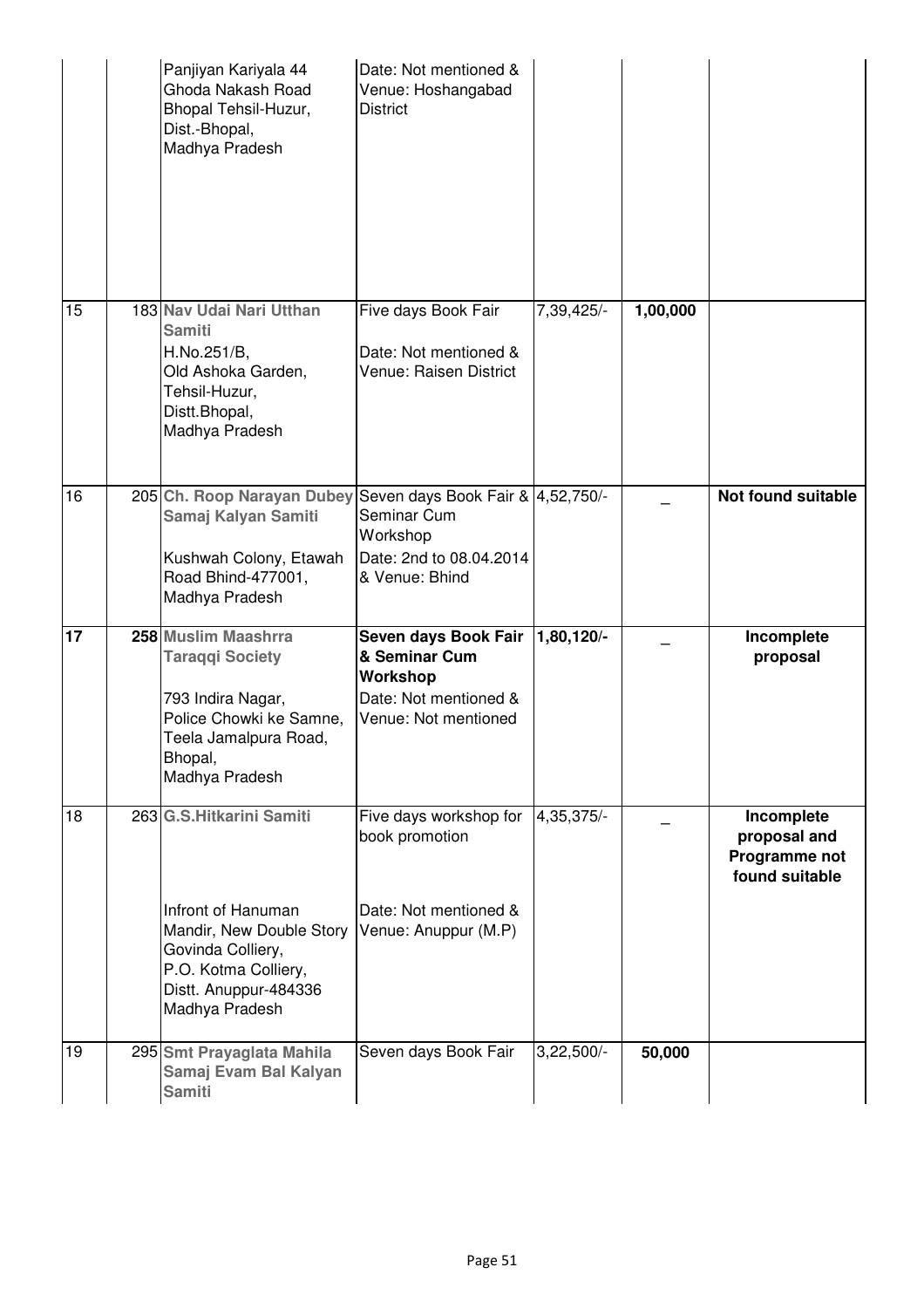|    | Panjiyan Kariyala 44<br>Ghoda Nakash Road<br>Bhopal Tehsil-Huzur,<br>Dist.-Bhopal,<br>Madhya Pradesh                                                                | Date: Not mentioned &<br>Venue: Hoshangabad<br><b>District</b>                                            |              |          |                                                               |
|----|---------------------------------------------------------------------------------------------------------------------------------------------------------------------|-----------------------------------------------------------------------------------------------------------|--------------|----------|---------------------------------------------------------------|
| 15 | 183 Nav Udai Nari Utthan<br><b>Samiti</b><br>H.No.251/B,<br>Old Ashoka Garden,<br>Tehsil-Huzur,<br>Distt.Bhopal,<br>Madhya Pradesh                                  | Five days Book Fair<br>Date: Not mentioned &<br>Venue: Raisen District                                    | 7,39,425/-   | 1,00,000 |                                                               |
| 16 | 205 Ch. Roop Narayan Dubey<br>Samaj Kalyan Samiti<br>Kushwah Colony, Etawah<br>Road Bhind-477001,<br>Madhya Pradesh                                                 | Seven days Book Fair & 4,52,750/-<br>Seminar Cum<br>Workshop<br>Date: 2nd to 08.04.2014<br>& Venue: Bhind |              |          | <b>Not found suitable</b>                                     |
| 17 | 258 Muslim Maashrra<br><b>Taraqqi Society</b><br>793 Indira Nagar,<br>Police Chowki ke Samne,<br>Teela Jamalpura Road,<br>Bhopal,<br>Madhya Pradesh                 | Seven days Book Fair<br>& Seminar Cum<br>Workshop<br>Date: Not mentioned &<br>Venue: Not mentioned        | 1,80,120/-   |          | Incomplete<br>proposal                                        |
| 18 | 263 G.S. Hitkarini Samiti<br>Infront of Hanuman<br>Mandir, New Double Story<br>Govinda Colliery,<br>P.O. Kotma Colliery,<br>Distt. Anuppur-484336<br>Madhya Pradesh | Five days workshop for<br>book promotion<br>Date: Not mentioned &<br>Venue: Anuppur (M.P)                 | 4,35,375/-   |          | Incomplete<br>proposal and<br>Programme not<br>found suitable |
| 19 | 295 Smt Prayaglata Mahila<br>Samaj Evam Bal Kalyan<br><b>Samiti</b>                                                                                                 | Seven days Book Fair                                                                                      | $3,22,500/-$ | 50,000   |                                                               |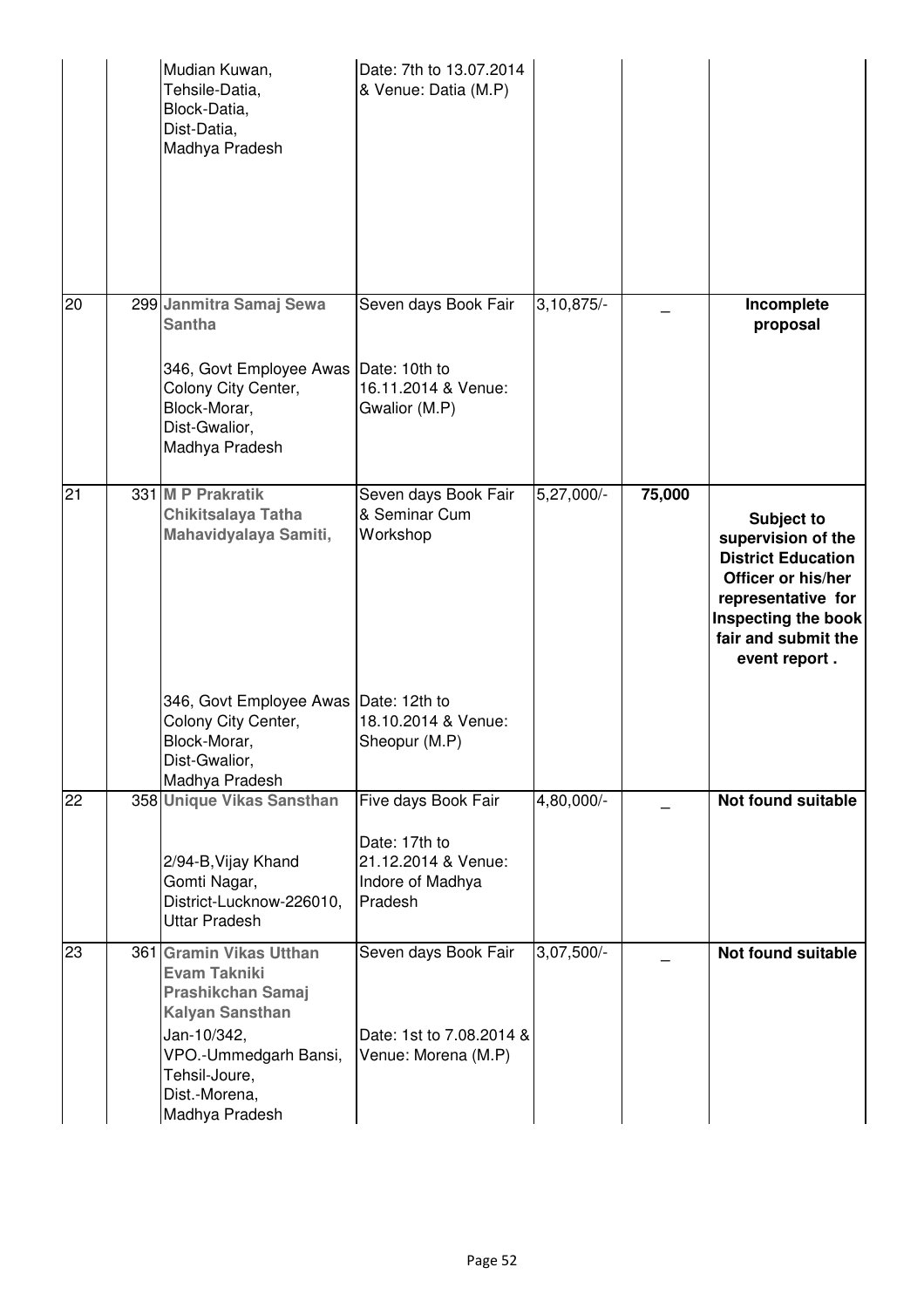|    | Mudian Kuwan,<br>Tehsile-Datia,<br>Block-Datia,<br>Dist-Datia,<br>Madhya Pradesh                                                                                                                 | Date: 7th to 13.07.2014<br>& Venue: Datia (M.P)                                                            |                         |        |                                                                                                                                                                                 |
|----|--------------------------------------------------------------------------------------------------------------------------------------------------------------------------------------------------|------------------------------------------------------------------------------------------------------------|-------------------------|--------|---------------------------------------------------------------------------------------------------------------------------------------------------------------------------------|
| 20 | 299 Janmitra Samaj Sewa<br><b>Santha</b><br>346, Govt Employee Awas<br>Colony City Center,<br>Block-Morar,<br>Dist-Gwalior,<br>Madhya Pradesh                                                    | Seven days Book Fair<br>Date: 10th to<br>16.11.2014 & Venue:<br>Gwalior (M.P)                              | $3,10,\overline{875/-}$ |        | Incomplete<br>proposal                                                                                                                                                          |
| 21 | 331 M P Prakratik<br>Chikitsalaya Tatha<br>Mahavidyalaya Samiti,<br>346, Govt Employee Awas<br>Colony City Center,<br>Block-Morar,<br>Dist-Gwalior,                                              | Seven days Book Fair<br>& Seminar Cum<br>Workshop<br>Date: 12th to<br>18.10.2014 & Venue:<br>Sheopur (M.P) | 5,27,000/-              | 75,000 | <b>Subject to</b><br>supervision of the<br><b>District Education</b><br>Officer or his/her<br>representative for<br>Inspecting the book<br>fair and submit the<br>event report. |
| 22 | Madhya Pradesh<br>358 Unique Vikas Sansthan<br>2/94-B, Vijay Khand<br>Gomti Nagar,<br>District-Lucknow-226010,<br><b>Uttar Pradesh</b>                                                           | Five days Book Fair<br>Date: 17th to<br>21.12.2014 & Venue:<br>Indore of Madhya<br>Pradesh                 | 4,80,000/-              |        | <b>Not found suitable</b>                                                                                                                                                       |
| 23 | 361 Gramin Vikas Utthan<br><b>Evam Takniki</b><br><b>Prashikchan Samaj</b><br><b>Kalyan Sansthan</b><br>Jan-10/342,<br>VPO.-Ummedgarh Bansi,<br>Tehsil-Joure,<br>Dist.-Morena,<br>Madhya Pradesh | Seven days Book Fair<br>Date: 1st to 7.08.2014 &<br>Venue: Morena (M.P)                                    | $3,07,500/-$            |        | Not found suitable                                                                                                                                                              |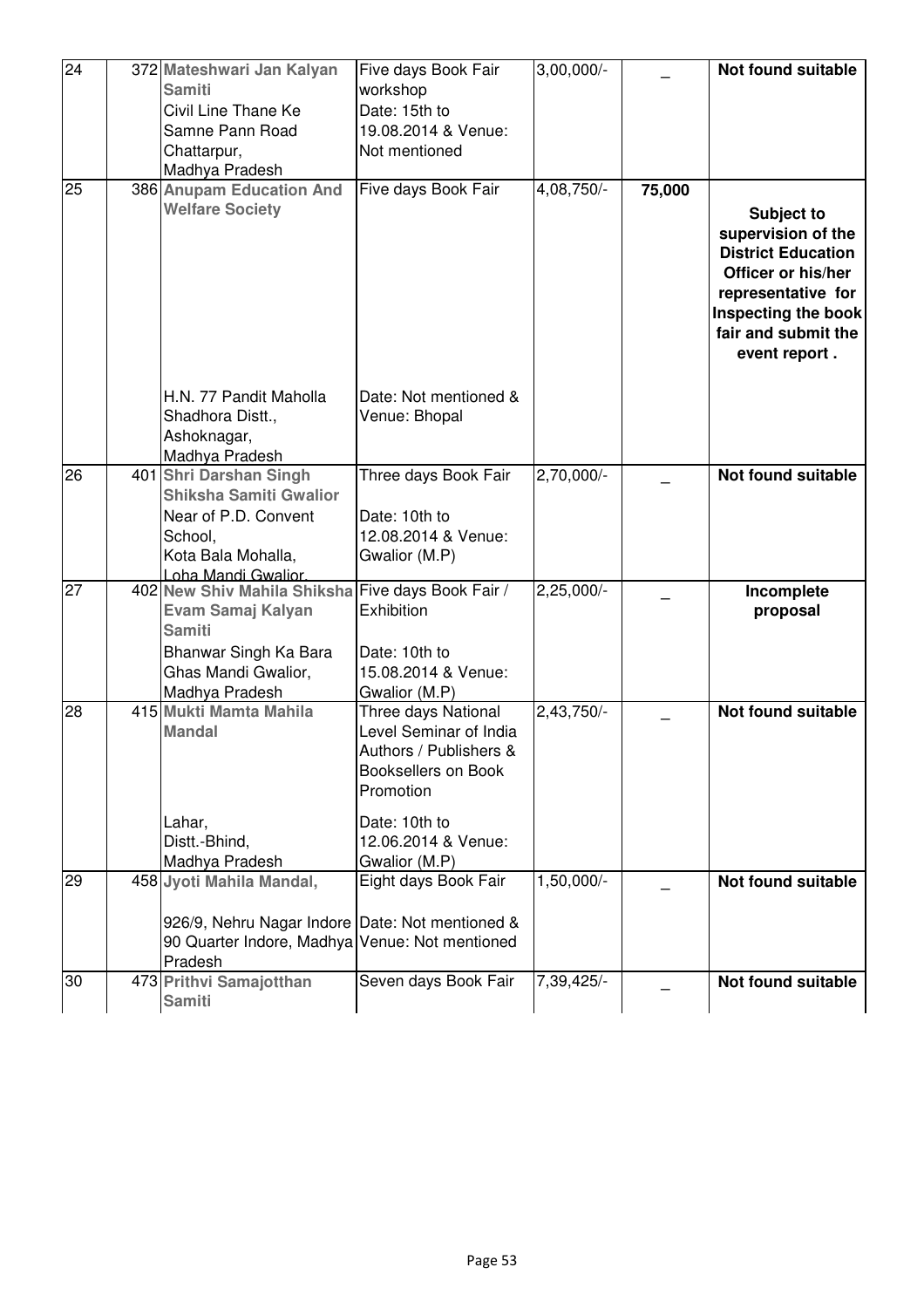| 24 | 372 Mateshwari Jan Kalyan                                                                                    | Five days Book Fair                                                                                         | $3,00,000/-$ |        | <b>Not found suitable</b>                                                                                                                                                       |
|----|--------------------------------------------------------------------------------------------------------------|-------------------------------------------------------------------------------------------------------------|--------------|--------|---------------------------------------------------------------------------------------------------------------------------------------------------------------------------------|
|    | <b>Samiti</b>                                                                                                | workshop                                                                                                    |              |        |                                                                                                                                                                                 |
|    | Civil Line Thane Ke                                                                                          | Date: 15th to                                                                                               |              |        |                                                                                                                                                                                 |
|    | Samne Pann Road                                                                                              | 19.08.2014 & Venue:                                                                                         |              |        |                                                                                                                                                                                 |
|    | Chattarpur,                                                                                                  | Not mentioned                                                                                               |              |        |                                                                                                                                                                                 |
|    | Madhya Pradesh                                                                                               |                                                                                                             |              |        |                                                                                                                                                                                 |
| 25 | 386 Anupam Education And                                                                                     | Five days Book Fair                                                                                         | 4,08,750/-   | 75,000 |                                                                                                                                                                                 |
|    | <b>Welfare Society</b>                                                                                       |                                                                                                             |              |        | <b>Subject to</b><br>supervision of the<br><b>District Education</b><br>Officer or his/her<br>representative for<br>Inspecting the book<br>fair and submit the<br>event report. |
|    | H.N. 77 Pandit Maholla<br>Shadhora Distt.,                                                                   | Date: Not mentioned &<br>Venue: Bhopal                                                                      |              |        |                                                                                                                                                                                 |
|    | Ashoknagar,<br>Madhya Pradesh                                                                                |                                                                                                             |              |        |                                                                                                                                                                                 |
| 26 | 401 Shri Darshan Singh                                                                                       | Three days Book Fair                                                                                        | 2,70,000/-   |        | Not found suitable                                                                                                                                                              |
|    | <b>Shiksha Samiti Gwalior</b>                                                                                |                                                                                                             |              |        |                                                                                                                                                                                 |
|    | Near of P.D. Convent                                                                                         | Date: 10th to                                                                                               |              |        |                                                                                                                                                                                 |
|    | School,                                                                                                      | 12.08.2014 & Venue:                                                                                         |              |        |                                                                                                                                                                                 |
|    | Kota Bala Mohalla,                                                                                           | Gwalior (M.P)                                                                                               |              |        |                                                                                                                                                                                 |
| 27 | Loha Mandi Gwalior.<br>402 New Shiv Mahila Shiksha Five days Book Fair /                                     |                                                                                                             | $2,25,000/-$ |        | Incomplete                                                                                                                                                                      |
|    | Evam Samaj Kalyan<br><b>Samiti</b>                                                                           | Exhibition                                                                                                  |              |        | proposal                                                                                                                                                                        |
|    | Bhanwar Singh Ka Bara                                                                                        | Date: 10th to                                                                                               |              |        |                                                                                                                                                                                 |
|    | Ghas Mandi Gwalior,                                                                                          | 15.08.2014 & Venue:                                                                                         |              |        |                                                                                                                                                                                 |
|    | Madhya Pradesh                                                                                               | Gwalior (M.P)                                                                                               |              |        |                                                                                                                                                                                 |
| 28 | 415 Mukti Mamta Mahila<br><b>Mandal</b>                                                                      | Three days National<br>Level Seminar of India<br>Authors / Publishers &<br>Booksellers on Book<br>Promotion | 2,43,750/-   |        | <b>Not found suitable</b>                                                                                                                                                       |
|    | Lahar,                                                                                                       | Date: 10th to                                                                                               |              |        |                                                                                                                                                                                 |
|    | Distt.-Bhind,                                                                                                | 12.06.2014 & Venue:                                                                                         |              |        |                                                                                                                                                                                 |
|    | Madhya Pradesh                                                                                               | Gwalior (M.P)                                                                                               |              |        |                                                                                                                                                                                 |
| 29 | 458 Jyoti Mahila Mandal,                                                                                     | Eight days Book Fair                                                                                        | $1,50,000/-$ |        | Not found suitable                                                                                                                                                              |
|    | 926/9, Nehru Nagar Indore Date: Not mentioned &<br>90 Quarter Indore, Madhya Venue: Not mentioned<br>Pradesh |                                                                                                             |              |        |                                                                                                                                                                                 |
| 30 | 473 Prithvi Samajotthan                                                                                      | Seven days Book Fair                                                                                        | 7,39,425/-   |        | Not found suitable                                                                                                                                                              |
|    | <b>Samiti</b>                                                                                                |                                                                                                             |              |        |                                                                                                                                                                                 |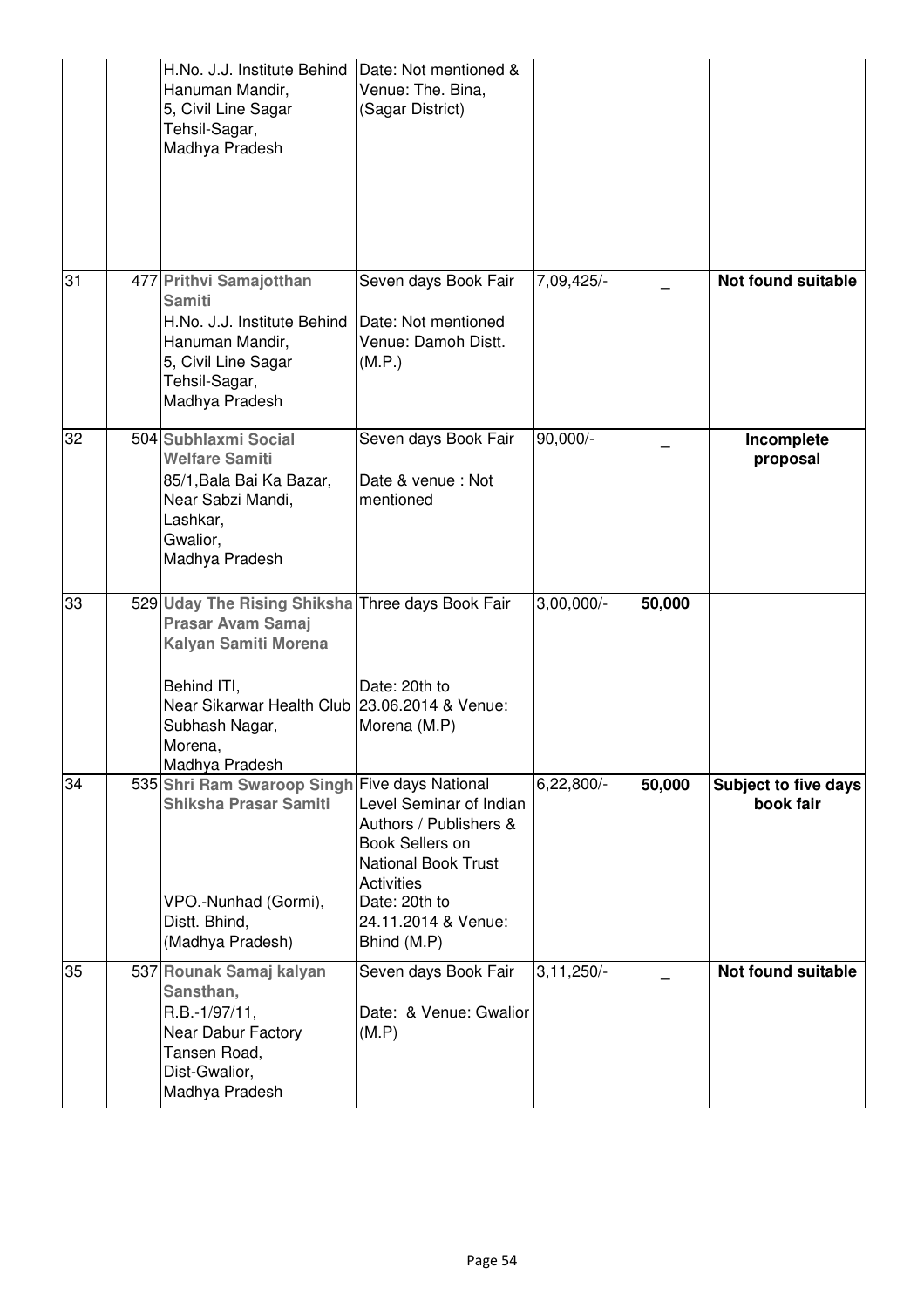|    | H.No. J.J. Institute Behind Date: Not mentioned &<br>Hanuman Mandir,<br>5, Civil Line Sagar<br>Tehsil-Sagar,<br>Madhya Pradesh                                                                                      | Venue: The. Bina,<br>(Sagar District)                                                                                                                                                 |              |        |                                          |
|----|---------------------------------------------------------------------------------------------------------------------------------------------------------------------------------------------------------------------|---------------------------------------------------------------------------------------------------------------------------------------------------------------------------------------|--------------|--------|------------------------------------------|
| 31 | 477 Prithvi Samajotthan<br><b>Samiti</b><br>H.No. J.J. Institute Behind<br>Hanuman Mandir,<br>5, Civil Line Sagar<br>Tehsil-Sagar,<br>Madhya Pradesh                                                                | Seven days Book Fair<br>Date: Not mentioned<br>Venue: Damoh Distt.<br>(M.P.)                                                                                                          | 7,09,425/-   |        | Not found suitable                       |
| 32 | 504 Subhlaxmi Social<br><b>Welfare Samiti</b><br>85/1, Bala Bai Ka Bazar,<br>Near Sabzi Mandi,<br>Lashkar,<br>Gwalior,<br>Madhya Pradesh                                                                            | Seven days Book Fair<br>Date & venue: Not<br>mentioned                                                                                                                                | 90,000/-     |        | Incomplete<br>proposal                   |
| 33 | 529 Uday The Rising Shiksha Three days Book Fair<br><b>Prasar Avam Samaj</b><br>Kalyan Samiti Morena<br>Behind ITI,<br>Near Sikarwar Health Club 23.06.2014 & Venue:<br>Subhash Nagar,<br>Morena,<br>Madhya Pradesh | Date: 20th to<br>Morena (M.P)                                                                                                                                                         | $3,00,000/-$ | 50,000 |                                          |
| 34 | 535 Shri Ram Swaroop Singh Five days National<br>Shiksha Prasar Samiti<br>VPO.-Nunhad (Gormi),<br>Distt. Bhind,<br>(Madhya Pradesh)                                                                                 | Level Seminar of Indian<br>Authors / Publishers &<br><b>Book Sellers on</b><br><b>National Book Trust</b><br><b>Activities</b><br>Date: 20th to<br>24.11.2014 & Venue:<br>Bhind (M.P) | $6,22,800/-$ | 50,000 | <b>Subject to five days</b><br>book fair |
| 35 | 537 Rounak Samaj kalyan<br>Sansthan,<br>R.B.-1/97/11,<br>Near Dabur Factory<br>Tansen Road,<br>Dist-Gwalior,<br>Madhya Pradesh                                                                                      | Seven days Book Fair<br>Date: & Venue: Gwalior<br>(M.P)                                                                                                                               | $3,11,250/-$ |        | Not found suitable                       |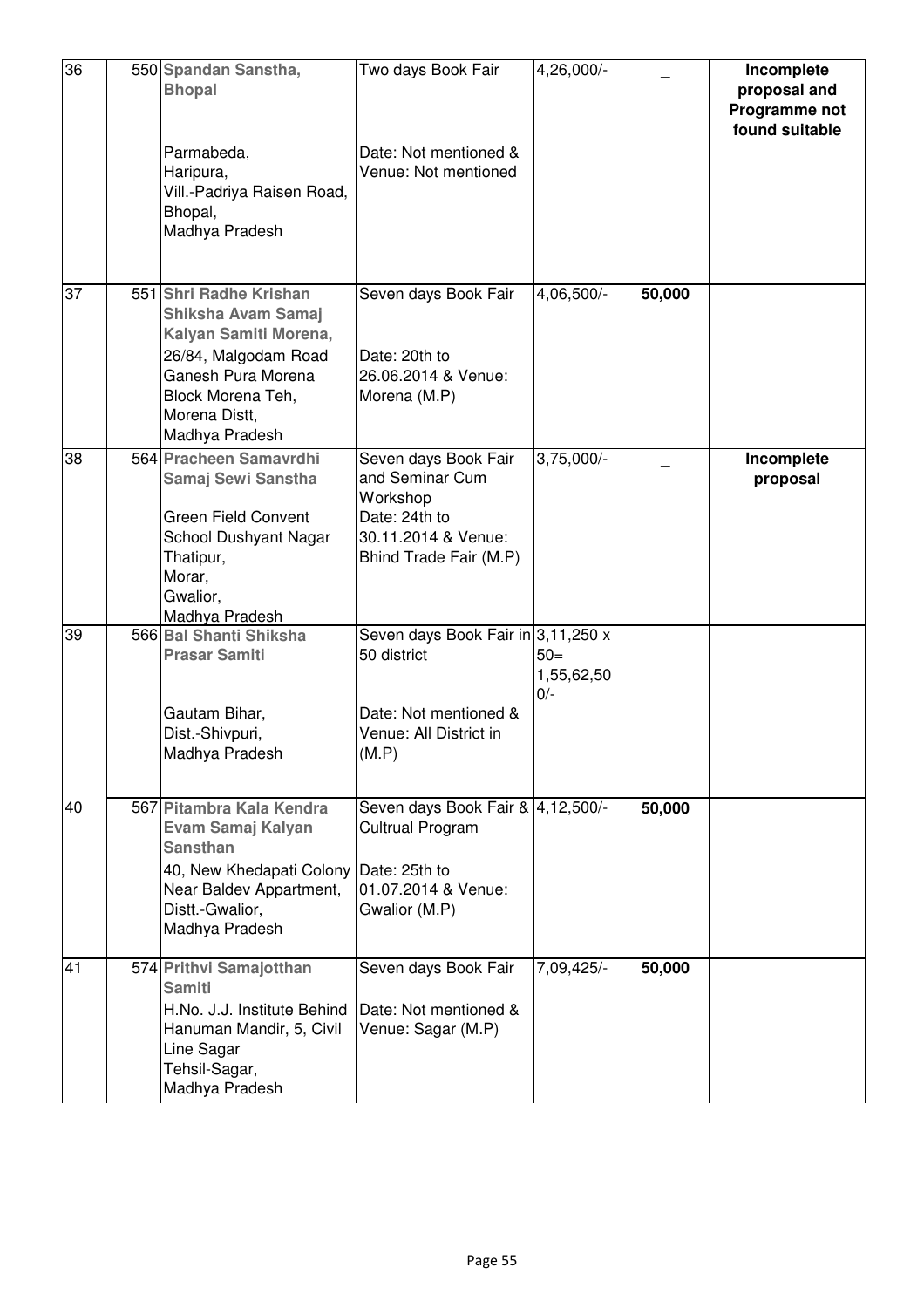| 36 | 550 Spandan Sanstha,<br><b>Bhopal</b><br>Parmabeda,<br>Haripura,                                                                                                            | Two days Book Fair<br>Date: Not mentioned &<br>Venue: Not mentioned                                                   | 4,26,000/-                   |        | Incomplete<br>proposal and<br>Programme not<br>found suitable |
|----|-----------------------------------------------------------------------------------------------------------------------------------------------------------------------------|-----------------------------------------------------------------------------------------------------------------------|------------------------------|--------|---------------------------------------------------------------|
|    | Vill.-Padriya Raisen Road,<br>Bhopal,<br>Madhya Pradesh                                                                                                                     |                                                                                                                       |                              |        |                                                               |
| 37 | 551 Shri Radhe Krishan<br>Shiksha Avam Samaj<br>Kalyan Samiti Morena,<br>26/84, Malgodam Road<br>Ganesh Pura Morena<br>Block Morena Teh,<br>Morena Distt.<br>Madhya Pradesh | Seven days Book Fair<br>Date: 20th to<br>26.06.2014 & Venue:<br>Morena (M.P)                                          | 4,06,500/-                   | 50,000 |                                                               |
| 38 | 564 Pracheen Samavrdhi<br>Samaj Sewi Sanstha<br><b>Green Field Convent</b><br>School Dushyant Nagar<br>Thatipur,<br>Morar,<br>Gwalior,<br>Madhya Pradesh                    | Seven days Book Fair<br>and Seminar Cum<br>Workshop<br>Date: 24th to<br>30.11.2014 & Venue:<br>Bhind Trade Fair (M.P) | $3,75,000/-$                 |        | Incomplete<br>proposal                                        |
| 39 | 566 Bal Shanti Shiksha<br><b>Prasar Samiti</b><br>Gautam Bihar,<br>Dist.-Shivpuri,<br>Madhya Pradesh                                                                        | Seven days Book Fair in 3, 11, 250 x<br>50 district<br>Date: Not mentioned &<br>Venue: All District in<br>(M.P)       | $50=$<br>1,55,62,50<br>$0/-$ |        |                                                               |
| 40 | 567 Pitambra Kala Kendra<br>Evam Samaj Kalyan<br><b>Sansthan</b><br>40, New Khedapati Colony<br>Near Baldev Appartment,<br>Distt.-Gwalior,<br>Madhya Pradesh                | Seven days Book Fair & 4,12,500/-<br>Cultrual Program<br>Date: 25th to<br>01.07.2014 & Venue:<br>Gwalior (M.P)        |                              | 50,000 |                                                               |
| 41 | 574 Prithvi Samajotthan<br><b>Samiti</b><br>H.No. J.J. Institute Behind<br>Hanuman Mandir, 5, Civil<br>Line Sagar<br>Tehsil-Sagar,<br>Madhya Pradesh                        | Seven days Book Fair<br>Date: Not mentioned &<br>Venue: Sagar (M.P)                                                   | 7,09,425/-                   | 50,000 |                                                               |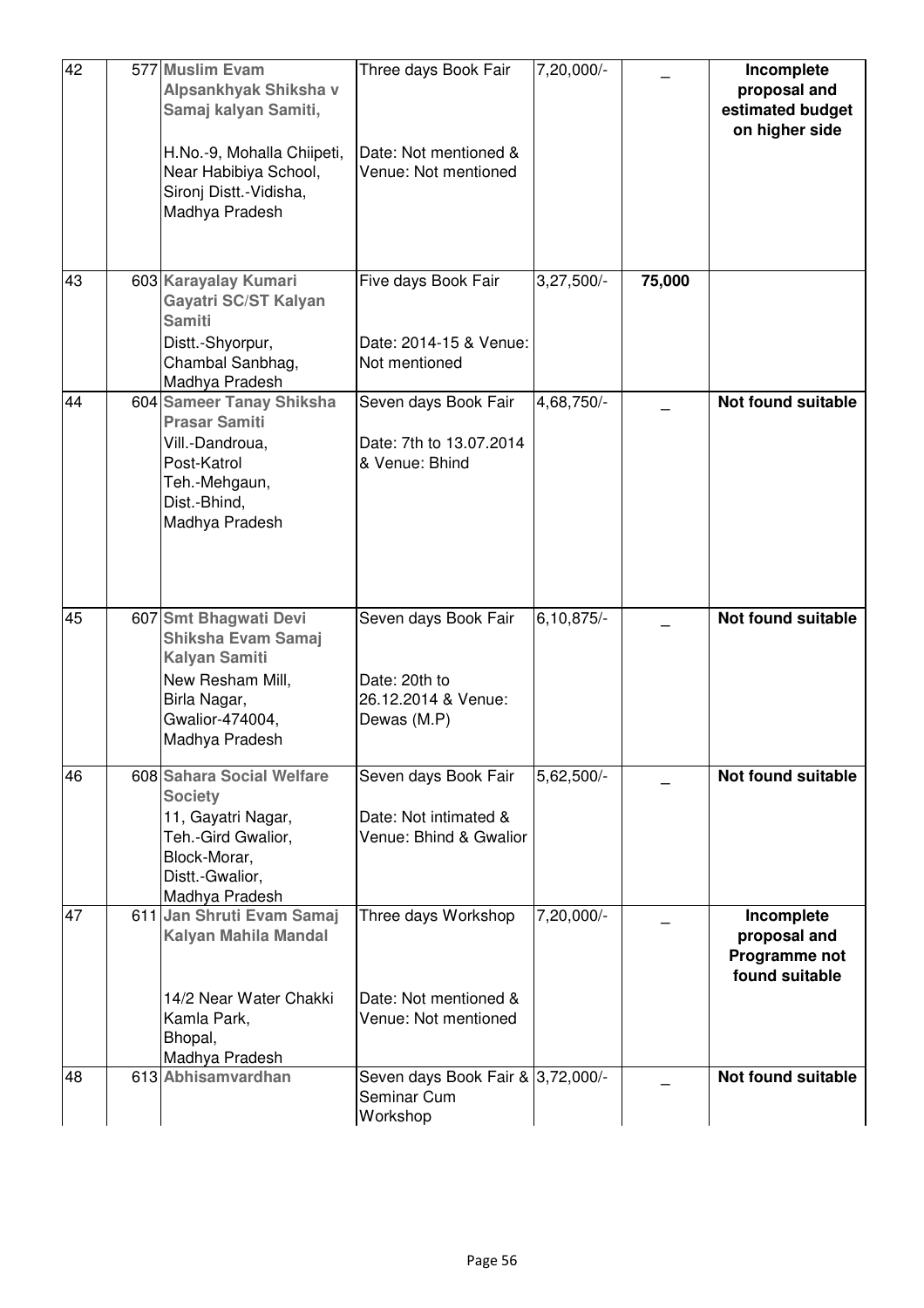| 42 | 577 Muslim Evam<br>Alpsankhyak Shiksha v<br>Samaj kalyan Samiti,<br>H.No.-9, Mohalla Chiipeti,<br>Near Habibiya School,<br>Sironj Distt.-Vidisha,<br>Madhya Pradesh | Three days Book Fair<br>Date: Not mentioned &<br>Venue: Not mentioned       | 7,20,000/-   |        | Incomplete<br>proposal and<br>estimated budget<br>on higher side |
|----|---------------------------------------------------------------------------------------------------------------------------------------------------------------------|-----------------------------------------------------------------------------|--------------|--------|------------------------------------------------------------------|
| 43 | 603 Karayalay Kumari<br>Gayatri SC/ST Kalyan<br><b>Samiti</b><br>Distt.-Shyorpur,<br>Chambal Sanbhag,<br>Madhya Pradesh                                             | Five days Book Fair<br>Date: 2014-15 & Venue:<br>Not mentioned              | $3,27,500/-$ | 75,000 |                                                                  |
| 44 | 604 Sameer Tanay Shiksha<br><b>Prasar Samiti</b><br>Vill.-Dandroua,<br>Post-Katrol<br>Teh.-Mehgaun,<br>Dist.-Bhind,<br>Madhya Pradesh                               | Seven days Book Fair<br>Date: 7th to 13.07.2014<br>& Venue: Bhind           | 4,68,750/-   |        | Not found suitable                                               |
| 45 | 607 Smt Bhagwati Devi<br>Shiksha Evam Samaj<br><b>Kalyan Samiti</b><br>New Resham Mill,<br>Birla Nagar,<br>Gwalior-474004,<br>Madhya Pradesh                        | Seven days Book Fair<br>Date: 20th to<br>26.12.2014 & Venue:<br>Dewas (M.P) | $6,10,875/-$ |        | Not found suitable                                               |
| 46 | 608 Sahara Social Welfare<br><b>Society</b><br>11, Gayatri Nagar,<br>Teh.-Gird Gwalior,<br>Block-Morar,<br>Distt.-Gwalior,<br>Madhya Pradesh                        | Seven days Book Fair<br>Date: Not intimated &<br>Venue: Bhind & Gwalior     | 5,62,500/-   |        | <b>Not found suitable</b>                                        |
| 47 | 611 Jan Shruti Evam Samaj<br>Kalyan Mahila Mandal<br>14/2 Near Water Chakki<br>Kamla Park,<br>Bhopal,<br>Madhya Pradesh                                             | Three days Workshop<br>Date: Not mentioned &<br>Venue: Not mentioned        | 7,20,000/-   |        | Incomplete<br>proposal and<br>Programme not<br>found suitable    |
| 48 | 613 Abhisamvardhan                                                                                                                                                  | Seven days Book Fair & 3,72,000/-<br>Seminar Cum<br>Workshop                |              |        | Not found suitable                                               |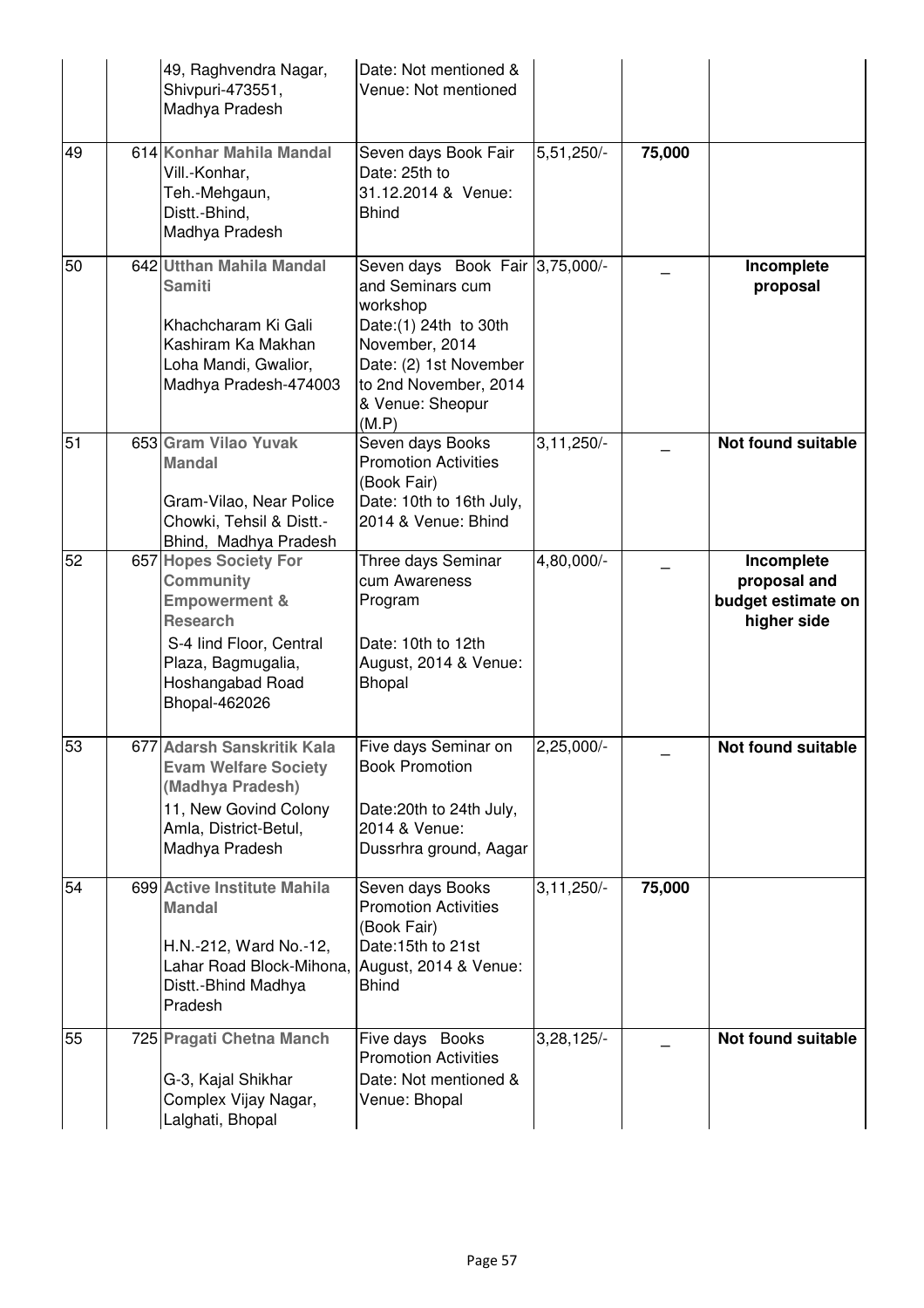|    | 49, Raghvendra Nagar,<br>Shivpuri-473551,<br>Madhya Pradesh                                                                                                             | Date: Not mentioned &<br>Venue: Not mentioned                                                                                                                                               |                |        |                                                                 |
|----|-------------------------------------------------------------------------------------------------------------------------------------------------------------------------|---------------------------------------------------------------------------------------------------------------------------------------------------------------------------------------------|----------------|--------|-----------------------------------------------------------------|
| 49 | 614 Konhar Mahila Mandal<br>Vill.-Konhar,<br>Teh.-Mehgaun,<br>Distt.-Bhind,<br>Madhya Pradesh                                                                           | Seven days Book Fair<br>Date: 25th to<br>31.12.2014 & Venue:<br><b>Bhind</b>                                                                                                                | $5,51,250/-$   | 75,000 |                                                                 |
| 50 | 642 Utthan Mahila Mandal<br><b>Samiti</b><br>Khachcharam Ki Gali<br>Kashiram Ka Makhan<br>Loha Mandi, Gwalior,<br>Madhya Pradesh-474003                                 | Seven days Book Fair 3,75,000/-<br>and Seminars cum<br>workshop<br>Date: (1) 24th to 30th<br>November, 2014<br>Date: (2) 1st November<br>to 2nd November, 2014<br>& Venue: Sheopur<br>(M.P) |                |        | Incomplete<br>proposal                                          |
| 51 | 653 Gram Vilao Yuvak<br><b>Mandal</b><br>Gram-Vilao, Near Police<br>Chowki, Tehsil & Distt.-<br>Bhind, Madhya Pradesh                                                   | Seven days Books<br><b>Promotion Activities</b><br>(Book Fair)<br>Date: 10th to 16th July,<br>2014 & Venue: Bhind                                                                           | $3, 11, 250/-$ |        | Not found suitable                                              |
| 52 | 657 Hopes Society For<br>Community<br><b>Empowerment &amp;</b><br><b>Research</b><br>S-4 lind Floor, Central<br>Plaza, Bagmugalia,<br>Hoshangabad Road<br>Bhopal-462026 | Three days Seminar<br>cum Awareness<br>Program<br>Date: 10th to 12th<br>August, 2014 & Venue:<br>Bhopal                                                                                     | 4,80,000/-     |        | Incomplete<br>proposal and<br>budget estimate on<br>higher side |
| 53 | 677 Adarsh Sanskritik Kala<br><b>Evam Welfare Society</b><br>(Madhya Pradesh)<br>11, New Govind Colony<br>Amla, District-Betul,<br>Madhya Pradesh                       | Five days Seminar on<br><b>Book Promotion</b><br>Date: 20th to 24th July,<br>2014 & Venue:<br>Dussrhra ground, Aagar                                                                        | $2,25,000/-$   |        | Not found suitable                                              |
| 54 | 699 Active Institute Mahila<br><b>Mandal</b><br>H.N.-212, Ward No.-12,<br>Lahar Road Block-Mihona,<br>Distt.-Bhind Madhya<br>Pradesh                                    | Seven days Books<br><b>Promotion Activities</b><br>(Book Fair)<br>Date:15th to 21st<br>August, 2014 & Venue:<br><b>Bhind</b>                                                                | $3, 11, 250/-$ | 75,000 |                                                                 |
| 55 | 725 Pragati Chetna Manch<br>G-3, Kajal Shikhar<br>Complex Vijay Nagar,<br>Lalghati, Bhopal                                                                              | Five days Books<br><b>Promotion Activities</b><br>Date: Not mentioned &<br>Venue: Bhopal                                                                                                    | $3,28,125/-$   |        | Not found suitable                                              |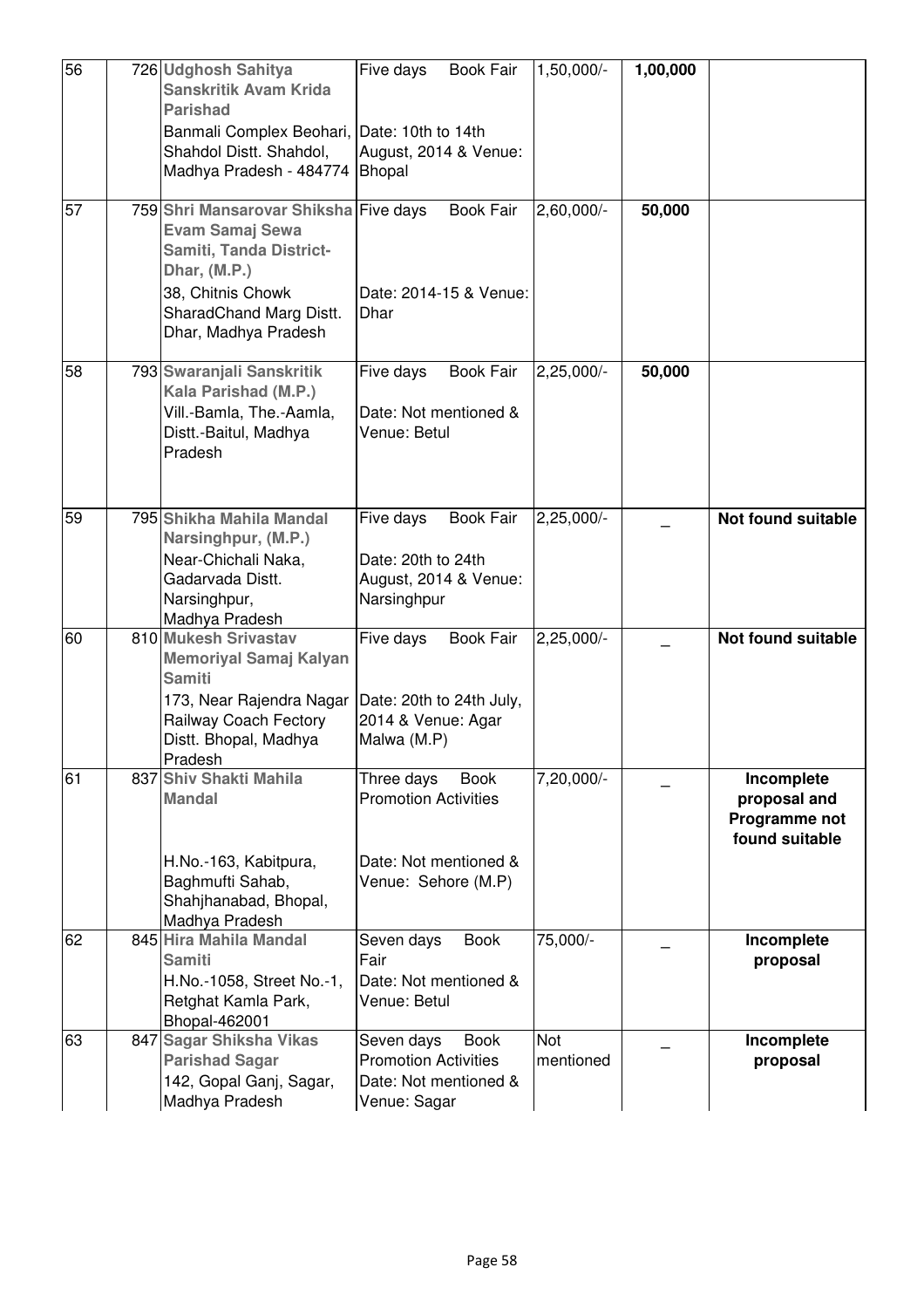| 56 | 726 Udghosh Sahitya<br><b>Sanskritik Avam Krida</b><br><b>Parishad</b>                                                                                                             | Five days<br><b>Book Fair</b>                                                                            | $1,50,000/-$     | 1,00,000 |                                                               |
|----|------------------------------------------------------------------------------------------------------------------------------------------------------------------------------------|----------------------------------------------------------------------------------------------------------|------------------|----------|---------------------------------------------------------------|
|    | Banmali Complex Beohari, Date: 10th to 14th<br>Shahdol Distt. Shahdol,<br>Madhya Pradesh - 484774                                                                                  | August, 2014 & Venue:<br><b>Bhopal</b>                                                                   |                  |          |                                                               |
| 57 | 759 Shri Mansarovar Shiksha Five days<br><b>Evam Samaj Sewa</b><br>Samiti, Tanda District-<br>Dhar, (M.P.)<br>38, Chitnis Chowk<br>SharadChand Marg Distt.<br>Dhar, Madhya Pradesh | <b>Book Fair</b><br>Date: 2014-15 & Venue:<br>Dhar                                                       | $2,60,000/-$     | 50,000   |                                                               |
| 58 | 793 Swaranjali Sanskritik<br>Kala Parishad (M.P.)<br>Vill.-Bamla, The.-Aamla,<br>Distt.-Baitul, Madhya<br>Pradesh                                                                  | <b>Book Fair</b><br>Five days<br>Date: Not mentioned &<br>Venue: Betul                                   | $2,25,000/-$     | 50,000   |                                                               |
| 59 | 795 Shikha Mahila Mandal<br>Narsinghpur, (M.P.)<br>Near-Chichali Naka,<br>Gadarvada Distt.<br>Narsinghpur,<br>Madhya Pradesh                                                       | <b>Book Fair</b><br>Five days<br>Date: 20th to 24th<br>August, 2014 & Venue:<br>Narsinghpur              | $2,25,000/-$     |          | <b>Not found suitable</b>                                     |
| 60 | 810 Mukesh Srivastav<br><b>Memoriyal Samaj Kalyan</b><br><b>Samiti</b><br>173, Near Rajendra Nagar<br>Railway Coach Fectory<br>Distt. Bhopal, Madhya<br>Pradesh                    | <b>Book Fair</b><br>Five days<br>Date: 20th to 24th July,<br>2014 & Venue: Agar<br>Malwa (M.P)           | $2,25,000/-$     |          | Not found suitable                                            |
| 61 | 837 Shiv Shakti Mahila<br><b>Mandal</b><br>H.No.-163, Kabitpura,<br>Baghmufti Sahab,<br>Shahjhanabad, Bhopal,<br>Madhya Pradesh                                                    | Three days<br><b>Book</b><br><b>Promotion Activities</b><br>Date: Not mentioned &<br>Venue: Sehore (M.P) | $7,20,000/-$     |          | Incomplete<br>proposal and<br>Programme not<br>found suitable |
| 62 | 845 Hira Mahila Mandal<br><b>Samiti</b><br>H.No.-1058, Street No.-1,<br>Retghat Kamla Park,<br>Bhopal-462001                                                                       | Seven days<br><b>Book</b><br>Fair<br>Date: Not mentioned &<br>Venue: Betul                               | 75,000/-         |          | Incomplete<br>proposal                                        |
| 63 | 847 Sagar Shiksha Vikas<br><b>Parishad Sagar</b><br>142, Gopal Ganj, Sagar,<br>Madhya Pradesh                                                                                      | Seven days<br><b>Book</b><br><b>Promotion Activities</b><br>Date: Not mentioned &<br>Venue: Sagar        | Not<br>mentioned |          | Incomplete<br>proposal                                        |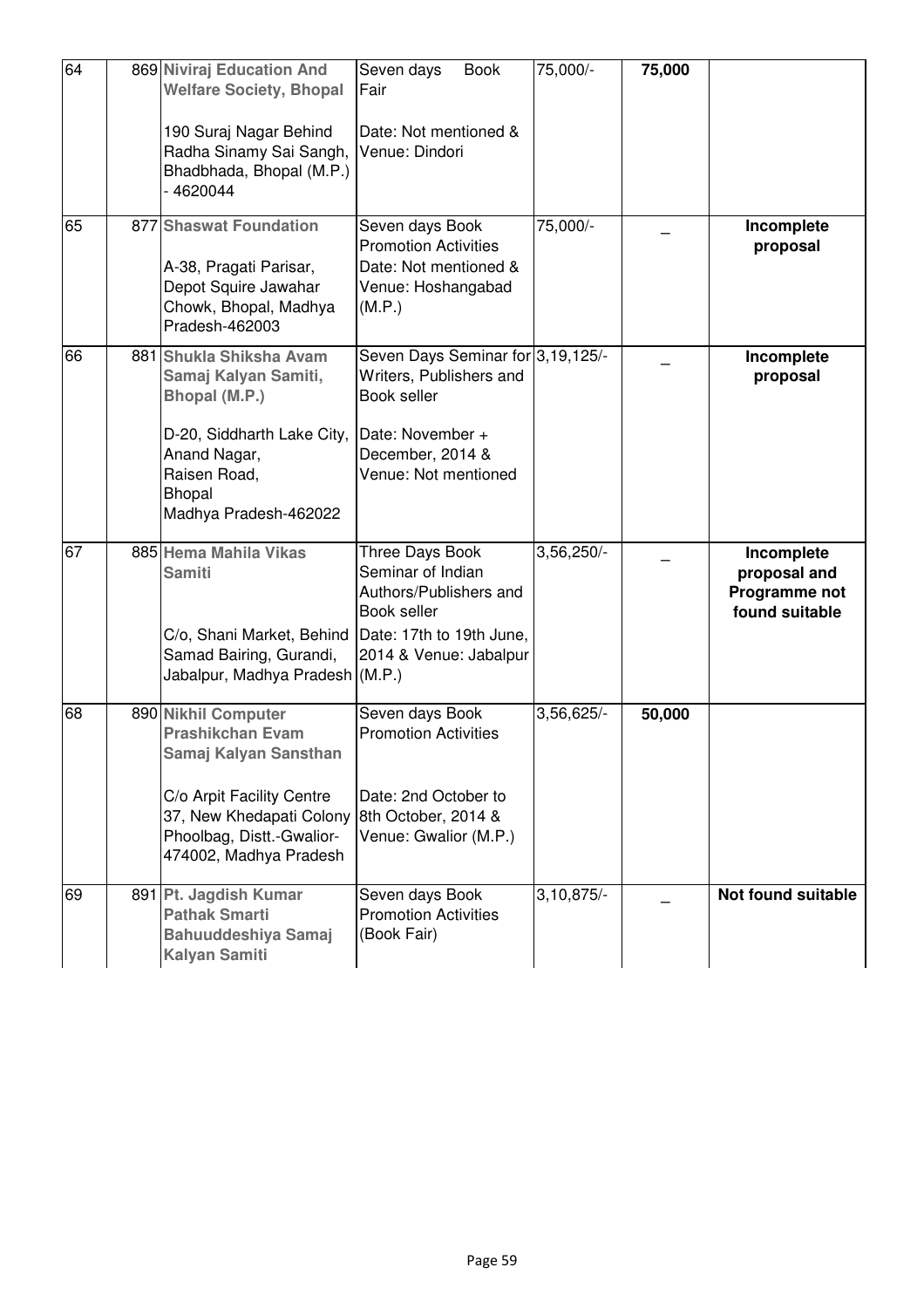| 64 | 869 Niviraj Education And<br><b>Welfare Society, Bhopal</b>                                                                                                                             | Seven days<br><b>Book</b><br>Fair                                                                                                           | 75,000/-                | 75,000 |                                                               |
|----|-----------------------------------------------------------------------------------------------------------------------------------------------------------------------------------------|---------------------------------------------------------------------------------------------------------------------------------------------|-------------------------|--------|---------------------------------------------------------------|
|    | 190 Suraj Nagar Behind<br>Radha Sinamy Sai Sangh,<br>Bhadbhada, Bhopal (M.P.)<br>4620044                                                                                                | Date: Not mentioned &<br>Venue: Dindori                                                                                                     |                         |        |                                                               |
| 65 | 877 Shaswat Foundation<br>A-38, Pragati Parisar,<br>Depot Squire Jawahar<br>Chowk, Bhopal, Madhya<br>Pradesh-462003                                                                     | Seven days Book<br><b>Promotion Activities</b><br>Date: Not mentioned &<br>Venue: Hoshangabad<br>(M.P.)                                     | 75,000/-                |        | Incomplete<br>proposal                                        |
| 66 | 881 Shukla Shiksha Avam<br>Samaj Kalyan Samiti,<br>Bhopal (M.P.)<br>D-20, Siddharth Lake City,<br>Anand Nagar,<br>Raisen Road,<br>Bhopal<br>Madhya Pradesh-462022                       | Seven Days Seminar for 3,19,125/-<br>Writers, Publishers and<br>Book seller<br>Date: November +<br>December, 2014 &<br>Venue: Not mentioned |                         |        | Incomplete<br>proposal                                        |
| 67 | 885 Hema Mahila Vikas<br><b>Samiti</b><br>C/o, Shani Market, Behind<br>Samad Bairing, Gurandi,<br>Jabalpur, Madhya Pradesh (M.P.)                                                       | Three Days Book<br>Seminar of Indian<br>Authors/Publishers and<br>Book seller<br>Date: 17th to 19th June,<br>2014 & Venue: Jabalpur         | $3,56,250/-$            |        | Incomplete<br>proposal and<br>Programme not<br>found suitable |
| 68 | 890 Nikhil Computer<br><b>Prashikchan Evam</b><br>Samaj Kalyan Sansthan<br>C/o Arpit Facility Centre<br>37, New Khedapati Colony<br>Phoolbag, Distt.-Gwalior-<br>474002, Madhya Pradesh | Seven days Book<br><b>Promotion Activities</b><br>Date: 2nd October to<br>8th October, 2014 &<br>Venue: Gwalior (M.P.)                      | 3,56,625/-              | 50,000 |                                                               |
| 69 | 891 Pt. Jagdish Kumar<br><b>Pathak Smarti</b><br><b>Bahuuddeshiya Samaj</b><br><b>Kalyan Samiti</b>                                                                                     | Seven days Book<br><b>Promotion Activities</b><br>(Book Fair)                                                                               | $3,10,875$ <sup>-</sup> |        | <b>Not found suitable</b>                                     |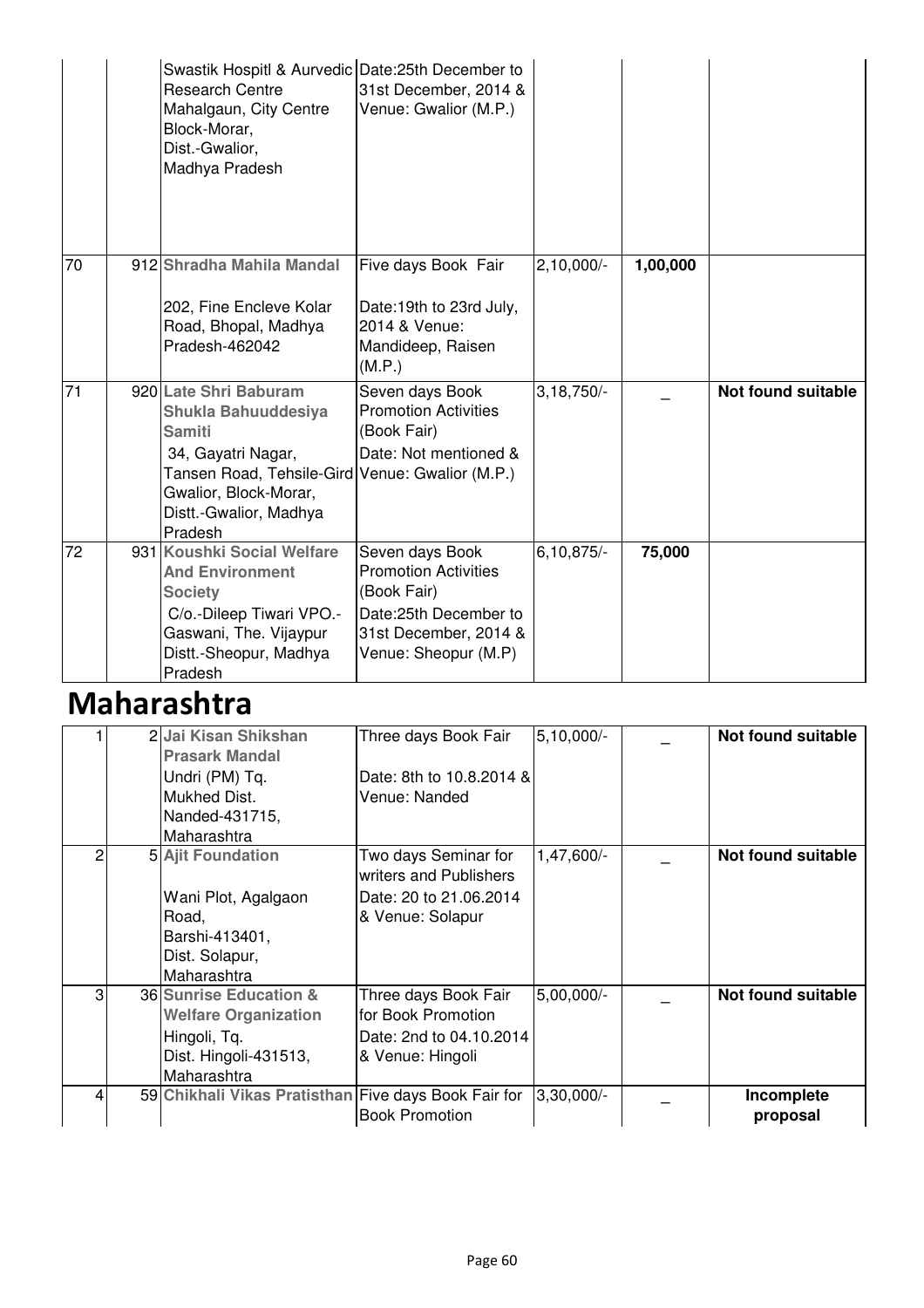|                 | Swastik Hospitl & Aurvedic Date: 25th December to<br><b>Research Centre</b><br>Mahalgaun, City Centre<br>Block-Morar,<br>Dist.-Gwalior,<br>Madhya Pradesh                                            | 31st December, 2014 &<br>Venue: Gwalior (M.P.)                                                                                          |                |          |                           |
|-----------------|------------------------------------------------------------------------------------------------------------------------------------------------------------------------------------------------------|-----------------------------------------------------------------------------------------------------------------------------------------|----------------|----------|---------------------------|
| 70              | 912 Shradha Mahila Mandal<br>202, Fine Encleve Kolar<br>Road, Bhopal, Madhya<br>Pradesh-462042                                                                                                       | Five days Book Fair<br>Date:19th to 23rd July,<br>2014 & Venue:<br>Mandideep, Raisen<br>(M.P.)                                          | $2,10,000/-$   | 1,00,000 |                           |
| $\overline{71}$ | 920 Late Shri Baburam<br>Shukla Bahuuddesiya<br><b>Samiti</b><br>34, Gayatri Nagar,<br>Tansen Road, Tehsile-Gird Venue: Gwalior (M.P.)<br>Gwalior, Block-Morar,<br>Distt.-Gwalior, Madhya<br>Pradesh | Seven days Book<br><b>Promotion Activities</b><br>(Book Fair)<br>Date: Not mentioned &                                                  | $3,18,750/-$   |          | <b>Not found suitable</b> |
| 72              | 931 Koushki Social Welfare<br><b>And Environment</b><br><b>Society</b><br>C/o.-Dileep Tiwari VPO.-<br>Gaswani, The. Vijaypur<br>Distt.-Sheopur, Madhya<br>Pradesh                                    | Seven days Book<br><b>Promotion Activities</b><br>(Book Fair)<br>Date:25th December to<br>31st December, 2014 &<br>Venue: Sheopur (M.P) | $6, 10, 875/-$ | 75,000   |                           |

## Maharashtra

|   | 2 Jai Kisan Shikshan<br><b>Prasark Mandal</b><br>Undri (PM) Tq.<br>Mukhed Dist.<br>Nanded-431715,<br>Maharashtra | Three days Book Fair<br>Date: 8th to 10.8.2014 &<br>Venue: Nanded                            | $5,10,000/-$ | Not found suitable        |
|---|------------------------------------------------------------------------------------------------------------------|----------------------------------------------------------------------------------------------|--------------|---------------------------|
| 2 | <b>5 Ajit Foundation</b><br>Wani Plot, Agalgaon<br>Road,<br>Barshi-413401,<br>Dist. Solapur,<br>Maharashtra      | Two days Seminar for<br>writers and Publishers<br>Date: 20 to 21.06.2014<br>& Venue: Solapur | 1,47,600/-   | <b>Not found suitable</b> |
| 3 | 36 Sunrise Education &<br><b>Welfare Organization</b><br>Hingoli, Tq.<br>Dist. Hingoli-431513,<br>Maharashtra    | Three days Book Fair<br>for Book Promotion<br>Date: 2nd to 04.10.2014<br>& Venue: Hingoli    | 5,00,000/-   | Not found suitable        |
|   | 59 Chikhali Vikas Pratisthan Five days Book Fair for                                                             | <b>Book Promotion</b>                                                                        | $3,30,000/-$ | Incomplete<br>proposal    |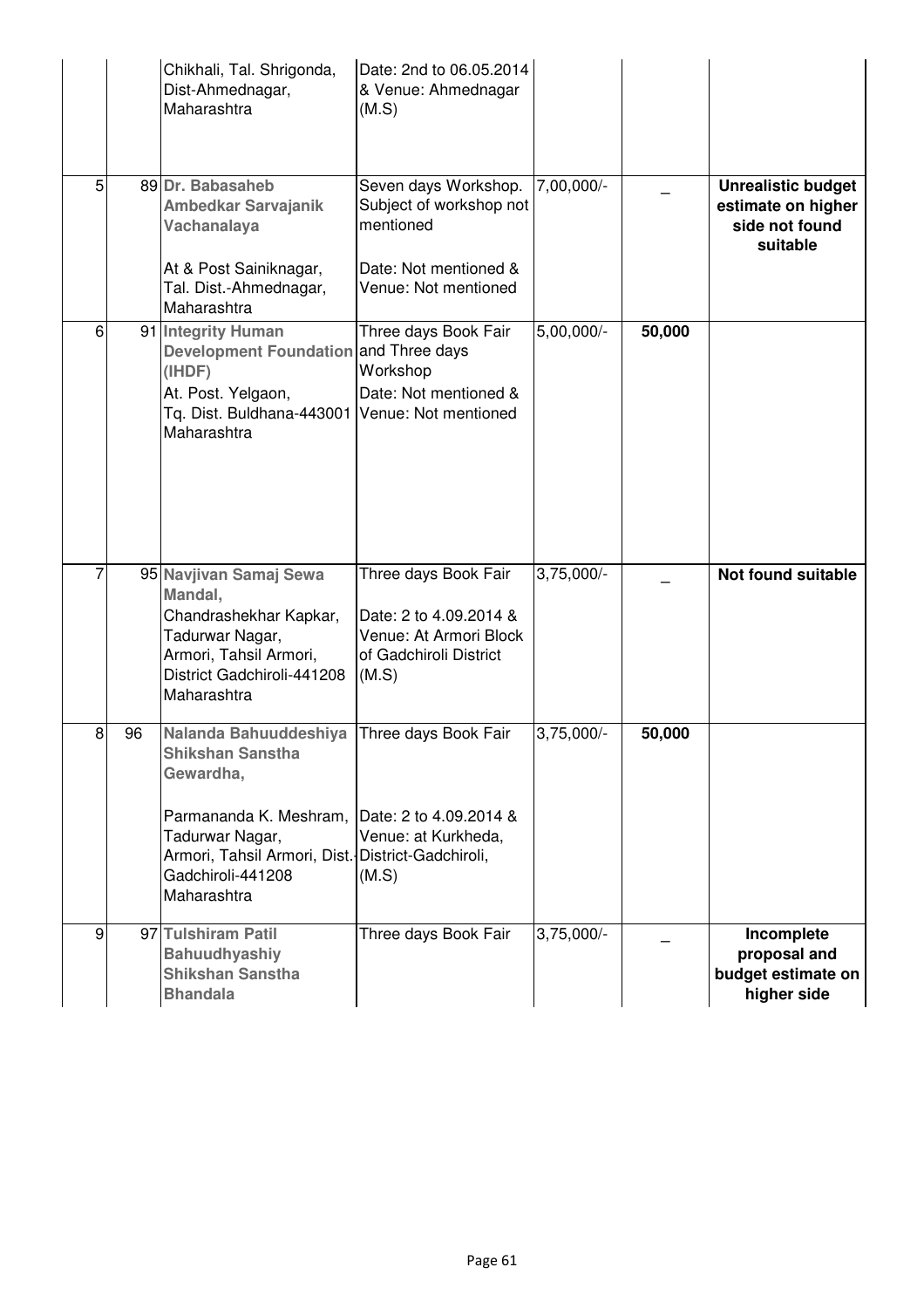|   |    | Chikhali, Tal. Shrigonda,<br>Dist-Ahmednagar,<br>Maharashtra                                                                                                                                        | Date: 2nd to 06.05.2014<br>& Venue: Ahmednagar<br>(M.S)                                                       |              |        |                                                                               |
|---|----|-----------------------------------------------------------------------------------------------------------------------------------------------------------------------------------------------------|---------------------------------------------------------------------------------------------------------------|--------------|--------|-------------------------------------------------------------------------------|
| 5 |    | 89 Dr. Babasaheb<br><b>Ambedkar Sarvajanik</b><br>Vachanalaya<br>At & Post Sainiknagar,<br>Tal. Dist.-Ahmednagar,                                                                                   | Seven days Workshop.<br>Subject of workshop not<br>mentioned<br>Date: Not mentioned &<br>Venue: Not mentioned | 7,00,000/-   |        | <b>Unrealistic budget</b><br>estimate on higher<br>side not found<br>suitable |
| 6 |    | Maharashtra<br>91 Integrity Human<br>Development Foundation and Three days<br>(IHDF)<br>At. Post. Yelgaon,<br>Tq. Dist. Buldhana-443001<br>Maharashtra                                              | Three days Book Fair<br>Workshop<br>Date: Not mentioned &<br>Venue: Not mentioned                             | 5,00,000/-   | 50,000 |                                                                               |
|   |    | 95 Navjivan Samaj Sewa<br>Mandal,<br>Chandrashekhar Kapkar,<br>Tadurwar Nagar,<br>Armori, Tahsil Armori,<br>District Gadchiroli-441208<br>Maharashtra                                               | Three days Book Fair<br>Date: 2 to 4.09.2014 &<br>Venue: At Armori Block<br>of Gadchiroli District<br>(M.S)   | $3,75,000/-$ |        | <b>Not found suitable</b>                                                     |
| 8 | 96 | Nalanda Bahuuddeshiya<br><b>Shikshan Sanstha</b><br>Gewardha,<br>Parmananda K. Meshram,<br>Tadurwar Nagar,<br>Armori, Tahsil Armori, Dist. District-Gadchiroli,<br>Gadchiroli-441208<br>Maharashtra | Three days Book Fair<br>Date: 2 to 4.09.2014 &<br>Venue: at Kurkheda,<br>(M.S)                                | $3,75,000/-$ | 50,000 |                                                                               |
| 9 |    | 97 Tulshiram Patil<br><b>Bahuudhyashiy</b><br><b>Shikshan Sanstha</b><br><b>Bhandala</b>                                                                                                            | Three days Book Fair                                                                                          | $3,75,000/-$ |        | Incomplete<br>proposal and<br>budget estimate on<br>higher side               |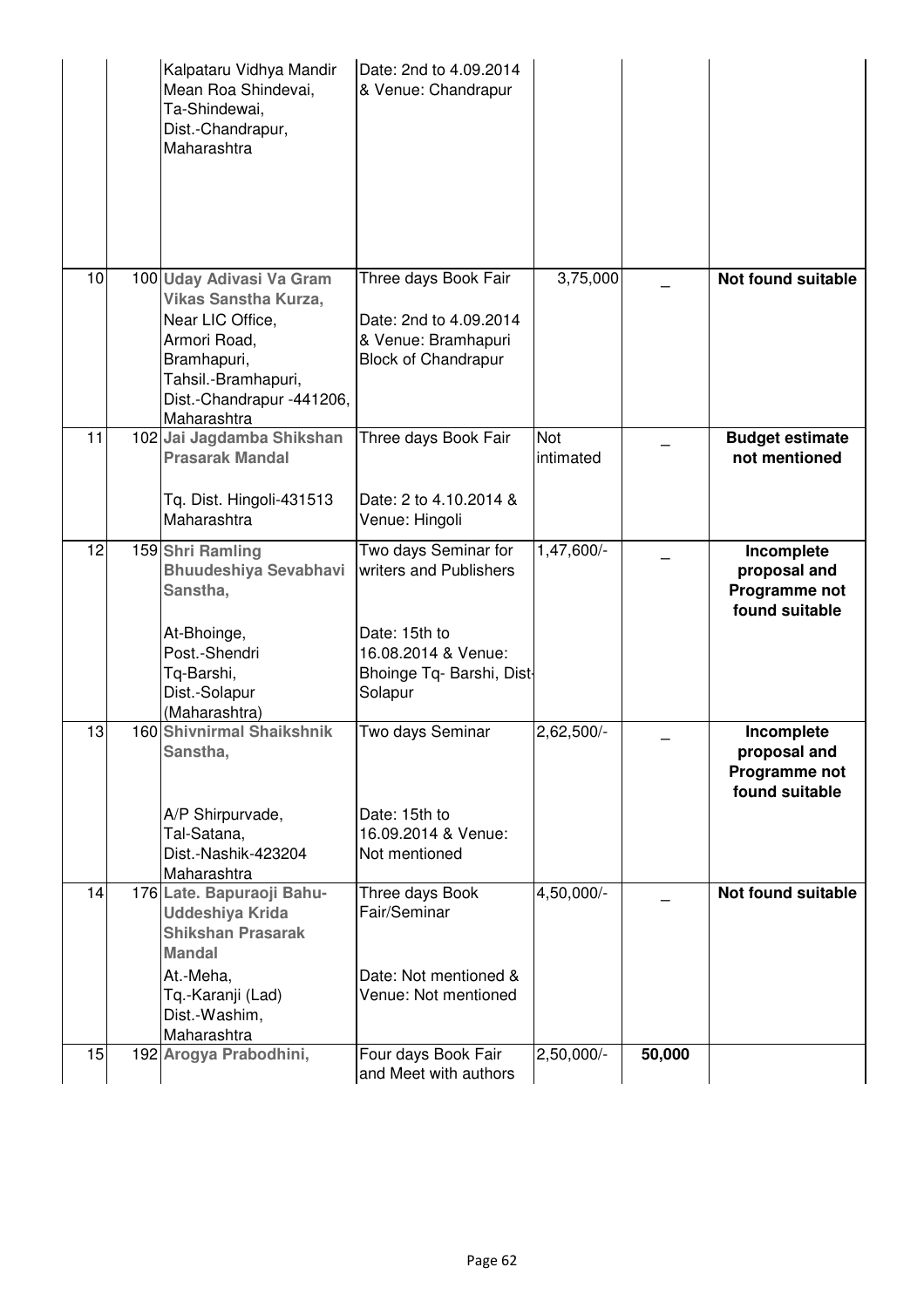|    | Kalpataru Vidhya Mandir<br>Mean Roa Shindevai,<br>Ta-Shindewai,<br>Dist.-Chandrapur,<br>Maharashtra                                                                           | Date: 2nd to 4.09.2014<br>& Venue: Chandrapur                                                                                  |                  |        |                                                               |
|----|-------------------------------------------------------------------------------------------------------------------------------------------------------------------------------|--------------------------------------------------------------------------------------------------------------------------------|------------------|--------|---------------------------------------------------------------|
| 10 | 100 Uday Adivasi Va Gram<br><b>Vikas Sanstha Kurza,</b><br>Near LIC Office,<br>Armori Road,<br>Bramhapuri,<br>Tahsil.-Bramhapuri,<br>Dist.-Chandrapur -441206,<br>Maharashtra | Three days Book Fair<br>Date: 2nd to 4.09.2014<br>& Venue: Bramhapuri<br><b>Block of Chandrapur</b>                            | 3,75,000         |        | <b>Not found suitable</b>                                     |
| 11 | 102 Jai Jagdamba Shikshan<br><b>Prasarak Mandal</b><br>Tq. Dist. Hingoli-431513<br>Maharashtra                                                                                | Three days Book Fair<br>Date: 2 to 4.10.2014 &<br>Venue: Hingoli                                                               | Not<br>intimated |        | <b>Budget estimate</b><br>not mentioned                       |
| 12 | 159 Shri Ramling<br><b>Bhuudeshiya Sevabhavi</b><br>Sanstha,<br>At-Bhoinge,<br>Post.-Shendri<br>Tq-Barshi,<br>Dist.-Solapur<br>(Maharashtra)                                  | Two days Seminar for<br>writers and Publishers<br>Date: 15th to<br>16.08.2014 & Venue:<br>Bhoinge Tq- Barshi, Dist-<br>Solapur | 1,47,600/-       |        | Incomplete<br>proposal and<br>Programme not<br>found suitable |
| 13 | 160 Shivnirmal Shaikshnik<br>Sanstha,<br>A/P Shirpurvade,<br>Tal-Satana,<br>Dist.-Nashik-423204<br>Maharashtra                                                                | Two days Seminar<br>Date: 15th to<br>16.09.2014 & Venue:<br>Not mentioned                                                      | 2,62,500/-       |        | Incomplete<br>proposal and<br>Programme not<br>found suitable |
| 14 | 176 Late. Bapuraoji Bahu-<br><b>Uddeshiya Krida</b><br><b>Shikshan Prasarak</b><br><b>Mandal</b><br>At.-Meha,<br>Tq.-Karanji (Lad)<br>Dist.-Washim,<br>Maharashtra            | Three days Book<br>Fair/Seminar<br>Date: Not mentioned &<br>Venue: Not mentioned                                               | 4,50,000/-       |        | Not found suitable                                            |
| 15 | 192 Arogya Prabodhini,                                                                                                                                                        | Four days Book Fair<br>and Meet with authors                                                                                   | $2,50,000/-$     | 50,000 |                                                               |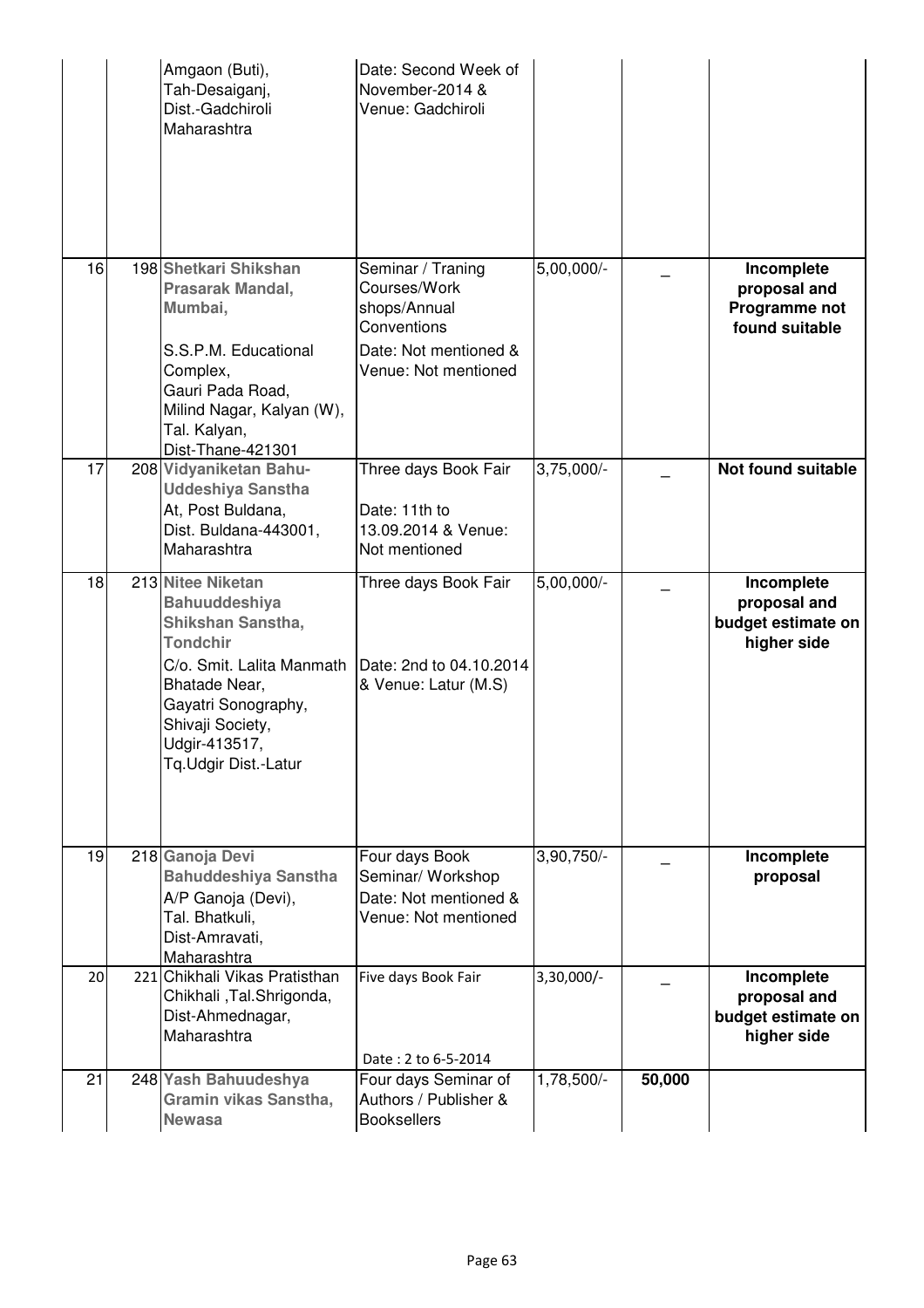|    | Amgaon (Buti),<br>Tah-Desaiganj,<br>Dist.-Gadchiroli<br>Maharashtra                                                                                                                                                 | Date: Second Week of<br>November-2014 &<br>Venue: Gadchiroli                                                      |              |        |                                                                 |
|----|---------------------------------------------------------------------------------------------------------------------------------------------------------------------------------------------------------------------|-------------------------------------------------------------------------------------------------------------------|--------------|--------|-----------------------------------------------------------------|
| 16 | 198 Shetkari Shikshan<br>Prasarak Mandal,<br>Mumbai,<br>S.S.P.M. Educational<br>Complex,<br>Gauri Pada Road,<br>Milind Nagar, Kalyan (W),<br>Tal. Kalyan,<br>Dist-Thane-421301                                      | Seminar / Traning<br>Courses/Work<br>shops/Annual<br>Conventions<br>Date: Not mentioned &<br>Venue: Not mentioned | $5,00,000/-$ |        | Incomplete<br>proposal and<br>Programme not<br>found suitable   |
| 17 | 208 Vidyaniketan Bahu-<br><b>Uddeshiya Sanstha</b><br>At, Post Buldana,<br>Dist. Buldana-443001,<br>Maharashtra                                                                                                     | Three days Book Fair<br>Date: 11th to<br>13.09.2014 & Venue:<br>Not mentioned                                     | $3,75,000/-$ |        | <b>Not found suitable</b>                                       |
| 18 | 213 Nitee Niketan<br><b>Bahuuddeshiya</b><br>Shikshan Sanstha,<br><b>Tondchir</b><br>C/o. Smit. Lalita Manmath<br>Bhatade Near,<br>Gayatri Sonography,<br>Shivaji Society,<br>Udgir-413517,<br>Tq.Udgir Dist.-Latur | Three days Book Fair<br>Date: 2nd to 04.10.2014<br>& Venue: Latur (M.S)                                           | $5,00,000/-$ |        | Incomplete<br>proposal and<br>budget estimate on<br>higher side |
| 19 | 218 Ganoja Devi<br><b>Bahuddeshiya Sanstha</b><br>A/P Ganoja (Devi),<br>Tal. Bhatkuli,<br>Dist-Amravati,<br>Maharashtra                                                                                             | Four days Book<br>Seminar/ Workshop<br>Date: Not mentioned &<br>Venue: Not mentioned                              | 3,90,750/-   |        | Incomplete<br>proposal                                          |
| 20 | 221 Chikhali Vikas Pratisthan<br>Chikhali, Tal.Shrigonda,<br>Dist-Ahmednagar,<br>Maharashtra                                                                                                                        | Five days Book Fair<br>Date: 2 to 6-5-2014                                                                        | 3,30,000/-   |        | Incomplete<br>proposal and<br>budget estimate on<br>higher side |
| 21 | 248 Yash Bahuudeshya<br>Gramin vikas Sanstha,<br><b>Newasa</b>                                                                                                                                                      | Four days Seminar of<br>Authors / Publisher &<br><b>Booksellers</b>                                               | $1,78,500/-$ | 50,000 |                                                                 |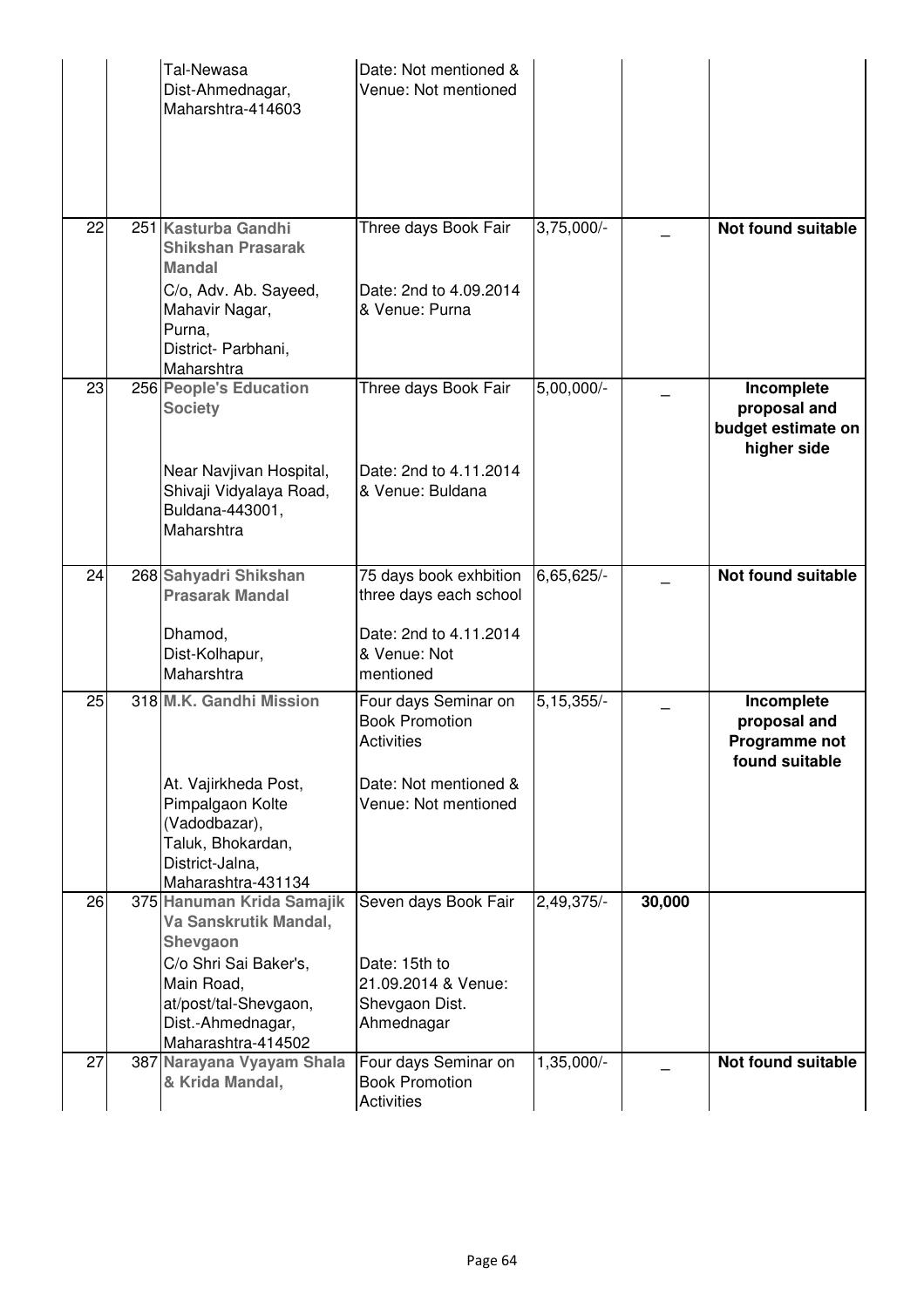|    | Tal-Newasa<br>Dist-Ahmednagar,<br>Maharshtra-414603                                                                                                                       | Date: Not mentioned &<br>Venue: Not mentioned                                                                       |              |        |                                                                 |
|----|---------------------------------------------------------------------------------------------------------------------------------------------------------------------------|---------------------------------------------------------------------------------------------------------------------|--------------|--------|-----------------------------------------------------------------|
| 22 | 251 Kasturba Gandhi<br><b>Shikshan Prasarak</b><br><b>Mandal</b><br>C/o, Adv. Ab. Sayeed,<br>Mahavir Nagar,<br>Purna,<br>District- Parbhani,<br>Maharshtra                | Three days Book Fair<br>Date: 2nd to 4.09.2014<br>& Venue: Purna                                                    | $3,75,000/-$ |        | <b>Not found suitable</b>                                       |
| 23 | 256 People's Education<br><b>Society</b><br>Near Navjivan Hospital,<br>Shivaji Vidyalaya Road,<br>Buldana-443001,<br>Maharshtra                                           | Three days Book Fair<br>Date: 2nd to 4.11.2014<br>& Venue: Buldana                                                  | $5,00,000/-$ |        | Incomplete<br>proposal and<br>budget estimate on<br>higher side |
| 24 | 268 Sahyadri Shikshan<br><b>Prasarak Mandal</b><br>Dhamod,<br>Dist-Kolhapur,<br>Maharshtra                                                                                | 75 days book exhbition<br>three days each school<br>Date: 2nd to 4.11.2014<br>& Venue: Not<br>mentioned             | 6,65,625/-   |        | <b>Not found suitable</b>                                       |
| 25 | 318 M.K. Gandhi Mission<br>At. Vajirkheda Post,<br>Pimpalgaon Kolte<br>(Vadodbazar),<br>Taluk, Bhokardan,<br>District-Jalna,<br>Maharashtra-431134                        | Four days Seminar on<br><b>Book Promotion</b><br><b>Activities</b><br>Date: Not mentioned &<br>Venue: Not mentioned | $5,15,355/-$ |        | Incomplete<br>proposal and<br>Programme not<br>found suitable   |
| 26 | 375 Hanuman Krida Samajik<br>Va Sanskrutik Mandal,<br>Shevgaon<br>C/o Shri Sai Baker's,<br>Main Road,<br>at/post/tal-Shevgaon,<br>Dist.-Ahmednagar,<br>Maharashtra-414502 | Seven days Book Fair<br>Date: 15th to<br>21.09.2014 & Venue:<br>Shevgaon Dist.<br>Ahmednagar                        | 2,49,375/-   | 30,000 |                                                                 |
| 27 | 387 Narayana Vyayam Shala<br>& Krida Mandal,                                                                                                                              | Four days Seminar on<br><b>Book Promotion</b><br><b>Activities</b>                                                  | 1,35,000/-   |        | <b>Not found suitable</b>                                       |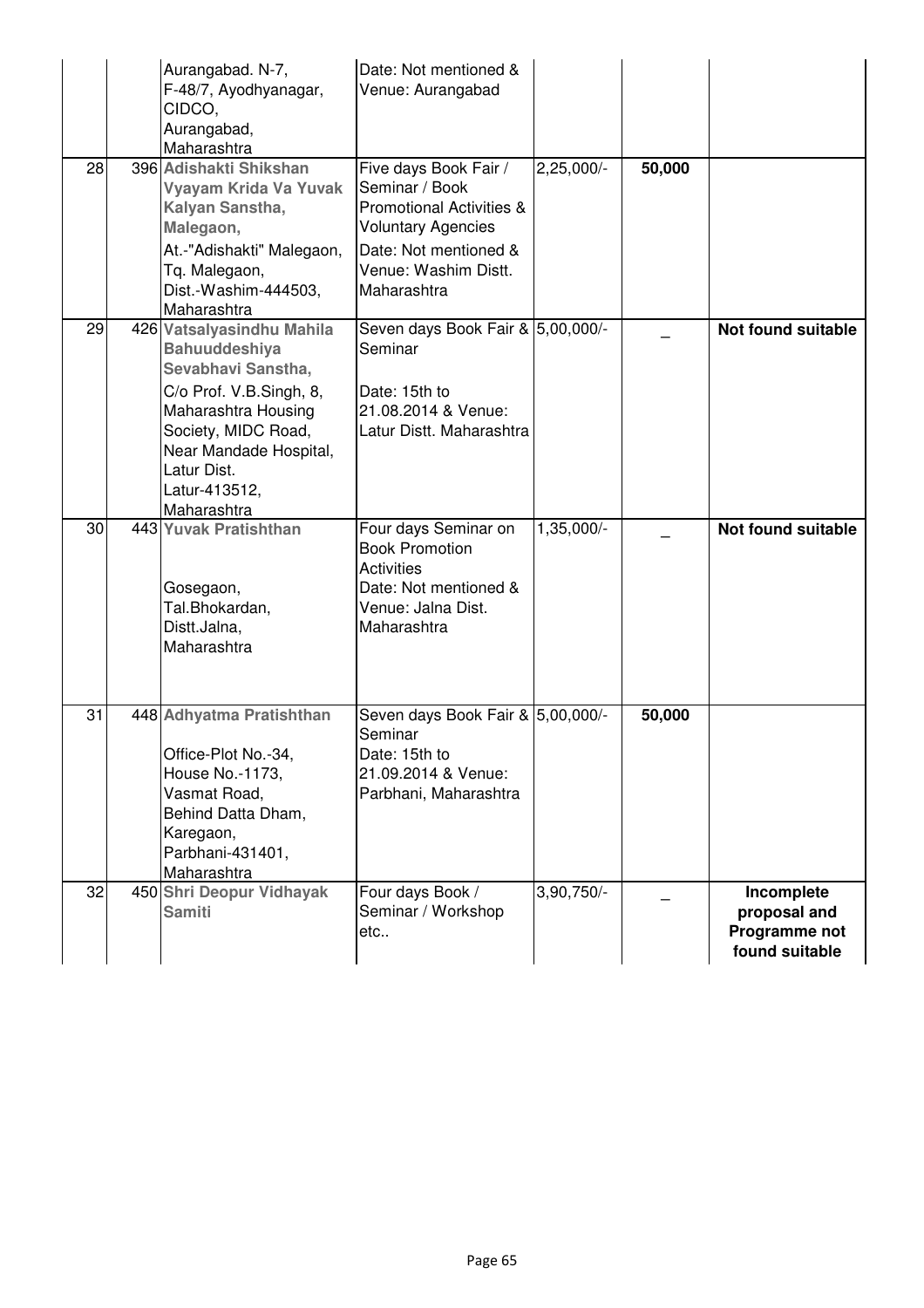|    | Aurangabad. N-7,<br>F-48/7, Ayodhyanagar,<br>CIDCO,<br>Aurangabad,<br>Maharashtra                                                                                                                                         | Date: Not mentioned &<br>Venue: Aurangabad                                                                                                                                  |              |        |                                                               |
|----|---------------------------------------------------------------------------------------------------------------------------------------------------------------------------------------------------------------------------|-----------------------------------------------------------------------------------------------------------------------------------------------------------------------------|--------------|--------|---------------------------------------------------------------|
| 28 | 396 Adishakti Shikshan<br>Vyayam Krida Va Yuvak<br>Kalyan Sanstha,<br>Malegaon,<br>At.-"Adishakti" Malegaon,<br>Tq. Malegaon,<br>Dist.-Washim-444503,<br>Maharashtra                                                      | Five days Book Fair /<br>Seminar / Book<br><b>Promotional Activities &amp;</b><br><b>Voluntary Agencies</b><br>Date: Not mentioned &<br>Venue: Washim Distt.<br>Maharashtra | $2,25,000/-$ | 50,000 |                                                               |
| 29 | 426 Vatsalyasindhu Mahila<br><b>Bahuuddeshiya</b><br>Sevabhavi Sanstha,<br>C/o Prof. V.B.Singh, 8,<br>Maharashtra Housing<br>Society, MIDC Road,<br>Near Mandade Hospital,<br>Latur Dist.<br>Latur-413512,<br>Maharashtra | Seven days Book Fair & 5,00,000/-<br>Seminar<br>Date: 15th to<br>21.08.2014 & Venue:<br>Latur Distt. Maharashtra                                                            |              |        | Not found suitable                                            |
| 30 | 443 Yuvak Pratishthan<br>Gosegaon,<br>Tal.Bhokardan,<br>Distt.Jalna,<br>Maharashtra                                                                                                                                       | Four days Seminar on<br><b>Book Promotion</b><br><b>Activities</b><br>Date: Not mentioned &<br>Venue: Jalna Dist.<br>Maharashtra                                            | 1,35,000/-   |        | <b>Not found suitable</b>                                     |
| 31 | 448 Adhyatma Pratishthan<br>Office-Plot No.-34,<br>House No.-1173,<br>Vasmat Road,<br>Behind Datta Dham,<br>Karegaon,<br>Parbhani-431401,<br>Maharashtra                                                                  | Seven days Book Fair & 5,00,000/-<br>Seminar<br>Date: 15th to<br>21.09.2014 & Venue:<br>Parbhani, Maharashtra                                                               |              | 50,000 |                                                               |
| 32 | 450 Shri Deopur Vidhayak<br><b>Samiti</b>                                                                                                                                                                                 | Four days Book /<br>Seminar / Workshop<br>etc                                                                                                                               | 3,90,750/-   |        | Incomplete<br>proposal and<br>Programme not<br>found suitable |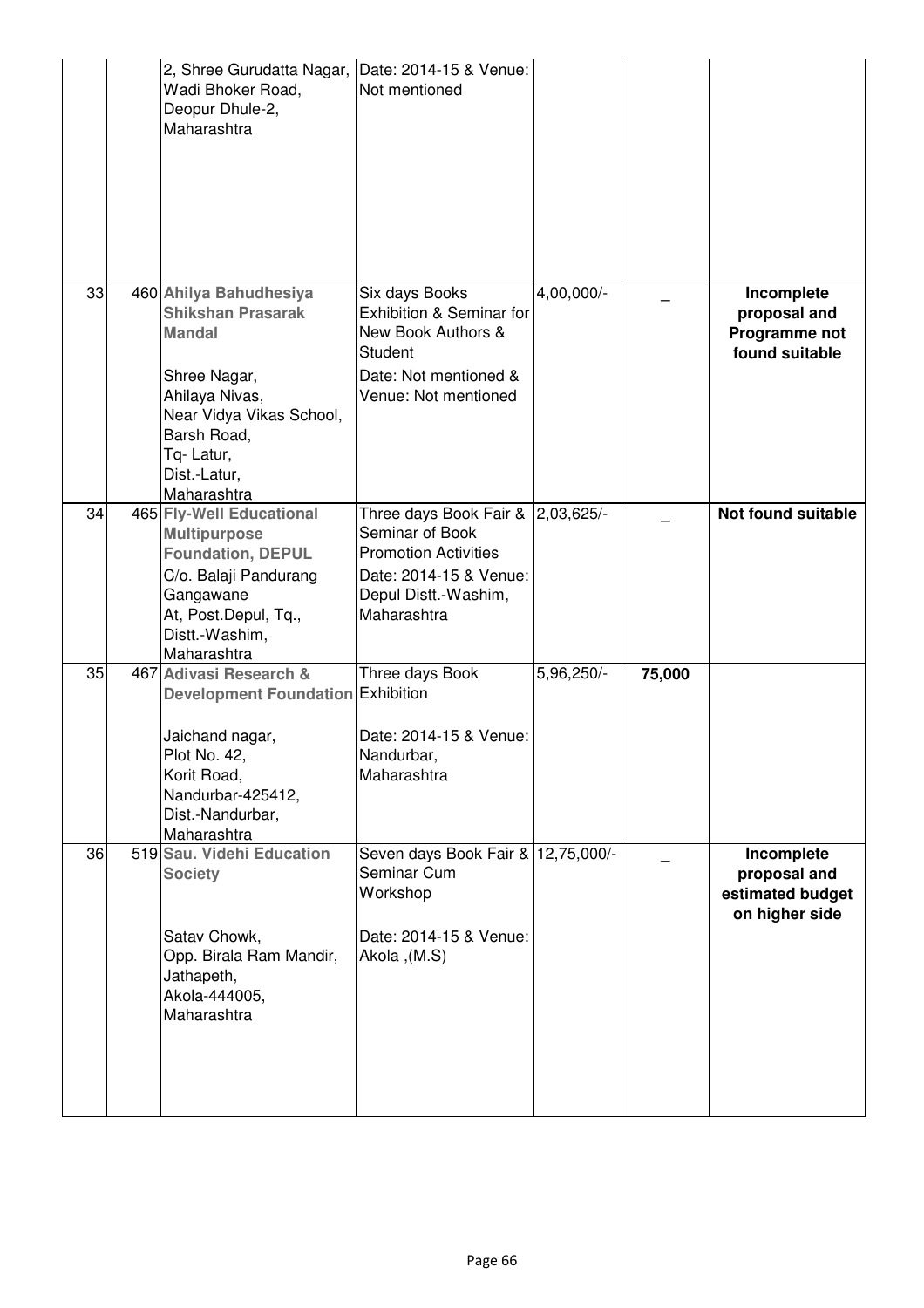|    | 2, Shree Gurudatta Nagar, Date: 2014-15 & Venue:<br>Wadi Bhoker Road,<br>Deopur Dhule-2,<br>Maharashtra                                                                                      | Not mentioned                                                                                                                                        |            |        |                                                                  |
|----|----------------------------------------------------------------------------------------------------------------------------------------------------------------------------------------------|------------------------------------------------------------------------------------------------------------------------------------------------------|------------|--------|------------------------------------------------------------------|
| 33 | 460 Ahilya Bahudhesiya<br><b>Shikshan Prasarak</b><br><b>Mandal</b><br>Shree Nagar,<br>Ahilaya Nivas,<br>Near Vidya Vikas School,<br>Barsh Road,<br>Tq-Latur,<br>Dist.-Latur,<br>Maharashtra | Six days Books<br>Exhibition & Seminar for<br>New Book Authors &<br>Student<br>Date: Not mentioned &<br>Venue: Not mentioned                         | 4,00,000/- |        | Incomplete<br>proposal and<br>Programme not<br>found suitable    |
| 34 | 465 Fly-Well Educational<br><b>Multipurpose</b><br><b>Foundation, DEPUL</b><br>C/o. Balaji Pandurang<br>Gangawane<br>At, Post.Depul, Tq.,<br>Distt.-Washim,<br>Maharashtra                   | Three days Book Fair & 2,03,625/-<br>Seminar of Book<br><b>Promotion Activities</b><br>Date: 2014-15 & Venue:<br>Depul Distt.-Washim,<br>Maharashtra |            |        | Not found suitable                                               |
| 35 | 467 Adivasi Research &<br><b>Development Foundation Exhibition</b><br>Jaichand nagar,<br>Plot No. 42,<br>Korit Road,<br>Nandurbar-425412,<br>Dist.-Nandurbar,<br>Maharashtra                 | Three days Book<br>Date: 2014-15 & Venue:<br>Nandurbar,<br>Maharashtra                                                                               | 5,96,250/- | 75,000 |                                                                  |
| 36 | 519 Sau. Videhi Education<br><b>Society</b><br>Satav Chowk,<br>Opp. Birala Ram Mandir,<br>Jathapeth,<br>Akola-444005,<br>Maharashtra                                                         | Seven days Book Fair & 12,75,000/-<br>Seminar Cum<br>Workshop<br>Date: 2014-15 & Venue:<br>Akola , (M.S)                                             |            |        | Incomplete<br>proposal and<br>estimated budget<br>on higher side |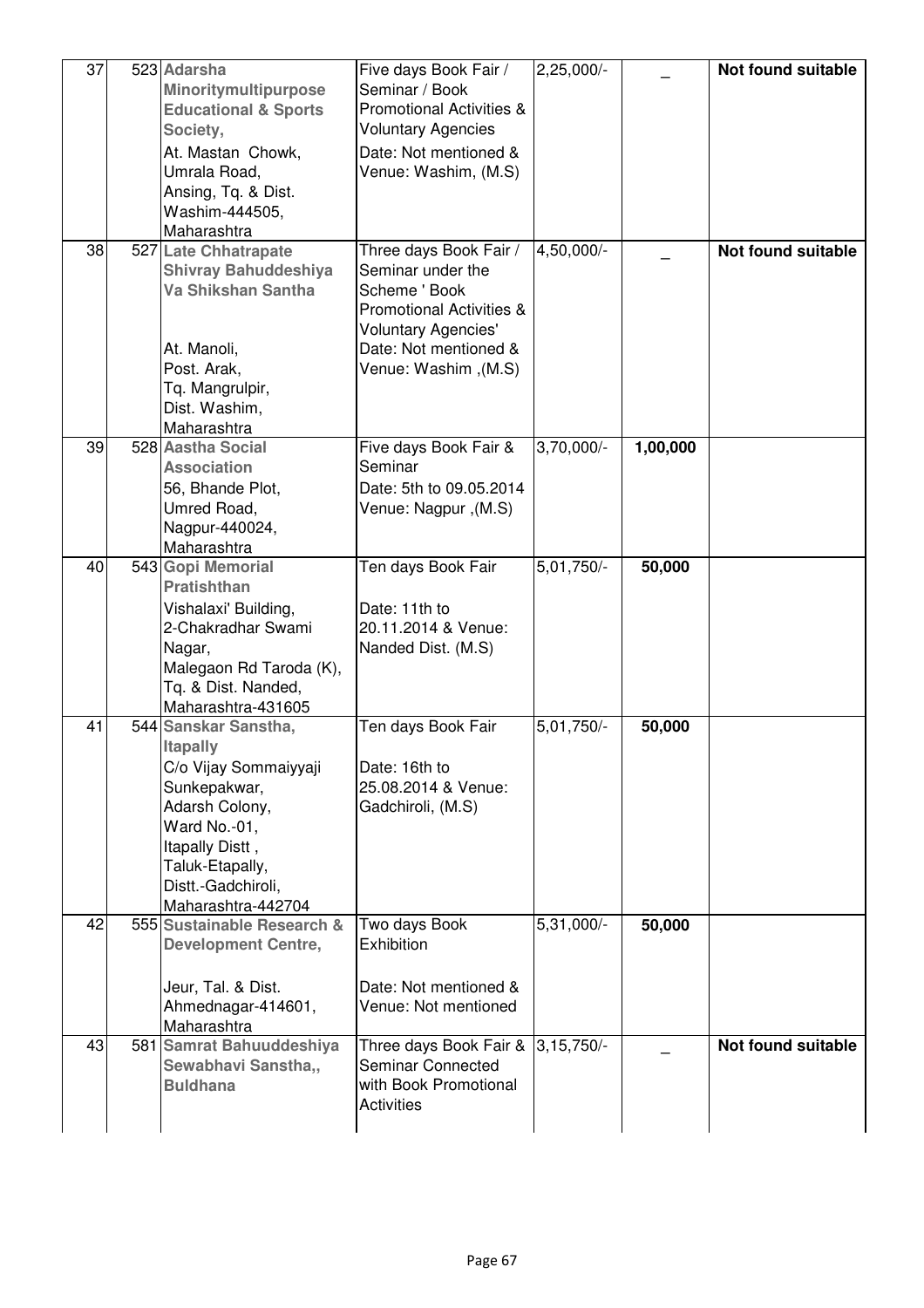| 37<br>38 | 523 Adarsha<br>Minoritymultipurpose<br><b>Educational &amp; Sports</b><br>Society,<br>At. Mastan Chowk,<br>Umrala Road,<br>Ansing, Tq. & Dist.<br>Washim-444505,<br>Maharashtra<br>527 Late Chhatrapate<br><b>Shivray Bahuddeshiya</b><br>Va Shikshan Santha | Five days Book Fair /<br>Seminar / Book<br><b>Promotional Activities &amp;</b><br><b>Voluntary Agencies</b><br>Date: Not mentioned &<br>Venue: Washim, (M.S)<br>Three days Book Fair /<br>Seminar under the<br>Scheme ' Book<br><b>Promotional Activities &amp;</b> | $2,25,000/-$<br>4,50,000/- |          | Not found suitable<br><b>Not found suitable</b> |
|----------|--------------------------------------------------------------------------------------------------------------------------------------------------------------------------------------------------------------------------------------------------------------|---------------------------------------------------------------------------------------------------------------------------------------------------------------------------------------------------------------------------------------------------------------------|----------------------------|----------|-------------------------------------------------|
|          | At. Manoli,<br>Post. Arak,<br>Tq. Mangrulpir,<br>Dist. Washim,<br>Maharashtra                                                                                                                                                                                | <b>Voluntary Agencies'</b><br>Date: Not mentioned &<br>(M.S), Venue: Washim                                                                                                                                                                                         |                            |          |                                                 |
| 39       | 528 Aastha Social<br><b>Association</b><br>56, Bhande Plot,<br>Umred Road,<br>Nagpur-440024,<br>Maharashtra                                                                                                                                                  | Five days Book Fair &<br>Seminar<br>Date: 5th to 09.05.2014<br>Venue: Nagpur, (M.S)                                                                                                                                                                                 | $3,70,000/-$               | 1,00,000 |                                                 |
| 40       | 543 Gopi Memorial<br><b>Pratishthan</b><br>Vishalaxi' Building,<br>2-Chakradhar Swami<br>Nagar,<br>Malegaon Rd Taroda (K),<br>Tq. & Dist. Nanded,<br>Maharashtra-431605                                                                                      | Ten days Book Fair<br>Date: 11th to<br>20.11.2014 & Venue:<br>Nanded Dist. (M.S)                                                                                                                                                                                    | 5,01,750/-                 | 50,000   |                                                 |
| 41       | 544 Sanskar Sanstha,<br><b>Itapally</b><br>C/o Vijay Sommaiyyaji<br>Sunkepakwar,<br>Adarsh Colony,<br>Ward No.-01,<br>Itapally Distt,<br>Taluk-Etapally,<br>Distt.-Gadchiroli,<br>Maharashtra-442704                                                         | Ten days Book Fair<br>Date: 16th to<br>25.08.2014 & Venue:<br>Gadchiroli, (M.S)                                                                                                                                                                                     | 5,01,750/-                 | 50,000   |                                                 |
| 42       | 555 Sustainable Research &<br><b>Development Centre,</b><br>Jeur, Tal. & Dist.<br>Ahmednagar-414601,<br>Maharashtra                                                                                                                                          | Two days Book<br>Exhibition<br>Date: Not mentioned &<br>Venue: Not mentioned                                                                                                                                                                                        | $5,31,000$ <sup>-</sup>    | 50,000   |                                                 |
| 43       | 581 Samrat Bahuuddeshiya<br>Sewabhavi Sanstha,,<br><b>Buldhana</b>                                                                                                                                                                                           | Three days Book Fair &<br><b>Seminar Connected</b><br>with Book Promotional<br><b>Activities</b>                                                                                                                                                                    | $3,15,750/-$               |          | <b>Not found suitable</b>                       |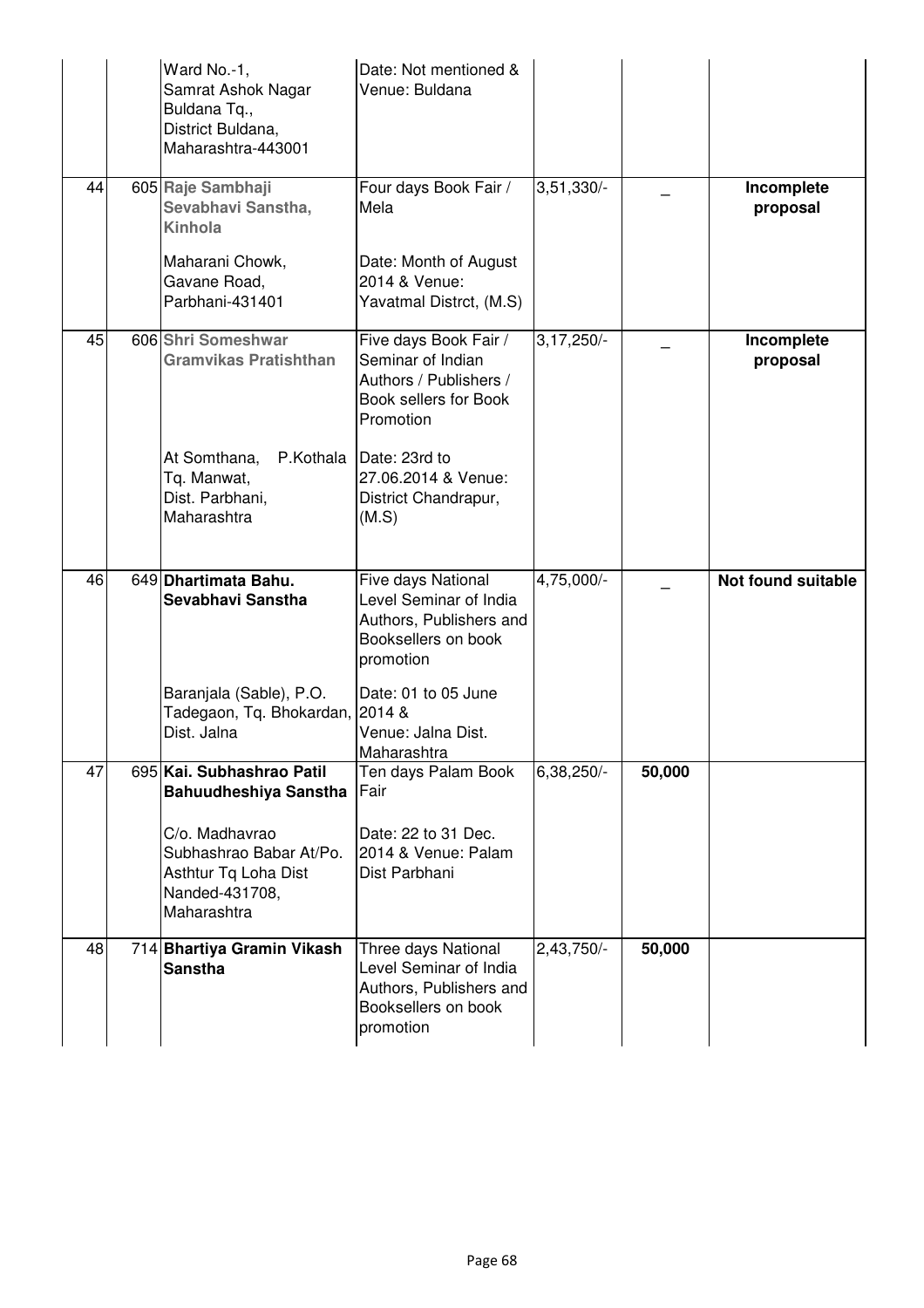|    | Ward No.-1,<br>Samrat Ashok Nagar<br>Buldana Tq.,<br>District Buldana,<br>Maharashtra-443001       | Date: Not mentioned &<br>Venue: Buldana                                                                      |              |        |                           |
|----|----------------------------------------------------------------------------------------------------|--------------------------------------------------------------------------------------------------------------|--------------|--------|---------------------------|
| 44 | 605 Raje Sambhaji<br>Sevabhavi Sanstha,<br>Kinhola                                                 | Four days Book Fair /<br>Mela                                                                                | 3,51,330/-   |        | Incomplete<br>proposal    |
|    | Maharani Chowk,<br>Gavane Road,<br>Parbhani-431401                                                 | Date: Month of August<br>2014 & Venue:<br>Yavatmal Distrct, (M.S)                                            |              |        |                           |
| 45 | 606 Shri Someshwar<br><b>Gramvikas Pratishthan</b>                                                 | Five days Book Fair /<br>Seminar of Indian<br>Authors / Publishers /<br>Book sellers for Book<br>Promotion   | $3,17,250/-$ |        | Incomplete<br>proposal    |
|    | At Somthana,<br>Tq. Manwat,<br>Dist. Parbhani,<br>Maharashtra                                      | P.Kothala   Date: 23rd to<br>27.06.2014 & Venue:<br>District Chandrapur,<br>(M.S)                            |              |        |                           |
| 46 | 649 Dhartimata Bahu.<br>Sevabhavi Sanstha                                                          | Five days National<br>Level Seminar of India<br>Authors, Publishers and<br>Booksellers on book<br>promotion  | 4,75,000/-   |        | <b>Not found suitable</b> |
|    | Baranjala (Sable), P.O.<br>Tadegaon, Tq. Bhokardan, 2014 &<br>Dist. Jalna                          | Date: 01 to 05 June<br>Venue: Jalna Dist.<br>Maharashtra                                                     |              |        |                           |
| 47 | 695 Kai. Subhashrao Patil<br>Bahuudheshiya Sanstha                                                 | Ten days Palam Book<br> Fair                                                                                 | 6,38,250/-   | 50,000 |                           |
|    | C/o. Madhavrao<br>Subhashrao Babar At/Po.<br>Asthtur Tq Loha Dist<br>Nanded-431708,<br>Maharashtra | Date: 22 to 31 Dec.<br>2014 & Venue: Palam<br>Dist Parbhani                                                  |              |        |                           |
| 48 | 714 Bhartiya Gramin Vikash<br><b>Sanstha</b>                                                       | Three days National<br>Level Seminar of India<br>Authors, Publishers and<br>Booksellers on book<br>promotion | 2,43,750/-   | 50,000 |                           |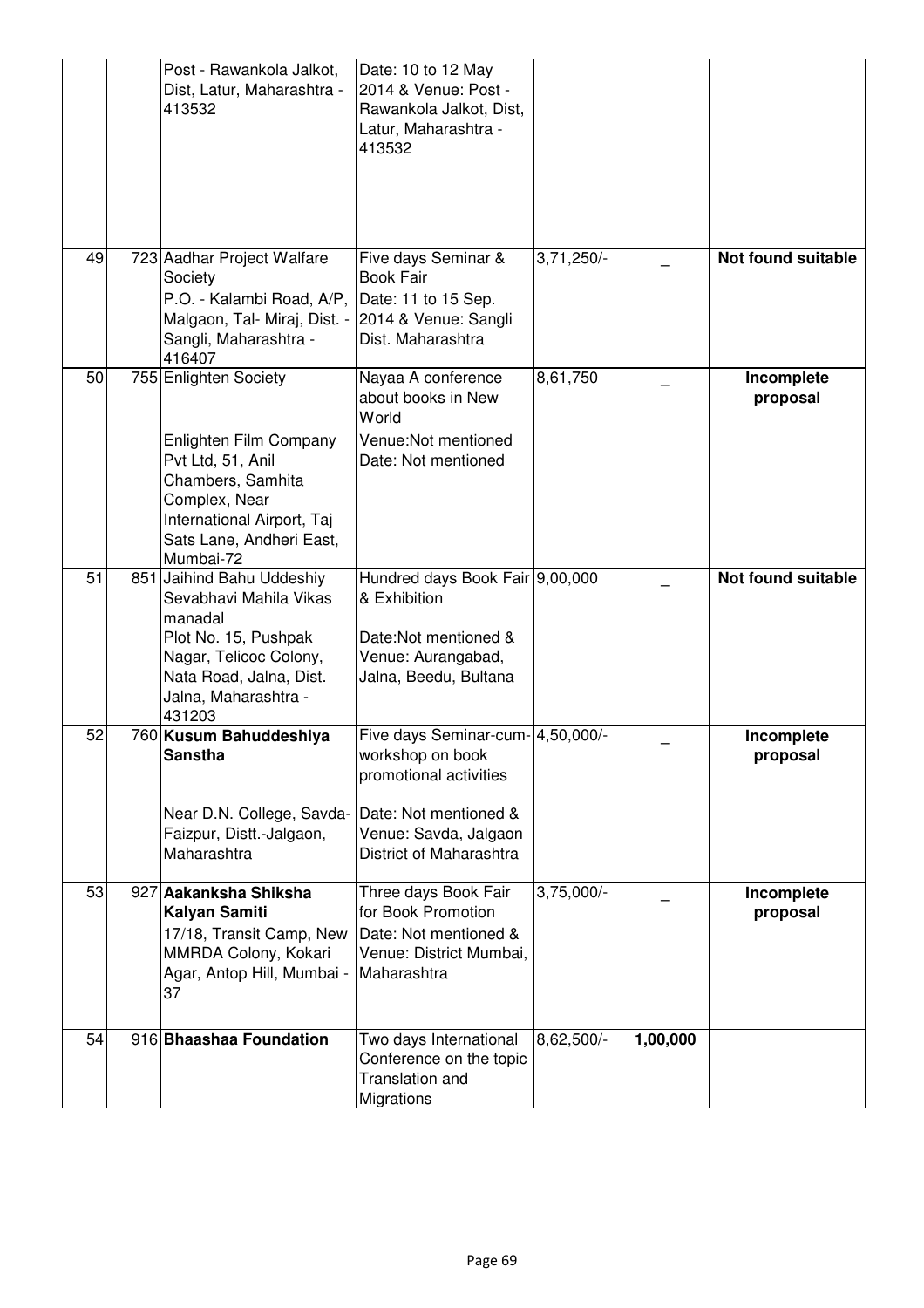|    | Post - Rawankola Jalkot,<br>Dist, Latur, Maharashtra -<br>413532                                                                                                                  | Date: 10 to 12 May<br>2014 & Venue: Post -<br>Rawankola Jalkot, Dist,<br>Latur, Maharashtra -<br>413532                                                      |              |          |                           |
|----|-----------------------------------------------------------------------------------------------------------------------------------------------------------------------------------|--------------------------------------------------------------------------------------------------------------------------------------------------------------|--------------|----------|---------------------------|
| 49 | 723 Aadhar Project Walfare<br>Society<br>P.O. - Kalambi Road, A/P,<br>Malgaon, Tal- Miraj, Dist. -<br>Sangli, Maharashtra -<br>416407                                             | Five days Seminar &<br><b>Book Fair</b><br>Date: 11 to 15 Sep.<br>2014 & Venue: Sangli<br>Dist. Maharashtra                                                  | $3,71,250/-$ |          | <b>Not found suitable</b> |
| 50 | 755 Enlighten Society<br>Enlighten Film Company<br>Pvt Ltd, 51, Anil<br>Chambers, Samhita<br>Complex, Near<br>International Airport, Taj<br>Sats Lane, Andheri East,<br>Mumbai-72 | Nayaa A conference<br>about books in New<br>World<br>Venue: Not mentioned<br>Date: Not mentioned                                                             | 8,61,750     |          | Incomplete<br>proposal    |
| 51 | 851 Jaihind Bahu Uddeshiy<br>Sevabhavi Mahila Vikas<br>manadal<br>Plot No. 15, Pushpak<br>Nagar, Telicoc Colony,<br>Nata Road, Jalna, Dist.<br>Jalna, Maharashtra -<br>431203     | Hundred days Book Fair 9,00,000<br>& Exhibition<br>Date: Not mentioned &<br>Venue: Aurangabad,<br>Jalna, Beedu, Bultana                                      |              |          | <b>Not found suitable</b> |
| 52 | 760 Kusum Bahuddeshiya<br><b>Sanstha</b><br>Near D.N. College, Savda-<br>Faizpur, Distt.-Jalgaon,<br>Maharashtra                                                                  | Five days Seminar-cum- 4,50,000/-<br>workshop on book<br>promotional activities<br>Date: Not mentioned &<br>Venue: Savda, Jalgaon<br>District of Maharashtra |              |          | Incomplete<br>proposal    |
| 53 | 927 Aakanksha Shiksha<br><b>Kalyan Samiti</b><br>17/18, Transit Camp, New<br>MMRDA Colony, Kokari<br>Agar, Antop Hill, Mumbai -<br>37                                             | Three days Book Fair<br>for Book Promotion<br>Date: Not mentioned &<br>Venue: District Mumbai,<br>Maharashtra                                                | $3,75,000/-$ |          | Incomplete<br>proposal    |
| 54 | 916 Bhaashaa Foundation                                                                                                                                                           | Two days International<br>Conference on the topic<br><b>Translation and</b><br>Migrations                                                                    | 8,62,500/-   | 1,00,000 |                           |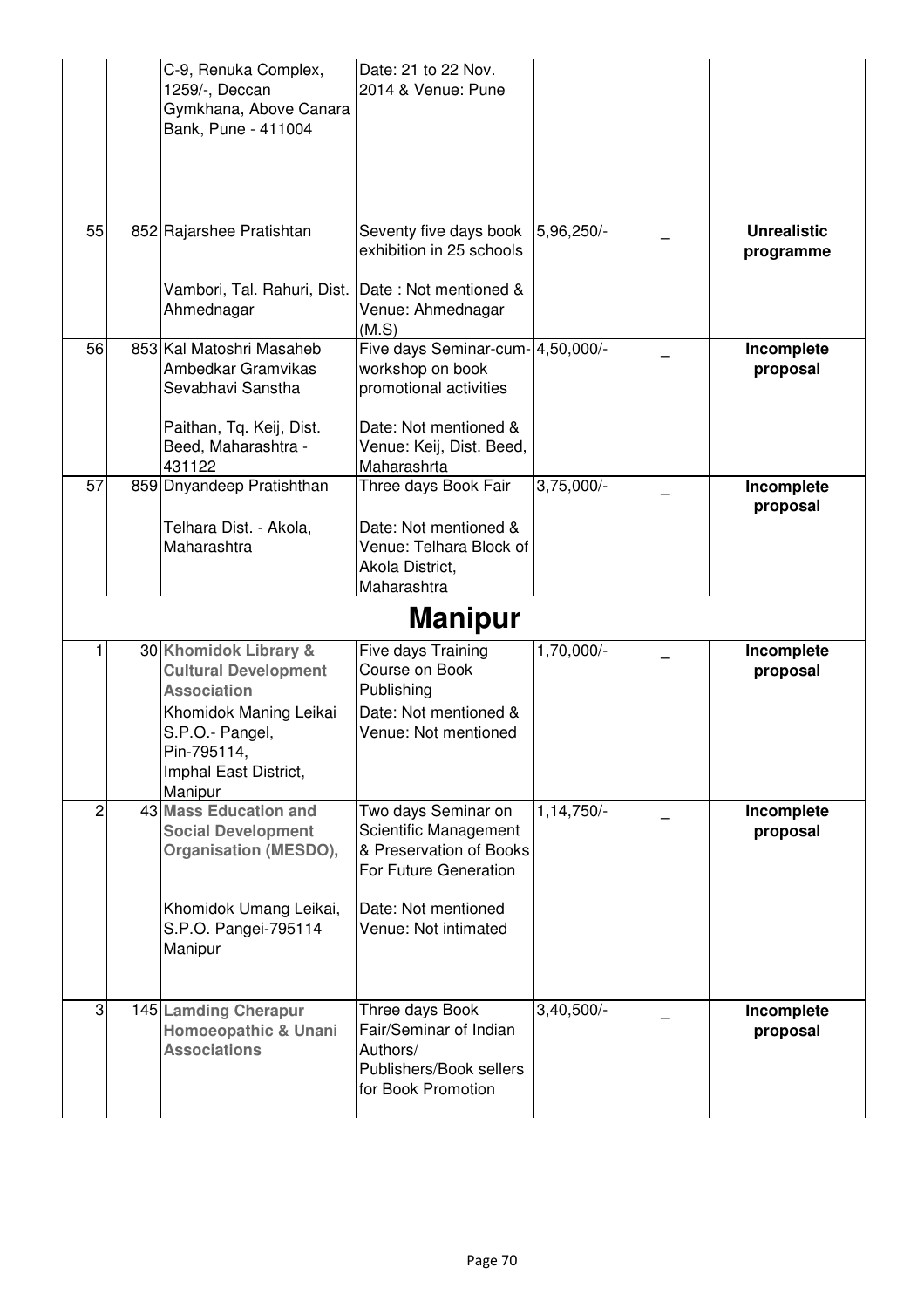|    | C-9, Renuka Complex,<br>1259/-, Deccan<br>Gymkhana, Above Canara<br>Bank, Pune - 411004                                                                                    | Date: 21 to 22 Nov.<br>2014 & Venue: Pune                                                                                                       |                         |                                 |
|----|----------------------------------------------------------------------------------------------------------------------------------------------------------------------------|-------------------------------------------------------------------------------------------------------------------------------------------------|-------------------------|---------------------------------|
| 55 | 852 Rajarshee Pratishtan                                                                                                                                                   | Seventy five days book<br>exhibition in 25 schools                                                                                              | 5,96,250/-              | <b>Unrealistic</b><br>programme |
|    | Vambori, Tal. Rahuri, Dist. Date: Not mentioned &<br>Ahmednagar                                                                                                            | Venue: Ahmednagar<br>(M.S)                                                                                                                      |                         |                                 |
| 56 | 853 Kal Matoshri Masaheb<br>Ambedkar Gramvikas<br>Sevabhavi Sanstha<br>Paithan, Tq. Keij, Dist.<br>Beed, Maharashtra -                                                     | Five days Seminar-cum- 4,50,000/-<br>workshop on book<br>promotional activities<br>Date: Not mentioned &<br>Venue: Keij, Dist. Beed,            |                         | Incomplete<br>proposal          |
| 57 | 431122<br>859 Dnyandeep Pratishthan                                                                                                                                        | Maharashrta<br>Three days Book Fair                                                                                                             | $3,75,000/-$            | Incomplete                      |
|    | Telhara Dist. - Akola,<br>Maharashtra                                                                                                                                      | Date: Not mentioned &<br>Venue: Telhara Block of<br>Akola District,<br>Maharashtra                                                              |                         | proposal                        |
|    |                                                                                                                                                                            | <b>Manipur</b>                                                                                                                                  |                         |                                 |
|    | 30 Khomidok Library &<br><b>Cultural Development</b><br><b>Association</b><br>Khomidok Maning Leikai<br>S.P.O.- Pangel,<br>Pin-795114,<br>Imphal East District,<br>Manipur | Five days Training<br>Course on Book<br>Publishing<br>Date: Not mentioned &<br>Venue: Not mentioned                                             | 1,70,000/-              | Incomplete<br>proposal          |
| 2  | <b>43 Mass Education and</b><br><b>Social Development</b><br><b>Organisation (MESDO),</b><br>Khomidok Umang Leikai,<br>S.P.O. Pangei-795114<br>Manipur                     | Two days Seminar on<br>Scientific Management<br>& Preservation of Books<br>For Future Generation<br>Date: Not mentioned<br>Venue: Not intimated | $1,14,750$ <sup>-</sup> | Incomplete<br>proposal          |
| 3  | 145 Lamding Cherapur<br>Homoeopathic & Unani<br><b>Associations</b>                                                                                                        | Three days Book<br>Fair/Seminar of Indian<br>Authors/<br>Publishers/Book sellers<br>for Book Promotion                                          | $3,40,500/-$            | Incomplete<br>proposal          |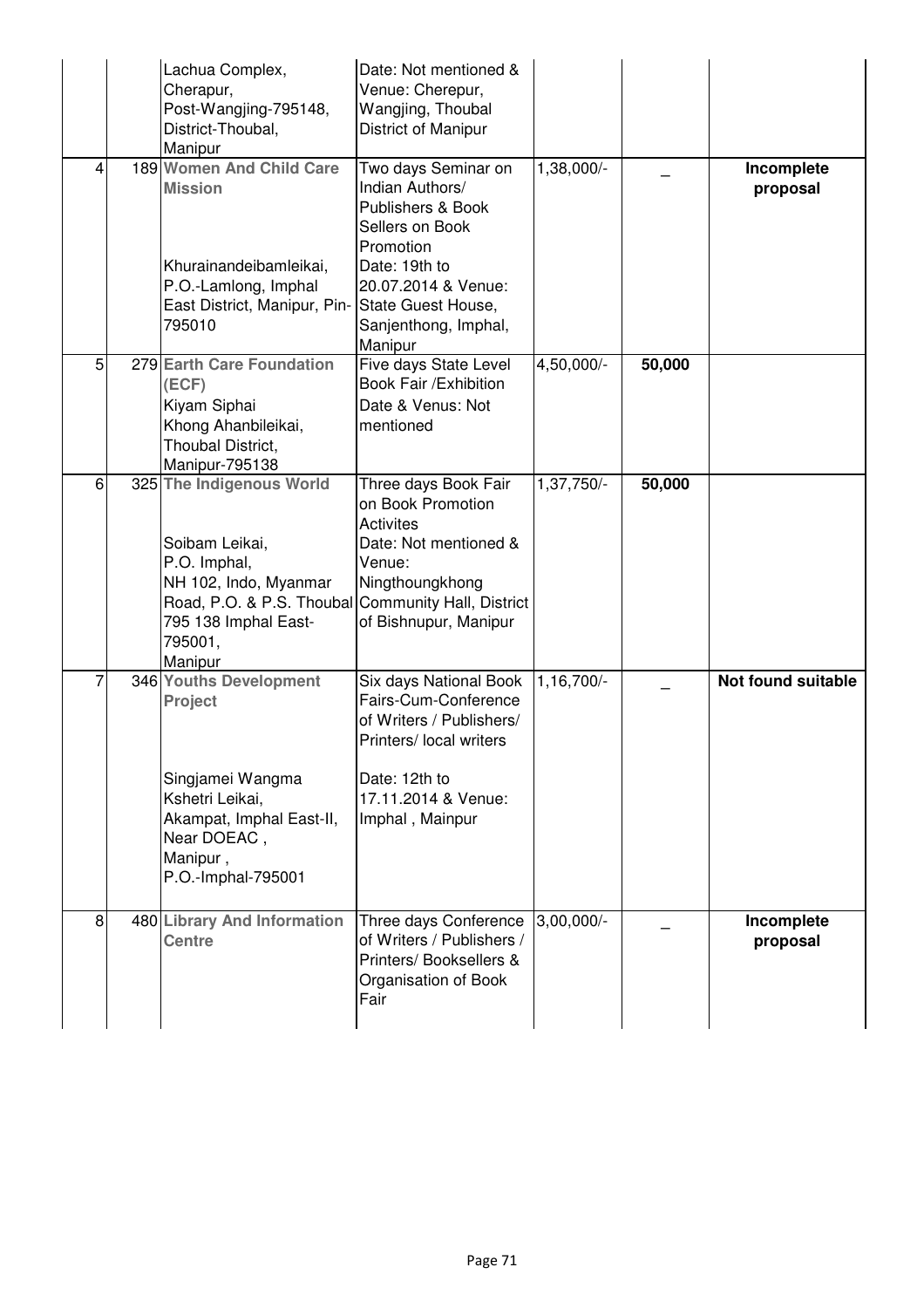|   | Lachua Complex,<br>Cherapur,<br>Post-Wangjing-795148,<br>District-Thoubal,<br>Manipur                                                                                                   | Date: Not mentioned &<br>Venue: Cherepur,<br>Wangjing, Thoubal<br>District of Manipur                                                                                                        |              |        |                        |
|---|-----------------------------------------------------------------------------------------------------------------------------------------------------------------------------------------|----------------------------------------------------------------------------------------------------------------------------------------------------------------------------------------------|--------------|--------|------------------------|
|   | 189 Women And Child Care<br><b>Mission</b><br>Khurainandeibamleikai,<br>P.O.-Lamlong, Imphal<br>East District, Manipur, Pin-<br>795010                                                  | Two days Seminar on<br>Indian Authors/<br>Publishers & Book<br>Sellers on Book<br>Promotion<br>Date: 19th to<br>20.07.2014 & Venue:<br>State Guest House,<br>Sanjenthong, Imphal,<br>Manipur | 1,38,000/-   |        | Incomplete<br>proposal |
| 5 | 279 Earth Care Foundation<br>(ECF)<br>Kiyam Siphai<br>Khong Ahanbileikai,<br>Thoubal District,<br>Manipur-795138                                                                        | Five days State Level<br>Book Fair / Exhibition<br>Date & Venus: Not<br>mentioned                                                                                                            | 4,50,000/-   | 50,000 |                        |
| 6 | 325 The Indigenous World<br>Soibam Leikai,<br>P.O. Imphal,<br>NH 102, Indo, Myanmar<br>Road, P.O. & P.S. Thoubal Community Hall, District<br>795 138 Imphal East-<br>795001,<br>Manipur | Three days Book Fair<br>on Book Promotion<br><b>Activites</b><br>Date: Not mentioned &<br>Venue:<br>Ningthoungkhong<br>of Bishnupur, Manipur                                                 | $1,37,750/-$ | 50,000 |                        |
|   | 346 Youths Development<br><b>Project</b><br>Singjamei Wangma<br>Kshetri Leikai,<br>Akampat, Imphal East-II,<br>Near DOEAC,<br>Manipur,<br>P.O.-Imphal-795001                            | Six days National Book<br>Fairs-Cum-Conference<br>of Writers / Publishers/<br>Printers/ local writers<br>Date: 12th to<br>17.11.2014 & Venue:<br>Imphal, Mainpur                             | 1,16,700/-   |        | Not found suitable     |
| 8 | 480 Library And Information<br><b>Centre</b>                                                                                                                                            | Three days Conference<br>of Writers / Publishers /<br>Printers/ Booksellers &<br>Organisation of Book<br>Fair                                                                                | $3,00,000/-$ |        | Incomplete<br>proposal |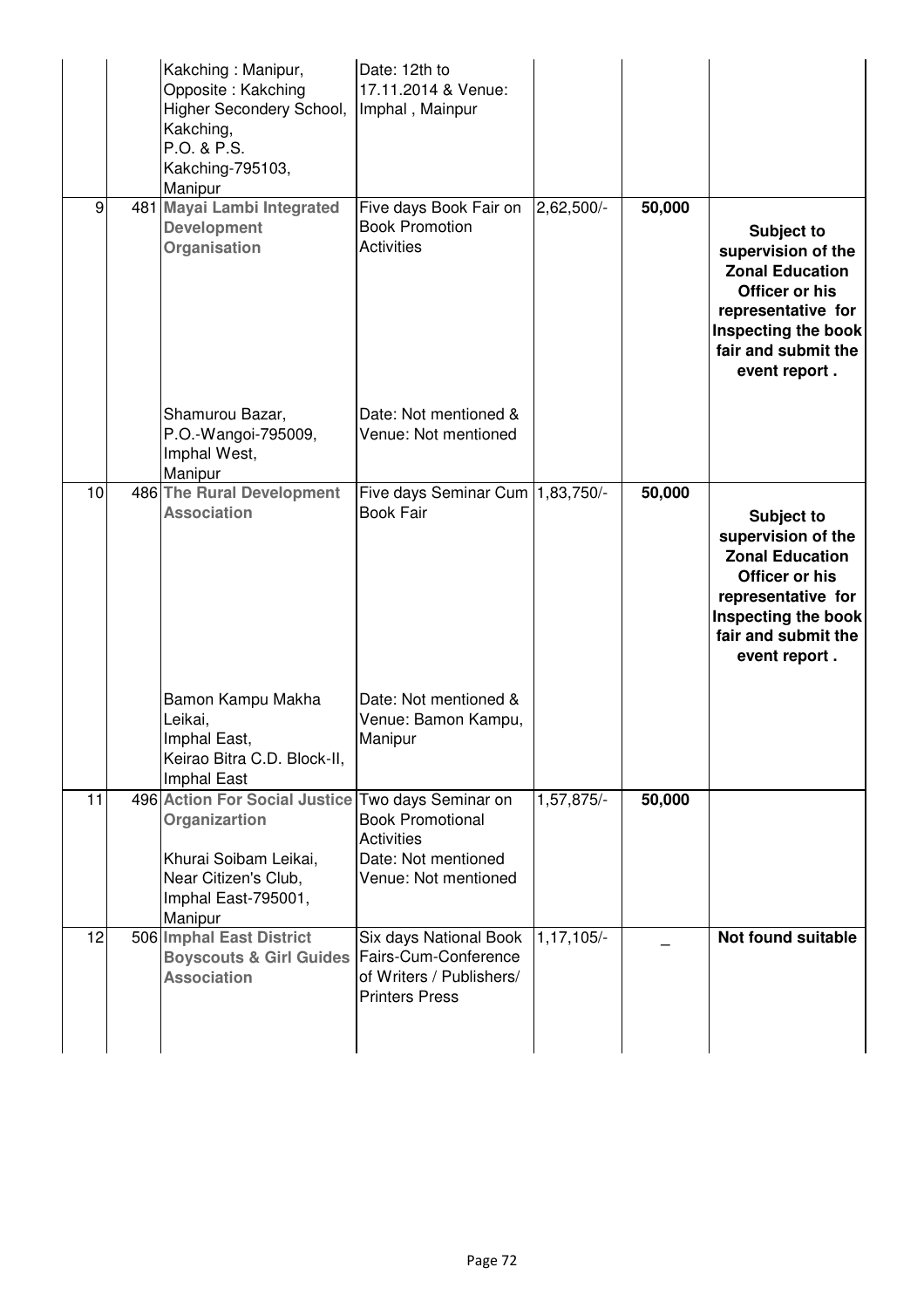|    | Kakching: Manipur,<br>Opposite: Kakching<br>Higher Secondery School,<br>Kakching,<br>P.O. & P.S.<br>Kakching-795103,<br>Manipur                       | Date: 12th to<br>17.11.2014 & Venue:<br>Imphal, Mainpur                                             |                |        |                                                                                                                                                                   |
|----|-------------------------------------------------------------------------------------------------------------------------------------------------------|-----------------------------------------------------------------------------------------------------|----------------|--------|-------------------------------------------------------------------------------------------------------------------------------------------------------------------|
| 9  | 481 Mayai Lambi Integrated<br><b>Development</b><br>Organisation                                                                                      | Five days Book Fair on<br><b>Book Promotion</b><br><b>Activities</b>                                | $2,62,500/-$   | 50,000 | Subject to<br>supervision of the<br><b>Zonal Education</b><br>Officer or his<br>representative for<br>Inspecting the book<br>fair and submit the<br>event report. |
|    | Shamurou Bazar,<br>P.O.-Wangoi-795009,<br>Imphal West,<br>Manipur                                                                                     | Date: Not mentioned &<br>Venue: Not mentioned                                                       |                |        |                                                                                                                                                                   |
| 10 | 486 The Rural Development<br><b>Association</b>                                                                                                       | Five days Seminar Cum   1,83,750/-<br><b>Book Fair</b>                                              |                | 50,000 | Subject to<br>supervision of the<br><b>Zonal Education</b><br>Officer or his<br>representative for<br>Inspecting the book<br>fair and submit the<br>event report. |
|    | Bamon Kampu Makha<br>Leikai,<br>Imphal East,<br>Keirao Bitra C.D. Block-II,<br>Imphal East                                                            | Date: Not mentioned &<br>Venue: Bamon Kampu,<br>Manipur                                             |                |        |                                                                                                                                                                   |
| 11 | 496 Action For Social Justice Two days Seminar on<br>Organizartion<br>Khurai Soibam Leikai,<br>Near Citizen's Club,<br>Imphal East-795001,<br>Manipur | <b>Book Promotional</b><br><b>Activities</b><br>Date: Not mentioned<br>Venue: Not mentioned         | 1,57,875/-     | 50,000 |                                                                                                                                                                   |
| 12 | 506 Imphal East District<br><b>Boyscouts &amp; Girl Guides</b><br><b>Association</b>                                                                  | Six days National Book<br>Fairs-Cum-Conference<br>of Writers / Publishers/<br><b>Printers Press</b> | $1, 17, 105/-$ |        | Not found suitable                                                                                                                                                |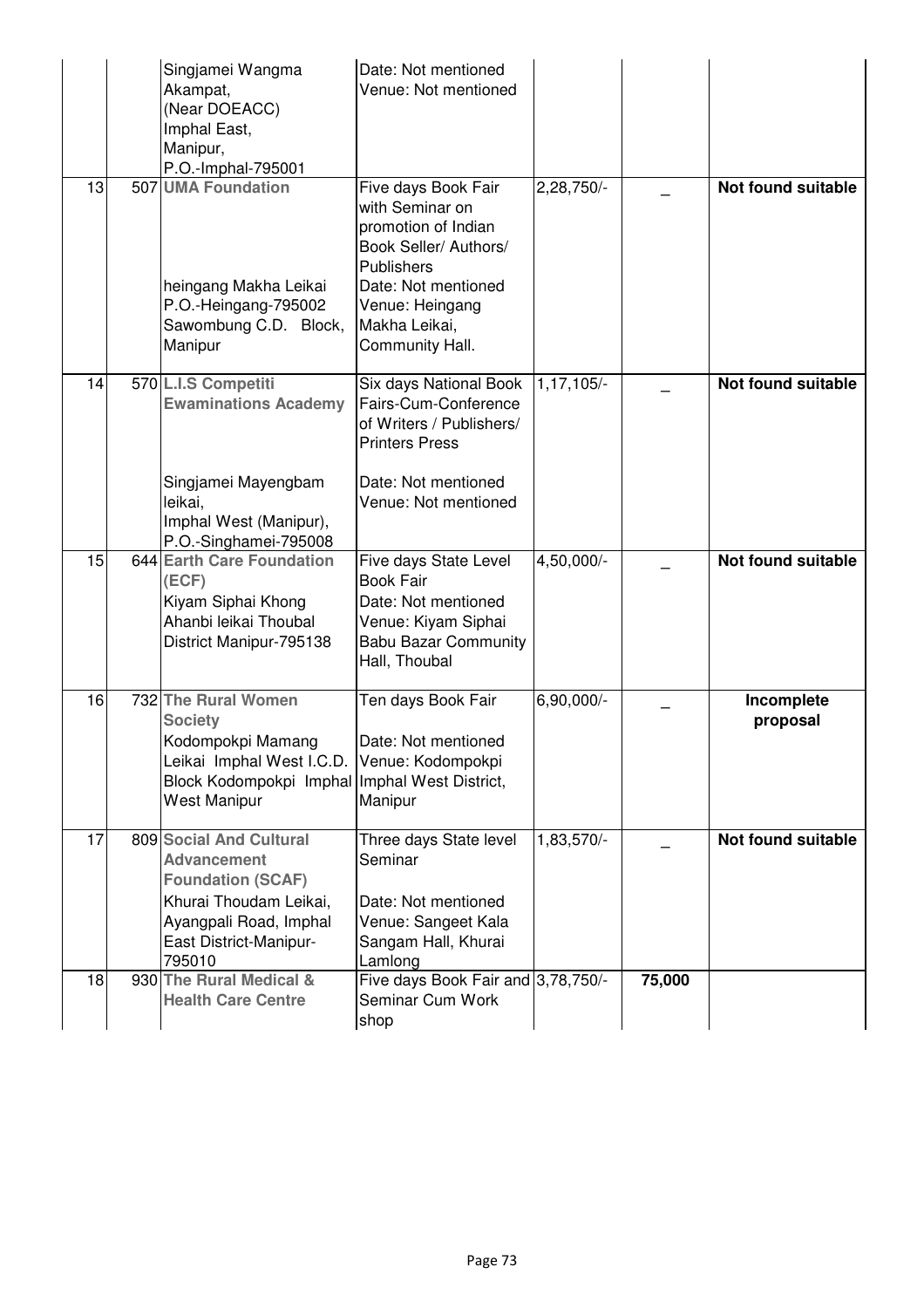|    | Singjamei Wangma<br>Akampat,<br>(Near DOEACC)<br>Imphal East,<br>Manipur,<br>P.O.-Imphal-795001                                                                                   | Date: Not mentioned<br>Venue: Not mentioned                                                                                                                                               |              |        |                           |
|----|-----------------------------------------------------------------------------------------------------------------------------------------------------------------------------------|-------------------------------------------------------------------------------------------------------------------------------------------------------------------------------------------|--------------|--------|---------------------------|
| 13 | 507 UMA Foundation<br>heingang Makha Leikai<br>P.O.-Heingang-795002<br>Sawombung C.D. Block,<br>Manipur                                                                           | Five days Book Fair<br>with Seminar on<br>promotion of Indian<br>Book Seller/ Authors/<br><b>Publishers</b><br>Date: Not mentioned<br>Venue: Heingang<br>Makha Leikai,<br>Community Hall. | 2,28,750/-   |        | <b>Not found suitable</b> |
| 14 | 570 L.I.S Competiti<br><b>Ewaminations Academy</b>                                                                                                                                | Six days National Book<br>Fairs-Cum-Conference<br>of Writers / Publishers/<br><b>Printers Press</b>                                                                                       | 1,17,105/-   |        | <b>Not found suitable</b> |
|    | Singjamei Mayengbam<br>leikai,<br>Imphal West (Manipur),<br>P.O.-Singhamei-795008                                                                                                 | Date: Not mentioned<br>Venue: Not mentioned                                                                                                                                               |              |        |                           |
| 15 | 644 Earth Care Foundation<br>(ECF)<br>Kiyam Siphai Khong<br>Ahanbi leikai Thoubal<br>District Manipur-795138                                                                      | Five days State Level<br><b>Book Fair</b><br>Date: Not mentioned<br>Venue: Kiyam Siphai<br><b>Babu Bazar Community</b><br>Hall, Thoubal                                                   | 4,50,000/-   |        | <b>Not found suitable</b> |
| 16 | 732 The Rural Women<br><b>Society</b><br>Kodompokpi Mamang<br>Leikai Imphal West I.C.D. Venue: Kodompokpi<br>Block Kodompokpi Imphal Imphal West District,<br><b>West Manipur</b> | Ten days Book Fair<br>Date: Not mentioned<br>Manipur                                                                                                                                      | $6,90,000/-$ |        | Incomplete<br>proposal    |
| 17 | 809 Social And Cultural<br><b>Advancement</b><br><b>Foundation (SCAF)</b><br>Khurai Thoudam Leikai,<br>Ayangpali Road, Imphal<br>East District-Manipur-<br>795010                 | Three days State level<br>Seminar<br>Date: Not mentioned<br>Venue: Sangeet Kala<br>Sangam Hall, Khurai<br>Lamlong                                                                         | 1,83,570/-   |        | Not found suitable        |
| 18 | 930 The Rural Medical &<br><b>Health Care Centre</b>                                                                                                                              | Five days Book Fair and 3,78,750/-<br>Seminar Cum Work<br>shop                                                                                                                            |              | 75,000 |                           |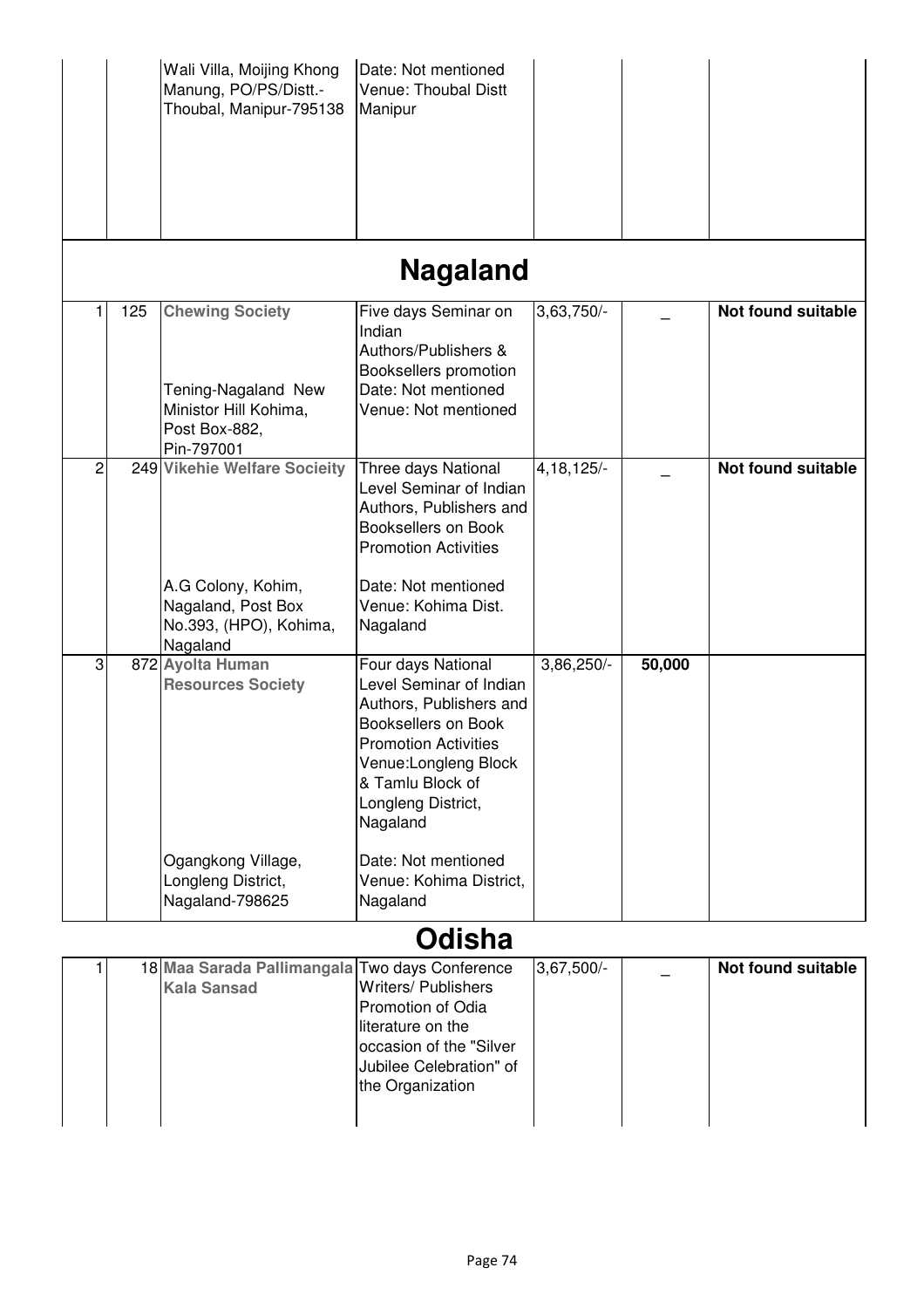|   |     | Wali Villa, Moijing Khong<br>Manung, PO/PS/Distt.-<br>Thoubal, Manipur-795138                                  | Date: Not mentioned<br>Venue: Thoubal Distt<br>Manipur                                                                                                                                                       |              |        |                    |
|---|-----|----------------------------------------------------------------------------------------------------------------|--------------------------------------------------------------------------------------------------------------------------------------------------------------------------------------------------------------|--------------|--------|--------------------|
|   |     |                                                                                                                | <b>Nagaland</b>                                                                                                                                                                                              |              |        |                    |
|   | 125 | <b>Chewing Society</b><br>Tening-Nagaland New<br>Ministor Hill Kohima,<br>Post Box-882,<br>Pin-797001          | Five days Seminar on<br>Indian<br>Authors/Publishers &<br>Booksellers promotion<br>Date: Not mentioned<br>Venue: Not mentioned                                                                               | 3,63,750/    |        | Not found suitable |
| 2 |     | 249 Vikehie Welfare Socieity<br>A.G Colony, Kohim,<br>Nagaland, Post Box<br>No.393, (HPO), Kohima,<br>Nagaland | Three days National<br>Level Seminar of Indian<br>Authors, Publishers and<br><b>Booksellers on Book</b><br><b>Promotion Activities</b><br>Date: Not mentioned<br>Venue: Kohima Dist.<br>Nagaland             | $4,18,125/-$ |        | Not found suitable |
| 3 |     | 872 Ayolta Human<br><b>Resources Society</b>                                                                   | Four days National<br>Level Seminar of Indian<br>Authors, Publishers and<br>Booksellers on Book<br><b>Promotion Activities</b><br>Venue:Longleng Block<br>& Tamlu Block of<br>Longleng District,<br>Nagaland | 3,86,250/-   | 50,000 |                    |
|   |     | Ogangkong Village,<br>Longleng District,<br>Nagaland-798625                                                    | Date: Not mentioned<br>Venue: Kohima District.<br>Nagaland<br>$\bigwedge$ . If $\bigcup$ is                                                                                                                  |              |        |                    |

## **Odisha**

|                    | 18 Maa Sarada Pallimangala Two days Conference | $3,67,500/-$ | Not found suitable |
|--------------------|------------------------------------------------|--------------|--------------------|
| <b>Kala Sansad</b> | <b>Writers/ Publishers</b>                     |              |                    |
|                    | Promotion of Odia                              |              |                    |
|                    | literature on the                              |              |                    |
|                    | occasion of the "Silver                        |              |                    |
|                    | Jubilee Celebration" of                        |              |                    |
|                    | the Organization                               |              |                    |
|                    |                                                |              |                    |
|                    |                                                |              |                    |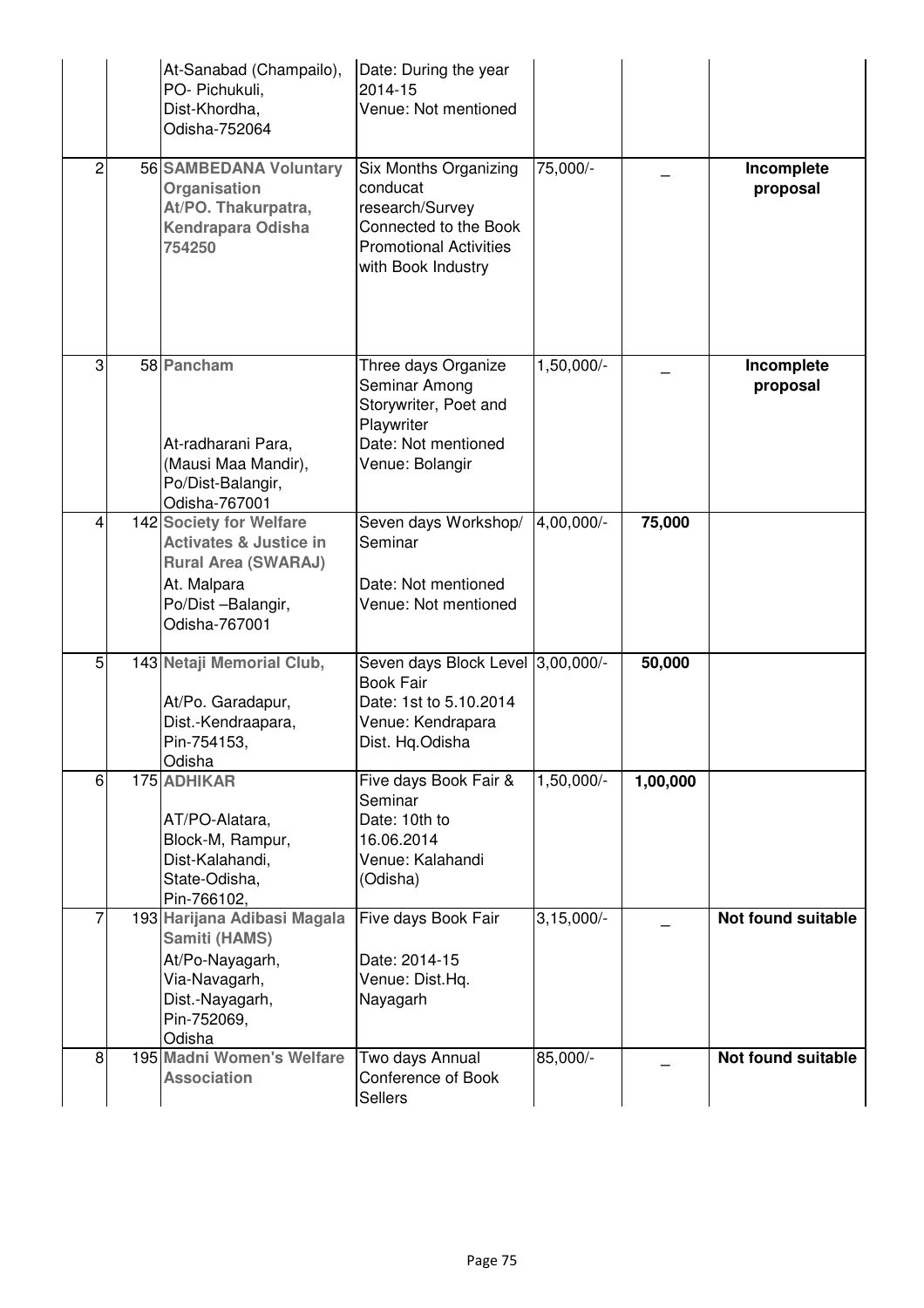|   | At-Sanabad (Champailo),<br>PO- Pichukuli,<br>Dist-Khordha,<br>Odisha-752064                                                                     | Date: During the year<br>2014-15<br>Venue: Not mentioned                                                                             |              |          |                        |
|---|-------------------------------------------------------------------------------------------------------------------------------------------------|--------------------------------------------------------------------------------------------------------------------------------------|--------------|----------|------------------------|
| 2 | 56 SAMBEDANA Voluntary<br>Organisation<br>At/PO. Thakurpatra,<br><b>Kendrapara Odisha</b><br>754250                                             | Six Months Organizing<br>conducat<br>research/Survey<br>Connected to the Book<br><b>Promotional Activities</b><br>with Book Industry | 75,000/-     |          | Incomplete<br>proposal |
| 3 | 58 Pancham<br>At-radharani Para,<br>(Mausi Maa Mandir),<br>Po/Dist-Balangir,<br>Odisha-767001                                                   | Three days Organize<br>Seminar Among<br>Storywriter, Poet and<br>Playwriter<br>Date: Not mentioned<br>Venue: Bolangir                | 1,50,000/-   |          | Incomplete<br>proposal |
| 4 | 142 Society for Welfare<br><b>Activates &amp; Justice in</b><br><b>Rural Area (SWARAJ)</b><br>At. Malpara<br>Po/Dist-Balangir,<br>Odisha-767001 | Seven days Workshop/<br>Seminar<br>Date: Not mentioned<br>Venue: Not mentioned                                                       | 4,00,000/-   | 75,000   |                        |
| 5 | 143 Netaji Memorial Club,<br>At/Po. Garadapur,<br>Dist.-Kendraapara,<br>Pin-754153,<br>Odisha                                                   | Seven days Block Level 3,00,000/-<br><b>Book Fair</b><br>Date: 1st to 5.10.2014<br>Venue: Kendrapara<br>Dist. Hq.Odisha              |              | 50,000   |                        |
| 6 | 175 ADHIKAR<br>AT/PO-Alatara,<br>Block-M, Rampur,<br>Dist-Kalahandi,<br>State-Odisha,<br>Pin-766102,                                            | Five days Book Fair &<br>Seminar<br>Date: 10th to<br>16.06.2014<br>Venue: Kalahandi<br>(Odisha)                                      | $1,50,000/-$ | 1,00,000 |                        |
|   | 193 Harijana Adibasi Magala<br>Samiti (HAMS)<br>At/Po-Nayagarh,<br>Via-Navagarh,<br>Dist.-Nayagarh,<br>Pin-752069,<br>Odisha                    | Five days Book Fair<br>Date: 2014-15<br>Venue: Dist.Hq.<br>Nayagarh                                                                  | $3,15,000/-$ |          | Not found suitable     |
| 8 | 195 Madni Women's Welfare<br><b>Association</b>                                                                                                 | Two days Annual<br>Conference of Book<br><b>Sellers</b>                                                                              | 85,000/-     |          | Not found suitable     |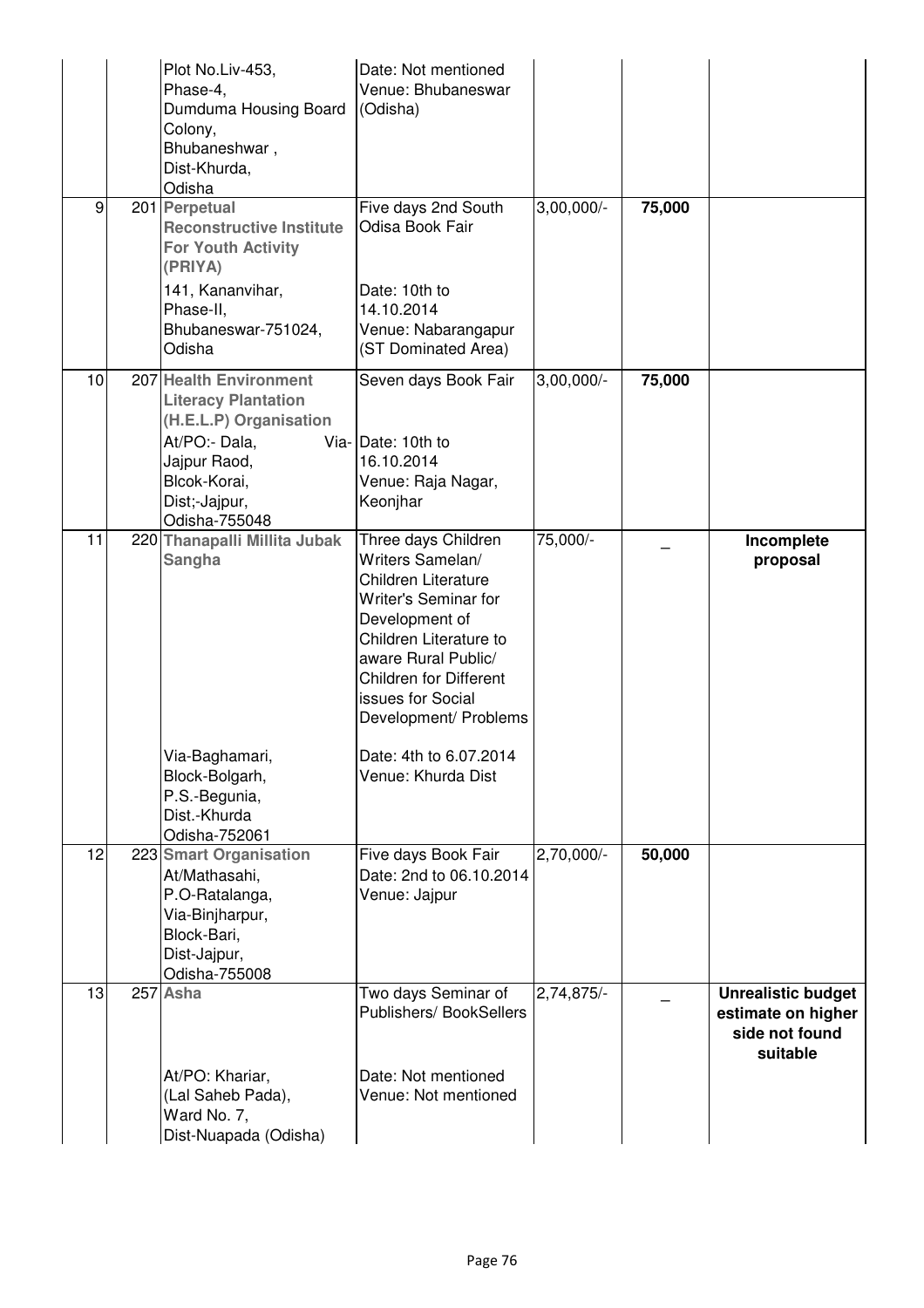|    | Plot No.Liv-453,<br>Phase-4,<br>Dumduma Housing Board<br>Colony,<br>Bhubaneshwar,<br>Dist-Khurda,<br>Odisha                                                       | Date: Not mentioned<br>Venue: Bhubaneswar<br>(Odisha)                                                                                                                                                                                           |              |        |                                                                               |
|----|-------------------------------------------------------------------------------------------------------------------------------------------------------------------|-------------------------------------------------------------------------------------------------------------------------------------------------------------------------------------------------------------------------------------------------|--------------|--------|-------------------------------------------------------------------------------|
| 9  | 201 Perpetual<br><b>Reconstructive Institute</b><br><b>For Youth Activity</b><br>(PRIYA)                                                                          | Five days 2nd South<br>Odisa Book Fair                                                                                                                                                                                                          | $3,00,000/-$ | 75,000 |                                                                               |
|    | 141, Kananvihar,<br>Phase-II,<br>Bhubaneswar-751024,<br>Odisha                                                                                                    | Date: 10th to<br>14.10.2014<br>Venue: Nabarangapur<br>(ST Dominated Area)                                                                                                                                                                       |              |        |                                                                               |
| 10 | 207 Health Environment<br><b>Literacy Plantation</b><br>(H.E.L.P) Organisation<br>At/PO:- Dala,<br>Jajpur Raod,<br>Blcok-Korai,<br>Dist;-Jajpur,<br>Odisha-755048 | Seven days Book Fair<br>Via-Date: 10th to<br>16.10.2014<br>Venue: Raja Nagar,<br>Keonjhar                                                                                                                                                       | $3,00,000/-$ | 75,000 |                                                                               |
| 11 | 220 Thanapalli Millita Jubak<br>Sangha                                                                                                                            | Three days Children<br>Writers Samelan/<br><b>Children Literature</b><br>Writer's Seminar for<br>Development of<br>Children Literature to<br>aware Rural Public/<br><b>Children for Different</b><br>issues for Social<br>Development/ Problems | 75,000/-     |        | Incomplete<br>proposal                                                        |
|    | Via-Baghamari,<br>Block-Bolgarh,<br>P.S.-Begunia,<br>Dist.-Khurda<br>Odisha-752061                                                                                | Date: 4th to 6.07.2014<br>Venue: Khurda Dist                                                                                                                                                                                                    |              |        |                                                                               |
| 12 | 223 Smart Organisation<br>At/Mathasahi,<br>P.O-Ratalanga,<br>Via-Binjharpur,<br>Block-Bari,<br>Dist-Jajpur,<br>Odisha-755008                                      | Five days Book Fair<br>Date: 2nd to 06.10.2014<br>Venue: Jajpur                                                                                                                                                                                 | $2,70,000/-$ | 50,000 |                                                                               |
| 13 | 257 Asha                                                                                                                                                          | Two days Seminar of<br>Publishers/ BookSellers                                                                                                                                                                                                  | $2,74,875/-$ |        | <b>Unrealistic budget</b><br>estimate on higher<br>side not found<br>suitable |
|    | At/PO: Khariar,<br>(Lal Saheb Pada),<br>Ward No. 7,<br>Dist-Nuapada (Odisha)                                                                                      | Date: Not mentioned<br>Venue: Not mentioned                                                                                                                                                                                                     |              |        |                                                                               |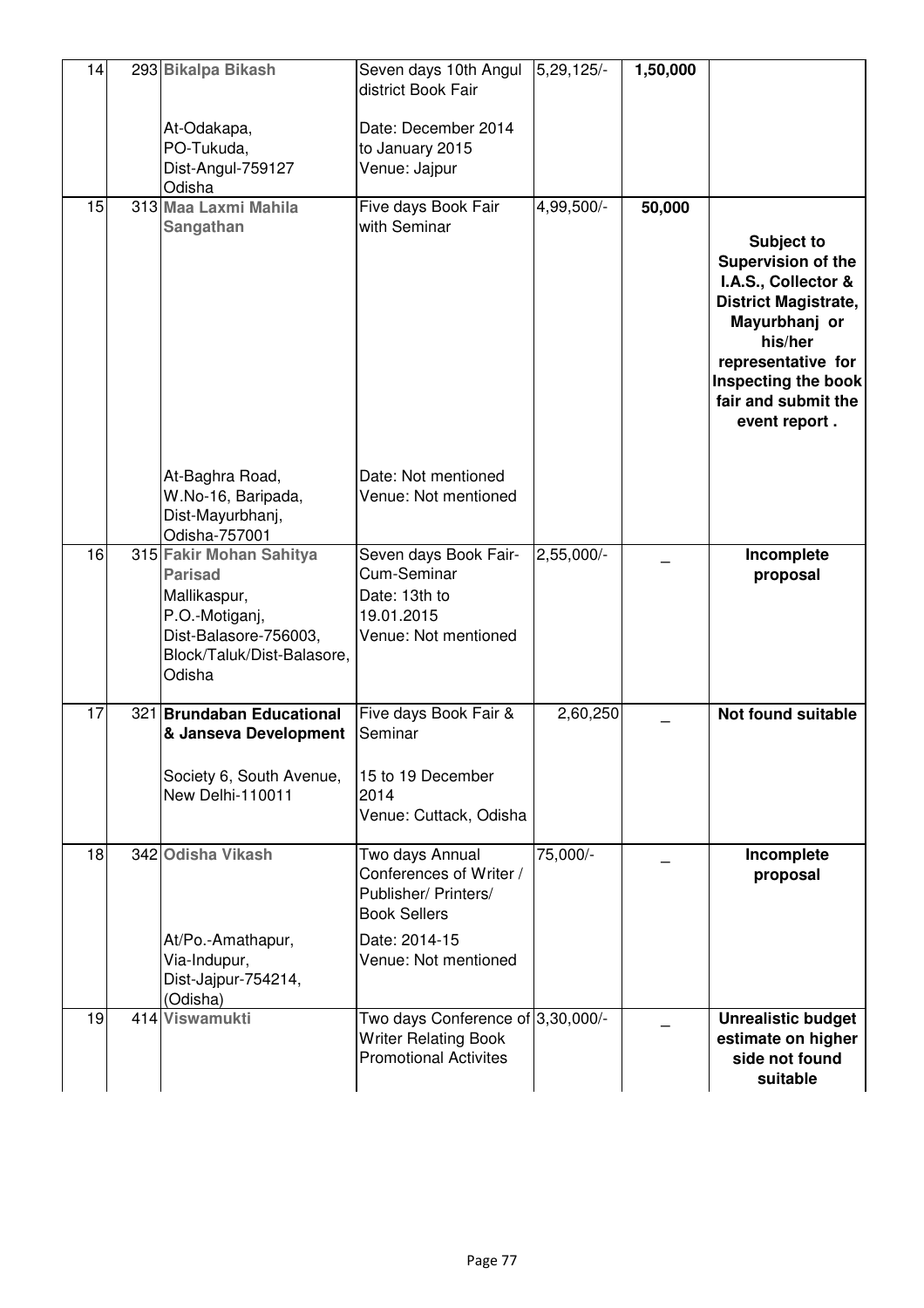| 14 | 293 Bikalpa Bikash                                                         | Seven days 10th Angul                                                                            | 5,29,125/    | 1,50,000 |                                                                                                                                                                                                                |
|----|----------------------------------------------------------------------------|--------------------------------------------------------------------------------------------------|--------------|----------|----------------------------------------------------------------------------------------------------------------------------------------------------------------------------------------------------------------|
|    |                                                                            | district Book Fair                                                                               |              |          |                                                                                                                                                                                                                |
|    | At-Odakapa,                                                                | Date: December 2014                                                                              |              |          |                                                                                                                                                                                                                |
|    | PO-Tukuda,<br>Dist-Angul-759127                                            | to January 2015<br>Venue: Jajpur                                                                 |              |          |                                                                                                                                                                                                                |
| 15 | Odisha<br>313 Maa Laxmi Mahila                                             |                                                                                                  |              |          |                                                                                                                                                                                                                |
|    | Sangathan                                                                  | Five days Book Fair<br>with Seminar                                                              | 4,99,500/-   | 50,000   |                                                                                                                                                                                                                |
|    |                                                                            |                                                                                                  |              |          | <b>Subject to</b><br>Supervision of the<br>I.A.S., Collector &<br><b>District Magistrate,</b><br>Mayurbhanj or<br>his/her<br>representative for<br>Inspecting the book<br>fair and submit the<br>event report. |
|    |                                                                            |                                                                                                  |              |          |                                                                                                                                                                                                                |
|    | At-Baghra Road,<br>W.No-16, Baripada,<br>Dist-Mayurbhanj,<br>Odisha-757001 | Date: Not mentioned<br>Venue: Not mentioned                                                      |              |          |                                                                                                                                                                                                                |
| 16 | 315 Fakir Mohan Sahitya<br><b>Parisad</b>                                  | Seven days Book Fair-<br>Cum-Seminar                                                             | $2,55,000/-$ |          | Incomplete<br>proposal                                                                                                                                                                                         |
|    | Mallikaspur,                                                               | Date: 13th to                                                                                    |              |          |                                                                                                                                                                                                                |
|    | P.O.-Motiganj,<br>Dist-Balasore-756003,                                    | 19.01.2015<br>Venue: Not mentioned                                                               |              |          |                                                                                                                                                                                                                |
|    | Block/Taluk/Dist-Balasore,<br>Odisha                                       |                                                                                                  |              |          |                                                                                                                                                                                                                |
| 17 | 321 Brundaban Educational                                                  | Five days Book Fair &<br>Seminar                                                                 | 2,60,250     |          | <b>Not found suitable</b>                                                                                                                                                                                      |
|    | & Janseva Development                                                      |                                                                                                  |              |          |                                                                                                                                                                                                                |
|    | Society 6, South Avenue,<br>New Delhi-110011                               | 15 to 19 December<br>2014                                                                        |              |          |                                                                                                                                                                                                                |
|    |                                                                            | Venue: Cuttack, Odisha                                                                           |              |          |                                                                                                                                                                                                                |
| 18 | 342 Odisha Vikash                                                          | Two days Annual                                                                                  | 75,000/-     |          | Incomplete                                                                                                                                                                                                     |
|    |                                                                            | Conferences of Writer /<br>Publisher/ Printers/<br><b>Book Sellers</b>                           |              |          | proposal                                                                                                                                                                                                       |
|    | At/Po.-Amathapur,<br>Via-Indupur,<br>Dist-Jajpur-754214,<br>(Odisha)       | Date: 2014-15<br>Venue: Not mentioned                                                            |              |          |                                                                                                                                                                                                                |
| 19 | 414 Viswamukti                                                             | Two days Conference of 3,30,000/-<br><b>Writer Relating Book</b><br><b>Promotional Activites</b> |              |          | <b>Unrealistic budget</b><br>estimate on higher<br>side not found<br>suitable                                                                                                                                  |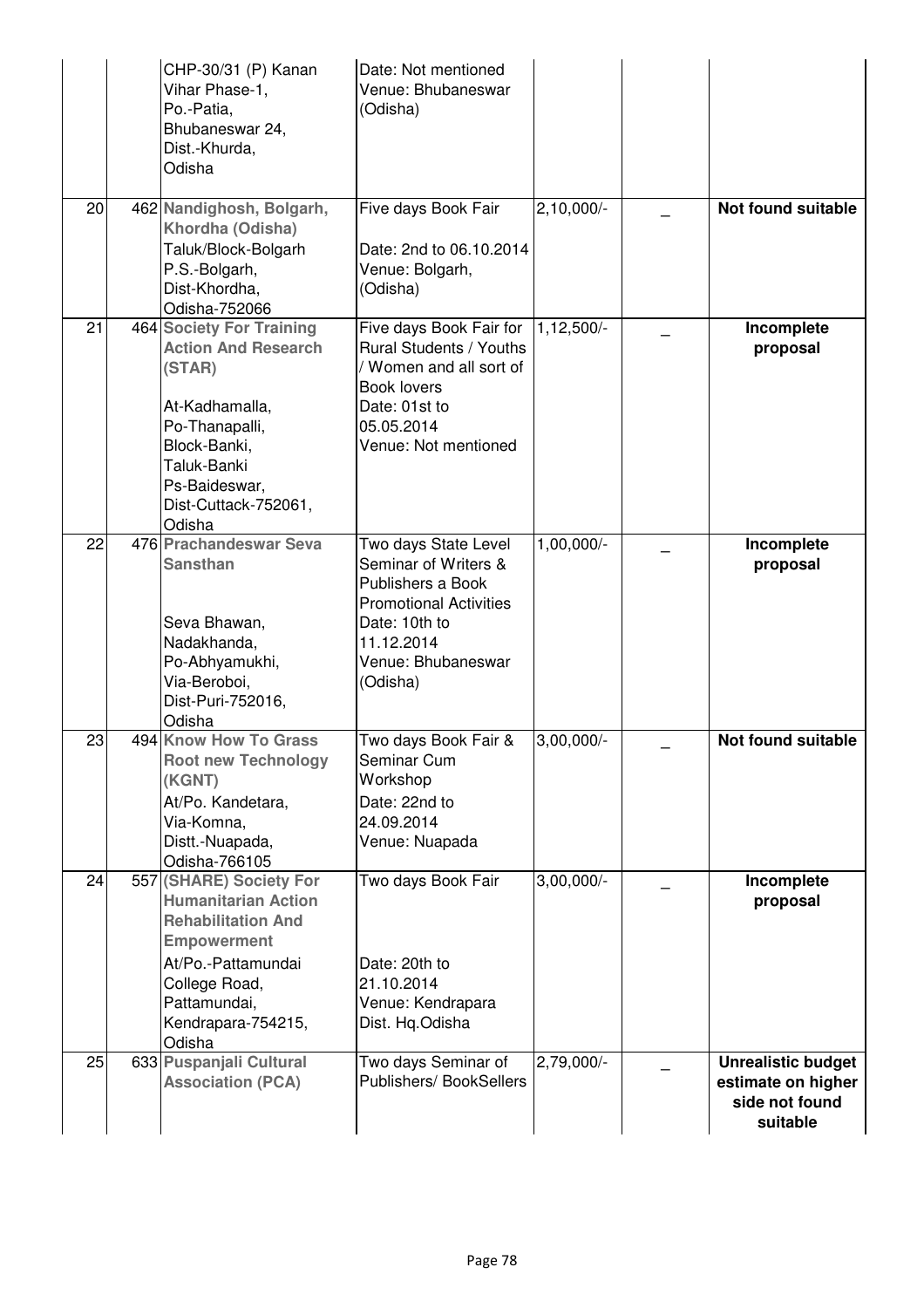|    | CHP-30/31 (P) Kanan<br>Vihar Phase-1,<br>Po.-Patia,<br>Bhubaneswar 24,<br>Dist.-Khurda,<br>Odisha                                                                                               | Date: Not mentioned<br>Venue: Bhubaneswar<br>(Odisha)                                                                                                               |              |                                                                               |
|----|-------------------------------------------------------------------------------------------------------------------------------------------------------------------------------------------------|---------------------------------------------------------------------------------------------------------------------------------------------------------------------|--------------|-------------------------------------------------------------------------------|
| 20 | 462 Nandighosh, Bolgarh,<br>Khordha (Odisha)<br>Taluk/Block-Bolgarh<br>P.S.-Bolgarh,<br>Dist-Khordha,<br>Odisha-752066                                                                          | Five days Book Fair<br>Date: 2nd to 06.10.2014<br>Venue: Bolgarh,<br>(Odisha)                                                                                       | $2,10,000/-$ | Not found suitable                                                            |
| 21 | <b>464 Society For Training</b><br><b>Action And Research</b><br>(STAR)<br>At-Kadhamalla,<br>Po-Thanapalli,<br>Block-Banki,<br>Taluk-Banki<br>Ps-Baideswar,<br>Dist-Cuttack-752061,<br>Odisha   | Five days Book Fair for<br>Rural Students / Youths<br>Women and all sort of<br><b>Book lovers</b><br>Date: 01st to<br>05.05.2014<br>Venue: Not mentioned            | $1,12,500/-$ | Incomplete<br>proposal                                                        |
| 22 | 476 Prachandeswar Seva<br><b>Sansthan</b><br>Seva Bhawan,<br>Nadakhanda,<br>Po-Abhyamukhi,<br>Via-Beroboi,<br>Dist-Puri-752016,<br>Odisha                                                       | Two days State Level<br>Seminar of Writers &<br>Publishers a Book<br><b>Promotional Activities</b><br>Date: 10th to<br>11.12.2014<br>Venue: Bhubaneswar<br>(Odisha) | 1,00,000/-   | Incomplete<br>proposal                                                        |
| 23 | 494 Know How To Grass<br><b>Root new Technology</b><br>(KGNT)<br>At/Po. Kandetara,<br>Via-Komna,<br>Distt.-Nuapada,<br>Odisha-766105                                                            | Two days Book Fair &<br>Seminar Cum<br>Workshop<br>Date: 22nd to<br>24.09.2014<br>Venue: Nuapada                                                                    | $3,00,000/-$ | <b>Not found suitable</b>                                                     |
| 24 | 557 (SHARE) Society For<br><b>Humanitarian Action</b><br><b>Rehabilitation And</b><br><b>Empowerment</b><br>At/Po.-Pattamundai<br>College Road,<br>Pattamundai,<br>Kendrapara-754215,<br>Odisha | Two days Book Fair<br>Date: 20th to<br>21.10.2014<br>Venue: Kendrapara<br>Dist. Hq.Odisha                                                                           | $3,00,000/-$ | Incomplete<br>proposal                                                        |
| 25 | 633 Puspanjali Cultural<br><b>Association (PCA)</b>                                                                                                                                             | Two days Seminar of<br>Publishers/ BookSellers                                                                                                                      | $2,79,000/-$ | <b>Unrealistic budget</b><br>estimate on higher<br>side not found<br>suitable |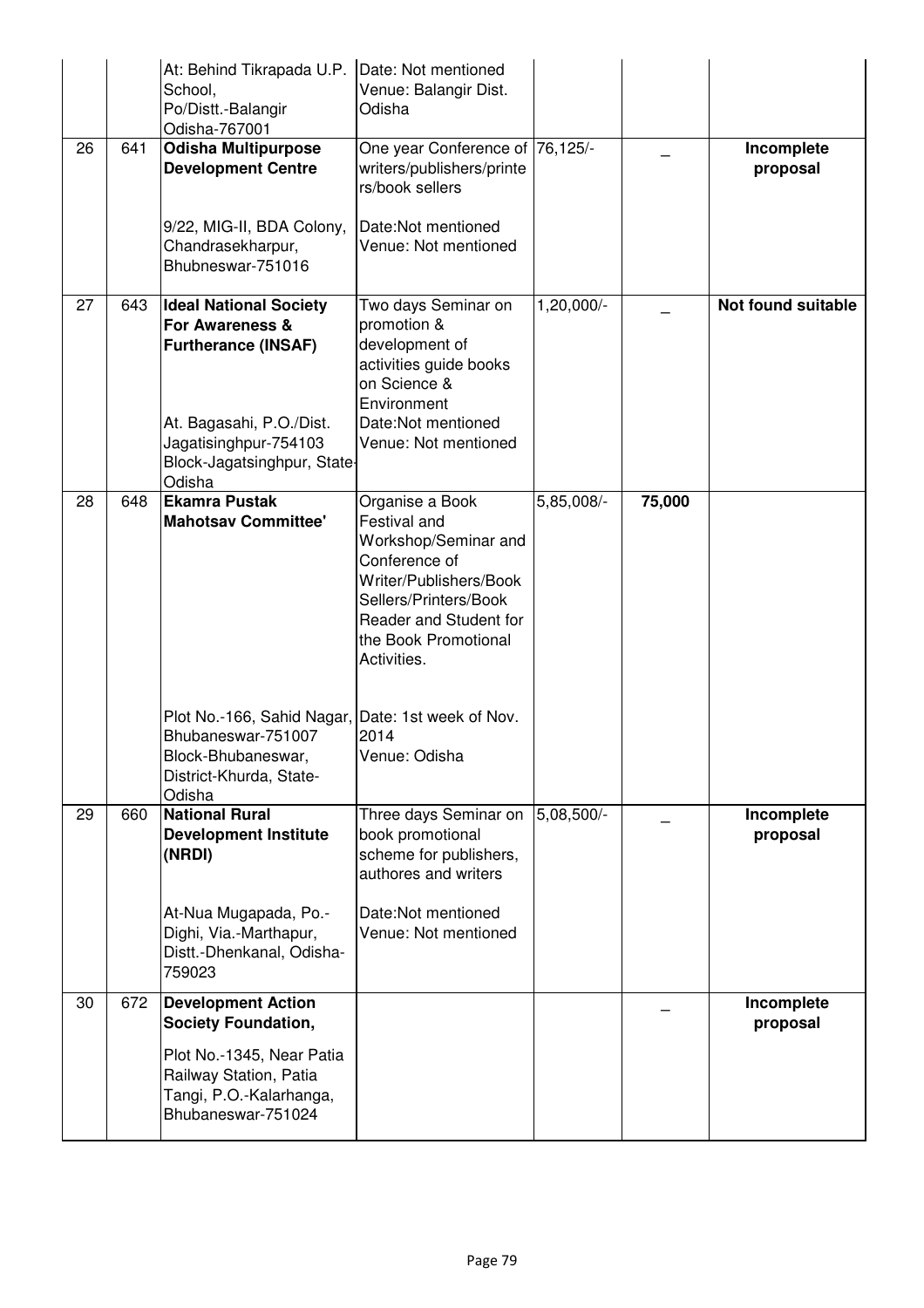|    |     | At: Behind Tikrapada U.P.<br>School,<br>Po/Distt.-Balangir<br>Odisha-767001                                                                                                  | Date: Not mentioned<br>Venue: Balangir Dist.<br>Odisha                                                                                                                                       |            |        |                        |
|----|-----|------------------------------------------------------------------------------------------------------------------------------------------------------------------------------|----------------------------------------------------------------------------------------------------------------------------------------------------------------------------------------------|------------|--------|------------------------|
| 26 | 641 | <b>Odisha Multipurpose</b><br><b>Development Centre</b>                                                                                                                      | One year Conference of 76,125/-<br>writers/publishers/printe<br>rs/book sellers                                                                                                              |            |        | Incomplete<br>proposal |
|    |     | 9/22, MIG-II, BDA Colony,<br>Chandrasekharpur,<br>Bhubneswar-751016                                                                                                          | Date:Not mentioned<br>Venue: Not mentioned                                                                                                                                                   |            |        |                        |
| 27 | 643 | <b>Ideal National Society</b><br>For Awareness &<br><b>Furtherance (INSAF)</b><br>At. Bagasahi, P.O./Dist.<br>Jagatisinghpur-754103<br>Block-Jagatsinghpur, State-<br>Odisha | Two days Seminar on<br>promotion &<br>development of<br>activities guide books<br>on Science &<br>Environment<br>Date:Not mentioned<br>Venue: Not mentioned                                  | 1,20,000/- |        | Not found suitable     |
| 28 | 648 | <b>Ekamra Pustak</b><br><b>Mahotsav Committee'</b>                                                                                                                           | Organise a Book<br>Festival and<br>Workshop/Seminar and<br>Conference of<br>Writer/Publishers/Book<br>Sellers/Printers/Book<br>Reader and Student for<br>the Book Promotional<br>Activities. | 5,85,008/- | 75,000 |                        |
|    |     | Plot No.-166, Sahid Nagar, Date: 1st week of Nov.<br>Bhubaneswar-751007<br>Block-Bhubaneswar,<br>District-Khurda, State-<br>Odisha                                           | 2014<br>Venue: Odisha                                                                                                                                                                        |            |        |                        |
| 29 | 660 | <b>National Rural</b><br><b>Development Institute</b><br>(NRDI)                                                                                                              | Three days Seminar on<br>book promotional<br>scheme for publishers,<br>authores and writers                                                                                                  | 5,08,500/- |        | Incomplete<br>proposal |
|    |     | At-Nua Mugapada, Po.-<br>Dighi, Via.-Marthapur,<br>Distt.-Dhenkanal, Odisha-<br>759023                                                                                       | Date:Not mentioned<br>Venue: Not mentioned                                                                                                                                                   |            |        |                        |
| 30 | 672 | <b>Development Action</b><br><b>Society Foundation,</b>                                                                                                                      |                                                                                                                                                                                              |            |        | Incomplete<br>proposal |
|    |     | Plot No.-1345, Near Patia<br>Railway Station, Patia<br>Tangi, P.O.-Kalarhanga,<br>Bhubaneswar-751024                                                                         |                                                                                                                                                                                              |            |        |                        |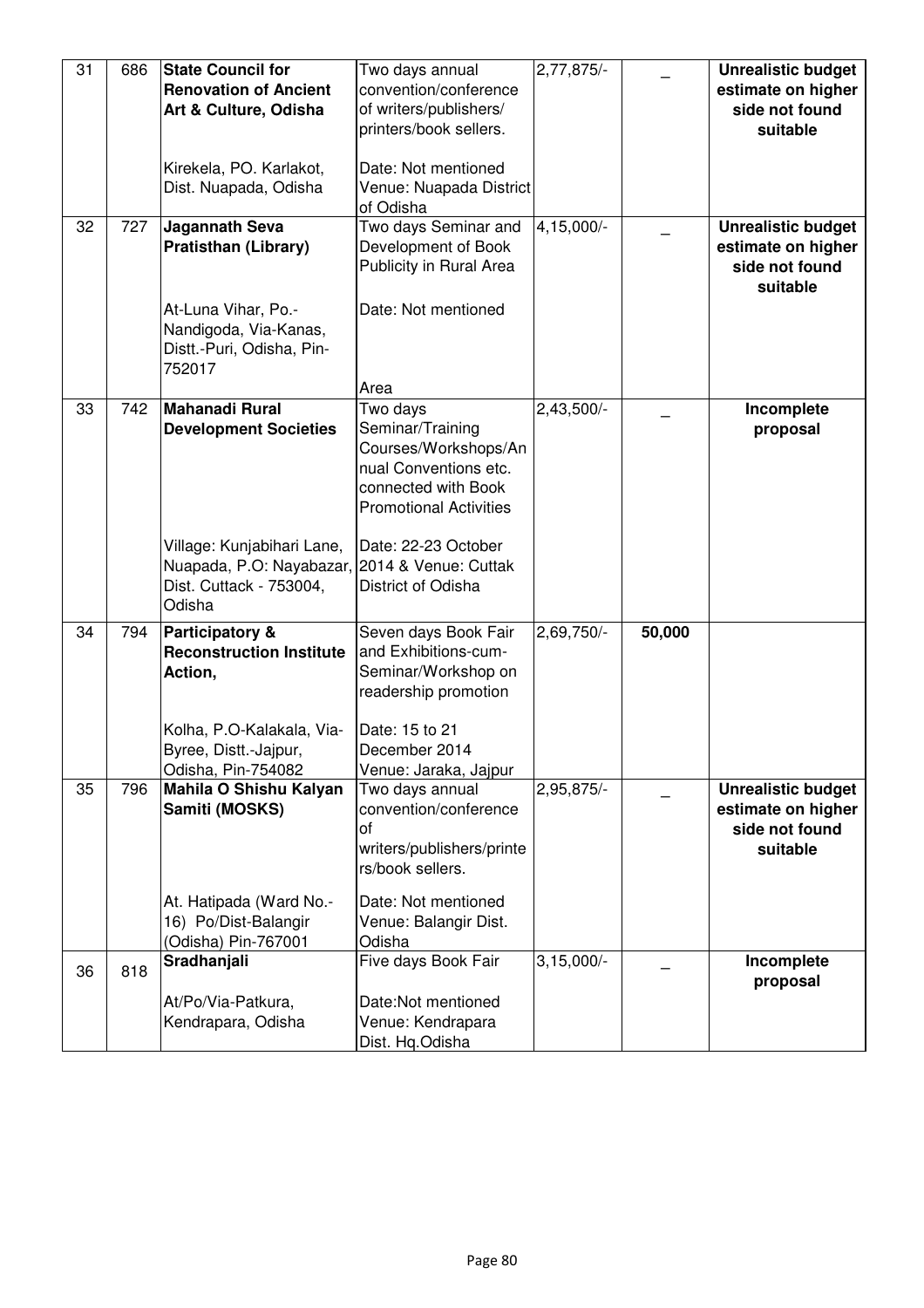| 31 | 686 | <b>State Council for</b><br><b>Renovation of Ancient</b>                                                         | Two days annual<br>convention/conference                                                                                              | $2,77,875/-$ |        | <b>Unrealistic budget</b><br>estimate on higher                               |
|----|-----|------------------------------------------------------------------------------------------------------------------|---------------------------------------------------------------------------------------------------------------------------------------|--------------|--------|-------------------------------------------------------------------------------|
|    |     | Art & Culture, Odisha                                                                                            | of writers/publishers/<br>printers/book sellers.                                                                                      |              |        | side not found<br>suitable                                                    |
|    |     | Kirekela, PO. Karlakot,<br>Dist. Nuapada, Odisha                                                                 | Date: Not mentioned<br>Venue: Nuapada District<br>of Odisha                                                                           |              |        |                                                                               |
| 32 | 727 | <b>Jagannath Seva</b><br><b>Pratisthan (Library)</b>                                                             | Two days Seminar and<br>Development of Book<br>Publicity in Rural Area                                                                | 4,15,000/-   |        | <b>Unrealistic budget</b><br>estimate on higher<br>side not found<br>suitable |
|    |     | At-Luna Vihar, Po.-<br>Nandigoda, Via-Kanas,<br>Distt.-Puri, Odisha, Pin-<br>752017                              | Date: Not mentioned<br>Area                                                                                                           |              |        |                                                                               |
| 33 | 742 | <b>Mahanadi Rural</b><br><b>Development Societies</b>                                                            | Two days<br>Seminar/Training<br>Courses/Workshops/An<br>nual Conventions etc.<br>connected with Book<br><b>Promotional Activities</b> | $2,43,500/-$ |        | Incomplete<br>proposal                                                        |
|    |     | Village: Kunjabihari Lane,<br>Nuapada, P.O: Nayabazar, 2014 & Venue: Cuttak<br>Dist. Cuttack - 753004,<br>Odisha | Date: 22-23 October<br>District of Odisha                                                                                             |              |        |                                                                               |
| 34 | 794 | Participatory &<br><b>Reconstruction Institute</b><br>Action,<br>Kolha, P.O-Kalakala, Via-                       | Seven days Book Fair<br>and Exhibitions-cum-<br>Seminar/Workshop on<br>readership promotion<br>Date: 15 to 21                         | $2,69,750/-$ | 50,000 |                                                                               |
|    |     | Byree, Distt.-Jajpur,<br>Odisha, Pin-754082                                                                      | December 2014<br>Venue: Jaraka, Jajpur                                                                                                |              |        |                                                                               |
| 35 | 796 | Mahila O Shishu Kalyan<br>Samiti (MOSKS)                                                                         | Two days annual<br>convention/conference<br>of<br>writers/publishers/printe<br>rs/book sellers.                                       | 2,95,875/-   |        | <b>Unrealistic budget</b><br>estimate on higher<br>side not found<br>suitable |
|    |     | At. Hatipada (Ward No.-<br>16) Po/Dist-Balangir<br>(Odisha) Pin-767001                                           | Date: Not mentioned<br>Venue: Balangir Dist.<br>Odisha                                                                                |              |        |                                                                               |
| 36 | 818 | Sradhanjali                                                                                                      | Five days Book Fair                                                                                                                   | $3,15,000/-$ |        | Incomplete<br>proposal                                                        |
|    |     | At/Po/Via-Patkura,<br>Kendrapara, Odisha                                                                         | Date:Not mentioned<br>Venue: Kendrapara<br>Dist. Hq.Odisha                                                                            |              |        |                                                                               |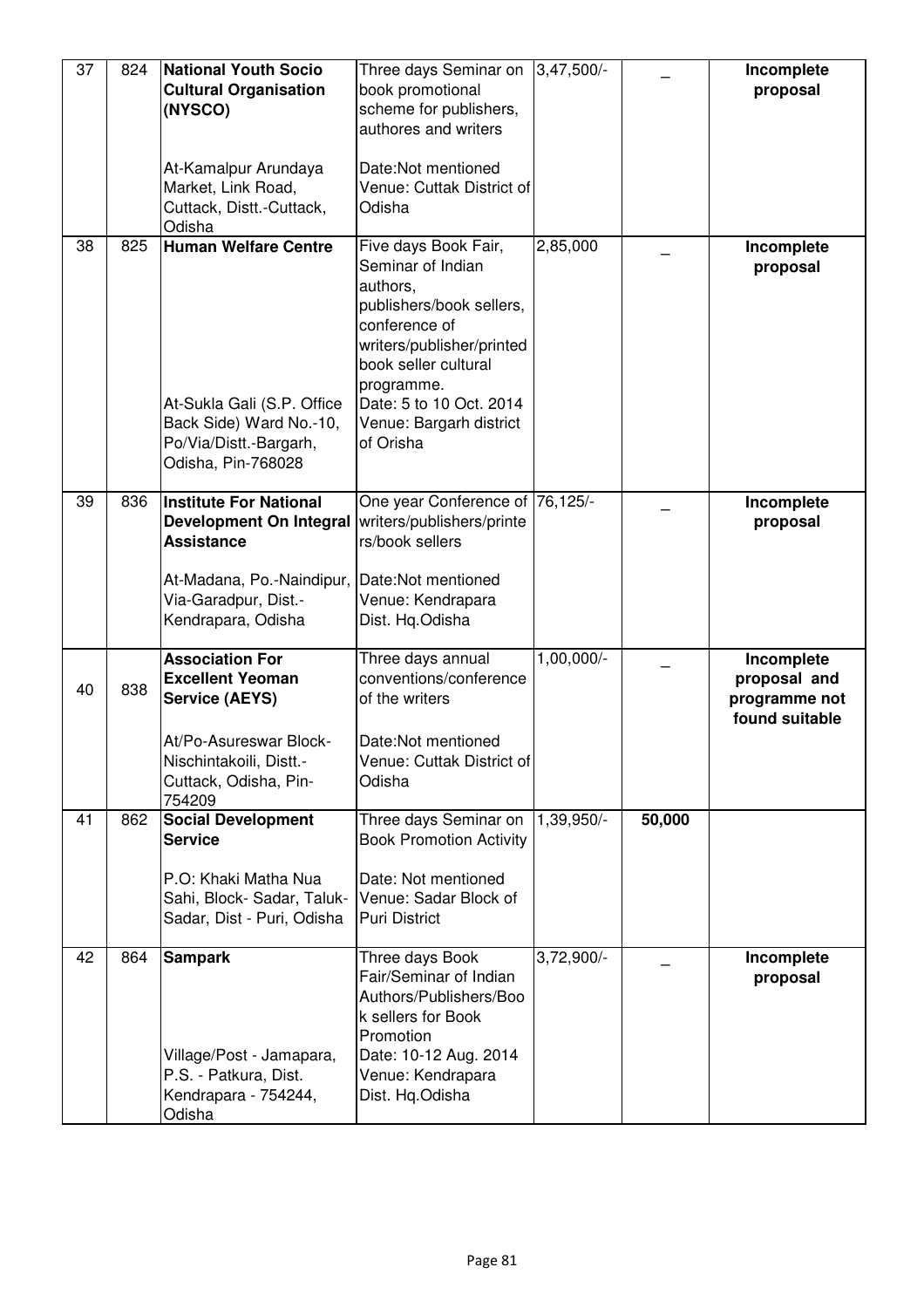| 37 | 824 | <b>National Youth Socio</b><br><b>Cultural Organisation</b><br>(NYSCO)<br>At-Kamalpur Arundaya<br>Market, Link Road,<br>Cuttack, Distt.-Cuttack,<br>Odisha         | Three days Seminar on<br>book promotional<br>scheme for publishers,<br>authores and writers<br>Date:Not mentioned<br>Venue: Cuttak District of<br>Odisha                                                                                 | $3,47,500/-$ |        | Incomplete<br>proposal                                        |
|----|-----|--------------------------------------------------------------------------------------------------------------------------------------------------------------------|------------------------------------------------------------------------------------------------------------------------------------------------------------------------------------------------------------------------------------------|--------------|--------|---------------------------------------------------------------|
| 38 | 825 | <b>Human Welfare Centre</b><br>At-Sukla Gali (S.P. Office<br>Back Side) Ward No.-10,<br>Po/Via/Distt.-Bargarh,<br>Odisha, Pin-768028                               | Five days Book Fair,<br>Seminar of Indian<br>authors,<br>publishers/book sellers,<br>conference of<br>writers/publisher/printed<br>book seller cultural<br>programme.<br>Date: 5 to 10 Oct. 2014<br>Venue: Bargarh district<br>of Orisha | 2,85,000     |        | Incomplete<br>proposal                                        |
| 39 | 836 | <b>Institute For National</b><br><b>Development On Integral</b><br><b>Assistance</b><br>At-Madana, Po.-Naindipur,<br>Via-Garadpur, Dist.-<br>Kendrapara, Odisha    | One year Conference of 76,125/-<br>writers/publishers/printe<br>rs/book sellers<br>Date:Not mentioned<br>Venue: Kendrapara<br>Dist. Hq.Odisha                                                                                            |              |        | Incomplete<br>proposal                                        |
| 40 | 838 | <b>Association For</b><br><b>Excellent Yeoman</b><br><b>Service (AEYS)</b><br>At/Po-Asureswar Block-<br>Nischintakoili, Distt.-<br>Cuttack, Odisha, Pin-<br>754209 | Three days annual<br>conventions/conference<br>of the writers<br>Date:Not mentioned<br>Venue: Cuttak District of<br>Odisha                                                                                                               | 1,00,000/-   |        | Incomplete<br>proposal and<br>programme not<br>found suitable |
| 41 | 862 | <b>Social Development</b><br><b>Service</b><br>P.O: Khaki Matha Nua<br>Sahi, Block-Sadar, Taluk-<br>Sadar, Dist - Puri, Odisha                                     | Three days Seminar on<br><b>Book Promotion Activity</b><br>Date: Not mentioned<br>Venue: Sadar Block of<br><b>Puri District</b>                                                                                                          | 1,39,950/-   | 50,000 |                                                               |
| 42 | 864 | <b>Sampark</b><br>Village/Post - Jamapara,<br>P.S. - Patkura, Dist.<br>Kendrapara - 754244,<br>Odisha                                                              | Three days Book<br>Fair/Seminar of Indian<br>Authors/Publishers/Boo<br>k sellers for Book<br>Promotion<br>Date: 10-12 Aug. 2014<br>Venue: Kendrapara<br>Dist. Hq.Odisha                                                                  | 3,72,900/-   |        | Incomplete<br>proposal                                        |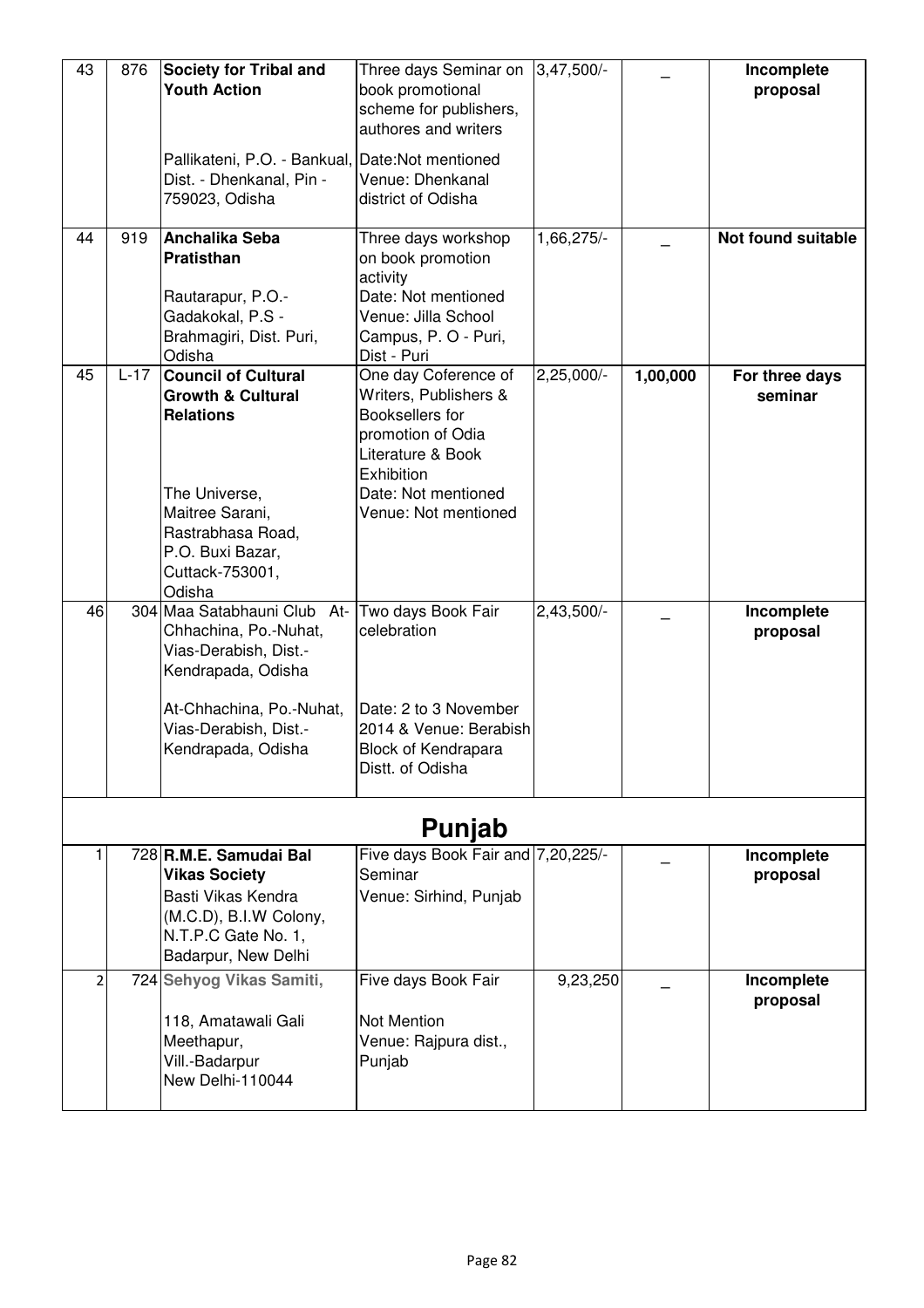| 43<br>44 | 876<br>919 | <b>Society for Tribal and</b><br><b>Youth Action</b><br>Pallikateni, P.O. - Bankual, Date:Not mentioned<br>Dist. - Dhenkanal, Pin -<br>759023, Odisha<br>Anchalika Seba<br>Pratisthan<br>Rautarapur, P.O.-<br>Gadakokal, P.S -<br>Brahmagiri, Dist. Puri, | Three days Seminar on<br>book promotional<br>scheme for publishers,<br>authores and writers<br>Venue: Dhenkanal<br>district of Odisha<br>Three days workshop<br>on book promotion<br>activity<br>Date: Not mentioned<br>Venue: Jilla School<br>Campus, P. O - Puri, | $3,47,500/-$<br>1,66,275/- |          | Incomplete<br>proposal<br>Not found suitable |  |
|----------|------------|-----------------------------------------------------------------------------------------------------------------------------------------------------------------------------------------------------------------------------------------------------------|---------------------------------------------------------------------------------------------------------------------------------------------------------------------------------------------------------------------------------------------------------------------|----------------------------|----------|----------------------------------------------|--|
| 45       | $L-17$     | Odisha<br><b>Council of Cultural</b><br><b>Growth &amp; Cultural</b><br><b>Relations</b><br>The Universe,<br>Maitree Sarani,<br>Rastrabhasa Road,<br>P.O. Buxi Bazar,<br>Cuttack-753001,<br>Odisha                                                        | Dist - Puri<br>One day Coference of<br>Writers, Publishers &<br>Booksellers for<br>promotion of Odia<br>Literature & Book<br><b>Exhibition</b><br>Date: Not mentioned<br>Venue: Not mentioned                                                                       | $2,25,000/-$               | 1,00,000 | For three days<br>seminar                    |  |
| 46       |            | 304 Maa Satabhauni Club<br>At-<br>Chhachina, Po.-Nuhat,<br>Vias-Derabish, Dist.-<br>Kendrapada, Odisha<br>At-Chhachina, Po.-Nuhat,<br>Vias-Derabish, Dist.-<br>Kendrapada, Odisha                                                                         | Two days Book Fair<br>celebration<br>Date: 2 to 3 November<br>2014 & Venue: Berabish<br>Block of Kendrapara<br>Distt. of Odisha                                                                                                                                     | $2,43,500/-$               |          | Incomplete<br>proposal                       |  |
| Punjab   |            |                                                                                                                                                                                                                                                           |                                                                                                                                                                                                                                                                     |                            |          |                                              |  |
|          |            | 728 R.M.E. Samudai Bal<br><b>Vikas Society</b><br>Basti Vikas Kendra<br>(M.C.D), B.I.W Colony,<br>N.T.P.C Gate No. 1,<br>Badarpur, New Delhi                                                                                                              | Five days Book Fair and 7,20,225/-<br>Seminar<br>Venue: Sirhind, Punjab                                                                                                                                                                                             |                            |          | Incomplete<br>proposal                       |  |
| 2        |            | 724 Sehyog Vikas Samiti,<br>118, Amatawali Gali<br>Meethapur,<br>Vill.-Badarpur<br>New Delhi-110044                                                                                                                                                       | Five days Book Fair<br>Not Mention<br>Venue: Rajpura dist.,<br>Punjab                                                                                                                                                                                               | 9,23,250                   |          | Incomplete<br>proposal                       |  |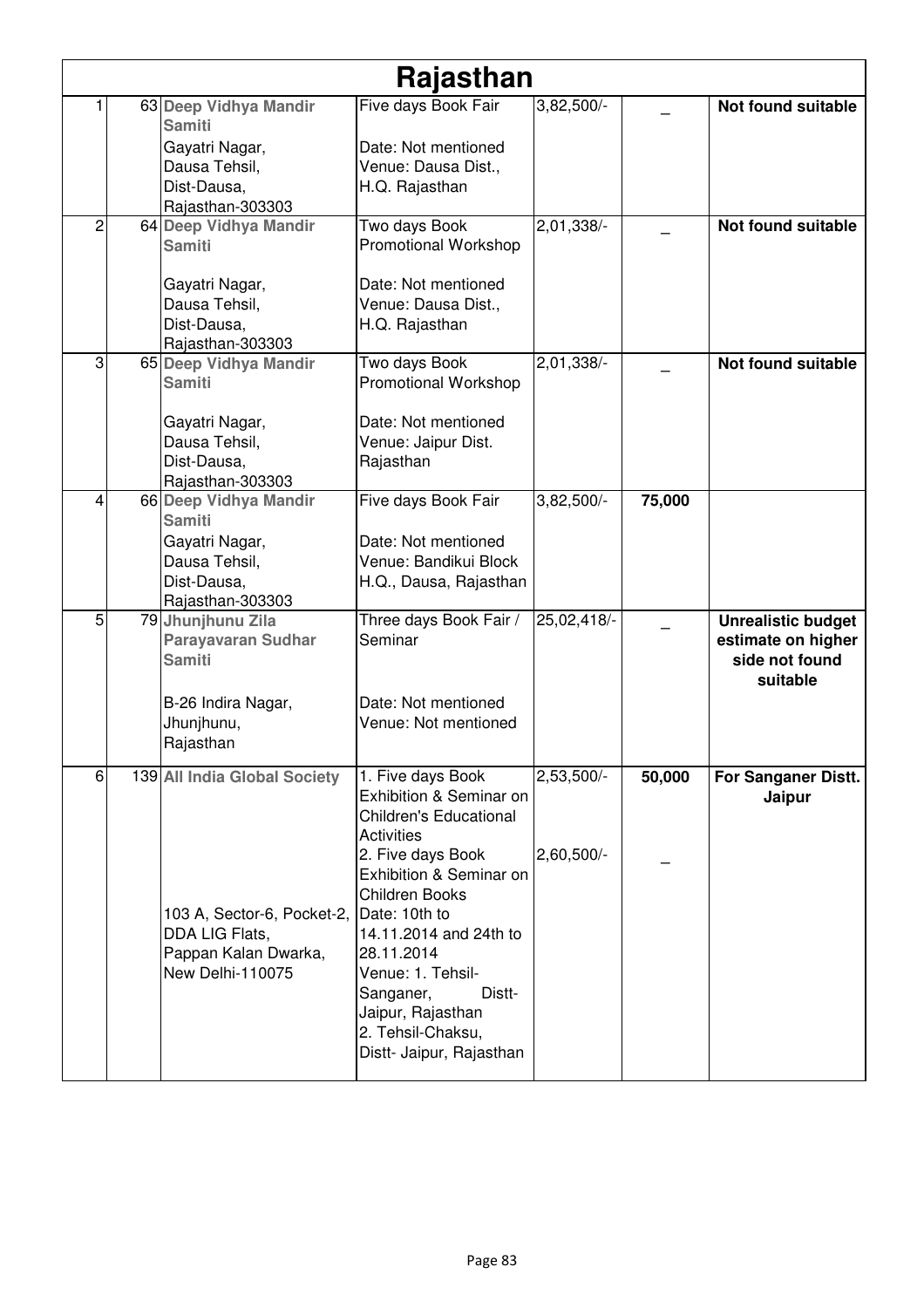|   |                                            | Rajasthan                                    |              |        |                                      |
|---|--------------------------------------------|----------------------------------------------|--------------|--------|--------------------------------------|
|   | 63 Deep Vidhya Mandir<br><b>Samiti</b>     | Five days Book Fair                          | 3,82,500/-   |        | Not found suitable                   |
|   | Gayatri Nagar,                             | Date: Not mentioned                          |              |        |                                      |
|   | Dausa Tehsil,                              | Venue: Dausa Dist.,                          |              |        |                                      |
|   | Dist-Dausa,                                | H.Q. Rajasthan                               |              |        |                                      |
|   | Rajasthan-303303                           |                                              |              |        |                                      |
| 2 | 64 Deep Vidhya Mandir<br><b>Samiti</b>     | Two days Book<br><b>Promotional Workshop</b> | 2,01,338/-   |        | <b>Not found suitable</b>            |
|   | Gayatri Nagar,                             | Date: Not mentioned                          |              |        |                                      |
|   | Dausa Tehsil,                              | Venue: Dausa Dist.,                          |              |        |                                      |
|   | Dist-Dausa,                                | H.Q. Rajasthan                               |              |        |                                      |
|   | Rajasthan-303303                           |                                              |              |        |                                      |
| 3 | 65 Deep Vidhya Mandir<br><b>Samiti</b>     | Two days Book<br><b>Promotional Workshop</b> | $2,01,338/-$ |        | <b>Not found suitable</b>            |
|   |                                            | Date: Not mentioned                          |              |        |                                      |
|   | Gayatri Nagar,<br>Dausa Tehsil,            | Venue: Jaipur Dist.                          |              |        |                                      |
|   | Dist-Dausa.                                | Rajasthan                                    |              |        |                                      |
|   | Rajasthan-303303                           |                                              |              |        |                                      |
| 4 | 66 Deep Vidhya Mandir                      | Five days Book Fair                          | 3,82,500/-   | 75,000 |                                      |
|   | <b>Samiti</b>                              |                                              |              |        |                                      |
|   | Gayatri Nagar,                             | Date: Not mentioned                          |              |        |                                      |
|   | Dausa Tehsil,                              | Venue: Bandikui Block                        |              |        |                                      |
|   | Dist-Dausa,                                | H.Q., Dausa, Rajasthan                       |              |        |                                      |
|   | Rajasthan-303303                           |                                              |              |        |                                      |
| 5 | 79 Jhunjhunu Zila                          | Three days Book Fair /<br>Seminar            | 25,02,418/-  |        | <b>Unrealistic budget</b>            |
|   | <b>Parayavaran Sudhar</b><br><b>Samiti</b> |                                              |              |        | estimate on higher<br>side not found |
|   |                                            |                                              |              |        | suitable                             |
|   | B-26 Indira Nagar,                         | Date: Not mentioned                          |              |        |                                      |
|   | Jhunjhunu,                                 | Venue: Not mentioned                         |              |        |                                      |
|   | Rajasthan                                  |                                              |              |        |                                      |
|   |                                            |                                              |              |        |                                      |
| 6 | 139 All India Global Society               | 1. Five days Book                            | $2,53,500/-$ | 50,000 | For Sanganer Distt.                  |
|   |                                            | Exhibition & Seminar on                      |              |        | Jaipur                               |
|   |                                            | <b>Children's Educational</b>                |              |        |                                      |
|   |                                            | <b>Activities</b>                            |              |        |                                      |
|   |                                            | 2. Five days Book<br>Exhibition & Seminar on | $2,60,500/-$ |        |                                      |
|   |                                            | <b>Children Books</b>                        |              |        |                                      |
|   | 103 A, Sector-6, Pocket-2,                 | Date: 10th to                                |              |        |                                      |
|   | DDA LIG Flats,                             | 14.11.2014 and 24th to                       |              |        |                                      |
|   |                                            |                                              |              |        |                                      |
|   |                                            | 28.11.2014                                   |              |        |                                      |
|   | Pappan Kalan Dwarka,<br>New Delhi-110075   | Venue: 1. Tehsil-                            |              |        |                                      |
|   |                                            | Distt-<br>Sanganer,                          |              |        |                                      |
|   |                                            | Jaipur, Rajasthan                            |              |        |                                      |
|   |                                            | 2. Tehsil-Chaksu,                            |              |        |                                      |
|   |                                            | Distt- Jaipur, Rajasthan                     |              |        |                                      |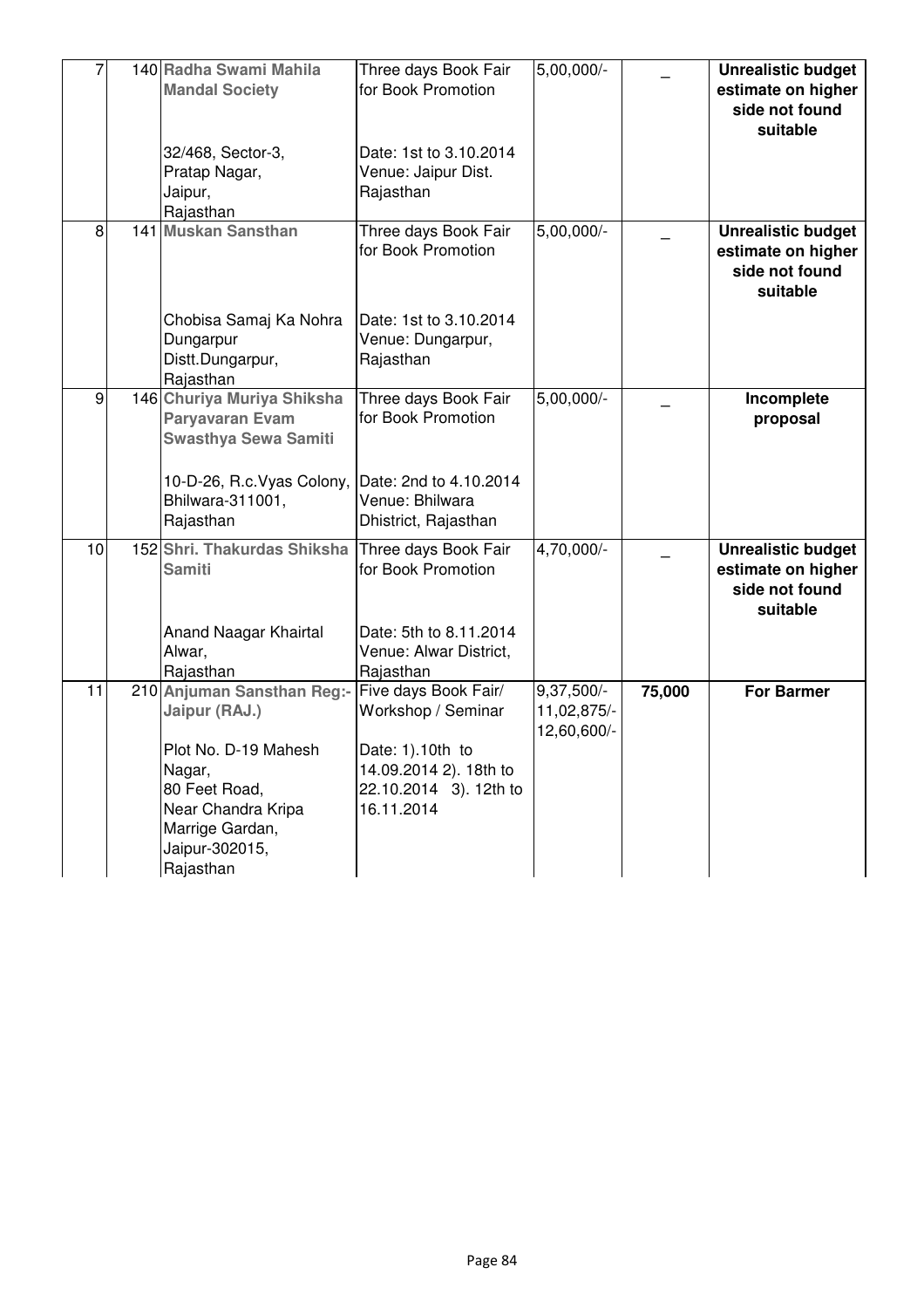|    | 140 Radha Swami Mahila<br><b>Mandal Society</b><br>32/468, Sector-3,<br>Pratap Nagar,<br>Jaipur,<br>Rajasthan                                                          | Three days Book Fair<br>for Book Promotion<br>Date: 1st to 3.10.2014<br>Venue: Jaipur Dist.<br>Rajasthan                         | $5,00,000/-$                             |        | <b>Unrealistic budget</b><br>estimate on higher<br>side not found<br>suitable |
|----|------------------------------------------------------------------------------------------------------------------------------------------------------------------------|----------------------------------------------------------------------------------------------------------------------------------|------------------------------------------|--------|-------------------------------------------------------------------------------|
| 8  | <b>141 Muskan Sansthan</b><br>Chobisa Samaj Ka Nohra<br>Dungarpur<br>Distt.Dungarpur,<br>Rajasthan                                                                     | Three days Book Fair<br>for Book Promotion<br>Date: 1st to 3.10.2014<br>Venue: Dungarpur,<br>Rajasthan                           | $5,00,000/-$                             |        | <b>Unrealistic budget</b><br>estimate on higher<br>side not found<br>suitable |
| 9  | 146 Churiya Muriya Shiksha<br><b>Paryavaran Evam</b><br><b>Swasthya Sewa Samiti</b><br>10-D-26, R.c. Vyas Colony,<br>Bhilwara-311001,<br>Rajasthan                     | Three days Book Fair<br>for Book Promotion<br>Date: 2nd to 4.10.2014<br>Venue: Bhilwara<br>Dhistrict, Rajasthan                  | 5,00,000/-                               |        | Incomplete<br>proposal                                                        |
| 10 | 152 Shri. Thakurdas Shiksha<br><b>Samiti</b><br>Anand Naagar Khairtal<br>Alwar,<br>Rajasthan                                                                           | Three days Book Fair<br>for Book Promotion<br>Date: 5th to 8.11.2014<br>Venue: Alwar District,<br>Rajasthan                      | 4,70,000/-                               |        | <b>Unrealistic budget</b><br>estimate on higher<br>side not found<br>suitable |
| 11 | 210 Anjuman Sansthan Reg:-<br>Jaipur (RAJ.)<br>Plot No. D-19 Mahesh<br>Nagar,<br>80 Feet Road,<br>Near Chandra Kripa<br>Marrige Gardan,<br>Jaipur-302015,<br>Rajasthan | Five days Book Fair/<br>Workshop / Seminar<br>Date: 1).10th to<br>14.09.2014 2). 18th to<br>22.10.2014 3). 12th to<br>16.11.2014 | 9,37,500/-<br>11,02,875/-<br>12,60,600/- | 75,000 | <b>For Barmer</b>                                                             |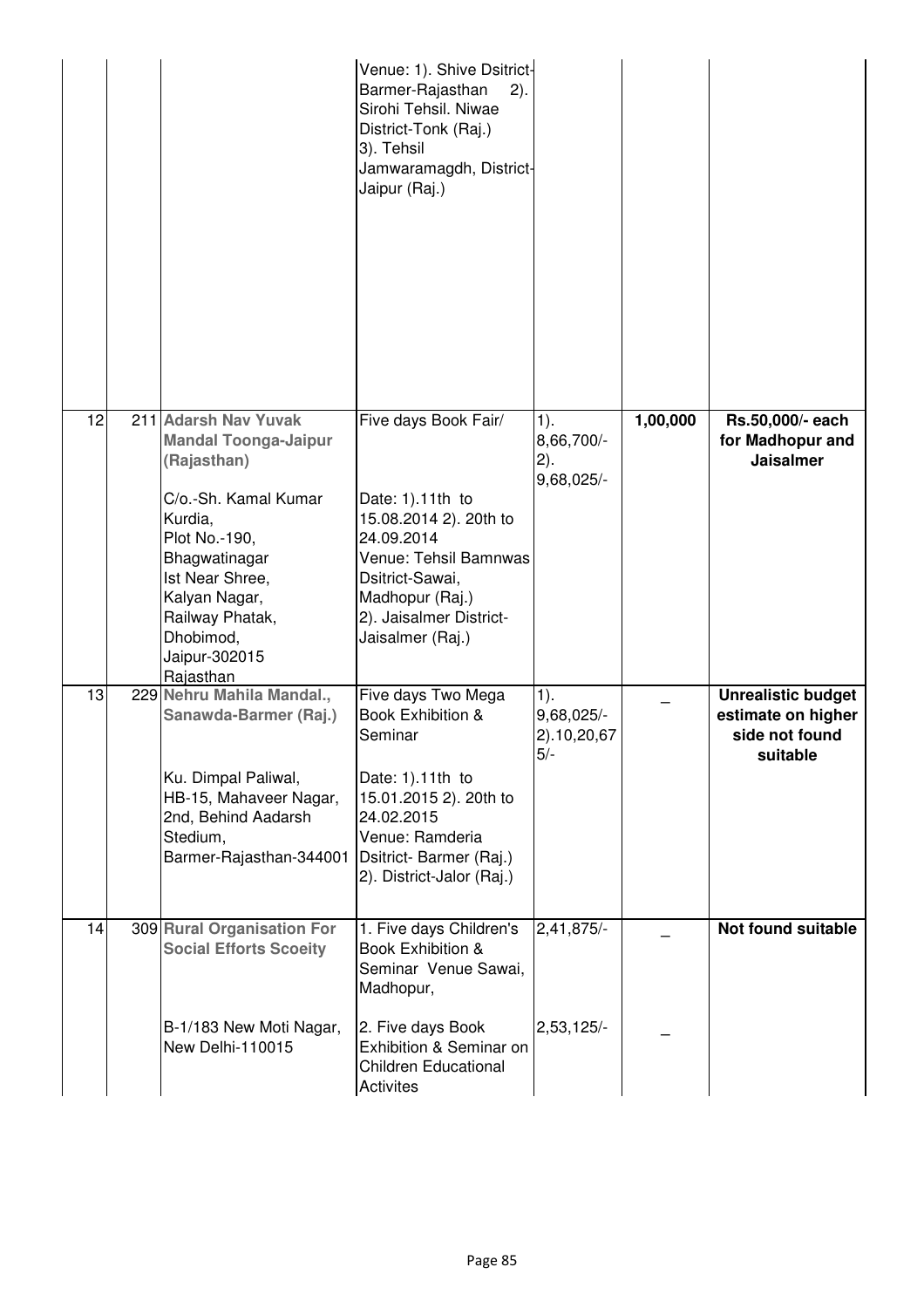|    |                                                                                                                                                                                                                                           | Venue: 1). Shive Dsitrict-<br>Barmer-Rajasthan<br>2).<br>Sirohi Tehsil. Niwae<br>District-Tonk (Raj.)<br>3). Tehsil<br>Jamwaramagdh, District-<br>Jaipur (Raj.)                                |                                              |          |                                                                               |
|----|-------------------------------------------------------------------------------------------------------------------------------------------------------------------------------------------------------------------------------------------|------------------------------------------------------------------------------------------------------------------------------------------------------------------------------------------------|----------------------------------------------|----------|-------------------------------------------------------------------------------|
| 12 | 211 Adarsh Nav Yuvak<br><b>Mandal Toonga-Jaipur</b><br>(Rajasthan)<br>C/o.-Sh. Kamal Kumar<br>Kurdia,<br>Plot No.-190,<br>Bhagwatinagar<br>Ist Near Shree,<br>Kalyan Nagar,<br>Railway Phatak,<br>Dhobimod,<br>Jaipur-302015<br>Rajasthan | Five days Book Fair/<br>Date: 1).11th to<br>15.08.2014 2). 20th to<br>24.09.2014<br>Venue: Tehsil Bamnwas<br>Dsitrict-Sawai,<br>Madhopur (Raj.)<br>2). Jaisalmer District-<br>Jaisalmer (Raj.) | $1$ ).<br>8,66,700/-<br>2).<br>9,68,025/-    | 1,00,000 | Rs.50,000/- each<br>for Madhopur and<br><b>Jaisalmer</b>                      |
| 13 | 229 Nehru Mahila Mandal.,<br>Sanawda-Barmer (Raj.)<br>Ku. Dimpal Paliwal,<br>HB-15, Mahaveer Nagar,<br>2nd, Behind Aadarsh<br>Stedium,<br>Barmer-Rajasthan-344001                                                                         | Five days Two Mega<br>Book Exhibition &<br>Seminar<br>Date: 1).11th to<br>15.01.2015 2). 20th to<br>24.02.2015<br>Venue: Ramderia<br>Dsitrict- Barmer (Raj.)<br>2). District-Jalor (Raj.)      | $1$ ).<br>9,68,025/-<br>2).10,20,67<br>$5/-$ |          | <b>Unrealistic budget</b><br>estimate on higher<br>side not found<br>suitable |
| 14 | 309 Rural Organisation For<br><b>Social Efforts Scoeity</b><br>B-1/183 New Moti Nagar,<br>New Delhi-110015                                                                                                                                | 1. Five days Children's<br>Book Exhibition &<br>Seminar Venue Sawai,<br>Madhopur,<br>2. Five days Book<br>Exhibition & Seminar on<br><b>Children Educational</b><br>Activites                  | 2,41,875/-<br>$2,53,125/-$                   |          | <b>Not found suitable</b>                                                     |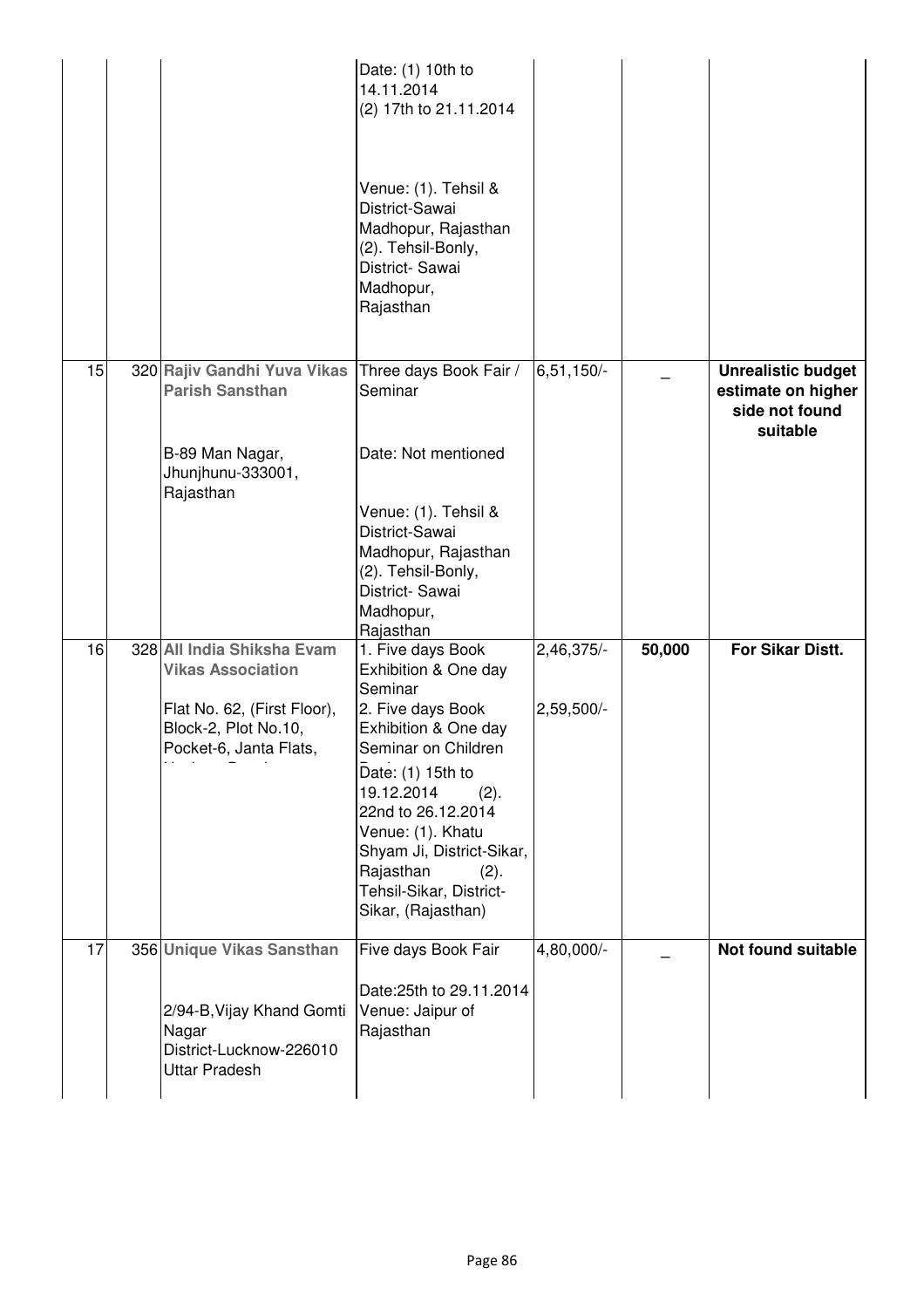|    |                                                                                       | Date: (1) 10th to<br>14.11.2014<br>(2) 17th to 21.11.2014<br>Venue: (1). Tehsil &<br>District-Sawai<br>Madhopur, Rajasthan<br>(2). Tehsil-Bonly,<br>District-Sawai<br>Madhopur,<br>Rajasthan |              |        |                                                                               |
|----|---------------------------------------------------------------------------------------|----------------------------------------------------------------------------------------------------------------------------------------------------------------------------------------------|--------------|--------|-------------------------------------------------------------------------------|
| 15 | 320 Rajiv Gandhi Yuva Vikas<br><b>Parish Sansthan</b>                                 | Three days Book Fair /<br>Seminar                                                                                                                                                            | $6,51,150/-$ |        | <b>Unrealistic budget</b><br>estimate on higher<br>side not found<br>suitable |
|    | B-89 Man Nagar,<br>Jhunjhunu-333001,<br>Rajasthan                                     | Date: Not mentioned                                                                                                                                                                          |              |        |                                                                               |
|    |                                                                                       | Venue: (1). Tehsil &<br>District-Sawai                                                                                                                                                       |              |        |                                                                               |
|    |                                                                                       | Madhopur, Rajasthan<br>(2). Tehsil-Bonly,                                                                                                                                                    |              |        |                                                                               |
|    |                                                                                       | District-Sawai<br>Madhopur,<br>Rajasthan                                                                                                                                                     |              |        |                                                                               |
| 16 | 328 All India Shiksha Evam<br><b>Vikas Association</b>                                | 1. Five days Book<br>Exhibition & One day<br>Seminar                                                                                                                                         | 2,46,375/-   | 50,000 | For Sikar Distt.                                                              |
|    | Flat No. 62, (First Floor),<br>Block-2, Plot No.10,<br>Pocket-6, Janta Flats,         | 2. Five days Book<br>Exhibition & One day<br>Seminar on Children                                                                                                                             | 2,59,500/-   |        |                                                                               |
|    |                                                                                       | Date: (1) 15th to<br>19.12.2014<br>(2).<br>22nd to 26.12.2014<br>Venue: (1). Khatu<br>Shyam Ji, District-Sikar,<br>Rajasthan<br>(2).<br>Tehsil-Sikar, District-<br>Sikar, (Rajasthan)        |              |        |                                                                               |
| 17 | 356 Unique Vikas Sansthan                                                             | Five days Book Fair                                                                                                                                                                          | 4,80,000/-   |        | Not found suitable                                                            |
|    | 2/94-B, Vijay Khand Gomti<br>Nagar<br>District-Lucknow-226010<br><b>Uttar Pradesh</b> | Date: 25th to 29.11.2014<br>Venue: Jaipur of<br>Rajasthan                                                                                                                                    |              |        |                                                                               |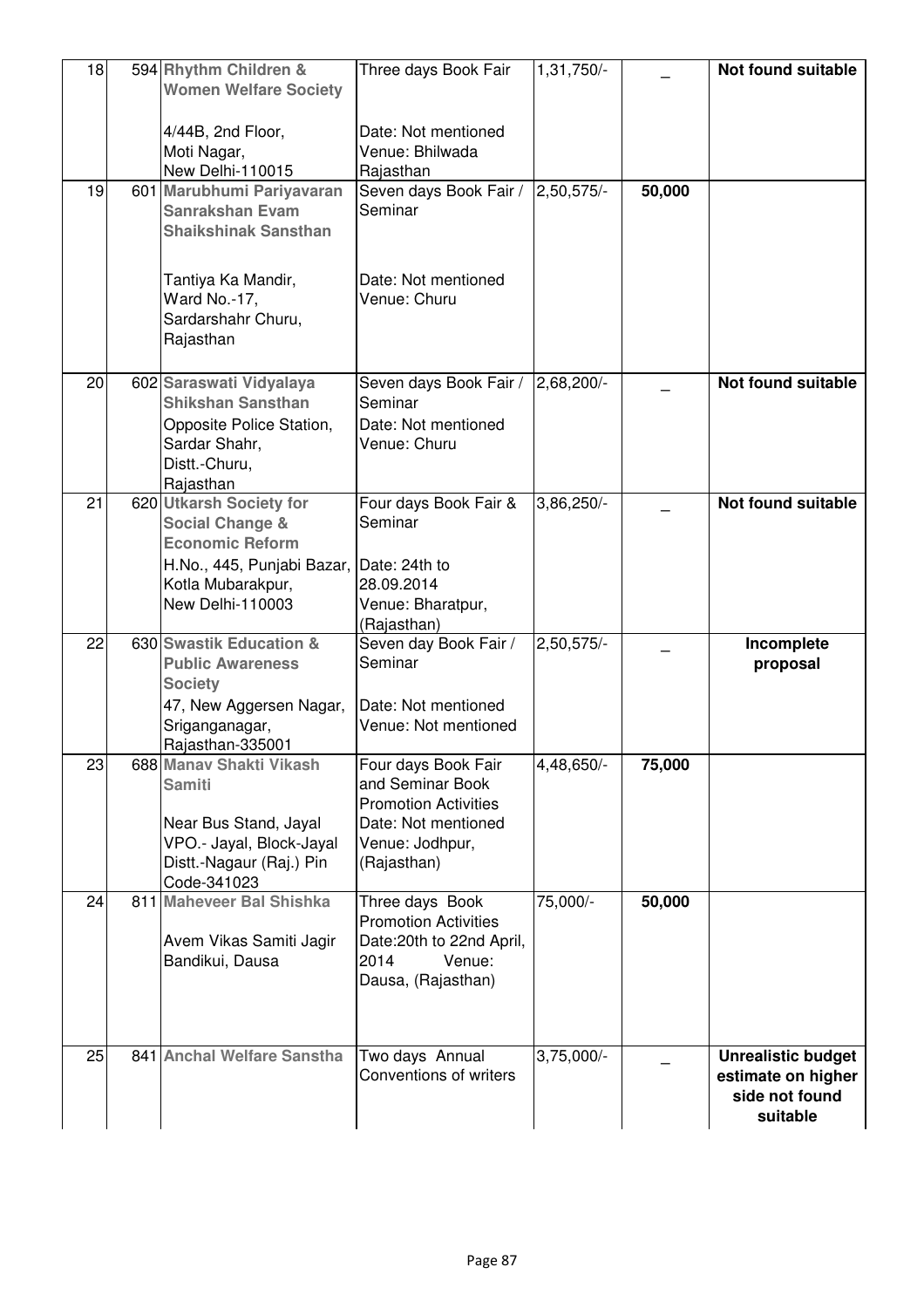| 18 | 594 Rhythm Children &<br><b>Women Welfare Society</b>                                                                                    | Three days Book Fair                                                                                                            | 1,31,750/-   |        | <b>Not found suitable</b>                                                     |
|----|------------------------------------------------------------------------------------------------------------------------------------------|---------------------------------------------------------------------------------------------------------------------------------|--------------|--------|-------------------------------------------------------------------------------|
|    | 4/44B, 2nd Floor,<br>Moti Nagar,<br>New Delhi-110015                                                                                     | Date: Not mentioned<br>Venue: Bhilwada<br>Rajasthan                                                                             |              |        |                                                                               |
| 19 | 601 Marubhumi Pariyavaran<br><b>Sanrakshan Evam</b><br><b>Shaikshinak Sansthan</b>                                                       | Seven days Book Fair /<br>Seminar                                                                                               | 2,50,575/-   | 50,000 |                                                                               |
|    | Tantiya Ka Mandir,<br>Ward No.-17,<br>Sardarshahr Churu,<br>Rajasthan                                                                    | Date: Not mentioned<br>Venue: Churu                                                                                             |              |        |                                                                               |
| 20 | 602 Saraswati Vidyalaya<br><b>Shikshan Sansthan</b><br>Opposite Police Station,<br>Sardar Shahr,<br>Distt.-Churu,<br>Rajasthan           | Seven days Book Fair /<br>Seminar<br>Date: Not mentioned<br>Venue: Churu                                                        | 2,68,200/-   |        | <b>Not found suitable</b>                                                     |
| 21 | 620 Utkarsh Society for<br><b>Social Change &amp;</b><br><b>Economic Reform</b><br>H.No., 445, Punjabi Bazar, Date: 24th to              | Four days Book Fair &<br>Seminar                                                                                                | 3,86,250/-   |        | <b>Not found suitable</b>                                                     |
|    | Kotla Mubarakpur,<br>New Delhi-110003                                                                                                    | 28.09.2014<br>Venue: Bharatpur,<br>(Rajasthan)                                                                                  |              |        |                                                                               |
| 22 | 630 Swastik Education &<br><b>Public Awareness</b><br><b>Society</b>                                                                     | Seven day Book Fair /<br>Seminar                                                                                                | 2,50,575/-   |        | Incomplete<br>proposal                                                        |
|    | 47, New Aggersen Nagar,<br>Sriganganagar,<br>Rajasthan-335001                                                                            | Date: Not mentioned<br>Venue: Not mentioned                                                                                     |              |        |                                                                               |
| 23 | 688 Manav Shakti Vikash<br><b>Samiti</b><br>Near Bus Stand, Jayal<br>VPO.- Jayal, Block-Jayal<br>Distt.-Nagaur (Raj.) Pin<br>Code-341023 | Four days Book Fair<br>and Seminar Book<br><b>Promotion Activities</b><br>Date: Not mentioned<br>Venue: Jodhpur,<br>(Rajasthan) | 4,48,650/-   | 75,000 |                                                                               |
| 24 | 811 Maheveer Bal Shishka<br>Avem Vikas Samiti Jagir<br>Bandikui, Dausa                                                                   | Three days Book<br><b>Promotion Activities</b><br>Date: 20th to 22nd April,<br>2014<br>Venue:<br>Dausa, (Rajasthan)             | 75,000/-     | 50,000 |                                                                               |
| 25 | 841 Anchal Welfare Sanstha                                                                                                               | Two days Annual<br>Conventions of writers                                                                                       | $3,75,000/-$ |        | <b>Unrealistic budget</b><br>estimate on higher<br>side not found<br>suitable |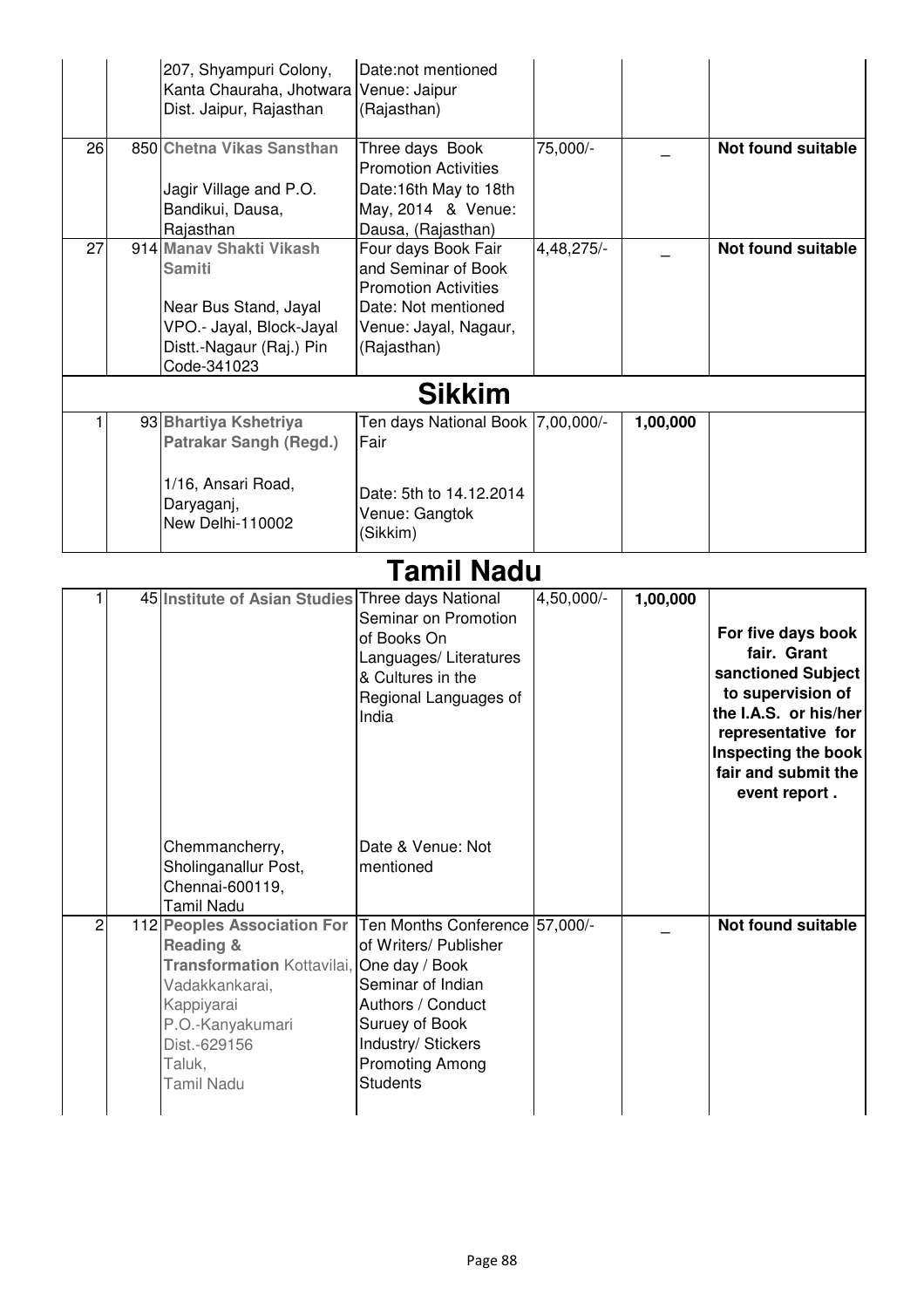|    |            | 207, Shyampuri Colony,<br>Kanta Chauraha, Jhotwara Venue: Jaipur<br>Dist. Jaipur, Rajasthan                                        | Date:not mentioned<br>(Rajasthan)                                                                                                        |            |          |                           |  |  |
|----|------------|------------------------------------------------------------------------------------------------------------------------------------|------------------------------------------------------------------------------------------------------------------------------------------|------------|----------|---------------------------|--|--|
| 26 |            | 850 Chetna Vikas Sansthan<br>Jagir Village and P.O.<br>Bandikui, Dausa,<br>Rajasthan                                               | Three days Book<br><b>Promotion Activities</b><br>Date:16th May to 18th<br>May, 2014 & Venue:<br>Dausa, (Rajasthan)                      | 75,000/-   |          | Not found suitable        |  |  |
| 27 |            | 914 Manay Shakti Vikash<br>Samiti<br>Near Bus Stand, Jayal<br>VPO .- Jayal, Block-Jayal<br>Distt.-Nagaur (Raj.) Pin<br>Code-341023 | Four days Book Fair<br>and Seminar of Book<br><b>Promotion Activities</b><br>Date: Not mentioned<br>Venue: Jayal, Nagaur,<br>(Rajasthan) | 4,48,275/- |          | <b>Not found suitable</b> |  |  |
|    |            |                                                                                                                                    | <b>Sikkim</b>                                                                                                                            |            |          |                           |  |  |
|    |            | 93 Bhartiya Kshetriya<br><b>Patrakar Sangh (Regd.)</b><br>1/16, Ansari Road,<br>Daryaganj,<br>New Delhi-110002                     | Ten days National Book 7,00,000/-<br>Fair<br>Date: 5th to 14.12.2014<br>Venue: Gangtok<br>(Sikkim)                                       |            | 1,00,000 |                           |  |  |
|    | Tamil Nadu |                                                                                                                                    |                                                                                                                                          |            |          |                           |  |  |

## **Tamil Nadu**

|                | 45 Institute of Asian Studies Three days National                                                                                                                                                                                  | Seminar on Promotion<br>of Books On<br>Languages/ Literatures<br>& Cultures in the<br>Regional Languages of<br>India                                 | 4,50,000/- | 1,00,000 | For five days book<br>fair. Grant<br>sanctioned Subject<br>to supervision of<br>the I.A.S. or his/her<br>representative for<br>Inspecting the book<br>fair and submit the<br>event report. |
|----------------|------------------------------------------------------------------------------------------------------------------------------------------------------------------------------------------------------------------------------------|------------------------------------------------------------------------------------------------------------------------------------------------------|------------|----------|--------------------------------------------------------------------------------------------------------------------------------------------------------------------------------------------|
|                | Chemmancherry,                                                                                                                                                                                                                     | Date & Venue: Not                                                                                                                                    |            |          |                                                                                                                                                                                            |
|                | Sholinganallur Post,<br>Chennai-600119,<br><b>Tamil Nadu</b>                                                                                                                                                                       | mentioned                                                                                                                                            |            |          |                                                                                                                                                                                            |
| $\overline{c}$ | 112 Peoples Association For Ten Months Conference 57,000/-<br><b>Reading &amp;</b><br><b>Transformation Kottavilai, One day / Book</b><br>Vadakkankarai,<br>Kappiyarai<br>P.O.-Kanyakumari<br>Dist.-629156<br>Taluk,<br>Tamil Nadu | of Writers/ Publisher<br>Seminar of Indian<br>Authors / Conduct<br>Suruey of Book<br>Industry/ Stickers<br><b>Promoting Among</b><br><b>Students</b> |            |          | <b>Not found suitable</b>                                                                                                                                                                  |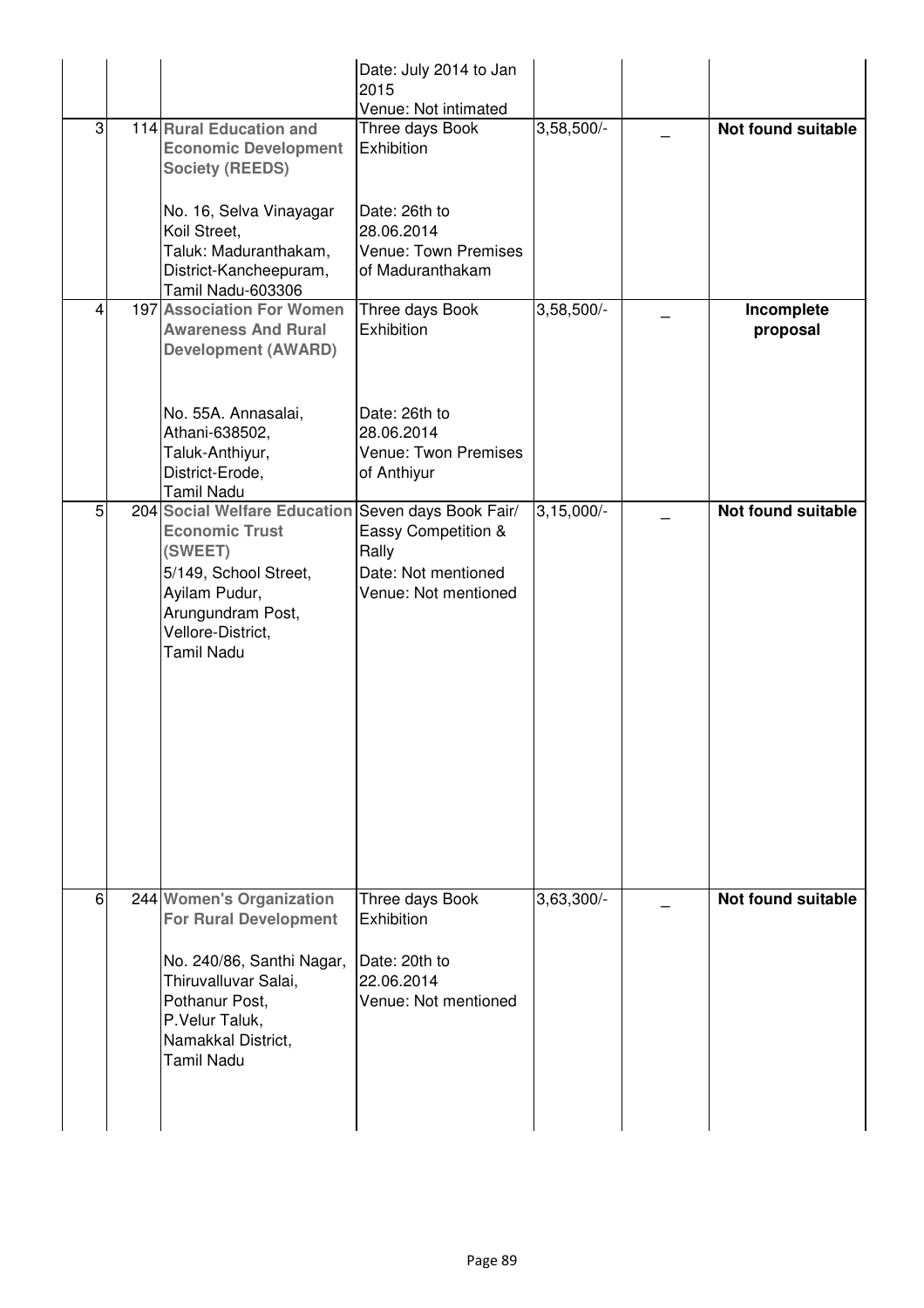| 3 | 114 Rural Education and<br><b>Economic Development</b><br><b>Society (REEDS)</b><br>No. 16, Selva Vinayagar<br>Koil Street,<br>Taluk: Maduranthakam,<br>District-Kancheepuram,<br>Tamil Nadu-603306 | Date: July 2014 to Jan<br>2015<br>Venue: Not intimated<br>Three days Book<br>Exhibition<br>Date: 26th to<br>28.06.2014<br><b>Venue: Town Premises</b><br>of Maduranthakam | $3,58,500/-$ | Not found suitable        |
|---|-----------------------------------------------------------------------------------------------------------------------------------------------------------------------------------------------------|---------------------------------------------------------------------------------------------------------------------------------------------------------------------------|--------------|---------------------------|
| 4 | 197 Association For Women<br><b>Awareness And Rural</b><br><b>Development (AWARD)</b><br>No. 55A. Annasalai,<br>Athani-638502,<br>Taluk-Anthiyur,<br>District-Erode,<br>Tamil Nadu                  | Three days Book<br>Exhibition<br>Date: 26th to<br>28.06.2014<br>Venue: Twon Premises<br>of Anthiyur                                                                       | $3,58,500/-$ | Incomplete<br>proposal    |
| 5 | 204 Social Welfare Education Seven days Book Fair/<br><b>Economic Trust</b><br>(SWEET)<br>5/149, School Street,<br>Ayilam Pudur,<br>Arungundram Post,<br>Vellore-District,<br>Tamil Nadu            | Eassy Competition &<br>Rally<br>Date: Not mentioned<br>Venue: Not mentioned                                                                                               | $3,15,000/-$ | <b>Not found suitable</b> |
| 6 | 244 Women's Organization<br><b>For Rural Development</b><br>No. 240/86, Santhi Nagar,<br>Thiruvalluvar Salai,<br>Pothanur Post,<br>P.Velur Taluk,<br>Namakkal District,<br><b>Tamil Nadu</b>        | Three days Book<br>Exhibition<br>Date: 20th to<br>22.06.2014<br>Venue: Not mentioned                                                                                      | $3,63,300/-$ | <b>Not found suitable</b> |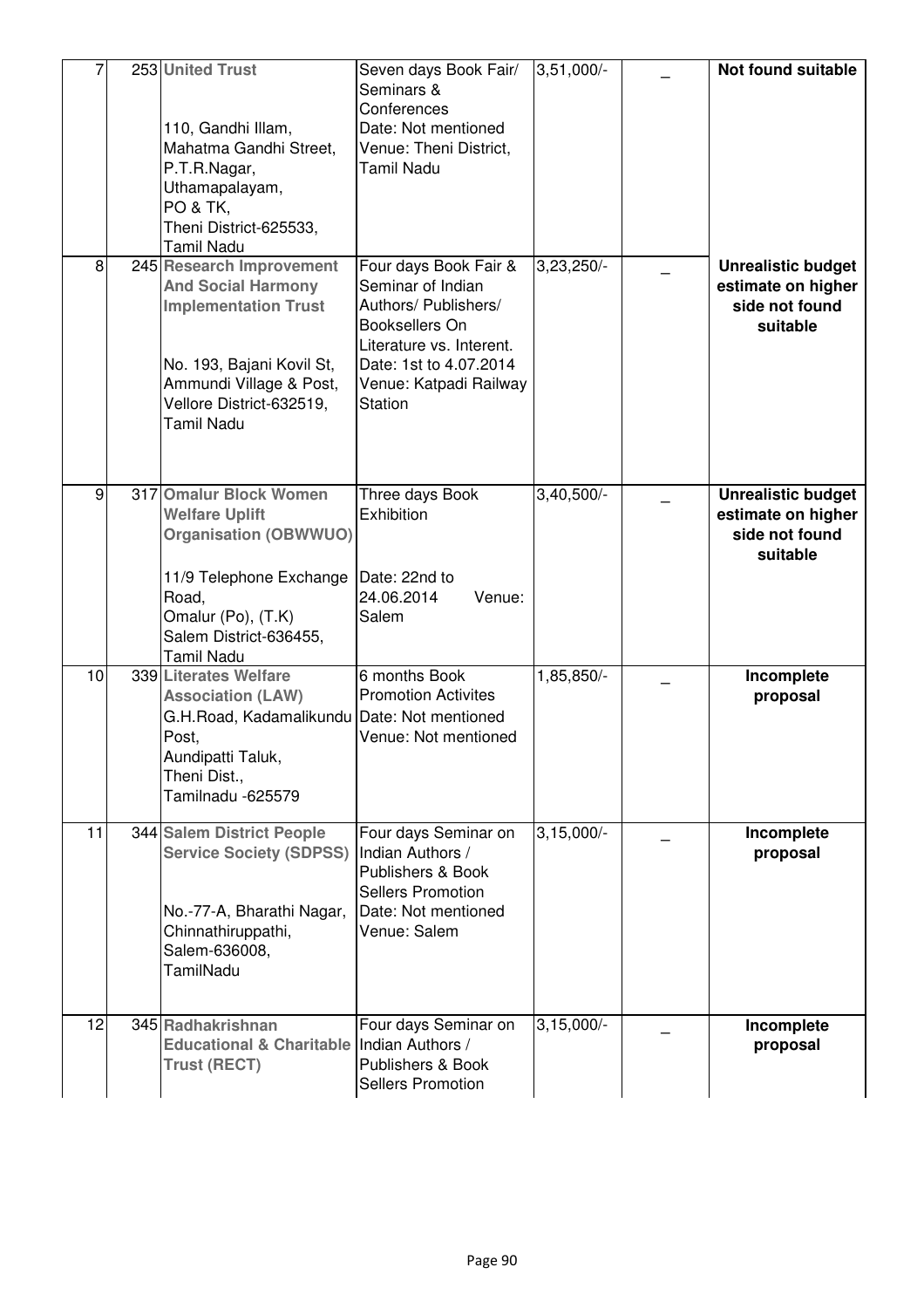|    | 253 United Trust<br>110, Gandhi Illam,<br>Mahatma Gandhi Street,<br>P.T.R.Nagar,<br>Uthamapalayam,<br>PO & TK,<br>Theni District-625533,<br>Tamil Nadu                                        | Seven days Book Fair/<br>Seminars &<br>Conferences<br>Date: Not mentioned<br>Venue: Theni District,<br><b>Tamil Nadu</b>                                                               | $3,51,000/-$ | <b>Not found suitable</b>                                                     |
|----|-----------------------------------------------------------------------------------------------------------------------------------------------------------------------------------------------|----------------------------------------------------------------------------------------------------------------------------------------------------------------------------------------|--------------|-------------------------------------------------------------------------------|
| 8  | 245 Research Improvement<br><b>And Social Harmony</b><br><b>Implementation Trust</b><br>No. 193, Bajani Kovil St,<br>Ammundi Village & Post,<br>Vellore District-632519,<br><b>Tamil Nadu</b> | Four days Book Fair &<br>Seminar of Indian<br>Authors/ Publishers/<br>Booksellers On<br>Literature vs. Interent.<br>Date: 1st to 4.07.2014<br>Venue: Katpadi Railway<br><b>Station</b> | $3,23,250/-$ | <b>Unrealistic budget</b><br>estimate on higher<br>side not found<br>suitable |
| 9  | 317 Omalur Block Women<br><b>Welfare Uplift</b><br><b>Organisation (OBWWUO)</b><br>11/9 Telephone Exchange<br>Road,<br>Omalur (Po), (T.K)<br>Salem District-636455,<br>Tamil Nadu             | Three days Book<br>Exhibition<br>Date: 22nd to<br>24.06.2014<br>Venue:<br>Salem                                                                                                        | $3,40,500/-$ | <b>Unrealistic budget</b><br>estimate on higher<br>side not found<br>suitable |
| 10 | 339 Literates Welfare<br><b>Association (LAW)</b><br>G.H.Road, Kadamalikundu Date: Not mentioned<br>Post,<br>Aundipatti Taluk,<br>Theni Dist.,<br>Tamilnadu -625579                           | 6 months Book<br><b>Promotion Activites</b><br>Venue: Not mentioned                                                                                                                    | 1,85,850/-   | Incomplete<br>proposal                                                        |
| 11 | 344 Salem District People<br><b>Service Society (SDPSS)</b><br>No.-77-A, Bharathi Nagar,<br>Chinnathiruppathi,<br>Salem-636008,<br><b>TamilNadu</b>                                           | Four days Seminar on<br>Indian Authors /<br>Publishers & Book<br><b>Sellers Promotion</b><br>Date: Not mentioned<br>Venue: Salem                                                       | $3,15,000/-$ | Incomplete<br>proposal                                                        |
| 12 | 345 Radhakrishnan<br>Educational & Charitable Indian Authors /<br><b>Trust (RECT)</b>                                                                                                         | Four days Seminar on<br>Publishers & Book<br><b>Sellers Promotion</b>                                                                                                                  | $3,15,000/-$ | Incomplete<br>proposal                                                        |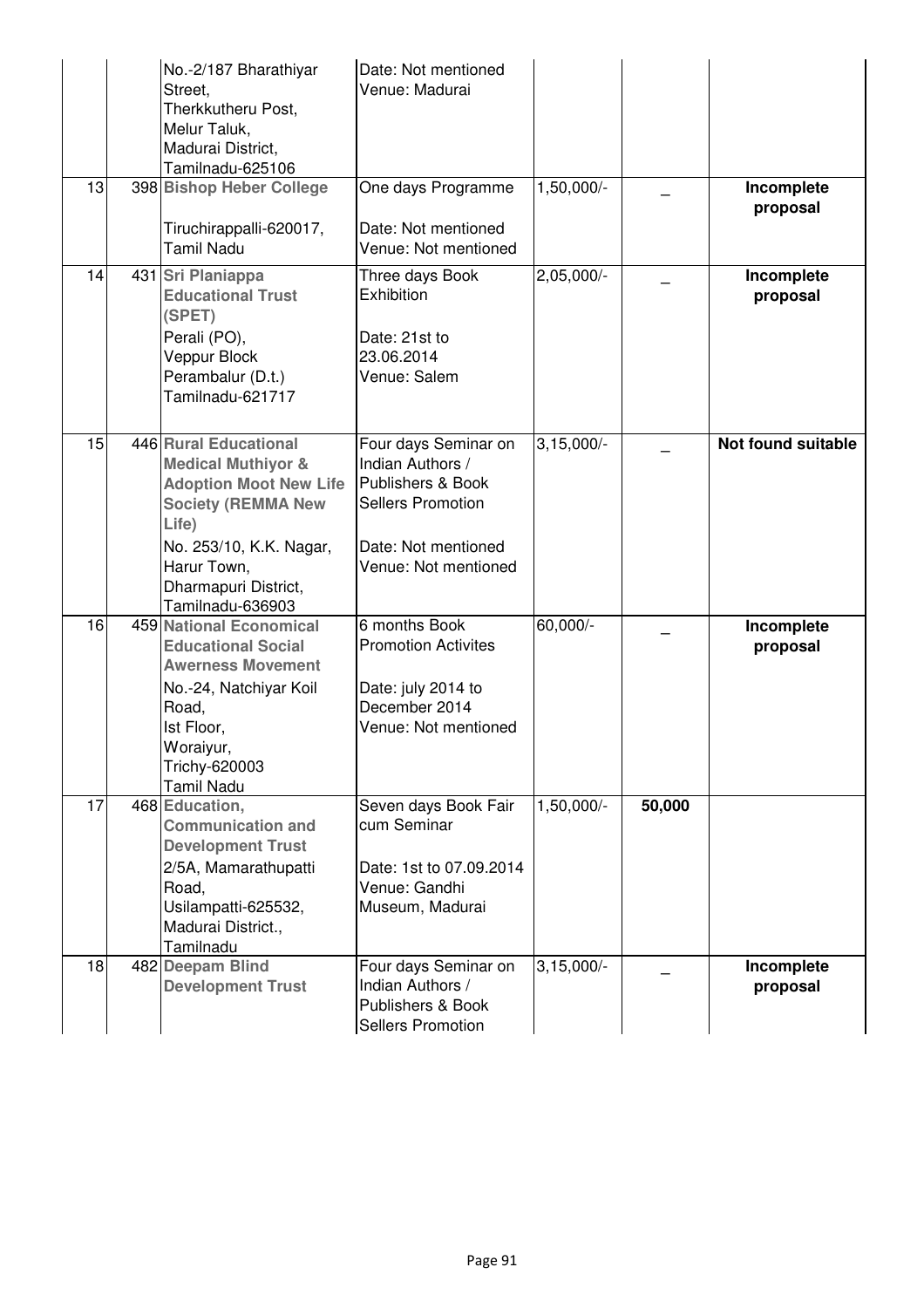|    | No.-2/187 Bharathiyar<br>Street,<br>Therkkutheru Post,<br>Melur Taluk,                                                                                                                                              | Date: Not mentioned<br>Venue: Madurai                                                                                                    |              |        |                           |
|----|---------------------------------------------------------------------------------------------------------------------------------------------------------------------------------------------------------------------|------------------------------------------------------------------------------------------------------------------------------------------|--------------|--------|---------------------------|
|    | Madurai District,<br>Tamilnadu-625106                                                                                                                                                                               |                                                                                                                                          |              |        |                           |
| 13 | 398 Bishop Heber College<br>Tiruchirappalli-620017,                                                                                                                                                                 | One days Programme<br>Date: Not mentioned                                                                                                | 1,50,000/-   |        | Incomplete<br>proposal    |
|    | <b>Tamil Nadu</b>                                                                                                                                                                                                   | Venue: Not mentioned                                                                                                                     |              |        |                           |
| 14 | 431 Sri Planiappa<br><b>Educational Trust</b><br>(SPET)<br>Perali (PO),<br>Veppur Block<br>Perambalur (D.t.)<br>Tamilnadu-621717                                                                                    | Three days Book<br>Exhibition<br>Date: 21st to<br>23.06.2014<br>Venue: Salem                                                             | $2,05,000/-$ |        | Incomplete<br>proposal    |
| 15 | 446 Rural Educational<br><b>Medical Muthiyor &amp;</b><br><b>Adoption Moot New Life</b><br><b>Society (REMMA New</b><br>Life)<br>No. 253/10, K.K. Nagar,<br>Harur Town,<br>Dharmapuri District,<br>Tamilnadu-636903 | Four days Seminar on<br>Indian Authors /<br>Publishers & Book<br><b>Sellers Promotion</b><br>Date: Not mentioned<br>Venue: Not mentioned | $3,15,000/-$ |        | <b>Not found suitable</b> |
| 16 | <b>459 National Economical</b><br><b>Educational Social</b><br><b>Awerness Movement</b><br>No.-24, Natchiyar Koil<br>Road,<br>Ist Floor,<br>Woraiyur,<br>Trichy-620003<br>Tamil Nadu                                | 6 months Book<br><b>Promotion Activites</b><br>Date: july 2014 to<br>December 2014<br>Venue: Not mentioned                               | 60,000/-     |        | Incomplete<br>proposal    |
| 17 | 468 Education,<br><b>Communication and</b><br><b>Development Trust</b><br>2/5A, Mamarathupatti<br>Road,<br>Usilampatti-625532,<br>Madurai District.,<br>Tamilnadu                                                   | Seven days Book Fair<br>cum Seminar<br>Date: 1st to 07.09.2014<br>Venue: Gandhi<br>Museum, Madurai                                       | 1,50,000/-   | 50,000 |                           |
| 18 | 482 Deepam Blind<br><b>Development Trust</b>                                                                                                                                                                        | Four days Seminar on<br>Indian Authors /<br>Publishers & Book<br><b>Sellers Promotion</b>                                                | $3,15,000/-$ |        | Incomplete<br>proposal    |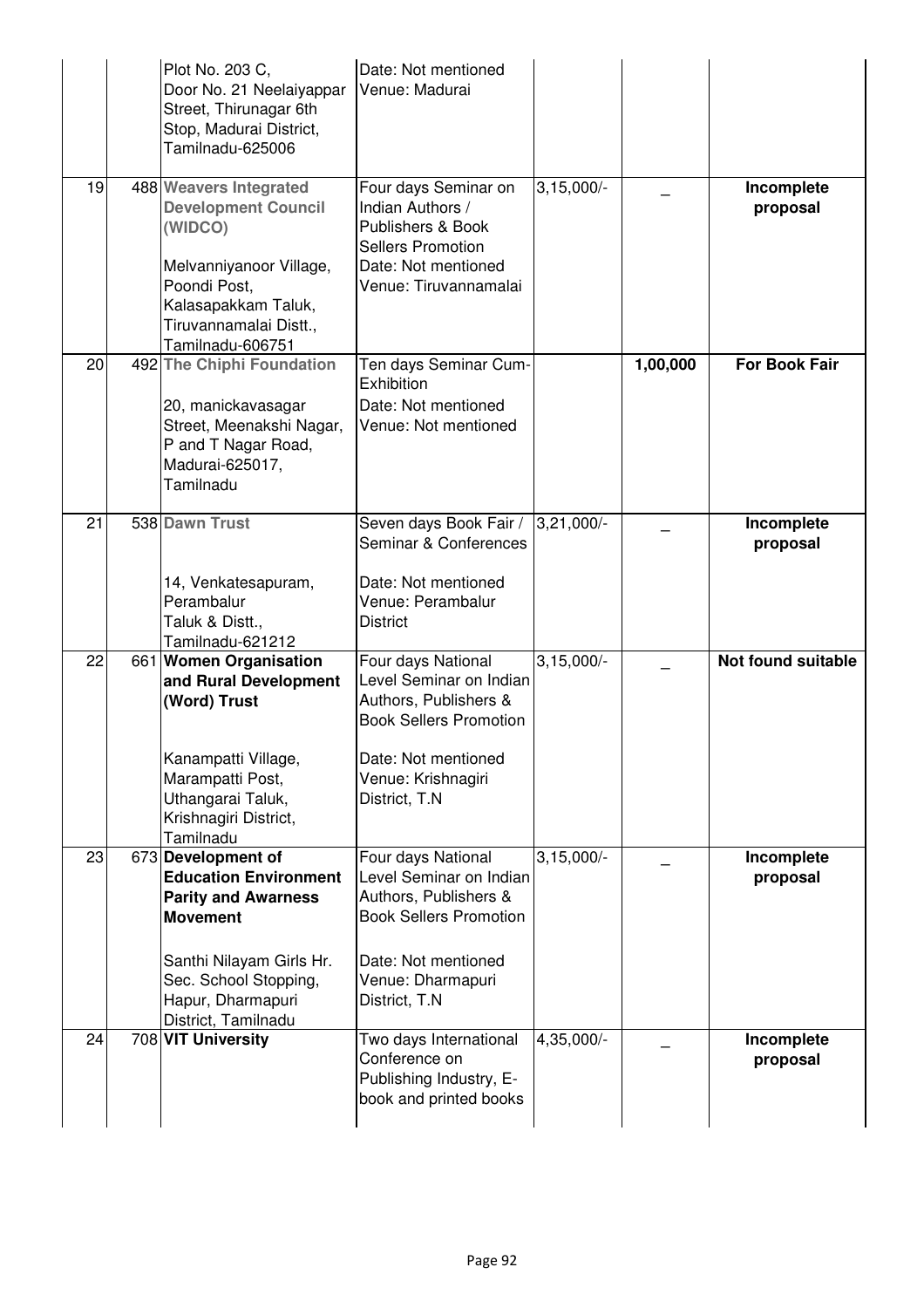|    | Plot No. 203 C,<br>Door No. 21 Neelaiyappar<br>Street, Thirunagar 6th<br>Stop, Madurai District,<br>Tamilnadu-625006                                                                                 | Date: Not mentioned<br>Venue: Madurai                                                                                                                                  |                         |          |                           |
|----|------------------------------------------------------------------------------------------------------------------------------------------------------------------------------------------------------|------------------------------------------------------------------------------------------------------------------------------------------------------------------------|-------------------------|----------|---------------------------|
| 19 | 488 Weavers Integrated<br><b>Development Council</b><br>(WIDCO)<br>Melvanniyanoor Village,<br>Poondi Post,<br>Kalasapakkam Taluk,<br>Tiruvannamalai Distt.,<br>Tamilnadu-606751                      | Four days Seminar on<br>Indian Authors /<br>Publishers & Book<br><b>Sellers Promotion</b><br>Date: Not mentioned<br>Venue: Tiruvannamalai                              | $3,15,000/-$            |          | Incomplete<br>proposal    |
| 20 | 492 The Chiphi Foundation<br>20, manickavasagar<br>Street, Meenakshi Nagar,<br>P and T Nagar Road,<br>Madurai-625017,<br>Tamilnadu                                                                   | Ten days Seminar Cum-<br>Exhibition<br>Date: Not mentioned<br>Venue: Not mentioned                                                                                     |                         | 1,00,000 | <b>For Book Fair</b>      |
| 21 | 538 Dawn Trust<br>14, Venkatesapuram,<br>Perambalur<br>Taluk & Distt.,<br>Tamilnadu-621212                                                                                                           | Seven days Book Fair /<br>Seminar & Conferences<br>Date: Not mentioned<br>Venue: Perambalur<br><b>District</b>                                                         | $3,21,000/-$            |          | Incomplete<br>proposal    |
| 22 | 661 Women Organisation<br>and Rural Development<br>(Word) Trust<br>Kanampatti Village,<br>Marampatti Post,<br>Uthangarai Taluk,<br>Krishnagiri District,<br>Tamilnadu                                | Four days National<br>Level Seminar on Indian<br>Authors, Publishers &<br><b>Book Sellers Promotion</b><br>Date: Not mentioned<br>Venue: Krishnagiri<br>District, T.N. | $3,15,000/-$            |          | <b>Not found suitable</b> |
| 23 | 673 Development of<br><b>Education Environment</b><br><b>Parity and Awarness</b><br><b>Movement</b><br>Santhi Nilayam Girls Hr.<br>Sec. School Stopping,<br>Hapur, Dharmapuri<br>District, Tamilnadu | Four days National<br>Level Seminar on Indian<br>Authors, Publishers &<br><b>Book Sellers Promotion</b><br>Date: Not mentioned<br>Venue: Dharmapuri<br>District, T.N   | $3,15,000$ <sup>-</sup> |          | Incomplete<br>proposal    |
| 24 | 708 VIT University                                                                                                                                                                                   | Two days International<br>Conference on<br>Publishing Industry, E-<br>book and printed books                                                                           | 4,35,000/-              |          | Incomplete<br>proposal    |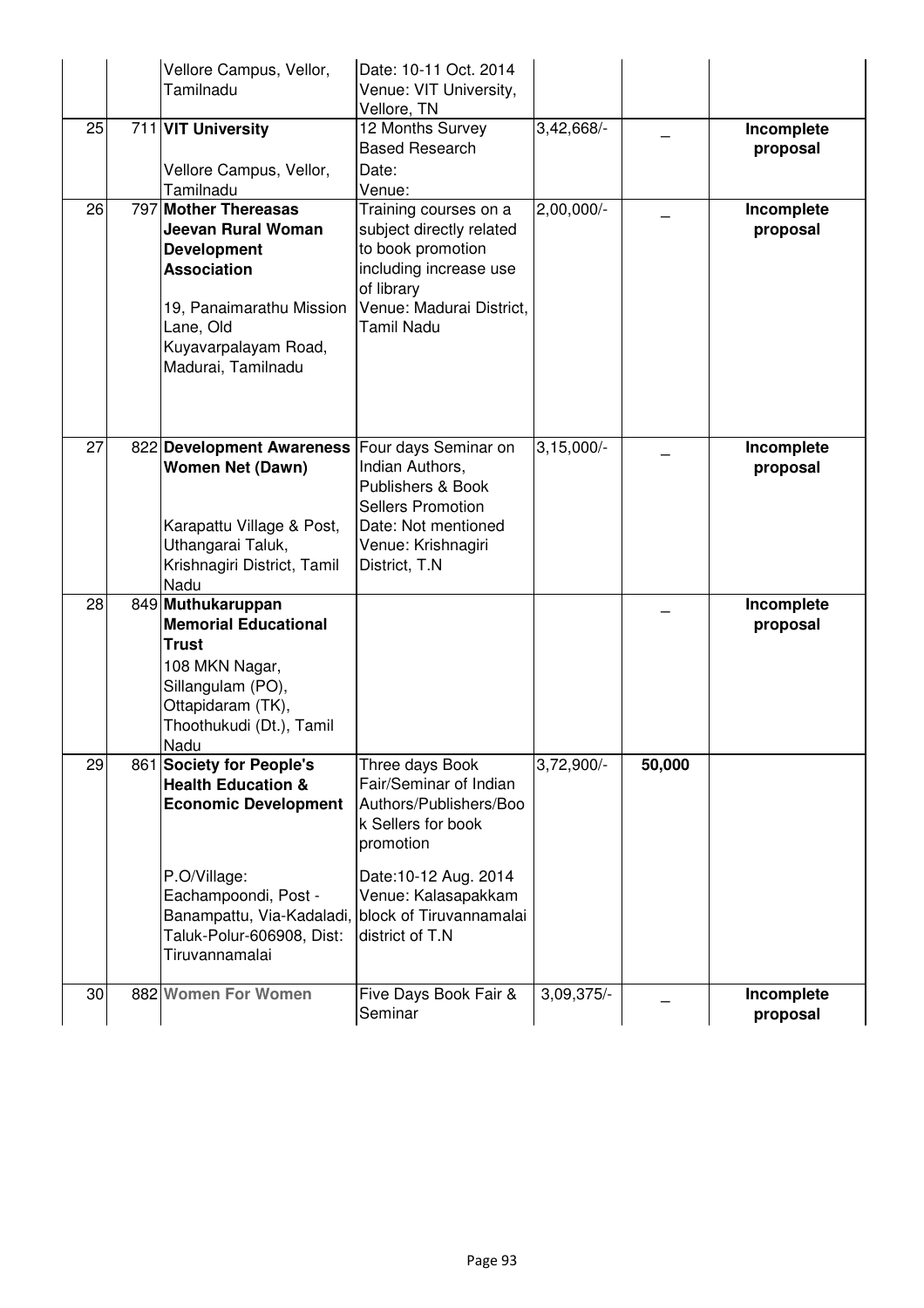|    | Vellore Campus, Vellor,                           | Date: 10-11 Oct. 2014                          |              |        |                        |
|----|---------------------------------------------------|------------------------------------------------|--------------|--------|------------------------|
|    | Tamilnadu                                         | Venue: VIT University,                         |              |        |                        |
| 25 | 711 VIT University                                | Vellore, TN<br>12 Months Survey                | $3,42,668/-$ |        | Incomplete             |
|    |                                                   | <b>Based Research</b>                          |              |        | proposal               |
|    | Vellore Campus, Vellor,                           | Date:                                          |              |        |                        |
|    | Tamilnadu                                         | Venue:                                         |              |        |                        |
| 26 | 797 Mother Thereasas                              | Training courses on a                          | 2,00,000/-   |        | Incomplete             |
|    | Jeevan Rural Woman<br><b>Development</b>          | subject directly related<br>to book promotion  |              |        | proposal               |
|    | <b>Association</b>                                | including increase use                         |              |        |                        |
|    |                                                   | of library                                     |              |        |                        |
|    | 19, Panaimarathu Mission                          | Venue: Madurai District,                       |              |        |                        |
|    | Lane, Old                                         | <b>Tamil Nadu</b>                              |              |        |                        |
|    | Kuyavarpalayam Road,<br>Madurai, Tamilnadu        |                                                |              |        |                        |
|    |                                                   |                                                |              |        |                        |
|    |                                                   |                                                |              |        |                        |
|    |                                                   |                                                |              |        |                        |
| 27 | 822 Development Awareness                         | Four days Seminar on                           | $3,15,000/-$ |        | Incomplete             |
|    | <b>Women Net (Dawn)</b>                           | Indian Authors,<br>Publishers & Book           |              |        | proposal               |
|    |                                                   | <b>Sellers Promotion</b>                       |              |        |                        |
|    | Karapattu Village & Post,                         | Date: Not mentioned                            |              |        |                        |
|    | Uthangarai Taluk,                                 | Venue: Krishnagiri                             |              |        |                        |
|    | Krishnagiri District, Tamil<br>Nadu               | District, T.N                                  |              |        |                        |
| 28 | 849 Muthukaruppan                                 |                                                |              |        | Incomplete             |
|    | <b>Memorial Educational</b>                       |                                                |              |        | proposal               |
|    | Trust                                             |                                                |              |        |                        |
|    | 108 MKN Nagar,                                    |                                                |              |        |                        |
|    | Sillangulam (PO),                                 |                                                |              |        |                        |
|    | Ottapidaram (TK),<br>Thoothukudi (Dt.), Tamil     |                                                |              |        |                        |
|    | Nadu                                              |                                                |              |        |                        |
| 29 | 861 Society for People's                          | Three days Book                                | $3,72,900/-$ | 50,000 |                        |
|    | <b>Health Education &amp;</b>                     | Fair/Seminar of Indian                         |              |        |                        |
|    | <b>Economic Development</b>                       | Authors/Publishers/Boo<br>k Sellers for book   |              |        |                        |
|    |                                                   | promotion                                      |              |        |                        |
|    |                                                   |                                                |              |        |                        |
|    | P.O/Village:                                      | Date: 10-12 Aug. 2014                          |              |        |                        |
|    | Eachampoondi, Post -<br>Banampattu, Via-Kadaladi, | Venue: Kalasapakkam<br>block of Tiruvannamalai |              |        |                        |
|    | Taluk-Polur-606908, Dist:                         | district of T.N                                |              |        |                        |
|    | Tiruvannamalai                                    |                                                |              |        |                        |
|    |                                                   |                                                |              |        |                        |
| 30 | 882 Women For Women                               | Five Days Book Fair &<br>Seminar               | $3,09,375/-$ |        | Incomplete<br>proposal |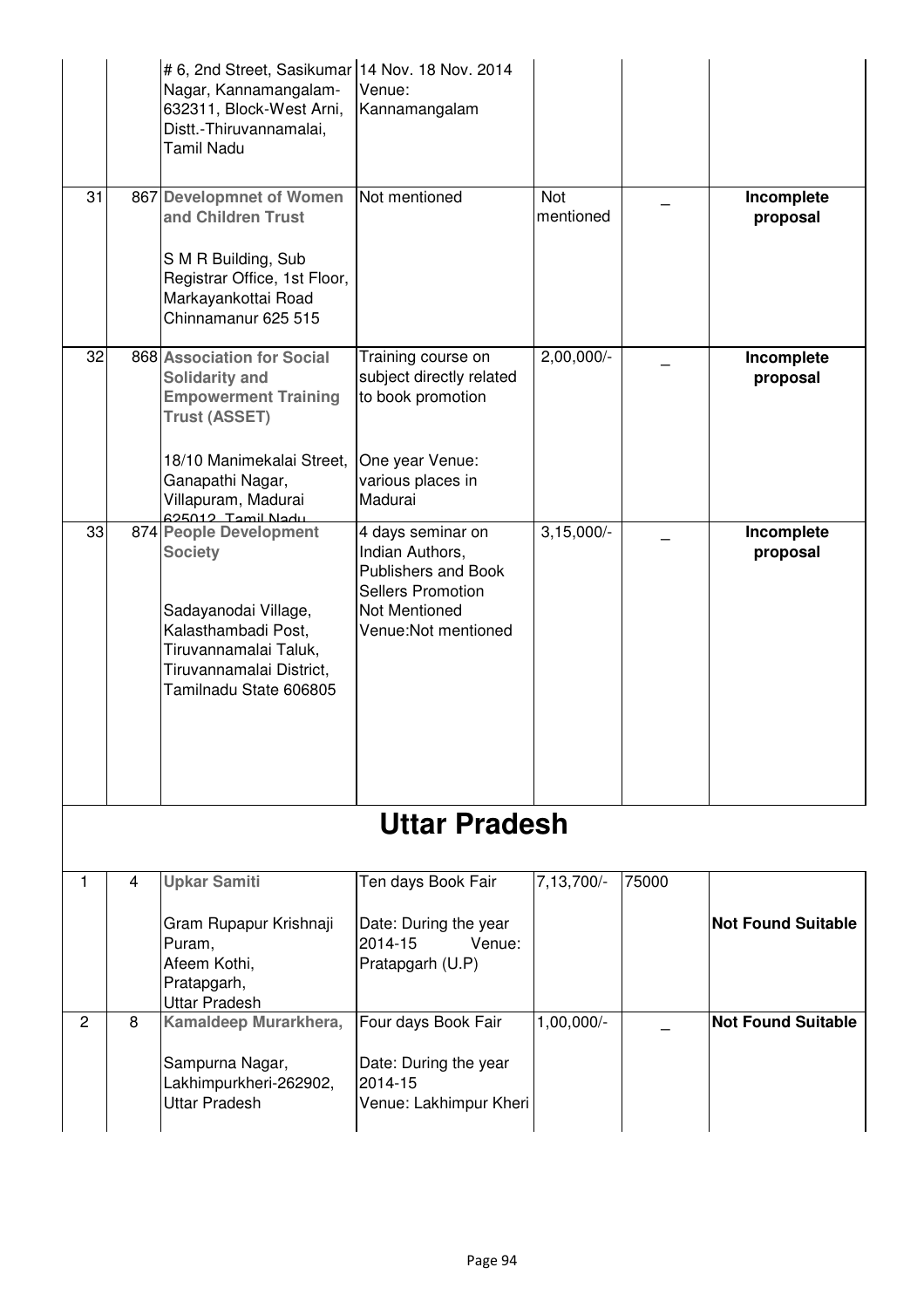|                |   | # 6, 2nd Street, Sasikumar   14 Nov. 18 Nov. 2014<br>Nagar, Kannamangalam-<br>632311, Block-West Arni,<br>Distt.-Thiruvannamalai,<br><b>Tamil Nadu</b>                                                   | Venue:<br>Kannamangalam                                                                                                                 |                  |       |                           |
|----------------|---|----------------------------------------------------------------------------------------------------------------------------------------------------------------------------------------------------------|-----------------------------------------------------------------------------------------------------------------------------------------|------------------|-------|---------------------------|
| 31             |   | 867 Developmnet of Women<br>and Children Trust<br>S M R Building, Sub<br>Registrar Office, 1st Floor,<br>Markayankottai Road<br>Chinnamanur 625 515                                                      | Not mentioned                                                                                                                           | Not<br>mentioned |       | Incomplete<br>proposal    |
| 32             |   | 868 Association for Social<br><b>Solidarity and</b><br><b>Empowerment Training</b><br><b>Trust (ASSET)</b><br>18/10 Manimekalai Street,<br>Ganapathi Nagar,<br>Villapuram, Madurai<br>ubell limeT_Ct0752 | Training course on<br>subject directly related<br>to book promotion<br>One year Venue:<br>various places in<br>Madurai                  | 2,00,000/-       |       | Incomplete<br>proposal    |
| 33             |   | 874 People Development<br><b>Society</b><br>Sadayanodai Village,<br>Kalasthambadi Post,<br>Tiruvannamalai Taluk,<br>Tiruvannamalai District,<br>Tamilnadu State 606805                                   | 4 days seminar on<br>Indian Authors,<br><b>Publishers and Book</b><br><b>Sellers Promotion</b><br>Not Mentioned<br>Venue: Not mentioned | $3,15,000/-$     |       | Incomplete<br>proposal    |
|                |   |                                                                                                                                                                                                          | Uttar Pradesh                                                                                                                           |                  |       |                           |
| 1              | 4 | <b>Upkar Samiti</b><br>Gram Rupapur Krishnaji<br>Puram,<br>Afeem Kothi,<br>Pratapgarh,<br><b>Uttar Pradesh</b>                                                                                           | Ten days Book Fair<br>Date: During the year<br>2014-15<br>Venue:<br>Pratapgarh (U.P)                                                    | 7,13,700/-       | 75000 | <b>Not Found Suitable</b> |
| $\overline{2}$ | 8 | Kamaldeep Murarkhera,<br>Sampurna Nagar,<br>Lakhimpurkheri-262902,<br><b>Uttar Pradesh</b>                                                                                                               | Four days Book Fair<br>Date: During the year<br>2014-15<br>Venue: Lakhimpur Kheri                                                       | 1,00,000/-       |       | <b>Not Found Suitable</b> |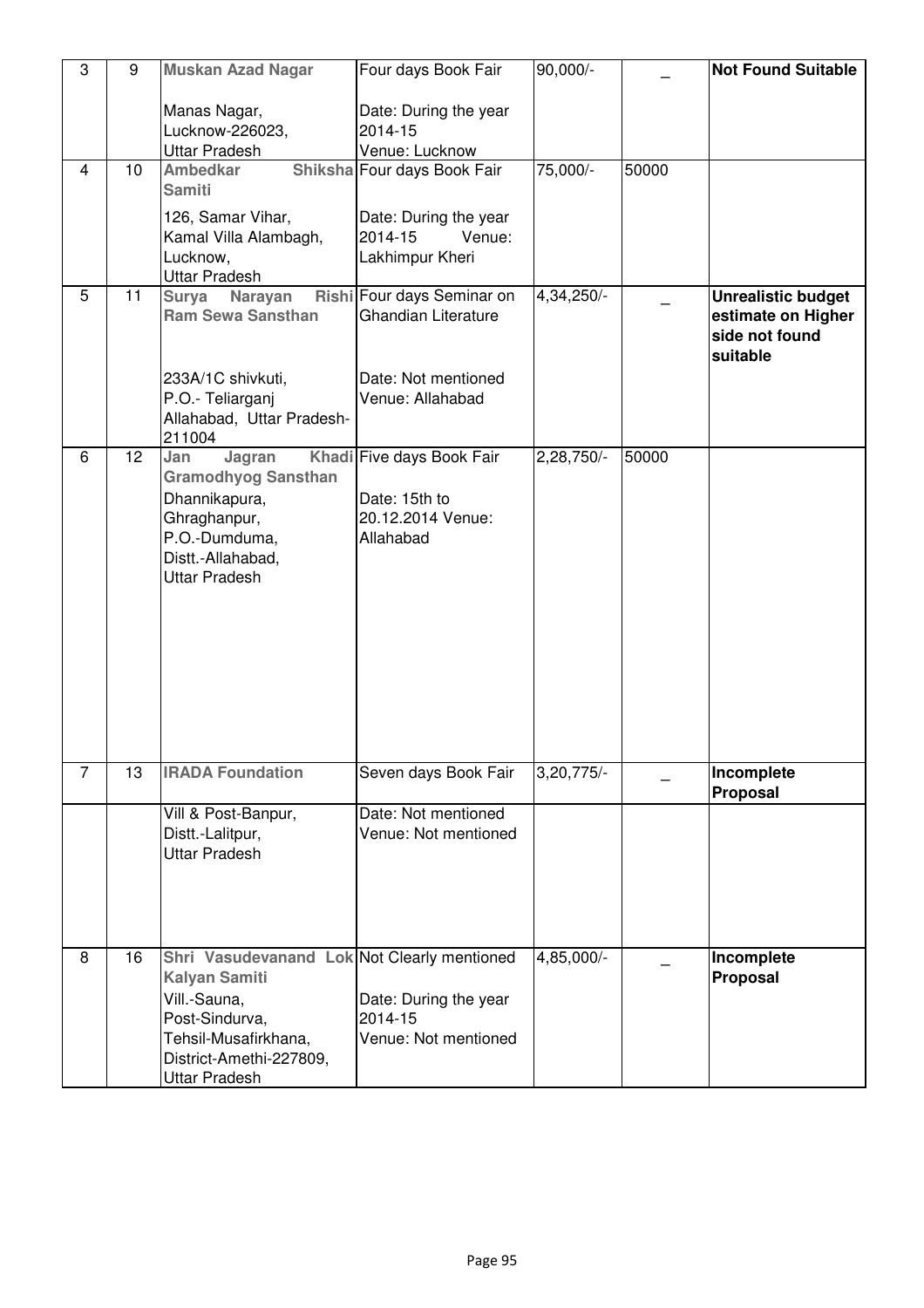| 3              | 9  | <b>Muskan Azad Nagar</b>                                                                                                                                                         | Four days Book Fair                                                          | 90,000/-   |       | <b>Not Found Suitable</b>                                                     |
|----------------|----|----------------------------------------------------------------------------------------------------------------------------------------------------------------------------------|------------------------------------------------------------------------------|------------|-------|-------------------------------------------------------------------------------|
|                |    | Manas Nagar,<br>Lucknow-226023,<br><b>Uttar Pradesh</b>                                                                                                                          | Date: During the year<br>2014-15<br>Venue: Lucknow                           |            |       |                                                                               |
| $\overline{4}$ | 10 | <b>Ambedkar</b><br><b>Samiti</b>                                                                                                                                                 | Shiksha Four days Book Fair                                                  | 75,000/-   | 50000 |                                                                               |
|                |    | 126, Samar Vihar,<br>Kamal Villa Alambagh,<br>Lucknow,<br><b>Uttar Pradesh</b>                                                                                                   | Date: During the year<br>2014-15<br>Venue:<br>Lakhimpur Kheri                |            |       |                                                                               |
| 5              | 11 | Surya Narayan<br><b>Ram Sewa Sansthan</b>                                                                                                                                        | Rishi Four days Seminar on<br><b>Ghandian Literature</b>                     | 4,34,250/- |       | <b>Unrealistic budget</b><br>estimate on Higher<br>side not found<br>suitable |
|                |    | 233A/1C shivkuti,<br>P.O.- Teliarganj<br>Allahabad, Uttar Pradesh-<br>211004                                                                                                     | Date: Not mentioned<br>Venue: Allahabad                                      |            |       |                                                                               |
| 6              | 12 | Jan<br>Jagran<br><b>Gramodhyog Sansthan</b><br>Dhannikapura,<br>Ghraghanpur,<br>P.O.-Dumduma,<br>Distt.-Allahabad,<br><b>Uttar Pradesh</b>                                       | Khadi Five days Book Fair<br>Date: 15th to<br>20.12.2014 Venue:<br>Allahabad | 2,28,750/- | 50000 |                                                                               |
| $\overline{7}$ | 13 | <b>IRADA Foundation</b>                                                                                                                                                          | Seven days Book Fair                                                         | 3,20,775/- |       | Incomplete<br>Proposal                                                        |
|                |    | Vill & Post-Banpur,<br>Distt.-Lalitpur,<br><b>Uttar Pradesh</b>                                                                                                                  | Date: Not mentioned<br>Venue: Not mentioned                                  |            |       |                                                                               |
| 8              | 16 | Shri Vasudevanand Lok Not Clearly mentioned<br><b>Kalyan Samiti</b><br>Vill.-Sauna,<br>Post-Sindurva,<br>Tehsil-Musafirkhana,<br>District-Amethi-227809,<br><b>Uttar Pradesh</b> | Date: During the year<br>2014-15<br>Venue: Not mentioned                     | 4,85,000/- |       | Incomplete<br>Proposal                                                        |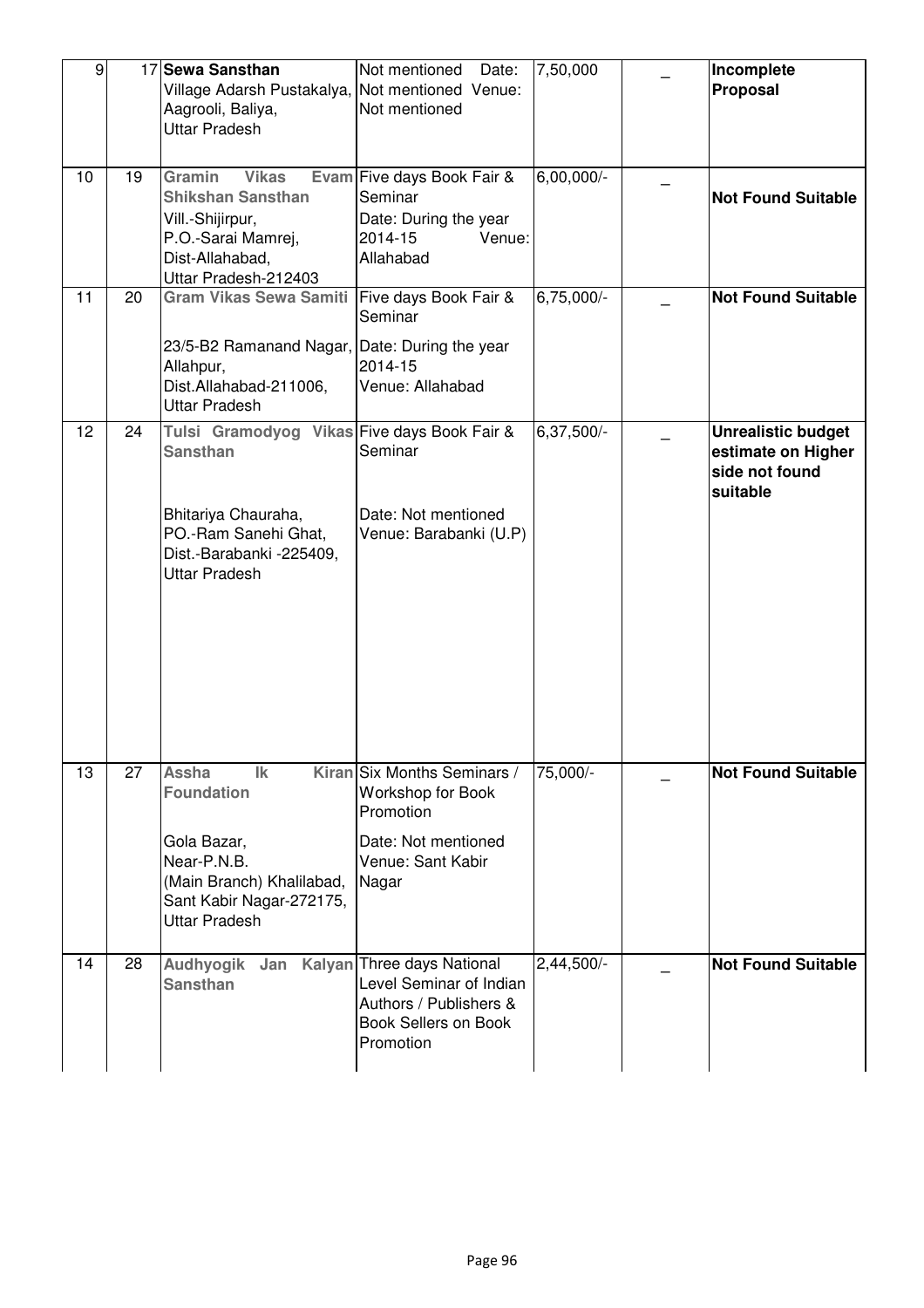| $\overline{9}$ |    | 17 Sewa Sansthan                                                                                                                                                  | Not mentioned<br>Date:                                                                                             | 7,50,000                | Incomplete                                                                    |
|----------------|----|-------------------------------------------------------------------------------------------------------------------------------------------------------------------|--------------------------------------------------------------------------------------------------------------------|-------------------------|-------------------------------------------------------------------------------|
|                |    | Village Adarsh Pustakalya, Not mentioned Venue:<br>Aagrooli, Baliya,<br><b>Uttar Pradesh</b>                                                                      | Not mentioned                                                                                                      |                         | Proposal                                                                      |
| 10             | 19 | Gramin<br><b>Vikas</b><br><b>Shikshan Sansthan</b><br>Vill.-Shijirpur,<br>P.O.-Sarai Mamrej,<br>Dist-Allahabad,<br>Uttar Pradesh-212403                           | Evam Five days Book Fair &<br>Seminar<br>Date: During the year<br>Venue:<br>2014-15<br>Allahabad                   | 6,00,000/-              | <b>Not Found Suitable</b>                                                     |
| 11             | 20 | <b>Gram Vikas Sewa Samiti</b><br>23/5-B2 Ramanand Nagar, Date: During the year<br>Allahpur,<br>Dist.Allahabad-211006,<br><b>Uttar Pradesh</b>                     | Five days Book Fair &<br>Seminar<br>2014-15<br>Venue: Allahabad                                                    | 6,75,000/-              | <b>Not Found Suitable</b>                                                     |
| 12             | 24 | Tulsi Gramodyog Vikas Five days Book Fair &<br><b>Sansthan</b><br>Bhitariya Chauraha,<br>PO.-Ram Sanehi Ghat,<br>Dist.-Barabanki -225409,<br><b>Uttar Pradesh</b> | Seminar<br>Date: Not mentioned<br>Venue: Barabanki (U.P)                                                           | 6,37,500/-              | <b>Unrealistic budget</b><br>estimate on Higher<br>side not found<br>suitable |
| 13             | 27 | Assha<br>$\mathsf{lk}$<br><b>Foundation</b><br>Gola Bazar,<br>Near-P.N.B.<br>(Main Branch) Khalilabad,<br>Sant Kabir Nagar-272175,<br><b>Uttar Pradesh</b>        | Kiran Six Months Seminars /<br>Workshop for Book<br>Promotion<br>Date: Not mentioned<br>Venue: Sant Kabir<br>Nagar | 75,000/-                | <b>Not Found Suitable</b>                                                     |
| 14             | 28 | Audhyogik Jan Kalyan Three days National<br><b>Sansthan</b>                                                                                                       | Level Seminar of Indian<br>Authors / Publishers &<br><b>Book Sellers on Book</b><br>Promotion                      | $2,44,500$ <sup>-</sup> | <b>Not Found Suitable</b>                                                     |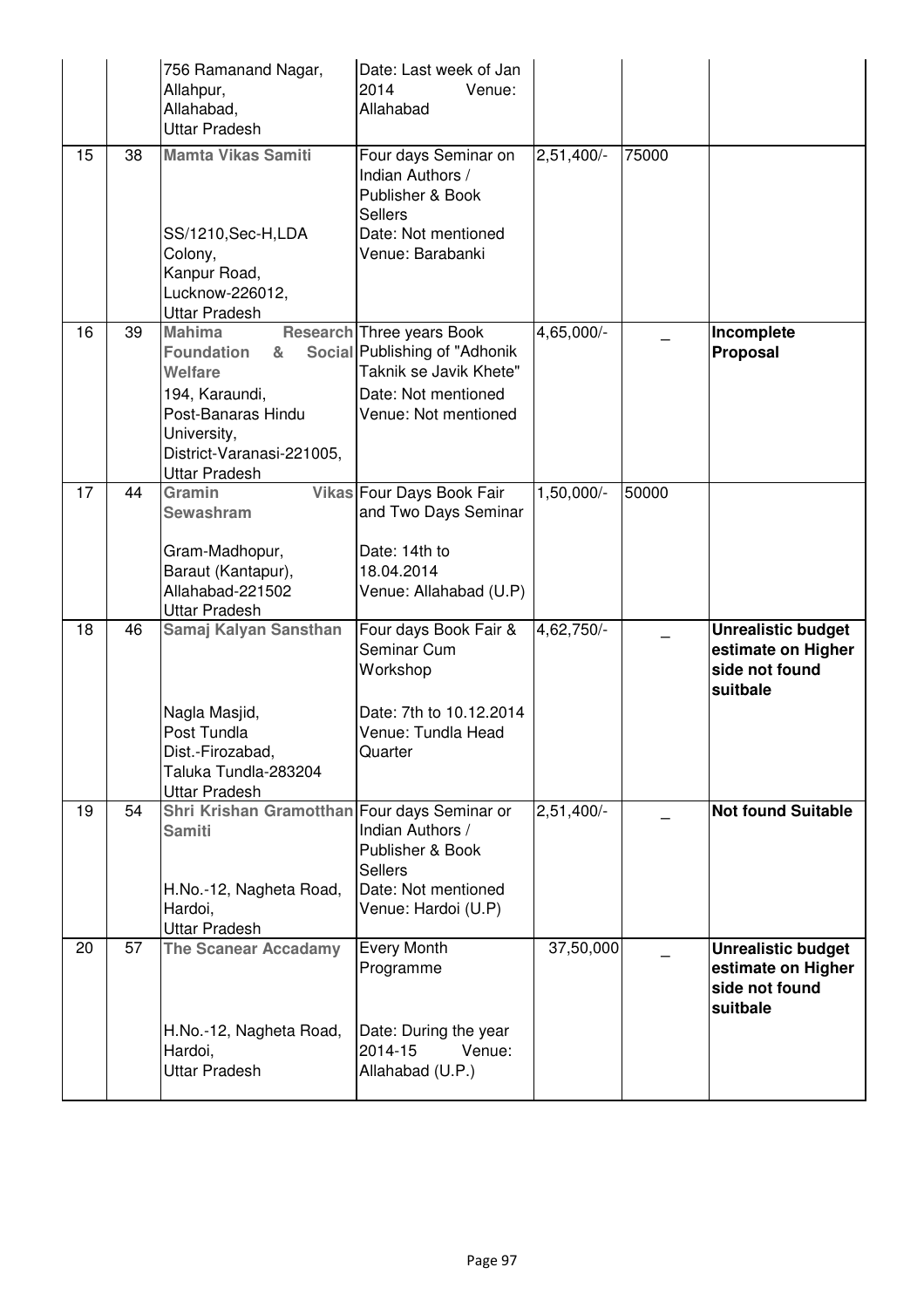|    |    | 756 Ramanand Nagar,<br>Allahpur,<br>Allahabad,<br><b>Uttar Pradesh</b>                                                                                                                        | Date: Last week of Jan<br>2014<br>Venue:<br>Allahabad                                                                                      |              |       |                                                                               |
|----|----|-----------------------------------------------------------------------------------------------------------------------------------------------------------------------------------------------|--------------------------------------------------------------------------------------------------------------------------------------------|--------------|-------|-------------------------------------------------------------------------------|
| 15 | 38 | <b>Mamta Vikas Samiti</b><br>SS/1210, Sec-H, LDA<br>Colony,<br>Kanpur Road,<br>Lucknow-226012,                                                                                                | Four days Seminar on<br>Indian Authors /<br>Publisher & Book<br><b>Sellers</b><br>Date: Not mentioned<br>Venue: Barabanki                  | $2,51,400/-$ | 75000 |                                                                               |
| 16 | 39 | <b>Uttar Pradesh</b><br><b>Mahima</b><br><b>Foundation</b><br>&<br><b>Welfare</b><br>194, Karaundi,<br>Post-Banaras Hindu<br>University,<br>District-Varanasi-221005,<br><b>Uttar Pradesh</b> | <b>Research Three years Book</b><br>Social Publishing of "Adhonik<br>Taknik se Javik Khete"<br>Date: Not mentioned<br>Venue: Not mentioned | 4,65,000/-   |       | Incomplete<br>Proposal                                                        |
| 17 | 44 | Gramin<br><b>Sewashram</b><br>Gram-Madhopur,<br>Baraut (Kantapur),<br>Allahabad-221502<br><b>Uttar Pradesh</b>                                                                                | Vikas Four Days Book Fair<br>and Two Days Seminar<br>Date: 14th to<br>18.04.2014<br>Venue: Allahabad (U.P)                                 | $1,50,000/-$ | 50000 |                                                                               |
| 18 | 46 | Samaj Kalyan Sansthan<br>Nagla Masjid,<br>Post Tundla<br>Dist.-Firozabad,<br>Taluka Tundla-283204<br><b>Uttar Pradesh</b>                                                                     | Four days Book Fair &<br>Seminar Cum<br>Workshop<br>Date: 7th to 10.12.2014<br>Venue: Tundla Head<br>Quarter                               | 4,62,750/-   |       | <b>Unrealistic budget</b><br>estimate on Higher<br>side not found<br>suitbale |
| 19 | 54 | Shri Krishan Gramotthan Four days Seminar or<br><b>Samiti</b><br>H.No.-12, Nagheta Road,<br>Hardoi,<br><b>Uttar Pradesh</b>                                                                   | Indian Authors /<br>Publisher & Book<br><b>Sellers</b><br>Date: Not mentioned<br>Venue: Hardoi (U.P)                                       | $2,51,400/-$ |       | <b>Not found Suitable</b>                                                     |
| 20 | 57 | <b>The Scanear Accadamy</b><br>H.No.-12, Nagheta Road,<br>Hardoi,<br><b>Uttar Pradesh</b>                                                                                                     | <b>Every Month</b><br>Programme<br>Date: During the year<br>2014-15<br>Venue:<br>Allahabad (U.P.)                                          | 37,50,000    |       | <b>Unrealistic budget</b><br>estimate on Higher<br>side not found<br>suitbale |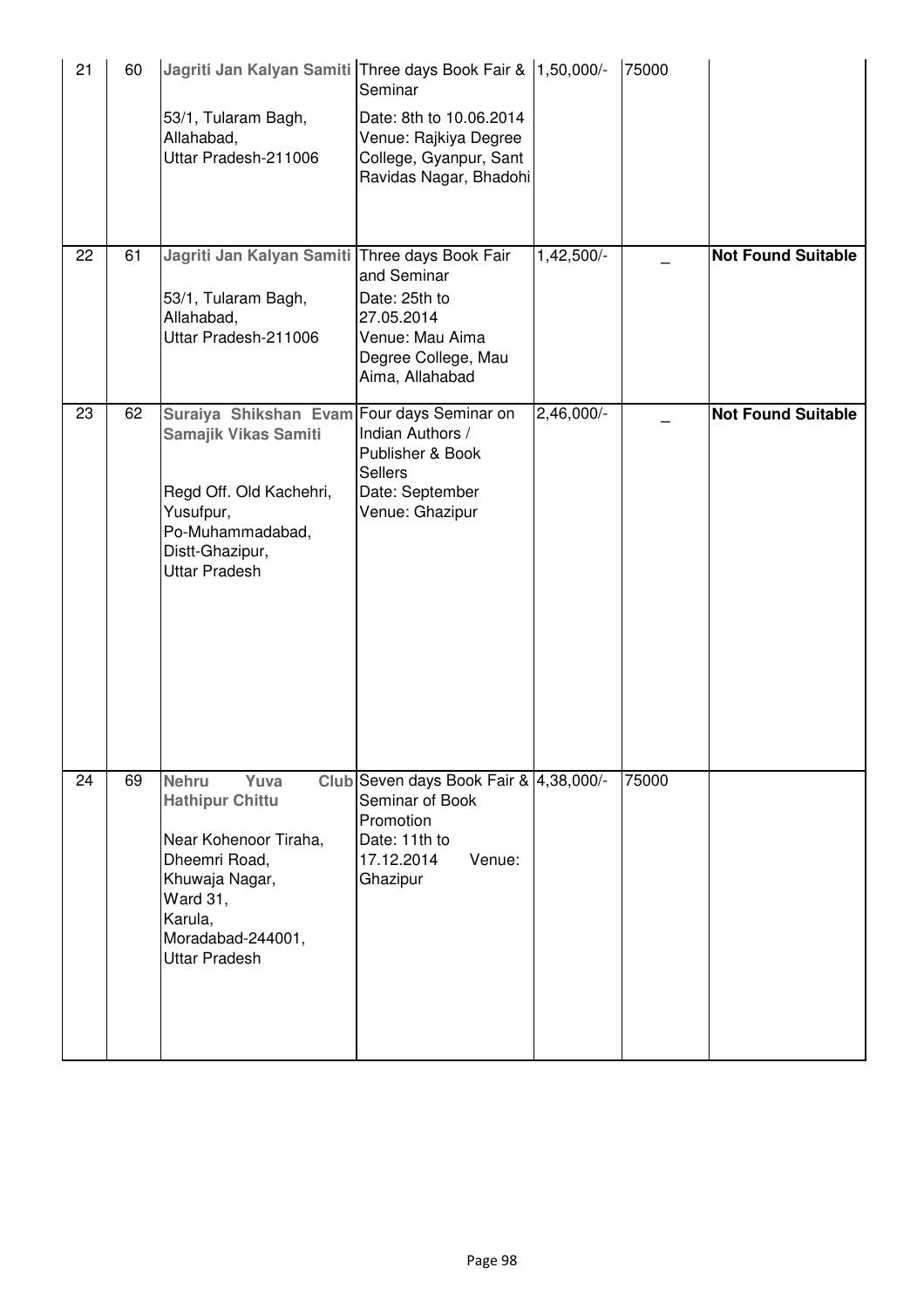| 21 | 60 | Jagriti Jan Kalyan Samiti Three days Book Fair & 1,50,000/-<br>53/1, Tularam Bagh,<br>Allahabad,<br>Uttar Pradesh-211006                                                              | Seminar<br>Date: 8th to 10.06.2014<br>Venue: Rajkiya Degree<br>College, Gyanpur, Sant<br>Ravidas Nagar, Bhadohi             |            | 75000 |                           |
|----|----|---------------------------------------------------------------------------------------------------------------------------------------------------------------------------------------|-----------------------------------------------------------------------------------------------------------------------------|------------|-------|---------------------------|
| 22 | 61 | Jagriti Jan Kalyan Samiti Three days Book Fair<br>53/1, Tularam Bagh,<br>Allahabad,<br>Uttar Pradesh-211006                                                                           | and Seminar<br>Date: 25th to<br>27.05.2014<br>Venue: Mau Aima<br>Degree College, Mau<br>Aima, Allahabad                     | 1,42,500/- |       | <b>Not Found Suitable</b> |
| 23 | 62 | Suraiya Shikshan Evam<br>Samajik Vikas Samiti<br>Regd Off. Old Kachehri,<br>Yusufpur,<br>Po-Muhammadabad,<br>Distt-Ghazipur,<br><b>Uttar Pradesh</b>                                  | Four days Seminar on<br>Indian Authors /<br>Publisher & Book<br><b>Sellers</b><br>Date: September<br>Venue: Ghazipur        | 2,46,000/- |       | <b>Not Found Suitable</b> |
| 24 | 69 | <b>Nehru</b><br>Yuva<br><b>Hathipur Chittu</b><br>Near Kohenoor Tiraha,<br>Dheemri Road,<br>Khuwaja Nagar,<br><b>Ward 31,</b><br>Karula,<br>Moradabad-244001,<br><b>Uttar Pradesh</b> | Club Seven days Book Fair & 4,38,000/-<br>Seminar of Book<br>Promotion<br>Date: 11th to<br>Venue:<br>17.12.2014<br>Ghazipur |            | 75000 |                           |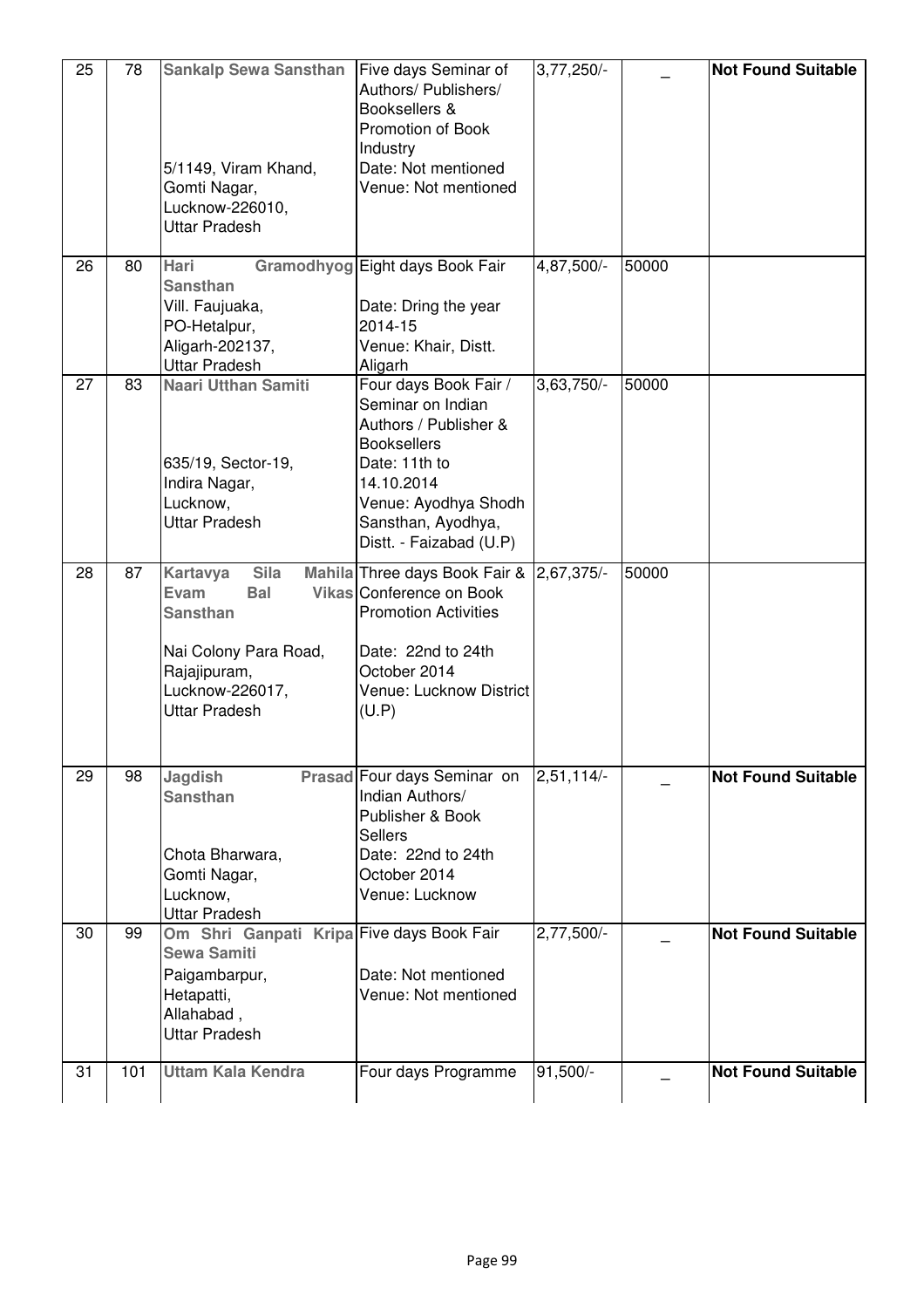| 25 | 78  | <b>Sankalp Sewa Sansthan</b><br>5/1149, Viram Khand,<br>Gomti Nagar,<br>Lucknow-226010,<br>Uttar Pradesh                                                    | Five days Seminar of<br>Authors/ Publishers/<br>Booksellers &<br>Promotion of Book<br>Industry<br>Date: Not mentioned<br>Venue: Not mentioned                                                     | $3,77,250/-$            |       | <b>Not Found Suitable</b> |
|----|-----|-------------------------------------------------------------------------------------------------------------------------------------------------------------|---------------------------------------------------------------------------------------------------------------------------------------------------------------------------------------------------|-------------------------|-------|---------------------------|
| 26 | 80  | <b>Hari</b><br><b>Sansthan</b><br>Vill. Faujuaka,<br>PO-Hetalpur,<br>Aligarh-202137,<br><b>Uttar Pradesh</b>                                                | Gramodhyog Eight days Book Fair<br>Date: Dring the year<br>2014-15<br>Venue: Khair, Distt.<br>Aligarh                                                                                             | 4,87,500/-              | 50000 |                           |
| 27 | 83  | <b>Naari Utthan Samiti</b><br>635/19, Sector-19,<br>Indira Nagar,<br>Lucknow,<br><b>Uttar Pradesh</b>                                                       | Four days Book Fair /<br>Seminar on Indian<br>Authors / Publisher &<br><b>Booksellers</b><br>Date: 11th to<br>14.10.2014<br>Venue: Ayodhya Shodh<br>Sansthan, Ayodhya,<br>Distt. - Faizabad (U.P) | 3,63,750/-              | 50000 |                           |
| 28 | 87  | <b>Kartavya</b><br><b>Sila</b><br>Evam<br><b>Bal</b><br><b>Sansthan</b><br>Nai Colony Para Road,<br>Rajajipuram,<br>Lucknow-226017,<br><b>Uttar Pradesh</b> | Mahila Three days Book Fair &<br>Vikas Conference on Book<br><b>Promotion Activities</b><br>Date: 22nd to 24th<br>October 2014<br>Venue: Lucknow District<br>(U.P)                                | 2,67,375/-              | 50000 |                           |
| 29 | 98  | Jagdish<br><b>Sansthan</b><br>Chota Bharwara,<br>Gomti Nagar,<br>Lucknow,<br>Uttar Pradesh                                                                  | Prasad Four days Seminar on<br>Indian Authors/<br>Publisher & Book<br><b>Sellers</b><br>Date: 22nd to 24th<br>October 2014<br>Venue: Lucknow                                                      | $2,51,114/-$            |       | <b>Not Found Suitable</b> |
| 30 | 99  | Om Shri Ganpati Kripa Five days Book Fair<br><b>Sewa Samiti</b><br>Paigambarpur,<br>Hetapatti,<br>Allahabad,<br><b>Uttar Pradesh</b>                        | Date: Not mentioned<br>Venue: Not mentioned                                                                                                                                                       | $2,77,500$ <sup>-</sup> |       | <b>Not Found Suitable</b> |
| 31 | 101 | <b>Uttam Kala Kendra</b>                                                                                                                                    | Four days Programme                                                                                                                                                                               | $91,500/-$              |       | <b>Not Found Suitable</b> |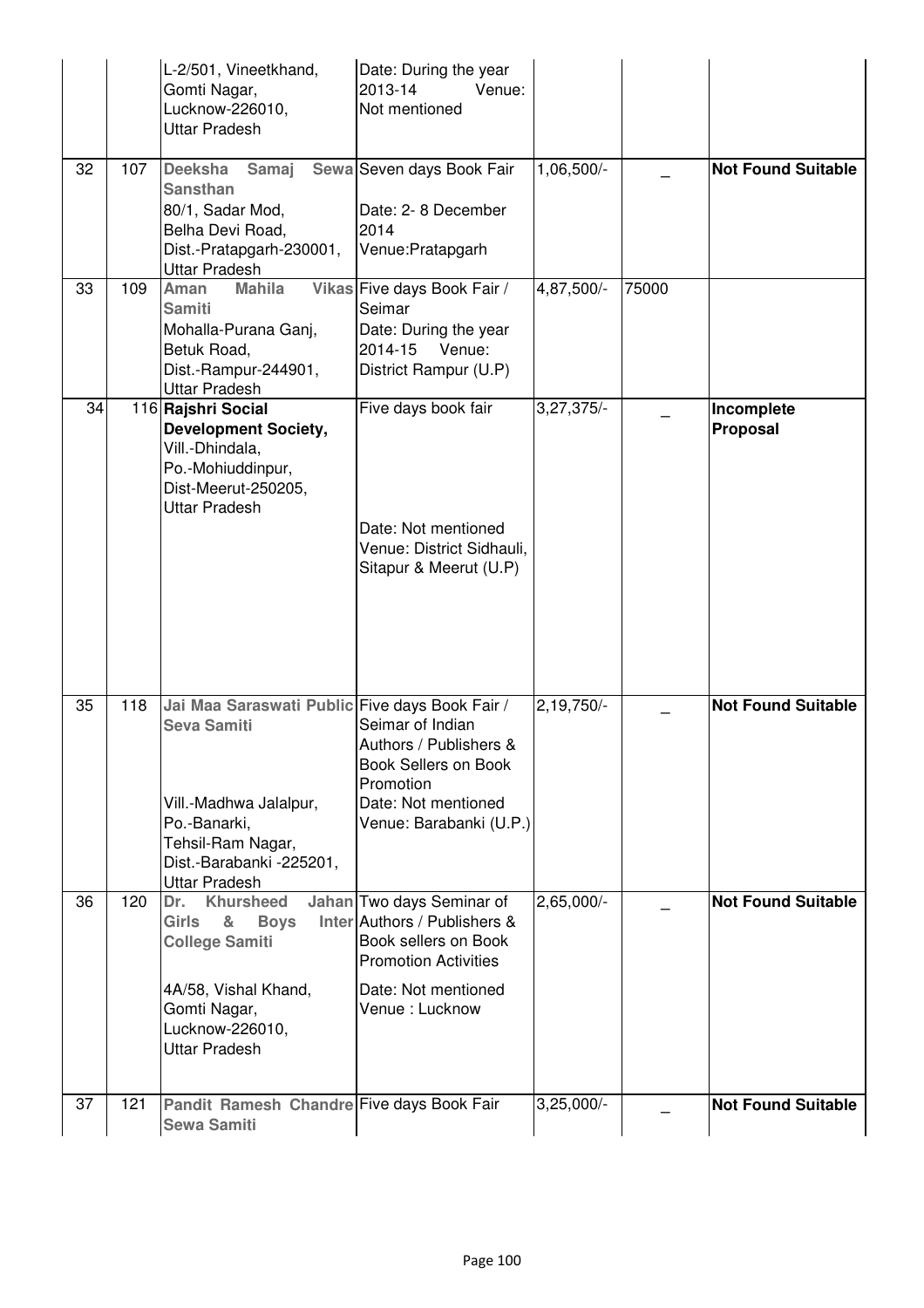|    |     | L-2/501, Vineetkhand,<br>Gomti Nagar,<br>Lucknow-226010,<br><b>Uttar Pradesh</b>                                                                                                        | Date: During the year<br>2013-14<br>Venue:<br>Not mentioned                                                                                               |              |       |                           |
|----|-----|-----------------------------------------------------------------------------------------------------------------------------------------------------------------------------------------|-----------------------------------------------------------------------------------------------------------------------------------------------------------|--------------|-------|---------------------------|
| 32 | 107 | <b>Deeksha</b><br>Samaj<br><b>Sansthan</b><br>80/1, Sadar Mod,<br>Belha Devi Road,<br>Dist.-Pratapgarh-230001,<br><b>Uttar Pradesh</b>                                                  | Sewa Seven days Book Fair<br>Date: 2-8 December<br>2014<br>Venue: Pratapgarh                                                                              | 1,06,500/-   |       | <b>Not Found Suitable</b> |
| 33 | 109 | <b>Mahila</b><br>Aman<br><b>Samiti</b><br>Mohalla-Purana Ganj,<br>Betuk Road,<br>Dist.-Rampur-244901,<br><b>Uttar Pradesh</b>                                                           | Vikas Five days Book Fair /<br>Seimar<br>Date: During the year<br>2014-15<br>Venue:<br>District Rampur (U.P)                                              | 4,87,500/-   | 75000 |                           |
| 34 |     | 116 Rajshri Social<br><b>Development Society,</b><br>Vill.-Dhindala,<br>Po.-Mohiuddinpur,<br>Dist-Meerut-250205,<br><b>Uttar Pradesh</b>                                                | Five days book fair<br>Date: Not mentioned<br>Venue: District Sidhauli,<br>Sitapur & Meerut (U.P)                                                         | 3,27,375/-   |       | Incomplete<br>Proposal    |
| 35 | 118 | Jai Maa Saraswati Public Five days Book Fair /<br><b>Seva Samiti</b><br>Vill.-Madhwa Jalalpur,<br>Po.-Banarki,<br>Tehsil-Ram Nagar,<br>Dist.-Barabanki -225201,<br><b>Uttar Pradesh</b> | Seimar of Indian<br>Authors / Publishers &<br><b>Book Sellers on Book</b><br>Promotion<br>Date: Not mentioned<br>Venue: Barabanki (U.P.)                  | $2,19,750/-$ |       | <b>Not Found Suitable</b> |
| 36 | 120 | <b>Khursheed</b><br>Dr.<br><b>Girls</b><br>&<br><b>Boys</b><br><b>College Samiti</b><br>4A/58, Vishal Khand,<br>Gomti Nagar,<br>Lucknow-226010,<br><b>Uttar Pradesh</b>                 | Jahan Two days Seminar of<br>Inter Authors / Publishers &<br>Book sellers on Book<br><b>Promotion Activities</b><br>Date: Not mentioned<br>Venue: Lucknow | $2,65,000/-$ |       | <b>Not Found Suitable</b> |
| 37 | 121 | Pandit Ramesh Chandre Five days Book Fair<br><b>Sewa Samiti</b>                                                                                                                         |                                                                                                                                                           | $3,25,000/-$ |       | <b>Not Found Suitable</b> |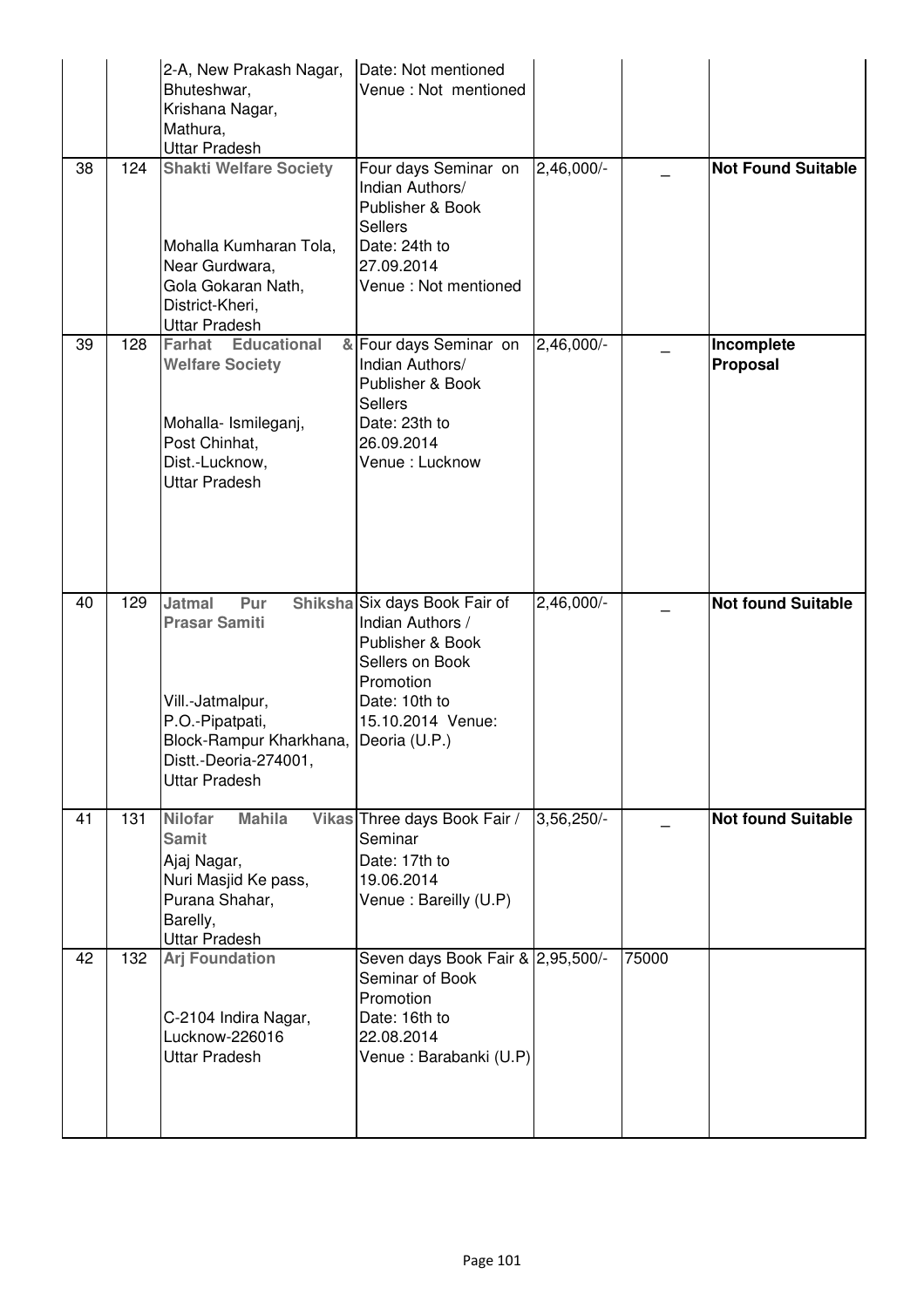|    |     | 2-A, New Prakash Nagar,<br>Bhuteshwar,<br>Krishana Nagar,<br>Mathura,<br><b>Uttar Pradesh</b>                                                                                 | Date: Not mentioned<br>Venue : Not mentioned                                                                                                |            |       |                           |
|----|-----|-------------------------------------------------------------------------------------------------------------------------------------------------------------------------------|---------------------------------------------------------------------------------------------------------------------------------------------|------------|-------|---------------------------|
| 38 | 124 | <b>Shakti Welfare Society</b><br>Mohalla Kumharan Tola,<br>Near Gurdwara,<br>Gola Gokaran Nath,<br>District-Kheri,<br><b>Uttar Pradesh</b>                                    | Four days Seminar on<br>Indian Authors/<br>Publisher & Book<br><b>Sellers</b><br>Date: 24th to<br>27.09.2014<br>Venue : Not mentioned       | 2,46,000/- |       | <b>Not Found Suitable</b> |
| 39 | 128 | <b>Farhat Educational</b><br><b>Welfare Society</b><br>Mohalla- Ismileganj,<br>Post Chinhat,<br>Dist.-Lucknow,<br><b>Uttar Pradesh</b>                                        | & Four days Seminar on<br>Indian Authors/<br>Publisher & Book<br><b>Sellers</b><br>Date: 23th to<br>26.09.2014<br>Venue: Lucknow            | 2,46,000/- |       | Incomplete<br>Proposal    |
| 40 | 129 | <b>Jatmal</b><br>Pur<br><b>Prasar Samiti</b><br>Vill.-Jatmalpur,<br>P.O.-Pipatpati,<br>Block-Rampur Kharkhana, Deoria (U.P.)<br>Distt.-Deoria-274001,<br><b>Uttar Pradesh</b> | Shiksha Six days Book Fair of<br>Indian Authors /<br>Publisher & Book<br>Sellers on Book<br>Promotion<br>Date: 10th to<br>15.10.2014 Venue: | 2,46,000/- |       | <b>Not found Suitable</b> |
| 41 | 131 | <b>Nilofar</b><br><b>Mahila</b><br><b>Samit</b><br>Ajaj Nagar,<br>Nuri Masjid Ke pass,<br>Purana Shahar,<br>Barelly,<br><b>Uttar Pradesh</b>                                  | Vikas Three days Book Fair /<br>Seminar<br>Date: 17th to<br>19.06.2014<br>Venue: Bareilly (U.P)                                             | 3,56,250/  |       | <b>Not found Suitable</b> |
| 42 | 132 | <b>Arj Foundation</b><br>C-2104 Indira Nagar,<br>Lucknow-226016<br><b>Uttar Pradesh</b>                                                                                       | Seven days Book Fair & 2,95,500/-<br>Seminar of Book<br>Promotion<br>Date: 16th to<br>22.08.2014<br>Venue: Barabanki (U.P)                  |            | 75000 |                           |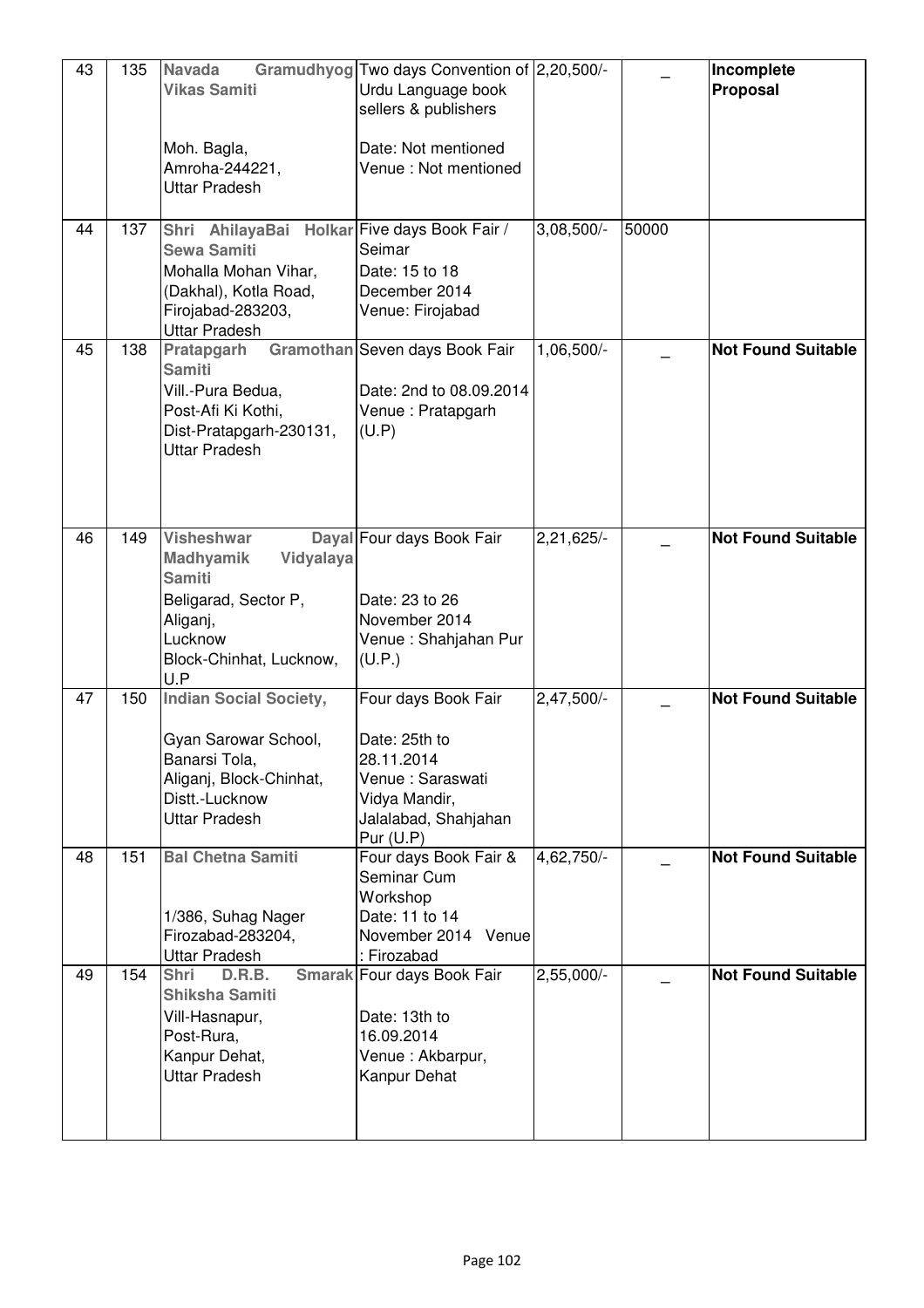| 43 | 135 | <b>Navada</b><br><b>Vikas Samiti</b><br>Moh. Bagla,<br>Amroha-244221,<br><b>Uttar Pradesh</b>                                                        | Gramudhyog Two days Convention of 2,20,500/-<br>Urdu Language book<br>sellers & publishers<br>Date: Not mentioned<br>Venue: Not mentioned |              |       | Incomplete<br>Proposal    |
|----|-----|------------------------------------------------------------------------------------------------------------------------------------------------------|-------------------------------------------------------------------------------------------------------------------------------------------|--------------|-------|---------------------------|
| 44 | 137 | Shri AhilayaBai<br><b>Sewa Samiti</b><br>Mohalla Mohan Vihar,<br>(Dakhal), Kotla Road,<br>Firojabad-283203,<br><b>Uttar Pradesh</b>                  | Holkar Five days Book Fair /<br>Seimar<br>Date: 15 to 18<br>December 2014<br>Venue: Firojabad                                             | $3,08,500/-$ | 50000 |                           |
| 45 | 138 | Pratapgarh<br><b>Samiti</b><br>Vill.-Pura Bedua,<br>Post-Afi Ki Kothi,<br>Dist-Pratapgarh-230131,<br><b>Uttar Pradesh</b>                            | Gramothan Seven days Book Fair<br>Date: 2nd to 08.09.2014<br>Venue: Pratapgarh<br>(U.P)                                                   | 1,06,500/-   |       | <b>Not Found Suitable</b> |
| 46 | 149 | <b>Visheshwar</b><br><b>Madhyamik</b><br>Vidyalaya<br><b>Samiti</b><br>Beligarad, Sector P,<br>Aliganj,<br>Lucknow<br>Block-Chinhat, Lucknow,<br>U.P | Dayal Four days Book Fair<br>Date: 23 to 26<br>November 2014<br>Venue: Shahjahan Pur<br>(U.P.)                                            | $2,21,625/-$ |       | <b>Not Found Suitable</b> |
| 47 | 150 | <b>Indian Social Society,</b><br>Gyan Sarowar School,<br>Banarsi Tola,<br>Aliganj, Block-Chinhat,<br>Distt.-Lucknow<br><b>Uttar Pradesh</b>          | Four days Book Fair<br>Date: 25th to<br>28.11.2014<br>Venue: Saraswati<br>Vidya Mandir,<br>Jalalabad, Shahjahan<br>Pur $(U.P)$            | 2,47,500/-   |       | <b>Not Found Suitable</b> |
| 48 | 151 | <b>Bal Chetna Samiti</b><br>1/386, Suhag Nager<br>Firozabad-283204,<br><b>Uttar Pradesh</b>                                                          | Four days Book Fair &<br>Seminar Cum<br>Workshop<br>Date: 11 to 14<br>November 2014 Venue<br>: Firozabad                                  | $4,62,750/-$ |       | <b>Not Found Suitable</b> |
| 49 | 154 | D.R.B.<br><b>Shri</b><br>Shiksha Samiti<br>Vill-Hasnapur,<br>Post-Rura,<br>Kanpur Dehat,<br><b>Uttar Pradesh</b>                                     | Smarak Four days Book Fair<br>Date: 13th to<br>16.09.2014<br>Venue: Akbarpur,<br>Kanpur Dehat                                             | $2,55,000/-$ |       | <b>Not Found Suitable</b> |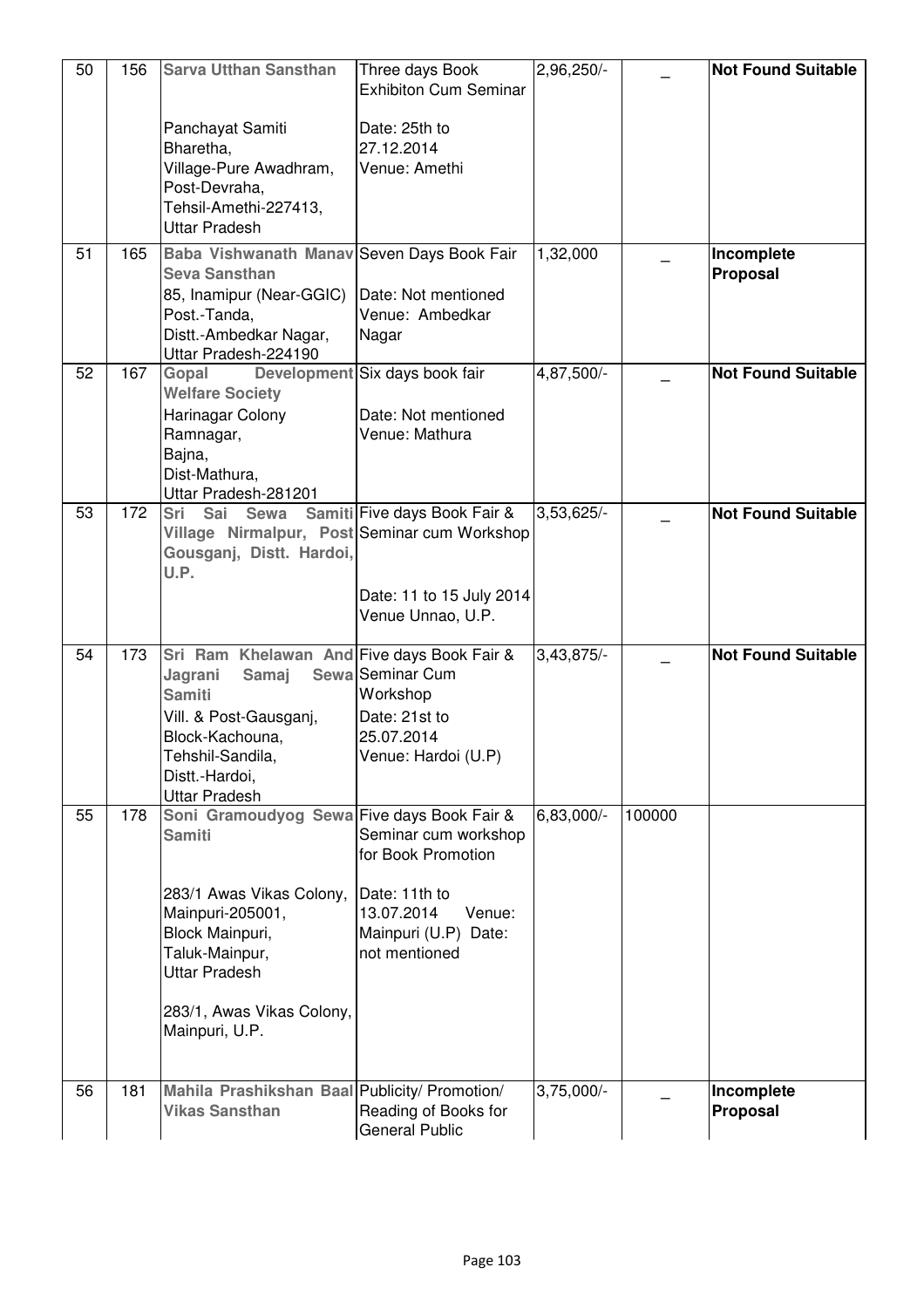| 50 | 156 | <b>Sarva Utthan Sansthan</b>                                                                                                                                                                                            | Three days Book<br><b>Exhibiton Cum Seminar</b>                                                                              | 2,96,250/-   |        | <b>Not Found Suitable</b> |
|----|-----|-------------------------------------------------------------------------------------------------------------------------------------------------------------------------------------------------------------------------|------------------------------------------------------------------------------------------------------------------------------|--------------|--------|---------------------------|
|    |     | Panchayat Samiti<br>Bharetha,<br>Village-Pure Awadhram,<br>Post-Devraha,<br>Tehsil-Amethi-227413,<br><b>Uttar Pradesh</b>                                                                                               | Date: 25th to<br>27.12.2014<br>Venue: Amethi                                                                                 |              |        |                           |
| 51 | 165 | Baba Vishwanath Manav Seven Days Book Fair<br><b>Seva Sansthan</b><br>85, Inamipur (Near-GGIC)<br>Post.-Tanda,<br>Distt.-Ambedkar Nagar,<br>Uttar Pradesh-224190                                                        | Date: Not mentioned<br>Venue: Ambedkar<br>Nagar                                                                              | 1,32,000     |        | Incomplete<br>Proposal    |
| 52 | 167 | Gopal<br><b>Welfare Society</b><br>Harinagar Colony<br>Ramnagar,<br>Bajna,<br>Dist-Mathura,<br>Uttar Pradesh-281201                                                                                                     | Development Six days book fair<br>Date: Not mentioned<br>Venue: Mathura                                                      | 4,87,500/-   |        | <b>Not Found Suitable</b> |
| 53 | 172 | Sri Sai Sewa Samiti Five days Book Fair &<br>Village Nirmalpur, Post Seminar cum Workshop<br>Gousganj, Distt. Hardoi,<br>U.P.                                                                                           | Date: 11 to 15 July 2014<br>Venue Unnao, U.P.                                                                                | $3,53,625/-$ |        | <b>Not Found Suitable</b> |
| 54 | 173 | Sri Ram Khelawan And Five days Book Fair &<br>Jagrani<br>Samaj<br><b>Samiti</b><br>Vill. & Post-Gausganj,<br>Block-Kachouna,<br>Tehshil-Sandila,<br>Distt.-Hardoi,<br><b>Uttar Pradesh</b>                              | Sewa Seminar Cum<br>Workshop<br>Date: 21st to<br>25.07.2014<br>Venue: Hardoi (U.P)                                           | $3,43,875/-$ |        | <b>Not Found Suitable</b> |
| 55 | 178 | Soni Gramoudyog Sewa Five days Book Fair &<br><b>Samiti</b><br>283/1 Awas Vikas Colony,<br>Mainpuri-205001,<br>Block Mainpuri,<br>Taluk-Mainpur,<br><b>Uttar Pradesh</b><br>283/1, Awas Vikas Colony,<br>Mainpuri, U.P. | Seminar cum workshop<br>for Book Promotion<br>Date: 11th to<br>13.07.2014<br>Venue:<br>Mainpuri (U.P) Date:<br>not mentioned | 6,83,000/-   | 100000 |                           |
| 56 | 181 | Mahila Prashikshan Baal Publicity/ Promotion/<br><b>Vikas Sansthan</b>                                                                                                                                                  | Reading of Books for<br><b>General Public</b>                                                                                | $3,75,000/-$ |        | Incomplete<br>Proposal    |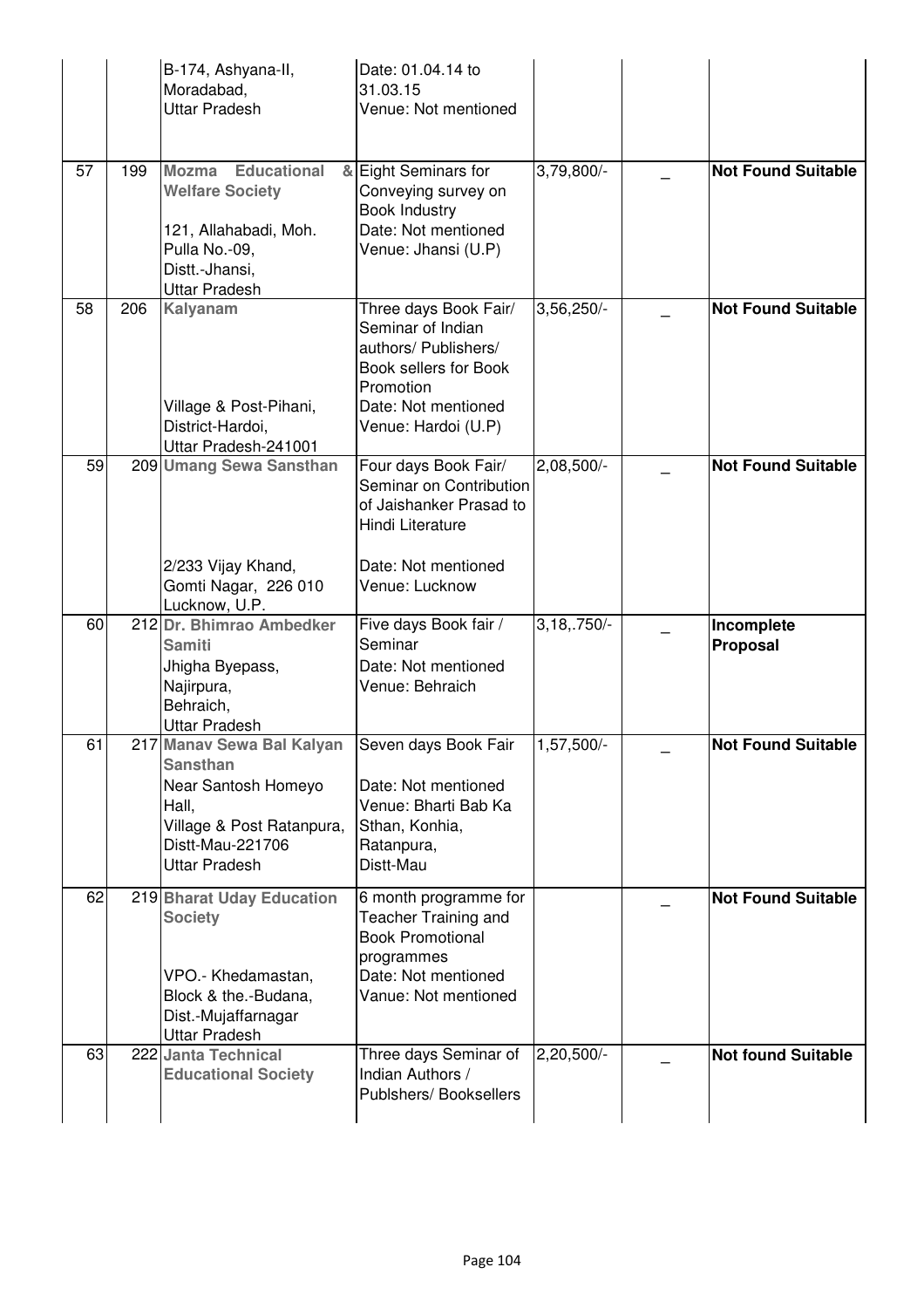|    |     | B-174, Ashyana-II,<br>Moradabad,<br><b>Uttar Pradesh</b>                                                                                              | Date: 01.04.14 to<br>31.03.15<br>Venue: Not mentioned                                                                                                  |                |                           |
|----|-----|-------------------------------------------------------------------------------------------------------------------------------------------------------|--------------------------------------------------------------------------------------------------------------------------------------------------------|----------------|---------------------------|
| 57 | 199 | Mozma Educational<br><b>Welfare Society</b><br>121, Allahabadi, Moh.<br>Pulla No.-09,<br>Distt - Jhansi,<br><b>Uttar Pradesh</b>                      | & Eight Seminars for<br>Conveying survey on<br><b>Book Industry</b><br>Date: Not mentioned<br>Venue: Jhansi (U.P)                                      | 3,79,800/-     | <b>Not Found Suitable</b> |
| 58 | 206 | Kalyanam<br>Village & Post-Pihani,<br>District-Hardoi,<br>Uttar Pradesh-241001                                                                        | Three days Book Fair/<br>Seminar of Indian<br>authors/ Publishers/<br>Book sellers for Book<br>Promotion<br>Date: Not mentioned<br>Venue: Hardoi (U.P) | 3,56,250/-     | <b>Not Found Suitable</b> |
| 59 |     | 209 Umang Sewa Sansthan<br>2/233 Vijay Khand,<br>Gomti Nagar, 226 010                                                                                 | Four days Book Fair/<br>Seminar on Contribution<br>of Jaishanker Prasad to<br>Hindi Literature<br>Date: Not mentioned<br>Venue: Lucknow                | 2,08,500/-     | <b>Not Found Suitable</b> |
|    |     | Lucknow, U.P.                                                                                                                                         |                                                                                                                                                        |                |                           |
| 60 |     | 212 Dr. Bhimrao Ambedker<br><b>Samiti</b><br>Jhigha Byepass,<br>Najirpura,<br>Behraich,<br>Uttar Pradesh                                              | Five days Book fair /<br>Seminar<br>Date: Not mentioned<br>Venue: Behraich                                                                             | $3,18, .750/-$ | Incomplete<br>Proposal    |
| 61 |     | 217 Manav Sewa Bal Kalyan<br><b>Sansthan</b><br>Near Santosh Homeyo<br>Hall,<br>Village & Post Ratanpura,<br>Distt-Mau-221706<br><b>Uttar Pradesh</b> | Seven days Book Fair<br>Date: Not mentioned<br>Venue: Bharti Bab Ka<br>Sthan, Konhia,<br>Ratanpura,<br>Distt-Mau                                       | $1,57,500/-$   | <b>Not Found Suitable</b> |
| 62 |     | 219 Bharat Uday Education<br><b>Society</b><br>VPO.- Khedamastan,<br>Block & the.-Budana,<br>Dist.-Mujaffarnagar<br><b>Uttar Pradesh</b>              | 6 month programme for<br><b>Teacher Training and</b><br><b>Book Promotional</b><br>programmes<br>Date: Not mentioned<br>Vanue: Not mentioned           |                | <b>Not Found Suitable</b> |
| 63 |     | 222 Janta Technical<br><b>Educational Society</b>                                                                                                     | Three days Seminar of<br>Indian Authors /<br>Publshers/Booksellers                                                                                     | $2,20,500/-$   | <b>Not found Suitable</b> |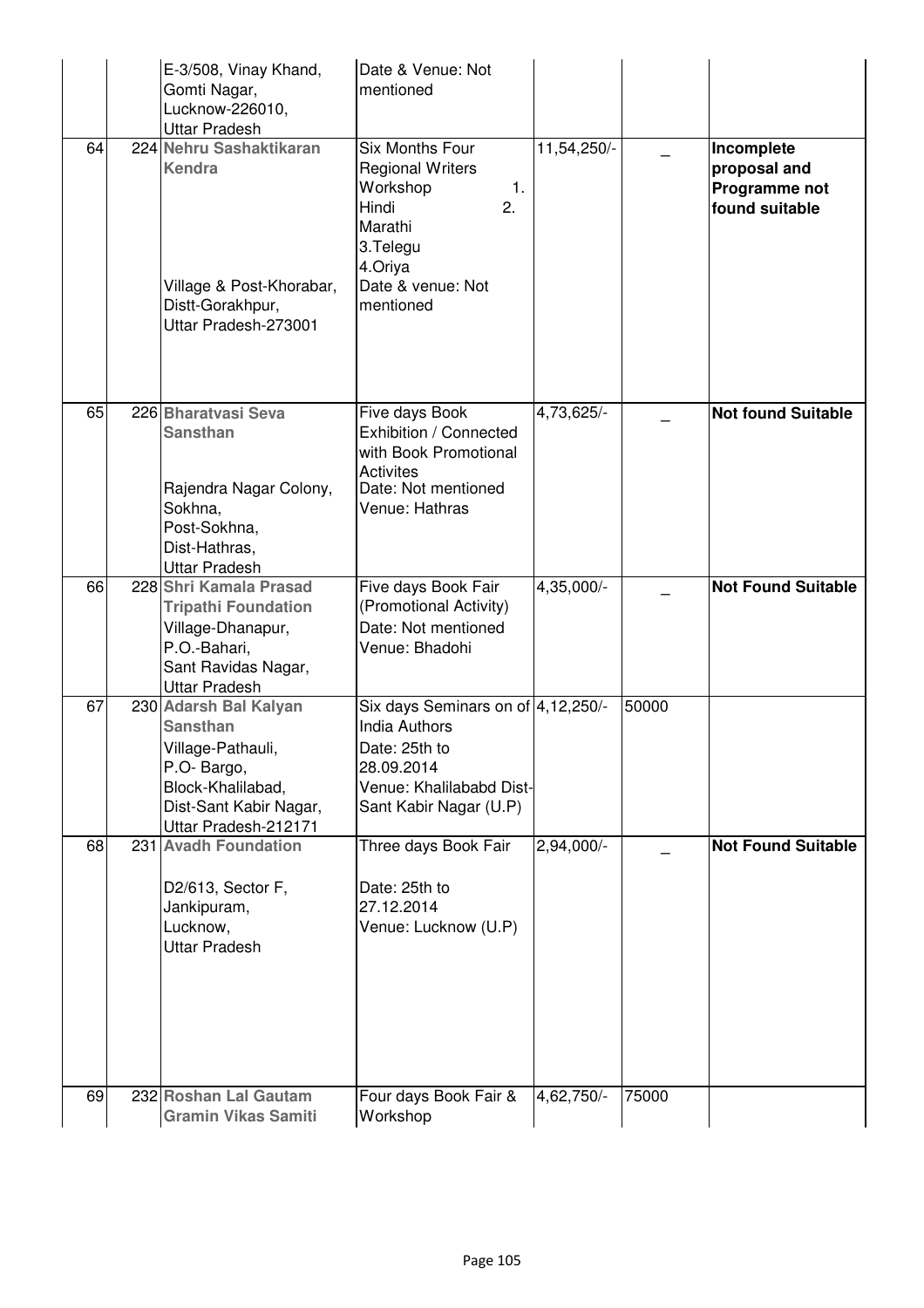|    | E-3/508, Vinay Khand,<br>Gomti Nagar,<br>Lucknow-226010,<br><b>Uttar Pradesh</b>                                                                    | Date & Venue: Not<br>mentioned                                                                                                                  |             |       |                                                               |
|----|-----------------------------------------------------------------------------------------------------------------------------------------------------|-------------------------------------------------------------------------------------------------------------------------------------------------|-------------|-------|---------------------------------------------------------------|
| 64 | 224 Nehru Sashaktikaran<br><b>Kendra</b><br>Village & Post-Khorabar,<br>Distt-Gorakhpur,<br>Uttar Pradesh-273001                                    | Six Months Four<br><b>Regional Writers</b><br>Workshop<br>1.<br>Hindi<br>2.<br>Marathi<br>3.Telegu<br>4.Oriya<br>Date & venue: Not<br>mentioned | 11,54,250/- |       | Incomplete<br>proposal and<br>Programme not<br>found suitable |
| 65 | 226 Bharatvasi Seva<br><b>Sansthan</b><br>Rajendra Nagar Colony,<br>Sokhna,<br>Post-Sokhna,<br>Dist-Hathras,<br><b>Uttar Pradesh</b>                | Five days Book<br>Exhibition / Connected<br>with Book Promotional<br><b>Activites</b><br>Date: Not mentioned<br>Venue: Hathras                  | 4,73,625/-  |       | <b>Not found Suitable</b>                                     |
| 66 | 228 Shri Kamala Prasad<br><b>Tripathi Foundation</b><br>Village-Dhanapur,<br>P.O.-Bahari,<br>Sant Ravidas Nagar,<br><b>Uttar Pradesh</b>            | Five days Book Fair<br>(Promotional Activity)<br>Date: Not mentioned<br>Venue: Bhadohi                                                          | 4,35,000/-  |       | <b>Not Found Suitable</b>                                     |
| 67 | 230 Adarsh Bal Kalyan<br><b>Sansthan</b><br>Village-Pathauli,<br>P.O- Bargo,<br>Block-Khalilabad,<br>Dist-Sant Kabir Nagar,<br>Uttar Pradesh-212171 | Six days Seminars on of 4,12,250/-<br><b>India Authors</b><br>Date: 25th to<br>28.09.2014<br>Venue: Khalilababd Dist-<br>Sant Kabir Nagar (U.P) |             | 50000 |                                                               |
| 68 | 231 Avadh Foundation<br>D2/613, Sector F,<br>Jankipuram,<br>Lucknow,<br><b>Uttar Pradesh</b>                                                        | Three days Book Fair<br>Date: 25th to<br>27.12.2014<br>Venue: Lucknow (U.P)                                                                     | 2,94,000/-  |       | <b>Not Found Suitable</b>                                     |
| 69 | 232 Roshan Lal Gautam<br><b>Gramin Vikas Samiti</b>                                                                                                 | Four days Book Fair &<br>Workshop                                                                                                               | 4,62,750/-  | 75000 |                                                               |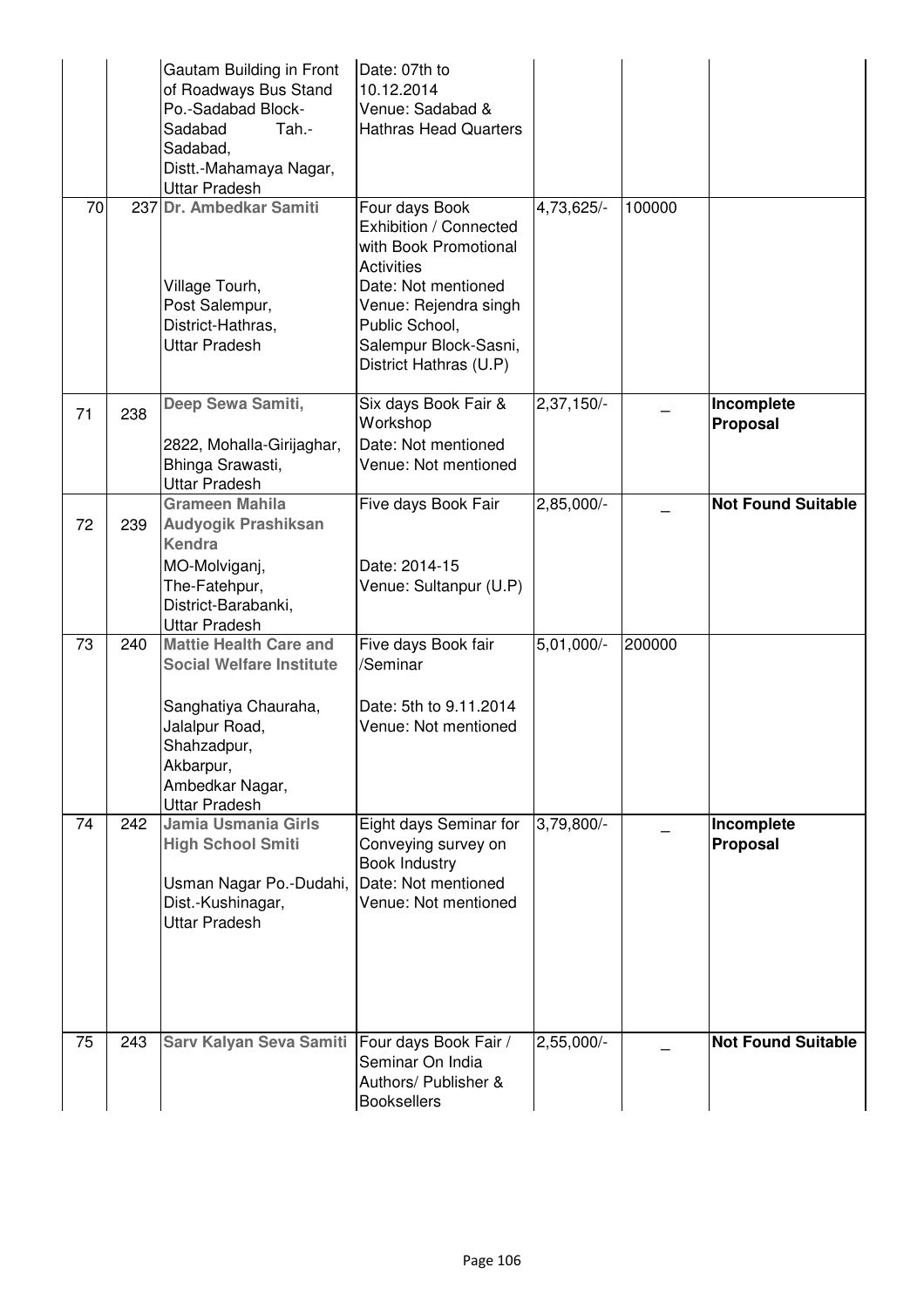|    |     | Gautam Building in Front<br>of Roadways Bus Stand<br>Po.-Sadabad Block-<br>Sadabad<br>Tah.-<br>Sadabad,<br>Distt.-Mahamaya Nagar,<br><b>Uttar Pradesh</b>                         | Date: 07th to<br>10.12.2014<br>Venue: Sadabad &<br><b>Hathras Head Quarters</b>                                                                                                                             |              |        |                           |
|----|-----|-----------------------------------------------------------------------------------------------------------------------------------------------------------------------------------|-------------------------------------------------------------------------------------------------------------------------------------------------------------------------------------------------------------|--------------|--------|---------------------------|
| 70 |     | 237 Dr. Ambedkar Samiti<br>Village Tourh,<br>Post Salempur,<br>District-Hathras,<br><b>Uttar Pradesh</b>                                                                          | Four days Book<br>Exhibition / Connected<br>with Book Promotional<br><b>Activities</b><br>Date: Not mentioned<br>Venue: Rejendra singh<br>Public School,<br>Salempur Block-Sasni,<br>District Hathras (U.P) | 4,73,625/-   | 100000 |                           |
| 71 | 238 | Deep Sewa Samiti,<br>2822, Mohalla-Girijaghar,<br>Bhinga Srawasti,<br><b>Uttar Pradesh</b>                                                                                        | Six days Book Fair &<br>Workshop<br>Date: Not mentioned<br>Venue: Not mentioned                                                                                                                             | $2,37,150/-$ |        | Incomplete<br>Proposal    |
| 72 | 239 | Grameen Mahila<br><b>Audyogik Prashiksan</b><br><b>Kendra</b><br>MO-Molviganj,<br>The-Fatehpur,<br>District-Barabanki,<br><b>Uttar Pradesh</b>                                    | Five days Book Fair<br>Date: 2014-15<br>Venue: Sultanpur (U.P)                                                                                                                                              | $2,85,000/-$ |        | <b>Not Found Suitable</b> |
| 73 | 240 | <b>Mattie Health Care and</b><br><b>Social Welfare Institute</b><br>Sanghatiya Chauraha,<br>Jalalpur Road,<br>Shahzadpur,<br>Akbarpur,<br>Ambedkar Nagar,<br><b>Uttar Pradesh</b> | Five days Book fair<br>/Seminar<br>Date: 5th to 9.11.2014<br>Venue: Not mentioned                                                                                                                           | 5,01,000/-   | 200000 |                           |
| 74 | 242 | Jamia Usmania Girls<br><b>High School Smiti</b><br>Usman Nagar Po.-Dudahi,<br>Dist.-Kushinagar,<br><b>Uttar Pradesh</b>                                                           | Eight days Seminar for<br>Conveying survey on<br><b>Book Industry</b><br>Date: Not mentioned<br>Venue: Not mentioned                                                                                        | 3,79,800/-   |        | Incomplete<br>Proposal    |
| 75 | 243 | Sarv Kalyan Seva Samiti                                                                                                                                                           | Four days Book Fair /<br>Seminar On India<br>Authors/ Publisher &<br><b>Booksellers</b>                                                                                                                     | $2,55,000/-$ |        | <b>Not Found Suitable</b> |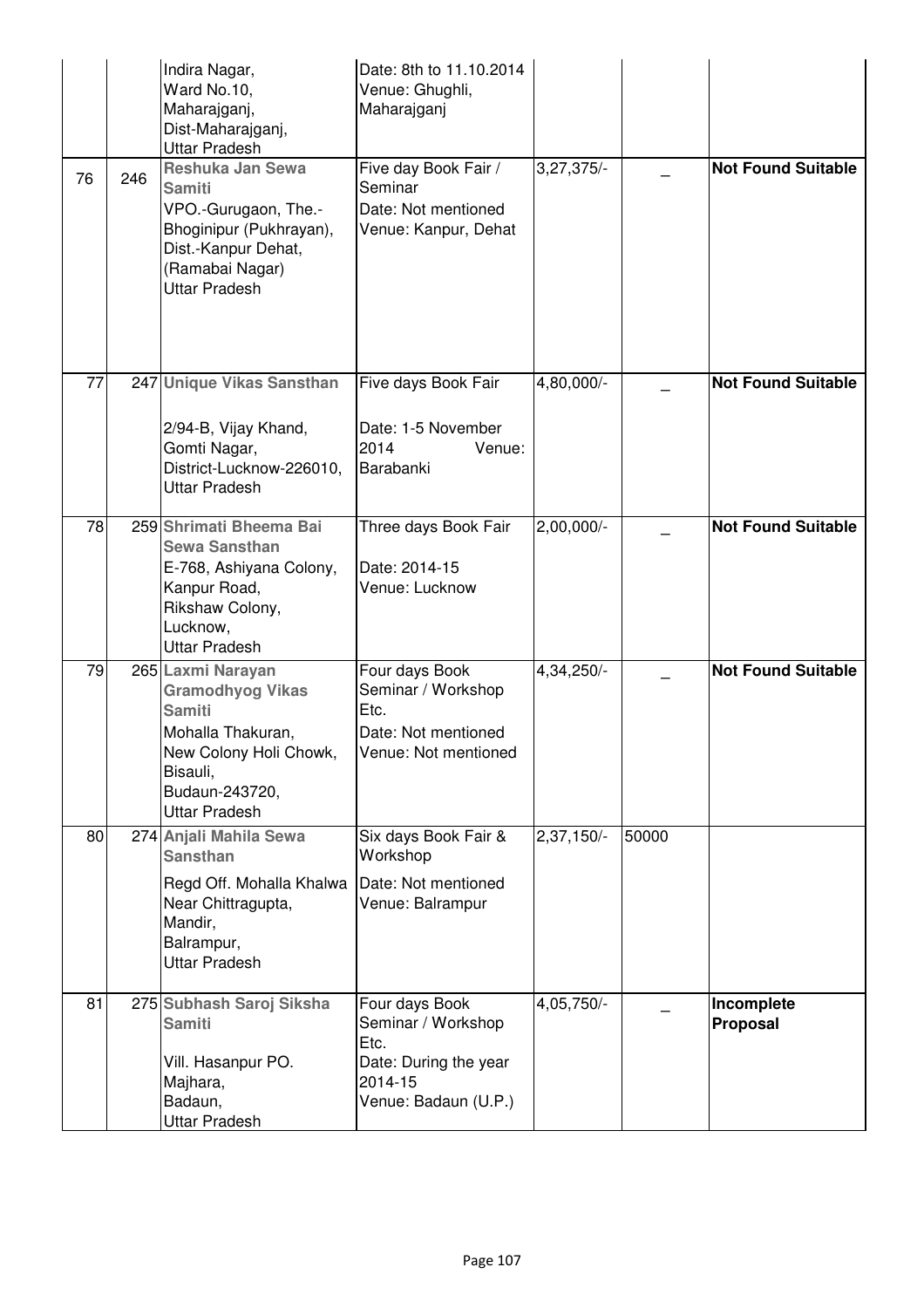|    |     | Indira Nagar,<br>Ward No.10,<br>Maharajganj,<br>Dist-Maharajganj,<br><b>Uttar Pradesh</b>                                                                          | Date: 8th to 11.10.2014<br>Venue: Ghughli,<br>Maharajganj                                                |                         |       |                           |
|----|-----|--------------------------------------------------------------------------------------------------------------------------------------------------------------------|----------------------------------------------------------------------------------------------------------|-------------------------|-------|---------------------------|
| 76 | 246 | Reshuka Jan Sewa<br><b>Samiti</b><br>VPO.-Gurugaon, The.-<br>Bhoginipur (Pukhrayan),<br>Dist.-Kanpur Dehat,<br>(Ramabai Nagar)<br><b>Uttar Pradesh</b>             | Five day Book Fair /<br>Seminar<br>Date: Not mentioned<br>Venue: Kanpur, Dehat                           | $3,27,375/-$            |       | <b>Not Found Suitable</b> |
| 77 |     | 247 Unique Vikas Sansthan<br>2/94-B, Vijay Khand,<br>Gomti Nagar,<br>District-Lucknow-226010,<br><b>Uttar Pradesh</b>                                              | Five days Book Fair<br>Date: 1-5 November<br>2014<br>Venue:<br>Barabanki                                 | 4,80,000/-              |       | <b>Not Found Suitable</b> |
| 78 |     | 259 Shrimati Bheema Bai<br><b>Sewa Sansthan</b><br>E-768, Ashiyana Colony,<br>Kanpur Road,<br>Rikshaw Colony,<br>Lucknow,<br><b>Uttar Pradesh</b>                  | Three days Book Fair<br>Date: 2014-15<br>Venue: Lucknow                                                  | $2,00,000/-$            |       | <b>Not Found Suitable</b> |
| 79 |     | 265 Laxmi Narayan<br><b>Gramodhyog Vikas</b><br><b>Samiti</b><br>Mohalla Thakuran,<br>New Colony Holi Chowk,<br>Bisauli,<br>Budaun-243720,<br><b>Uttar Pradesh</b> | Four days Book<br>Seminar / Workshop<br>Etc.<br>Date: Not mentioned<br>Venue: Not mentioned              | 4,34,250/-              |       | <b>Not Found Suitable</b> |
| 80 |     | 274 Anjali Mahila Sewa<br><b>Sansthan</b><br>Regd Off. Mohalla Khalwa<br>Near Chittragupta,<br>Mandir,<br>Balrampur,<br><b>Uttar Pradesh</b>                       | Six days Book Fair &<br>Workshop<br>Date: Not mentioned<br>Venue: Balrampur                              | $2,37,150/-$            | 50000 |                           |
| 81 |     | 275 Subhash Saroj Siksha<br><b>Samiti</b><br>Vill. Hasanpur PO.<br>Majhara,<br>Badaun,<br>Uttar Pradesh                                                            | Four days Book<br>Seminar / Workshop<br>Etc.<br>Date: During the year<br>2014-15<br>Venue: Badaun (U.P.) | $4,05,750$ <sup>-</sup> |       | Incomplete<br>Proposal    |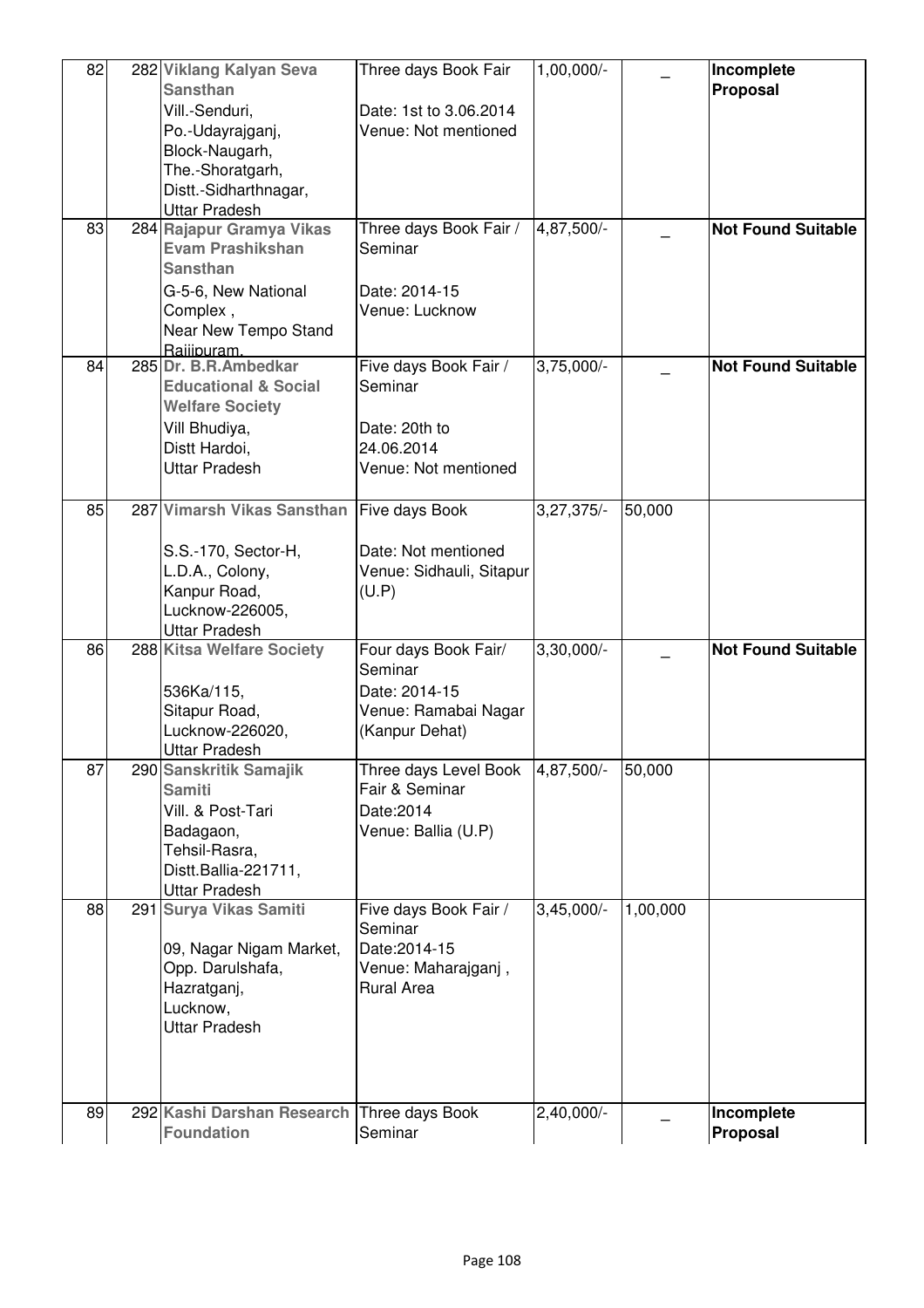| 82<br>83 | 282 Viklang Kalyan Seva<br><b>Sansthan</b><br>Vill.-Senduri,<br>Po.-Udayrajganj,<br>Block-Naugarh,<br>The.-Shoratgarh,<br>Distt.-Sidharthnagar,<br><b>Uttar Pradesh</b><br>284 Rajapur Gramya Vikas<br><b>Evam Prashikshan</b><br><b>Sansthan</b> | Three days Book Fair<br>Date: 1st to 3.06.2014<br>Venue: Not mentioned<br>Three days Book Fair /<br>Seminar | $1,00,000/-$<br>4,87,500/- |          | Incomplete<br>Proposal<br><b>Not Found Suitable</b> |
|----------|---------------------------------------------------------------------------------------------------------------------------------------------------------------------------------------------------------------------------------------------------|-------------------------------------------------------------------------------------------------------------|----------------------------|----------|-----------------------------------------------------|
|          | G-5-6, New National<br>Complex,<br>Near New Tempo Stand<br>Raiiipuram.                                                                                                                                                                            | Date: 2014-15<br>Venue: Lucknow                                                                             |                            |          |                                                     |
| 84       | 285 Dr. B.R.Ambedkar<br><b>Educational &amp; Social</b><br><b>Welfare Society</b><br>Vill Bhudiya,<br>Distt Hardoi,<br>Uttar Pradesh                                                                                                              | Five days Book Fair /<br>Seminar<br>Date: 20th to<br>24.06.2014<br>Venue: Not mentioned                     | $3,75,000/-$               |          | <b>Not Found Suitable</b>                           |
| 85       | 287 Vimarsh Vikas Sansthan<br>S.S.-170, Sector-H,<br>L.D.A., Colony,<br>Kanpur Road,<br>Lucknow-226005,<br><b>Uttar Pradesh</b>                                                                                                                   | Five days Book<br>Date: Not mentioned<br>Venue: Sidhauli, Sitapur<br>(U.P)                                  | $3,27,375/-$               | 50,000   |                                                     |
| 86       | 288 Kitsa Welfare Society<br>536Ka/115,<br>Sitapur Road,<br>Lucknow-226020,<br><b>Uttar Pradesh</b>                                                                                                                                               | Four days Book Fair/<br>Seminar<br>Date: 2014-15<br>Venue: Ramabai Nagar<br>(Kanpur Dehat)                  | $3,30,000/-$               |          | <b>Not Found Suitable</b>                           |
| 87       | 290 Sanskritik Samajik<br><b>Samiti</b><br>Vill. & Post-Tari<br>Badagaon,<br>Tehsil-Rasra,<br>Distt.Ballia-221711,<br><b>Uttar Pradesh</b>                                                                                                        | Three days Level Book<br>Fair & Seminar<br>Date: 2014<br>Venue: Ballia (U.P)                                | 4,87,500/-                 | 50,000   |                                                     |
| 88       | 291 Surya Vikas Samiti<br>09, Nagar Nigam Market,<br>Opp. Darulshafa,<br>Hazratganj,<br>Lucknow,<br><b>Uttar Pradesh</b>                                                                                                                          | Five days Book Fair /<br>Seminar<br>Date: 2014-15<br>Venue: Maharajganj,<br><b>Rural Area</b>               | $3,45,000/-$               | 1,00,000 |                                                     |
| 89       | 292 Kashi Darshan Research<br><b>Foundation</b>                                                                                                                                                                                                   | Three days Book<br>Seminar                                                                                  | 2,40,000/-                 |          | Incomplete<br>Proposal                              |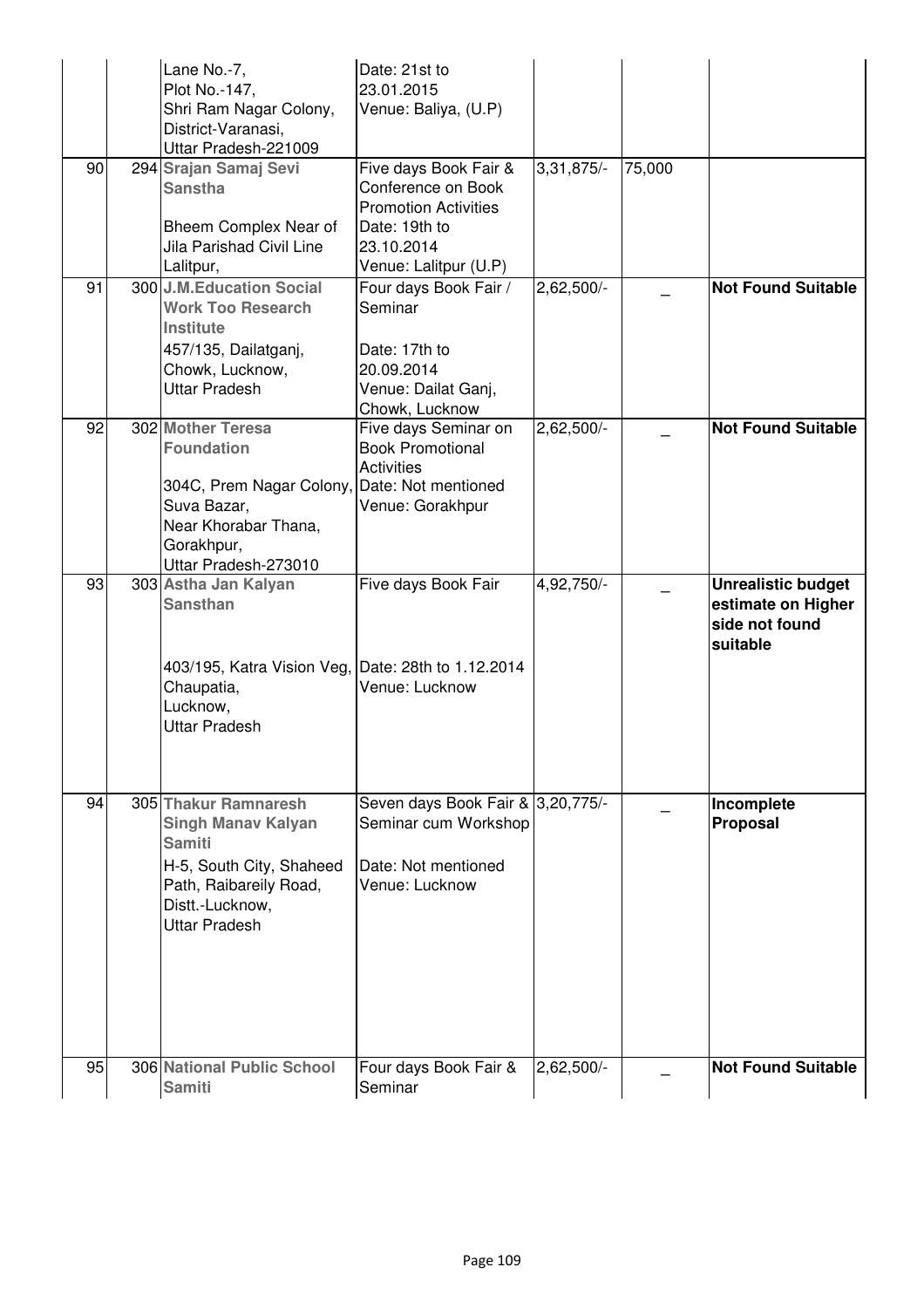|    | Lane No.-7,<br>Plot No.-147,<br>Shri Ram Nagar Colony,<br>District-Varanasi,<br>Uttar Pradesh-221009                                                                | Date: 21st to<br>23.01.2015<br>Venue: Baliya, (U.P)                                                                                |              |        |                                                                               |
|----|---------------------------------------------------------------------------------------------------------------------------------------------------------------------|------------------------------------------------------------------------------------------------------------------------------------|--------------|--------|-------------------------------------------------------------------------------|
| 90 | 294 Srajan Samaj Sevi<br><b>Sanstha</b><br>Bheem Complex Near of<br><b>Jila Parishad Civil Line</b><br>Lalitpur,                                                    | Five days Book Fair &<br>Conference on Book<br><b>Promotion Activities</b><br>Date: 19th to<br>23.10.2014<br>Venue: Lalitpur (U.P) | $3,31,875/-$ | 75,000 |                                                                               |
| 91 | 300 J.M.Education Social<br><b>Work Too Research</b><br><b>Institute</b><br>457/135, Dailatganj,<br>Chowk, Lucknow,<br><b>Uttar Pradesh</b>                         | Four days Book Fair /<br>Seminar<br>Date: 17th to<br>20.09.2014<br>Venue: Dailat Ganj,<br>Chowk, Lucknow                           | 2,62,500/-   |        | <b>Not Found Suitable</b>                                                     |
| 92 | 302 Mother Teresa<br><b>Foundation</b><br>304C, Prem Nagar Colony,<br>Suva Bazar,<br>Near Khorabar Thana,<br>Gorakhpur,<br>Uttar Pradesh-273010                     | Five days Seminar on<br><b>Book Promotional</b><br><b>Activities</b><br>Date: Not mentioned<br>Venue: Gorakhpur                    | $2,62,500/-$ |        | <b>Not Found Suitable</b>                                                     |
| 93 | 303 Astha Jan Kalyan<br><b>Sansthan</b><br>403/195, Katra Vision Veg, Date: 28th to 1.12.2014<br>Chaupatia,<br>Lucknow,<br><b>Uttar Pradesh</b>                     | Five days Book Fair<br>Venue: Lucknow                                                                                              | $4,92,750/-$ |        | <b>Unrealistic budget</b><br>estimate on Higher<br>side not found<br>suitable |
| 94 | 305 Thakur Ramnaresh<br><b>Singh Manav Kalyan</b><br><b>Samiti</b><br>H-5, South City, Shaheed<br>Path, Raibareily Road,<br>Distt.-Lucknow,<br><b>Uttar Pradesh</b> | Seven days Book Fair & 3,20,775/-<br>Seminar cum Workshop<br>Date: Not mentioned<br>Venue: Lucknow                                 |              |        | Incomplete<br><b>Proposal</b>                                                 |
| 95 | 306 National Public School<br><b>Samiti</b>                                                                                                                         | Four days Book Fair &<br>Seminar                                                                                                   | 2,62,500/-   |        | <b>Not Found Suitable</b>                                                     |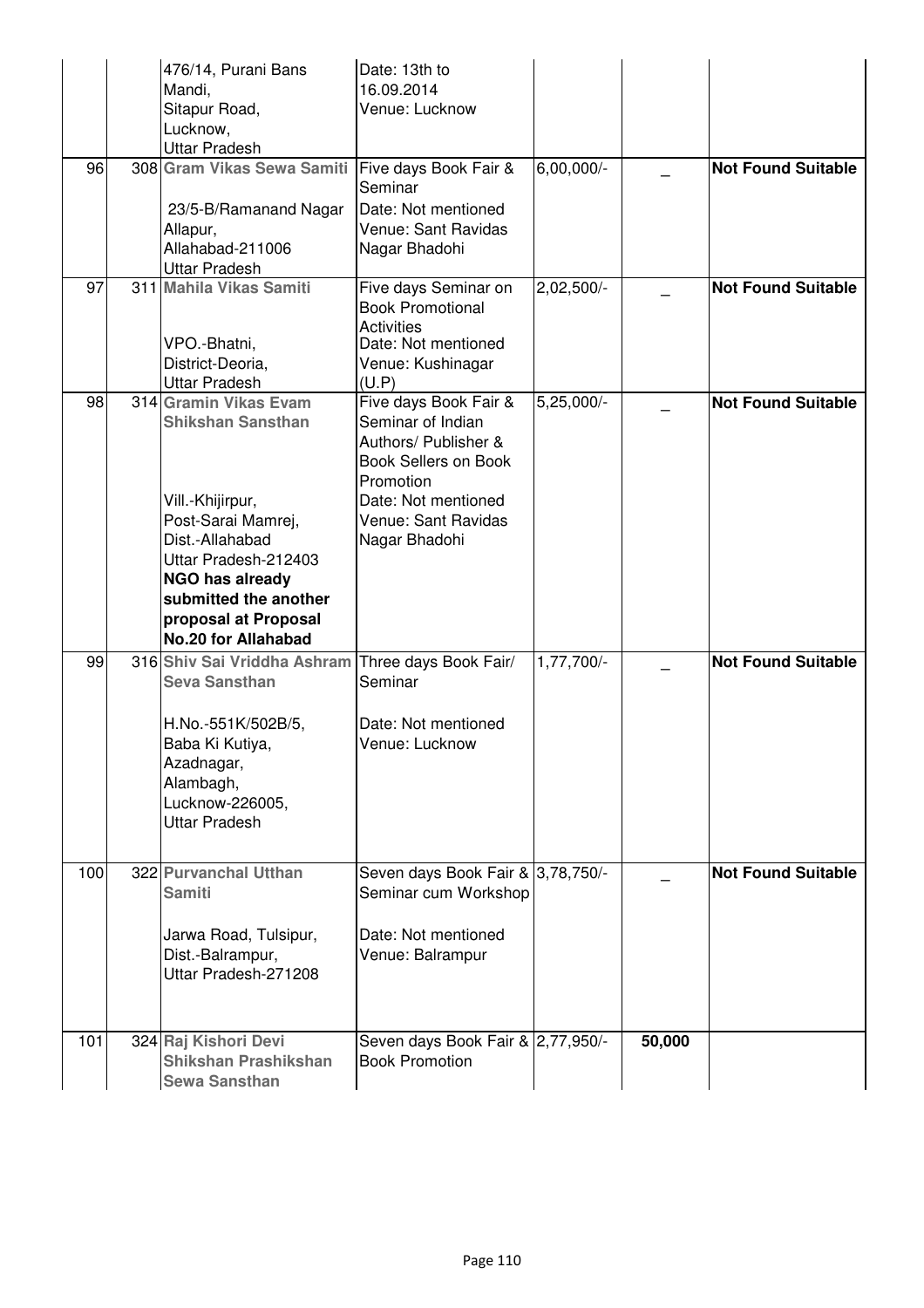|     | 476/14, Purani Bans<br>Mandi,<br>Sitapur Road,<br>Lucknow,<br><b>Uttar Pradesh</b>                                                                                                                                                       | Date: 13th to<br>16.09.2014<br>Venue: Lucknow                                                                                                                                 |              |        |                           |
|-----|------------------------------------------------------------------------------------------------------------------------------------------------------------------------------------------------------------------------------------------|-------------------------------------------------------------------------------------------------------------------------------------------------------------------------------|--------------|--------|---------------------------|
| 96  | 308 Gram Vikas Sewa Samiti<br>23/5-B/Ramanand Nagar<br>Allapur,<br>Allahabad-211006<br><b>Uttar Pradesh</b>                                                                                                                              | Five days Book Fair &<br>Seminar<br>Date: Not mentioned<br>Venue: Sant Ravidas<br>Nagar Bhadohi                                                                               | $6,00,000/-$ |        | <b>Not Found Suitable</b> |
| 97  | 311 Mahila Vikas Samiti<br>VPO.-Bhatni,<br>District-Deoria,<br><b>Uttar Pradesh</b>                                                                                                                                                      | Five days Seminar on<br><b>Book Promotional</b><br><b>Activities</b><br>Date: Not mentioned<br>Venue: Kushinagar<br>(U.P)                                                     | 2,02,500/-   |        | <b>Not Found Suitable</b> |
| 98  | 314 Gramin Vikas Evam<br><b>Shikshan Sansthan</b><br>Vill.-Khijirpur,<br>Post-Sarai Mamrej,<br>Dist.-Allahabad<br>Uttar Pradesh-212403<br>NGO has already<br>submitted the another<br>proposal at Proposal<br><b>No.20 for Allahabad</b> | Five days Book Fair &<br>Seminar of Indian<br>Authors/ Publisher &<br><b>Book Sellers on Book</b><br>Promotion<br>Date: Not mentioned<br>Venue: Sant Ravidas<br>Nagar Bhadohi | $5,25,000/-$ |        | <b>Not Found Suitable</b> |
| 99  | 316 Shiv Sai Vriddha Ashram<br><b>Seva Sansthan</b><br>H.No.-551K/502B/5,<br>Baba Ki Kutiya,<br>Azadnagar,<br>Alambagh,<br>Lucknow-226005,<br>Uttar Pradesh                                                                              | Three days Book Fair/<br>Seminar<br>Date: Not mentioned<br>Venue: Lucknow                                                                                                     | 1,77,700/-   |        | <b>Not Found Suitable</b> |
| 100 | 322 Purvanchal Utthan<br><b>Samiti</b><br>Jarwa Road, Tulsipur,<br>Dist.-Balrampur,<br>Uttar Pradesh-271208                                                                                                                              | Seven days Book Fair & 3,78,750/-<br>Seminar cum Workshop<br>Date: Not mentioned<br>Venue: Balrampur                                                                          |              |        | <b>Not Found Suitable</b> |
| 101 | 324 Raj Kishori Devi<br><b>Shikshan Prashikshan</b><br><b>Sewa Sansthan</b>                                                                                                                                                              | Seven days Book Fair & 2,77,950/-<br><b>Book Promotion</b>                                                                                                                    |              | 50,000 |                           |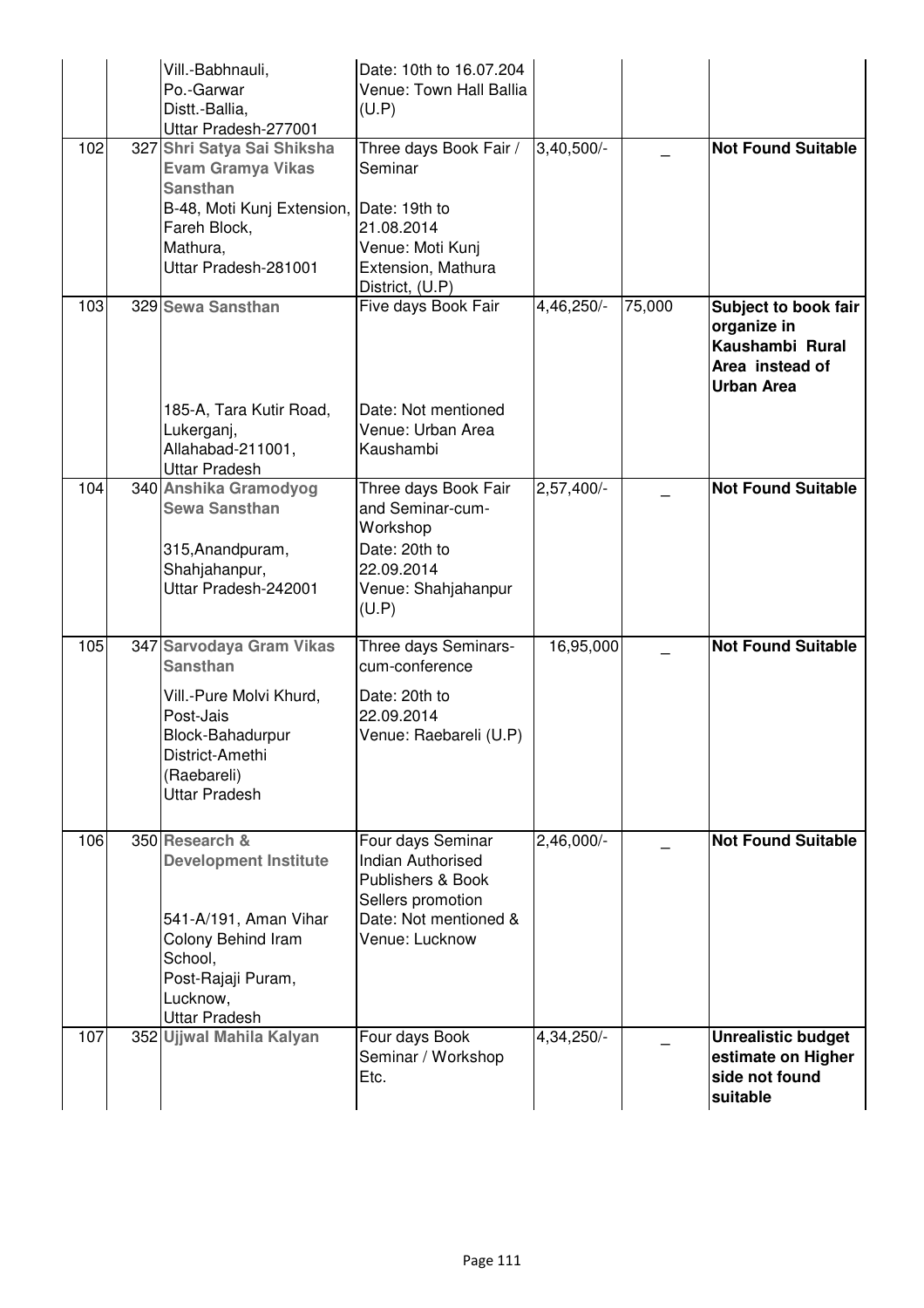|     | Vill.-Babhnauli,<br>Po.-Garwar<br>Distt.-Ballia,<br>Uttar Pradesh-277001                                                                                           | Date: 10th to 16.07.204<br>Venue: Town Hall Ballia<br>(U.P)                                                                        |              |        |                                                                                                |
|-----|--------------------------------------------------------------------------------------------------------------------------------------------------------------------|------------------------------------------------------------------------------------------------------------------------------------|--------------|--------|------------------------------------------------------------------------------------------------|
| 102 | 327 Shri Satya Sai Shiksha<br><b>Evam Gramya Vikas</b><br><b>Sansthan</b><br>B-48, Moti Kunj Extension,<br>Fareh Block,<br>Mathura,<br>Uttar Pradesh-281001        | Three days Book Fair /<br>Seminar<br>Date: 19th to<br>21.08.2014<br>Venue: Moti Kunj<br>Extension, Mathura<br>District, (U.P)      | 3,40,500/-   |        | <b>Not Found Suitable</b>                                                                      |
| 103 | 329 Sewa Sansthan<br>185-A, Tara Kutir Road,<br>Lukerganj,<br>Allahabad-211001,<br><b>Uttar Pradesh</b>                                                            | Five days Book Fair<br>Date: Not mentioned<br>Venue: Urban Area<br>Kaushambi                                                       | 4,46,250/-   | 75,000 | Subject to book fair<br>organize in<br>Kaushambi Rural<br>Area instead of<br><b>Urban Area</b> |
| 104 | 340 Anshika Gramodyog<br><b>Sewa Sansthan</b><br>315, Anandpuram,<br>Shahjahanpur,<br>Uttar Pradesh-242001                                                         | Three days Book Fair<br>and Seminar-cum-<br>Workshop<br>Date: 20th to<br>22.09.2014<br>Venue: Shahjahanpur<br>(U.P)                | $2,57,400/-$ |        | <b>Not Found Suitable</b>                                                                      |
| 105 | 347 Sarvodaya Gram Vikas<br><b>Sansthan</b><br>Vill.-Pure Molvi Khurd,<br>Post-Jais<br>Block-Bahadurpur<br>District-Amethi<br>(Raebareli)<br><b>Uttar Pradesh</b>  | Three days Seminars-<br>cum-conference<br>Date: 20th to<br>22.09.2014<br>Venue: Raebareli (U.P)                                    | 16,95,000    |        | <b>Not Found Suitable</b>                                                                      |
| 106 | 350 Research &<br><b>Development Institute</b><br>541-A/191, Aman Vihar<br>Colony Behind Iram<br>School,<br>Post-Rajaji Puram,<br>Lucknow,<br><b>Uttar Pradesh</b> | Four days Seminar<br><b>Indian Authorised</b><br>Publishers & Book<br>Sellers promotion<br>Date: Not mentioned &<br>Venue: Lucknow | $2,46,000/-$ |        | <b>Not Found Suitable</b>                                                                      |
| 107 | 352 Ujjwal Mahila Kalyan                                                                                                                                           | Four days Book<br>Seminar / Workshop<br>Etc.                                                                                       | 4,34,250/-   |        | <b>Unrealistic budget</b><br>estimate on Higher<br>side not found<br>suitable                  |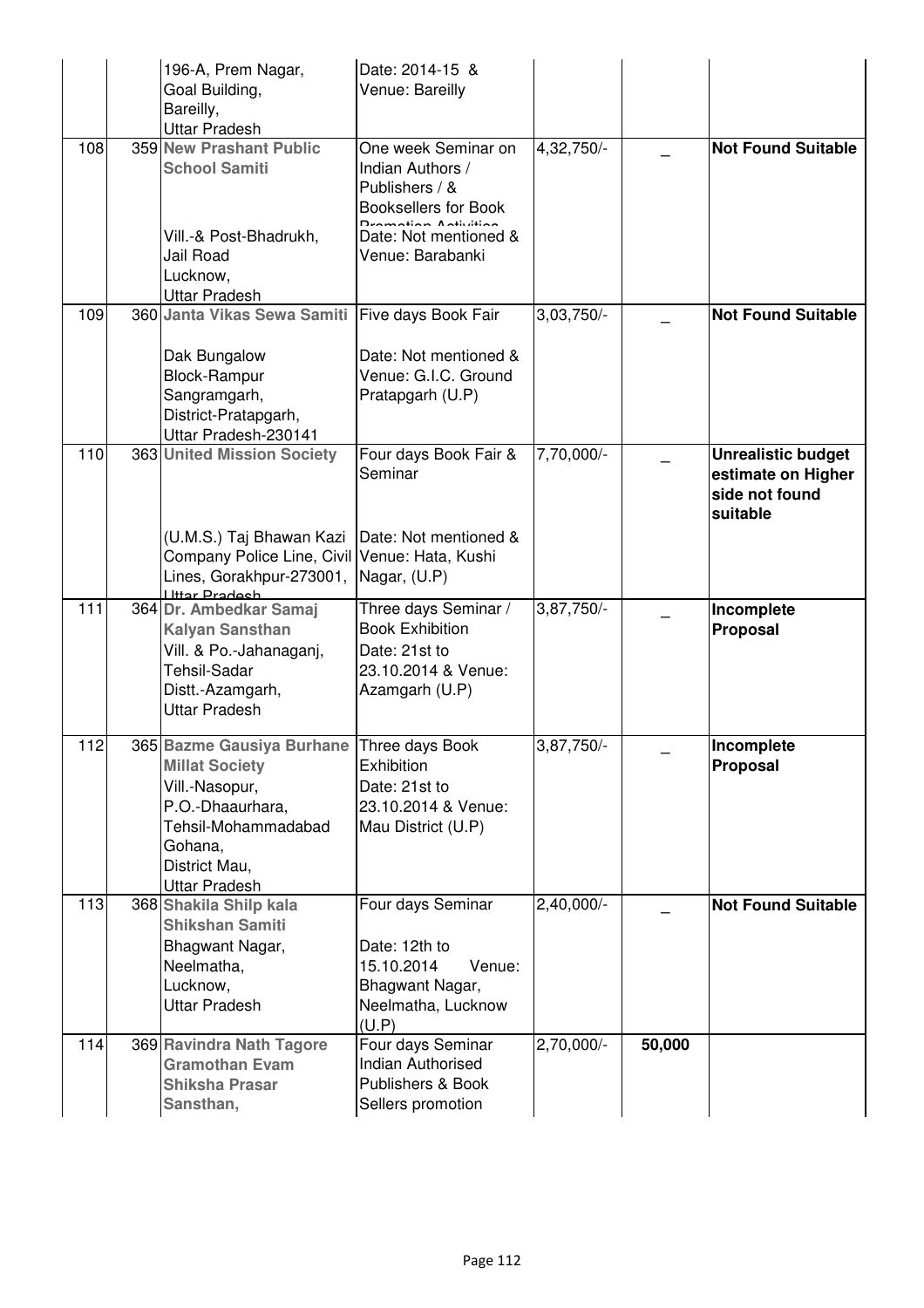|     | 196-A, Prem Nagar,<br>Goal Building,<br>Bareilly,<br><b>Uttar Pradesh</b>                                                                                                    | Date: 2014-15 &<br>Venue: Bareilly                                                                                             |              |        |                                                                               |
|-----|------------------------------------------------------------------------------------------------------------------------------------------------------------------------------|--------------------------------------------------------------------------------------------------------------------------------|--------------|--------|-------------------------------------------------------------------------------|
| 108 | 359 New Prashant Public<br><b>School Samiti</b>                                                                                                                              | One week Seminar on<br>Indian Authors /<br>Publishers / &<br><b>Booksellers for Book</b><br>لمستلفات والقمار المستنقط ومستمردا | 4,32,750/-   |        | <b>Not Found Suitable</b>                                                     |
|     | Vill.-& Post-Bhadrukh,<br>Jail Road<br>Lucknow,<br><b>Uttar Pradesh</b>                                                                                                      | Date: Not mentioned &<br>Venue: Barabanki                                                                                      |              |        |                                                                               |
| 109 | 360 Janta Vikas Sewa Samiti Five days Book Fair                                                                                                                              |                                                                                                                                | $3,03,750/-$ |        | <b>Not Found Suitable</b>                                                     |
|     | Dak Bungalow<br><b>Block-Rampur</b><br>Sangramgarh,<br>District-Pratapgarh,<br>Uttar Pradesh-230141                                                                          | Date: Not mentioned &<br>Venue: G.I.C. Ground<br>Pratapgarh (U.P)                                                              |              |        |                                                                               |
| 110 | 363 United Mission Society                                                                                                                                                   | Four days Book Fair &<br>Seminar                                                                                               | 7,70,000/-   |        | <b>Unrealistic budget</b><br>estimate on Higher<br>side not found<br>suitable |
|     | (U.M.S.) Taj Bhawan Kazi<br>Company Police Line, Civil Venue: Hata, Kushi<br>Lines, Gorakhpur-273001, Nagar, (U.P)<br><b>Httar Pradech</b>                                   | Date: Not mentioned &                                                                                                          |              |        |                                                                               |
| 111 | 364 Dr. Ambedkar Samaj<br><b>Kalyan Sansthan</b><br>Vill. & Po.-Jahanaganj,<br><b>Tehsil-Sadar</b><br>Distt.-Azamgarh,<br><b>Uttar Pradesh</b>                               | Three days Seminar /<br><b>Book Exhibition</b><br>Date: 21st to<br>23.10.2014 & Venue:<br>Azamgarh (U.P)                       | 3,87,750/-   |        | Incomplete<br><b>Proposal</b>                                                 |
| 112 | 365 Bazme Gausiya Burhane Three days Book<br><b>Millat Society</b><br>Vill.-Nasopur,<br>P.O.-Dhaaurhara,<br>Tehsil-Mohammadabad<br>Gohana,<br>District Mau,<br>Uttar Pradesh | Exhibition<br>Date: 21st to<br>23.10.2014 & Venue:<br>Mau District (U.P)                                                       | 3,87,750/-   |        | Incomplete<br>Proposal                                                        |
| 113 | 368 Shakila Shilp kala<br><b>Shikshan Samiti</b><br>Bhagwant Nagar,<br>Neelmatha,<br>Lucknow,<br><b>Uttar Pradesh</b>                                                        | Four days Seminar<br>Date: 12th to<br>15.10.2014<br>Venue:<br>Bhagwant Nagar,<br>Neelmatha, Lucknow<br>(U.P)                   | $2,40,000/-$ |        | <b>Not Found Suitable</b>                                                     |
| 114 | 369 Ravindra Nath Tagore<br><b>Gramothan Evam</b><br><b>Shiksha Prasar</b><br>Sansthan,                                                                                      | Four days Seminar<br><b>Indian Authorised</b><br>Publishers & Book<br>Sellers promotion                                        | 2,70,000/-   | 50,000 |                                                                               |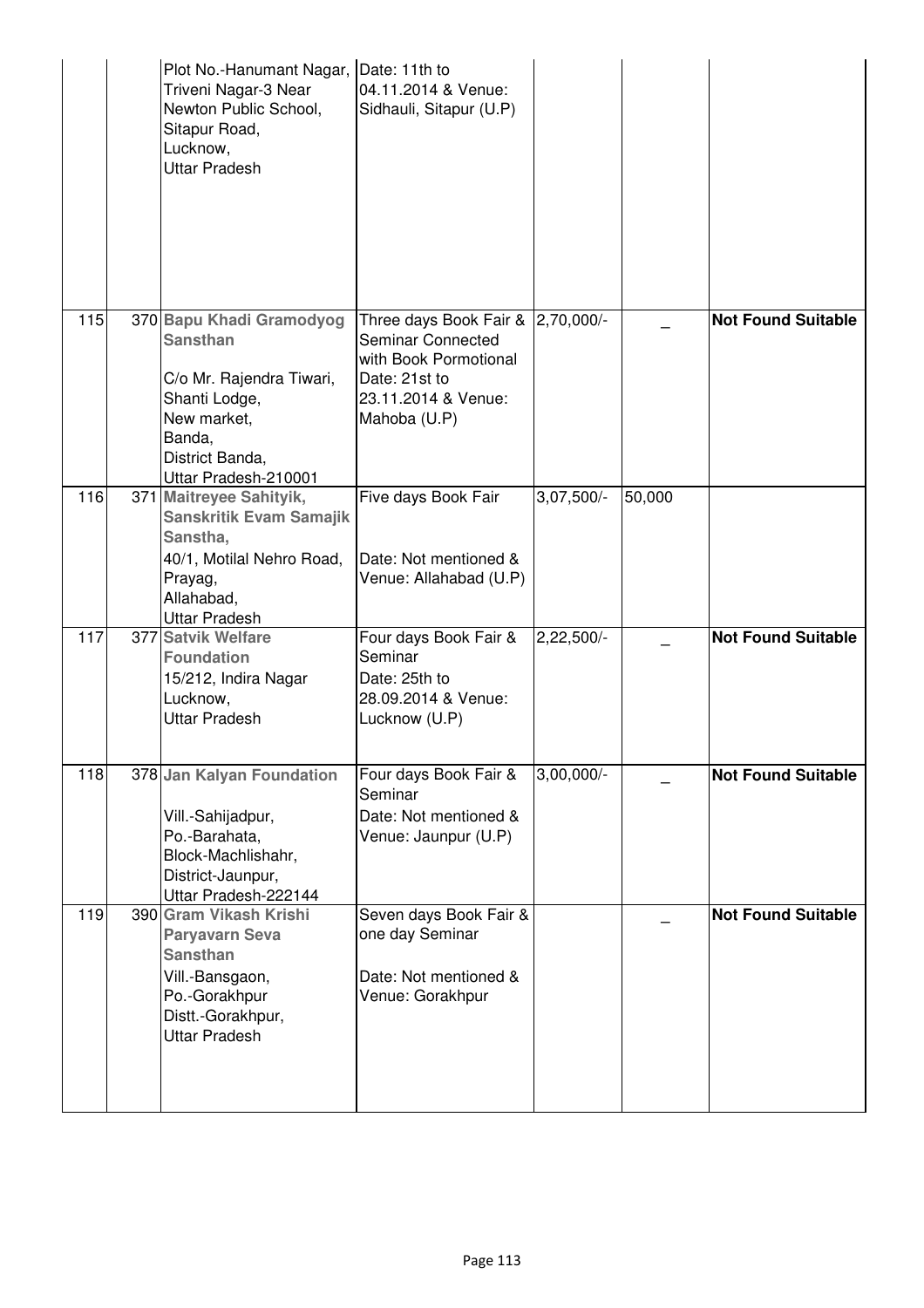|     | Plot No.-Hanumant Nagar, Date: 11th to<br>Triveni Nagar-3 Near<br>Newton Public School,<br>Sitapur Road,<br>Lucknow,<br><b>Uttar Pradesh</b>                 | 04.11.2014 & Venue:<br>Sidhauli, Sitapur (U.P)                                                                                                 |              |        |                           |
|-----|--------------------------------------------------------------------------------------------------------------------------------------------------------------|------------------------------------------------------------------------------------------------------------------------------------------------|--------------|--------|---------------------------|
| 115 | 370 Bapu Khadi Gramodyog<br><b>Sansthan</b><br>C/o Mr. Rajendra Tiwari,<br>Shanti Lodge,<br>New market,<br>Banda,<br>District Banda,<br>Uttar Pradesh-210001 | Three days Book Fair & 2,70,000/-<br><b>Seminar Connected</b><br>with Book Pormotional<br>Date: 21st to<br>23.11.2014 & Venue:<br>Mahoba (U.P) |              |        | <b>Not Found Suitable</b> |
| 116 | 371 Maitreyee Sahityik,<br><b>Sanskritik Evam Samajik</b><br>Sanstha,<br>40/1, Motilal Nehro Road,<br>Prayag,<br>Allahabad,<br><b>Uttar Pradesh</b>          | Five days Book Fair<br>Date: Not mentioned &<br>Venue: Allahabad (U.P)                                                                         | $3,07,500/-$ | 50,000 |                           |
| 117 | 377 Satvik Welfare<br><b>Foundation</b><br>15/212, Indira Nagar<br>Lucknow,<br><b>Uttar Pradesh</b>                                                          | Four days Book Fair &<br>Seminar<br>Date: 25th to<br>28.09.2014 & Venue:<br>Lucknow (U.P)                                                      | $2,22,500/-$ |        | <b>Not Found Suitable</b> |
| 118 | 378 Jan Kalyan Foundation<br>Vill.-Sahijadpur,<br>Po.-Barahata,<br>Block-Machlishahr,<br>District-Jaunpur,<br>Uttar Pradesh-222144                           | Four days Book Fair &<br>Seminar<br>Date: Not mentioned &<br>Venue: Jaunpur (U.P)                                                              | $3,00,000/-$ |        | <b>Not Found Suitable</b> |
| 119 | 390 Gram Vikash Krishi<br><b>Paryavarn Seva</b><br><b>Sansthan</b><br>Vill.-Bansgaon,<br>Po.-Gorakhpur<br>Distt.-Gorakhpur,<br><b>Uttar Pradesh</b>          | Seven days Book Fair &<br>one day Seminar<br>Date: Not mentioned &<br>Venue: Gorakhpur                                                         |              |        | <b>Not Found Suitable</b> |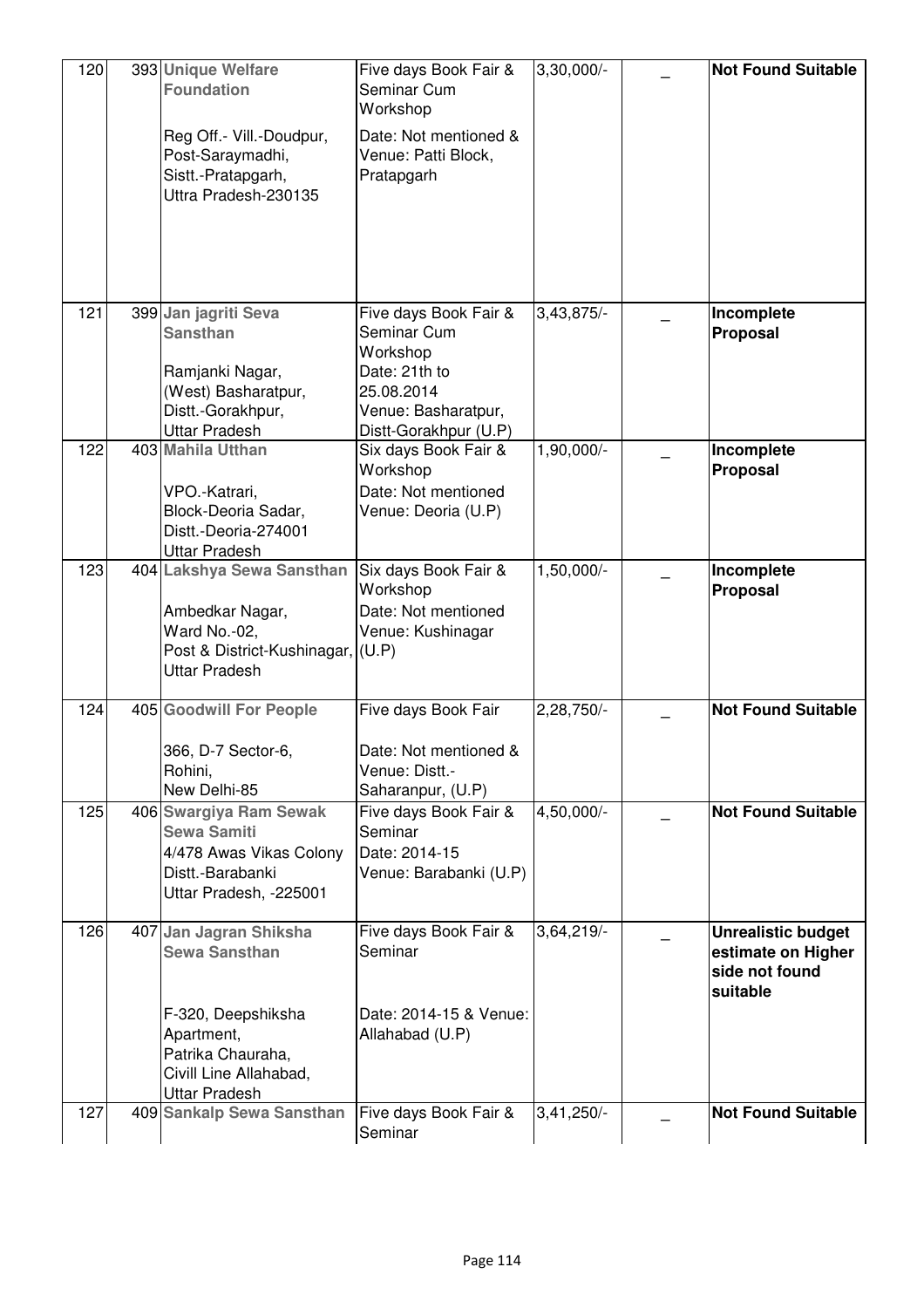| 120 | 393 Unique Welfare<br><b>Foundation</b>                                                                               | Five days Book Fair &<br>Seminar Cum<br>Workshop                            | 3,30,000/-   | <b>Not Found Suitable</b>                                                     |
|-----|-----------------------------------------------------------------------------------------------------------------------|-----------------------------------------------------------------------------|--------------|-------------------------------------------------------------------------------|
|     | Reg Off.- Vill.-Doudpur,<br>Post-Saraymadhi,<br>Sistt.-Pratapgarh,<br>Uttra Pradesh-230135                            | Date: Not mentioned &<br>Venue: Patti Block,<br>Pratapgarh                  |              |                                                                               |
|     |                                                                                                                       |                                                                             |              |                                                                               |
| 121 | 399 Jan jagriti Seva<br><b>Sansthan</b>                                                                               | Five days Book Fair &<br>Seminar Cum<br>Workshop                            | 3,43,875/-   | Incomplete<br>Proposal                                                        |
|     | Ramjanki Nagar,<br>(West) Basharatpur,<br>Distt.-Gorakhpur,<br><b>Uttar Pradesh</b>                                   | Date: 21th to<br>25.08.2014<br>Venue: Basharatpur,<br>Distt-Gorakhpur (U.P) |              |                                                                               |
| 122 | 403 Mahila Utthan                                                                                                     | Six days Book Fair &<br>Workshop                                            | 1,90,000/-   | Incomplete<br>Proposal                                                        |
|     | VPO.-Katrari,<br>Block-Deoria Sadar,<br>Distt.-Deoria-274001<br><b>Uttar Pradesh</b>                                  | Date: Not mentioned<br>Venue: Deoria (U.P)                                  |              |                                                                               |
| 123 | 404 Lakshya Sewa Sansthan                                                                                             | Six days Book Fair &<br>Workshop                                            | 1,50,000/-   | Incomplete<br>Proposal                                                        |
|     | Ambedkar Nagar,<br>Ward No.-02,<br>Post & District-Kushinagar, (U.P)<br><b>Uttar Pradesh</b>                          | Date: Not mentioned<br>Venue: Kushinagar                                    |              |                                                                               |
| 124 | 405 Goodwill For People                                                                                               | Five days Book Fair                                                         | 2,28,750/-   | <b>Not Found Suitable</b>                                                     |
|     | 366, D-7 Sector-6,<br>Rohini,<br>New Delhi-85                                                                         | Date: Not mentioned &<br>Venue: Distt.-<br>Saharanpur, (U.P)                |              |                                                                               |
| 125 | 406 Swargiya Ram Sewak<br><b>Sewa Samiti</b><br>4/478 Awas Vikas Colony<br>Distt.-Barabanki<br>Uttar Pradesh, -225001 | Five days Book Fair &<br>Seminar<br>Date: 2014-15<br>Venue: Barabanki (U.P) | 4,50,000/-   | <b>Not Found Suitable</b>                                                     |
| 126 | 407 Jan Jagran Shiksha<br><b>Sewa Sansthan</b>                                                                        | Five days Book Fair &<br>Seminar                                            | 3,64,219/-   | <b>Unrealistic budget</b><br>estimate on Higher<br>side not found<br>suitable |
|     | F-320, Deepshiksha<br>Apartment,<br>Patrika Chauraha,<br>Civill Line Allahabad,<br><b>Uttar Pradesh</b>               | Date: 2014-15 & Venue:<br>Allahabad (U.P)                                   |              |                                                                               |
| 127 | 409 Sankalp Sewa Sansthan                                                                                             | Five days Book Fair &<br>Seminar                                            | $3,41,250/-$ | <b>Not Found Suitable</b>                                                     |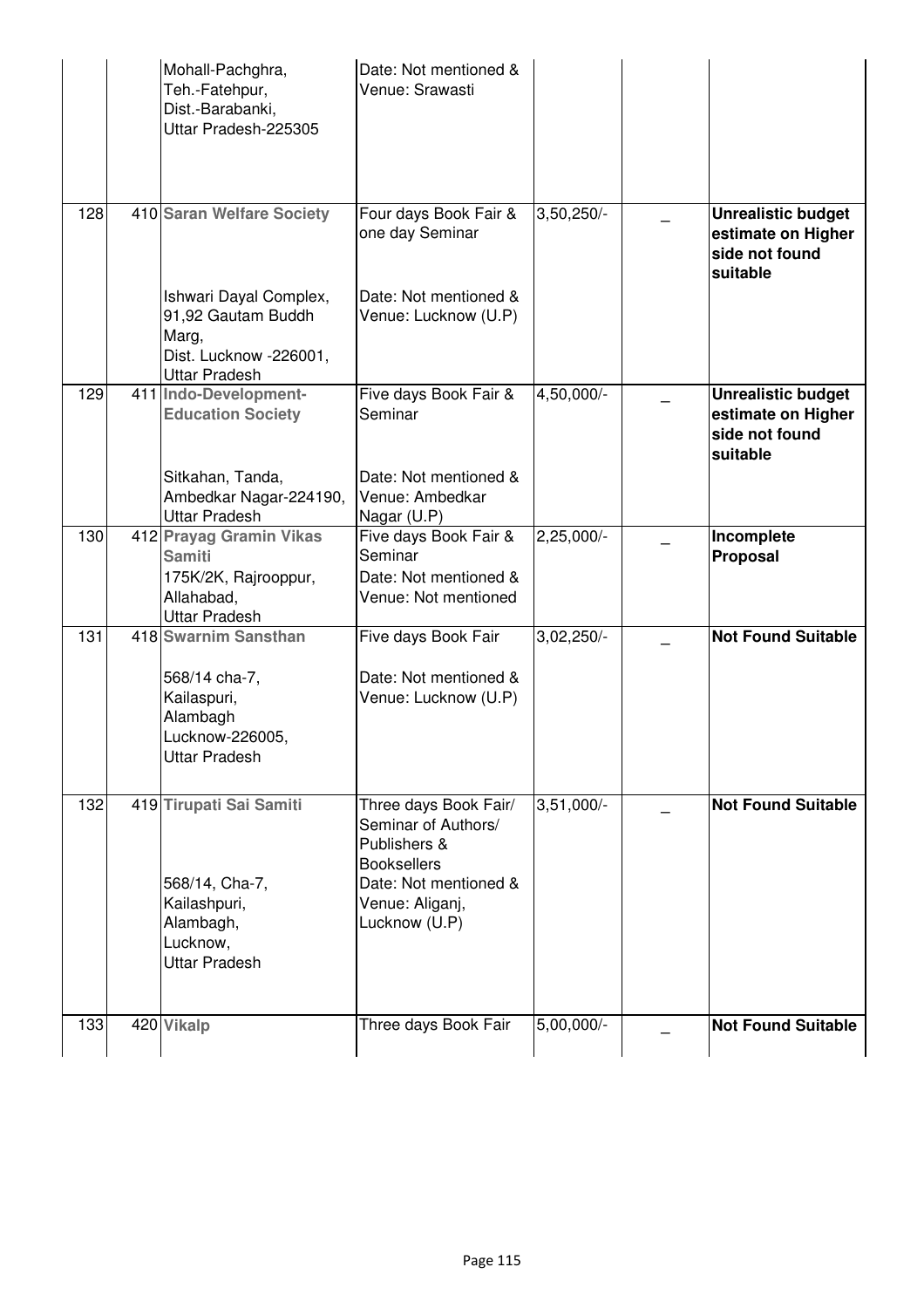|     | Mohall-Pachghra,<br>Teh.-Fatehpur,<br>Dist.-Barabanki,<br>Uttar Pradesh-225305                             | Date: Not mentioned &<br>Venue: Srawasti                                                                                                        |              |                                                                               |
|-----|------------------------------------------------------------------------------------------------------------|-------------------------------------------------------------------------------------------------------------------------------------------------|--------------|-------------------------------------------------------------------------------|
| 128 | 410 Saran Welfare Society<br>Ishwari Dayal Complex,<br>91,92 Gautam Buddh                                  | Four days Book Fair &<br>one day Seminar<br>Date: Not mentioned &<br>Venue: Lucknow (U.P)                                                       | 3,50,250/-   | <b>Unrealistic budget</b><br>estimate on Higher<br>side not found<br>suitable |
|     | Marg,<br>Dist. Lucknow -226001,<br><b>Uttar Pradesh</b>                                                    |                                                                                                                                                 |              |                                                                               |
| 129 | 411 Indo-Development-<br><b>Education Society</b>                                                          | Five days Book Fair &<br>Seminar                                                                                                                | 4,50,000/-   | <b>Unrealistic budget</b><br>estimate on Higher<br>side not found<br>suitable |
|     | Sitkahan, Tanda,<br>Ambedkar Nagar-224190,<br><b>Uttar Pradesh</b>                                         | Date: Not mentioned &<br>Venue: Ambedkar<br>Nagar (U.P)                                                                                         |              |                                                                               |
| 130 | 412 Prayag Gramin Vikas<br><b>Samiti</b><br>175K/2K, Rajrooppur,<br>Allahabad,<br><b>Uttar Pradesh</b>     | Five days Book Fair &<br>Seminar<br>Date: Not mentioned &<br>Venue: Not mentioned                                                               | $2,25,000/-$ | Incomplete<br>Proposal                                                        |
| 131 | 418 Swarnim Sansthan                                                                                       | Five days Book Fair                                                                                                                             | 3,02,250/-   | <b>Not Found Suitable</b>                                                     |
|     | 568/14 cha-7,<br>Kailaspuri,<br>Alambagh<br>Lucknow-226005,<br>Uttar Pradesh                               | Date: Not mentioned &<br>Venue: Lucknow (U.P)                                                                                                   |              |                                                                               |
| 132 | 419 Tirupati Sai Samiti<br>568/14, Cha-7,<br>Kailashpuri,<br>Alambagh,<br>Lucknow,<br><b>Uttar Pradesh</b> | Three days Book Fair/<br>Seminar of Authors/<br>Publishers &<br><b>Booksellers</b><br>Date: Not mentioned &<br>Venue: Aliganj,<br>Lucknow (U.P) | $3,51,000/-$ | <b>Not Found Suitable</b>                                                     |
| 133 | 420 Vikalp                                                                                                 | Three days Book Fair                                                                                                                            | 5,00,000/-   | <b>Not Found Suitable</b>                                                     |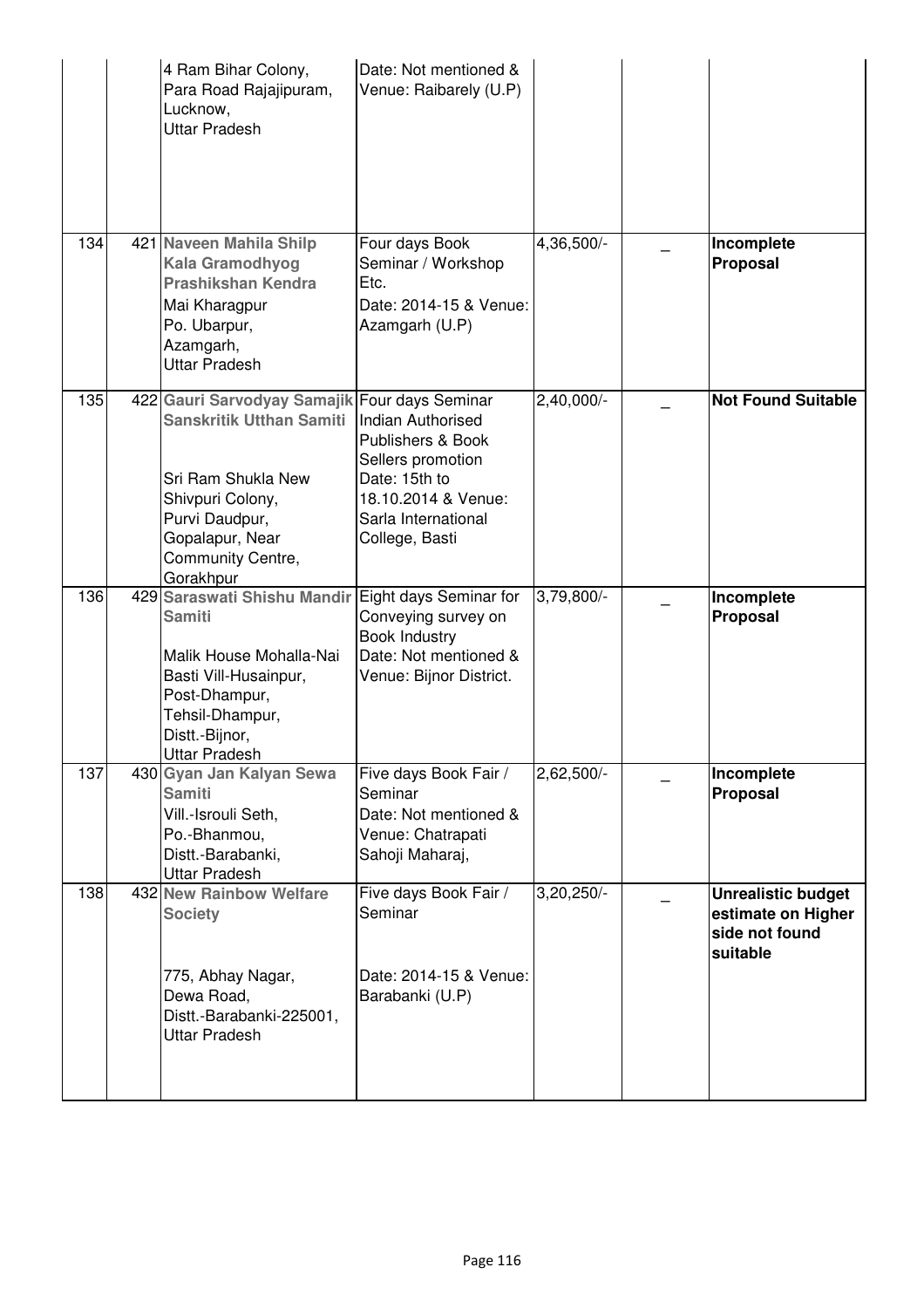|     | 4 Ram Bihar Colony,<br>Para Road Rajajipuram,<br>Lucknow,<br><b>Uttar Pradesh</b>                                                                                                                 | Date: Not mentioned &<br>Venue: Raibarely (U.P)                                                                                                     |              |                                                                               |
|-----|---------------------------------------------------------------------------------------------------------------------------------------------------------------------------------------------------|-----------------------------------------------------------------------------------------------------------------------------------------------------|--------------|-------------------------------------------------------------------------------|
| 134 | 421 Naveen Mahila Shilp<br><b>Kala Gramodhyog</b><br><b>Prashikshan Kendra</b><br>Mai Kharagpur<br>Po. Ubarpur,<br>Azamgarh,<br>Uttar Pradesh                                                     | Four days Book<br>Seminar / Workshop<br>Etc.<br>Date: 2014-15 & Venue:<br>Azamgarh (U.P)                                                            | 4,36,500/-   | Incomplete<br><b>Proposal</b>                                                 |
| 135 | 422 Gauri Sarvodyay Samajik Four days Seminar<br><b>Sanskritik Utthan Samiti</b><br>Sri Ram Shukla New<br>Shivpuri Colony,<br>Purvi Daudpur,<br>Gopalapur, Near<br>Community Centre,<br>Gorakhpur | <b>Indian Authorised</b><br>Publishers & Book<br>Sellers promotion<br>Date: 15th to<br>18.10.2014 & Venue:<br>Sarla International<br>College, Basti | 2,40,000/-   | <b>Not Found Suitable</b>                                                     |
| 136 | 429 Saraswati Shishu Mandir<br><b>Samiti</b><br>Malik House Mohalla-Nai<br>Basti Vill-Husainpur,<br>Post-Dhampur,<br>Tehsil-Dhampur,<br>Distt.-Bijnor,<br><b>Uttar Pradesh</b>                    | Eight days Seminar for<br>Conveying survey on<br><b>Book Industry</b><br>Date: Not mentioned &<br>Venue: Bijnor District.                           | 3,79,800/-   | Incomplete<br><b>Proposal</b>                                                 |
| 137 | 430 Gyan Jan Kalyan Sewa<br><b>Samiti</b><br>Vill.-Isrouli Seth,<br>Po.-Bhanmou,<br>Distt.-Barabanki,<br><b>Uttar Pradesh</b>                                                                     | Five days Book Fair /<br>Seminar<br>Date: Not mentioned &<br>Venue: Chatrapati<br>Sahoji Maharaj,                                                   | $2,62,500/-$ | Incomplete<br><b>Proposal</b>                                                 |
| 138 | 432 New Rainbow Welfare<br><b>Society</b><br>775, Abhay Nagar,<br>Dewa Road,<br>Distt.-Barabanki-225001,<br><b>Uttar Pradesh</b>                                                                  | Five days Book Fair /<br>Seminar<br>Date: 2014-15 & Venue:<br>Barabanki (U.P)                                                                       | 3,20,250/-   | <b>Unrealistic budget</b><br>estimate on Higher<br>side not found<br>suitable |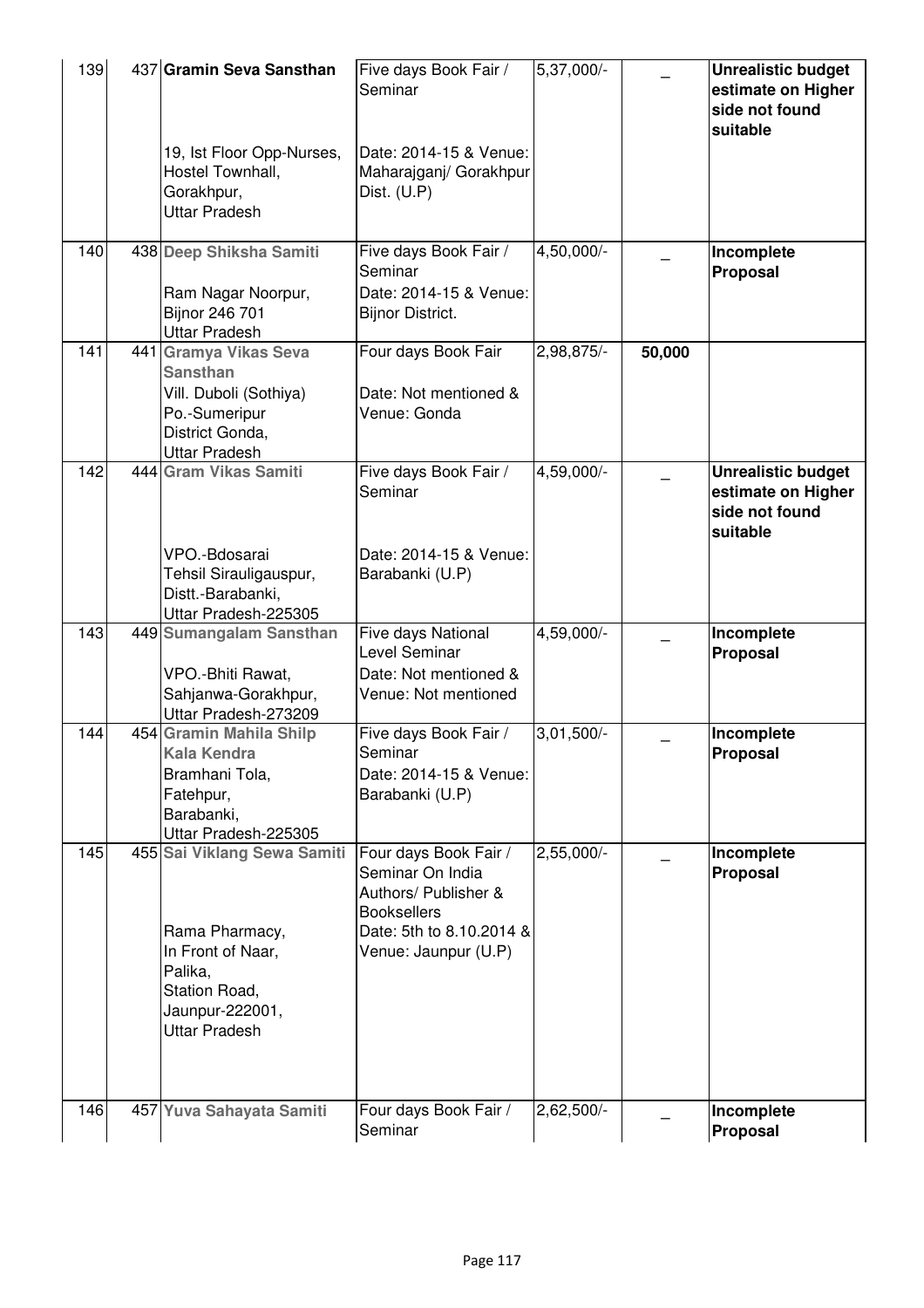| 139 | 437 Gramin Seva Sansthan<br>19, Ist Floor Opp-Nurses,<br>Hostel Townhall,<br>Gorakhpur,<br><b>Uttar Pradesh</b>                           | Five days Book Fair /<br>Seminar<br>Date: 2014-15 & Venue:<br>Maharajganj/ Gorakhpur<br>Dist. $(U.P)$                                       | 5,37,000/-                           |        | <b>Unrealistic budget</b><br>estimate on Higher<br>side not found<br>suitable |
|-----|-------------------------------------------------------------------------------------------------------------------------------------------|---------------------------------------------------------------------------------------------------------------------------------------------|--------------------------------------|--------|-------------------------------------------------------------------------------|
| 140 | 438 Deep Shiksha Samiti<br>Ram Nagar Noorpur,<br>Bijnor 246 701<br><b>Uttar Pradesh</b>                                                   | Five days Book Fair /<br>Seminar<br>Date: 2014-15 & Venue:<br><b>Bijnor District.</b>                                                       | $4,50,000$ <sup><math>-</math></sup> |        | Incomplete<br>Proposal                                                        |
| 141 | 441 Gramya Vikas Seva<br><b>Sansthan</b><br>Vill. Duboli (Sothiya)<br>Po.-Sumeripur<br>District Gonda,<br><b>Uttar Pradesh</b>            | Four days Book Fair<br>Date: Not mentioned &<br>Venue: Gonda                                                                                | 2,98,875/-                           | 50,000 |                                                                               |
| 142 | 444 Gram Vikas Samiti<br>VPO.-Bdosarai<br>Tehsil Sirauligauspur,<br>Distt.-Barabanki,                                                     | Five days Book Fair /<br>Seminar<br>Date: 2014-15 & Venue:<br>Barabanki (U.P)                                                               | 4,59,000/-                           |        | <b>Unrealistic budget</b><br>estimate on Higher<br>side not found<br>suitable |
| 143 | Uttar Pradesh-225305<br>449 Sumangalam Sansthan<br>VPO.-Bhiti Rawat,<br>Sahjanwa-Gorakhpur,<br>Uttar Pradesh-273209                       | Five days National<br>Level Seminar<br>Date: Not mentioned &<br>Venue: Not mentioned                                                        | 4,59,000/-                           |        | Incomplete<br>Proposal                                                        |
| 144 | 454 Gramin Mahila Shilp<br><b>Kala Kendra</b><br>Bramhani Tola,<br>Fatehpur,<br>Barabanki,<br>Uttar Pradesh-225305                        | Five days Book Fair /<br>Seminar<br>Date: 2014-15 & Venue:<br>Barabanki (U.P)                                                               | $3,01,500/-$                         |        | Incomplete<br>Proposal                                                        |
| 145 | 455 Sai Viklang Sewa Samiti<br>Rama Pharmacy,<br>In Front of Naar,<br>Palika,<br>Station Road,<br>Jaunpur-222001,<br><b>Uttar Pradesh</b> | Four days Book Fair /<br>Seminar On India<br>Authors/ Publisher &<br><b>Booksellers</b><br>Date: 5th to 8.10.2014 &<br>Venue: Jaunpur (U.P) | 2,55,000/-                           |        | Incomplete<br>Proposal                                                        |
| 146 | 457 Yuva Sahayata Samiti                                                                                                                  | Four days Book Fair /<br>Seminar                                                                                                            | $2,62,500/-$                         |        | Incomplete<br>Proposal                                                        |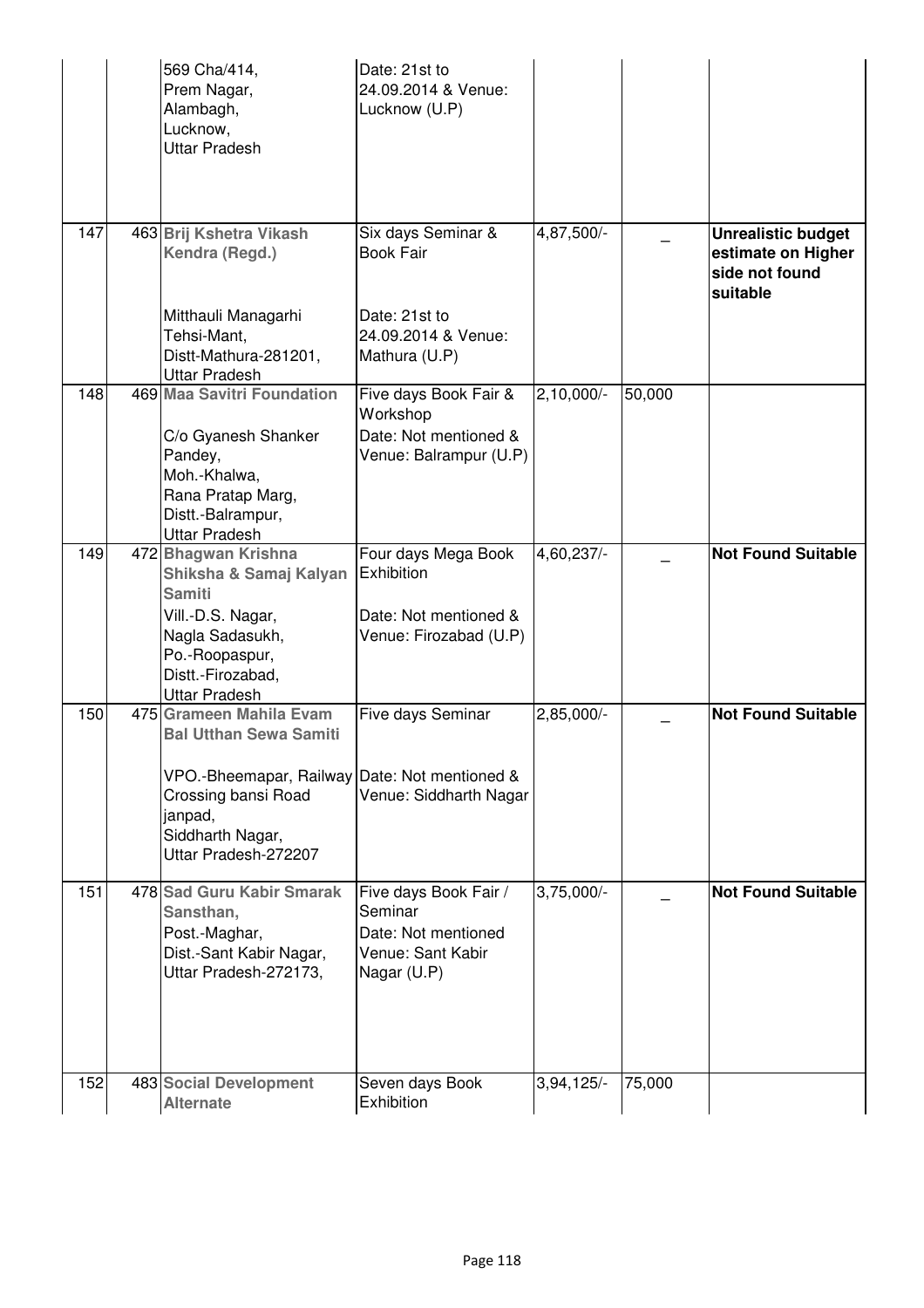|     | 569 Cha/414,<br>Prem Nagar,<br>Alambagh,<br>Lucknow,<br><b>Uttar Pradesh</b>                                                                                                            | Date: 21st to<br>24.09.2014 & Venue:<br>Lucknow (U.P)                                       |              |        |                                                                               |
|-----|-----------------------------------------------------------------------------------------------------------------------------------------------------------------------------------------|---------------------------------------------------------------------------------------------|--------------|--------|-------------------------------------------------------------------------------|
| 147 | 463 Brij Kshetra Vikash<br>Kendra (Regd.)<br>Mitthauli Managarhi<br>Tehsi-Mant,                                                                                                         | Six days Seminar &<br><b>Book Fair</b><br>Date: 21st to<br>24.09.2014 & Venue:              | 4,87,500/-   |        | <b>Unrealistic budget</b><br>estimate on Higher<br>side not found<br>suitable |
|     | Distt-Mathura-281201,<br><b>Uttar Pradesh</b>                                                                                                                                           | Mathura (U.P)                                                                               |              |        |                                                                               |
| 148 | 469 Maa Savitri Foundation<br>C/o Gyanesh Shanker<br>Pandey,<br>Moh.-Khalwa,<br>Rana Pratap Marg,<br>Distt.-Balrampur,<br><b>Uttar Pradesh</b>                                          | Five days Book Fair &<br>Workshop<br>Date: Not mentioned &<br>Venue: Balrampur (U.P)        | $2,10,000/-$ | 50,000 |                                                                               |
| 149 | 472 Bhagwan Krishna<br>Shiksha & Samaj Kalyan<br><b>Samiti</b><br>Vill.-D.S. Nagar,<br>Nagla Sadasukh,<br>Po.-Roopaspur,<br>Distt.-Firozabad,<br><b>Uttar Pradesh</b>                   | Four days Mega Book<br>Exhibition<br>Date: Not mentioned &<br>Venue: Firozabad (U.P)        | 4,60,237/-   |        | <b>Not Found Suitable</b>                                                     |
| 150 | 475 Grameen Mahila Evam<br><b>Bal Utthan Sewa Samiti</b><br>VPO.-Bheemapar, Railway Date: Not mentioned &<br>Crossing bansi Road<br>janpad,<br>Siddharth Nagar,<br>Uttar Pradesh-272207 | Five days Seminar<br>Venue: Siddharth Nagar                                                 | 2,85,000/-   |        | <b>Not Found Suitable</b>                                                     |
| 151 | 478 Sad Guru Kabir Smarak<br>Sansthan,<br>Post.-Maghar,<br>Dist.-Sant Kabir Nagar,<br>Uttar Pradesh-272173,                                                                             | Five days Book Fair /<br>Seminar<br>Date: Not mentioned<br>Venue: Sant Kabir<br>Nagar (U.P) | $3,75,000/-$ |        | <b>Not Found Suitable</b>                                                     |
| 152 | 483 Social Development<br><b>Alternate</b>                                                                                                                                              | Seven days Book<br>Exhibition                                                               | $3,94,125/-$ | 75,000 |                                                                               |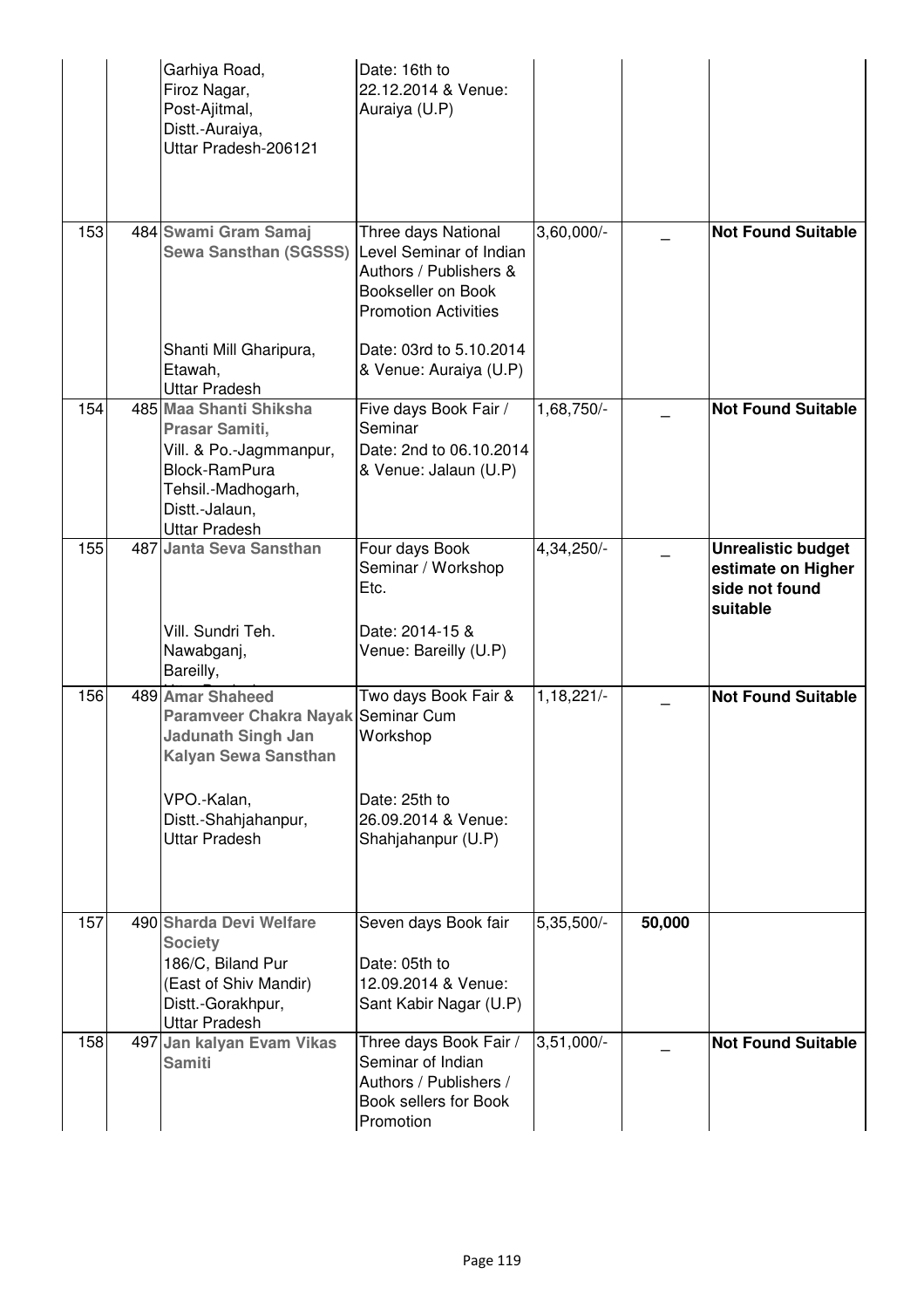|     | Garhiya Road,<br>Firoz Nagar,<br>Post-Ajitmal,<br>Distt.-Auraiya,<br>Uttar Pradesh-206121                                                                                  | Date: 16th to<br>22.12.2014 & Venue:<br>Auraiya (U.P)                                                                         |              |        |                                                                               |
|-----|----------------------------------------------------------------------------------------------------------------------------------------------------------------------------|-------------------------------------------------------------------------------------------------------------------------------|--------------|--------|-------------------------------------------------------------------------------|
| 153 | 484 Swami Gram Samaj<br><b>Sewa Sansthan (SGSSS)</b>                                                                                                                       | Three days National<br>Level Seminar of Indian<br>Authors / Publishers &<br>Bookseller on Book<br><b>Promotion Activities</b> | $3,60,000/-$ |        | <b>Not Found Suitable</b>                                                     |
|     | Shanti Mill Gharipura,<br>Etawah,<br><b>Uttar Pradesh</b>                                                                                                                  | Date: 03rd to 5.10.2014<br>& Venue: Auraiya (U.P)                                                                             |              |        |                                                                               |
| 154 | 485 Maa Shanti Shiksha<br>Prasar Samiti,<br>Vill. & Po.-Jagmmanpur,<br>Block-RamPura<br>Tehsil.-Madhogarh,<br>Distt.-Jalaun,<br><b>Uttar Pradesh</b>                       | Five days Book Fair /<br>Seminar<br>Date: 2nd to 06.10.2014<br>& Venue: Jalaun (U.P)                                          | 1,68,750/-   |        | <b>Not Found Suitable</b>                                                     |
| 155 | 487 Janta Seva Sansthan<br>Vill. Sundri Teh.<br>Nawabganj,<br>Bareilly,                                                                                                    | Four days Book<br>Seminar / Workshop<br>Etc.<br>Date: 2014-15 &<br>Venue: Bareilly (U.P)                                      | 4,34,250/-   |        | <b>Unrealistic budget</b><br>estimate on Higher<br>side not found<br>suitable |
| 156 | 489 Amar Shaheed<br>Paramveer Chakra Nayak Seminar Cum<br><b>Jadunath Singh Jan</b><br>Kalyan Sewa Sansthan<br>VPO.-Kalan,<br>Distt.-Shahjahanpur,<br><b>Uttar Pradesh</b> | Two days Book Fair &<br>Workshop<br>Date: 25th to<br>26.09.2014 & Venue:<br>Shahjahanpur (U.P)                                | 1,18,221/-   |        | <b>Not Found Suitable</b>                                                     |
| 157 | 490 Sharda Devi Welfare<br><b>Society</b><br>186/C, Biland Pur<br>(East of Shiv Mandir)<br>Distt.-Gorakhpur,<br><b>Uttar Pradesh</b>                                       | Seven days Book fair<br>Date: 05th to<br>12.09.2014 & Venue:<br>Sant Kabir Nagar (U.P)                                        | 5,35,500/-   | 50,000 |                                                                               |
| 158 | 497 Jan kalyan Evam Vikas<br><b>Samiti</b>                                                                                                                                 | Three days Book Fair /<br>Seminar of Indian<br>Authors / Publishers /<br>Book sellers for Book<br>Promotion                   | $3,51,000/-$ |        | <b>Not Found Suitable</b>                                                     |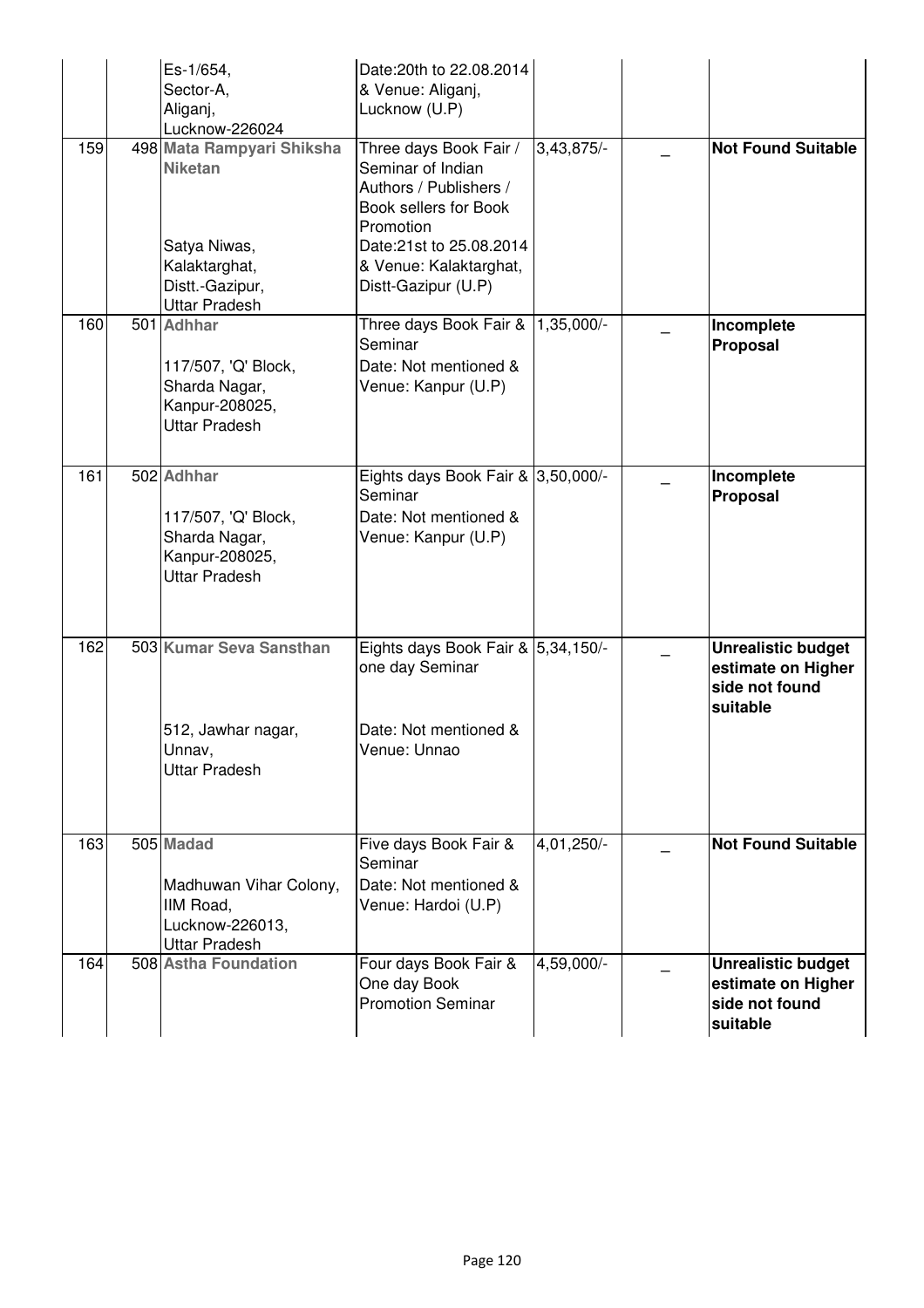|     | Es-1/654,<br>Sector-A,<br>Aliganj,<br>Lucknow-226024                                         | Date: 20th to 22,08,2014<br>& Venue: Aliganj,<br>Lucknow (U.P)                                              |            |                                                                               |
|-----|----------------------------------------------------------------------------------------------|-------------------------------------------------------------------------------------------------------------|------------|-------------------------------------------------------------------------------|
| 159 | 498 Mata Rampyari Shiksha<br><b>Niketan</b>                                                  | Three days Book Fair /<br>Seminar of Indian<br>Authors / Publishers /<br>Book sellers for Book<br>Promotion | 3,43,875/- | <b>Not Found Suitable</b>                                                     |
|     | Satya Niwas,<br>Kalaktarghat,<br>Distt.-Gazipur,<br><b>Uttar Pradesh</b>                     | Date:21st to 25.08.2014<br>& Venue: Kalaktarghat,<br>Distt-Gazipur (U.P)                                    |            |                                                                               |
| 160 | 501 Adhhar<br>117/507, 'Q' Block,<br>Sharda Nagar,<br>Kanpur-208025,<br><b>Uttar Pradesh</b> | Three days Book Fair &<br>Seminar<br>Date: Not mentioned &<br>Venue: Kanpur (U.P)                           | 1,35,000/- | Incomplete<br>Proposal                                                        |
| 161 | 502 Adhhar<br>117/507, 'Q' Block,<br>Sharda Nagar,<br>Kanpur-208025,<br><b>Uttar Pradesh</b> | Eights days Book Fair & 3,50,000/-<br>Seminar<br>Date: Not mentioned &<br>Venue: Kanpur (U.P)               |            | Incomplete<br>Proposal                                                        |
| 162 | 503 Kumar Seva Sansthan<br>512, Jawhar nagar,<br>Unnav,<br><b>Uttar Pradesh</b>              | Eights days Book Fair & 5,34,150/-<br>one day Seminar<br>Date: Not mentioned &<br>Venue: Unnao              |            | <b>Unrealistic budget</b><br>estimate on Higher<br>side not found<br>suitable |
| 163 | 505 Madad<br>Madhuwan Vihar Colony,<br>IIM Road,<br>Lucknow-226013,<br><b>Uttar Pradesh</b>  | Five days Book Fair &<br>Seminar<br>Date: Not mentioned &<br>Venue: Hardoi (U.P)                            | 4,01,250/- | <b>Not Found Suitable</b>                                                     |
| 164 | 508 Astha Foundation                                                                         | Four days Book Fair &<br>One day Book<br><b>Promotion Seminar</b>                                           | 4,59,000/- | <b>Unrealistic budget</b><br>estimate on Higher<br>side not found<br>suitable |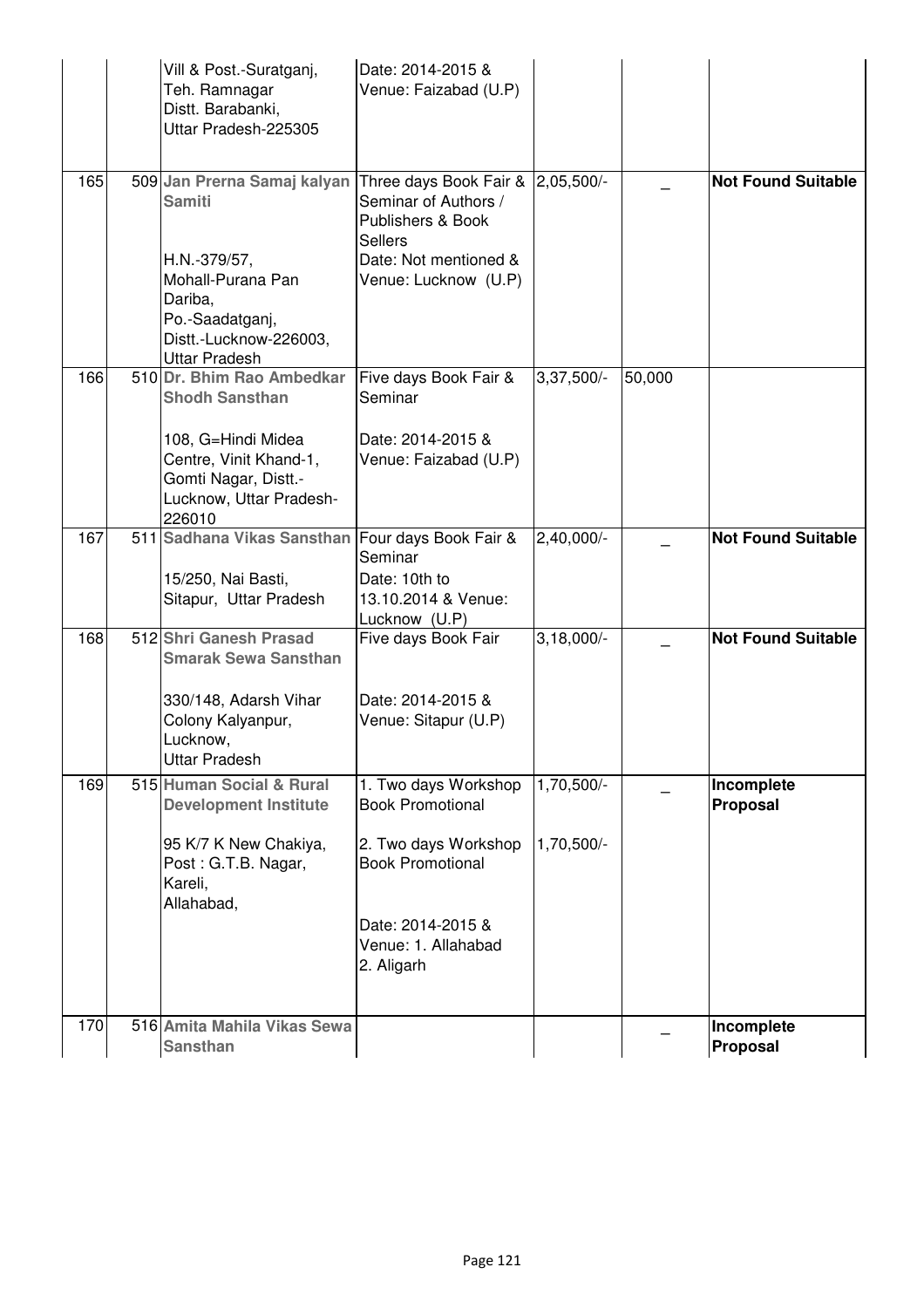|     | Vill & Post - Suratganj,<br>Teh. Ramnagar<br>Distt. Barabanki,<br>Uttar Pradesh-225305                    | Date: 2014-2015 &<br>Venue: Faizabad (U.P)                                                |              |        |                           |
|-----|-----------------------------------------------------------------------------------------------------------|-------------------------------------------------------------------------------------------|--------------|--------|---------------------------|
| 165 | 509 Jan Prerna Samaj kalyan Three days Book Fair & 2,05,500/-<br><b>Samiti</b><br>H.N.-379/57,            | Seminar of Authors /<br>Publishers & Book<br><b>Sellers</b><br>Date: Not mentioned &      |              |        | <b>Not Found Suitable</b> |
|     | Mohall-Purana Pan<br>Dariba,<br>Po.-Saadatganj,<br>Distt.-Lucknow-226003,<br><b>Uttar Pradesh</b>         | Venue: Lucknow (U.P)                                                                      |              |        |                           |
| 166 | 510 Dr. Bhim Rao Ambedkar<br><b>Shodh Sansthan</b>                                                        | Five days Book Fair &<br>Seminar                                                          | $3,37,500/-$ | 50,000 |                           |
|     | 108, G=Hindi Midea<br>Centre, Vinit Khand-1,<br>Gomti Nagar, Distt.-<br>Lucknow, Uttar Pradesh-<br>226010 | Date: 2014-2015 &<br>Venue: Faizabad (U.P)                                                |              |        |                           |
| 167 | 511 Sadhana Vikas Sansthan<br>15/250, Nai Basti,<br>Sitapur, Uttar Pradesh                                | Four days Book Fair &<br>Seminar<br>Date: 10th to<br>13.10.2014 & Venue:<br>Lucknow (U.P) | 2,40,000/-   |        | <b>Not Found Suitable</b> |
| 168 | 512 Shri Ganesh Prasad<br><b>Smarak Sewa Sansthan</b>                                                     | Five days Book Fair                                                                       | $3,18,000/-$ |        | <b>Not Found Suitable</b> |
|     | 330/148, Adarsh Vihar<br>Colony Kalyanpur,<br>Lucknow,<br><b>Uttar Pradesh</b>                            | Date: 2014-2015 &<br>Venue: Sitapur (U.P)                                                 |              |        |                           |
| 169 | 515 Human Social & Rural<br><b>Development Institute</b>                                                  | 1. Two days Workshop<br><b>Book Promotional</b>                                           | 1,70,500/-   |        | Incomplete<br>Proposal    |
|     | 95 K/7 K New Chakiya,<br>Post: G.T.B. Nagar,<br>Kareli,<br>Allahabad,                                     | 2. Two days Workshop<br><b>Book Promotional</b>                                           | 1,70,500/-   |        |                           |
|     |                                                                                                           | Date: 2014-2015 &<br>Venue: 1. Allahabad<br>2. Aligarh                                    |              |        |                           |
| 170 | 516 Amita Mahila Vikas Sewa<br><b>Sansthan</b>                                                            |                                                                                           |              |        | Incomplete<br>Proposal    |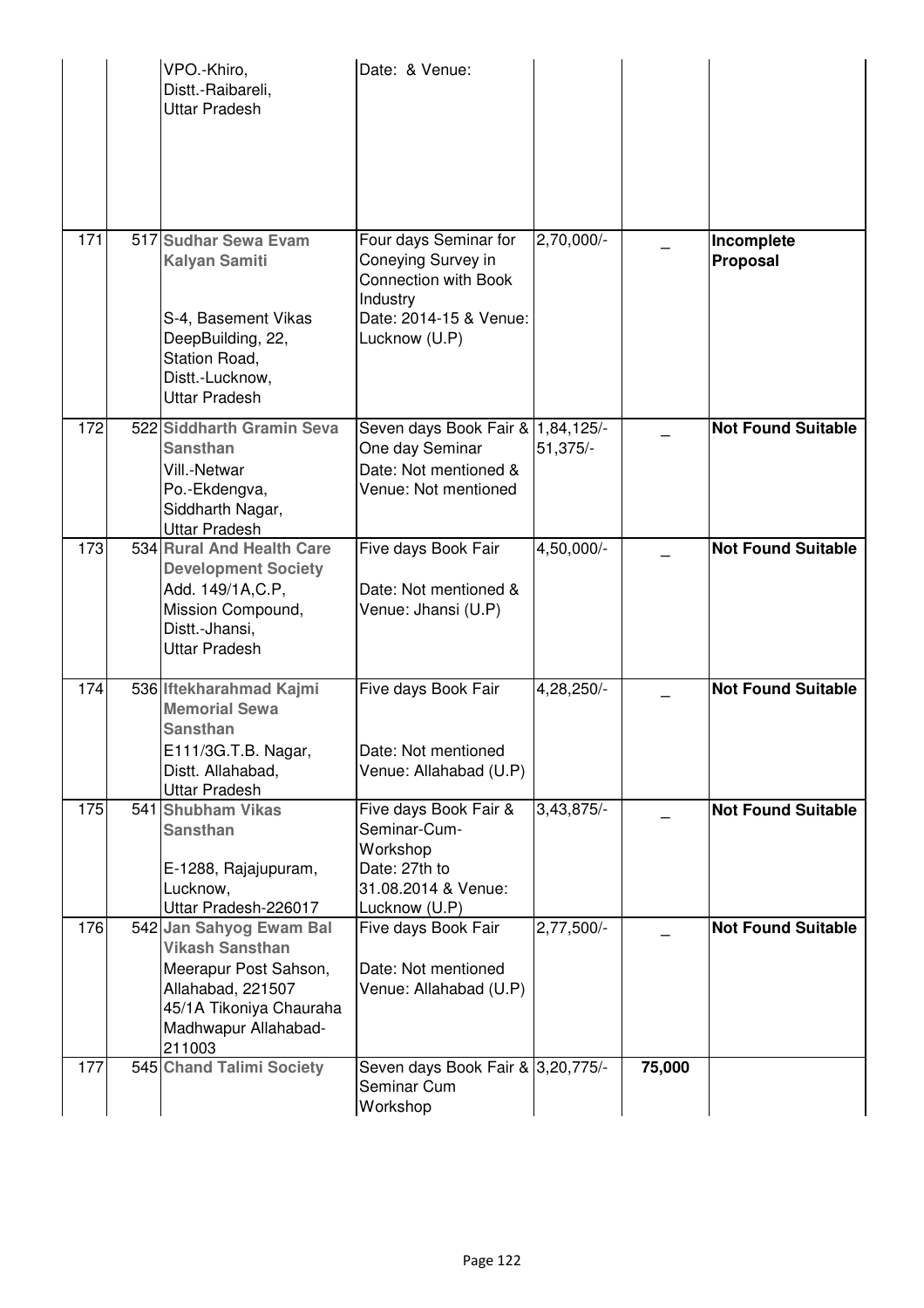|     | VPO.-Khiro,<br>Distt.-Raibareli,<br><b>Uttar Pradesh</b>                                                                                                     | Date: & Venue:                                                                                                                    |                         |        |                           |
|-----|--------------------------------------------------------------------------------------------------------------------------------------------------------------|-----------------------------------------------------------------------------------------------------------------------------------|-------------------------|--------|---------------------------|
| 171 | 517 Sudhar Sewa Evam<br><b>Kalyan Samiti</b><br>S-4, Basement Vikas<br>DeepBuilding, 22,<br>Station Road,<br>Distt.-Lucknow,<br><b>Uttar Pradesh</b>         | Four days Seminar for<br>Coneying Survey in<br><b>Connection with Book</b><br>Industry<br>Date: 2014-15 & Venue:<br>Lucknow (U.P) | 2,70,000/-              |        | Incomplete<br>Proposal    |
| 172 | 522 Siddharth Gramin Seva<br><b>Sansthan</b><br>Vill.-Netwar<br>Po.-Ekdengva,<br>Siddharth Nagar,<br><b>Uttar Pradesh</b>                                    | Seven days Book Fair & 1,84,125/-<br>One day Seminar<br>Date: Not mentioned &<br>Venue: Not mentioned                             | 51,375/-                |        | <b>Not Found Suitable</b> |
| 173 | 534 Rural And Health Care<br><b>Development Society</b><br>Add. 149/1A, C.P,<br>Mission Compound,<br>Distt.-Jhansi,<br><b>Uttar Pradesh</b>                  | Five days Book Fair<br>Date: Not mentioned &<br>Venue: Jhansi (U.P)                                                               | 4,50,000/-              |        | <b>Not Found Suitable</b> |
| 174 | 536 Iftekharahmad Kajmi<br><b>Memorial Sewa</b><br><b>Sansthan</b><br>E111/3G.T.B. Nagar,<br>Distt. Allahabad,<br><b>Uttar Pradesh</b>                       | Five days Book Fair<br>Date: Not mentioned<br>Venue: Allahabad (U.P)                                                              | 4,28,250/-              |        | <b>Not Found Suitable</b> |
| 175 | 541 Shubham Vikas<br><b>Sansthan</b><br>E-1288, Rajajupuram,<br>Lucknow,<br>Uttar Pradesh-226017                                                             | Five days Book Fair &<br>Seminar-Cum-<br>Workshop<br>Date: 27th to<br>31.08.2014 & Venue:<br>Lucknow (U.P)                        | $3,43,\overline{875/-}$ |        | <b>Not Found Suitable</b> |
| 176 | 542 Jan Sahyog Ewam Bal<br><b>Vikash Sansthan</b><br>Meerapur Post Sahson,<br>Allahabad, 221507<br>45/1A Tikoniya Chauraha<br>Madhwapur Allahabad-<br>211003 | Five days Book Fair<br>Date: Not mentioned<br>Venue: Allahabad (U.P)                                                              | $2,77,500/-$            |        | <b>Not Found Suitable</b> |
| 177 | 545 Chand Talimi Society                                                                                                                                     | Seven days Book Fair & 3,20,775/-<br>Seminar Cum<br>Workshop                                                                      |                         | 75,000 |                           |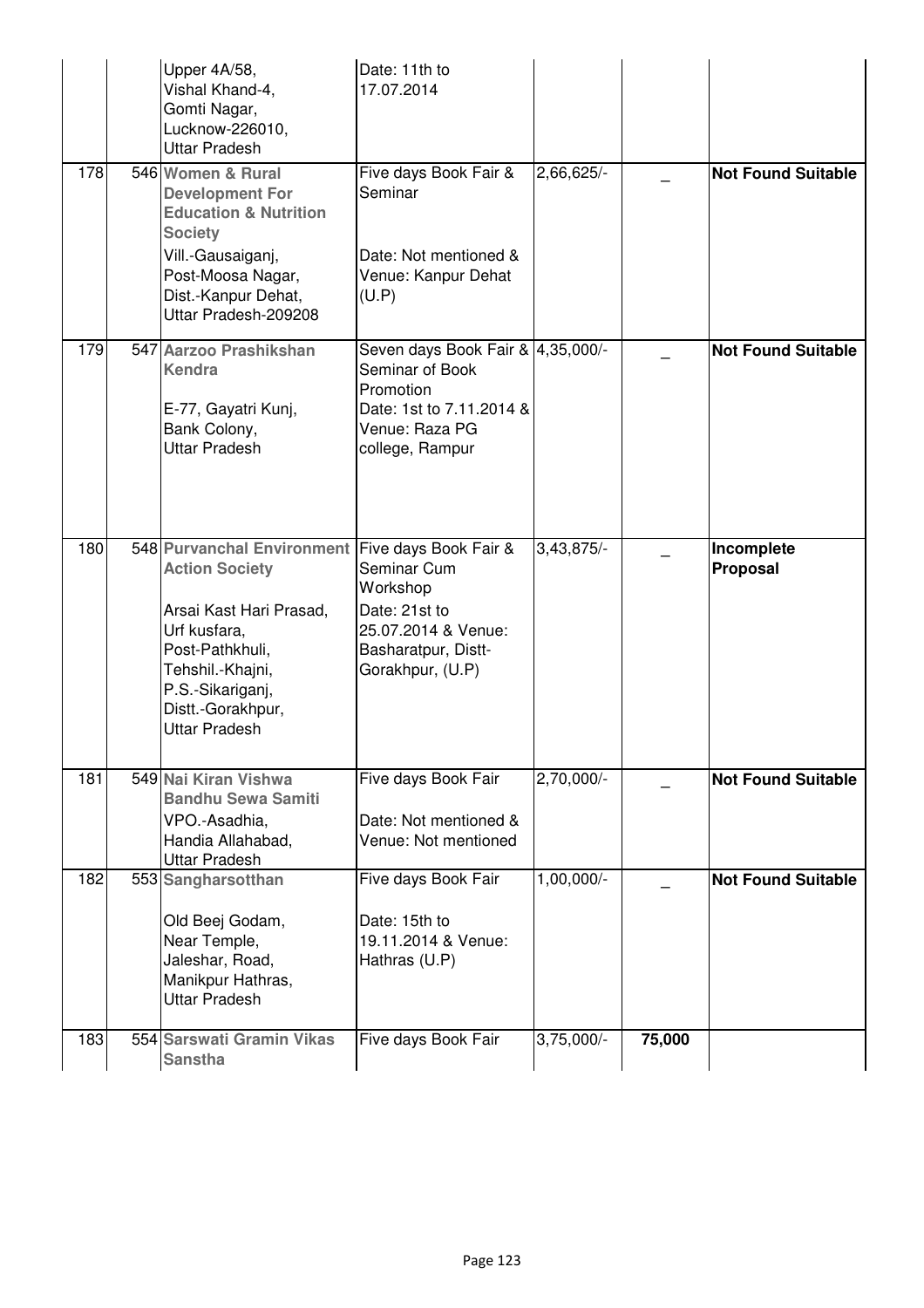|     | Upper 4A/58,<br>Vishal Khand-4,<br>Gomti Nagar,<br>Lucknow-226010,<br><b>Uttar Pradesh</b>                                                                                                                                   | Date: 11th to<br>17.07.2014                                                                                                        |              |        |                           |
|-----|------------------------------------------------------------------------------------------------------------------------------------------------------------------------------------------------------------------------------|------------------------------------------------------------------------------------------------------------------------------------|--------------|--------|---------------------------|
| 178 | 546 Women & Rural<br><b>Development For</b><br><b>Education &amp; Nutrition</b><br><b>Society</b><br>Vill.-Gausaiganj,<br>Post-Moosa Nagar,<br>Dist.-Kanpur Dehat,<br>Uttar Pradesh-209208                                   | Five days Book Fair &<br>Seminar<br>Date: Not mentioned &<br>Venue: Kanpur Dehat<br>(U.P)                                          | 2,66,625/-   |        | <b>Not Found Suitable</b> |
| 179 | 547 Aarzoo Prashikshan<br><b>Kendra</b><br>E-77, Gayatri Kunj,<br>Bank Colony,<br><b>Uttar Pradesh</b>                                                                                                                       | Seven days Book Fair & 4,35,000/-<br>Seminar of Book<br>Promotion<br>Date: 1st to 7.11.2014 &<br>Venue: Raza PG<br>college, Rampur |              |        | <b>Not Found Suitable</b> |
| 180 | 548 Purvanchal Environment Five days Book Fair &<br><b>Action Society</b><br>Arsai Kast Hari Prasad,<br>Urf kusfara,<br>Post-Pathkhuli,<br>Tehshil.-Khajni,<br>P.S.-Sikariganj,<br>Distt.-Gorakhpur,<br><b>Uttar Pradesh</b> | Seminar Cum<br>Workshop<br>Date: 21st to<br>25.07.2014 & Venue:<br>Basharatpur, Distt-<br>Gorakhpur, (U.P)                         | 3,43,875/-   |        | Incomplete<br>Proposal    |
| 181 | 549 Nai Kiran Vishwa<br><b>Bandhu Sewa Samiti</b><br>VPO.-Asadhia,<br>Handia Allahabad,<br><b>Uttar Pradesh</b>                                                                                                              | Five days Book Fair<br>Date: Not mentioned &<br>Venue: Not mentioned                                                               | 2,70,000/-   |        | <b>Not Found Suitable</b> |
| 182 | 553 Sangharsotthan<br>Old Beej Godam,<br>Near Temple,<br>Jaleshar, Road,<br>Manikpur Hathras,<br><b>Uttar Pradesh</b>                                                                                                        | Five days Book Fair<br>Date: 15th to<br>19.11.2014 & Venue:<br>Hathras (U.P)                                                       | 1,00,000/-   |        | <b>Not Found Suitable</b> |
| 183 | 554 Sarswati Gramin Vikas<br><b>Sanstha</b>                                                                                                                                                                                  | Five days Book Fair                                                                                                                | $3,75,000/-$ | 75,000 |                           |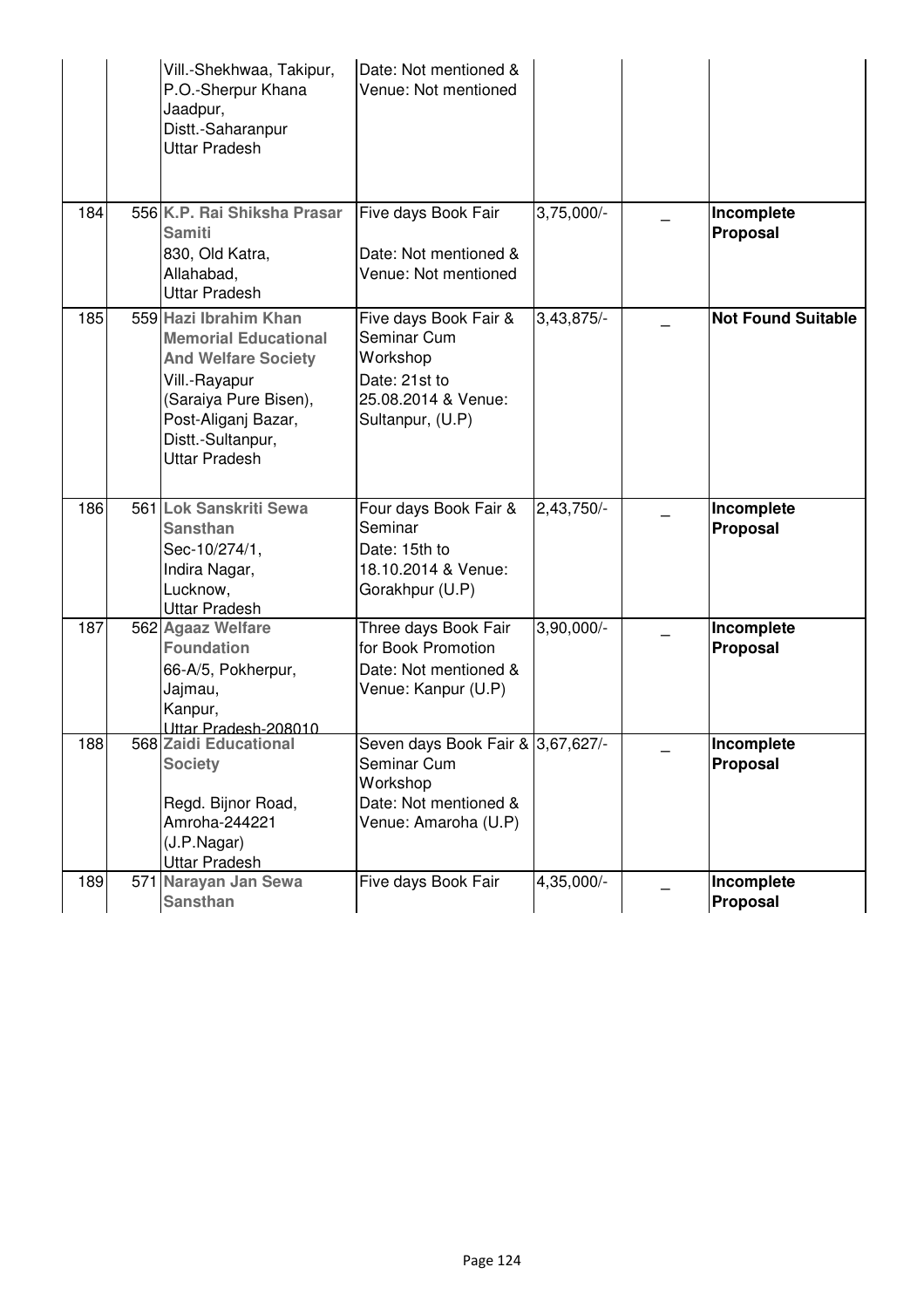|     | Vill.-Shekhwaa, Takipur,<br>P.O.-Sherpur Khana<br>Jaadpur,<br>Distt.-Saharanpur<br><b>Uttar Pradesh</b>                                                                                          | Date: Not mentioned &<br>Venue: Not mentioned                                                                 |              |                               |
|-----|--------------------------------------------------------------------------------------------------------------------------------------------------------------------------------------------------|---------------------------------------------------------------------------------------------------------------|--------------|-------------------------------|
| 184 | 556 K.P. Rai Shiksha Prasar<br><b>Samiti</b><br>830, Old Katra,<br>Allahabad,<br><b>Uttar Pradesh</b>                                                                                            | Five days Book Fair<br>Date: Not mentioned &<br>Venue: Not mentioned                                          | $3,75,000/-$ | Incomplete<br>Proposal        |
| 185 | 559 Hazi Ibrahim Khan<br><b>Memorial Educational</b><br><b>And Welfare Society</b><br>Vill.-Rayapur<br>(Saraiya Pure Bisen),<br>Post-Aliganj Bazar,<br>Distt.-Sultanpur,<br><b>Uttar Pradesh</b> | Five days Book Fair &<br>Seminar Cum<br>Workshop<br>Date: 21st to<br>25.08.2014 & Venue:<br>Sultanpur, (U.P)  | 3,43,875/-   | <b>Not Found Suitable</b>     |
| 186 | 561 Lok Sanskriti Sewa<br><b>Sansthan</b><br>Sec-10/274/1,<br>Indira Nagar,<br>Lucknow,<br><b>Uttar Pradesh</b>                                                                                  | Four days Book Fair &<br>Seminar<br>Date: 15th to<br>18.10.2014 & Venue:<br>Gorakhpur (U.P)                   | $2,43,750/-$ | Incomplete<br><b>Proposal</b> |
| 187 | 562 Agaaz Welfare<br><b>Foundation</b><br>66-A/5, Pokherpur,<br>Jajmau,<br>Kanpur,<br>Uttar Pradesh-208010                                                                                       | Three days Book Fair<br>for Book Promotion<br>Date: Not mentioned &<br>Venue: Kanpur (U.P)                    | $3,90,000/-$ | Incomplete<br>Proposal        |
| 188 | 568 Zaidi Educational<br><b>Society</b><br>Regd. Bijnor Road,<br>Amroha-244221<br>(J.P.Nagar)<br><b>Uttar Pradesh</b>                                                                            | Seven days Book Fair & 3,67,627/-<br>Seminar Cum<br>Workshop<br>Date: Not mentioned &<br>Venue: Amaroha (U.P) |              | Incomplete<br>Proposal        |
| 189 | 571 Narayan Jan Sewa<br><b>Sansthan</b>                                                                                                                                                          | Five days Book Fair                                                                                           | 4,35,000/-   | Incomplete<br>Proposal        |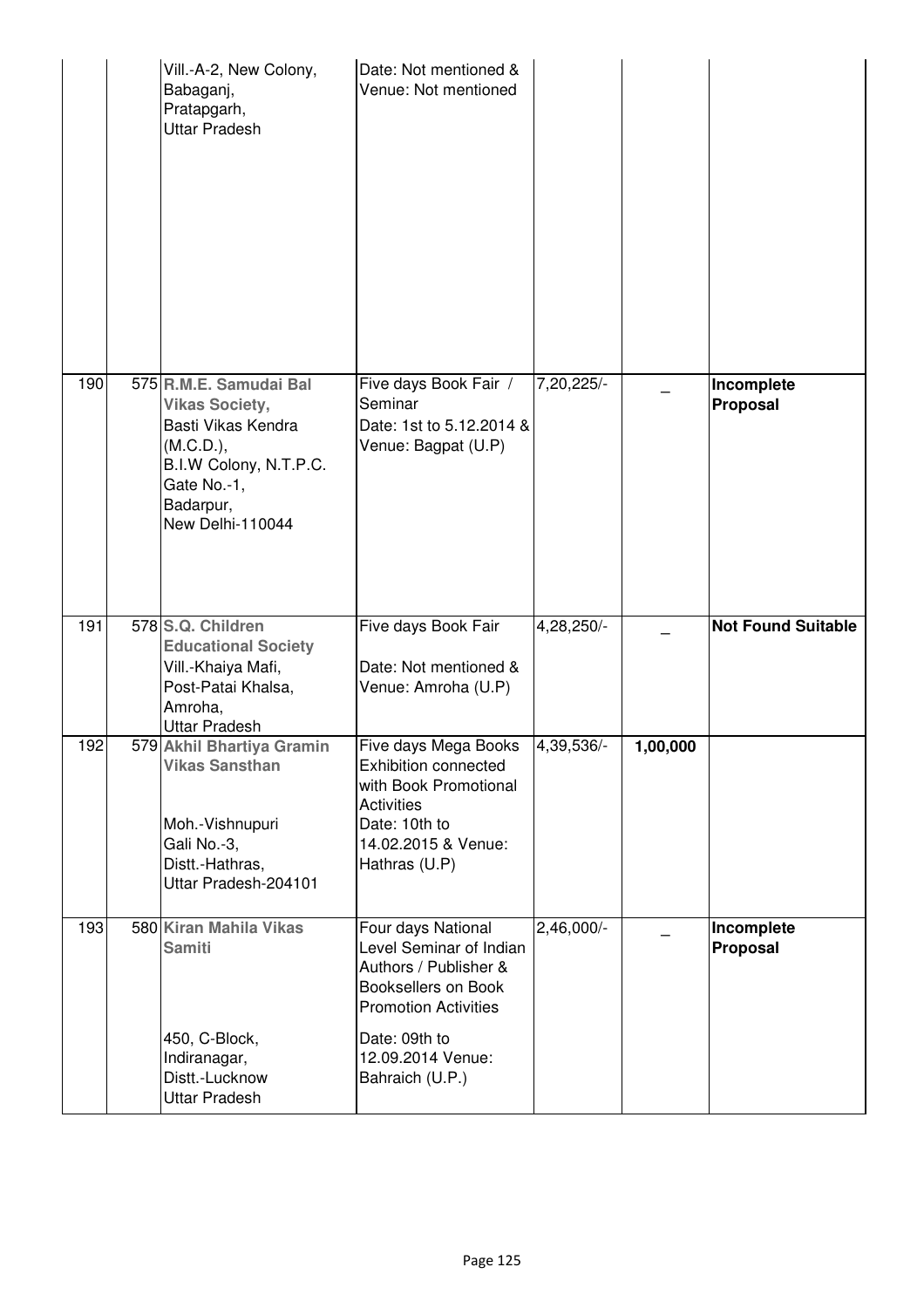|     | Vill.-A-2, New Colony,<br>Babaganj,<br>Pratapgarh,<br>Uttar Pradesh                                                                                          | Date: Not mentioned &<br>Venue: Not mentioned                                                                                                              |            |          |                           |
|-----|--------------------------------------------------------------------------------------------------------------------------------------------------------------|------------------------------------------------------------------------------------------------------------------------------------------------------------|------------|----------|---------------------------|
| 190 | 575 R.M.E. Samudai Bal<br><b>Vikas Society,</b><br>Basti Vikas Kendra<br>(M.C.D.),<br>B.I.W Colony, N.T.P.C.<br>Gate No.-1,<br>Badarpur,<br>New Delhi-110044 | Five days Book Fair /<br>Seminar<br>Date: 1st to 5.12.2014 &<br>Venue: Bagpat (U.P)                                                                        | 7,20,225/- |          | Incomplete<br>Proposal    |
| 191 | 578 S.Q. Children<br><b>Educational Society</b><br>Vill.-Khaiya Mafi,<br>Post-Patai Khalsa,<br>Amroha,<br><b>Uttar Pradesh</b>                               | Five days Book Fair<br>Date: Not mentioned &<br>Venue: Amroha (U.P)                                                                                        | 4,28,250/- |          | <b>Not Found Suitable</b> |
| 192 | 579 Akhil Bhartiya Gramin<br><b>Vikas Sansthan</b><br>Moh.-Vishnupuri<br>Gali No.-3,<br>Distt.-Hathras,<br>Uttar Pradesh-204101                              | Five days Mega Books<br><b>Exhibition connected</b><br>with Book Promotional<br><b>Activities</b><br>Date: 10th to<br>14.02.2015 & Venue:<br>Hathras (U.P) | 4,39,536/- | 1,00,000 |                           |
| 193 | 580 Kiran Mahila Vikas<br><b>Samiti</b>                                                                                                                      | Four days National<br>Level Seminar of Indian<br>Authors / Publisher &<br>Booksellers on Book<br><b>Promotion Activities</b>                               | 2,46,000/- |          | Incomplete<br>Proposal    |
|     | 450, C-Block,<br>Indiranagar,<br>Distt.-Lucknow<br>Uttar Pradesh                                                                                             | Date: 09th to<br>12.09.2014 Venue:<br>Bahraich (U.P.)                                                                                                      |            |          |                           |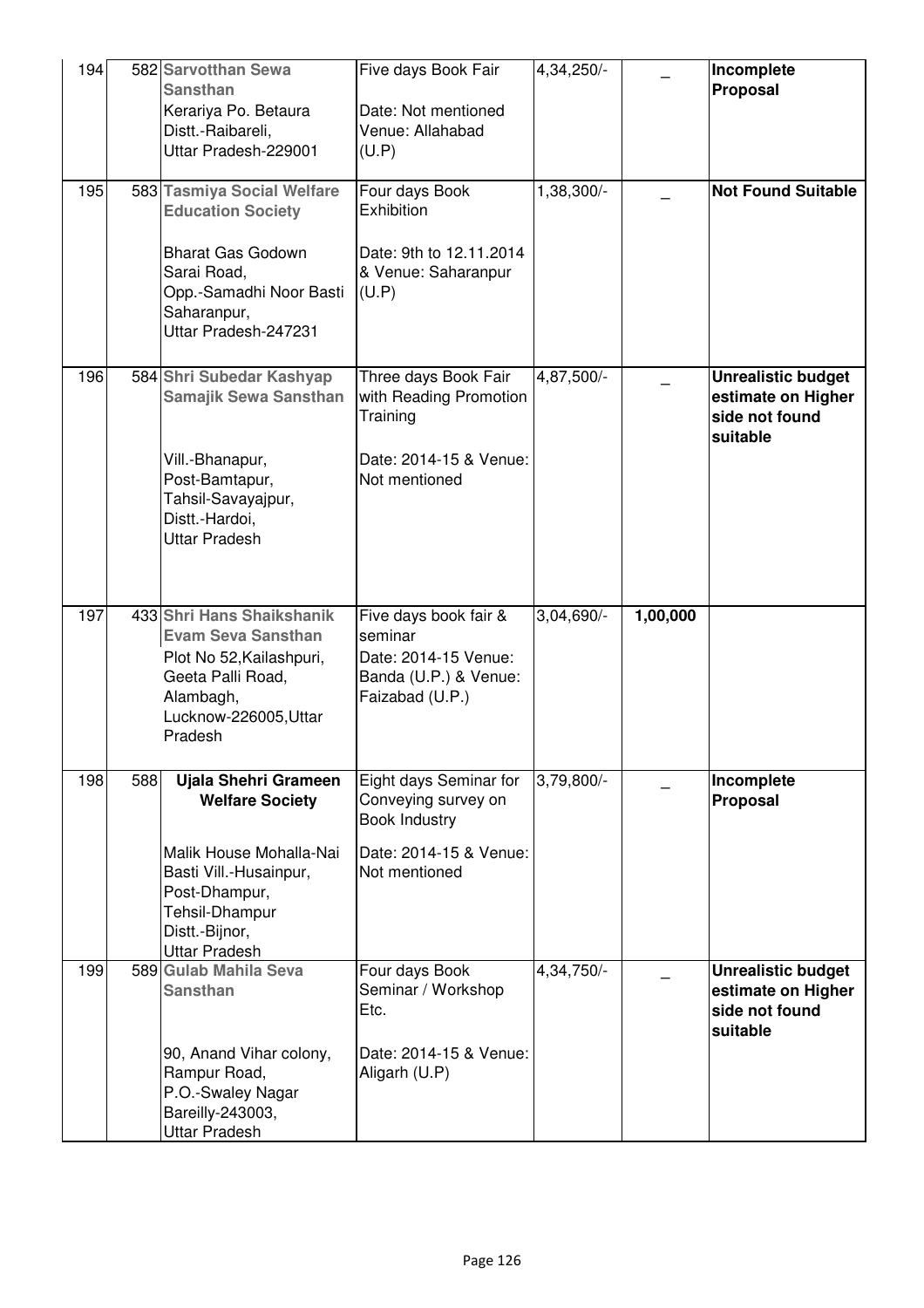| 194 |     | 582 Sarvotthan Sewa<br><b>Sansthan</b><br>Kerariya Po. Betaura<br>Distt.-Raibareli,<br>Uttar Pradesh-229001                                                                      | Five days Book Fair<br>Date: Not mentioned<br>Venue: Allahabad<br>(U.P)                                   | 4,34,250/-   |          | Incomplete<br>Proposal                                                        |
|-----|-----|----------------------------------------------------------------------------------------------------------------------------------------------------------------------------------|-----------------------------------------------------------------------------------------------------------|--------------|----------|-------------------------------------------------------------------------------|
| 195 |     | 583 Tasmiya Social Welfare<br><b>Education Society</b><br><b>Bharat Gas Godown</b><br>Sarai Road,<br>Opp.-Samadhi Noor Basti<br>Saharanpur,<br>Uttar Pradesh-247231              | Four days Book<br>Exhibition<br>Date: 9th to 12.11.2014<br>& Venue: Saharanpur<br>(U.P)                   | 1,38,300/-   |          | <b>Not Found Suitable</b>                                                     |
| 196 |     | 584 Shri Subedar Kashyap<br><b>Samajik Sewa Sansthan</b><br>Vill.-Bhanapur,<br>Post-Bamtapur,<br>Tahsil-Savayajpur,<br>Distt.-Hardoi,<br><b>Uttar Pradesh</b>                    | Three days Book Fair<br>with Reading Promotion<br>Training<br>Date: 2014-15 & Venue:<br>Not mentioned     | 4,87,500/-   |          | <b>Unrealistic budget</b><br>estimate on Higher<br>side not found<br>suitable |
| 197 |     | 433 Shri Hans Shaikshanik<br><b>Evam Seva Sansthan</b><br>Plot No 52, Kailashpuri,<br>Geeta Palli Road,<br>Alambagh,<br>Lucknow-226005, Uttar<br>Pradesh                         | Five days book fair &<br>seminar<br>Date: 2014-15 Venue:<br>Banda (U.P.) & Venue:<br>Faizabad (U.P.)      | 3,04,690/-   | 1,00,000 |                                                                               |
| 198 | 588 | Ujala Shehri Grameen<br><b>Welfare Society</b><br>Malik House Mohalla-Nai<br>Basti Vill.-Husainpur,<br>Post-Dhampur,<br>Tehsil-Dhampur<br>Distt.-Bijnor,<br><b>Uttar Pradesh</b> | Eight days Seminar for<br>Conveying survey on<br>Book Industry<br>Date: 2014-15 & Venue:<br>Not mentioned | 3,79,800/-   |          | Incomplete<br>Proposal                                                        |
| 199 |     | 589 Gulab Mahila Seva<br><b>Sansthan</b><br>90, Anand Vihar colony,<br>Rampur Road,<br>P.O.-Swaley Nagar<br>Bareilly-243003,<br><b>Uttar Pradesh</b>                             | Four days Book<br>Seminar / Workshop<br>Etc.<br>Date: 2014-15 & Venue:<br>Aligarh (U.P)                   | $4,34,750/-$ |          | <b>Unrealistic budget</b><br>estimate on Higher<br>side not found<br>suitable |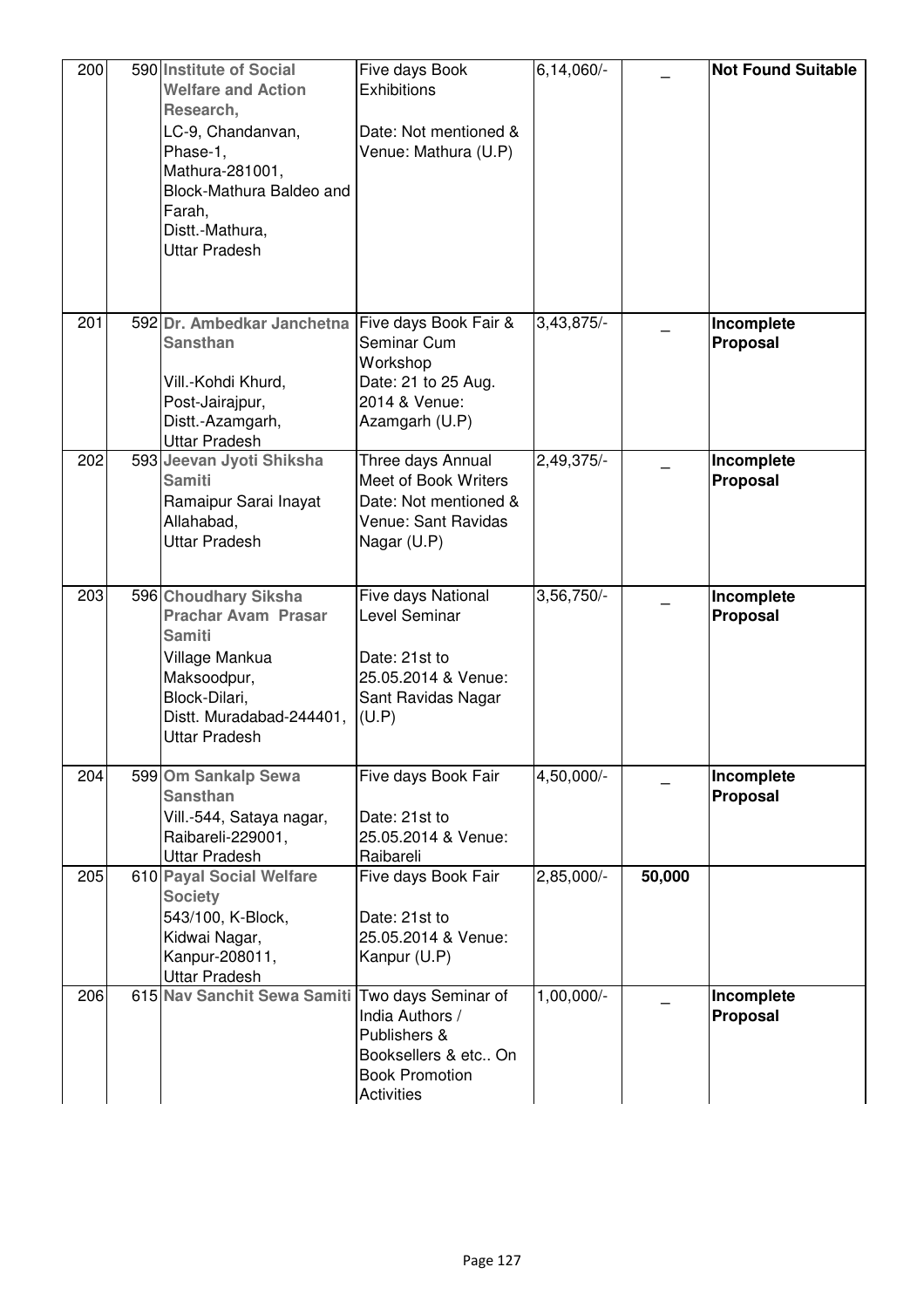| 200 | 590 Institute of Social<br><b>Welfare and Action</b><br>Research,<br>LC-9, Chandanvan,<br>Phase-1,<br>Mathura-281001,<br>Block-Mathura Baldeo and<br>Farah,<br>Distt.-Mathura,<br><b>Uttar Pradesh</b> | Five days Book<br><b>Exhibitions</b><br>Date: Not mentioned &<br>Venue: Mathura (U.P)                      | $6,14,060/-$ |        | <b>Not Found Suitable</b> |
|-----|--------------------------------------------------------------------------------------------------------------------------------------------------------------------------------------------------------|------------------------------------------------------------------------------------------------------------|--------------|--------|---------------------------|
| 201 | 592 Dr. Ambedkar Janchetna<br><b>Sansthan</b><br>Vill.-Kohdi Khurd,<br>Post-Jairajpur,<br>Distt.-Azamgarh,<br><b>Uttar Pradesh</b>                                                                     | Five days Book Fair &<br>Seminar Cum<br>Workshop<br>Date: 21 to 25 Aug.<br>2014 & Venue:<br>Azamgarh (U.P) | 3,43,875/-   |        | Incomplete<br>Proposal    |
| 202 | 593 Jeevan Jyoti Shiksha<br><b>Samiti</b><br>Ramaipur Sarai Inayat<br>Allahabad,<br><b>Uttar Pradesh</b>                                                                                               | Three days Annual<br>Meet of Book Writers<br>Date: Not mentioned &<br>Venue: Sant Ravidas<br>Nagar (U.P)   | 2,49,375/-   |        | Incomplete<br>Proposal    |
| 203 | 596 Choudhary Siksha<br><b>Prachar Avam Prasar</b><br><b>Samiti</b><br>Village Mankua<br>Maksoodpur,<br>Block-Dilari,<br>Distt. Muradabad-244401,<br><b>Uttar Pradesh</b>                              | Five days National<br>Level Seminar<br>Date: 21st to<br>25.05.2014 & Venue:<br>Sant Ravidas Nagar<br>(U.P) | 3,56,750/-   |        | Incomplete<br>Proposal    |
| 204 | 599 Om Sankalp Sewa<br><b>Sansthan</b><br>Vill.-544, Sataya nagar,<br>Raibareli-229001,<br><b>Uttar Pradesh</b>                                                                                        | Five days Book Fair<br>Date: 21st to<br>25.05.2014 & Venue:<br>Raibareli                                   | 4,50,000/-   |        | Incomplete<br>Proposal    |
| 205 | 610 Payal Social Welfare<br><b>Society</b><br>543/100, K-Block,<br>Kidwai Nagar,<br>Kanpur-208011,<br><b>Uttar Pradesh</b>                                                                             | Five days Book Fair<br>Date: 21st to<br>25.05.2014 & Venue:<br>Kanpur (U.P)                                | 2,85,000/-   | 50,000 |                           |
| 206 | 615 Nav Sanchit Sewa Samiti Two days Seminar of                                                                                                                                                        | India Authors /<br>Publishers &<br>Booksellers & etc On<br><b>Book Promotion</b><br><b>Activities</b>      | 1,00,000/-   |        | Incomplete<br>Proposal    |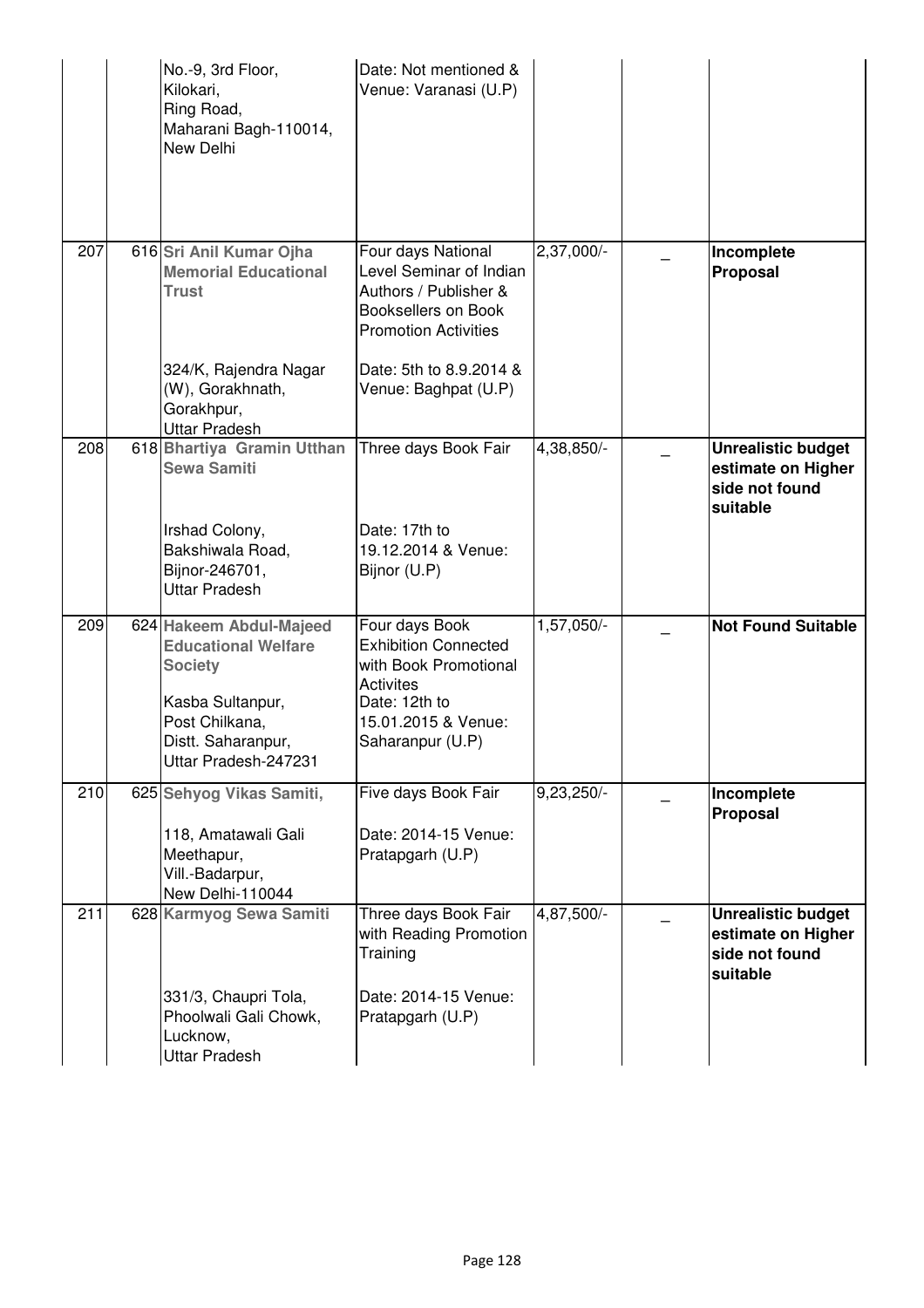|     | No.-9, 3rd Floor,<br>Kilokari,<br>Ring Road,<br>Maharani Bagh-110014,<br>New Delhi                                                                          | Date: Not mentioned &<br>Venue: Varanasi (U.P)                                                                                                                                  |              |                                                                               |
|-----|-------------------------------------------------------------------------------------------------------------------------------------------------------------|---------------------------------------------------------------------------------------------------------------------------------------------------------------------------------|--------------|-------------------------------------------------------------------------------|
| 207 | 616 Sri Anil Kumar Ojha<br><b>Memorial Educational</b><br><b>Trust</b><br>324/K, Rajendra Nagar<br>(W), Gorakhnath,<br>Gorakhpur,                           | Four days National<br>Level Seminar of Indian<br>Authors / Publisher &<br>Booksellers on Book<br><b>Promotion Activities</b><br>Date: 5th to 8.9.2014 &<br>Venue: Baghpat (U.P) | 2,37,000/-   | Incomplete<br>Proposal                                                        |
| 208 | <b>Uttar Pradesh</b><br>618 Bhartiya Gramin Utthan<br><b>Sewa Samiti</b><br>Irshad Colony,<br>Bakshiwala Road,<br>Bijnor-246701,<br><b>Uttar Pradesh</b>    | Three days Book Fair<br>Date: 17th to<br>19.12.2014 & Venue:<br>Bijnor (U.P)                                                                                                    | 4,38,850/-   | <b>Unrealistic budget</b><br>estimate on Higher<br>side not found<br>suitable |
| 209 | 624 Hakeem Abdul-Majeed<br><b>Educational Welfare</b><br><b>Society</b><br>Kasba Sultanpur,<br>Post Chilkana,<br>Distt. Saharanpur,<br>Uttar Pradesh-247231 | Four days Book<br><b>Exhibition Connected</b><br>with Book Promotional<br><b>Activites</b><br>Date: 12th to<br>15.01.2015 & Venue:<br>Saharanpur (U.P)                          | 1,57,050/-   | <b>Not Found Suitable</b>                                                     |
| 210 | 625 Sehyog Vikas Samiti,<br>118, Amatawali Gali<br>Meethapur,<br>Vill.-Badarpur,<br>New Delhi-110044                                                        | Five days Book Fair<br>Date: 2014-15 Venue:<br>Pratapgarh (U.P)                                                                                                                 | $9,23,250/-$ | Incomplete<br>Proposal                                                        |
| 211 | 628 Karmyog Sewa Samiti<br>331/3, Chaupri Tola,<br>Phoolwali Gali Chowk,<br>Lucknow,<br><b>Uttar Pradesh</b>                                                | Three days Book Fair<br>with Reading Promotion<br>Training<br>Date: 2014-15 Venue:<br>Pratapgarh (U.P)                                                                          | 4,87,500/-   | <b>Unrealistic budget</b><br>estimate on Higher<br>side not found<br>suitable |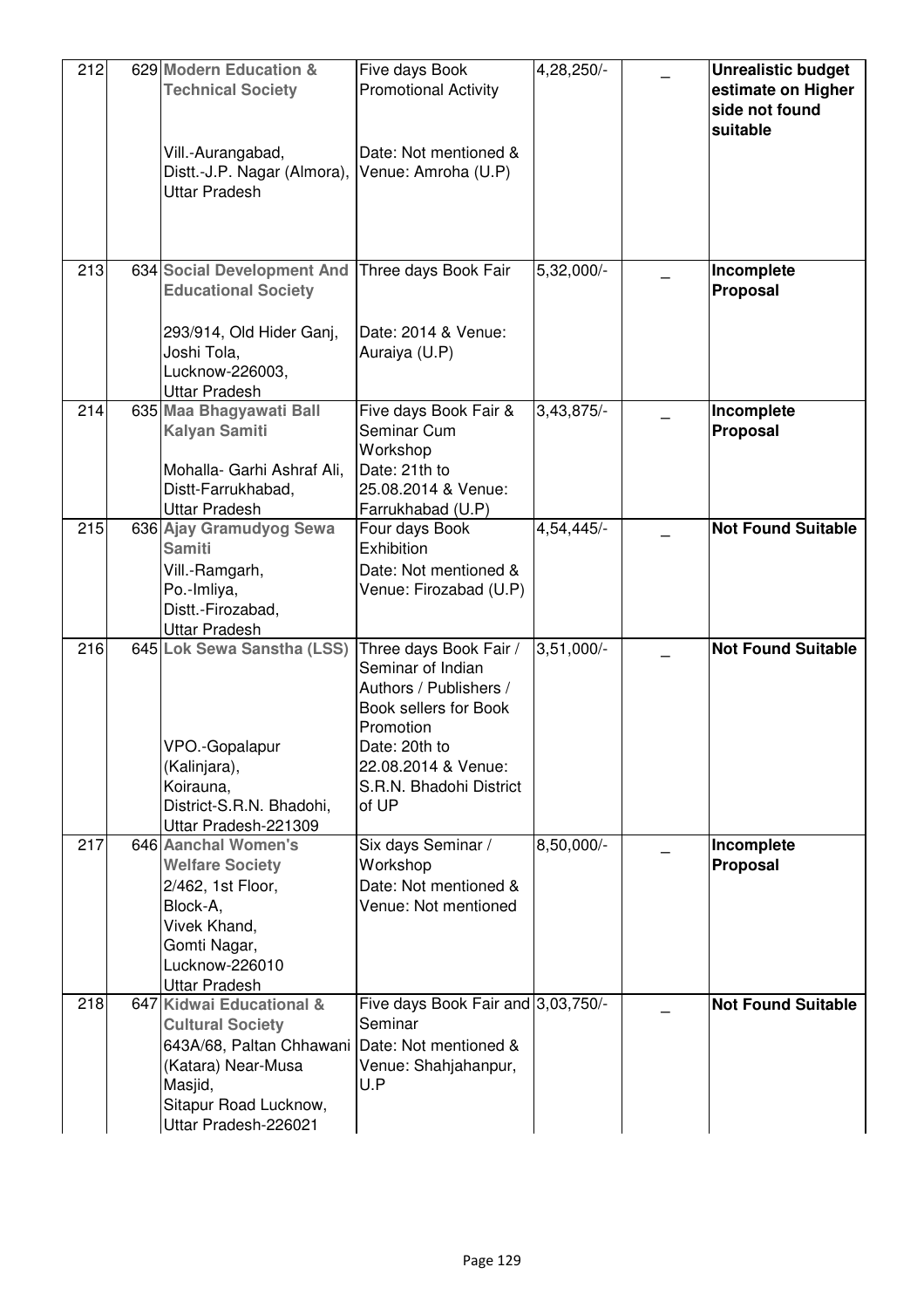| 212 | 629 Modern Education &<br><b>Technical Society</b><br>Vill.-Aurangabad,<br>Distt.-J.P. Nagar (Almora),<br>Uttar Pradesh                                           | Five days Book<br><b>Promotional Activity</b><br>Date: Not mentioned &<br>Venue: Amroha (U.P)                                                                                           | 4,28,250/-   | <b>Unrealistic budget</b><br>estimate on Higher<br>side not found<br>suitable |
|-----|-------------------------------------------------------------------------------------------------------------------------------------------------------------------|-----------------------------------------------------------------------------------------------------------------------------------------------------------------------------------------|--------------|-------------------------------------------------------------------------------|
| 213 | 634 Social Development And<br><b>Educational Society</b><br>293/914, Old Hider Ganj,<br>Joshi Tola,<br>Lucknow-226003,<br><b>Uttar Pradesh</b>                    | Three days Book Fair<br>Date: 2014 & Venue:<br>Auraiya (U.P)                                                                                                                            | 5,32,000/-   | Incomplete<br>Proposal                                                        |
| 214 | 635 Maa Bhagyawati Ball<br><b>Kalyan Samiti</b><br>Mohalla- Garhi Ashraf Ali,<br>Distt-Farrukhabad,<br><b>Uttar Pradesh</b>                                       | Five days Book Fair &<br>Seminar Cum<br>Workshop<br>Date: 21th to<br>25.08.2014 & Venue:<br>Farrukhabad (U.P)                                                                           | $3,43,875/-$ | Incomplete<br>Proposal                                                        |
| 215 | 636 Ajay Gramudyog Sewa<br><b>Samiti</b><br>Vill.-Ramgarh,<br>Po.-Imliya,<br>Distt.-Firozabad,<br><b>Uttar Pradesh</b>                                            | Four days Book<br>Exhibition<br>Date: Not mentioned &<br>Venue: Firozabad (U.P)                                                                                                         | 4,54,445/-   | <b>Not Found Suitable</b>                                                     |
| 216 | 645 Lok Sewa Sanstha (LSS)<br>VPO.-Gopalapur<br>(Kalinjara),<br>Koirauna,<br>District-S.R.N. Bhadohi,<br>Uttar Pradesh-221309                                     | Three days Book Fair /<br>Seminar of Indian<br>Authors / Publishers /<br>Book sellers for Book<br>Promotion<br>Date: 20th to<br>22.08.2014 & Venue:<br>S.R.N. Bhadohi District<br>of UP | $3,51,000/-$ | <b>Not Found Suitable</b>                                                     |
| 217 | 646 Aanchal Women's<br><b>Welfare Society</b><br>2/462, 1st Floor,<br>Block-A,<br>Vivek Khand,<br>Gomti Nagar,<br>Lucknow-226010<br><b>Uttar Pradesh</b>          | Six days Seminar /<br>Workshop<br>Date: Not mentioned &<br>Venue: Not mentioned                                                                                                         | 8,50,000/-   | Incomplete<br>Proposal                                                        |
| 218 | 647 Kidwai Educational &<br><b>Cultural Society</b><br>643A/68, Paltan Chhawani<br>(Katara) Near-Musa<br>Masjid,<br>Sitapur Road Lucknow,<br>Uttar Pradesh-226021 | Five days Book Fair and 3,03,750/-<br>Seminar<br>Date: Not mentioned &<br>Venue: Shahjahanpur,<br>U.P                                                                                   |              | <b>Not Found Suitable</b>                                                     |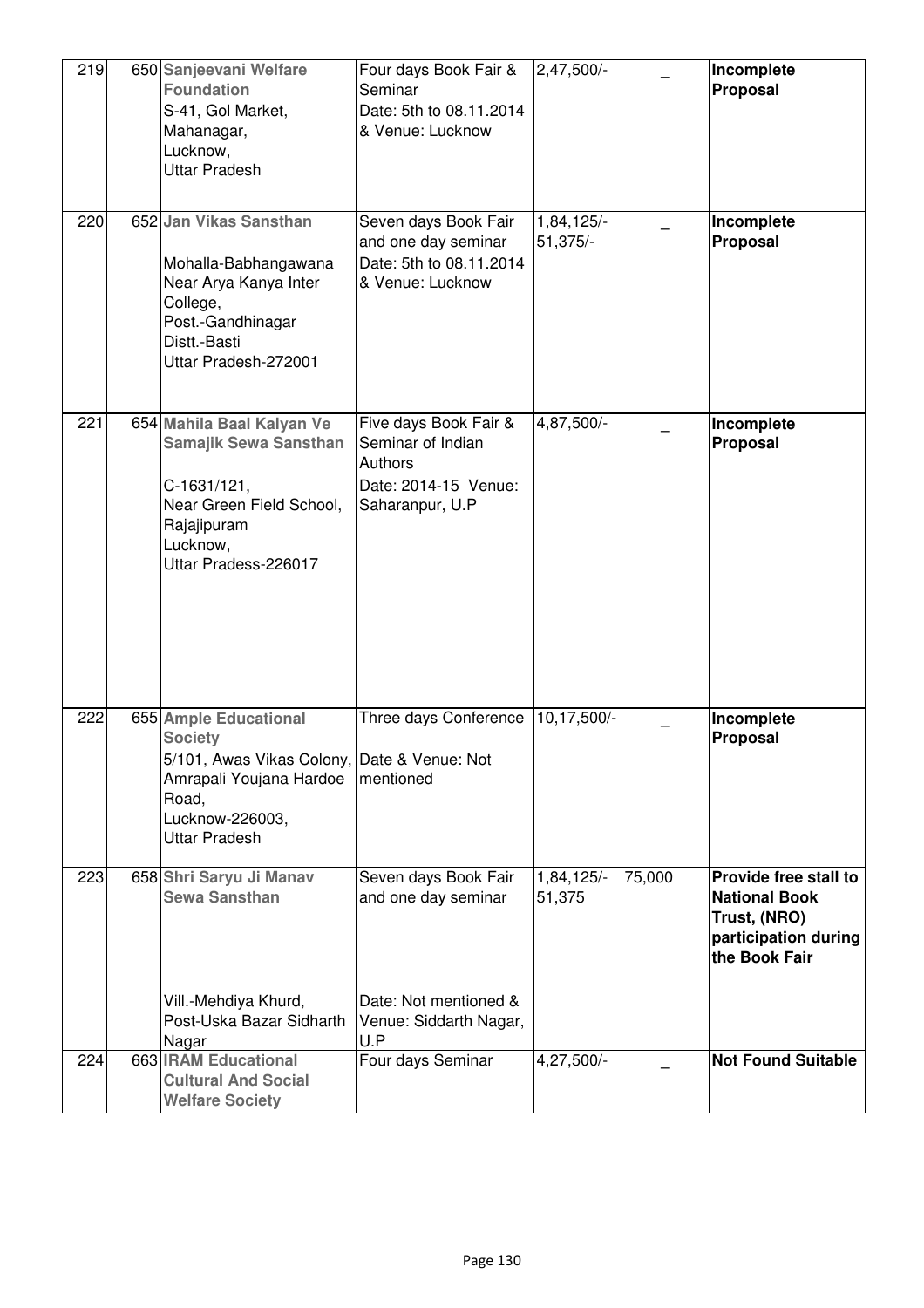| 219 | 650 Sanjeevani Welfare<br><b>Foundation</b><br>S-41, Gol Market,<br>Mahanagar,<br>Lucknow,<br><b>Uttar Pradesh</b>                                                    | Four days Book Fair &<br>Seminar<br>Date: 5th to 08.11.2014<br>& Venue: Lucknow                       | $2,47,500/-$                      |        | Incomplete<br>Proposal                                                                                 |
|-----|-----------------------------------------------------------------------------------------------------------------------------------------------------------------------|-------------------------------------------------------------------------------------------------------|-----------------------------------|--------|--------------------------------------------------------------------------------------------------------|
| 220 | 652 Jan Vikas Sansthan<br>Mohalla-Babhangawana<br>Near Arya Kanya Inter<br>College,<br>Post.-Gandhinagar<br>Distt.-Basti<br>Uttar Pradesh-272001                      | Seven days Book Fair<br>and one day seminar<br>Date: 5th to 08.11.2014<br>& Venue: Lucknow            | 1,84,125/-<br>$51,375/-$          |        | Incomplete<br>Proposal                                                                                 |
| 221 | 654 Mahila Baal Kalyan Ve<br><b>Samajik Sewa Sansthan</b><br>C-1631/121,<br>Near Green Field School,<br>Rajajipuram<br>Lucknow,<br>Uttar Pradess-226017               | Five days Book Fair &<br>Seminar of Indian<br>Authors<br>Date: 2014-15 Venue:<br>Saharanpur, U.P      | 4,87,500/-                        |        | Incomplete<br>Proposal                                                                                 |
| 222 | 655 Ample Educational<br><b>Society</b><br>5/101, Awas Vikas Colony, Date & Venue: Not<br>Amrapali Youjana Hardoe<br>Road,<br>Lucknow-226003,<br><b>Uttar Pradesh</b> | Three days Conference<br>mentioned                                                                    | 10,17,500/-                       |        | Incomplete<br>Proposal                                                                                 |
| 223 | 658 Shri Saryu Ji Manav<br><b>Sewa Sansthan</b><br>Vill.-Mehdiya Khurd,<br>Post-Uska Bazar Sidharth<br>Nagar                                                          | Seven days Book Fair<br>and one day seminar<br>Date: Not mentioned &<br>Venue: Siddarth Nagar,<br>U.P | $1,84,125$ <sup>-</sup><br>51,375 | 75,000 | Provide free stall to<br><b>National Book</b><br>Trust, (NRO)<br>participation during<br>the Book Fair |
| 224 | 663 IRAM Educational<br><b>Cultural And Social</b><br><b>Welfare Society</b>                                                                                          | Four days Seminar                                                                                     | 4,27,500/-                        |        | <b>Not Found Suitable</b>                                                                              |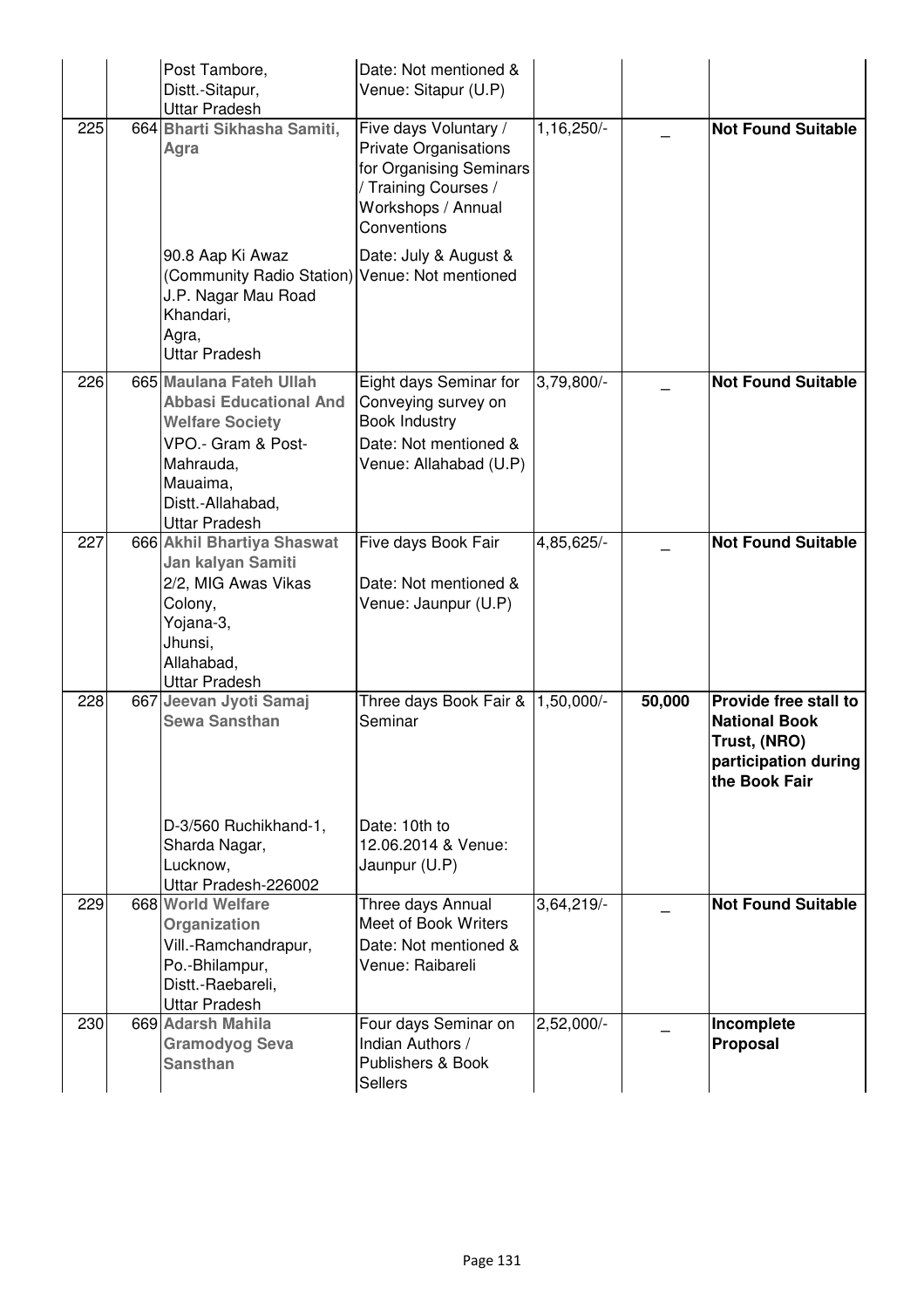|     | Post Tambore,<br>Distt.-Sitapur,<br><b>Uttar Pradesh</b>                                                                                                                       | Date: Not mentioned &<br>Venue: Sitapur (U.P)                                                                                                 |              |        |                                                                                                        |
|-----|--------------------------------------------------------------------------------------------------------------------------------------------------------------------------------|-----------------------------------------------------------------------------------------------------------------------------------------------|--------------|--------|--------------------------------------------------------------------------------------------------------|
| 225 | 664 Bharti Sikhasha Samiti,<br>Agra                                                                                                                                            | Five days Voluntary /<br><b>Private Organisations</b><br>for Organising Seminars<br>/ Training Courses /<br>Workshops / Annual<br>Conventions | 1,16,250/-   |        | <b>Not Found Suitable</b>                                                                              |
|     | 90.8 Aap Ki Awaz<br>(Community Radio Station) Venue: Not mentioned<br>J.P. Nagar Mau Road<br>Khandari,<br>Agra,<br><b>Uttar Pradesh</b>                                        | Date: July & August &                                                                                                                         |              |        |                                                                                                        |
| 226 | 665 Maulana Fateh Ullah<br><b>Abbasi Educational And</b><br><b>Welfare Society</b><br>VPO.- Gram & Post-<br>Mahrauda,<br>Mauaima,<br>Distt.-Allahabad,<br><b>Uttar Pradesh</b> | Eight days Seminar for<br>Conveying survey on<br><b>Book Industry</b><br>Date: Not mentioned &<br>Venue: Allahabad (U.P)                      | 3,79,800/-   |        | <b>Not Found Suitable</b>                                                                              |
| 227 | 666 Akhil Bhartiya Shaswat<br>Jan kalyan Samiti<br>2/2, MIG Awas Vikas<br>Colony,<br>Yojana-3,<br>Jhunsi,<br>Allahabad,<br><b>Uttar Pradesh</b>                                | Five days Book Fair<br>Date: Not mentioned &<br>Venue: Jaunpur (U.P)                                                                          | 4,85,625/-   |        | <b>Not Found Suitable</b>                                                                              |
| 228 | 667 Jeevan Jyoti Samaj<br><b>Sewa Sansthan</b>                                                                                                                                 | Three days Book Fair & 1,50,000/-<br>Seminar                                                                                                  |              | 50,000 | Provide free stall to<br><b>National Book</b><br>Trust, (NRO)<br>participation during<br>the Book Fair |
|     | D-3/560 Ruchikhand-1,<br>Sharda Nagar,<br>Lucknow,<br>Uttar Pradesh-226002                                                                                                     | Date: 10th to<br>12.06.2014 & Venue:<br>Jaunpur (U.P)                                                                                         |              |        |                                                                                                        |
| 229 | 668 World Welfare<br>Organization<br>Vill.-Ramchandrapur,<br>Po.-Bhilampur,<br>Distt.-Raebareli,<br><b>Uttar Pradesh</b>                                                       | Three days Annual<br>Meet of Book Writers<br>Date: Not mentioned &<br>Venue: Raibareli                                                        | 3,64,219/    |        | <b>Not Found Suitable</b>                                                                              |
| 230 | 669 Adarsh Mahila<br><b>Gramodyog Seva</b><br><b>Sansthan</b>                                                                                                                  | Four days Seminar on<br>Indian Authors /<br>Publishers & Book<br><b>Sellers</b>                                                               | $2,52,000/-$ |        | Incomplete<br>Proposal                                                                                 |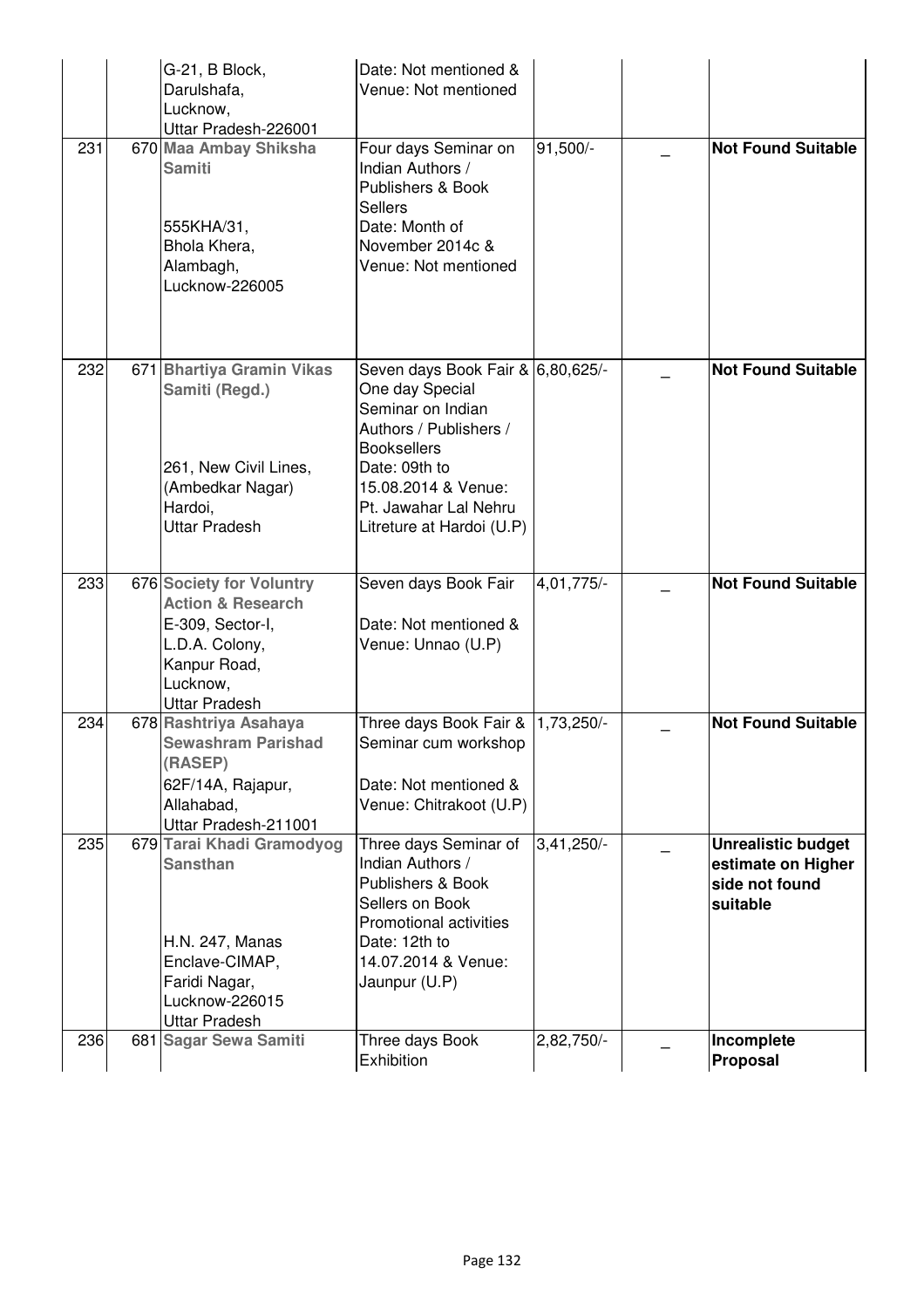|     | G-21, B Block,<br>Darulshafa,<br>Lucknow,<br>Uttar Pradesh-226001                                                                                  | Date: Not mentioned &<br>Venue: Not mentioned                                                                                                                                                                           |              |                                                                               |
|-----|----------------------------------------------------------------------------------------------------------------------------------------------------|-------------------------------------------------------------------------------------------------------------------------------------------------------------------------------------------------------------------------|--------------|-------------------------------------------------------------------------------|
| 231 | 670 Maa Ambay Shiksha<br><b>Samiti</b><br>555KHA/31,<br>Bhola Khera,<br>Alambagh,<br>Lucknow-226005                                                | Four days Seminar on<br>Indian Authors /<br>Publishers & Book<br><b>Sellers</b><br>Date: Month of<br>November 2014c &<br>Venue: Not mentioned                                                                           | 91,500/-     | <b>Not Found Suitable</b>                                                     |
| 232 | 671 Bhartiya Gramin Vikas<br>Samiti (Regd.)<br>261, New Civil Lines,<br>(Ambedkar Nagar)<br>Hardoi,<br><b>Uttar Pradesh</b>                        | Seven days Book Fair & 6,80,625/-<br>One day Special<br>Seminar on Indian<br>Authors / Publishers /<br><b>Booksellers</b><br>Date: 09th to<br>15.08.2014 & Venue:<br>Pt. Jawahar Lal Nehru<br>Litreture at Hardoi (U.P) |              | <b>Not Found Suitable</b>                                                     |
| 233 | 676 Society for Voluntry<br><b>Action &amp; Research</b><br>E-309, Sector-I,<br>L.D.A. Colony,<br>Kanpur Road,<br>Lucknow,<br><b>Uttar Pradesh</b> | Seven days Book Fair<br>Date: Not mentioned &<br>Venue: Unnao (U.P)                                                                                                                                                     | 4,01,775/-   | <b>Not Found Suitable</b>                                                     |
| 234 | 678 Rashtriya Asahaya<br><b>Sewashram Parishad</b><br>(RASEP)<br>62F/14A, Rajapur,<br>Allahabad,<br>Uttar Pradesh-211001                           | Three days Book Fair & 1,73,250/-<br>Seminar cum workshop<br>Date: Not mentioned &<br>Venue: Chitrakoot (U.P)                                                                                                           |              | <b>Not Found Suitable</b>                                                     |
| 235 | 679 Tarai Khadi Gramodyog<br><b>Sansthan</b><br>H.N. 247, Manas<br>Enclave-CIMAP,<br>Faridi Nagar,<br>Lucknow-226015<br><b>Uttar Pradesh</b>       | Three days Seminar of<br>Indian Authors /<br>Publishers & Book<br>Sellers on Book<br><b>Promotional activities</b><br>Date: 12th to<br>14.07.2014 & Venue:<br>Jaunpur (U.P)                                             | $3,41,250/-$ | <b>Unrealistic budget</b><br>estimate on Higher<br>side not found<br>suitable |
| 236 | 681 Sagar Sewa Samiti                                                                                                                              | Three days Book<br>Exhibition                                                                                                                                                                                           | 2,82,750/-   | Incomplete<br>Proposal                                                        |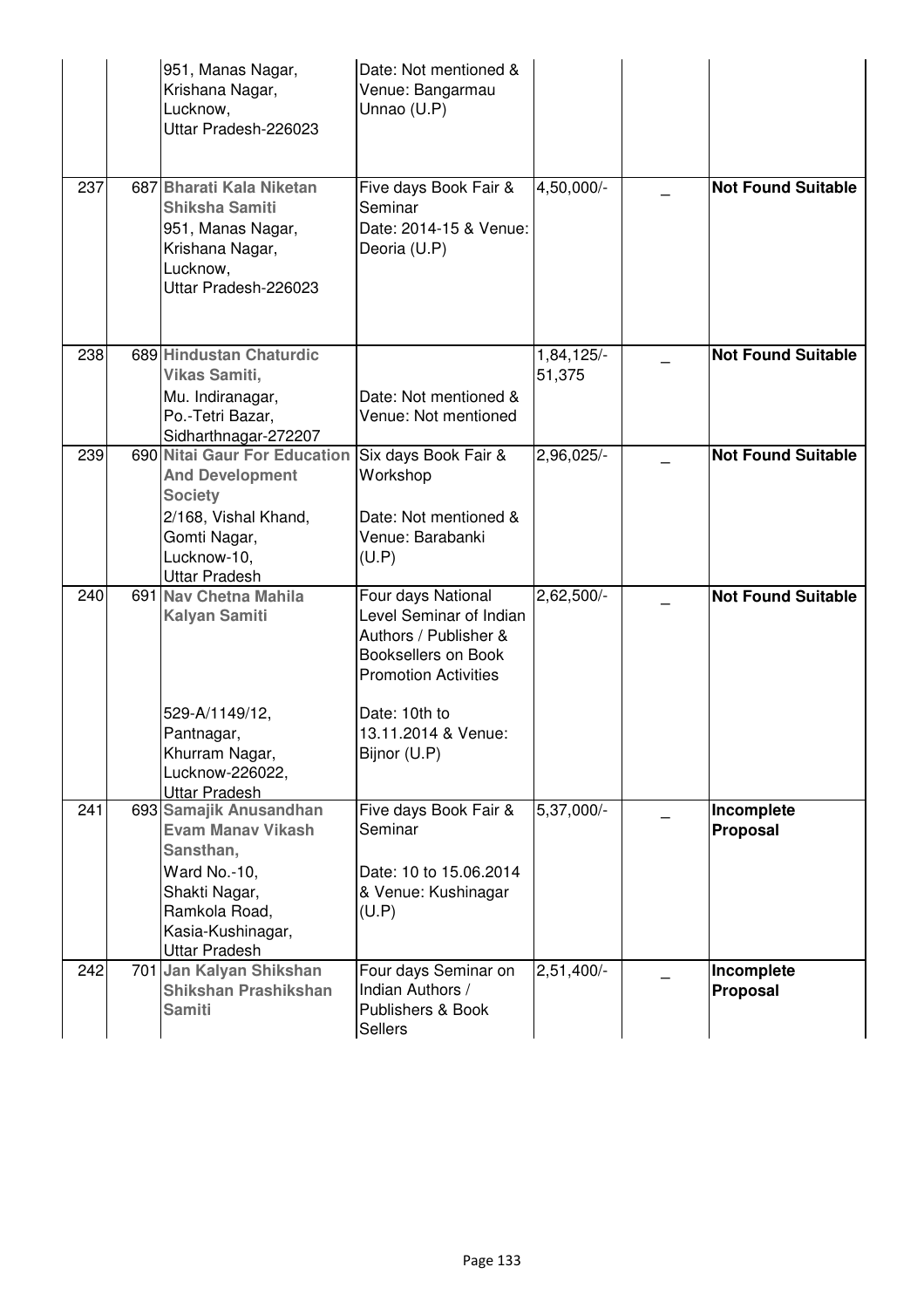|     | 951, Manas Nagar,<br>Krishana Nagar,<br>Lucknow,<br>Uttar Pradesh-226023                                                                                       | Date: Not mentioned &<br>Venue: Bangarmau<br>Unnao (U.P)                                                                                      |                      |                           |
|-----|----------------------------------------------------------------------------------------------------------------------------------------------------------------|-----------------------------------------------------------------------------------------------------------------------------------------------|----------------------|---------------------------|
| 237 | 687 Bharati Kala Niketan<br><b>Shiksha Samiti</b><br>951, Manas Nagar,<br>Krishana Nagar,<br>Lucknow,<br>Uttar Pradesh-226023                                  | Five days Book Fair &<br>Seminar<br>Date: 2014-15 & Venue:<br>Deoria (U.P)                                                                    | 4,50,000/-           | <b>Not Found Suitable</b> |
| 238 | 689 Hindustan Chaturdic<br>Vikas Samiti,<br>Mu. Indiranagar,<br>Po.-Tetri Bazar,<br>Sidharthnagar-272207                                                       | Date: Not mentioned &<br>Venue: Not mentioned                                                                                                 | 1,84,125/-<br>51,375 | <b>Not Found Suitable</b> |
| 239 | 690 Nitai Gaur For Education<br><b>And Development</b><br><b>Society</b><br>2/168, Vishal Khand,<br>Gomti Nagar,<br>Lucknow-10,<br><b>Uttar Pradesh</b>        | Six days Book Fair &<br>Workshop<br>Date: Not mentioned &<br>Venue: Barabanki<br>(U.P)                                                        | 2,96,025/-           | <b>Not Found Suitable</b> |
| 240 | 691 Nav Chetna Mahila<br><b>Kalyan Samiti</b><br>529-A/1149/12,                                                                                                | Four days National<br>Level Seminar of Indian<br>Authors / Publisher &<br>Booksellers on Book<br><b>Promotion Activities</b><br>Date: 10th to | $2,62,500/-$         | <b>Not Found Suitable</b> |
|     | Pantnagar,<br>Khurram Nagar,<br>Lucknow-226022,<br><b>Uttar Pradesh</b>                                                                                        | 13.11.2014 & Venue:<br>Bijnor (U.P)                                                                                                           |                      |                           |
| 241 | 693 Samajik Anusandhan<br><b>Evam Manav Vikash</b><br>Sansthan,<br>Ward No.-10,<br>Shakti Nagar,<br>Ramkola Road,<br>Kasia-Kushinagar,<br><b>Uttar Pradesh</b> | Five days Book Fair &<br>Seminar<br>Date: 10 to 15.06.2014<br>& Venue: Kushinagar<br>(U.P)                                                    | 5,37,000/-           | Incomplete<br>Proposal    |
| 242 | 701 Jan Kalyan Shikshan<br><b>Shikshan Prashikshan</b><br><b>Samiti</b>                                                                                        | Four days Seminar on<br>Indian Authors /<br>Publishers & Book<br><b>Sellers</b>                                                               | $2,51,400/-$         | Incomplete<br>Proposal    |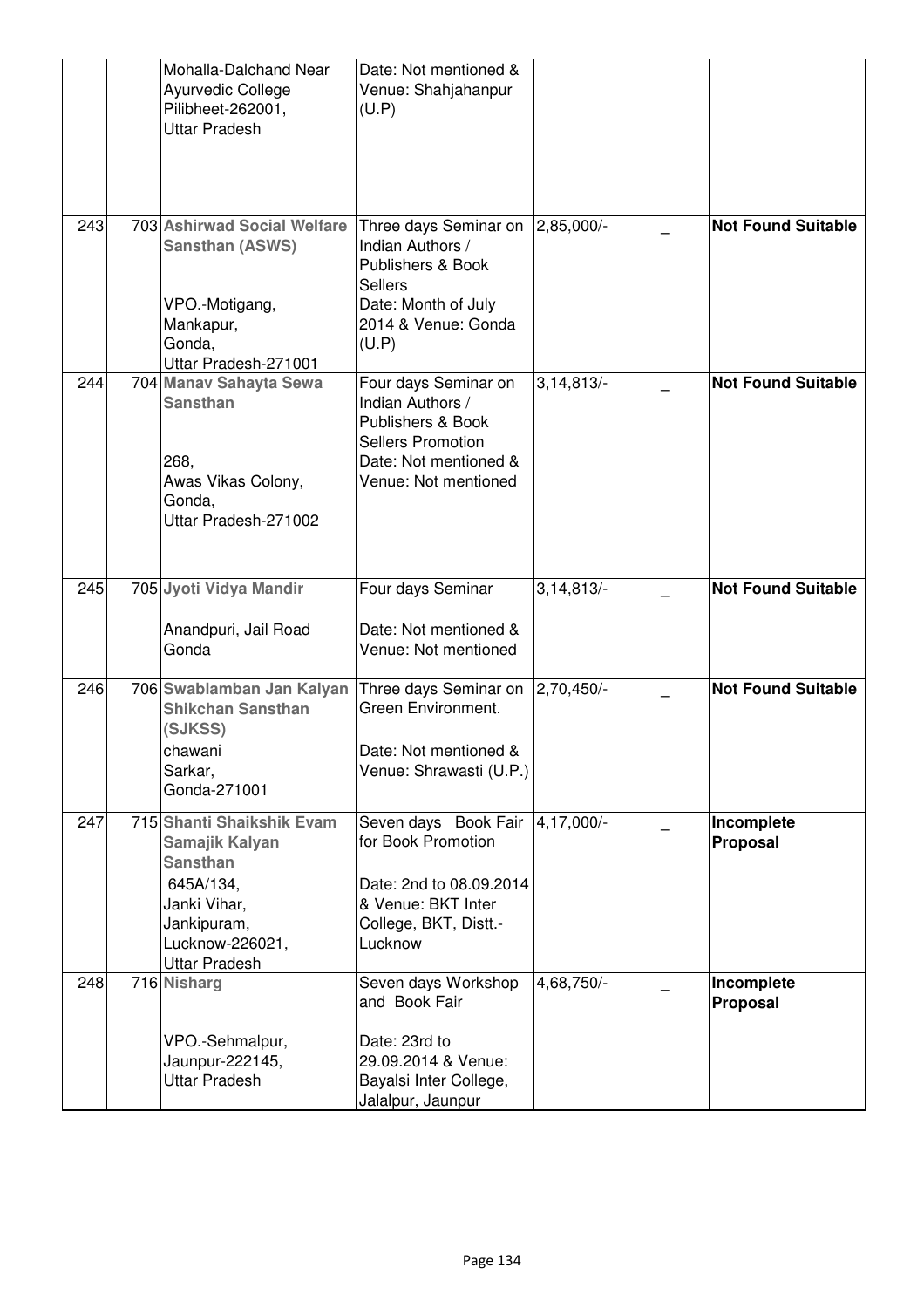|     | Mohalla-Dalchand Near<br>Ayurvedic College<br>Pilibheet-262001,<br><b>Uttar Pradesh</b>                                                               | Date: Not mentioned &<br>Venue: Shahjahanpur<br>(U.P)                                                                                      |              |                           |
|-----|-------------------------------------------------------------------------------------------------------------------------------------------------------|--------------------------------------------------------------------------------------------------------------------------------------------|--------------|---------------------------|
| 243 | 703 Ashirwad Social Welfare<br><b>Sansthan (ASWS)</b><br>VPO.-Motigang,<br>Mankapur,<br>Gonda,<br>Uttar Pradesh-271001                                | Three days Seminar on<br>Indian Authors /<br>Publishers & Book<br><b>Sellers</b><br>Date: Month of July<br>2014 & Venue: Gonda<br>(U.P)    | 2,85,000/-   | <b>Not Found Suitable</b> |
| 244 | 704 Manav Sahayta Sewa<br><b>Sansthan</b><br>268,<br>Awas Vikas Colony,<br>Gonda,<br>Uttar Pradesh-271002                                             | Four days Seminar on<br>Indian Authors /<br>Publishers & Book<br><b>Sellers Promotion</b><br>Date: Not mentioned &<br>Venue: Not mentioned | 3,14,813/    | <b>Not Found Suitable</b> |
| 245 | 705 Jyoti Vidya Mandir<br>Anandpuri, Jail Road<br>Gonda                                                                                               | Four days Seminar<br>Date: Not mentioned &<br>Venue: Not mentioned                                                                         | 3,14,813/    | <b>Not Found Suitable</b> |
| 246 | 706 Swablamban Jan Kalyan<br><b>Shikchan Sansthan</b><br>(SJKSS)<br>chawani<br>Sarkar,<br>Gonda-271001                                                | Three days Seminar on<br>Green Environment.<br>Date: Not mentioned &<br>Venue: Shrawasti (U.P.)                                            | $2,70,450/-$ | <b>Not Found Suitable</b> |
| 247 | 715 Shanti Shaikshik Evam<br>Samajik Kalyan<br><b>Sansthan</b><br>645A/134,<br>Janki Vihar,<br>Jankipuram,<br>Lucknow-226021,<br><b>Uttar Pradesh</b> | Seven days Book Fair<br>for Book Promotion<br>Date: 2nd to 08.09.2014<br>& Venue: BKT Inter<br>College, BKT, Distt.-<br>Lucknow            | 4,17,000/-   | Incomplete<br>Proposal    |
| 248 | 716 Nisharg<br>VPO.-Sehmalpur,<br>Jaunpur-222145,<br><b>Uttar Pradesh</b>                                                                             | Seven days Workshop<br>and Book Fair<br>Date: 23rd to<br>29.09.2014 & Venue:<br>Bayalsi Inter College,<br>Jalalpur, Jaunpur                | 4,68,750/-   | Incomplete<br>Proposal    |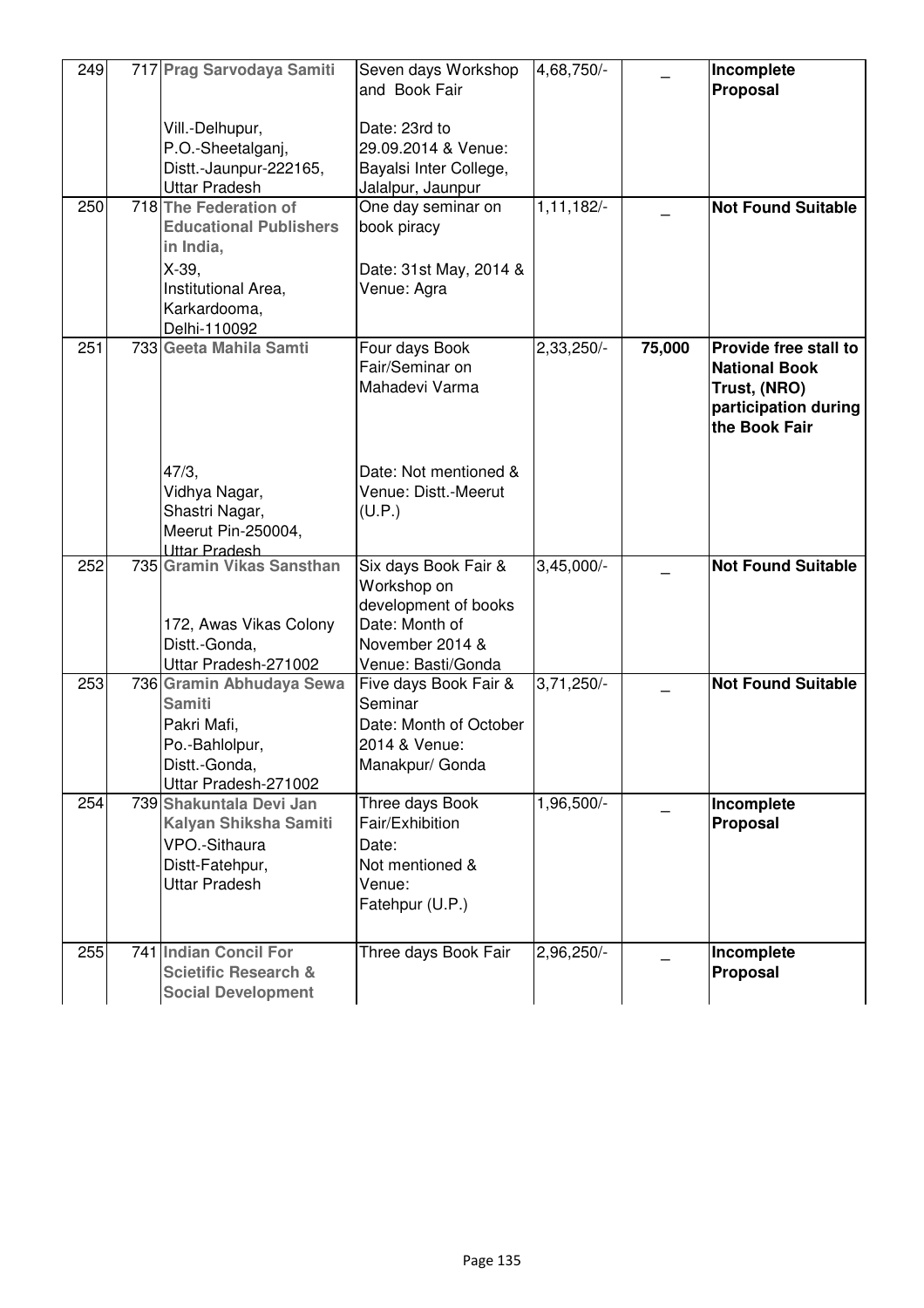| 249 | 717 Prag Sarvodaya Samiti                                                                                                              | Seven days Workshop<br>and Book Fair                                                                                   | 4,68,750/-   |        | Incomplete<br>Proposal                                                                                 |
|-----|----------------------------------------------------------------------------------------------------------------------------------------|------------------------------------------------------------------------------------------------------------------------|--------------|--------|--------------------------------------------------------------------------------------------------------|
|     | Vill.-Delhupur,<br>P.O.-Sheetalganj,<br>Distt.-Jaunpur-222165,<br>Uttar Pradesh                                                        | Date: 23rd to<br>29.09.2014 & Venue:<br>Bayalsi Inter College,<br>Jalalpur, Jaunpur                                    |              |        |                                                                                                        |
| 250 | 718 The Federation of<br><b>Educational Publishers</b><br>in India,<br>$X-39$ ,<br>Institutional Area,<br>Karkardooma,<br>Delhi-110092 | One day seminar on<br>book piracy<br>Date: 31st May, 2014 &<br>Venue: Agra                                             | 1,11,182/-   |        | <b>Not Found Suitable</b>                                                                              |
| 251 | 733 Geeta Mahila Samti                                                                                                                 | Four days Book<br>Fair/Seminar on<br>Mahadevi Varma                                                                    | 2,33,250/-   | 75,000 | Provide free stall to<br><b>National Book</b><br>Trust, (NRO)<br>participation during<br>the Book Fair |
|     | 47/3,<br>Vidhya Nagar,<br>Shastri Nagar,<br>Meerut Pin-250004,<br>Uttar Pradesh                                                        | Date: Not mentioned &<br>Venue: Distt.-Meerut<br>(U.P.)                                                                |              |        |                                                                                                        |
| 252 | 735 Gramin Vikas Sansthan<br>172, Awas Vikas Colony<br>Distt.-Gonda,<br>Uttar Pradesh-271002                                           | Six days Book Fair &<br>Workshop on<br>development of books<br>Date: Month of<br>November 2014 &<br>Venue: Basti/Gonda | $3,45,000/-$ |        | <b>Not Found Suitable</b>                                                                              |
| 253 | 736 Gramin Abhudaya Sewa<br><b>Samiti</b><br>Pakri Mafi,<br>Po.-Bahlolpur,<br>Distt.-Gonda,<br>Uttar Pradesh-271002                    | Five days Book Fair &<br>Seminar<br>Date: Month of October<br>2014 & Venue:<br>Manakpur/ Gonda                         | $3,71,250/-$ |        | <b>Not Found Suitable</b>                                                                              |
| 254 | 739 Shakuntala Devi Jan<br>Kalyan Shiksha Samiti<br>VPO.-Sithaura<br>Distt-Fatehpur,<br>Uttar Pradesh                                  | Three days Book<br>Fair/Exhibition<br>Date:<br>Not mentioned &<br>Venue:<br>Fatehpur (U.P.)                            | 1,96,500/-   |        | Incomplete<br>Proposal                                                                                 |
| 255 | 741 Indian Concil For<br><b>Scietific Research &amp;</b><br><b>Social Development</b>                                                  | Three days Book Fair                                                                                                   | 2,96,250/-   |        | Incomplete<br>Proposal                                                                                 |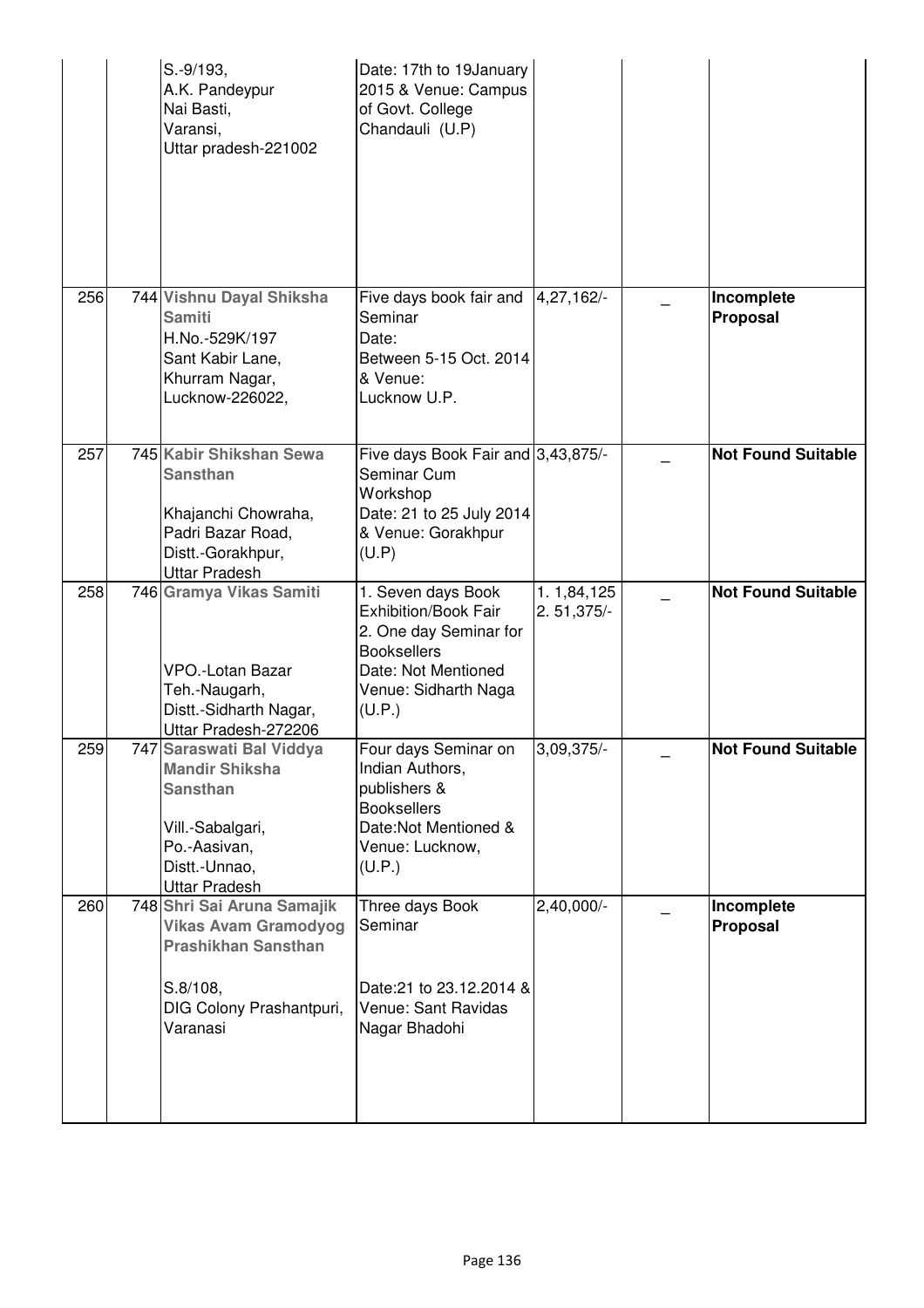|     | S.-9/193,<br>A.K. Pandeypur<br>Nai Basti,<br>Varansi,<br>Uttar pradesh-221002                                                                     | Date: 17th to 19January<br>2015 & Venue: Campus<br>of Govt. College<br>Chandauli (U.P)                                                              |                            |                           |
|-----|---------------------------------------------------------------------------------------------------------------------------------------------------|-----------------------------------------------------------------------------------------------------------------------------------------------------|----------------------------|---------------------------|
| 256 | 744 Vishnu Dayal Shiksha<br><b>Samiti</b><br>H.No.-529K/197<br>Sant Kabir Lane,<br>Khurram Nagar,<br>Lucknow-226022,                              | Five days book fair and<br>Seminar<br>Date:<br>Between 5-15 Oct. 2014<br>& Venue:<br>Lucknow U.P.                                                   | 4,27,162/-                 | Incomplete<br>Proposal    |
| 257 | 745 Kabir Shikshan Sewa<br><b>Sansthan</b><br>Khajanchi Chowraha,<br>Padri Bazar Road,<br>Distt.-Gorakhpur,<br><b>Uttar Pradesh</b>               | Five days Book Fair and 3,43,875/-<br>Seminar Cum<br>Workshop<br>Date: 21 to 25 July 2014<br>& Venue: Gorakhpur<br>(U.P)                            |                            | <b>Not Found Suitable</b> |
| 258 | 746 Gramya Vikas Samiti<br><b>VPO.-Lotan Bazar</b><br>Teh.-Naugarh,<br>Distt.-Sidharth Nagar,<br>Uttar Pradesh-272206                             | 1. Seven days Book<br>Exhibition/Book Fair<br>2. One day Seminar for<br><b>Booksellers</b><br>Date: Not Mentioned<br>Venue: Sidharth Naga<br>(U.P.) | 1.1,84,125<br>$2.51,375/-$ | <b>Not Found Suitable</b> |
| 259 | 747 Saraswati Bal Viddya<br><b>Mandir Shiksha</b><br><b>Sansthan</b><br>Vill.-Sabalgari,<br>Po.-Aasivan,<br>Distt.-Unnao,<br><b>Uttar Pradesh</b> | Four days Seminar on<br>Indian Authors,<br>publishers &<br><b>Booksellers</b><br>Date:Not Mentioned &<br>Venue: Lucknow,<br>(U.P.)                  | 3,09,375/-                 | <b>Not Found Suitable</b> |
| 260 | 748 Shri Sai Aruna Samajik<br><b>Vikas Avam Gramodyog</b><br><b>Prashikhan Sansthan</b><br>$S.8/108$ ,<br>DIG Colony Prashantpuri,<br>Varanasi    | Three days Book<br>Seminar<br>Date: 21 to 23.12.2014 &<br>Venue: Sant Ravidas<br>Nagar Bhadohi                                                      | $2,40,000/-$               | Incomplete<br>Proposal    |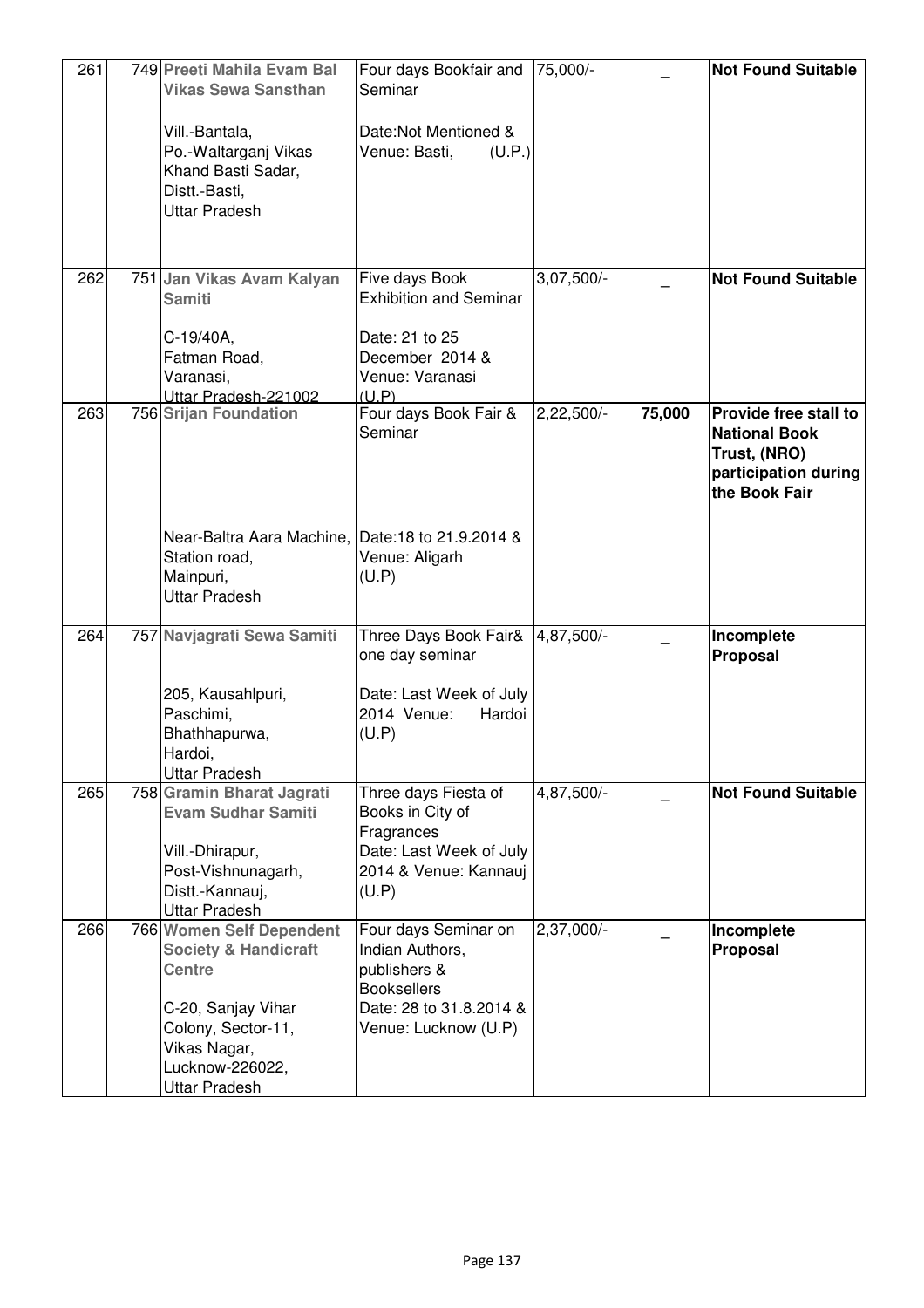| 261 | 749 Preeti Mahila Evam Bal<br><b>Vikas Sewa Sansthan</b>                                                                                                                                   | Four days Bookfair and  75,000/-<br>Seminar                                                                                      |              |        | <b>Not Found Suitable</b>                                                                              |
|-----|--------------------------------------------------------------------------------------------------------------------------------------------------------------------------------------------|----------------------------------------------------------------------------------------------------------------------------------|--------------|--------|--------------------------------------------------------------------------------------------------------|
|     | Vill.-Bantala,<br>Po.-Waltarganj Vikas<br>Khand Basti Sadar,<br>Distt.-Basti,<br><b>Uttar Pradesh</b>                                                                                      | Date:Not Mentioned &<br>Venue: Basti,<br>(U.P.)                                                                                  |              |        |                                                                                                        |
| 262 | 751 Jan Vikas Avam Kalyan<br><b>Samiti</b>                                                                                                                                                 | Five days Book<br><b>Exhibition and Seminar</b>                                                                                  | $3,07,500/-$ |        | <b>Not Found Suitable</b>                                                                              |
|     | C-19/40A,<br>Fatman Road,<br>Varanasi,<br>Uttar Pradesh-221002                                                                                                                             | Date: 21 to 25<br>December 2014 &<br>Venue: Varanasi<br>(U.P)                                                                    |              |        |                                                                                                        |
| 263 | 756 Srijan Foundation                                                                                                                                                                      | Four days Book Fair &<br>Seminar                                                                                                 | $2,22,500/-$ | 75,000 | Provide free stall to<br><b>National Book</b><br>Trust, (NRO)<br>participation during<br>the Book Fair |
|     | Near-Baltra Aara Machine, Date: 18 to 21.9.2014 &<br>Station road,<br>Mainpuri,<br><b>Uttar Pradesh</b>                                                                                    | Venue: Aligarh<br>(U.P)                                                                                                          |              |        |                                                                                                        |
| 264 | 757 Navjagrati Sewa Samiti                                                                                                                                                                 | Three Days Book Fair&<br>one day seminar                                                                                         | 4,87,500/-   |        | Incomplete<br><b>Proposal</b>                                                                          |
|     | 205, Kausahlpuri,<br>Paschimi,<br>Bhathhapurwa,<br>Hardoi,<br><b>Uttar Pradesh</b>                                                                                                         | Date: Last Week of July<br>2014 Venue:<br>Hardoi<br>(U.P)                                                                        |              |        |                                                                                                        |
| 265 | 758 Gramin Bharat Jagrati<br><b>Evam Sudhar Samiti</b>                                                                                                                                     | Three days Fiesta of<br>Books in City of<br>Fragrances                                                                           | 4,87,500/-   |        | <b>Not Found Suitable</b>                                                                              |
|     | Vill.-Dhirapur,<br>Post-Vishnunagarh,<br>Distt.-Kannauj,<br><b>Uttar Pradesh</b>                                                                                                           | Date: Last Week of July<br>2014 & Venue: Kannauj<br>(U.P)                                                                        |              |        |                                                                                                        |
| 266 | <b>766 Women Self Dependent</b><br><b>Society &amp; Handicraft</b><br><b>Centre</b><br>C-20, Sanjay Vihar<br>Colony, Sector-11,<br>Vikas Nagar,<br>Lucknow-226022,<br><b>Uttar Pradesh</b> | Four days Seminar on<br>Indian Authors,<br>publishers &<br><b>Booksellers</b><br>Date: 28 to 31.8.2014 &<br>Venue: Lucknow (U.P) | 2,37,000/-   |        | Incomplete<br>Proposal                                                                                 |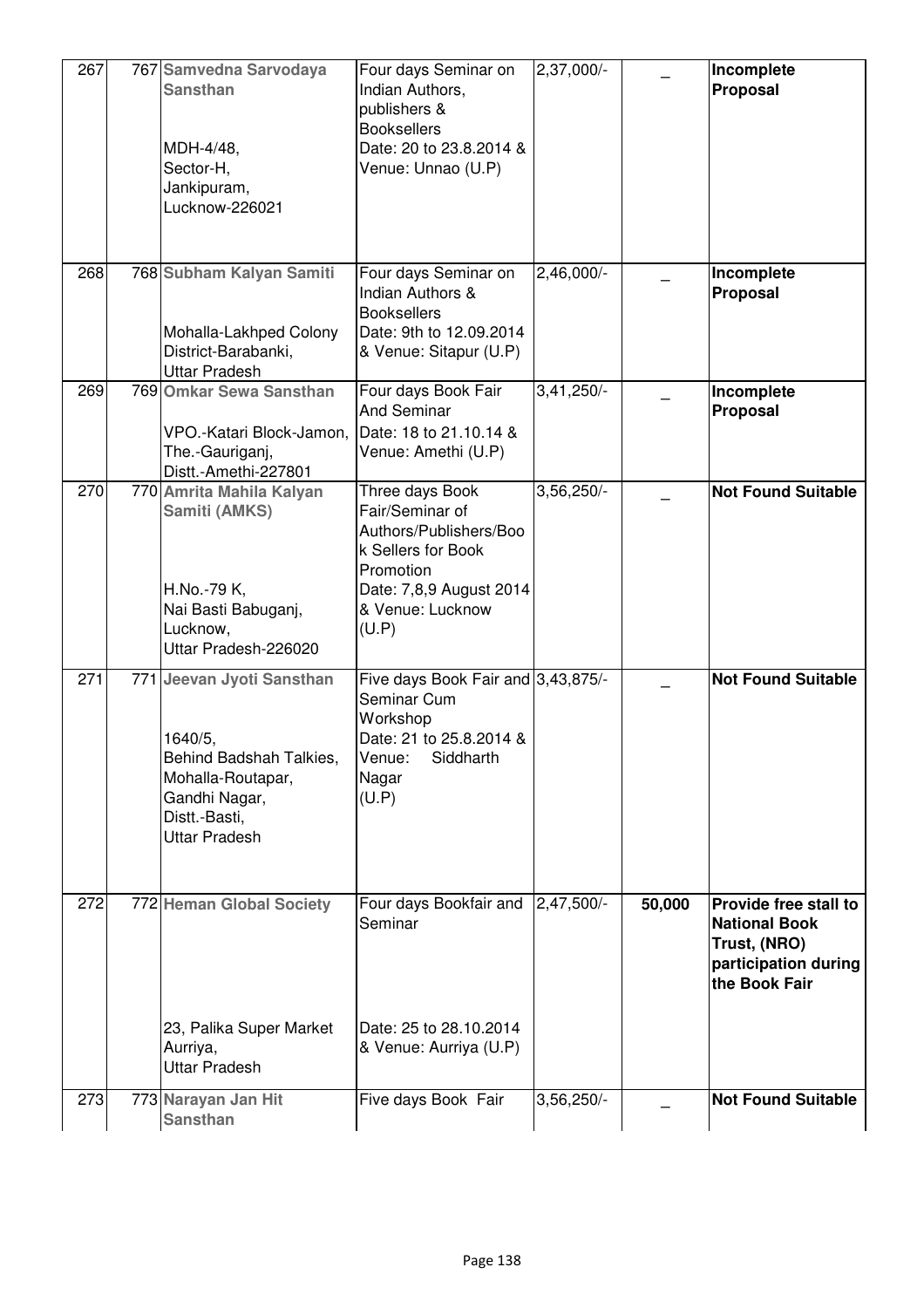| 267 | 767 Samvedna Sarvodaya<br><b>Sansthan</b><br>MDH-4/48,<br>Sector-H,<br>Jankipuram,<br>Lucknow-226021                                           | Four days Seminar on<br>Indian Authors,<br>publishers &<br><b>Booksellers</b><br>Date: 20 to 23.8.2014 &<br>Venue: Unnao (U.P)                          | 2,37,000/-   |        | Incomplete<br>Proposal                                                                                 |
|-----|------------------------------------------------------------------------------------------------------------------------------------------------|---------------------------------------------------------------------------------------------------------------------------------------------------------|--------------|--------|--------------------------------------------------------------------------------------------------------|
| 268 | 768 Subham Kalyan Samiti<br>Mohalla-Lakhped Colony<br>District-Barabanki,<br><b>Uttar Pradesh</b>                                              | Four days Seminar on<br><b>Indian Authors &amp;</b><br><b>Booksellers</b><br>Date: 9th to 12.09.2014<br>& Venue: Sitapur (U.P)                          | $2,46,000/-$ |        | Incomplete<br>Proposal                                                                                 |
| 269 | 769 Omkar Sewa Sansthan<br>VPO.-Katari Block-Jamon,<br>The.-Gauriganj,<br>Distt.-Amethi-227801                                                 | Four days Book Fair<br><b>And Seminar</b><br>Date: 18 to 21.10.14 &<br>Venue: Amethi (U.P)                                                              | $3,41,250/-$ |        | Incomplete<br>Proposal                                                                                 |
| 270 | 770 Amrita Mahila Kalyan<br>Samiti (AMKS)<br>H.No.-79 K,<br>Nai Basti Babuganj,<br>Lucknow,<br>Uttar Pradesh-226020                            | Three days Book<br>Fair/Seminar of<br>Authors/Publishers/Boo<br>k Sellers for Book<br>Promotion<br>Date: 7,8,9 August 2014<br>& Venue: Lucknow<br>(U.P) | $3,56,250/-$ |        | <b>Not Found Suitable</b>                                                                              |
| 271 | 771 Jeevan Jyoti Sansthan<br>1640/5,<br>Behind Badshah Talkies,<br>Mohalla-Routapar,<br>Gandhi Nagar,<br>Distt.-Basti,<br><b>Uttar Pradesh</b> | Five days Book Fair and 3,43,875/-<br>Seminar Cum<br>Workshop<br>Date: 21 to 25.8.2014 &<br>Venue:<br>Siddharth<br>Nagar<br>(U.P)                       |              |        | <b>Not Found Suitable</b>                                                                              |
| 272 | 772 Heman Global Society<br>23, Palika Super Market<br>Aurriya,                                                                                | Four days Bookfair and<br>Seminar<br>Date: 25 to 28.10.2014<br>& Venue: Aurriya (U.P)                                                                   | 2,47,500/-   | 50,000 | Provide free stall to<br><b>National Book</b><br>Trust, (NRO)<br>participation during<br>the Book Fair |
| 273 | <b>Uttar Pradesh</b><br>773 Narayan Jan Hit<br><b>Sansthan</b>                                                                                 | Five days Book Fair                                                                                                                                     | $3,56,250/-$ |        | <b>Not Found Suitable</b>                                                                              |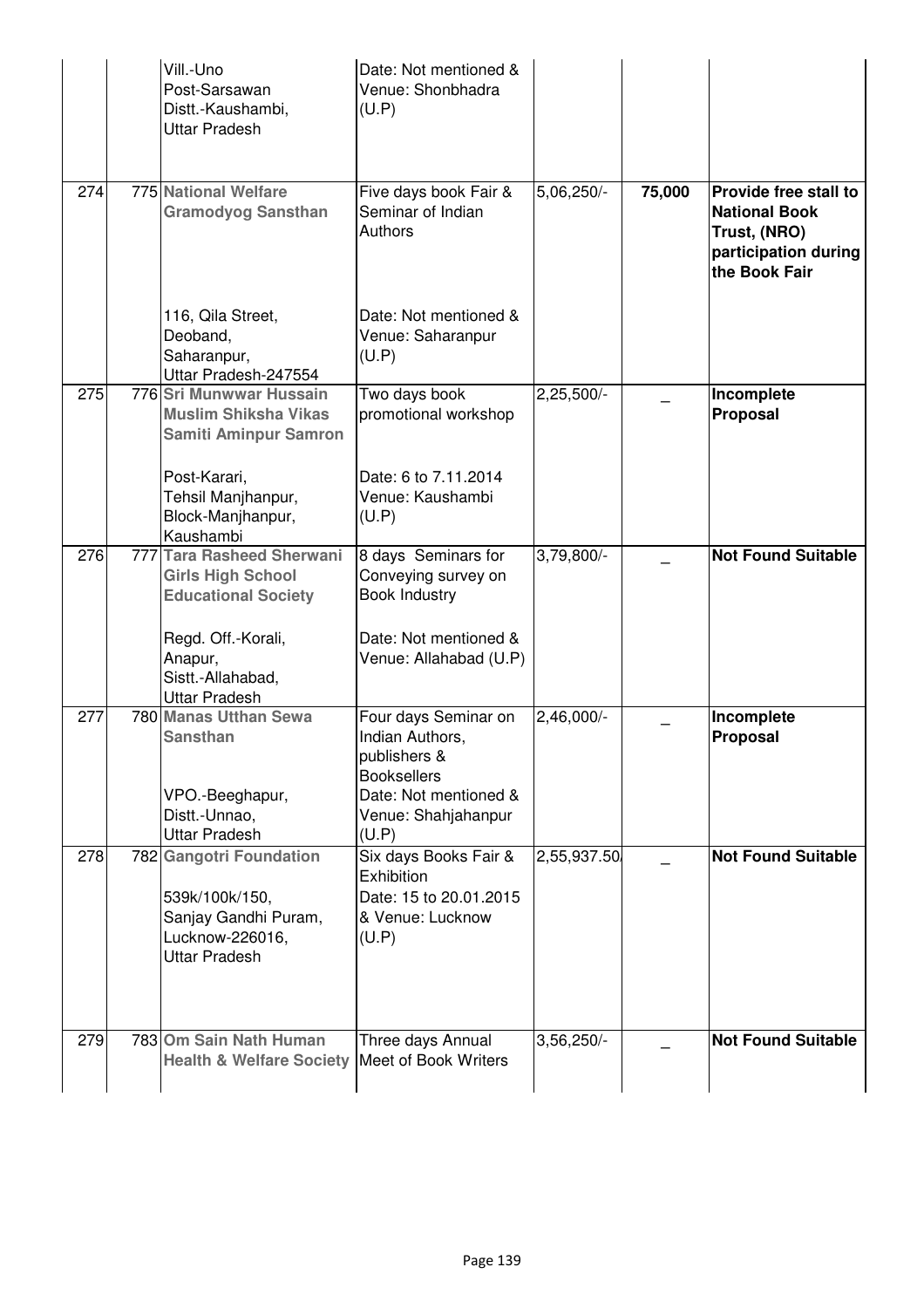|     | Vill.-Uno<br>Post-Sarsawan<br>Distt.-Kaushambi,<br><b>Uttar Pradesh</b>                                      | Date: Not mentioned &<br>Venue: Shonbhadra<br>(U.P)                                                                                    |              |        |                                                                                                        |
|-----|--------------------------------------------------------------------------------------------------------------|----------------------------------------------------------------------------------------------------------------------------------------|--------------|--------|--------------------------------------------------------------------------------------------------------|
| 274 | 775 National Welfare<br><b>Gramodyog Sansthan</b>                                                            | Five days book Fair &<br>Seminar of Indian<br>Authors                                                                                  | 5,06,250/-   | 75,000 | Provide free stall to<br><b>National Book</b><br>Trust, (NRO)<br>participation during<br>the Book Fair |
|     | 116, Qila Street,<br>Deoband,<br>Saharanpur,<br>Uttar Pradesh-247554                                         | Date: Not mentioned &<br>Venue: Saharanpur<br>(U.P)                                                                                    |              |        |                                                                                                        |
| 275 | 776 Sri Munwwar Hussain<br><b>Muslim Shiksha Vikas</b><br><b>Samiti Aminpur Samron</b>                       | Two days book<br>promotional workshop                                                                                                  | $2,25,500/-$ |        | Incomplete<br>Proposal                                                                                 |
|     | Post-Karari,<br>Tehsil Manjhanpur,<br>Block-Manjhanpur,<br>Kaushambi                                         | Date: 6 to 7.11.2014<br>Venue: Kaushambi<br>(U.P)                                                                                      |              |        |                                                                                                        |
| 276 | 777 Tara Rasheed Sherwani<br><b>Girls High School</b><br><b>Educational Society</b><br>Regd. Off.-Korali,    | 8 days Seminars for<br>Conveying survey on<br><b>Book Industry</b><br>Date: Not mentioned &                                            | 3,79,800/-   |        | <b>Not Found Suitable</b>                                                                              |
|     | Anapur,<br>Sistt.-Allahabad,<br><b>Uttar Pradesh</b>                                                         | Venue: Allahabad (U.P)                                                                                                                 |              |        |                                                                                                        |
| 277 | 780 Manas Utthan Sewa<br><b>Sansthan</b><br>VPO.-Beeghapur,<br>Distt.-Unnao,<br><b>Uttar Pradesh</b>         | Four days Seminar on<br>Indian Authors,<br>publishers &<br><b>Booksellers</b><br>Date: Not mentioned &<br>Venue: Shahjahanpur<br>(U.P) | 2,46,000/-   |        | Incomplete<br>Proposal                                                                                 |
| 278 | 782 Gangotri Foundation<br>539k/100k/150,<br>Sanjay Gandhi Puram,<br>Lucknow-226016,<br><b>Uttar Pradesh</b> | Six days Books Fair &<br>Exhibition<br>Date: 15 to 20.01.2015<br>& Venue: Lucknow<br>(U.P)                                             | 2,55,937.50  |        | <b>Not Found Suitable</b>                                                                              |
| 279 | 783 Om Sain Nath Human<br><b>Health &amp; Welfare Society</b>                                                | Three days Annual<br>Meet of Book Writers                                                                                              | 3,56,250/-   |        | <b>Not Found Suitable</b>                                                                              |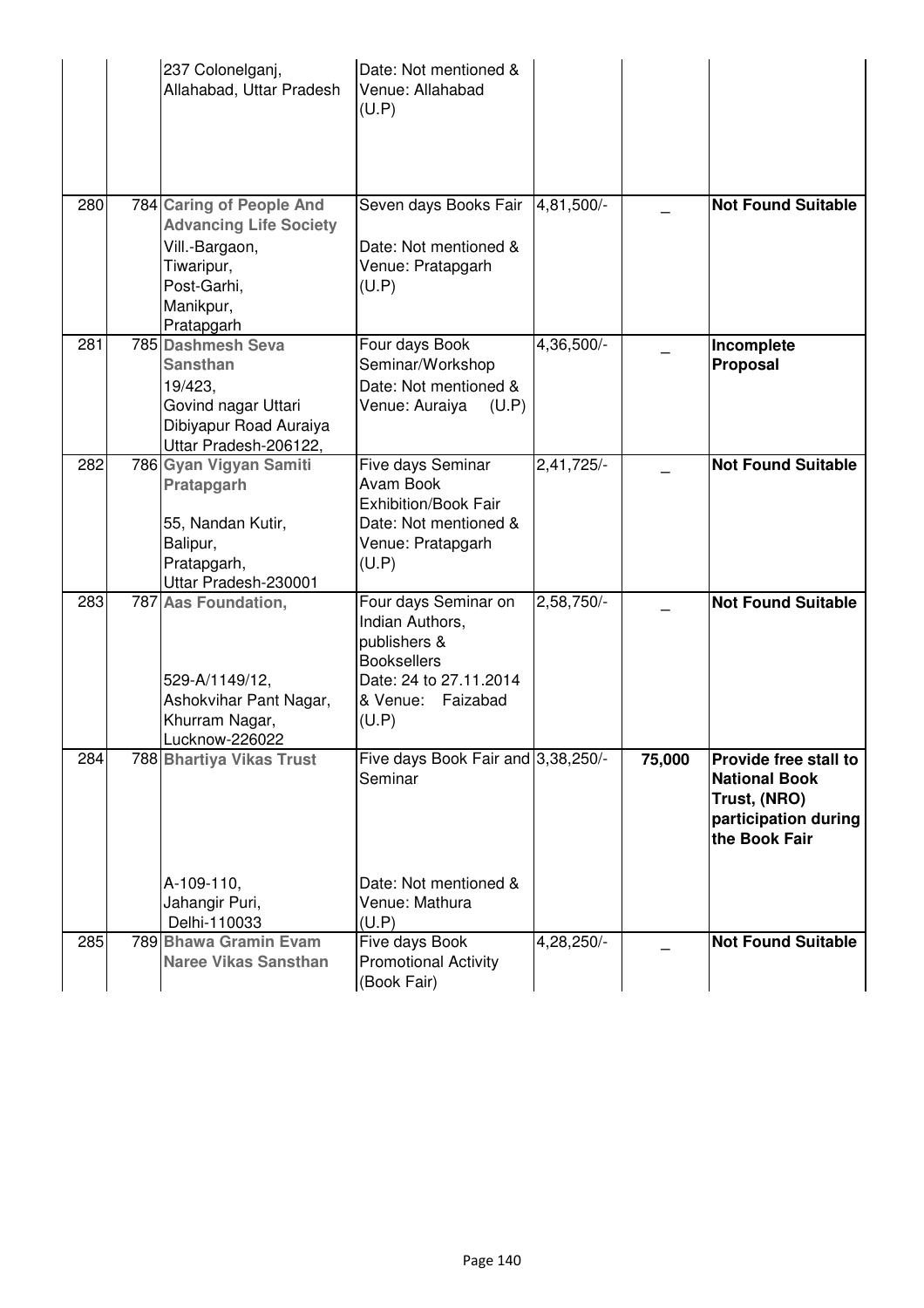|     | 237 Colonelganj,<br>Allahabad, Uttar Pradesh                                                                                        | Date: Not mentioned &<br>Venue: Allahabad<br>(U.P)                                                                                    |              |        |                                                                                                               |
|-----|-------------------------------------------------------------------------------------------------------------------------------------|---------------------------------------------------------------------------------------------------------------------------------------|--------------|--------|---------------------------------------------------------------------------------------------------------------|
| 280 | 784 Caring of People And<br><b>Advancing Life Society</b><br>Vill.-Bargaon,<br>Tiwaripur,<br>Post-Garhi,<br>Manikpur,<br>Pratapgarh | Seven days Books Fair<br>Date: Not mentioned &<br>Venue: Pratapgarh<br>(U.P)                                                          | 4,81,500/-   |        | <b>Not Found Suitable</b>                                                                                     |
| 281 | 785 Dashmesh Seva<br><b>Sansthan</b><br>19/423,<br>Govind nagar Uttari<br>Dibiyapur Road Auraiya<br>Uttar Pradesh-206122,           | Four days Book<br>Seminar/Workshop<br>Date: Not mentioned &<br>Venue: Auraiya<br>(U.P)                                                | 4,36,500/-   |        | Incomplete<br>Proposal                                                                                        |
| 282 | 786 Gyan Vigyan Samiti<br>Pratapgarh<br>55, Nandan Kutir,<br>Balipur,<br>Pratapgarh,<br>Uttar Pradesh-230001                        | Five days Seminar<br>Avam Book<br><b>Exhibition/Book Fair</b><br>Date: Not mentioned &<br>Venue: Pratapgarh<br>(U.P)                  | 2,41,725/-   |        | <b>Not Found Suitable</b>                                                                                     |
| 283 | 787 Aas Foundation,<br>529-A/1149/12,<br>Ashokvihar Pant Nagar,<br>Khurram Nagar,<br>Lucknow-226022                                 | Four days Seminar on<br>Indian Authors,<br>publishers &<br><b>Booksellers</b><br>Date: 24 to 27.11.2014<br>& Venue: Faizabad<br>(U.P) | $2,58,750/-$ |        | <b>Not Found Suitable</b>                                                                                     |
| 284 | 788 Bhartiya Vikas Trust<br>A-109-110,<br>Jahangir Puri,                                                                            | Five days Book Fair and 3,38,250/-<br>Seminar<br>Date: Not mentioned &<br>Venue: Mathura                                              |              | 75,000 | <b>Provide free stall to</b><br><b>National Book</b><br>Trust, (NRO)<br>participation during<br>the Book Fair |
| 285 | Delhi-110033<br>789 Bhawa Gramin Evam<br><b>Naree Vikas Sansthan</b>                                                                | (U.P)<br>Five days Book<br><b>Promotional Activity</b><br>(Book Fair)                                                                 | 4,28,250/-   |        | <b>Not Found Suitable</b>                                                                                     |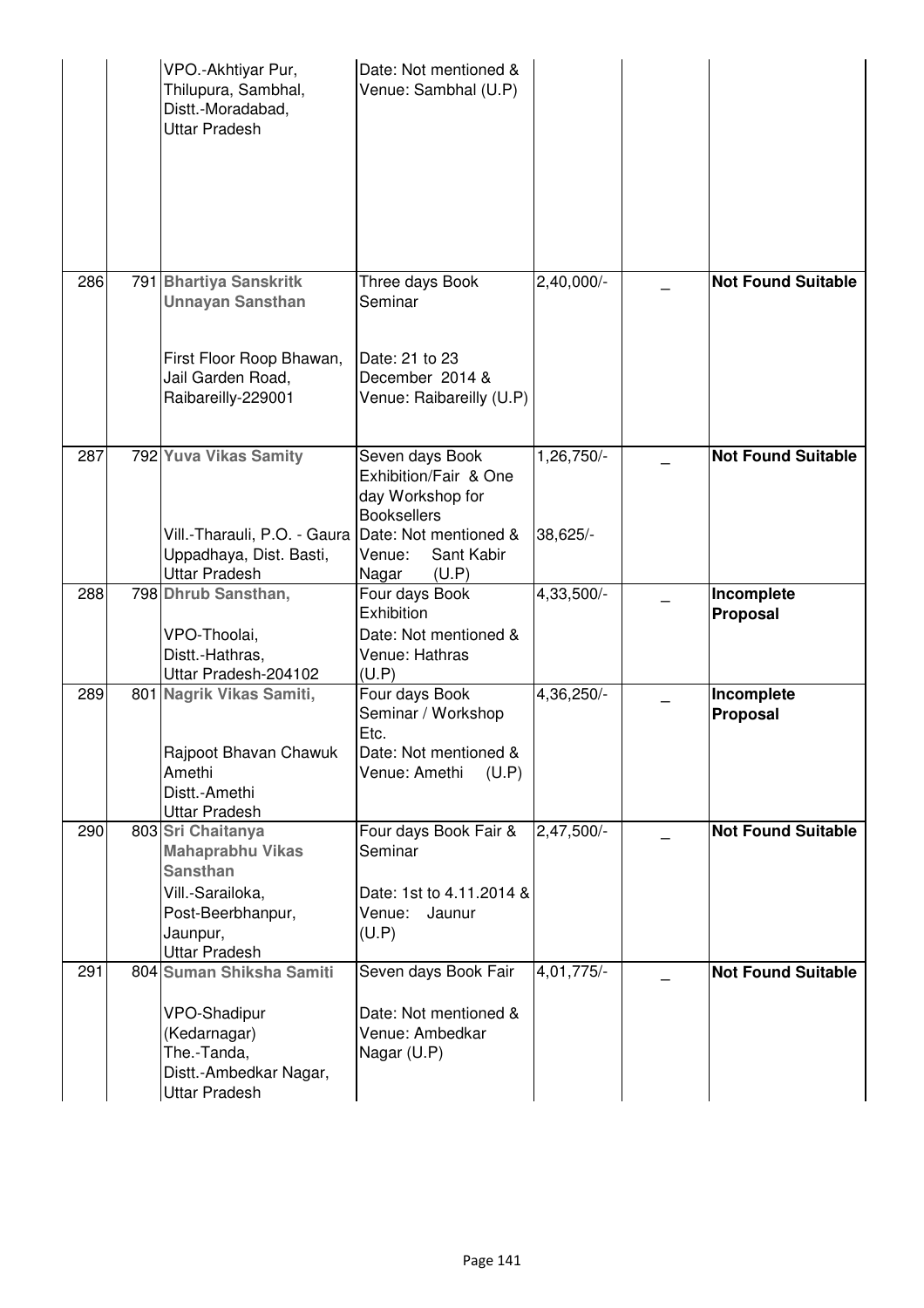|     | VPO.-Akhtiyar Pur,<br>Thilupura, Sambhal,<br>Distt.-Moradabad,<br><b>Uttar Pradesh</b>                                                       | Date: Not mentioned &<br>Venue: Sambhal (U.P)                                                                                                         |                        |                           |
|-----|----------------------------------------------------------------------------------------------------------------------------------------------|-------------------------------------------------------------------------------------------------------------------------------------------------------|------------------------|---------------------------|
| 286 | 791 Bhartiya Sanskritk<br><b>Unnayan Sansthan</b><br>First Floor Roop Bhawan,<br>Jail Garden Road,<br>Raibareilly-229001                     | Three days Book<br>Seminar<br>Date: 21 to 23<br>December 2014 &<br>Venue: Raibareilly (U.P)                                                           | 2,40,000/-             | <b>Not Found Suitable</b> |
| 287 | 792 Yuva Vikas Samity<br>Vill.-Tharauli, P.O. - Gaura<br>Uppadhaya, Dist. Basti,<br><b>Uttar Pradesh</b>                                     | Seven days Book<br>Exhibition/Fair & One<br>day Workshop for<br><b>Booksellers</b><br>Date: Not mentioned &<br>Venue:<br>Sant Kabir<br>(U.P)<br>Nagar | 1,26,750/-<br>38,625/- | <b>Not Found Suitable</b> |
| 288 | 798 Dhrub Sansthan,<br>VPO-Thoolai,<br>Distt.-Hathras,<br>Uttar Pradesh-204102                                                               | Four days Book<br>Exhibition<br>Date: Not mentioned &<br>Venue: Hathras<br>(U.P)                                                                      | $4,33,500/-$           | Incomplete<br>Proposal    |
| 289 | 801 Nagrik Vikas Samiti,<br>Rajpoot Bhavan Chawuk<br>Amethi<br>Distt.-Amethi<br>Uttar Pradesh                                                | Four days Book<br>Seminar / Workshop<br>Etc.<br>Date: Not mentioned &<br>(U.P)<br>Venue: Amethi                                                       | 4,36,250/-             | Incomplete<br>Proposal    |
| 290 | 803 Sri Chaitanya<br><b>Mahaprabhu Vikas</b><br><b>Sansthan</b><br>Vill.-Sarailoka,<br>Post-Beerbhanpur,<br>Jaunpur,<br><b>Uttar Pradesh</b> | Four days Book Fair &<br>Seminar<br>Date: 1st to 4.11.2014 &<br>Venue:<br>Jaunur<br>(U.P)                                                             | 2,47,500/-             | <b>Not Found Suitable</b> |
| 291 | 804 Suman Shiksha Samiti<br><b>VPO-Shadipur</b><br>(Kedarnagar)<br>The.-Tanda,<br>Distt.-Ambedkar Nagar,<br>Uttar Pradesh                    | Seven days Book Fair<br>Date: Not mentioned &<br>Venue: Ambedkar<br>Nagar (U.P)                                                                       | 4,01,775/-             | <b>Not Found Suitable</b> |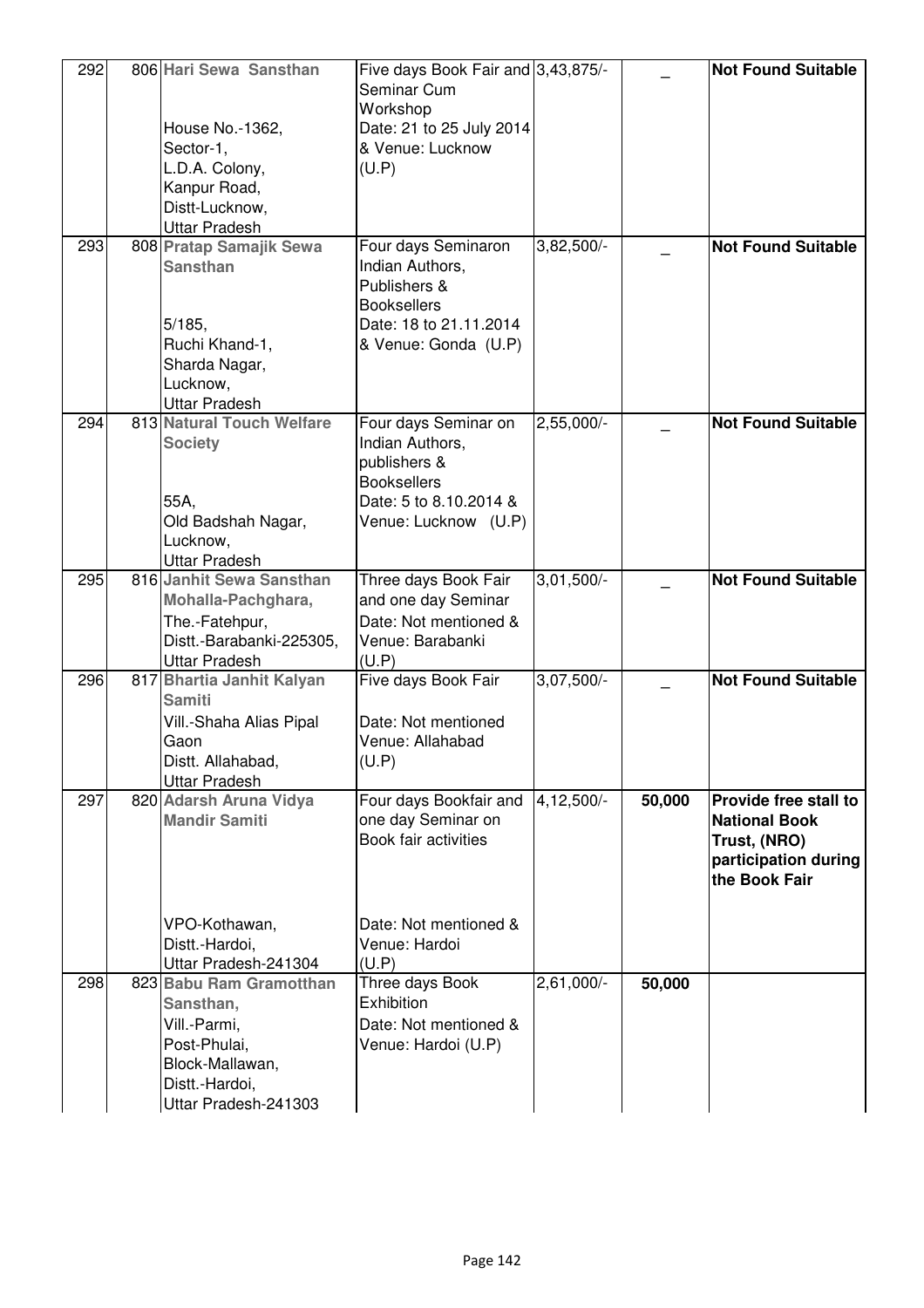| 292 | 806 Hari Sewa Sansthan<br>House No.-1362,<br>Sector-1,<br>L.D.A. Colony,<br>Kanpur Road,                                          | Five days Book Fair and 3,43,875/-<br>Seminar Cum<br>Workshop<br>Date: 21 to 25 July 2014<br>& Venue: Lucknow<br>(U.P)          |                         |        | <b>Not Found Suitable</b>                                                                              |
|-----|-----------------------------------------------------------------------------------------------------------------------------------|---------------------------------------------------------------------------------------------------------------------------------|-------------------------|--------|--------------------------------------------------------------------------------------------------------|
|     | Distt-Lucknow,<br><b>Uttar Pradesh</b>                                                                                            |                                                                                                                                 |                         |        |                                                                                                        |
| 293 | 808 Pratap Samajik Sewa<br><b>Sansthan</b><br>5/185,<br>Ruchi Khand-1,<br>Sharda Nagar,<br>Lucknow,<br><b>Uttar Pradesh</b>       | Four days Seminaron<br>Indian Authors,<br>Publishers &<br><b>Booksellers</b><br>Date: 18 to 21.11.2014<br>& Venue: Gonda (U.P)  | 3,82,500/-              |        | <b>Not Found Suitable</b>                                                                              |
| 294 | 813 Natural Touch Welfare<br><b>Society</b><br>55A,<br>Old Badshah Nagar,<br>Lucknow,<br><b>Uttar Pradesh</b>                     | Four days Seminar on<br>Indian Authors,<br>publishers &<br><b>Booksellers</b><br>Date: 5 to 8.10.2014 &<br>Venue: Lucknow (U.P) | 2,55,000/-              |        | <b>Not Found Suitable</b>                                                                              |
| 295 | 816 Janhit Sewa Sansthan<br>Mohalla-Pachghara,<br>The.-Fatehpur,<br>Distt.-Barabanki-225305,<br><b>Uttar Pradesh</b>              | Three days Book Fair<br>and one day Seminar<br>Date: Not mentioned &<br>Venue: Barabanki<br>(U.P)                               | $3,01,500/-$            |        | <b>Not Found Suitable</b>                                                                              |
| 296 | 817 Bhartia Janhit Kalyan<br><b>Samiti</b><br>Vill.-Shaha Alias Pipal<br>Gaon<br>Distt. Allahabad,<br><b>Uttar Pradesh</b>        | Five days Book Fair<br>Date: Not mentioned<br>Venue: Allahabad<br>(U.P)                                                         | $3,07,\overline{500/-}$ |        | <b>Not Found Suitable</b>                                                                              |
| 297 | 820 Adarsh Aruna Vidya<br><b>Mandir Samiti</b>                                                                                    | Four days Bookfair and<br>one day Seminar on<br>Book fair activities                                                            | 4,12,500/-              | 50,000 | Provide free stall to<br><b>National Book</b><br>Trust, (NRO)<br>participation during<br>the Book Fair |
|     | VPO-Kothawan,<br>Distt.-Hardoi,<br>Uttar Pradesh-241304                                                                           | Date: Not mentioned &<br>Venue: Hardoi<br>(U.P)                                                                                 |                         |        |                                                                                                        |
| 298 | 823 Babu Ram Gramotthan<br>Sansthan,<br>Vill.-Parmi,<br>Post-Phulai,<br>Block-Mallawan,<br>Distt.-Hardoi,<br>Uttar Pradesh-241303 | Three days Book<br>Exhibition<br>Date: Not mentioned &<br>Venue: Hardoi (U.P)                                                   | 2,61,000/-              | 50,000 |                                                                                                        |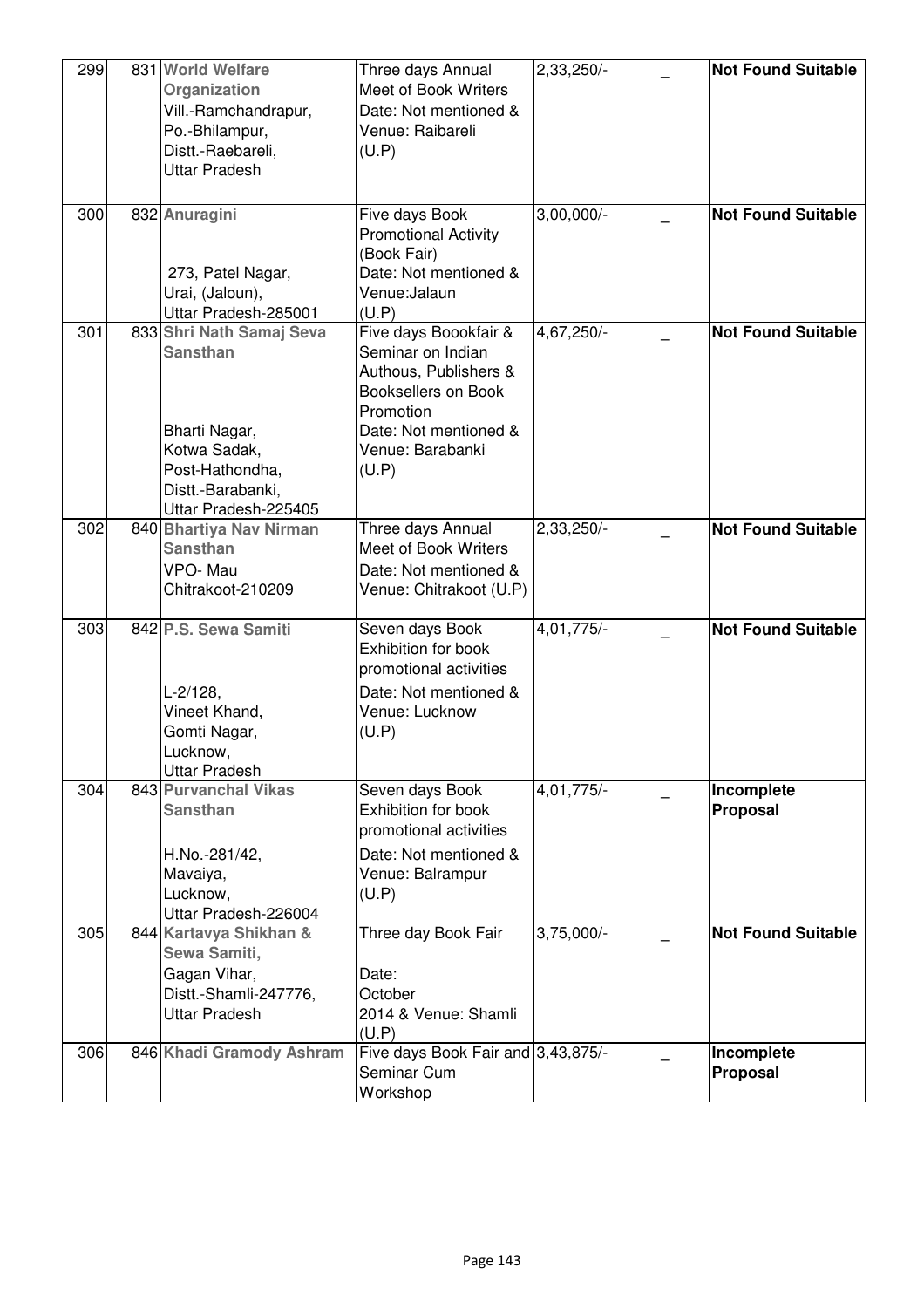| 299 | 831 World Welfare<br>Organization<br>Vill.-Ramchandrapur,<br>Po.-Bhilampur,<br>Distt.-Raebareli,<br>Uttar Pradesh                            | Three days Annual<br>Meet of Book Writers<br>Date: Not mentioned &<br>Venue: Raibareli<br>(U.P)                                                               | 2,33,250/-              | <b>Not Found Suitable</b>     |
|-----|----------------------------------------------------------------------------------------------------------------------------------------------|---------------------------------------------------------------------------------------------------------------------------------------------------------------|-------------------------|-------------------------------|
| 300 | 832 Anuragini<br>273, Patel Nagar,<br>Urai, (Jaloun),<br>Uttar Pradesh-285001                                                                | Five days Book<br><b>Promotional Activity</b><br>(Book Fair)<br>Date: Not mentioned &<br>Venue:Jalaun<br>(U.P)                                                | $3,00,000/-$            | <b>Not Found Suitable</b>     |
| 301 | 833 Shri Nath Samaj Seva<br><b>Sansthan</b><br>Bharti Nagar,<br>Kotwa Sadak,<br>Post-Hathondha,<br>Distt.-Barabanki,<br>Uttar Pradesh-225405 | Five days Boookfair &<br>Seminar on Indian<br>Authous, Publishers &<br>Booksellers on Book<br>Promotion<br>Date: Not mentioned &<br>Venue: Barabanki<br>(U.P) | 4,67,250/-              | <b>Not Found Suitable</b>     |
| 302 | 840 Bhartiya Nav Nirman<br><b>Sansthan</b><br>VPO-Mau<br>Chitrakoot-210209                                                                   | Three days Annual<br>Meet of Book Writers<br>Date: Not mentioned &<br>Venue: Chitrakoot (U.P)                                                                 | $2,33,250$ <sup>-</sup> | <b>Not Found Suitable</b>     |
| 303 | 842 P.S. Sewa Samiti<br>$L-2/128$ ,<br>Vineet Khand,<br>Gomti Nagar,<br>Lucknow,<br><b>Uttar Pradesh</b>                                     | Seven days Book<br>Exhibition for book<br>promotional activities<br>Date: Not mentioned &<br>Venue: Lucknow<br>(U.P)                                          | $4,01,775/-$            | <b>Not Found Suitable</b>     |
| 304 | 843 Purvanchal Vikas<br><b>Sansthan</b><br>H.No.-281/42,<br>Mavaiya,<br>Lucknow,<br>Uttar Pradesh-226004                                     | Seven days Book<br>Exhibition for book<br>promotional activities<br>Date: Not mentioned &<br>Venue: Balrampur<br>(U.P)                                        | 4,01,775/-              | Incomplete<br><b>Proposal</b> |
| 305 | 844 Kartavya Shikhan &<br>Sewa Samiti,<br>Gagan Vihar,<br>Distt.-Shamli-247776,<br><b>Uttar Pradesh</b>                                      | Three day Book Fair<br>Date:<br>October<br>2014 & Venue: Shamli<br>(U.P)                                                                                      | $3,75,000$ <sup>-</sup> | <b>Not Found Suitable</b>     |
| 306 | 846 Khadi Gramody Ashram                                                                                                                     | Five days Book Fair and 3,43,875/-<br>Seminar Cum<br>Workshop                                                                                                 |                         | Incomplete<br>Proposal        |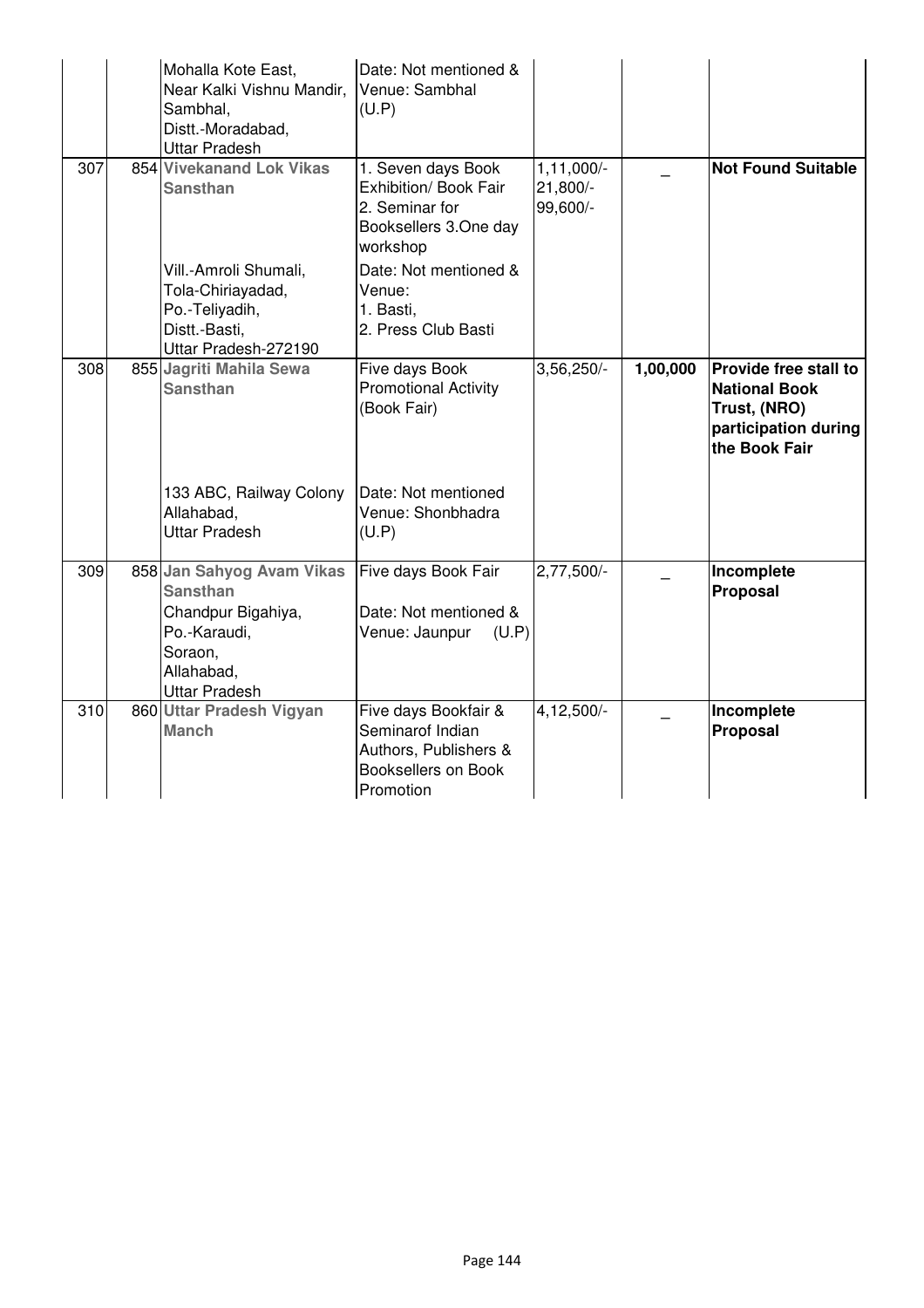|     | Mohalla Kote East,<br>Near Kalki Vishnu Mandir,<br>Sambhal,<br>Distt.-Moradabad,<br><b>Uttar Pradesh</b>                            | Date: Not mentioned &<br>Venue: Sambhal<br>(U.P)                                                      |                                        |          |                                                                                                        |
|-----|-------------------------------------------------------------------------------------------------------------------------------------|-------------------------------------------------------------------------------------------------------|----------------------------------------|----------|--------------------------------------------------------------------------------------------------------|
| 307 | 854 Vivekanand Lok Vikas<br><b>Sansthan</b>                                                                                         | 1. Seven days Book<br>Exhibition/ Book Fair<br>2. Seminar for<br>Booksellers 3.One day<br>workshop    | $1, 11, 000/-$<br>21,800/-<br>99,600/- |          | <b>Not Found Suitable</b>                                                                              |
|     | Vill.-Amroli Shumali,<br>Tola-Chiriayadad,<br>Po.-Teliyadih,<br>Distt.-Basti,<br>Uttar Pradesh-272190                               | Date: Not mentioned &<br>Venue:<br>1. Basti,<br>2. Press Club Basti                                   |                                        |          |                                                                                                        |
| 308 | 855 Jagriti Mahila Sewa<br><b>Sansthan</b>                                                                                          | Five days Book<br><b>Promotional Activity</b><br>(Book Fair)                                          | $3,56,250/-$                           | 1,00,000 | Provide free stall to<br><b>National Book</b><br>Trust, (NRO)<br>participation during<br>the Book Fair |
|     | 133 ABC, Railway Colony<br>Allahabad,<br><b>Uttar Pradesh</b>                                                                       | Date: Not mentioned<br>Venue: Shonbhadra<br>(U.P)                                                     |                                        |          |                                                                                                        |
| 309 | 858 Jan Sahyog Avam Vikas<br><b>Sansthan</b><br>Chandpur Bigahiya,<br>Po.-Karaudi,<br>Soraon,<br>Allahabad,<br><b>Uttar Pradesh</b> | Five days Book Fair<br>Date: Not mentioned &<br>Venue: Jaunpur<br>(U.P)                               | $2,77,500/-$                           |          | Incomplete<br>Proposal                                                                                 |
| 310 | 860 Uttar Pradesh Vigyan<br><b>Manch</b>                                                                                            | Five days Bookfair &<br>Seminarof Indian<br>Authors, Publishers &<br>Booksellers on Book<br>Promotion | 4,12,500/-                             |          | Incomplete<br>Proposal                                                                                 |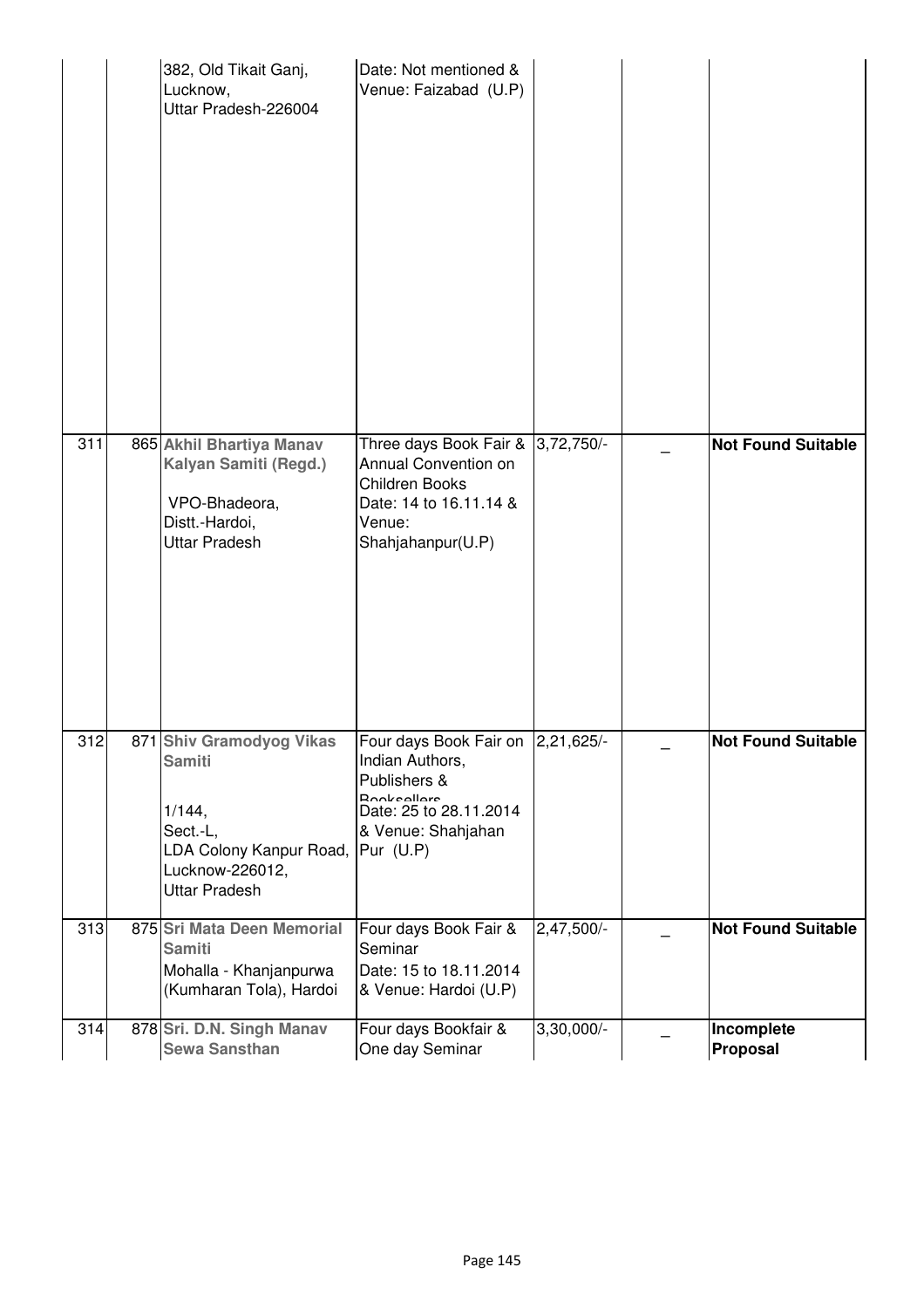|     | 382, Old Tikait Ganj,<br>Lucknow,<br>Uttar Pradesh-226004                                                                             | Date: Not mentioned &<br>Venue: Faizabad (U.P)                                                                                                           |              |                           |
|-----|---------------------------------------------------------------------------------------------------------------------------------------|----------------------------------------------------------------------------------------------------------------------------------------------------------|--------------|---------------------------|
| 311 | 865 Akhil Bhartiya Manav<br>Kalyan Samiti (Regd.)<br>VPO-Bhadeora,<br>Distt.-Hardoi,<br><b>Uttar Pradesh</b>                          | Three days Book Fair &<br>Annual Convention on<br>Children Books<br>Date: 14 to 16.11.14 &<br>Venue:<br>Shahjahanpur(U.P)                                | $3,72,750/-$ | <b>Not Found Suitable</b> |
| 312 | 871 Shiv Gramodyog Vikas<br><b>Samiti</b><br>1/144,<br>Sect.-L,<br>LDA Colony Kanpur Road,<br>Lucknow-226012,<br><b>Uttar Pradesh</b> | Four days Book Fair on  2,21,625/-<br>Indian Authors,<br>Publishers &<br><b>Pookeollore</b><br>Date: 25 to 28.11.2014<br>& Venue: Shahjahan<br>Pur (U.P) |              | <b>Not Found Suitable</b> |
| 313 | 875 Sri Mata Deen Memorial<br><b>Samiti</b><br>Mohalla - Khanjanpurwa<br>(Kumharan Tola), Hardoi                                      | Four days Book Fair &<br>Seminar<br>Date: 15 to 18.11.2014<br>& Venue: Hardoi (U.P)                                                                      | 2,47,500/-   | <b>Not Found Suitable</b> |
| 314 | 878 Sri. D.N. Singh Manav<br><b>Sewa Sansthan</b>                                                                                     | Four days Bookfair &<br>One day Seminar                                                                                                                  | 3,30,000/-   | Incomplete<br>Proposal    |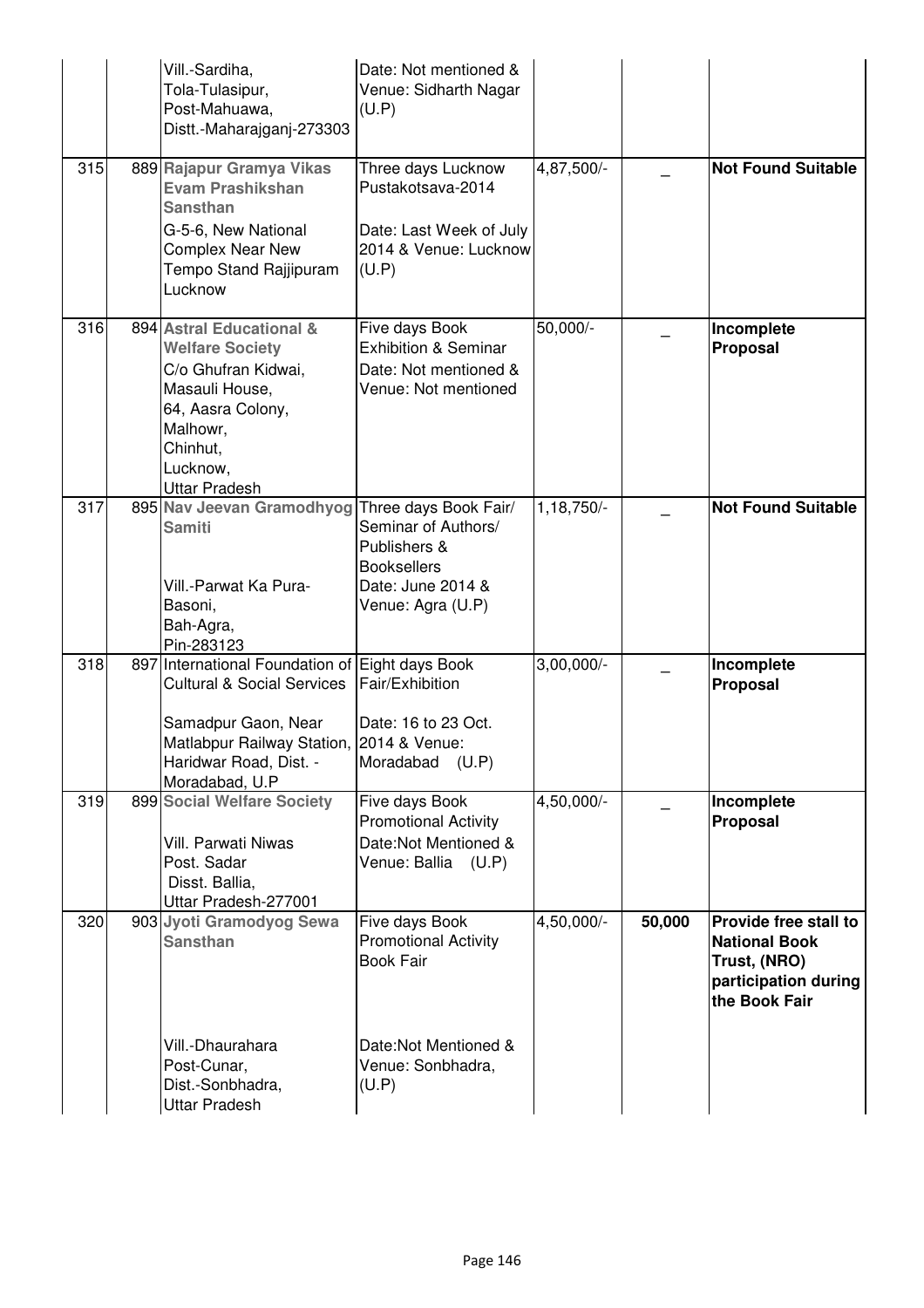|     | Vill.-Sardiha,<br>Tola-Tulasipur,<br>Post-Mahuawa,<br>Distt.-Maharajganj-273303                                                                                                                         | Date: Not mentioned &<br>Venue: Sidharth Nagar<br>(U.P)                                              |              |        |                                                                                                        |
|-----|---------------------------------------------------------------------------------------------------------------------------------------------------------------------------------------------------------|------------------------------------------------------------------------------------------------------|--------------|--------|--------------------------------------------------------------------------------------------------------|
| 315 | 889 Rajapur Gramya Vikas<br><b>Evam Prashikshan</b><br><b>Sansthan</b><br>G-5-6, New National<br><b>Complex Near New</b><br>Tempo Stand Rajjipuram<br>Lucknow                                           | Three days Lucknow<br>Pustakotsava-2014<br>Date: Last Week of July<br>2014 & Venue: Lucknow<br>(U.P) | 4,87,500/-   |        | <b>Not Found Suitable</b>                                                                              |
| 316 | 894 Astral Educational &<br><b>Welfare Society</b><br>C/o Ghufran Kidwai,<br>Masauli House,<br>64, Aasra Colony,<br>Malhowr,<br>Chinhut,<br>Lucknow.<br><b>Uttar Pradesh</b>                            | Five days Book<br><b>Exhibition &amp; Seminar</b><br>Date: Not mentioned &<br>Venue: Not mentioned   | 50,000/-     |        | Incomplete<br>Proposal                                                                                 |
| 317 | 895 Nav Jeevan Gramodhyog Three days Book Fair/<br><b>Samiti</b><br>Vill.-Parwat Ka Pura-<br>Basoni,<br>Bah-Agra,<br>Pin-283123                                                                         | Seminar of Authors/<br>Publishers &<br><b>Booksellers</b><br>Date: June 2014 &<br>Venue: Agra (U.P)  | 1,18,750/-   |        | <b>Not Found Suitable</b>                                                                              |
| 318 | 897 International Foundation of Eight days Book<br><b>Cultural &amp; Social Services</b><br>Samadpur Gaon, Near<br>Matlabpur Railway Station, 2014 & Venue:<br>Haridwar Road, Dist. -<br>Moradabad, U.P | Fair/Exhibition<br>Date: 16 to 23 Oct.<br>Moradabad<br>(U.P)                                         | $3,00,000/-$ |        | Incomplete<br>Proposal                                                                                 |
| 319 | 899 Social Welfare Society<br>Vill. Parwati Niwas<br>Post. Sadar<br>Disst. Ballia,<br>Uttar Pradesh-277001                                                                                              | Five days Book<br><b>Promotional Activity</b><br>Date:Not Mentioned &<br>Venue: Ballia (U.P)         | 4,50,000/-   |        | Incomplete<br>Proposal                                                                                 |
| 320 | 903 Jyoti Gramodyog Sewa<br><b>Sansthan</b>                                                                                                                                                             | Five days Book<br><b>Promotional Activity</b><br><b>Book Fair</b>                                    | 4,50,000/-   | 50,000 | Provide free stall to<br><b>National Book</b><br>Trust, (NRO)<br>participation during<br>the Book Fair |
|     | Vill.-Dhaurahara<br>Post-Cunar,<br>Dist.-Sonbhadra,<br><b>Uttar Pradesh</b>                                                                                                                             | Date: Not Mentioned &<br>Venue: Sonbhadra,<br>(U.P)                                                  |              |        |                                                                                                        |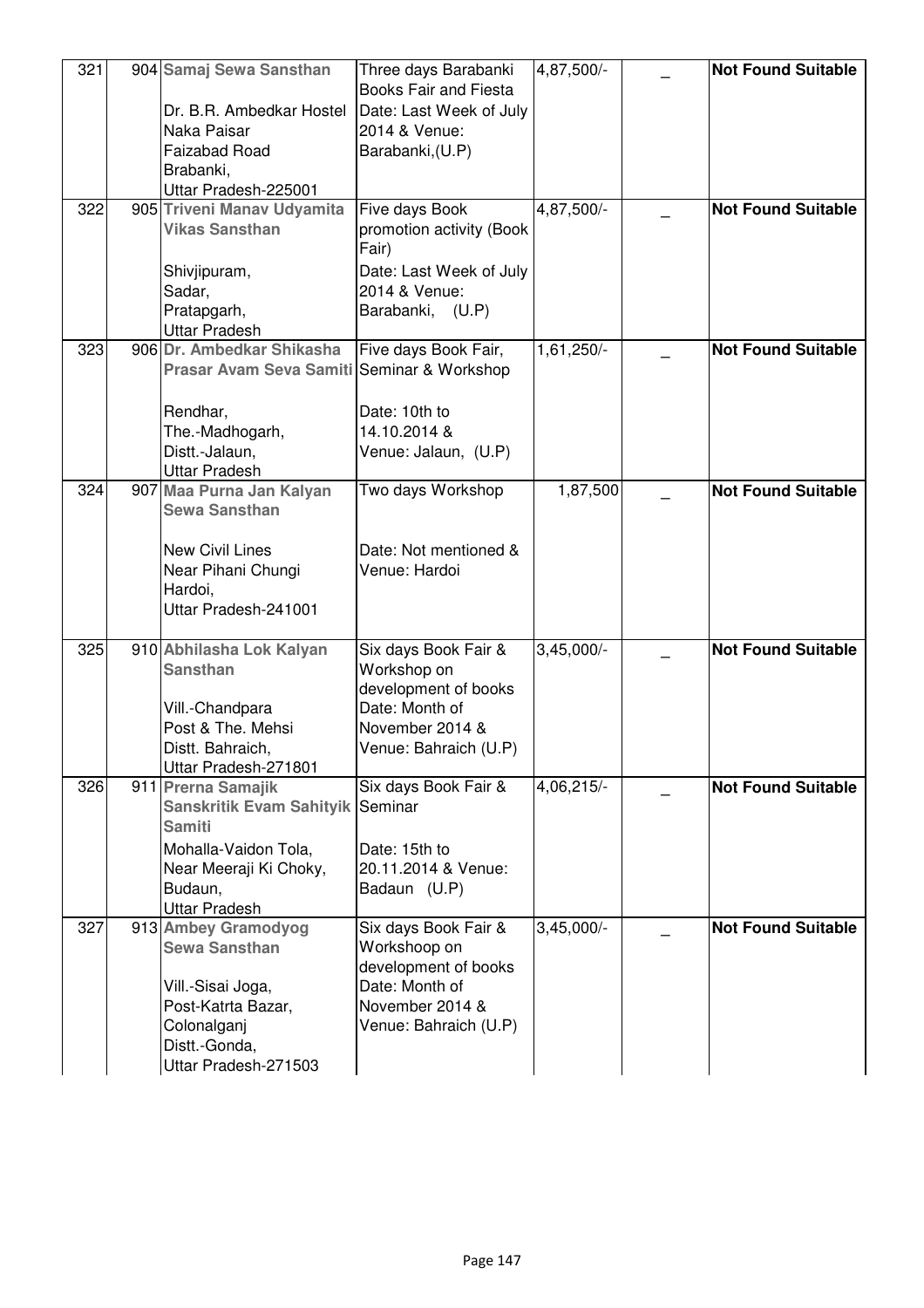| 321 | 904 Samaj Sewa Sansthan<br>Dr. B.R. Ambedkar Hostel<br>Naka Paisar<br><b>Faizabad Road</b><br>Brabanki,                                        | Three days Barabanki<br><b>Books Fair and Fiesta</b><br>Date: Last Week of July<br>2014 & Venue:<br>Barabanki, (U.P)       | 4,87,500/-              | <b>Not Found Suitable</b> |
|-----|------------------------------------------------------------------------------------------------------------------------------------------------|----------------------------------------------------------------------------------------------------------------------------|-------------------------|---------------------------|
|     | Uttar Pradesh-225001                                                                                                                           |                                                                                                                            |                         |                           |
| 322 | 905 Triveni Manav Udyamita<br><b>Vikas Sansthan</b><br>Shivjipuram,<br>Sadar,<br>Pratapgarh,<br><b>Uttar Pradesh</b>                           | Five days Book<br>promotion activity (Book<br>Fair)<br>Date: Last Week of July<br>2014 & Venue:<br>Barabanki, (U.P)        | $4,87,\overline{500/-}$ | <b>Not Found Suitable</b> |
| 323 | 906 Dr. Ambedkar Shikasha                                                                                                                      | Five days Book Fair,                                                                                                       | 1,61,250/-              | <b>Not Found Suitable</b> |
|     | Prasar Avam Seva Samiti Seminar & Workshop<br>Rendhar,<br>The.-Madhogarh,<br>Distt.-Jalaun,<br><b>Uttar Pradesh</b>                            | Date: 10th to<br>14.10.2014 &<br>Venue: Jalaun, (U.P)                                                                      |                         |                           |
| 324 | 907 Maa Purna Jan Kalyan<br><b>Sewa Sansthan</b>                                                                                               | Two days Workshop                                                                                                          | 1,87,500                | <b>Not Found Suitable</b> |
|     | <b>New Civil Lines</b><br>Near Pihani Chungi<br>Hardoi,<br>Uttar Pradesh-241001                                                                | Date: Not mentioned &<br>Venue: Hardoi                                                                                     |                         |                           |
| 325 | 910 Abhilasha Lok Kalyan                                                                                                                       | Six days Book Fair &                                                                                                       | $3,45,000/-$            | <b>Not Found Suitable</b> |
|     | <b>Sansthan</b><br>Vill.-Chandpara<br>Post & The. Mehsi<br>Distt. Bahraich.<br>Uttar Pradesh-271801                                            | Workshop on<br>development of books<br>Date: Month of<br>November 2014 &<br>Venue: Bahraich (U.P)                          |                         |                           |
| 326 | 911 Prerna Samajik<br>Sanskritik Evam Sahityik Seminar<br><b>Samiti</b><br>Mohalla-Vaidon Tola,                                                | Six days Book Fair &<br>Date: 15th to                                                                                      | 4,06,215/-              | <b>Not Found Suitable</b> |
|     | Near Meeraji Ki Choky,<br>Budaun,                                                                                                              | 20.11.2014 & Venue:<br>Badaun (U.P)                                                                                        |                         |                           |
|     | <b>Uttar Pradesh</b>                                                                                                                           |                                                                                                                            |                         |                           |
| 327 | 913 Ambey Gramodyog<br><b>Sewa Sansthan</b><br>Vill.-Sisai Joga,<br>Post-Katrta Bazar,<br>Colonalganj<br>Distt.-Gonda,<br>Uttar Pradesh-271503 | Six days Book Fair &<br>Workshoop on<br>development of books<br>Date: Month of<br>November 2014 &<br>Venue: Bahraich (U.P) | $3,45,000$ <sup>-</sup> | <b>Not Found Suitable</b> |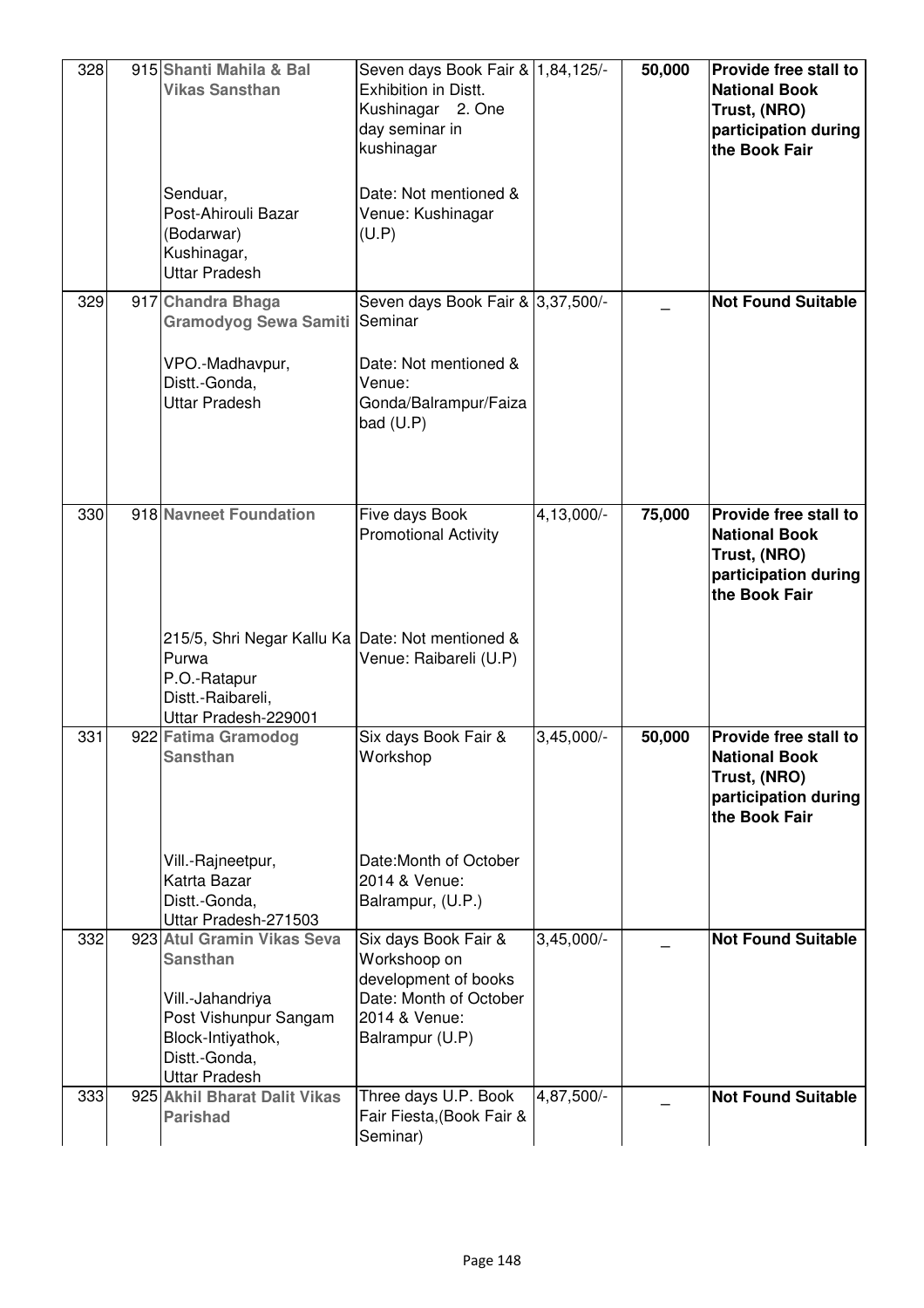| 328 | 915 Shanti Mahila & Bal<br><b>Vikas Sansthan</b>                                                                                                         | Seven days Book Fair & 1,84,125/-<br>Exhibition in Distt.<br>Kushinagar 2. One<br>day seminar in<br>kushinagar             |              | 50,000 | Provide free stall to<br><b>National Book</b><br>Trust, (NRO)<br>participation during<br>the Book Fair |
|-----|----------------------------------------------------------------------------------------------------------------------------------------------------------|----------------------------------------------------------------------------------------------------------------------------|--------------|--------|--------------------------------------------------------------------------------------------------------|
|     | Senduar,<br>Post-Ahirouli Bazar<br>(Bodarwar)<br>Kushinagar,<br><b>Uttar Pradesh</b>                                                                     | Date: Not mentioned &<br>Venue: Kushinagar<br>(U.P)                                                                        |              |        |                                                                                                        |
| 329 | 917 Chandra Bhaga<br>Gramodyog Sewa Samiti                                                                                                               | Seven days Book Fair & 3,37,500/-<br>Seminar                                                                               |              |        | <b>Not Found Suitable</b>                                                                              |
|     | VPO.-Madhavpur,<br>Distt.-Gonda,<br><b>Uttar Pradesh</b>                                                                                                 | Date: Not mentioned &<br>Venue:<br>Gonda/Balrampur/Faiza<br>bad (U.P)                                                      |              |        |                                                                                                        |
| 330 | 918 Navneet Foundation                                                                                                                                   | Five days Book<br><b>Promotional Activity</b>                                                                              | 4,13,000/-   | 75,000 | Provide free stall to<br><b>National Book</b><br>Trust, (NRO)<br>participation during<br>the Book Fair |
|     | 215/5, Shri Negar Kallu Ka Date: Not mentioned &<br>Purwa<br>P.O.-Ratapur<br>Distt.-Raibareli,<br>Uttar Pradesh-229001                                   | Venue: Raibareli (U.P)                                                                                                     |              |        |                                                                                                        |
| 331 | 922 Fatima Gramodog<br><b>Sansthan</b>                                                                                                                   | Six days Book Fair &<br>Workshop                                                                                           | $3,45,000/-$ | 50,000 | Provide free stall to<br><b>National Book</b><br>Trust, (NRO)<br>participation during<br>the Book Fair |
|     | Vill.-Rajneetpur,<br>Katrta Bazar<br>Distt.-Gonda,<br>Uttar Pradesh-271503                                                                               | Date: Month of October<br>2014 & Venue:<br>Balrampur, (U.P.)                                                               |              |        |                                                                                                        |
| 332 | 923 Atul Gramin Vikas Seva<br><b>Sansthan</b><br>Vill.-Jahandriya<br>Post Vishunpur Sangam<br>Block-Intiyathok,<br>Distt.-Gonda,<br><b>Uttar Pradesh</b> | Six days Book Fair &<br>Workshoop on<br>development of books<br>Date: Month of October<br>2014 & Venue:<br>Balrampur (U.P) | $3,45,000/-$ |        | <b>Not Found Suitable</b>                                                                              |
| 333 | 925 Akhil Bharat Dalit Vikas<br><b>Parishad</b>                                                                                                          | Three days U.P. Book<br>Fair Fiesta, (Book Fair &<br>Seminar)                                                              | 4,87,500/-   |        | <b>Not Found Suitable</b>                                                                              |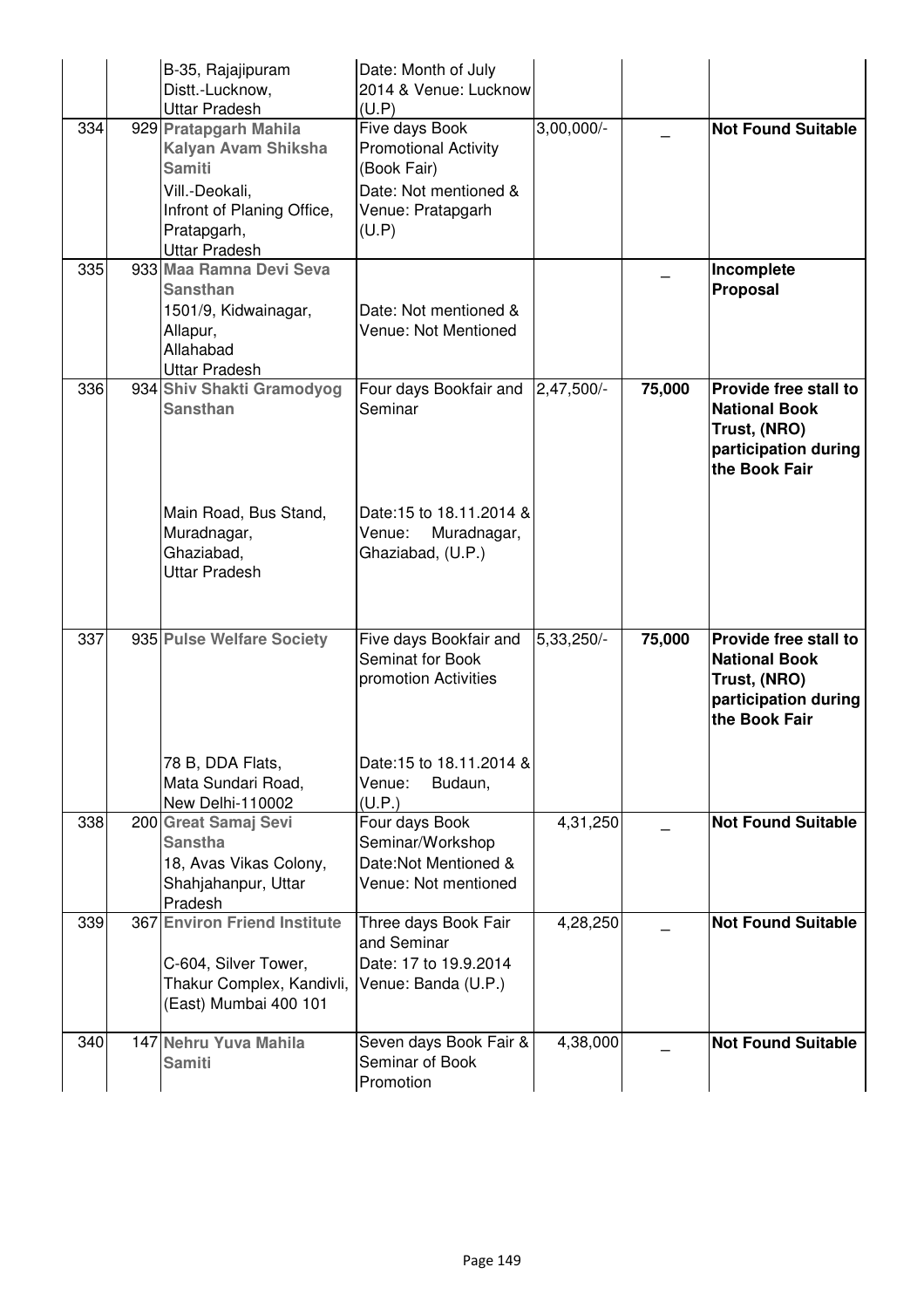|     | B-35, Rajajipuram<br>Distt.-Lucknow,<br><b>Uttar Pradesh</b>                                                                                         | Date: Month of July<br>2014 & Venue: Lucknow<br>(U.P)                                                               |              |        |                                                                                                        |
|-----|------------------------------------------------------------------------------------------------------------------------------------------------------|---------------------------------------------------------------------------------------------------------------------|--------------|--------|--------------------------------------------------------------------------------------------------------|
| 334 | 929 Pratapgarh Mahila<br>Kalyan Avam Shiksha<br><b>Samiti</b><br>Vill.-Deokali,<br>Infront of Planing Office,<br>Pratapgarh,<br><b>Uttar Pradesh</b> | Five days Book<br><b>Promotional Activity</b><br>(Book Fair)<br>Date: Not mentioned &<br>Venue: Pratapgarh<br>(U.P) | $3,00,000/-$ |        | <b>Not Found Suitable</b>                                                                              |
| 335 | 933 Maa Ramna Devi Seva<br><b>Sansthan</b><br>1501/9, Kidwainagar,<br>Allapur,<br>Allahabad<br><b>Uttar Pradesh</b>                                  | Date: Not mentioned &<br>Venue: Not Mentioned                                                                       |              |        | Incomplete<br>Proposal                                                                                 |
| 336 | 934 Shiv Shakti Gramodyog<br><b>Sansthan</b>                                                                                                         | Four days Bookfair and<br>Seminar                                                                                   | 2,47,500/-   | 75,000 | Provide free stall to<br><b>National Book</b><br>Trust, (NRO)<br>participation during<br>the Book Fair |
|     | Main Road, Bus Stand,<br>Muradnagar,<br>Ghaziabad,<br><b>Uttar Pradesh</b>                                                                           | Date: 15 to 18.11.2014 &<br>Venue:<br>Muradnagar,<br>Ghaziabad, (U.P.)                                              |              |        |                                                                                                        |
| 337 | 935 Pulse Welfare Society                                                                                                                            | Five days Bookfair and<br>Seminat for Book<br>promotion Activities                                                  | 5,33,250/-   | 75,000 | Provide free stall to<br><b>National Book</b><br>Trust, (NRO)<br>participation during<br>the Book Fair |
|     | 78 B, DDA Flats,<br>Mata Sundari Road,<br>New Delhi-110002                                                                                           | Date: 15 to 18.11.2014 &<br>Venue:<br>Budaun,<br>(U.P.)                                                             |              |        |                                                                                                        |
| 338 | 200 Great Samaj Sevi<br><b>Sanstha</b><br>18, Avas Vikas Colony,<br>Shahjahanpur, Uttar<br>Pradesh                                                   | Four days Book<br>Seminar/Workshop<br>Date:Not Mentioned &<br>Venue: Not mentioned                                  | 4,31,250     |        | <b>Not Found Suitable</b>                                                                              |
| 339 | 367 Environ Friend Institute<br>C-604, Silver Tower,<br>Thakur Complex, Kandivli,<br>(East) Mumbai 400 101                                           | Three days Book Fair<br>and Seminar<br>Date: 17 to 19.9.2014<br>Venue: Banda (U.P.)                                 | 4,28,250     |        | <b>Not Found Suitable</b>                                                                              |
| 340 | 147 Nehru Yuva Mahila<br><b>Samiti</b>                                                                                                               | Seven days Book Fair &<br>Seminar of Book<br>Promotion                                                              | 4,38,000     |        | <b>Not Found Suitable</b>                                                                              |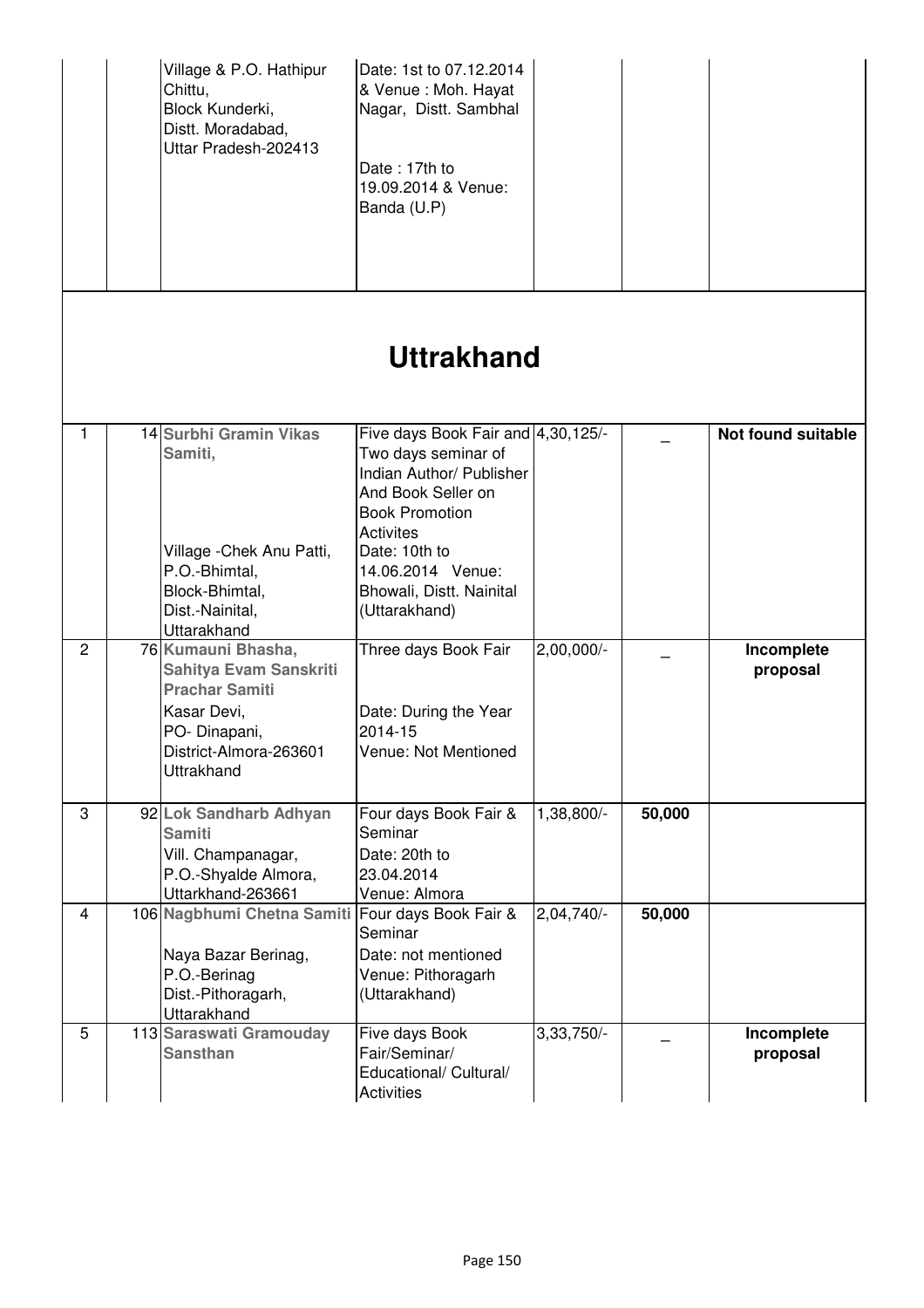|                |                   | Village & P.O. Hathipur<br>Chittu,<br>Block Kunderki,<br>Distt. Moradabad,<br>Uttar Pradesh-202413                                                  | Date: 1st to 07.12.2014<br>& Venue : Moh. Hayat<br>Nagar, Distt. Sambhal<br>Date: 17th to<br>19.09.2014 & Venue:<br>Banda (U.P)                                                                                                             |              |        |                        |  |  |  |
|----------------|-------------------|-----------------------------------------------------------------------------------------------------------------------------------------------------|---------------------------------------------------------------------------------------------------------------------------------------------------------------------------------------------------------------------------------------------|--------------|--------|------------------------|--|--|--|
|                | <b>Uttrakhand</b> |                                                                                                                                                     |                                                                                                                                                                                                                                             |              |        |                        |  |  |  |
| 1              |                   | 14 Surbhi Gramin Vikas<br>Samiti,<br>Village - Chek Anu Patti,<br>P.O.-Bhimtal,<br>Block-Bhimtal,<br>Dist.-Nainital,<br>Uttarakhand                 | Five days Book Fair and 4,30,125/-<br>Two days seminar of<br>Indian Author/ Publisher<br>And Book Seller on<br><b>Book Promotion</b><br><b>Activites</b><br>Date: 10th to<br>14.06.2014 Venue:<br>Bhowali, Distt. Nainital<br>(Uttarakhand) |              |        | Not found suitable     |  |  |  |
| $\overline{c}$ |                   | 76 Kumauni Bhasha,<br>Sahitya Evam Sanskriti<br><b>Prachar Samiti</b><br>Kasar Devi,<br>PO-Dinapani,<br>District-Almora-263601<br><b>Uttrakhand</b> | Three days Book Fair<br>Date: During the Year<br>2014-15<br>Venue: Not Mentioned                                                                                                                                                            | $2,00,000/-$ |        | Incomplete<br>proposal |  |  |  |
| 3              |                   | 92 Lok Sandharb Adhyan<br><b>Samiti</b><br>Vill. Champanagar,<br>P.O.-Shyalde Almora,<br>Uttarkhand-263661                                          | Four days Book Fair &<br>Seminar<br>Date: 20th to<br>23.04.2014<br>Venue: Almora                                                                                                                                                            | 1,38,800/-   | 50,000 |                        |  |  |  |
| $\overline{4}$ |                   | 106 Nagbhumi Chetna Samiti<br>Naya Bazar Berinag,<br>P.O.-Berinag<br>Dist.-Pithoragarh,<br>Uttarakhand                                              | Four days Book Fair &<br>Seminar<br>Date: not mentioned<br>Venue: Pithoragarh<br>(Uttarakhand)                                                                                                                                              | 2,04,740     | 50,000 |                        |  |  |  |
| 5              |                   | 113 Saraswati Gramouday<br><b>Sansthan</b>                                                                                                          | Five days Book<br>Fair/Seminar/<br>Educational/ Cultural/<br><b>Activities</b>                                                                                                                                                              | 3,33,750/-   |        | Incomplete<br>proposal |  |  |  |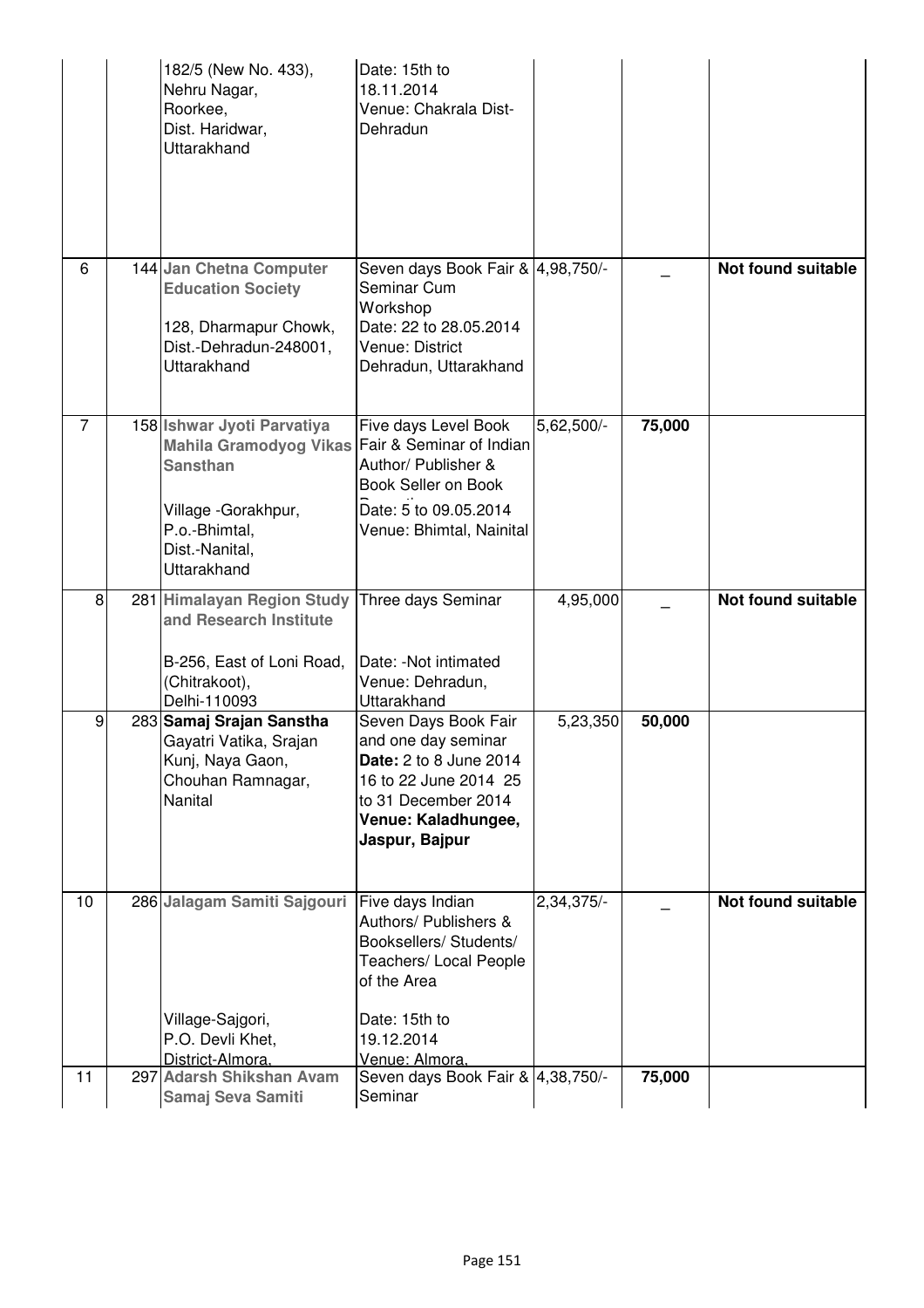|                | 182/5 (New No. 433),<br>Nehru Nagar,<br>Roorkee,<br>Dist. Haridwar,<br><b>Uttarakhand</b>                                                                                  | Date: 15th to<br>18.11.2014<br>Venue: Chakrala Dist-<br>Dehradun                                                                                                      |                         |        |                           |
|----------------|----------------------------------------------------------------------------------------------------------------------------------------------------------------------------|-----------------------------------------------------------------------------------------------------------------------------------------------------------------------|-------------------------|--------|---------------------------|
| 6              | 144 Jan Chetna Computer<br><b>Education Society</b><br>128, Dharmapur Chowk,<br>Dist.-Dehradun-248001,<br><b>Uttarakhand</b>                                               | Seven days Book Fair & 4,98,750/-<br>Seminar Cum<br>Workshop<br>Date: 22 to 28.05.2014<br>Venue: District<br>Dehradun, Uttarakhand                                    |                         |        | <b>Not found suitable</b> |
| $\overline{7}$ | 158 Ishwar Jyoti Parvatiya<br>Mahila Gramodyog Vikas Fair & Seminar of Indian<br><b>Sansthan</b><br>Village - Gorakhpur,<br>P.o.-Bhimtal,<br>Dist.-Nanital,<br>Uttarakhand | Five days Level Book<br>Author/ Publisher &<br>Book Seller on Book<br>Date: 5 to 09.05.2014<br>Venue: Bhimtal, Nainital                                               | $5,62,500/-$            | 75,000 |                           |
| 8              | 281 Himalayan Region Study Three days Seminar<br>and Research Institute<br>B-256, East of Loni Road,<br>(Chitrakoot),<br>Delhi-110093                                      | Date: - Not intimated<br>Venue: Dehradun,<br>Uttarakhand                                                                                                              | 4,95,000                |        | <b>Not found suitable</b> |
| 9              | 283 Samaj Srajan Sanstha<br>Gayatri Vatika, Srajan<br>Kunj, Naya Gaon,<br>Chouhan Ramnagar,<br>Nanital                                                                     | Seven Days Book Fair<br>and one day seminar<br><b>Date:</b> 2 to 8 June 2014<br>16 to 22 June 2014 25<br>to 31 December 2014<br>Venue: Kaladhungee,<br>Jaspur, Bajpur | 5,23,350                | 50,000 |                           |
| 10             | 286 Jalagam Samiti Sajgouri<br>Village-Sajgori,<br>P.O. Devli Khet,                                                                                                        | Five days Indian<br>Authors/ Publishers &<br>Booksellers/ Students/<br>Teachers/ Local People<br>of the Area<br>Date: 15th to<br>19.12.2014                           | $2,34,375$ <sup>-</sup> |        | <b>Not found suitable</b> |
| 11             | District-Almora,<br>297 Adarsh Shikshan Avam<br>Samaj Seva Samiti                                                                                                          | Venue: Almora,<br>Seven days Book Fair & 4,38,750/-<br>Seminar                                                                                                        |                         | 75,000 |                           |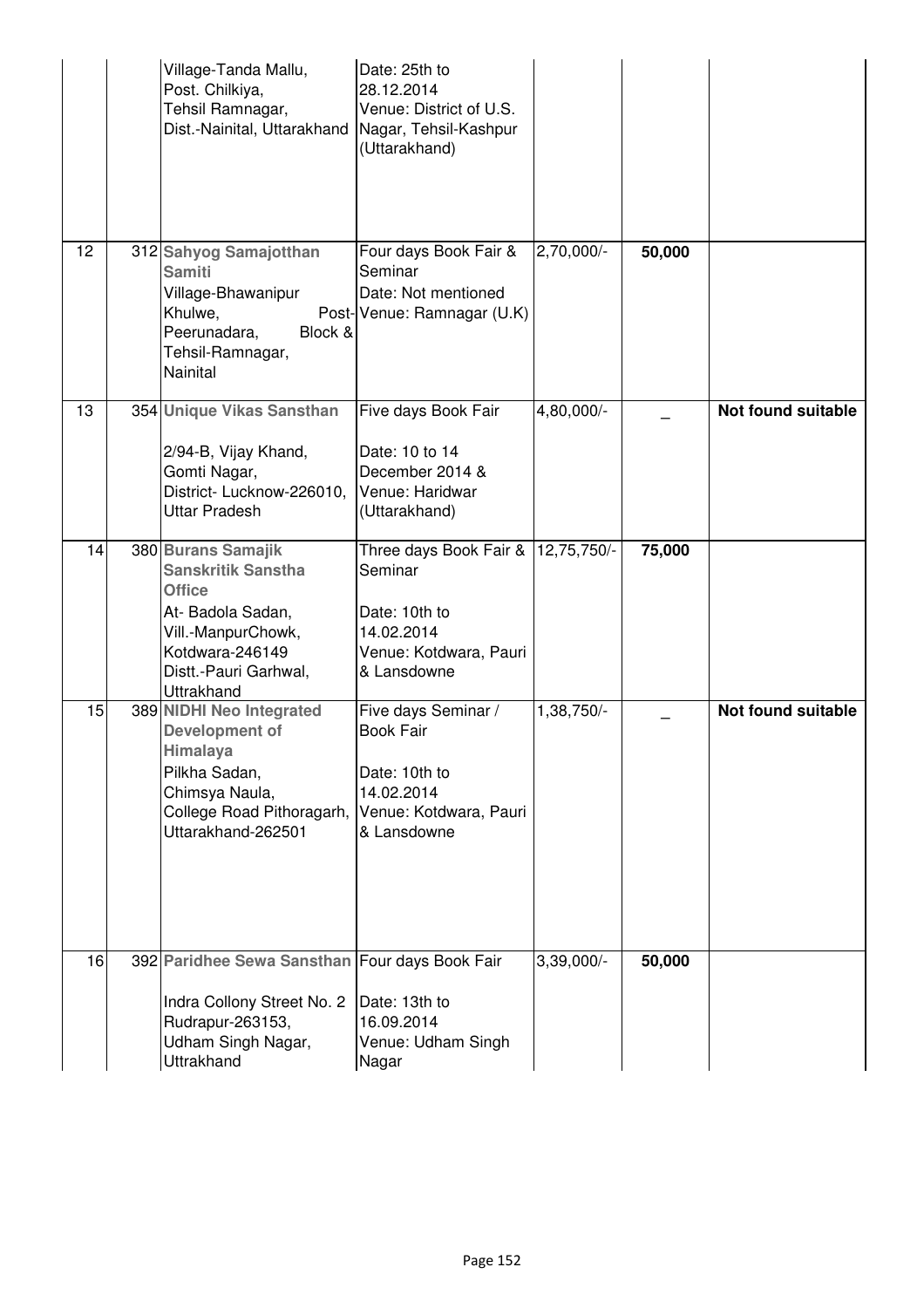|    | Village-Tanda Mallu,<br>Post. Chilkiya,<br>Tehsil Ramnagar,<br>Dist.-Nainital, Uttarakhand                                                                            | Date: 25th to<br>28.12.2014<br>Venue: District of U.S.<br>Nagar, Tehsil-Kashpur<br>(Uttarakhand)                |             |        |                           |
|----|-----------------------------------------------------------------------------------------------------------------------------------------------------------------------|-----------------------------------------------------------------------------------------------------------------|-------------|--------|---------------------------|
| 12 | 312 Sahyog Samajotthan<br><b>Samiti</b><br>Village-Bhawanipur<br>Khulwe,<br>Peerunadara,<br>Block &<br>Tehsil-Ramnagar,<br><b>Nainital</b>                            | Four days Book Fair &<br>Seminar<br>Date: Not mentioned<br>Post-Venue: Ramnagar (U.K)                           | 2,70,000/-  | 50,000 |                           |
| 13 | 354 Unique Vikas Sansthan<br>2/94-B, Vijay Khand,<br>Gomti Nagar,<br>District- Lucknow-226010,<br><b>Uttar Pradesh</b>                                                | Five days Book Fair<br>Date: 10 to 14<br>December 2014 &<br>Venue: Haridwar<br>(Uttarakhand)                    | 4,80,000/-  |        | <b>Not found suitable</b> |
| 14 | 380 Burans Samajik<br><b>Sanskritik Sanstha</b><br><b>Office</b><br>At- Badola Sadan,<br>Vill.-ManpurChowk,<br>Kotdwara-246149<br>Distt.-Pauri Garhwal,<br>Uttrakhand | Three days Book Fair &<br>Seminar<br>Date: 10th to<br>14.02.2014<br>Venue: Kotdwara, Pauri<br>& Lansdowne       | 12,75,750/- | 75,000 |                           |
| 15 | 389 NIDHI Neo Integrated<br>Development of<br>Himalaya<br>Pilkha Sadan,<br>Chimsya Naula,<br>College Road Pithoragarh,<br>Uttarakhand-262501                          | Five days Seminar /<br><b>Book Fair</b><br>Date: 10th to<br>14.02.2014<br>Venue: Kotdwara, Pauri<br>& Lansdowne | 1,38,750/-  |        | <b>Not found suitable</b> |
| 16 | 392 Paridhee Sewa Sansthan Four days Book Fair<br>Indra Collony Street No. 2<br>Rudrapur-263153,<br>Udham Singh Nagar,<br>Uttrakhand                                  | Date: 13th to<br>16.09.2014<br>Venue: Udham Singh<br>Nagar                                                      | 3,39,000/-  | 50,000 |                           |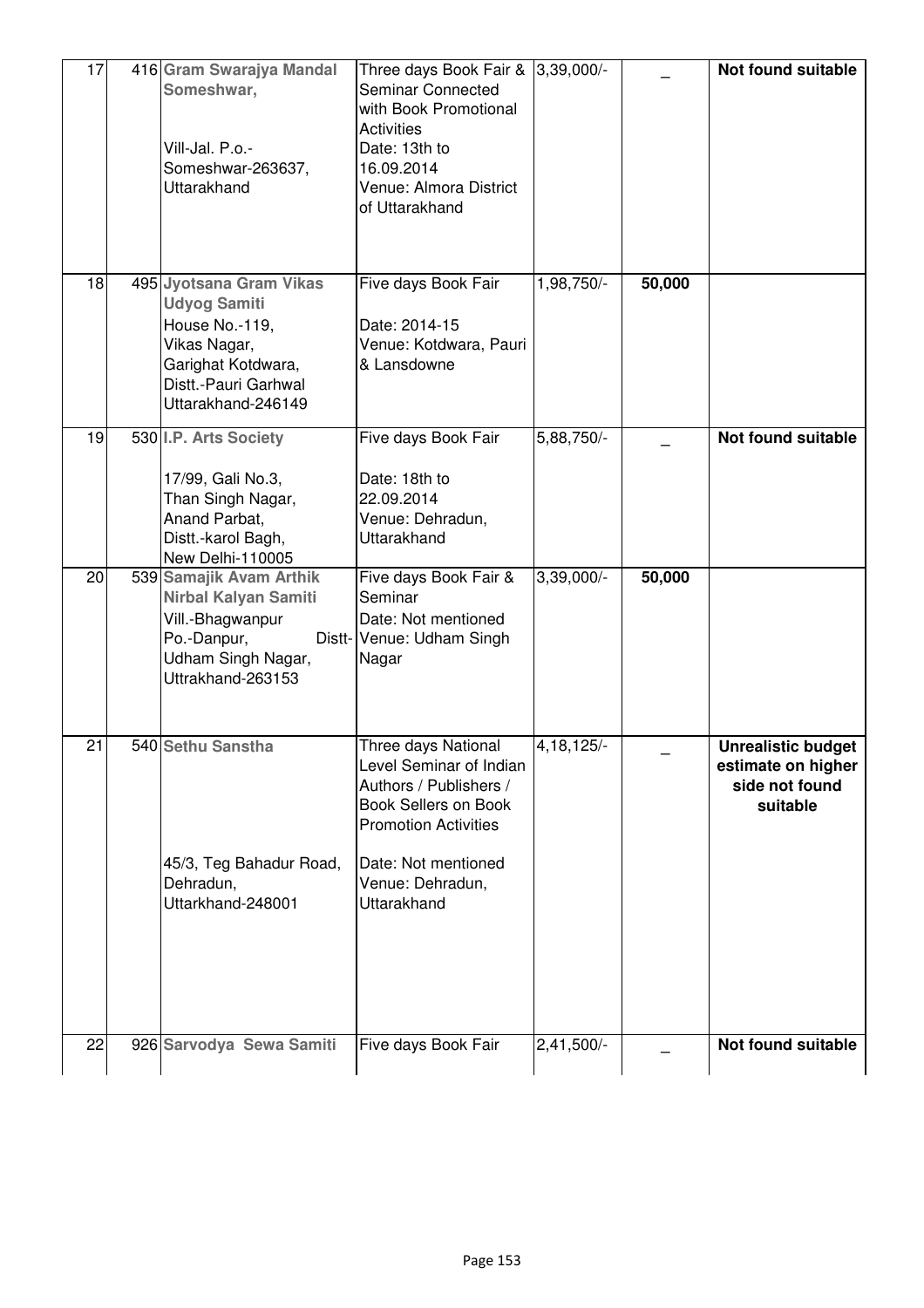| 17 | 416 Gram Swarajya Mandal<br>Someshwar,<br>Vill-Jal. P.o.-<br>Someshwar-263637,<br>Uttarakhand                                                        | Three days Book Fair & 3,39,000/-<br>Seminar Connected<br>with Book Promotional<br><b>Activities</b><br>Date: 13th to<br>16.09.2014<br>Venue: Almora District<br>of Uttarakhand                  |              |        | Not found suitable                                                            |
|----|------------------------------------------------------------------------------------------------------------------------------------------------------|--------------------------------------------------------------------------------------------------------------------------------------------------------------------------------------------------|--------------|--------|-------------------------------------------------------------------------------|
| 18 | 495 Jyotsana Gram Vikas<br><b>Udyog Samiti</b><br>House No.-119,<br>Vikas Nagar,<br>Garighat Kotdwara,<br>Distt.-Pauri Garhwal<br>Uttarakhand-246149 | Five days Book Fair<br>Date: 2014-15<br>Venue: Kotdwara, Pauri<br>& Lansdowne                                                                                                                    | 1,98,750/-   | 50,000 |                                                                               |
| 19 | 530 I.P. Arts Society<br>17/99, Gali No.3,<br>Than Singh Nagar,<br>Anand Parbat,<br>Distt.-karol Bagh,<br>New Delhi-110005                           | Five days Book Fair<br>Date: 18th to<br>22.09.2014<br>Venue: Dehradun,<br>Uttarakhand                                                                                                            | $5,88,750/-$ |        | Not found suitable                                                            |
| 20 | 539 Samajik Avam Arthik<br>Nirbal Kalyan Samiti<br>Vill.-Bhagwanpur<br>Po.-Danpur,<br>Udham Singh Nagar,<br>Uttrakhand-263153                        | Five days Book Fair &<br>Seminar<br>Date: Not mentioned<br>Distt- Venue: Udham Singh<br>Nagar                                                                                                    | $3,39,000/-$ | 50,000 |                                                                               |
| 21 | 540 Sethu Sanstha<br>45/3, Teg Bahadur Road,<br>Dehradun,<br>Uttarkhand-248001                                                                       | Three days National<br>Level Seminar of Indian<br>Authors / Publishers /<br><b>Book Sellers on Book</b><br><b>Promotion Activities</b><br>Date: Not mentioned<br>Venue: Dehradun,<br>Uttarakhand | 4, 18, 125/- |        | <b>Unrealistic budget</b><br>estimate on higher<br>side not found<br>suitable |
| 22 | 926 Sarvodya Sewa Samiti                                                                                                                             | Five days Book Fair                                                                                                                                                                              | $2,41,500/-$ |        | Not found suitable                                                            |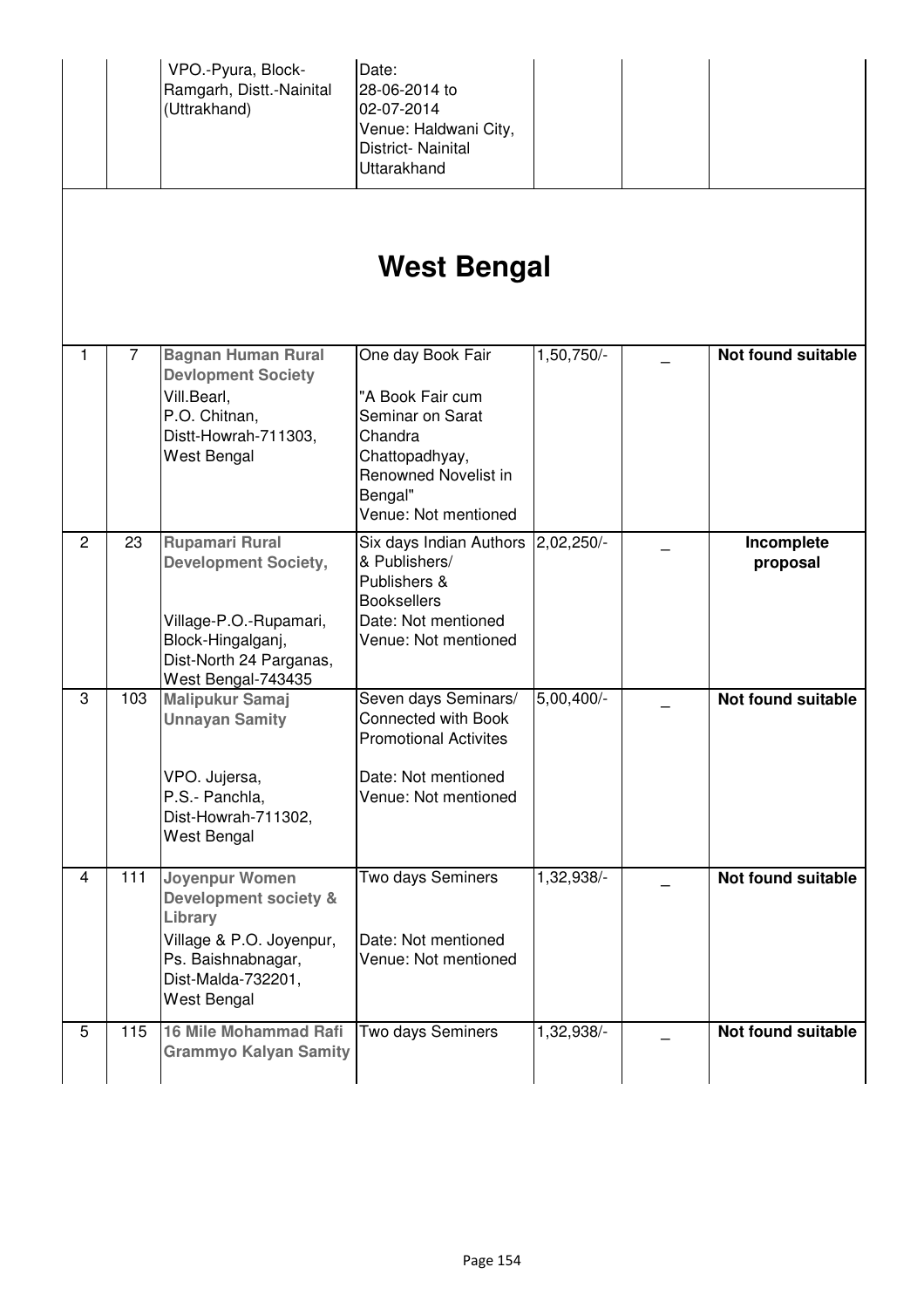|                |       | VPO.-Pyura, Block-<br>Ramgarh, Distt.-Nainital<br>(Uttrakhand)                                                                                       | Date:<br>28-06-2014 to<br>02-07-2014<br>Venue: Haldwani City,<br>District-Nainital<br>Uttarakhand                                                 |              |                           |
|----------------|-------|------------------------------------------------------------------------------------------------------------------------------------------------------|---------------------------------------------------------------------------------------------------------------------------------------------------|--------------|---------------------------|
|                |       |                                                                                                                                                      | West Bengal                                                                                                                                       |              |                           |
| 1              | 7     | <b>Bagnan Human Rural</b><br><b>Devlopment Society</b><br>Vill.Bearl,<br>P.O. Chitnan,<br>Distt-Howrah-711303,<br>West Bengal                        | One day Book Fair<br>"A Book Fair cum<br>Seminar on Sarat<br>Chandra<br>Chattopadhyay,<br>Renowned Novelist in<br>Bengal"<br>Venue: Not mentioned | 1,50,750/-   | <b>Not found suitable</b> |
| $\overline{2}$ | 23    | <b>Rupamari Rural</b><br><b>Development Society,</b><br>Village-P.O.-Rupamari,<br>Block-Hingalganj,<br>Dist-North 24 Parganas,<br>West Bengal-743435 | Six days Indian Authors<br>& Publishers/<br>Publishers &<br><b>Booksellers</b><br>Date: Not mentioned<br>Venue: Not mentioned                     | $2,02,250/-$ | Incomplete<br>proposal    |
| 3              | 103   | <b>Malipukur Samaj</b><br><b>Unnayan Samity</b><br>VPO. Jujersa,<br>P.S.- Panchla,<br>Dist-Howrah-711302,<br>West Bengal                             | Seven days Seminars/<br>Connected with Book<br><b>Promotional Activites</b><br>Date: Not mentioned<br>Venue: Not mentioned                        | $5,00,400/-$ | <b>Not found suitable</b> |
| 4              | $111$ | Joyenpur Women<br>Development society &<br>Library<br>Village & P.O. Joyenpur,<br>Ps. Baishnabnagar,<br>Dist-Malda-732201,<br>West Bengal            | Two days Seminers<br>Date: Not mentioned<br>Venue: Not mentioned                                                                                  | 1,32,938/-   | <b>Not found suitable</b> |
| 5              | 115   | <b>16 Mile Mohammad Rafi</b><br><b>Grammyo Kalyan Samity</b>                                                                                         | Two days Seminers                                                                                                                                 | 1,32,938/    | <b>Not found suitable</b> |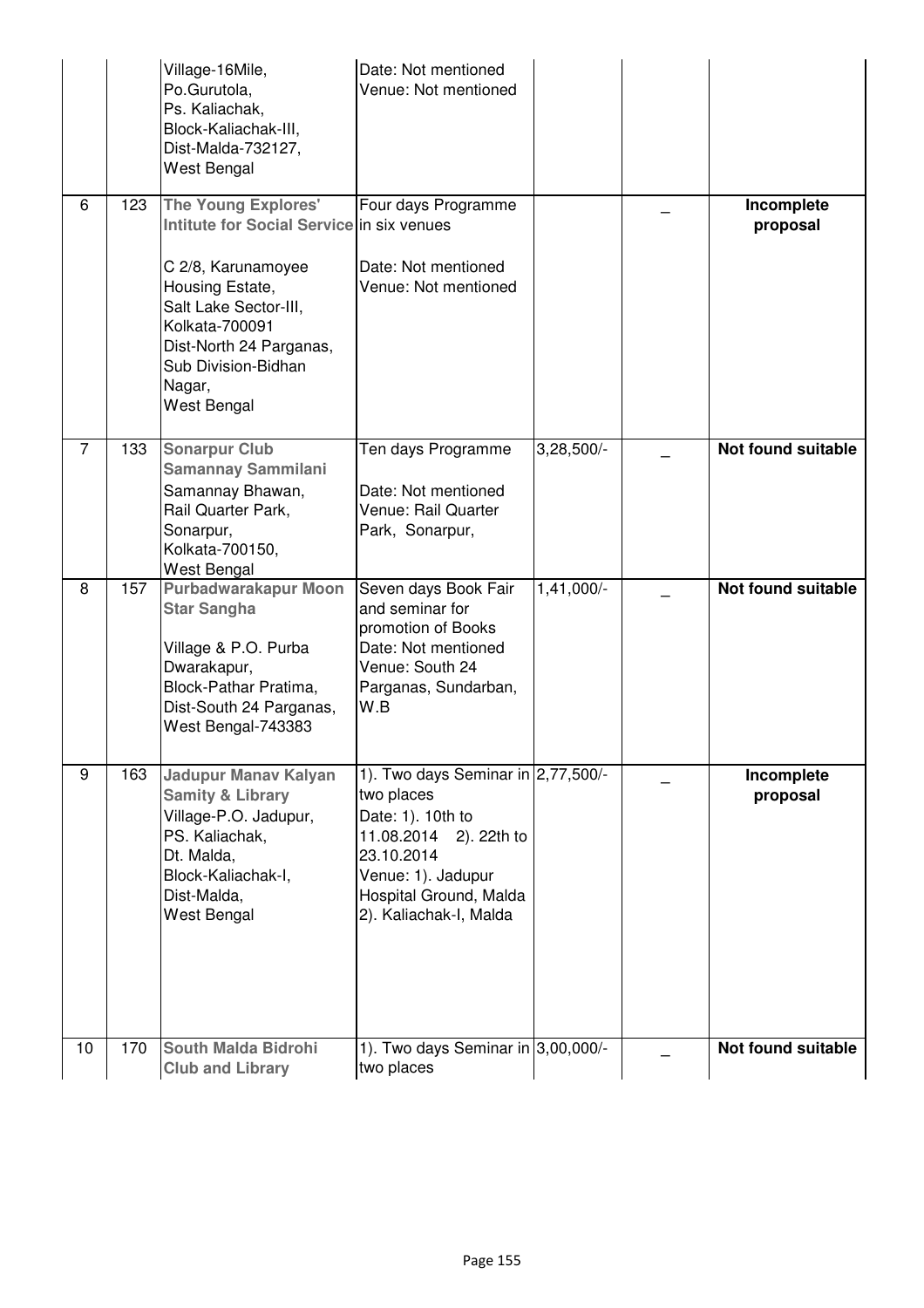|    |     | Village-16Mile,<br>Po.Gurutola,<br>Ps. Kaliachak,<br>Block-Kaliachak-III,<br>Dist-Malda-732127,<br>West Bengal                                                                                                                         | Date: Not mentioned<br>Venue: Not mentioned                                                                                                                                             |              |                           |
|----|-----|----------------------------------------------------------------------------------------------------------------------------------------------------------------------------------------------------------------------------------------|-----------------------------------------------------------------------------------------------------------------------------------------------------------------------------------------|--------------|---------------------------|
| 6  | 123 | <b>The Young Explores'</b><br>Intitute for Social Service in six venues<br>C 2/8, Karunamoyee<br>Housing Estate,<br>Salt Lake Sector-III,<br>Kolkata-700091<br>Dist-North 24 Parganas,<br>Sub Division-Bidhan<br>Nagar,<br>West Bengal | Four days Programme<br>Date: Not mentioned<br>Venue: Not mentioned                                                                                                                      |              | Incomplete<br>proposal    |
| 7  | 133 | <b>Sonarpur Club</b><br><b>Samannay Sammilani</b><br>Samannay Bhawan,<br>Rail Quarter Park,<br>Sonarpur,<br>Kolkata-700150,<br>West Bengal                                                                                             | Ten days Programme<br>Date: Not mentioned<br>Venue: Rail Quarter<br>Park, Sonarpur,                                                                                                     | $3,28,500/-$ | <b>Not found suitable</b> |
| 8  | 157 | Purbadwarakapur Moon<br><b>Star Sangha</b><br>Village & P.O. Purba<br>Dwarakapur,<br>Block-Pathar Pratima,<br>Dist-South 24 Parganas,<br>West Bengal-743383                                                                            | Seven days Book Fair<br>and seminar for<br>promotion of Books<br>Date: Not mentioned<br>Venue: South 24<br>Parganas, Sundarban,<br>W.B                                                  | $1,41,000/-$ | <b>Not found suitable</b> |
| 9  | 163 | Jadupur Manav Kalyan<br><b>Samity &amp; Library</b><br>Village-P.O. Jadupur,<br>PS. Kaliachak,<br>Dt. Malda,<br>Block-Kaliachak-I,<br>Dist-Malda,<br>West Bengal                                                                       | 1). Two days Seminar in 2,77,500/-<br>two places<br>Date: 1). 10th to<br>11.08.2014 2). 22th to<br>23.10.2014<br>Venue: 1). Jadupur<br>Hospital Ground, Malda<br>2). Kaliachak-I, Malda |              | Incomplete<br>proposal    |
| 10 | 170 | <b>South Malda Bidrohi</b><br><b>Club and Library</b>                                                                                                                                                                                  | 1). Two days Seminar in $3,00,000/$ -<br>two places                                                                                                                                     |              | Not found suitable        |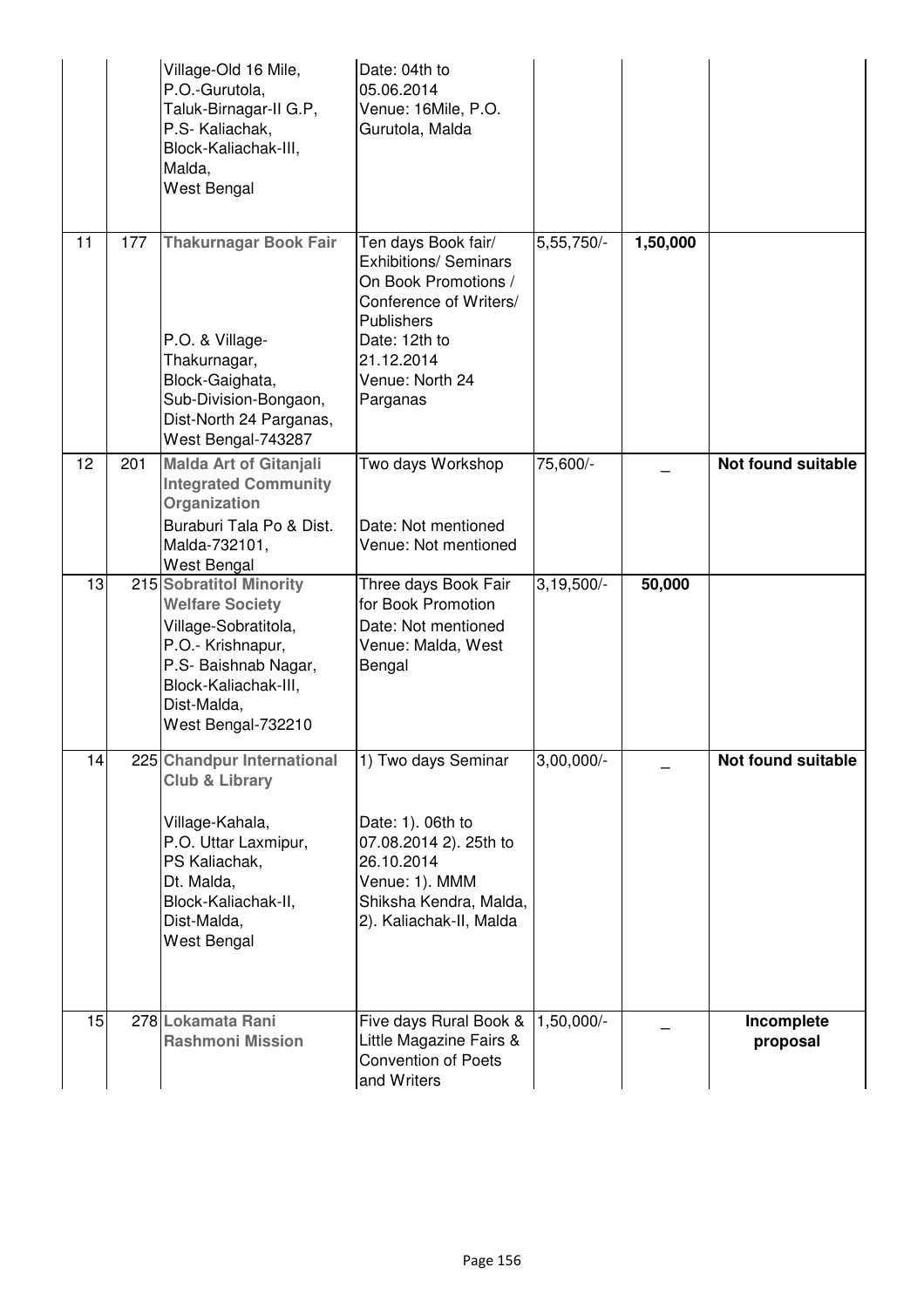|    |     | Village-Old 16 Mile,<br>P.O.-Gurutola,<br>Taluk-Birnagar-II G.P,<br>P.S- Kaliachak,<br>Block-Kaliachak-III,<br>Malda,<br>West Bengal                                                   | Date: 04th to<br>05.06.2014<br>Venue: 16Mile, P.O.<br>Gurutola, Malda                                                                                                                    |              |          |                           |
|----|-----|----------------------------------------------------------------------------------------------------------------------------------------------------------------------------------------|------------------------------------------------------------------------------------------------------------------------------------------------------------------------------------------|--------------|----------|---------------------------|
| 11 | 177 | <b>Thakurnagar Book Fair</b><br>P.O. & Village-<br>Thakurnagar,<br>Block-Gaighata,<br>Sub-Division-Bongaon,<br>Dist-North 24 Parganas,<br>West Bengal-743287                           | Ten days Book fair/<br><b>Exhibitions/ Seminars</b><br>On Book Promotions /<br>Conference of Writers/<br><b>Publishers</b><br>Date: 12th to<br>21.12.2014<br>Venue: North 24<br>Parganas | 5,55,750/-   | 1,50,000 |                           |
| 12 | 201 | <b>Malda Art of Gitanjali</b><br><b>Integrated Community</b><br>Organization<br>Buraburi Tala Po & Dist.<br>Malda-732101,<br><b>West Bengal</b>                                        | Two days Workshop<br>Date: Not mentioned<br>Venue: Not mentioned                                                                                                                         | 75,600/-     |          | <b>Not found suitable</b> |
| 13 |     | 215 Sobratitol Minority<br><b>Welfare Society</b><br>Village-Sobratitola,<br>P.O.- Krishnapur,<br>P.S- Baishnab Nagar,<br>Block-Kaliachak-III,<br>Dist-Malda,<br>West Bengal-732210    | Three days Book Fair<br>for Book Promotion<br>Date: Not mentioned<br>Venue: Malda, West<br>Bengal                                                                                        | $3,19,500/-$ | 50,000   |                           |
| 14 |     | 225 Chandpur International<br><b>Club &amp; Library</b><br>Village-Kahala,<br>P.O. Uttar Laxmipur,<br>PS Kaliachak,<br>Dt. Malda,<br>Block-Kaliachak-II,<br>Dist-Malda,<br>West Bengal | 1) Two days Seminar<br>Date: 1). 06th to<br>07.08.2014 2). 25th to<br>26.10.2014<br>Venue: 1). MMM<br>Shiksha Kendra, Malda,<br>2). Kaliachak-II, Malda                                  | $3,00,000/-$ |          | Not found suitable        |
| 15 |     | 278 Lokamata Rani<br><b>Rashmoni Mission</b>                                                                                                                                           | Five days Rural Book &<br>Little Magazine Fairs &<br><b>Convention of Poets</b><br>and Writers                                                                                           | $1,50,000/-$ |          | Incomplete<br>proposal    |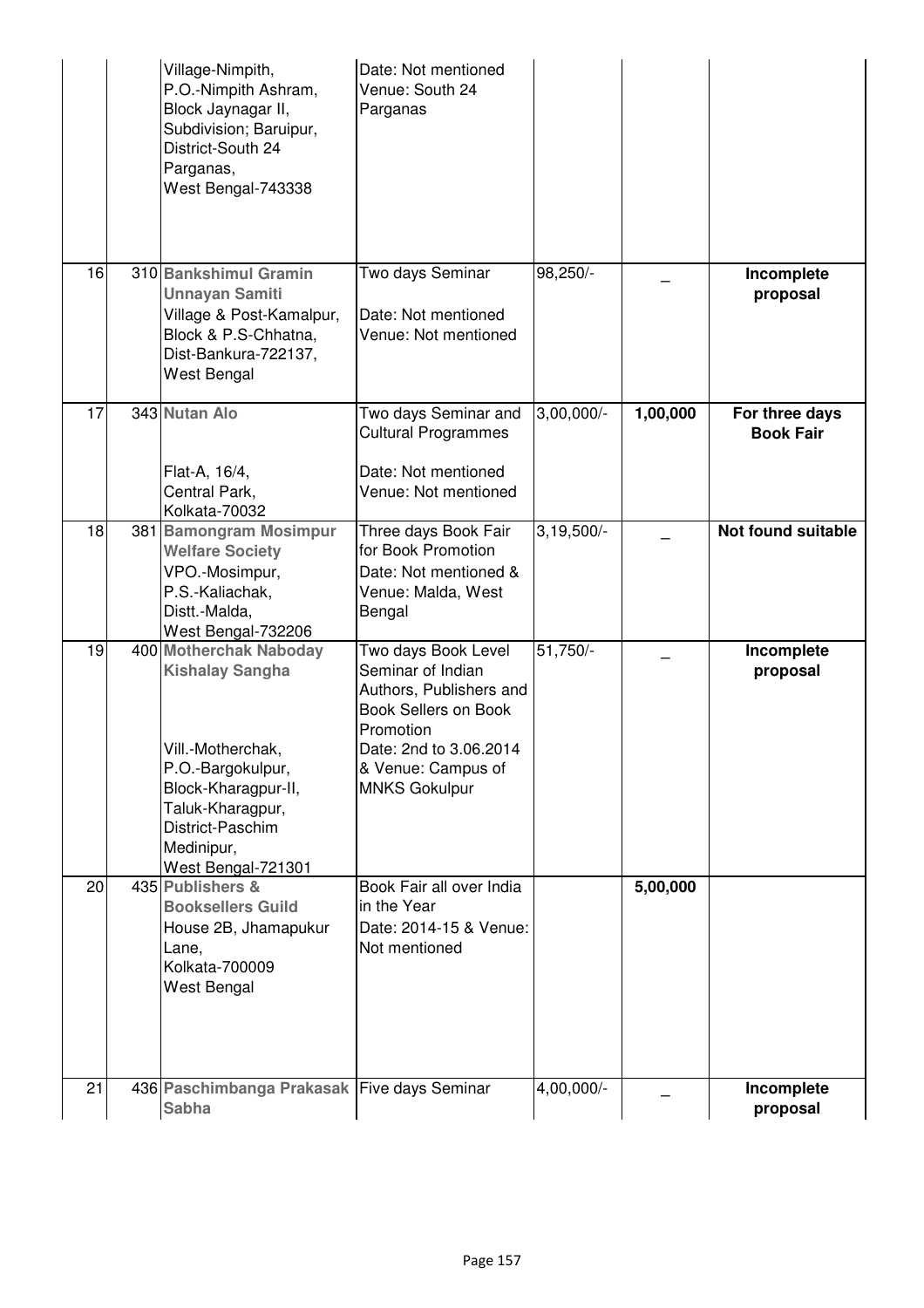|    | Village-Nimpith,<br>P.O.-Nimpith Ashram,<br>Block Jaynagar II,<br>Subdivision; Baruipur,<br>District-South 24<br>Parganas,<br>West Bengal-743338                                              | Date: Not mentioned<br>Venue: South 24<br>Parganas                                                                                                                                      |              |          |                                    |
|----|-----------------------------------------------------------------------------------------------------------------------------------------------------------------------------------------------|-----------------------------------------------------------------------------------------------------------------------------------------------------------------------------------------|--------------|----------|------------------------------------|
| 16 | 310 Bankshimul Gramin<br><b>Unnayan Samiti</b><br>Village & Post-Kamalpur,<br>Block & P.S-Chhatna,<br>Dist-Bankura-722137,<br>West Bengal                                                     | Two days Seminar<br>Date: Not mentioned<br>Venue: Not mentioned                                                                                                                         | 98,250/-     |          | Incomplete<br>proposal             |
| 17 | 343 Nutan Alo<br>Flat-A, 16/4,<br>Central Park,<br>Kolkata-70032                                                                                                                              | Two days Seminar and<br><b>Cultural Programmes</b><br>Date: Not mentioned<br>Venue: Not mentioned                                                                                       | $3,00,000/-$ | 1,00,000 | For three days<br><b>Book Fair</b> |
| 18 | 381 Bamongram Mosimpur<br><b>Welfare Society</b><br>VPO.-Mosimpur,<br>P.S.-Kaliachak,<br>Distt.-Malda,<br>West Bengal-732206                                                                  | Three days Book Fair<br>for Book Promotion<br>Date: Not mentioned &<br>Venue: Malda, West<br>Bengal                                                                                     | $3,19,500/-$ |          | <b>Not found suitable</b>          |
| 19 | 400 Motherchak Naboday<br><b>Kishalay Sangha</b><br>Vill.-Motherchak,<br>P.O.-Bargokulpur,<br>Block-Kharagpur-II,<br>Taluk-Kharagpur,<br>District-Paschim<br>Medinipur,<br>West Bengal-721301 | Two days Book Level<br>Seminar of Indian<br>Authors, Publishers and<br><b>Book Sellers on Book</b><br>Promotion<br>Date: 2nd to 3.06.2014<br>& Venue: Campus of<br><b>MNKS Gokulpur</b> | 51,750/-     |          | Incomplete<br>proposal             |
| 20 | 435 Publishers &<br><b>Booksellers Guild</b><br>House 2B, Jhamapukur<br>Lane,<br>Kolkata-700009<br>West Bengal                                                                                | Book Fair all over India<br>in the Year<br>Date: 2014-15 & Venue:<br>Not mentioned                                                                                                      |              | 5,00,000 |                                    |
| 21 | 436 Paschimbanga Prakasak Five days Seminar<br><b>Sabha</b>                                                                                                                                   |                                                                                                                                                                                         | 4,00,000/-   |          | Incomplete<br>proposal             |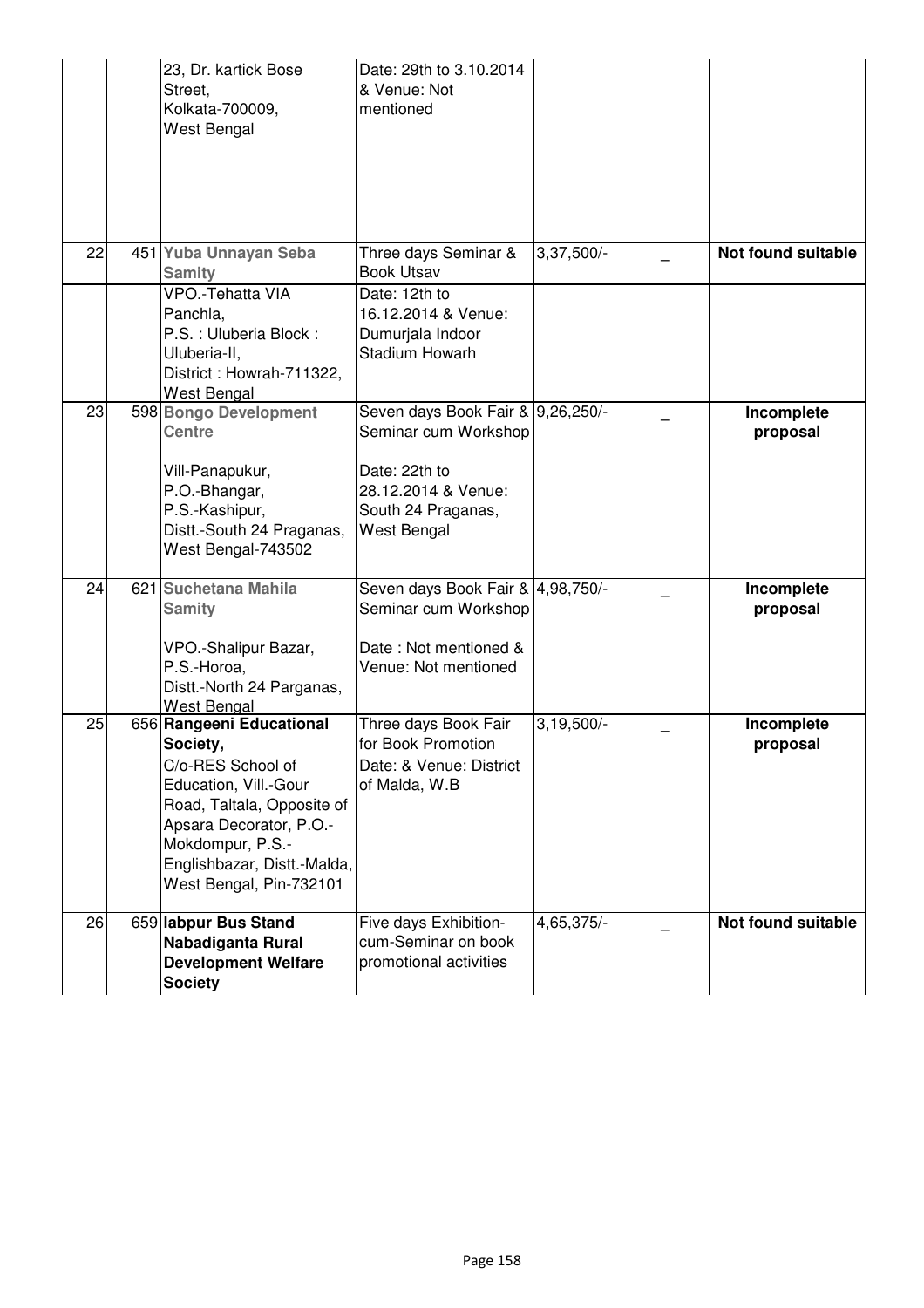|    | 23, Dr. kartick Bose<br>Street,<br>Kolkata-700009,<br>West Bengal                                                                                                                                                         | Date: 29th to 3.10.2014<br>& Venue: Not<br>mentioned                                                                                          |                         |                           |
|----|---------------------------------------------------------------------------------------------------------------------------------------------------------------------------------------------------------------------------|-----------------------------------------------------------------------------------------------------------------------------------------------|-------------------------|---------------------------|
| 22 | 451 Yuba Unnayan Seba<br><b>Samity</b>                                                                                                                                                                                    | Three days Seminar &<br><b>Book Utsav</b>                                                                                                     | 3,37,500/-              | <b>Not found suitable</b> |
|    | VPO.-Tehatta VIA<br>Panchla,<br>P.S.: Uluberia Block:<br>Uluberia-II,<br>District: Howrah-711322,<br>West Bengal                                                                                                          | Date: 12th to<br>16.12.2014 & Venue:<br>Dumurjala Indoor<br>Stadium Howarh                                                                    |                         |                           |
| 23 | 598 Bongo Development<br><b>Centre</b><br>Vill-Panapukur,<br>P.O.-Bhangar,<br>P.S.-Kashipur,<br>Distt.-South 24 Praganas,<br>West Bengal-743502                                                                           | Seven days Book Fair & 9,26,250/-<br>Seminar cum Workshop<br>Date: 22th to<br>28.12.2014 & Venue:<br>South 24 Praganas,<br><b>West Bengal</b> |                         | Incomplete<br>proposal    |
| 24 | 621 Suchetana Mahila<br><b>Samity</b><br>VPO.-Shalipur Bazar,<br>P.S.-Horoa,<br>Distt.-North 24 Parganas,<br><b>West Bengal</b>                                                                                           | Seven days Book Fair & 4,98,750/-<br>Seminar cum Workshop<br>Date: Not mentioned &<br>Venue: Not mentioned                                    |                         | Incomplete<br>proposal    |
| 25 | 656 Rangeeni Educational<br>Society,<br>C/o-RES School of<br>Education, Vill.-Gour<br>Road, Taltala, Opposite of<br>Apsara Decorator, P.O.-<br>Mokdompur, P.S.-<br>Englishbazar, Distt.-Malda,<br>West Bengal, Pin-732101 | Three days Book Fair<br>for Book Promotion<br>Date: & Venue: District<br>of Malda, W.B                                                        | $3,19,500/-$            | Incomplete<br>proposal    |
| 26 | 659 labpur Bus Stand<br>Nabadiganta Rural<br><b>Development Welfare</b><br><b>Society</b>                                                                                                                                 | Five days Exhibition-<br>cum-Seminar on book<br>promotional activities                                                                        | $4,65,375$ <sup>-</sup> | <b>Not found suitable</b> |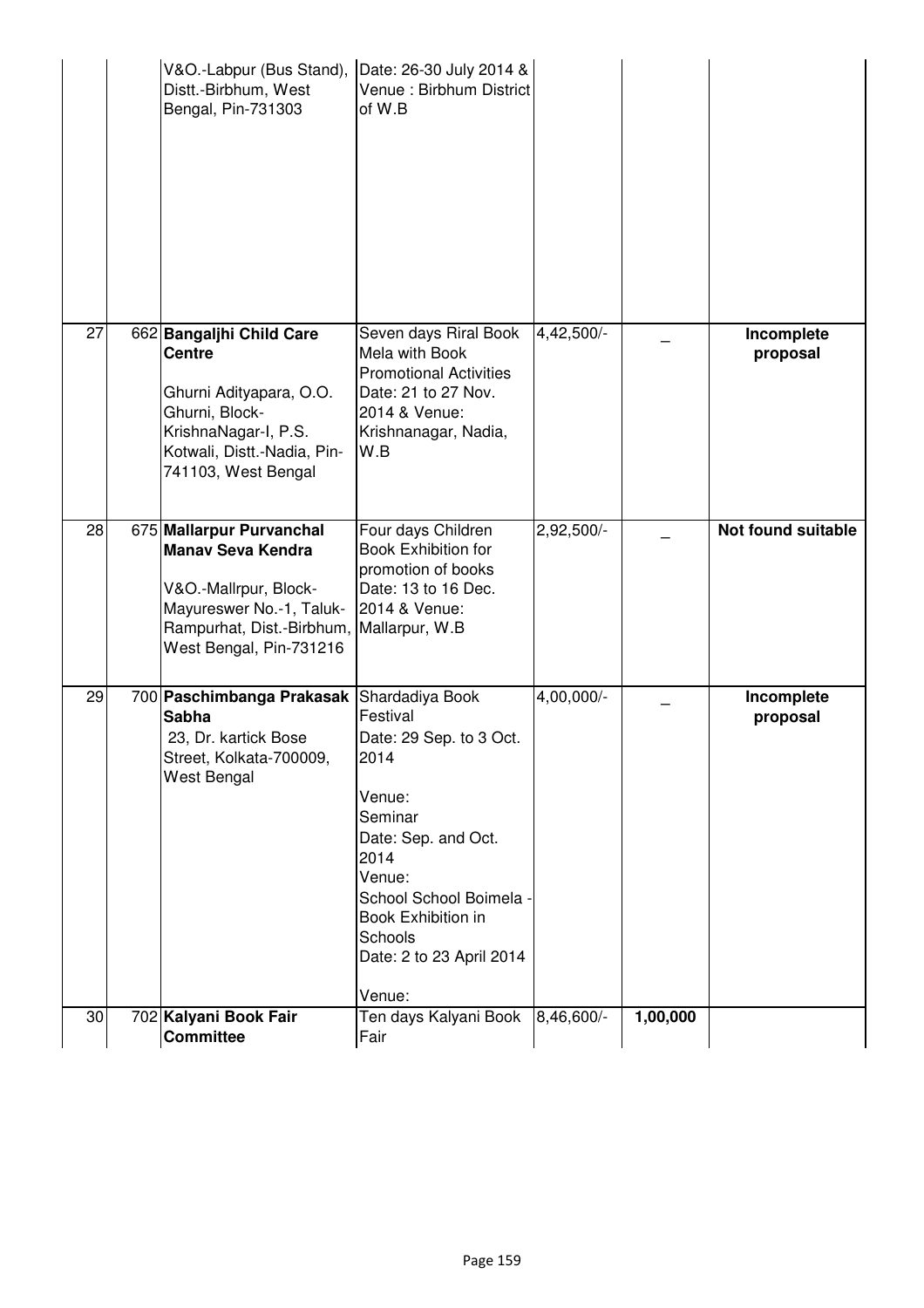|    |                                                                                                                                                                      | Venue:<br>School School Boimela -<br>Book Exhibition in                                                                                         |            |                           |
|----|----------------------------------------------------------------------------------------------------------------------------------------------------------------------|-------------------------------------------------------------------------------------------------------------------------------------------------|------------|---------------------------|
|    |                                                                                                                                                                      | Venue:<br>Seminar<br>Date: Sep. and Oct.<br>2014                                                                                                |            |                           |
| 29 | 700 Paschimbanga Prakasak Shardadiya Book<br><b>Sabha</b><br>23, Dr. kartick Bose<br>Street, Kolkata-700009,<br>West Bengal                                          | Festival<br>Date: 29 Sep. to 3 Oct.<br>2014                                                                                                     | 4,00,000/- | Incomplete<br>proposal    |
| 28 | 675 Mallarpur Purvanchal<br><b>Manav Seva Kendra</b><br>V&O.-Mallrpur, Block-<br>Mayureswer No.-1, Taluk-<br>Rampurhat, Dist.-Birbhum,<br>West Bengal, Pin-731216    | Four days Children<br><b>Book Exhibition for</b><br>promotion of books<br>Date: 13 to 16 Dec.<br>2014 & Venue:<br>Mallarpur, W.B                | 2,92,500/- | <b>Not found suitable</b> |
| 27 | 662 Bangaljhi Child Care<br><b>Centre</b><br>Ghurni Adityapara, O.O.<br>Ghurni, Block-<br>KrishnaNagar-I, P.S.<br>Kotwali, Distt.-Nadia, Pin-<br>741103, West Bengal | Seven days Riral Book<br>Mela with Book<br><b>Promotional Activities</b><br>Date: 21 to 27 Nov.<br>2014 & Venue:<br>Krishnanagar, Nadia,<br>W.B | 4,42,500/- | Incomplete<br>proposal    |
|    | V&O.-Labpur (Bus Stand),<br>Distt.-Birbhum, West<br>Bengal, Pin-731303                                                                                               | Date: 26-30 July 2014 &<br>Venue : Birbhum District<br>of W.B                                                                                   |            |                           |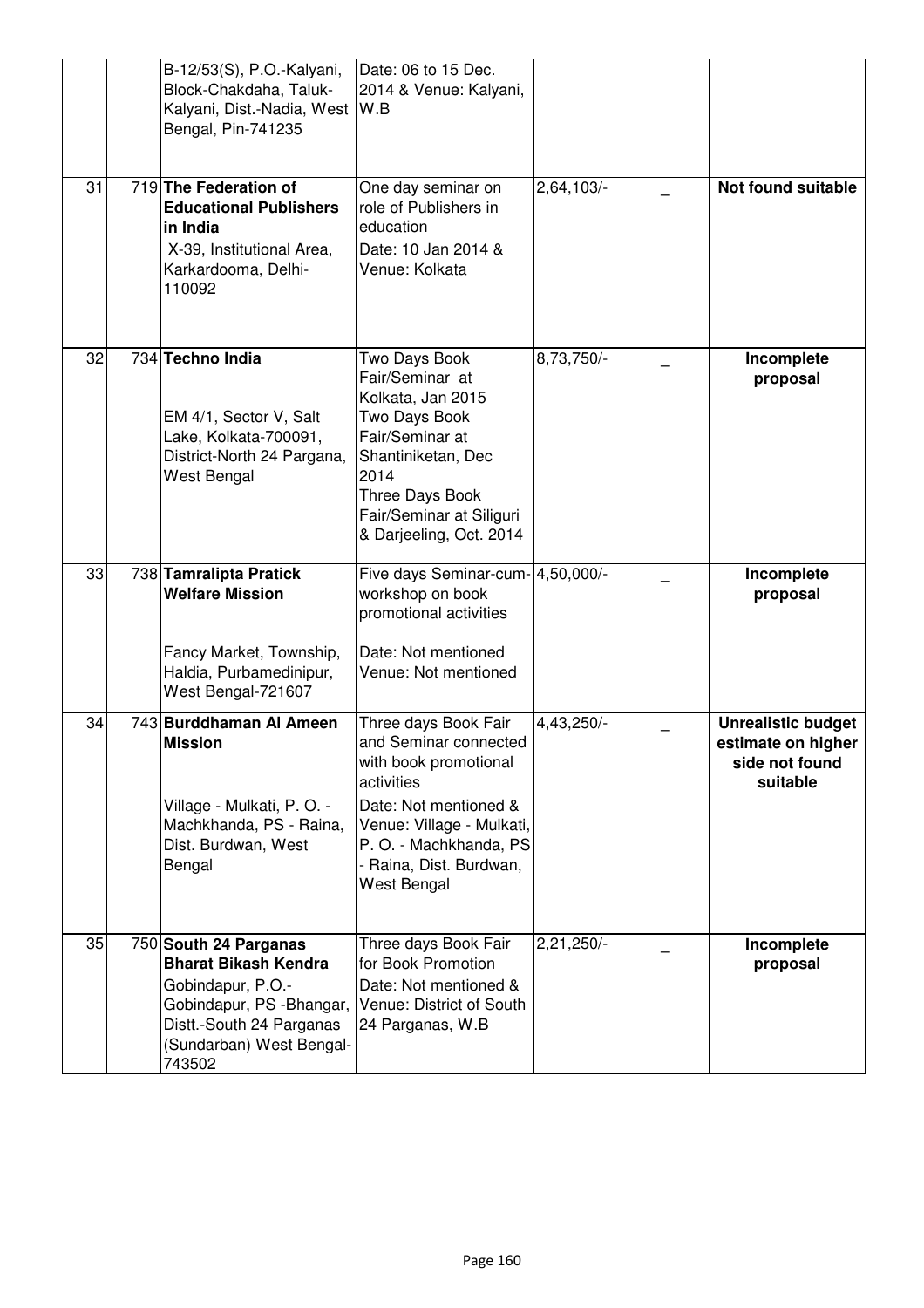|    | B-12/53(S), P.O.-Kalyani,<br>Block-Chakdaha, Taluk-<br>Kalyani, Dist.-Nadia, West<br>Bengal, Pin-741235                             | Date: 06 to 15 Dec.<br>2014 & Venue: Kalyani,<br>W.B                                                                                                                                                           |              |                                                                               |
|----|-------------------------------------------------------------------------------------------------------------------------------------|----------------------------------------------------------------------------------------------------------------------------------------------------------------------------------------------------------------|--------------|-------------------------------------------------------------------------------|
| 31 | 719 The Federation of<br><b>Educational Publishers</b><br>in India<br>X-39, Institutional Area,<br>Karkardooma, Delhi-<br>110092    | One day seminar on<br>role of Publishers in<br>education<br>Date: 10 Jan 2014 &<br>Venue: Kolkata                                                                                                              | 2,64,103/-   | <b>Not found suitable</b>                                                     |
| 32 | 734 Techno India<br>EM 4/1, Sector V, Salt<br>Lake, Kolkata-700091,<br>District-North 24 Pargana,<br>West Bengal                    | Two Days Book<br>Fair/Seminar at<br>Kolkata, Jan 2015<br>Two Days Book<br>Fair/Seminar at<br>Shantiniketan, Dec<br>2014<br>Three Days Book<br>Fair/Seminar at Siliguri<br>& Darjeeling, Oct. 2014              | 8,73,750/-   | Incomplete<br>proposal                                                        |
| 33 | 738 Tamralipta Pratick<br><b>Welfare Mission</b><br>Fancy Market, Township,<br>Haldia, Purbamedinipur,<br>West Bengal-721607        | Five days Seminar-cum- 4,50,000/-<br>workshop on book<br>promotional activities<br>Date: Not mentioned<br>Venue: Not mentioned                                                                                 |              | Incomplete<br>proposal                                                        |
| 34 | 743 Burddhaman Al Ameen<br><b>Mission</b><br>Village - Mulkati, P. O. -<br>Machkhanda, PS - Raina,<br>Dist. Burdwan, West<br>Bengal | Three days Book Fair<br>and Seminar connected<br>with book promotional<br>activities<br>Date: Not mentioned &<br>Venue: Village - Mulkati,<br>P. O. - Machkhanda, PS<br>- Raina, Dist. Burdwan,<br>West Bengal | 4,43,250/-   | <b>Unrealistic budget</b><br>estimate on higher<br>side not found<br>suitable |
| 35 | 750 South 24 Parganas<br><b>Bharat Bikash Kendra</b>                                                                                | Three days Book Fair<br>for Book Promotion                                                                                                                                                                     | $2,21,250/-$ | Incomplete<br>proposal                                                        |